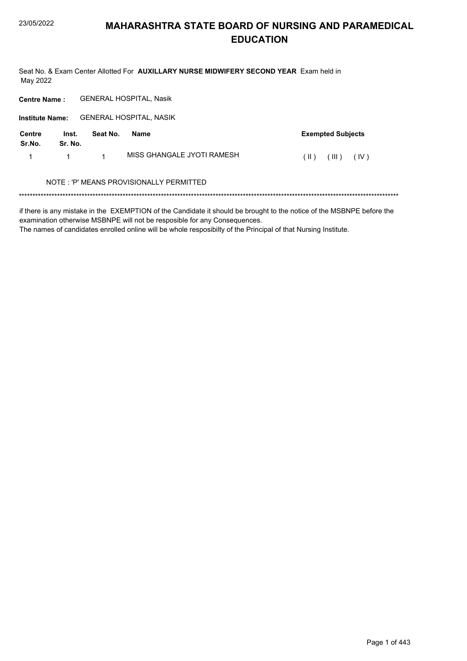Seat No. & Exam Center Allotted For AUXILLARY NURSE MIDWIFERY SECOND YEAR Exam held in May 2022

**Centre Name: GENERAL HOSPITAL, Nasik** 

Institute Name: GENERAL HOSPITAL, NASIK

| Centre<br>Sr.No. | Inst.<br>Sr. No. | Seat No. | Name                       |          | <b>Exempted Subjects</b>        |  |
|------------------|------------------|----------|----------------------------|----------|---------------------------------|--|
|                  | $\sim$ 1         |          | MISS GHANGALE JYOTI RAMESH | $(\  \)$ | $(\mathbb{II})$ $(\mathbb{IV})$ |  |

#### NOTE : 'P' MEANS PROVISIONALLY PERMITTED

if there is any mistake in the EXEMPTION of the Candidate it should be brought to the notice of the MSBNPE before the examination otherwise MSBNPE will not be resposible for any Consequences.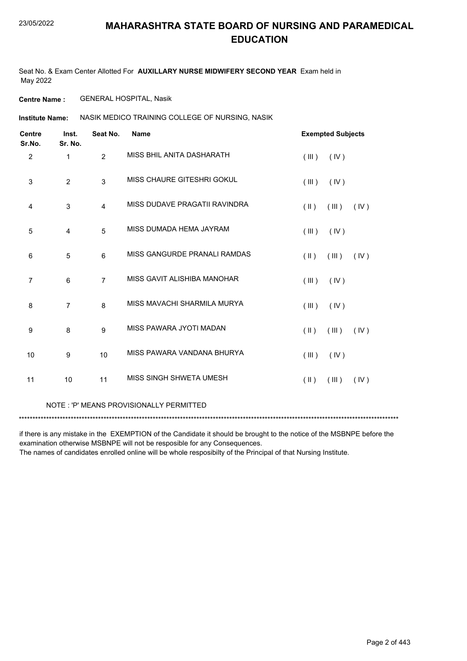Seat No. & Exam Center Allotted For **AUXILLARY NURSE MIDWIFERY SECOND YEAR** Exam held in May 2022

**Centre Name :** GENERAL HOSPITAL, Nasik

NASIK MEDICO TRAINING COLLEGE OF NURSING, NASIK **Institute Name:**

| <b>Centre</b><br>Sr.No. | Inst.<br>Sr. No. | Seat No.       | <b>Name</b>                   |               | <b>Exempted Subjects</b> |      |
|-------------------------|------------------|----------------|-------------------------------|---------------|--------------------------|------|
| 2                       | $\mathbf{1}$     | $\overline{2}$ | MISS BHIL ANITA DASHARATH     | (III)         | (IV)                     |      |
| 3                       | 2                | 3              | MISS CHAURE GITESHRI GOKUL    | (III)         | (IV)                     |      |
| 4                       | 3                | 4              | MISS DUDAVE PRAGATII RAVINDRA | $(\parallel)$ | (III)                    | (IV) |
| 5                       | $\overline{4}$   | 5              | MISS DUMADA HEMA JAYRAM       | (III)         | (IV)                     |      |
| 6                       | 5                | 6              | MISS GANGURDE PRANALI RAMDAS  | $(\parallel)$ | (III)                    | (IV) |
| $\overline{7}$          | 6                | $\overline{7}$ | MISS GAVIT ALISHIBA MANOHAR   | (III)         | (IV)                     |      |
| 8                       | $\overline{7}$   | 8              | MISS MAVACHI SHARMILA MURYA   | (III)         | (IV)                     |      |
| 9                       | 8                | 9              | MISS PAWARA JYOTI MADAN       | $($ II $)$    | (III)                    | (IV) |
| 10                      | 9                | 10             | MISS PAWARA VANDANA BHURYA    | (III)         | (IV)                     |      |
| 11                      | 10               | 11             | MISS SINGH SHWETA UMESH       | $(\parallel)$ | (III)                    | (IV) |

#### NOTE : 'P' MEANS PROVISIONALLY PERMITTED

\*\*\*\*\*\*\*\*\*\*\*\*\*\*\*\*\*\*\*\*\*\*\*\*\*\*\*\*\*\*\*\*\*\*\*\*\*\*\*\*\*\*\*\*\*\*\*\*\*\*\*\*\*\*\*\*\*\*\*\*\*\*\*\*\*\*\*\*\*\*\*\*\*\*\*\*\*\*\*\*\*\*\*\*\*\*\*\*\*\*\*\*\*\*\*\*\*\*\*\*\*\*\*\*\*\*\*\*\*\*\*\*\*\*\*\*\*\*\*\*\*\*\*\*\*\*\*\*\*\*\*\*\*\*\*\*\*\*\*

if there is any mistake in the EXEMPTION of the Candidate it should be brought to the notice of the MSBNPE before the examination otherwise MSBNPE will not be resposible for any Consequences.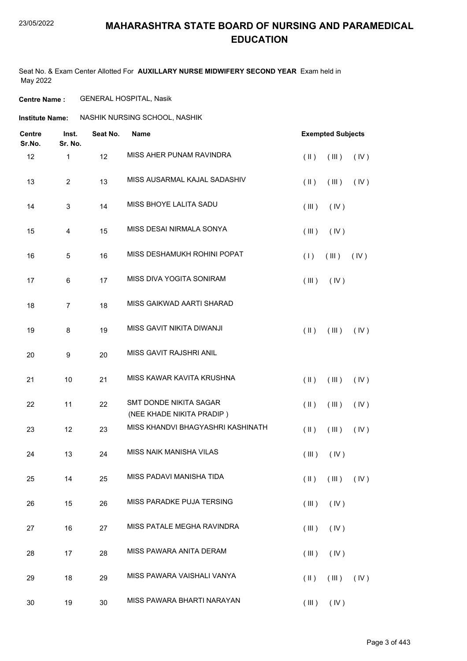Seat No. & Exam Center Allotted For **AUXILLARY NURSE MIDWIFERY SECOND YEAR** Exam held in May 2022

**Centre Name :** GENERAL HOSPITAL, Nasik

**Institute Name: ASSHIK NURSING SCHOOL, NASHIK** 

| <b>Centre</b><br>Sr.No. | Inst.<br>Sr. No.          | Seat No. | <b>Name</b>                                         | <b>Exempted Subjects</b>                      |
|-------------------------|---------------------------|----------|-----------------------------------------------------|-----------------------------------------------|
| 12                      | $\mathbf{1}$              | 12       | MISS AHER PUNAM RAVINDRA                            | $($ II $)$<br>(III)<br>(IV)                   |
| 13                      | $\overline{2}$            | 13       | MISS AUSARMAL KAJAL SADASHIV                        | (IV)<br>$(\parallel)$<br>(III)                |
| 14                      | $\ensuremath{\mathsf{3}}$ | 14       | MISS BHOYE LALITA SADU                              | (III)<br>(IV)                                 |
| 15                      | $\overline{4}$            | 15       | MISS DESAI NIRMALA SONYA                            | (III)<br>(IV)                                 |
| 16                      | $\mathbf 5$               | 16       | MISS DESHAMUKH ROHINI POPAT                         | (1)<br>(IV)<br>(III)                          |
| 17                      | 6                         | 17       | MISS DIVA YOGITA SONIRAM                            | (III)<br>(IV)                                 |
| 18                      | $\boldsymbol{7}$          | 18       | MISS GAIKWAD AARTI SHARAD                           |                                               |
| 19                      | 8                         | 19       | MISS GAVIT NIKITA DIWANJI                           | $(\parallel)$<br>(III)<br>(IV)                |
| 20                      | $\boldsymbol{9}$          | 20       | MISS GAVIT RAJSHRI ANIL                             |                                               |
| 21                      | 10                        | 21       | MISS KAWAR KAVITA KRUSHNA                           | $($ II $)$<br>(III)<br>(IV)                   |
| 22                      | 11                        | 22       | SMT DONDE NIKITA SAGAR<br>(NEE KHADE NIKITA PRADIP) | $(\parallel)$<br>(III)<br>(IV)                |
| 23                      | 12                        | 23       | MISS KHANDVI BHAGYASHRI KASHINATH                   | $($ II $)$<br>(III)<br>(IV)                   |
| 24                      | 13                        | 24       | MISS NAIK MANISHA VILAS                             | (III)<br>(IV)                                 |
| 25                      | 14                        | 25       | MISS PADAVI MANISHA TIDA                            | $(\mathbb{I})$ $(\mathbb{II})$ $(\mathbb{V})$ |
| 26                      | 15                        | 26       | MISS PARADKE PUJA TERSING                           | (III)<br>(IV)                                 |
| 27                      | 16                        | 27       | MISS PATALE MEGHA RAVINDRA                          | (III)<br>(IV)                                 |
| 28                      | 17                        | 28       | MISS PAWARA ANITA DERAM                             | (IV)<br>(III)                                 |
| 29                      | 18                        | 29       | MISS PAWARA VAISHALI VANYA                          | $(\parallel)$<br>(III)<br>(IV)                |
| 30                      | 19                        | $30\,$   | MISS PAWARA BHARTI NARAYAN                          | $(III)$ $(IV)$                                |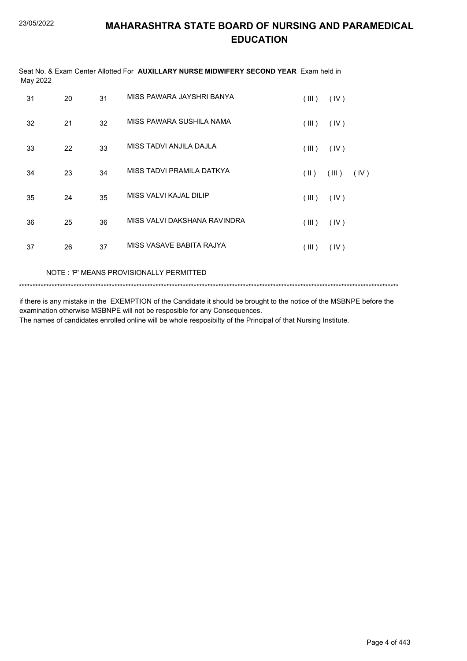|          | Seat No. & Exam Center Allotted For <b>AUXILLARY NURSE MIDWIFERY SECOND YEAR</b> Exam held in |
|----------|-----------------------------------------------------------------------------------------------|
| May 2022 |                                                                                               |

| 31 | 20 | 31 | MISS PAWARA JAYSHRI BANYA    | (III) | (IV)          |
|----|----|----|------------------------------|-------|---------------|
| 32 | 21 | 32 | MISS PAWARA SUSHILA NAMA     | (III) | (IV)          |
| 33 | 22 | 33 | MISS TADVI ANJILA DAJLA      | (III) | (IV)          |
| 34 | 23 | 34 | MISS TADVI PRAMILA DATKYA    | (  )  | (III)<br>(IV) |
| 35 | 24 | 35 | MISS VALVI KAJAL DILIP       | (III) | (IV)          |
| 36 | 25 | 36 | MISS VALVI DAKSHANA RAVINDRA | (III) | (IV)          |
| 37 | 26 | 37 | MISS VASAVE BABITA RAJYA     | (III) | (IV)          |

NOTE : 'P' MEANS PROVISIONALLY PERMITTED

\*\*\*\*\*\*\*\*\*\*\*\*\*\*\*\*\*\*\*\*\*\*\*\*\*\*\*\*\*\*\*\*\*\*\*\*\*\*\*\*\*\*\*\*\*\*\*\*\*\*\*\*\*\*\*\*\*\*\*\*\*\*\*\*\*\*\*\*\*\*\*\*\*\*\*\*\*\*\*\*\*\*\*\*\*\*\*\*\*\*\*\*\*\*\*\*\*\*\*\*\*\*\*\*\*\*\*\*\*\*\*\*\*\*\*\*\*\*\*\*\*\*\*\*\*\*\*\*\*\*\*\*\*\*\*\*\*\*\*

if there is any mistake in the EXEMPTION of the Candidate it should be brought to the notice of the MSBNPE before the examination otherwise MSBNPE will not be resposible for any Consequences.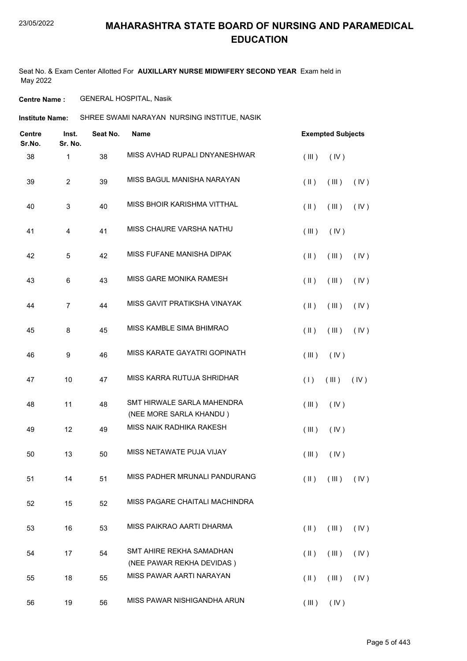Seat No. & Exam Center Allotted For **AUXILLARY NURSE MIDWIFERY SECOND YEAR** Exam held in May 2022

**Centre Name :** GENERAL HOSPITAL, Nasik

**Institute Name:** SHREE SWAMI NARAYAN NURSING INSTITUE, NASIK

| <b>Centre</b><br>Sr.No. | Inst.<br>Sr. No.        | Seat No. | <b>Name</b>                                           | <b>Exempted Subjects</b>                      |
|-------------------------|-------------------------|----------|-------------------------------------------------------|-----------------------------------------------|
| 38                      | 1                       | 38       | MISS AVHAD RUPALI DNYANESHWAR                         | (III)<br>(IV)                                 |
| 39                      | $\overline{\mathbf{c}}$ | 39       | MISS BAGUL MANISHA NARAYAN                            | $(\parallel)$<br>(III)<br>(IV)                |
| 40                      | 3                       | 40       | MISS BHOIR KARISHMA VITTHAL                           | $(\parallel)$<br>(IV)<br>(III)                |
| 41                      | 4                       | 41       | MISS CHAURE VARSHA NATHU                              | (III)<br>(IV)                                 |
| 42                      | 5                       | 42       | MISS FUFANE MANISHA DIPAK                             | $(\parallel \parallel)$<br>(III)<br>(IV)      |
| 43                      | 6                       | 43       | MISS GARE MONIKA RAMESH                               | $(\parallel)$<br>(III)<br>(IV)                |
| 44                      | $\overline{7}$          | 44       | MISS GAVIT PRATIKSHA VINAYAK                          | $(\parallel)$<br>(III)<br>(IV)                |
| 45                      | 8                       | 45       | MISS KAMBLE SIMA BHIMRAO                              | $(\parallel \parallel)$<br>(III)<br>(IV)      |
| 46                      | 9                       | 46       | MISS KARATE GAYATRI GOPINATH                          | (III)<br>(IV)                                 |
| 47                      | 10                      | 47       | MISS KARRA RUTUJA SHRIDHAR                            | (IV)<br>(1)<br>(III)                          |
| 48                      | 11                      | 48       | SMT HIRWALE SARLA MAHENDRA<br>(NEE MORE SARLA KHANDU) | (III)<br>(IV)                                 |
| 49                      | 12                      | 49       | MISS NAIK RADHIKA RAKESH                              | (III)<br>(IV)                                 |
| 50                      | 13                      | 50       | MISS NETAWATE PUJA VIJAY                              | (III)<br>(IV)                                 |
| 51                      | 14                      | 51       | MISS PADHER MRUNALI PANDURANG                         | $(\mathbb{I})$ $(\mathbb{II})$ $(\mathbb{V})$ |
| 52                      | 15                      | 52       | MISS PAGARE CHAITALI MACHINDRA                        |                                               |
| 53                      | 16                      | 53       | MISS PAIKRAO AARTI DHARMA                             | $(\parallel)$<br>(III)<br>(IV)                |
| 54                      | 17                      | 54       | SMT AHIRE REKHA SAMADHAN<br>(NEE PAWAR REKHA DEVIDAS) | $(\parallel)$<br>(III)<br>(IV)                |
| 55                      | 18                      | 55       | MISS PAWAR AARTI NARAYAN                              | $(\parallel \parallel)$<br>(III)<br>(IV)      |
| 56                      | 19                      | 56       | MISS PAWAR NISHIGANDHA ARUN                           | $(III)$ $(IV)$                                |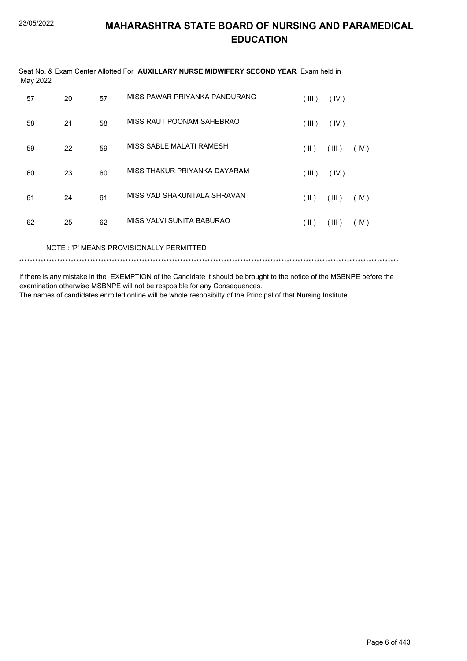| Seat No. & Exam Center Allotted For <b>AUXILLARY NURSE MIDWIFERY SECOND YEAR</b> Exam held in<br>May 2022 |    |    |                               |                         |       |      |  |  |
|-----------------------------------------------------------------------------------------------------------|----|----|-------------------------------|-------------------------|-------|------|--|--|
| 57                                                                                                        | 20 | 57 | MISS PAWAR PRIYANKA PANDURANG | (III)                   | (IV)  |      |  |  |
| 58                                                                                                        | 21 | 58 | MISS RAUT POONAM SAHEBRAO     | (III)                   | (IV)  |      |  |  |
| 59                                                                                                        | 22 | 59 | MISS SABLE MALATI RAMESH      | $(\parallel)$           | (III) | (IV) |  |  |
| 60                                                                                                        | 23 | 60 | MISS THAKUR PRIYANKA DAYARAM  | (III)                   | (IV)  |      |  |  |
| 61                                                                                                        | 24 | 61 | MISS VAD SHAKUNTALA SHRAVAN   | $($ II $)$              | (III) | (IV) |  |  |
| 62                                                                                                        | 25 | 62 | MISS VALVI SUNITA BABURAO     | $(\parallel \parallel)$ | (III) | (IV) |  |  |
|                                                                                                           |    |    |                               |                         |       |      |  |  |

NOTE: 'P' MEANS PROVISIONALLY PERMITTED

if there is any mistake in the EXEMPTION of the Candidate it should be brought to the notice of the MSBNPE before the examination otherwise MSBNPE will not be resposible for any Consequences.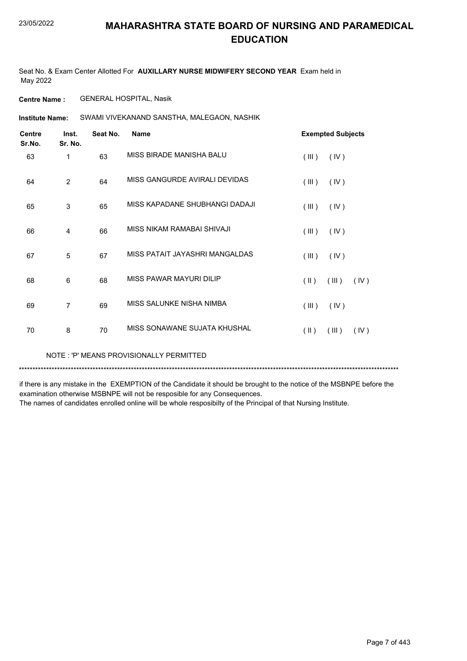Seat No. & Exam Center Allotted For **AUXILLARY NURSE MIDWIFERY SECOND YEAR** Exam held in May 2022

**Centre Name :** GENERAL HOSPITAL, Nasik

SWAMI VIVEKANAND SANSTHA, MALEGAON, NASHIK **Institute Name:**

| <b>Centre</b><br>Sr.No. | Inst.<br>Sr. No. | Seat No. | <b>Name</b>                    |                         | <b>Exempted Subjects</b> |      |
|-------------------------|------------------|----------|--------------------------------|-------------------------|--------------------------|------|
| 63                      | 1                | 63       | MISS BIRADE MANISHA BALU       | (III)                   | (IV)                     |      |
| 64                      | $\overline{2}$   | 64       | MISS GANGURDE AVIRALI DEVIDAS  | (III)                   | (IV)                     |      |
| 65                      | 3                | 65       | MISS KAPADANE SHUBHANGI DADAJI | (III)                   | (IV)                     |      |
| 66                      | 4                | 66       | MISS NIKAM RAMABAI SHIVAJI     | (III)                   | (IV)                     |      |
| 67                      | 5                | 67       | MISS PATAIT JAYASHRI MANGALDAS | (III)                   | (IV)                     |      |
| 68                      | 6                | 68       | MISS PAWAR MAYURI DILIP        | $(\parallel \parallel)$ | (III)                    | (IV) |
| 69                      | $\overline{7}$   | 69       | MISS SALUNKE NISHA NIMBA       | (III)                   | (IV)                     |      |
| 70                      | 8                | 70       | MISS SONAWANE SUJATA KHUSHAL   | $(\parallel)$           | (III)                    | (IV) |

NOTE : 'P' MEANS PROVISIONALLY PERMITTED

\*\*\*\*\*\*\*\*\*\*\*\*\*\*\*\*\*\*\*\*\*\*\*\*\*\*\*\*\*\*\*\*\*\*\*\*\*\*\*\*\*\*\*\*\*\*\*\*\*\*\*\*\*\*\*\*\*\*\*\*\*\*\*\*\*\*\*\*\*\*\*\*\*\*\*\*\*\*\*\*\*\*\*\*\*\*\*\*\*\*\*\*\*\*\*\*\*\*\*\*\*\*\*\*\*\*\*\*\*\*\*\*\*\*\*\*\*\*\*\*\*\*\*\*\*\*\*\*\*\*\*\*\*\*\*\*\*\*\*

if there is any mistake in the EXEMPTION of the Candidate it should be brought to the notice of the MSBNPE before the examination otherwise MSBNPE will not be resposible for any Consequences.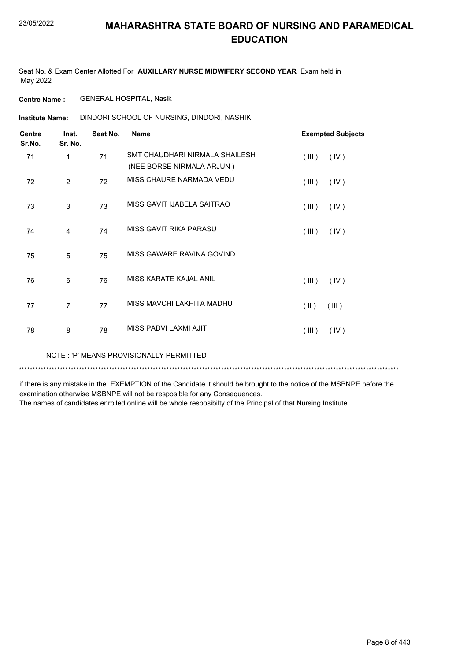Seat No. & Exam Center Allotted For **AUXILLARY NURSE MIDWIFERY SECOND YEAR** Exam held in May 2022

**Centre Name :** GENERAL HOSPITAL, Nasik

DINDORI SCHOOL OF NURSING, DINDORI, NASHIK **Institute Name:**

| <b>Centre</b><br>Sr.No. | Inst.<br>Sr. No. | Seat No. | <b>Name</b>                                                   | <b>Exempted Subjects</b>         |
|-------------------------|------------------|----------|---------------------------------------------------------------|----------------------------------|
| 71                      | 1                | 71       | SMT CHAUDHARI NIRMAI A SHAII FSH<br>(NEE BORSE NIRMALA ARJUN) | (III)<br>(IV)                    |
| 72                      | $\mathfrak{p}$   | 72       | MISS CHAURE NARMADA VEDU                                      | (III)<br>(IV)                    |
| 73                      | 3                | 73       | MISS GAVIT IJABELA SAITRAO                                    | (III)<br>(IV)                    |
| 74                      | 4                | 74       | MISS GAVIT RIKA PARASU                                        | (III)<br>(IV)                    |
| 75                      | 5                | 75       | MISS GAWARE RAVINA GOVIND                                     |                                  |
| 76                      | 6                | 76       | MISS KARATE KAJAL ANIL                                        | (III)<br>(IV)                    |
| 77                      | $\overline{7}$   | 77       | MISS MAVCHI LAKHITA MADHU                                     | $(\parallel \parallel)$<br>(III) |
| 78                      | 8                | 78       | MISS PADVI LAXMI AJIT                                         | (III)<br>(IV)                    |
|                         |                  |          |                                                               |                                  |

NOTE : 'P' MEANS PROVISIONALLY PERMITTED

\*\*\*\*\*\*\*\*\*\*\*\*\*\*\*\*\*\*\*\*\*\*\*\*\*\*\*\*\*\*\*\*\*\*\*\*\*\*\*\*\*\*\*\*\*\*\*\*\*\*\*\*\*\*\*\*\*\*\*\*\*\*\*\*\*\*\*\*\*\*\*\*\*\*\*\*\*\*\*\*\*\*\*\*\*\*\*\*\*\*\*\*\*\*\*\*\*\*\*\*\*\*\*\*\*\*\*\*\*\*\*\*\*\*\*\*\*\*\*\*\*\*\*\*\*\*\*\*\*\*\*\*\*\*\*\*\*\*\*

if there is any mistake in the EXEMPTION of the Candidate it should be brought to the notice of the MSBNPE before the examination otherwise MSBNPE will not be resposible for any Consequences.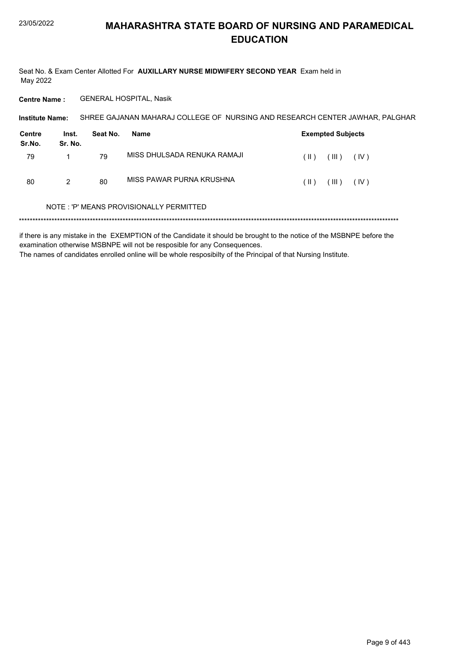Seat No. & Exam Center Allotted For AUXILLARY NURSE MIDWIFERY SECOND YEAR Exam held in May 2022

**Centre Name: GENERAL HOSPITAL, Nasik** 

| <b>Institute Name:</b> | SHREE GAJANAN MAHARAJ COLLEGE OF NURSING AND RESEARCH CENTER JAWHAR. PALGHAR |  |  |
|------------------------|------------------------------------------------------------------------------|--|--|
|------------------------|------------------------------------------------------------------------------|--|--|

| Centre<br>Sr.No. | Inst.<br>Sr. No. | Seat No. | Name                        |        | <b>Exempted Subjects</b> |      |
|------------------|------------------|----------|-----------------------------|--------|--------------------------|------|
| 79               |                  | 79       | MISS DHULSADA RENUKA RAMAJI | ( II ) | $\Box$                   | (IV) |
| 80               | 2                | 80       | MISS PAWAR PURNA KRUSHNA    | ( II ) | $\Box$                   | (IV) |

#### NOTE: 'P' MEANS PROVISIONALLY PERMITTED

if there is any mistake in the EXEMPTION of the Candidate it should be brought to the notice of the MSBNPE before the examination otherwise MSBNPE will not be resposible for any Consequences. The names of candidates enrolled online will be whole resposibilty of the Principal of that Nursing Institute.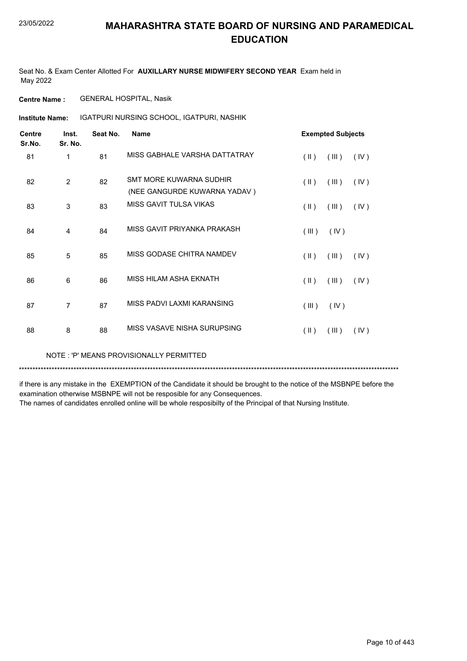Seat No. & Exam Center Allotted For **AUXILLARY NURSE MIDWIFERY SECOND YEAR** Exam held in May 2022

**Centre Name :** GENERAL HOSPITAL, Nasik

IGATPURI NURSING SCHOOL, IGATPURI, NASHIK **Institute Name:**

| <b>Centre</b><br>Sr.No. | Inst.<br>Sr. No. | Seat No. | <b>Name</b>                                             |                         | <b>Exempted Subjects</b> |      |
|-------------------------|------------------|----------|---------------------------------------------------------|-------------------------|--------------------------|------|
| 81                      | 1                | 81       | MISS GABHALE VARSHA DATTATRAY                           | $(\parallel)$           | (III)                    | (IV) |
| 82                      | $\overline{2}$   | 82       | SMT MORE KUWARNA SUDHIR<br>(NEE GANGURDE KUWARNA YADAV) | $($ II $)$              | (III)                    | (IV) |
| 83                      | 3                | 83       | MISS GAVIT TULSA VIKAS                                  | $(\parallel \parallel)$ | (III)                    | (IV) |
| 84                      | 4                | 84       | MISS GAVIT PRIYANKA PRAKASH                             | (III)                   | (IV)                     |      |
| 85                      | 5                | 85       | MISS GODASE CHITRA NAMDEV                               | $(\parallel)$           | (III)                    | (IV) |
| 86                      | $6\phantom{1}6$  | 86       | MISS HILAM ASHA EKNATH                                  | $($ II $)$              | (III)                    | (IV) |
| 87                      | $\overline{7}$   | 87       | MISS PADVI LAXMI KARANSING                              | (III)                   | (IV)                     |      |
| 88                      | 8                | 88       | MISS VASAVE NISHA SURUPSING                             | $(\parallel)$           | (III)                    | (IV) |

NOTE : 'P' MEANS PROVISIONALLY PERMITTED

\*\*\*\*\*\*\*\*\*\*\*\*\*\*\*\*\*\*\*\*\*\*\*\*\*\*\*\*\*\*\*\*\*\*\*\*\*\*\*\*\*\*\*\*\*\*\*\*\*\*\*\*\*\*\*\*\*\*\*\*\*\*\*\*\*\*\*\*\*\*\*\*\*\*\*\*\*\*\*\*\*\*\*\*\*\*\*\*\*\*\*\*\*\*\*\*\*\*\*\*\*\*\*\*\*\*\*\*\*\*\*\*\*\*\*\*\*\*\*\*\*\*\*\*\*\*\*\*\*\*\*\*\*\*\*\*\*\*\*

if there is any mistake in the EXEMPTION of the Candidate it should be brought to the notice of the MSBNPE before the examination otherwise MSBNPE will not be resposible for any Consequences.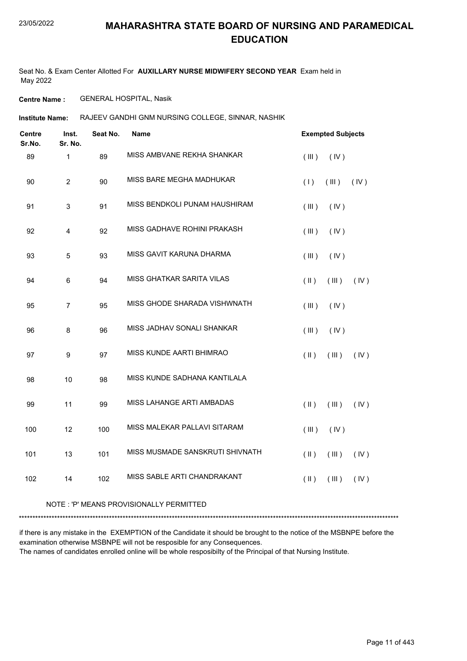Seat No. & Exam Center Allotted For **AUXILLARY NURSE MIDWIFERY SECOND YEAR** Exam held in May 2022

**Centre Name :** GENERAL HOSPITAL, Nasik

Institute Name: RAJEEV GANDHI GNM NURSING COLLEGE, SINNAR, NASHIK

| <b>Centre</b><br>Sr.No. | Inst.<br>Sr. No. | Seat No. | Name                            |               | <b>Exempted Subjects</b> |      |
|-------------------------|------------------|----------|---------------------------------|---------------|--------------------------|------|
| 89                      | $\mathbf{1}$     | 89       | MISS AMBVANE REKHA SHANKAR      | (III)         | (IV)                     |      |
| 90                      | $\overline{c}$   | 90       | MISS BARE MEGHA MADHUKAR        | (1)           | (III)                    | (IV) |
| 91                      | $\mathsf 3$      | 91       | MISS BENDKOLI PUNAM HAUSHIRAM   | (III)         | (IV)                     |      |
| 92                      | $\overline{4}$   | 92       | MISS GADHAVE ROHINI PRAKASH     | (III)         | (IV)                     |      |
| 93                      | 5                | 93       | MISS GAVIT KARUNA DHARMA        | (III)         | (IV)                     |      |
| 94                      | $6\phantom{1}$   | 94       | MISS GHATKAR SARITA VILAS       | (  )          | (III)                    | (IV) |
| 95                      | $\overline{7}$   | 95       | MISS GHODE SHARADA VISHWNATH    | (III)         | (IV)                     |      |
| 96                      | 8                | 96       | MISS JADHAV SONALI SHANKAR      | (III)         | (IV)                     |      |
| 97                      | $\boldsymbol{9}$ | 97       | MISS KUNDE AARTI BHIMRAO        | $(\parallel)$ | (III)                    | (IV) |
| 98                      | 10               | 98       | MISS KUNDE SADHANA KANTILALA    |               |                          |      |
| 99                      | 11               | 99       | MISS LAHANGE ARTI AMBADAS       | $(\parallel)$ | (III)                    | (IV) |
| 100                     | 12               | 100      | MISS MALEKAR PALLAVI SITARAM    | (III)         | (IV)                     |      |
| 101                     | 13               | 101      | MISS MUSMADE SANSKRUTI SHIVNATH | $(\parallel)$ | (III)                    | (IV) |
| 102                     | 14               | 102      | MISS SABLE ARTI CHANDRAKANT     | $(\parallel)$ | (III)                    | (IV) |
|                         |                  |          |                                 |               |                          |      |

#### NOTE : 'P' MEANS PROVISIONALLY PERMITTED

\*\*\*\*\*\*\*\*\*\*\*\*\*\*\*\*\*\*\*\*\*\*\*\*\*\*\*\*\*\*\*\*\*\*\*\*\*\*\*\*\*\*\*\*\*\*\*\*\*\*\*\*\*\*\*\*\*\*\*\*\*\*\*\*\*\*\*\*\*\*\*\*\*\*\*\*\*\*\*\*\*\*\*\*\*\*\*\*\*\*\*\*\*\*\*\*\*\*\*\*\*\*\*\*\*\*\*\*\*\*\*\*\*\*\*\*\*\*\*\*\*\*\*\*\*\*\*\*\*\*\*\*\*\*\*\*\*\*\*

if there is any mistake in the EXEMPTION of the Candidate it should be brought to the notice of the MSBNPE before the examination otherwise MSBNPE will not be resposible for any Consequences. The names of candidates enrolled online will be whole resposibilty of the Principal of that Nursing Institute.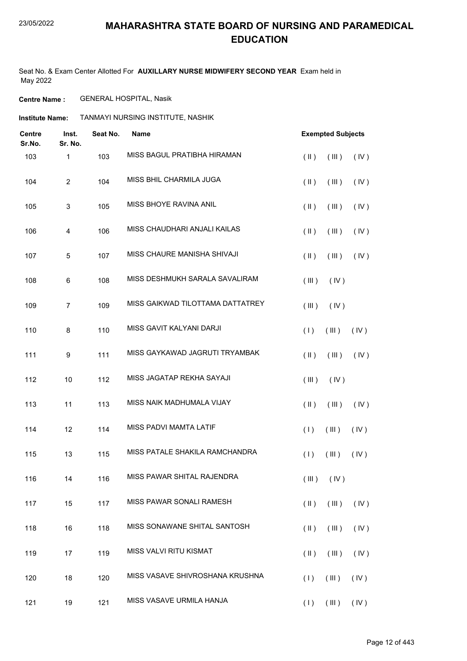Seat No. & Exam Center Allotted For **AUXILLARY NURSE MIDWIFERY SECOND YEAR** Exam held in May 2022

**Centre Name :** GENERAL HOSPITAL, Nasik

**Institute Name: TANMAYI NURSING INSTITUTE, NASHIK** 

| Centre<br>Sr.No. | Inst.<br>Sr. No. | Seat No. | <b>Name</b>                      | <b>Exempted Subjects</b>                 |
|------------------|------------------|----------|----------------------------------|------------------------------------------|
| 103              | $\mathbf{1}$     | 103      | MISS BAGUL PRATIBHA HIRAMAN      | $($ II $)$<br>(III)<br>(IV)              |
| 104              | $\overline{c}$   | 104      | MISS BHIL CHARMILA JUGA          | $(\parallel)$<br>(III)<br>(IV)           |
| 105              | 3                | 105      | MISS BHOYE RAVINA ANIL           | $(\parallel)$<br>(III)<br>(IV)           |
| 106              | 4                | 106      | MISS CHAUDHARI ANJALI KAILAS     | $(\parallel)$<br>(III)<br>(IV)           |
| 107              | 5                | 107      | MISS CHAURE MANISHA SHIVAJI      | (IV)<br>$(\parallel)$<br>(III)           |
| 108              | 6                | 108      | MISS DESHMUKH SARALA SAVALIRAM   | (III)<br>(IV)                            |
| 109              | $\overline{7}$   | 109      | MISS GAIKWAD TILOTTAMA DATTATREY | (III)<br>(IV)                            |
| 110              | 8                | 110      | MISS GAVIT KALYANI DARJI         | (1)<br>(III)<br>(IV)                     |
| 111              | 9                | 111      | MISS GAYKAWAD JAGRUTI TRYAMBAK   | $($ II $)$<br>$($ III $)$<br>(IV)        |
| 112              | 10               | 112      | MISS JAGATAP REKHA SAYAJI        | (III)<br>(IV)                            |
| 113              | 11               | 113      | MISS NAIK MADHUMALA VIJAY        | $($ II $)$<br>(III)<br>(IV)              |
| 114              | 12               | 114      | MISS PADVI MAMTA LATIF           | (III)<br>(1)<br>(IV)                     |
| 115              | 13               | 115      | MISS PATALE SHAKILA RAMCHANDRA   | (III)<br>(IV)<br>(1)                     |
| 116              | 14               | 116      | MISS PAWAR SHITAL RAJENDRA       | $(\mathbb{II})$ $(\mathbb{V})$           |
| 117              | 15               | 117      | MISS PAWAR SONALI RAMESH         | $(\parallel \parallel)$<br>(III)<br>(IV) |
| 118              | 16               | 118      | MISS SONAWANE SHITAL SANTOSH     | $(\parallel)$<br>(III)<br>(IV)           |
| 119              | 17               | 119      | MISS VALVI RITU KISMAT           | (IV)<br>$(\parallel \parallel)$<br>(III) |
| 120              | 18               | 120      | MISS VASAVE SHIVROSHANA KRUSHNA  | (1)<br>(III)<br>(IV)                     |
| 121              | 19               | 121      | MISS VASAVE URMILA HANJA         | (III)<br>(IV)<br>(1)                     |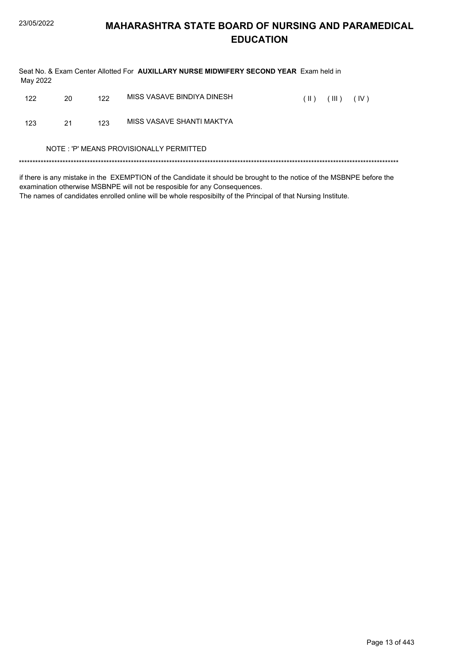| May 2022                                |    |     | Seat No. & Exam Center Allotted For AUXILLARY NURSE MIDWIFERY SECOND YEAR Exam held in                                |               |       |      |  |  |
|-----------------------------------------|----|-----|-----------------------------------------------------------------------------------------------------------------------|---------------|-------|------|--|--|
| 122                                     | 20 | 122 | MISS VASAVE BINDIYA DINESH                                                                                            | $(\parallel)$ | (III) | (IV) |  |  |
| 123                                     | 21 | 123 | MISS VASAVE SHANTI MAKTYA                                                                                             |               |       |      |  |  |
| NOTE: 'P' MEANS PROVISIONALLY PERMITTED |    |     |                                                                                                                       |               |       |      |  |  |
|                                         |    |     | if there is any mistake in the EVEMDTION of the Candidate it should be brought to the notice of the MSRNDE before the |               |       |      |  |  |

if there is any mistake in the EXEMPTION of the Candidate it should be brought to the notice of the MSBNPE before the examination otherwise MSBNPE will not be resposible for any Consequences. The names of candidates enrolled online will be whole resposibilty of the Principal of that Nursing Institute.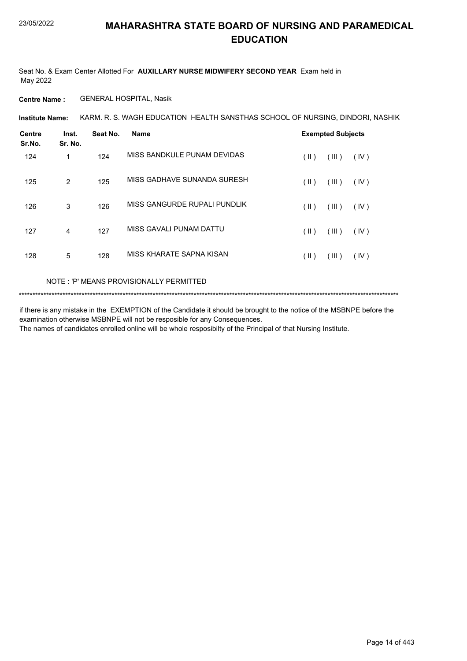Seat No. & Exam Center Allotted For **AUXILLARY NURSE MIDWIFERY SECOND YEAR** Exam held in May 2022

**Centre Name :** GENERAL HOSPITAL, Nasik

KARM. R. S. WAGH EDUCATION HEALTH SANSTHAS SCHOOL OF NURSING, DINDORI, NASHIK **Institute Name:**

| Centre<br>Sr.No. | Inst.<br>Sr. No. | Seat No. | <b>Name</b>                  |               | <b>Exempted Subjects</b> |      |
|------------------|------------------|----------|------------------------------|---------------|--------------------------|------|
| 124              | 1                | 124      | MISS BANDKULE PUNAM DEVIDAS  | (  )          | (III)                    | (IV) |
| 125              | 2                | 125      | MISS GADHAVE SUNANDA SURESH  | $(\parallel)$ | (III)                    | (IV) |
| 126              | 3                | 126      | MISS GANGURDE RUPALI PUNDLIK | (  )          | (III)                    | (IV) |
| 127              | 4                | 127      | MISS GAVALI PUNAM DATTU      | $($ II $)$    | (III)                    | (IV) |
| 128              | 5                | 128      | MISS KHARATE SAPNA KISAN     | (  )          | (III)                    | (IV) |

#### NOTE : 'P' MEANS PROVISIONALLY PERMITTED

\*\*\*\*\*\*\*\*\*\*\*\*\*\*\*\*\*\*\*\*\*\*\*\*\*\*\*\*\*\*\*\*\*\*\*\*\*\*\*\*\*\*\*\*\*\*\*\*\*\*\*\*\*\*\*\*\*\*\*\*\*\*\*\*\*\*\*\*\*\*\*\*\*\*\*\*\*\*\*\*\*\*\*\*\*\*\*\*\*\*\*\*\*\*\*\*\*\*\*\*\*\*\*\*\*\*\*\*\*\*\*\*\*\*\*\*\*\*\*\*\*\*\*\*\*\*\*\*\*\*\*\*\*\*\*\*\*\*\*

if there is any mistake in the EXEMPTION of the Candidate it should be brought to the notice of the MSBNPE before the examination otherwise MSBNPE will not be resposible for any Consequences. The names of candidates enrolled online will be whole resposibilty of the Principal of that Nursing Institute.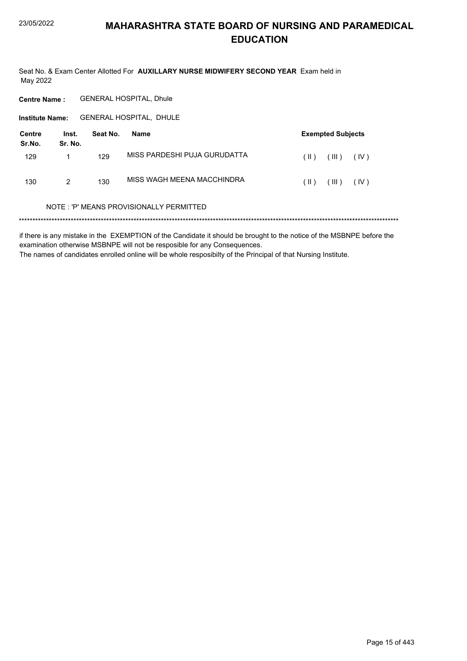Seat No. & Exam Center Allotted For AUXILLARY NURSE MIDWIFERY SECOND YEAR Exam held in May 2022

**Centre Name: GENERAL HOSPITAL, Dhule** 

Institute Name: GENERAL HOSPITAL, DHULE

| Centre<br>Sr.No. | Inst.<br>Sr. No. | Seat No. | Name                         |      | <b>Exempted Subjects</b> |      |
|------------------|------------------|----------|------------------------------|------|--------------------------|------|
| 129              |                  | 129      | MISS PARDESHI PUJA GURUDATTA | (  ) | HI)                      | (IV) |
| 130              | 2                | 130      | MISS WAGH MEENA MACCHINDRA   | (  ) | HI)                      | (IV) |

#### NOTE: 'P' MEANS PROVISIONALLY PERMITTED

if there is any mistake in the EXEMPTION of the Candidate it should be brought to the notice of the MSBNPE before the examination otherwise MSBNPE will not be resposible for any Consequences. The names of candidates enrolled online will be whole resposibilty of the Principal of that Nursing Institute.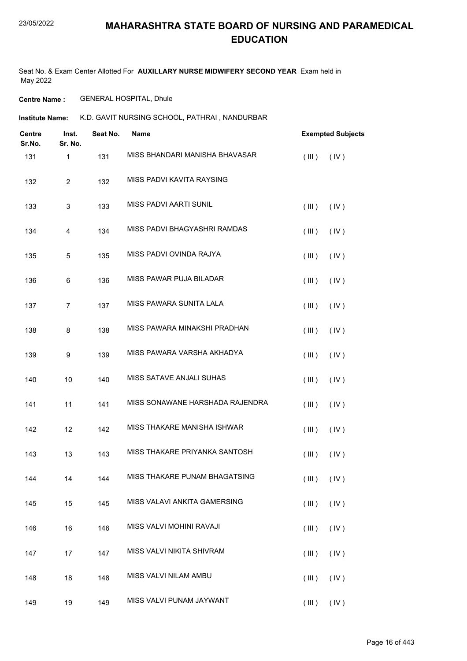Seat No. & Exam Center Allotted For **AUXILLARY NURSE MIDWIFERY SECOND YEAR** Exam held in May 2022

**Centre Name :** GENERAL HOSPITAL, Dhule

**Institute Name: K.D. GAVIT NURSING SCHOOL, PATHRAI , NANDURBAR** 

| <b>Centre</b><br>Sr.No. | Inst.<br>Sr. No. | Seat No. | <b>Name</b>                     | <b>Exempted Subjects</b> |
|-------------------------|------------------|----------|---------------------------------|--------------------------|
| 131                     | 1                | 131      | MISS BHANDARI MANISHA BHAVASAR  | (III)<br>(IV)            |
| 132                     | $\overline{c}$   | 132      | MISS PADVI KAVITA RAYSING       |                          |
| 133                     | 3                | 133      | <b>MISS PADVI AARTI SUNIL</b>   | (III)<br>(IV)            |
| 134                     | 4                | 134      | MISS PADVI BHAGYASHRI RAMDAS    | (III)<br>(IV)            |
| 135                     | 5                | 135      | MISS PADVI OVINDA RAJYA         | (IV)<br>(III)            |
| 136                     | 6                | 136      | MISS PAWAR PUJA BILADAR         | (III)<br>(IV)            |
| 137                     | $\overline{7}$   | 137      | MISS PAWARA SUNITA LALA         | (III)<br>(IV)            |
| 138                     | 8                | 138      | MISS PAWARA MINAKSHI PRADHAN    | (III)<br>(IV)            |
| 139                     | 9                | 139      | MISS PAWARA VARSHA AKHADYA      | (III)<br>(IV)            |
| 140                     | 10               | 140      | MISS SATAVE ANJALI SUHAS        | (III)<br>(IV)            |
| 141                     | 11               | 141      | MISS SONAWANE HARSHADA RAJENDRA | (III)<br>(IV)            |
| 142                     | 12               | 142      | MISS THAKARE MANISHA ISHWAR     | (III)<br>(IV)            |
| 143                     | 13               | 143      | MISS THAKARE PRIYANKA SANTOSH   | (III)<br>(IV)            |
| 144                     | 14               | 144      | MISS THAKARE PUNAM BHAGATSING   | $(III)$ $(IV)$           |
| 145                     | 15               | 145      | MISS VALAVI ANKITA GAMERSING    | (III)<br>(IV)            |
| 146                     | 16               | 146      | MISS VALVI MOHINI RAVAJI        | (III)<br>(IV)            |
| 147                     | 17               | 147      | MISS VALVI NIKITA SHIVRAM       | (III)<br>(IV)            |
| 148                     | 18               | 148      | MISS VALVI NILAM AMBU           | (III)<br>(IV)            |
| 149                     | 19               | 149      | MISS VALVI PUNAM JAYWANT        | $(III)$ $(IV)$           |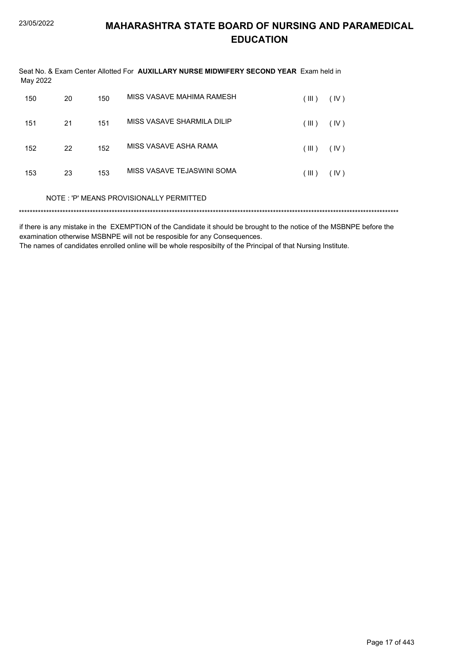| May 2022 |    |     | Seat No. & Exam Center Allotted For AUXILLARY NURSE MIDWIFERY SECOND YEAR Exam held in |       |      |
|----------|----|-----|----------------------------------------------------------------------------------------|-------|------|
| 150      | 20 | 150 | MISS VASAVE MAHIMA RAMESH                                                              | (III) | (IV) |
| 151      | 21 | 151 | MISS VASAVE SHARMILA DILIP                                                             | (III) | (IV) |
| 152      | 22 | 152 | MISS VASAVE ASHA RAMA                                                                  | (III) | (IV) |
| 153      | 23 | 153 | MISS VASAVE TEJASWINI SOMA                                                             | (III) | (IV) |
|          |    |     | NOTE: 'P' MEANS PROVISIONALLY PERMITTED                                                |       |      |
|          |    |     |                                                                                        |       |      |

if there is any mistake in the EXEMPTION of the Candidate it should be brought to the notice of the MSBNPE before the examination otherwise MSBNPE will not be resposible for any Consequences.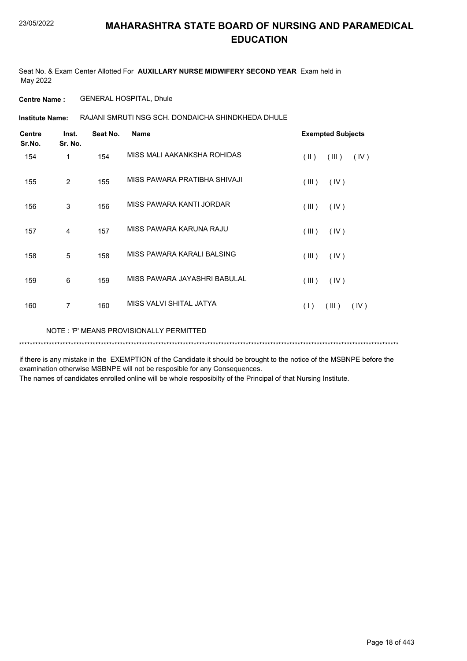Seat No. & Exam Center Allotted For **AUXILLARY NURSE MIDWIFERY SECOND YEAR** Exam held in May 2022

**Centre Name :** GENERAL HOSPITAL, Dhule

RAJANI SMRUTI NSG SCH. DONDAICHA SHINDKHEDA DHULE **Institute Name:**

| <b>Centre</b><br>Sr.No. | Inst.<br>Sr. No. | Seat No. | <b>Name</b>                  | <b>Exempted Subjects</b>       |
|-------------------------|------------------|----------|------------------------------|--------------------------------|
| 154                     | 1                | 154      | MISS MALI AAKANKSHA ROHIDAS  | $(\parallel)$<br>(III)<br>(IV) |
| 155                     | $\overline{2}$   | 155      | MISS PAWARA PRATIBHA SHIVAJI | (III)<br>(IV)                  |
| 156                     | 3                | 156      | MISS PAWARA KANTI JORDAR     | (III)<br>(IV)                  |
| 157                     | $\overline{4}$   | 157      | MISS PAWARA KARUNA RAJU      | (III)<br>(IV)                  |
| 158                     | 5                | 158      | MISS PAWARA KARALI BALSING   | (III)<br>(IV)                  |
| 159                     | 6                | 159      | MISS PAWARA JAYASHRI BABULAL | (III)<br>(IV)                  |
| 160                     | 7                | 160      | MISS VALVI SHITAL JATYA      | (1)<br>(III)<br>(IV)           |
|                         |                  |          |                              |                                |

NOTE : 'P' MEANS PROVISIONALLY PERMITTED

\*\*\*\*\*\*\*\*\*\*\*\*\*\*\*\*\*\*\*\*\*\*\*\*\*\*\*\*\*\*\*\*\*\*\*\*\*\*\*\*\*\*\*\*\*\*\*\*\*\*\*\*\*\*\*\*\*\*\*\*\*\*\*\*\*\*\*\*\*\*\*\*\*\*\*\*\*\*\*\*\*\*\*\*\*\*\*\*\*\*\*\*\*\*\*\*\*\*\*\*\*\*\*\*\*\*\*\*\*\*\*\*\*\*\*\*\*\*\*\*\*\*\*\*\*\*\*\*\*\*\*\*\*\*\*\*\*\*\*

if there is any mistake in the EXEMPTION of the Candidate it should be brought to the notice of the MSBNPE before the examination otherwise MSBNPE will not be resposible for any Consequences.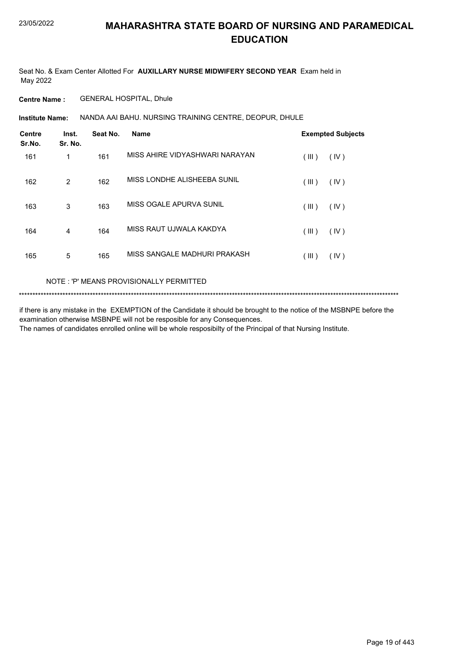Seat No. & Exam Center Allotted For **AUXILLARY NURSE MIDWIFERY SECOND YEAR** Exam held in May 2022

**Centre Name :** GENERAL HOSPITAL, Dhule

NANDA AAI BAHU. NURSING TRAINING CENTRE, DEOPUR, DHULE **Institute Name:**

| <b>Centre</b><br>Sr.No. | Inst.<br>Sr. No. | Seat No. | <b>Name</b>                    | <b>Exempted Subjects</b> |
|-------------------------|------------------|----------|--------------------------------|--------------------------|
| 161                     | 1                | 161      | MISS AHIRF VIDYASHWARI NARAYAN | (III)<br>(IV)            |
| 162                     | 2                | 162      | MISS LONDHE ALISHEEBA SUNIL    | (III)<br>(IV)            |
| 163                     | 3                | 163      | MISS OGALE APURVA SUNIL        | (III)<br>(IV)            |
| 164                     | 4                | 164      | MISS RAUT UJWALA KAKDYA        | (III)<br>(IV)            |
| 165                     | 5                | 165      | MISS SANGALE MADHURI PRAKASH   | ( III )<br>$($ IV $)$    |

#### NOTE : 'P' MEANS PROVISIONALLY PERMITTED

\*\*\*\*\*\*\*\*\*\*\*\*\*\*\*\*\*\*\*\*\*\*\*\*\*\*\*\*\*\*\*\*\*\*\*\*\*\*\*\*\*\*\*\*\*\*\*\*\*\*\*\*\*\*\*\*\*\*\*\*\*\*\*\*\*\*\*\*\*\*\*\*\*\*\*\*\*\*\*\*\*\*\*\*\*\*\*\*\*\*\*\*\*\*\*\*\*\*\*\*\*\*\*\*\*\*\*\*\*\*\*\*\*\*\*\*\*\*\*\*\*\*\*\*\*\*\*\*\*\*\*\*\*\*\*\*\*\*\*

if there is any mistake in the EXEMPTION of the Candidate it should be brought to the notice of the MSBNPE before the examination otherwise MSBNPE will not be resposible for any Consequences. The names of candidates enrolled online will be whole resposibilty of the Principal of that Nursing Institute.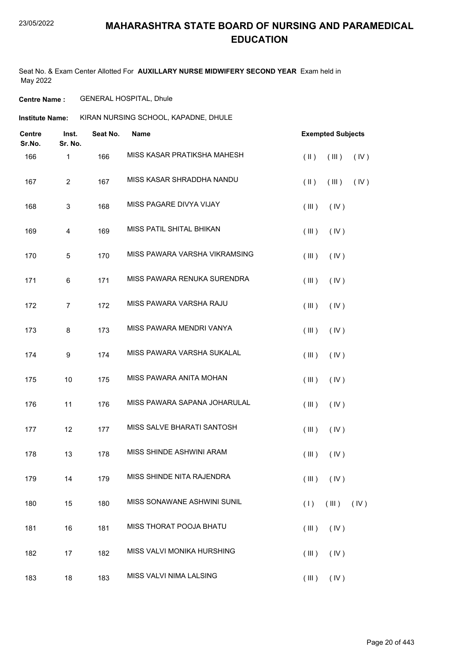Seat No. & Exam Center Allotted For **AUXILLARY NURSE MIDWIFERY SECOND YEAR** Exam held in May 2022

**Centre Name :** GENERAL HOSPITAL, Dhule

**Institute Name:** KIRAN NURSING SCHOOL, KAPADNE, DHULE

| <b>Centre</b><br>Sr.No. | Inst.<br>Sr. No. | Seat No. | <b>Name</b>                   | <b>Exempted Subjects</b>                 |
|-------------------------|------------------|----------|-------------------------------|------------------------------------------|
| 166                     | 1                | 166      | MISS KASAR PRATIKSHA MAHESH   | $(\parallel \parallel)$<br>(III)<br>(IV) |
| 167                     | $\overline{2}$   | 167      | MISS KASAR SHRADDHA NANDU     | $(\parallel)$<br>(III)<br>(IV)           |
| 168                     | 3                | 168      | MISS PAGARE DIVYA VIJAY       | (III)<br>(IV)                            |
| 169                     | 4                | 169      | MISS PATIL SHITAL BHIKAN      | (III)<br>(IV)                            |
| 170                     | 5                | 170      | MISS PAWARA VARSHA VIKRAMSING | (III)<br>(IV)                            |
| 171                     | 6                | 171      | MISS PAWARA RENUKA SURENDRA   | (III)<br>(IV)                            |
| 172                     | $\overline{7}$   | 172      | MISS PAWARA VARSHA RAJU       | (III)<br>(IV)                            |
| 173                     | 8                | 173      | MISS PAWARA MENDRI VANYA      | (III)<br>(IV)                            |
| 174                     | 9                | 174      | MISS PAWARA VARSHA SUKALAL    | (III)<br>(IV)                            |
| 175                     | 10               | 175      | MISS PAWARA ANITA MOHAN       | (III)<br>(IV)                            |
| 176                     | 11               | 176      | MISS PAWARA SAPANA JOHARULAL  | (III)<br>(IV)                            |
| 177                     | 12               | 177      | MISS SALVE BHARATI SANTOSH    | (III)<br>(IV)                            |
| 178                     | 13               | 178      | MISS SHINDE ASHWINI ARAM      | (III)<br>(IV)                            |
| 179                     | 14               | 179      | MISS SHINDE NITA RAJENDRA     | $(\mathbb{II})$ $(\mathbb{V})$           |
| 180                     | 15               | 180      | MISS SONAWANE ASHWINI SUNIL   | $(III)$ $(IV)$<br>(1)                    |
| 181                     | 16               | 181      | MISS THORAT POOJA BHATU       | (III)<br>(IV)                            |
| 182                     | 17               | 182      | MISS VALVI MONIKA HURSHING    | (III)<br>(IV)                            |
| 183                     | 18               | 183      | MISS VALVI NIMA LALSING       | (III)<br>(IV)                            |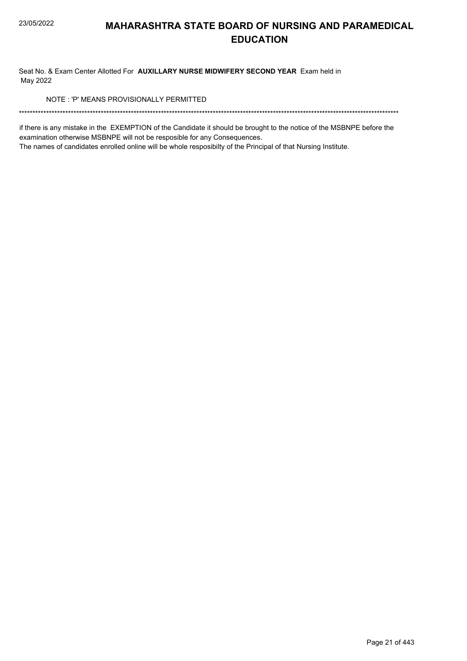Seat No. & Exam Center Allotted For AUXILLARY NURSE MIDWIFERY SECOND YEAR Exam held in May 2022

NOTE: 'P' MEANS PROVISIONALLY PERMITTED

if there is any mistake in the EXEMPTION of the Candidate it should be brought to the notice of the MSBNPE before the examination otherwise MSBNPE will not be resposible for any Consequences.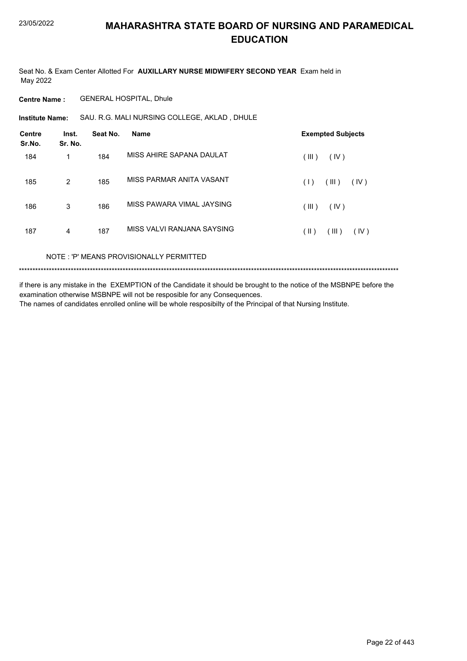Seat No. & Exam Center Allotted For AUXILLARY NURSE MIDWIFERY SECOND YEAR Exam held in May 2022

**Centre Name: GENERAL HOSPITAL, Dhule** 

Institute Name: SAU. R.G. MALI NURSING COLLEGE, AKLAD, DHULE

| <b>Centre</b><br>Sr.No. | Inst.<br>Sr. No. | Seat No. | <b>Name</b>                        | <b>Exempted Subjects</b> |
|-------------------------|------------------|----------|------------------------------------|--------------------------|
| 184                     | 1                | 184      | MISS AHIRE SAPANA DAULAT           | (III)<br>(IV)            |
| 185                     | 2                | 185      | MISS PARMAR ANITA VASANT           | (III)<br>(1)<br>(IV)     |
| 186                     | 3                | 186      | MISS PAWARA VIMAL JAYSING          | (III)<br>(IV)            |
| 187                     | 4                | 187      | MISS VALVI RANJANA SAYSING         | (III)<br>(  )<br>(IV)    |
|                         |                  |          | NOTE UNIMEANO DOOUGOMMUN DEDMITTED |                          |

NOTE: 'P' MEANS PROVISIONALLY PERMITTED

if there is any mistake in the EXEMPTION of the Candidate it should be brought to the notice of the MSBNPE before the examination otherwise MSBNPE will not be resposible for any Consequences. The names of candidates enrolled online will be whole resposibilty of the Principal of that Nursing Institute.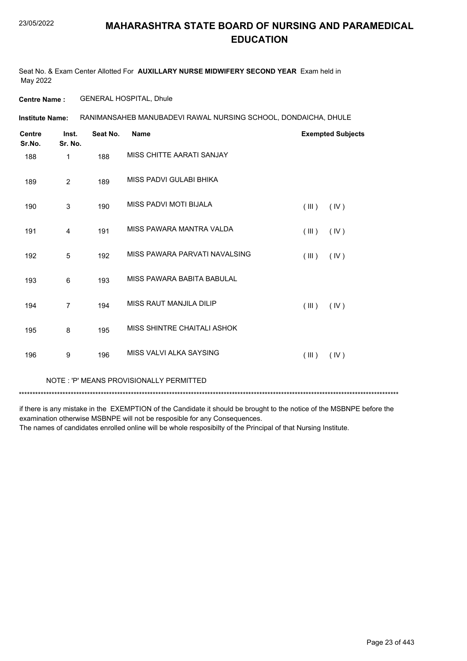Seat No. & Exam Center Allotted For **AUXILLARY NURSE MIDWIFERY SECOND YEAR** Exam held in May 2022

**Centre Name :** GENERAL HOSPITAL, Dhule

RANIMANSAHEB MANUBADEVI RAWAL NURSING SCHOOL, DONDAICHA, DHULE **Institute Name:**

| <b>Centre</b><br>Sr.No. | Inst.<br>Sr. No. | Seat No. | <b>Name</b>                   | <b>Exempted Subjects</b> |
|-------------------------|------------------|----------|-------------------------------|--------------------------|
| 188                     | 1                | 188      | MISS CHITTE AARATI SANJAY     |                          |
| 189                     | 2                | 189      | MISS PADVI GULABI BHIKA       |                          |
| 190                     | $\mathsf 3$      | 190      | <b>MISS PADVI MOTI BIJALA</b> | (III)<br>(IV)            |
| 191                     | $\overline{4}$   | 191      | MISS PAWARA MANTRA VALDA      | (III)<br>(IV)            |
| 192                     | 5                | 192      | MISS PAWARA PARVATI NAVALSING | (III)<br>(IV)            |
| 193                     | 6                | 193      | MISS PAWARA BABITA BABULAL    |                          |
| 194                     | $\overline{7}$   | 194      | MISS RAUT MANJILA DILIP       | (III)<br>(IV)            |
| 195                     | 8                | 195      | MISS SHINTRE CHAITALI ASHOK   |                          |
| 196                     | 9                | 196      | MISS VALVI ALKA SAYSING       | (III)<br>(IV)            |
|                         |                  |          |                               |                          |

NOTE : 'P' MEANS PROVISIONALLY PERMITTED

\*\*\*\*\*\*\*\*\*\*\*\*\*\*\*\*\*\*\*\*\*\*\*\*\*\*\*\*\*\*\*\*\*\*\*\*\*\*\*\*\*\*\*\*\*\*\*\*\*\*\*\*\*\*\*\*\*\*\*\*\*\*\*\*\*\*\*\*\*\*\*\*\*\*\*\*\*\*\*\*\*\*\*\*\*\*\*\*\*\*\*\*\*\*\*\*\*\*\*\*\*\*\*\*\*\*\*\*\*\*\*\*\*\*\*\*\*\*\*\*\*\*\*\*\*\*\*\*\*\*\*\*\*\*\*\*\*\*\*

if there is any mistake in the EXEMPTION of the Candidate it should be brought to the notice of the MSBNPE before the examination otherwise MSBNPE will not be resposible for any Consequences. The names of candidates enrolled online will be whole resposibilty of the Principal of that Nursing Institute.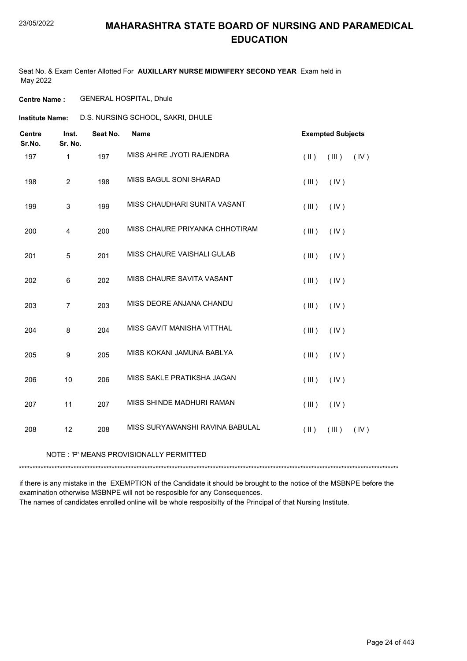Seat No. & Exam Center Allotted For **AUXILLARY NURSE MIDWIFERY SECOND YEAR** Exam held in May 2022

**Centre Name :** GENERAL HOSPITAL, Dhule

**Institute Name:** D.S. NURSING SCHOOL, SAKRI, DHULE

| <b>Centre</b><br>Sr.No. | Inst.<br>Sr. No. | Seat No. | <b>Name</b>                     | <b>Exempted Subjects</b> |       |      |
|-------------------------|------------------|----------|---------------------------------|--------------------------|-------|------|
| 197                     | 1                | 197      | MISS AHIRE JYOTI RAJENDRA       | $($ II $)$               | (III) | (IV) |
| 198                     | $\overline{c}$   | 198      | MISS BAGUL SONI SHARAD          | (III)                    | (IV)  |      |
| 199                     | $\sqrt{3}$       | 199      | MISS CHAUDHARI SUNITA VASANT    | (III)                    | (IV)  |      |
| 200                     | 4                | 200      | MISS CHAURE PRIYANKA CHHOTIRAM  | (III)                    | (IV)  |      |
| 201                     | 5                | 201      | MISS CHAURE VAISHALI GULAB      | (III)                    | (IV)  |      |
| 202                     | 6                | 202      | MISS CHAURE SAVITA VASANT       | (III)                    | (IV)  |      |
| 203                     | $\overline{7}$   | 203      | MISS DEORE ANJANA CHANDU        | (III)                    | (IV)  |      |
| 204                     | 8                | 204      | MISS GAVIT MANISHA VITTHAL      | (III)                    | (IV)  |      |
| 205                     | $\boldsymbol{9}$ | 205      | MISS KOKANI JAMUNA BABLYA       | (III)                    | (IV)  |      |
| 206                     | 10               | 206      | MISS SAKLE PRATIKSHA JAGAN      | (III)                    | (IV)  |      |
| 207                     | 11               | 207      | MISS SHINDE MADHURI RAMAN       | (III)                    | (IV)  |      |
| 208                     | 12               | 208      | MISS SURYAWANSHI RAVINA BABULAL | $($ II $)$               | (III) | (IV) |

#### NOTE : 'P' MEANS PROVISIONALLY PERMITTED

\*\*\*\*\*\*\*\*\*\*\*\*\*\*\*\*\*\*\*\*\*\*\*\*\*\*\*\*\*\*\*\*\*\*\*\*\*\*\*\*\*\*\*\*\*\*\*\*\*\*\*\*\*\*\*\*\*\*\*\*\*\*\*\*\*\*\*\*\*\*\*\*\*\*\*\*\*\*\*\*\*\*\*\*\*\*\*\*\*\*\*\*\*\*\*\*\*\*\*\*\*\*\*\*\*\*\*\*\*\*\*\*\*\*\*\*\*\*\*\*\*\*\*\*\*\*\*\*\*\*\*\*\*\*\*\*\*\*\*

if there is any mistake in the EXEMPTION of the Candidate it should be brought to the notice of the MSBNPE before the examination otherwise MSBNPE will not be resposible for any Consequences. The names of candidates enrolled online will be whole resposibilty of the Principal of that Nursing Institute.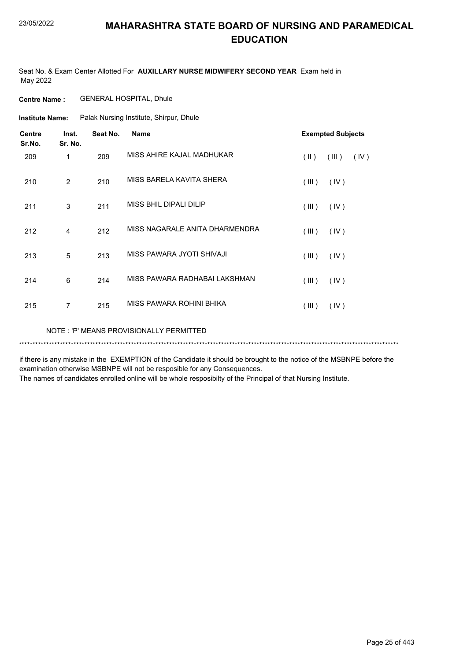Seat No. & Exam Center Allotted For **AUXILLARY NURSE MIDWIFERY SECOND YEAR** Exam held in May 2022

**Centre Name :** GENERAL HOSPITAL, Dhule

Palak Nursing Institute, Shirpur, Dhule **Institute Name:**

| <b>Centre</b><br>Sr.No. | Inst.<br>Sr. No. | Seat No. | <b>Name</b>                    | <b>Exempted Subjects</b> |       |      |
|-------------------------|------------------|----------|--------------------------------|--------------------------|-------|------|
| 209                     | 1                | 209      | MISS AHIRE KAJAL MADHUKAR      | $($ II $)$               | (III) | (IV) |
| 210                     | $\overline{2}$   | 210      | MISS BARELA KAVITA SHERA       | (III)                    | (IV)  |      |
| 211                     | 3                | 211      | MISS BHIL DIPALI DILIP         | (III)                    | (IV)  |      |
| 212                     | 4                | 212      | MISS NAGARALE ANITA DHARMENDRA | (III)                    | (IV)  |      |
| 213                     | 5                | 213      | MISS PAWARA JYOTI SHIVAJI      | (III)                    | (IV)  |      |
| 214                     | 6                | 214      | MISS PAWARA RADHABAI LAKSHMAN  | (III)                    | (IV)  |      |
| 215                     | 7                | 215      | MISS PAWARA ROHINI BHIKA       | (III)                    | (IV)  |      |

NOTE : 'P' MEANS PROVISIONALLY PERMITTED

\*\*\*\*\*\*\*\*\*\*\*\*\*\*\*\*\*\*\*\*\*\*\*\*\*\*\*\*\*\*\*\*\*\*\*\*\*\*\*\*\*\*\*\*\*\*\*\*\*\*\*\*\*\*\*\*\*\*\*\*\*\*\*\*\*\*\*\*\*\*\*\*\*\*\*\*\*\*\*\*\*\*\*\*\*\*\*\*\*\*\*\*\*\*\*\*\*\*\*\*\*\*\*\*\*\*\*\*\*\*\*\*\*\*\*\*\*\*\*\*\*\*\*\*\*\*\*\*\*\*\*\*\*\*\*\*\*\*\*

if there is any mistake in the EXEMPTION of the Candidate it should be brought to the notice of the MSBNPE before the examination otherwise MSBNPE will not be resposible for any Consequences.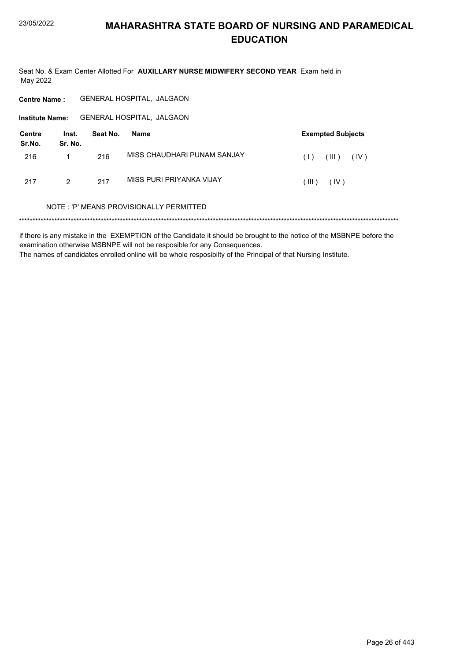Seat No. & Exam Center Allotted For AUXILLARY NURSE MIDWIFERY SECOND YEAR Exam held in May 2022

GENERAL HOSPITAL, JALGAON **Centre Name: GENERAL HOSPITAL, JALGAON Institute Name: Centre** Inst. Seat No. **Exempted Subjects Name** Sr.No. Sr. No. MISS CHAUDHARI PUNAM SANJAY 216  $\mathbf{1}$ 216  $(1)$   $(11)$   $(10)$ MISS PURI PRIYANKA VIJAY 217  $\overline{2}$ 217  $(III)$   $(IV)$ NOTE: 'P' MEANS PROVISIONALLY PERMITTED

if there is any mistake in the EXEMPTION of the Candidate it should be brought to the notice of the MSBNPE before the examination otherwise MSBNPE will not be resposible for any Consequences. The names of candidates enrolled online will be whole resposibilty of the Principal of that Nursing Institute.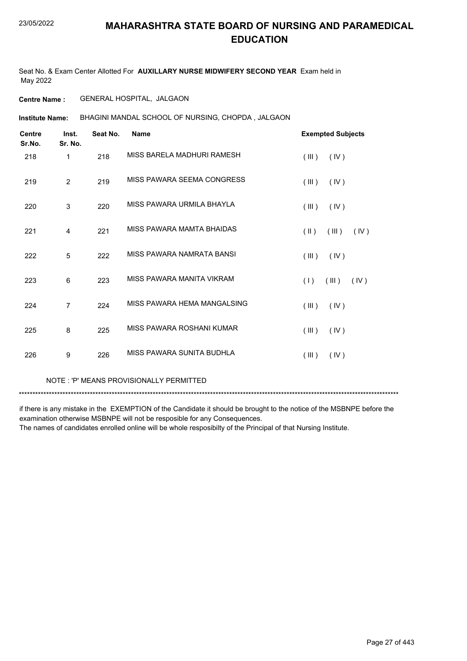Seat No. & Exam Center Allotted For **AUXILLARY NURSE MIDWIFERY SECOND YEAR** Exam held in May 2022

#### **Centre Name :** GENERAL HOSPITAL, JALGAON

BHAGINI MANDAL SCHOOL OF NURSING, CHOPDA , JALGAON **Institute Name:**

| <b>Centre</b><br>Sr.No. | Inst.<br>Sr. No. | Seat No. | <b>Name</b>                 | <b>Exempted Subjects</b>       |  |
|-------------------------|------------------|----------|-----------------------------|--------------------------------|--|
| 218                     | 1                | 218      | MISS BARELA MADHURI RAMESH  | (III)<br>(IV)                  |  |
| 219                     | 2                | 219      | MISS PAWARA SEEMA CONGRESS  | (III)<br>(IV)                  |  |
| 220                     | 3                | 220      | MISS PAWARA URMILA BHAYLA   | (III)<br>(IV)                  |  |
| 221                     | 4                | 221      | MISS PAWARA MAMTA BHAIDAS   | $(\parallel)$<br>(III)<br>(IV) |  |
| 222                     | 5                | 222      | MISS PAWARA NAMRATA BANSI   | (III)<br>(IV)                  |  |
| 223                     | 6                | 223      | MISS PAWARA MANITA VIKRAM   | (1)<br>(III)<br>(IV)           |  |
| 224                     | $\overline{7}$   | 224      | MISS PAWARA HEMA MANGALSING | (III)<br>(IV)                  |  |
| 225                     | 8                | 225      | MISS PAWARA ROSHANI KUMAR   | (III)<br>(IV)                  |  |
| 226                     | 9                | 226      | MISS PAWARA SUNITA BUDHLA   | (III)<br>(IV)                  |  |

NOTE : 'P' MEANS PROVISIONALLY PERMITTED

\*\*\*\*\*\*\*\*\*\*\*\*\*\*\*\*\*\*\*\*\*\*\*\*\*\*\*\*\*\*\*\*\*\*\*\*\*\*\*\*\*\*\*\*\*\*\*\*\*\*\*\*\*\*\*\*\*\*\*\*\*\*\*\*\*\*\*\*\*\*\*\*\*\*\*\*\*\*\*\*\*\*\*\*\*\*\*\*\*\*\*\*\*\*\*\*\*\*\*\*\*\*\*\*\*\*\*\*\*\*\*\*\*\*\*\*\*\*\*\*\*\*\*\*\*\*\*\*\*\*\*\*\*\*\*\*\*\*\*

if there is any mistake in the EXEMPTION of the Candidate it should be brought to the notice of the MSBNPE before the examination otherwise MSBNPE will not be resposible for any Consequences.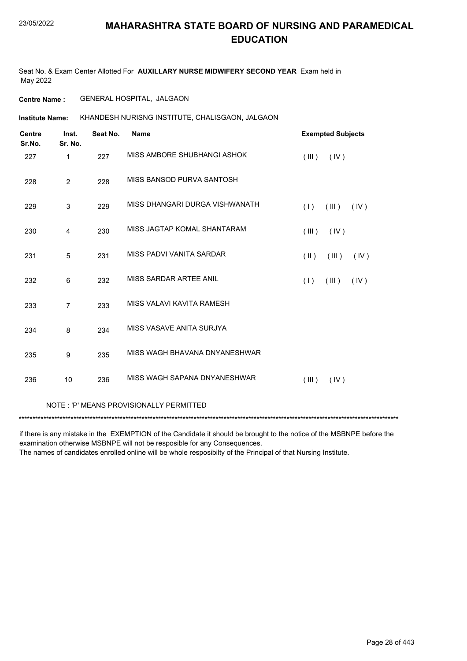Seat No. & Exam Center Allotted For **AUXILLARY NURSE MIDWIFERY SECOND YEAR** Exam held in May 2022

#### **Centre Name :** GENERAL HOSPITAL, JALGAON

KHANDESH NURISNG INSTITUTE, CHALISGAON, JALGAON **Institute Name:**

| <b>Centre</b><br>Sr.No. | Inst.<br>Sr. No. | Seat No. | <b>Name</b>                              |                         | <b>Exempted Subjects</b> |      |
|-------------------------|------------------|----------|------------------------------------------|-------------------------|--------------------------|------|
| 227                     | 1                | 227      | MISS AMBORE SHUBHANGI ASHOK              | (III)                   | (IV)                     |      |
| 228                     | $\overline{2}$   | 228      | MISS BANSOD PURVA SANTOSH                |                         |                          |      |
| 229                     | 3                | 229      | MISS DHANGARI DURGA VISHWANATH           | (1)                     | (III)                    | (IV) |
| 230                     | 4                | 230      | MISS JAGTAP KOMAL SHANTARAM              | (III)                   | (IV)                     |      |
| 231                     | 5                | 231      | MISS PADVI VANITA SARDAR                 | $(\parallel \parallel)$ | (III)                    | (IV) |
| 232                     | 6                | 232      | MISS SARDAR ARTEE ANIL                   | (1)                     | (III)                    | (IV) |
| 233                     | $\overline{7}$   | 233      | MISS VALAVI KAVITA RAMESH                |                         |                          |      |
| 234                     | 8                | 234      | MISS VASAVE ANITA SURJYA                 |                         |                          |      |
| 235                     | 9                | 235      | MISS WAGH BHAVANA DNYANESHWAR            |                         |                          |      |
| 236                     | 10               | 236      | MISS WAGH SAPANA DNYANESHWAR             | (III)                   | (IV)                     |      |
|                         |                  |          | NOTE : 'P' MEANS PROVISIONALLY PERMITTED |                         |                          |      |

\*\*\*\*\*\*\*\*\*\*\*\*\*\*\*\*\*\*\*\*\*\*\*\*\*\*\*\*\*\*\*\*\*\*\*\*\*\*\*\*\*\*\*\*\*\*\*\*\*\*\*\*\*\*\*\*\*\*\*\*\*\*\*\*\*\*\*\*\*\*\*\*\*\*\*\*\*\*\*\*\*\*\*\*\*\*\*\*\*\*\*\*\*\*\*\*\*\*\*\*\*\*\*\*\*\*\*\*\*\*\*\*\*\*\*\*\*\*\*\*\*\*\*\*\*\*\*\*\*\*\*\*\*\*\*\*\*\*\*

if there is any mistake in the EXEMPTION of the Candidate it should be brought to the notice of the MSBNPE before the examination otherwise MSBNPE will not be resposible for any Consequences.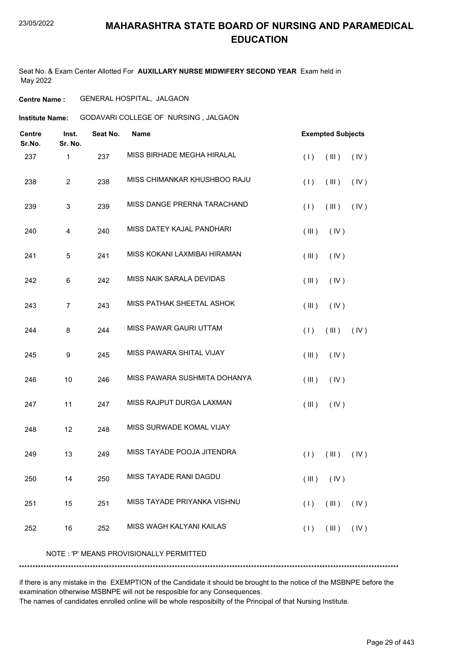Seat No. & Exam Center Allotted For **AUXILLARY NURSE MIDWIFERY SECOND YEAR** Exam held in May 2022

#### **Centre Name :** GENERAL HOSPITAL, JALGAON

**Institute Name:** GODAVARI COLLEGE OF NURSING, JALGAON

| <b>Centre</b><br>Sr.No. | Inst.<br>Sr. No. | Seat No. | Name                                    | <b>Exempted Subjects</b>                          |
|-------------------------|------------------|----------|-----------------------------------------|---------------------------------------------------|
| 237                     | 1                | 237      | MISS BIRHADE MEGHA HIRALAL              | (III)<br>(1)<br>(IV)                              |
| 238                     | $\overline{2}$   | 238      | MISS CHIMANKAR KHUSHBOO RAJU            | (1)<br>(III)<br>(IV)                              |
| 239                     | 3                | 239      | MISS DANGE PRERNA TARACHAND             | (III)<br>(1)<br>(IV)                              |
| 240                     | 4                | 240      | MISS DATEY KAJAL PANDHARI               | (III)<br>(IV)                                     |
| 241                     | 5                | 241      | MISS KOKANI LAXMIBAI HIRAMAN            | (III)<br>(IV)                                     |
| 242                     | 6                | 242      | MISS NAIK SARALA DEVIDAS                | (III)<br>(IV)                                     |
| 243                     | $\overline{7}$   | 243      | MISS PATHAK SHEETAL ASHOK               | (III)<br>(IV)                                     |
| 244                     | 8                | 244      | MISS PAWAR GAURI UTTAM                  | (1)<br>(III)<br>(IV)                              |
| 245                     | 9                | 245      | MISS PAWARA SHITAL VIJAY                | (III)<br>(IV)                                     |
| 246                     | 10               | 246      | MISS PAWARA SUSHMITA DOHANYA            | (III)<br>(IV)                                     |
| 247                     | 11               | 247      | MISS RAJPUT DURGA LAXMAN                | (III)<br>(IV)                                     |
| 248                     | 12               | 248      | MISS SURWADE KOMAL VIJAY                |                                                   |
| 249                     | 13               | 249      | MISS TAYADE POOJA JITENDRA              | (1)<br>(III)<br>(IV)                              |
| 250                     | 14               | 250      | MISS TAYADE RANI DAGDU                  | $(\mathbb{II})$ $(\mathbb{V})$                    |
| 251                     | 15               | 251      | MISS TAYADE PRIYANKA VISHNU             | $(\mathbb{H})$<br>(1)<br>(IV)                     |
| 252                     | 16               | 252      | MISS WAGH KALYANI KAILAS                | (1)<br>$(\parallel \parallel)$ $(\parallel \lor)$ |
|                         |                  |          | NOTE: 'P' MEANS PROVISIONALLY PERMITTED |                                                   |
|                         |                  |          |                                         |                                                   |

if there is any mistake in the EXEMPTION of the Candidate it should be brought to the notice of the MSBNPE before the examination otherwise MSBNPE will not be resposible for any Consequences.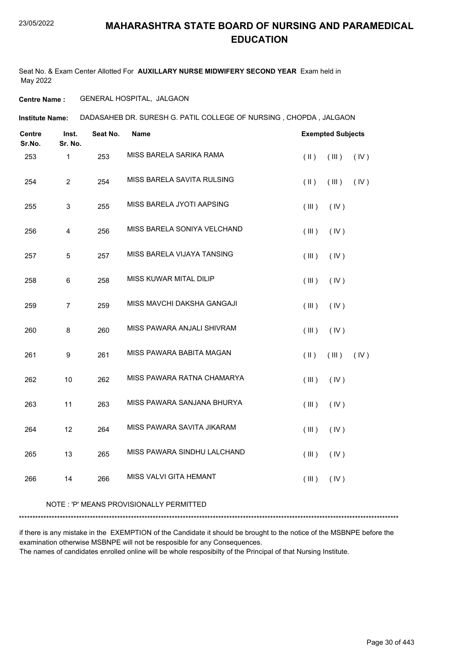Seat No. & Exam Center Allotted For **AUXILLARY NURSE MIDWIFERY SECOND YEAR** Exam held in May 2022

#### **Centre Name :** GENERAL HOSPITAL, JALGAON

DADASAHEB DR. SURESH G. PATIL COLLEGE OF NURSING , CHOPDA , JALGAON **Institute Name:**

| <b>Centre</b><br>Sr.No. | Inst.<br>Sr. No. | Seat No. | Name                        | <b>Exempted Subjects</b> |       |      |
|-------------------------|------------------|----------|-----------------------------|--------------------------|-------|------|
| 253                     | $\mathbf{1}$     | 253      | MISS BARELA SARIKA RAMA     | $(\parallel)$            | (III) | (IV) |
| 254                     | $\overline{2}$   | 254      | MISS BARELA SAVITA RULSING  | $(\parallel)$            | (III) | (IV) |
| 255                     | $\mathbf{3}$     | 255      | MISS BARELA JYOTI AAPSING   | (III)                    | (IV)  |      |
| 256                     | $\overline{4}$   | 256      | MISS BARELA SONIYA VELCHAND | $($ III $)$              | (IV)  |      |
| 257                     | $\sqrt{5}$       | 257      | MISS BARELA VIJAYA TANSING  | (III)                    | (IV)  |      |
| 258                     | $\,6$            | 258      | MISS KUWAR MITAL DILIP      | (III)                    | (IV)  |      |
| 259                     | $\overline{7}$   | 259      | MISS MAVCHI DAKSHA GANGAJI  | (III)                    | (IV)  |      |
| 260                     | 8                | 260      | MISS PAWARA ANJALI SHIVRAM  | (III)                    | (IV)  |      |
| 261                     | $\boldsymbol{9}$ | 261      | MISS PAWARA BABITA MAGAN    | $(\parallel)$            | (III) | (IV) |
| 262                     | 10               | 262      | MISS PAWARA RATNA CHAMARYA  | (III)                    | (IV)  |      |
| 263                     | 11               | 263      | MISS PAWARA SANJANA BHURYA  | (III)                    | (IV)  |      |
| 264                     | 12               | 264      | MISS PAWARA SAVITA JIKARAM  | (III)                    | (IV)  |      |
| 265                     | 13               | 265      | MISS PAWARA SINDHU LALCHAND | (III)                    | (IV)  |      |
| 266                     | 14               | 266      | MISS VALVI GITA HEMANT      | (III)                    | (IV)  |      |
|                         |                  |          |                             |                          |       |      |

#### NOTE : 'P' MEANS PROVISIONALLY PERMITTED

\*\*\*\*\*\*\*\*\*\*\*\*\*\*\*\*\*\*\*\*\*\*\*\*\*\*\*\*\*\*\*\*\*\*\*\*\*\*\*\*\*\*\*\*\*\*\*\*\*\*\*\*\*\*\*\*\*\*\*\*\*\*\*\*\*\*\*\*\*\*\*\*\*\*\*\*\*\*\*\*\*\*\*\*\*\*\*\*\*\*\*\*\*\*\*\*\*\*\*\*\*\*\*\*\*\*\*\*\*\*\*\*\*\*\*\*\*\*\*\*\*\*\*\*\*\*\*\*\*\*\*\*\*\*\*\*\*\*\*

if there is any mistake in the EXEMPTION of the Candidate it should be brought to the notice of the MSBNPE before the examination otherwise MSBNPE will not be resposible for any Consequences. The names of candidates enrolled online will be whole resposibilty of the Principal of that Nursing Institute.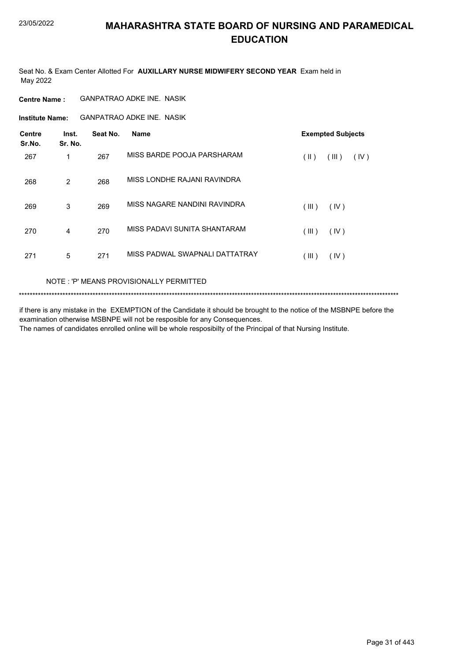Seat No. & Exam Center Allotted For **AUXILLARY NURSE MIDWIFERY SECOND YEAR** Exam held in May 2022

#### **Centre Name :** GANPATRAO ADKE INE. NASIK

GANPATRAO ADKE INE. NASIK **Institute Name:**

| <b>Centre</b><br>Sr.No. | Inst.<br>Sr. No. | Seat No. | <b>Name</b>                    | <b>Exempted Subjects</b> |       |      |
|-------------------------|------------------|----------|--------------------------------|--------------------------|-------|------|
| 267                     | 1                | 267      | MISS BARDE POOJA PARSHARAM     | (  )                     | (III) | (IV) |
| 268                     | $\overline{2}$   | 268      | MISS LONDHE RAJANI RAVINDRA    |                          |       |      |
| 269                     | 3                | 269      | MISS NAGARE NANDINI RAVINDRA   | (III)                    | (IV)  |      |
| 270                     | 4                | 270      | MISS PADAVI SUNITA SHANTARAM   | (III)                    | (IV)  |      |
| 271                     | 5                | 271      | MISS PADWAL SWAPNALI DATTATRAY | (III)                    | (IV)  |      |

#### NOTE : 'P' MEANS PROVISIONALLY PERMITTED

```
*******************************************************************************************************************************************
```
if there is any mistake in the EXEMPTION of the Candidate it should be brought to the notice of the MSBNPE before the examination otherwise MSBNPE will not be resposible for any Consequences. The names of candidates enrolled online will be whole resposibilty of the Principal of that Nursing Institute.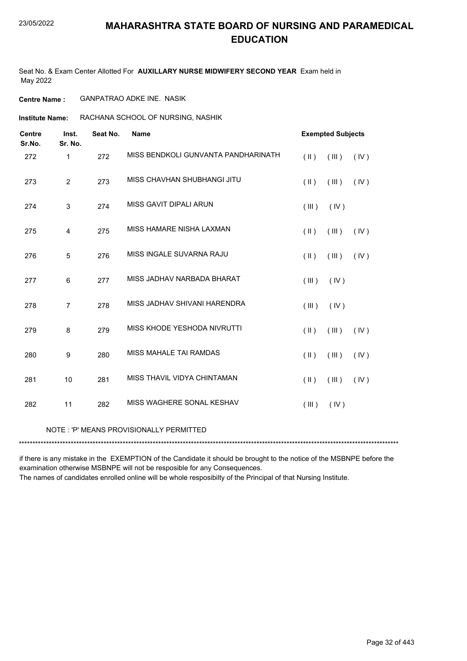Seat No. & Exam Center Allotted For **AUXILLARY NURSE MIDWIFERY SECOND YEAR** Exam held in May 2022

**Centre Name :** GANPATRAO ADKE INE. NASIK

**Institute Name: RACHANA SCHOOL OF NURSING, NASHIK** 

| <b>Centre</b><br>Sr.No. | Inst.<br>Sr. No. | Seat No. | <b>Name</b>                             |               | <b>Exempted Subjects</b> |      |
|-------------------------|------------------|----------|-----------------------------------------|---------------|--------------------------|------|
| 272                     | $\mathbf{1}$     | 272      | MISS BENDKOLI GUNVANTA PANDHARINATH     | $(\parallel)$ | (III)                    | (IV) |
| 273                     | $\overline{2}$   | 273      | MISS CHAVHAN SHUBHANGI JITU             | $(\parallel)$ | (III)                    | (IV) |
| 274                     | 3                | 274      | MISS GAVIT DIPALI ARUN                  | (III)         | (IV)                     |      |
| 275                     | 4                | 275      | MISS HAMARE NISHA LAXMAN                | $(\parallel)$ | (III)                    | (IV) |
| 276                     | 5                | 276      | MISS INGALE SUVARNA RAJU                | $(\parallel)$ | (III)                    | (IV) |
| 277                     | 6                | 277      | MISS JADHAV NARBADA BHARAT              | (III)         | (IV)                     |      |
| 278                     | $\overline{7}$   | 278      | MISS JADHAV SHIVANI HARENDRA            | (III)         | (IV)                     |      |
| 279                     | 8                | 279      | MISS KHODE YESHODA NIVRUTTI             | $(\parallel)$ | (III)                    | (IV) |
| 280                     | 9                | 280      | MISS MAHALE TAI RAMDAS                  | $(\parallel)$ | (III)                    | (IV) |
| 281                     | 10               | 281      | MISS THAVIL VIDYA CHINTAMAN             | $($ II $)$    | (III)                    | (IV) |
| 282                     | 11               | 282      | MISS WAGHERE SONAL KESHAV               | (III)         | (IV)                     |      |
|                         |                  |          | NOTE: 'P' MEANS PROVISIONALLY PERMITTED |               |                          |      |

\*\*\*\*\*\*\*\*\*\*\*\*\*\*\*\*\*\*\*\*\*\*\*\*\*\*\*\*\*\*\*\*\*\*\*\*\*\*\*\*\*\*\*\*\*\*\*\*\*\*\*\*\*\*\*\*\*\*\*\*\*\*\*\*\*\*\*\*\*\*\*\*\*\*\*\*\*\*\*\*\*\*\*\*\*\*\*\*\*\*\*\*\*\*\*\*\*\*\*\*\*\*\*\*\*\*\*\*\*\*\*\*\*\*\*\*\*\*\*\*\*\*\*\*\*\*\*\*\*\*\*\*\*\*\*\*\*\*\*

if there is any mistake in the EXEMPTION of the Candidate it should be brought to the notice of the MSBNPE before the examination otherwise MSBNPE will not be resposible for any Consequences.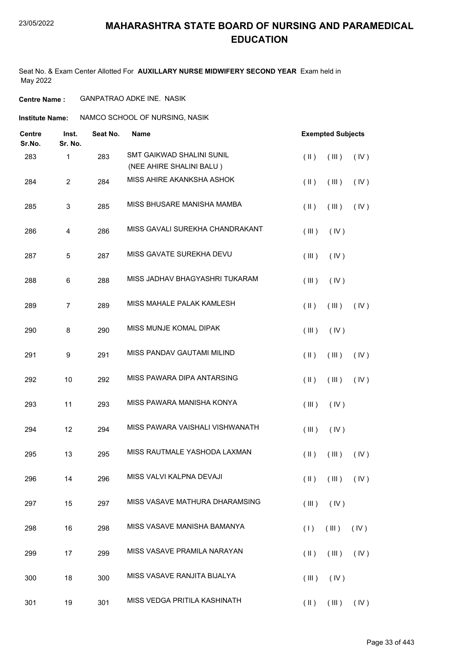#### 23/05/2022

#### **MAHARASHTRA STATE BOARD OF NURSING AND PARAMEDICAL EDUCATION**

Seat No. & Exam Center Allotted For **AUXILLARY NURSE MIDWIFERY SECOND YEAR** Exam held in May 2022

**Centre Name :** GANPATRAO ADKE INE. NASIK

**Institute Name: ANAMCO SCHOOL OF NURSING, NASIK** 

| Centre<br>Sr.No. | Inst.<br>Sr. No. | Seat No. | <b>Name</b>                                           | <b>Exempted Subjects</b>                         |
|------------------|------------------|----------|-------------------------------------------------------|--------------------------------------------------|
| 283              | 1                | 283      | SMT GAIKWAD SHALINI SUNIL<br>(NEE AHIRE SHALINI BALU) | $($ II $)$<br>(III)<br>(IV)                      |
| 284              | $\overline{c}$   | 284      | MISS AHIRE AKANKSHA ASHOK                             | $(\parallel)$<br>$($ III $)$<br>(IV)             |
| 285              | 3                | 285      | MISS BHUSARE MANISHA MAMBA                            | (IV)<br>$(\parallel)$<br>(III)                   |
| 286              | 4                | 286      | MISS GAVALI SUREKHA CHANDRAKANT                       | (III)<br>(IV)                                    |
| 287              | 5                | 287      | MISS GAVATE SUREKHA DEVU                              | (III)<br>(IV)                                    |
| 288              | 6                | 288      | MISS JADHAV BHAGYASHRI TUKARAM                        | (III)<br>(IV)                                    |
| 289              | 7                | 289      | MISS MAHALE PALAK KAMLESH                             | $($ II $)$<br>(IV)<br>(III)                      |
| 290              | 8                | 290      | MISS MUNJE KOMAL DIPAK                                | (III)<br>(IV)                                    |
| 291              | 9                | 291      | <b>MISS PANDAV GAUTAMI MILIND</b>                     | $(\parallel)$<br>(III)<br>(IV)                   |
| 292              | 10               | 292      | MISS PAWARA DIPA ANTARSING                            | (IV)<br>$(\parallel)$<br>(III)                   |
| 293              | 11               | 293      | MISS PAWARA MANISHA KONYA                             | (III)<br>(IV)                                    |
| 294              | 12               | 294      | MISS PAWARA VAISHALI VISHWANATH                       | (III)<br>(IV)                                    |
| 295              | 13               | 295      | MISS RAUTMALE YASHODA LAXMAN                          | $($ II $)$<br>(III)<br>(IV)                      |
| 296              | 14               | 296      | MISS VALVI KALPNA DEVAJI                              | $(\parallel)$ $(\parallel)$ $(\parallel)$        |
| 297              | 15               | 297      | MISS VASAVE MATHURA DHARAMSING                        | (III)<br>(IV)                                    |
| 298              | 16               | 298      | MISS VASAVE MANISHA BAMANYA                           | (III)<br>(1)<br>(IV)                             |
| 299              | 17               | 299      | MISS VASAVE PRAMILA NARAYAN                           | (IV)<br>$(\parallel \parallel)$<br>(III)         |
| 300              | 18               | 300      | MISS VASAVE RANJITA BIJALYA                           | (III)<br>(IV)                                    |
| 301              | 19               | 301      | MISS VEDGA PRITILA KASHINATH                          | $(\mathbb{II})$ $(\mathbb{III})$ $(\mathbb{IV})$ |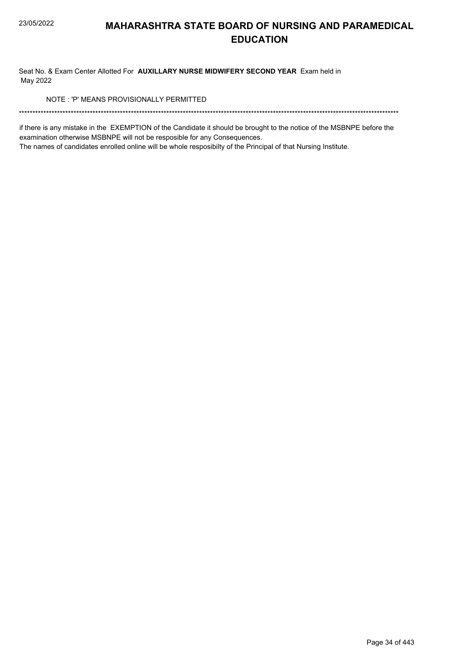Seat No. & Exam Center Allotted For AUXILLARY NURSE MIDWIFERY SECOND YEAR Exam held in May 2022

NOTE: 'P' MEANS PROVISIONALLY PERMITTED

if there is any mistake in the EXEMPTION of the Candidate it should be brought to the notice of the MSBNPE before the examination otherwise MSBNPE will not be resposible for any Consequences.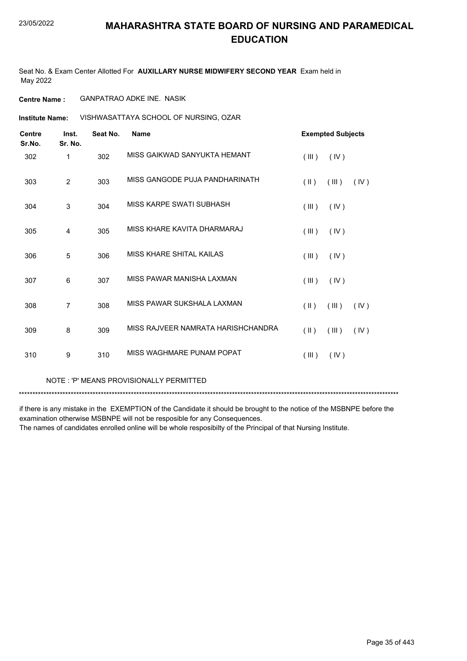Seat No. & Exam Center Allotted For **AUXILLARY NURSE MIDWIFERY SECOND YEAR** Exam held in May 2022

**Centre Name :** GANPATRAO ADKE INE. NASIK

VISHWASATTAYA SCHOOL OF NURSING, OZAR **Institute Name:**

| <b>Centre</b><br>Sr.No. | Inst.<br>Sr. No. | Seat No. | Name                               | <b>Exempted Subjects</b> |       |      |
|-------------------------|------------------|----------|------------------------------------|--------------------------|-------|------|
| 302                     | 1                | 302      | MISS GAIKWAD SANYUKTA HEMANT       | (III)                    | (IV)  |      |
| 303                     | $\overline{2}$   | 303      | MISS GANGODE PUJA PANDHARINATH     | $(\parallel)$            | (III) | (IV) |
| 304                     | 3                | 304      | MISS KARPE SWATI SUBHASH           | (III)                    | (IV)  |      |
| 305                     | 4                | 305      | MISS KHARE KAVITA DHARMARAJ        | (III)                    | (IV)  |      |
| 306                     | 5                | 306      | MISS KHARE SHITAL KAILAS           | (III)                    | (IV)  |      |
| 307                     | 6                | 307      | MISS PAWAR MANISHA LAXMAN          | (III)                    | (IV)  |      |
| 308                     | 7                | 308      | MISS PAWAR SUKSHALA LAXMAN         | $(\parallel \parallel)$  | (III) | (IV) |
| 309                     | 8                | 309      | MISS RAJVEER NAMRATA HARISHCHANDRA | $(\parallel)$            | (III) | (IV) |
| 310                     | 9                | 310      | MISS WAGHMARF PUNAM POPAT          | (III)                    | (IV)  |      |

NOTE : 'P' MEANS PROVISIONALLY PERMITTED

\*\*\*\*\*\*\*\*\*\*\*\*\*\*\*\*\*\*\*\*\*\*\*\*\*\*\*\*\*\*\*\*\*\*\*\*\*\*\*\*\*\*\*\*\*\*\*\*\*\*\*\*\*\*\*\*\*\*\*\*\*\*\*\*\*\*\*\*\*\*\*\*\*\*\*\*\*\*\*\*\*\*\*\*\*\*\*\*\*\*\*\*\*\*\*\*\*\*\*\*\*\*\*\*\*\*\*\*\*\*\*\*\*\*\*\*\*\*\*\*\*\*\*\*\*\*\*\*\*\*\*\*\*\*\*\*\*\*\*

if there is any mistake in the EXEMPTION of the Candidate it should be brought to the notice of the MSBNPE before the examination otherwise MSBNPE will not be resposible for any Consequences.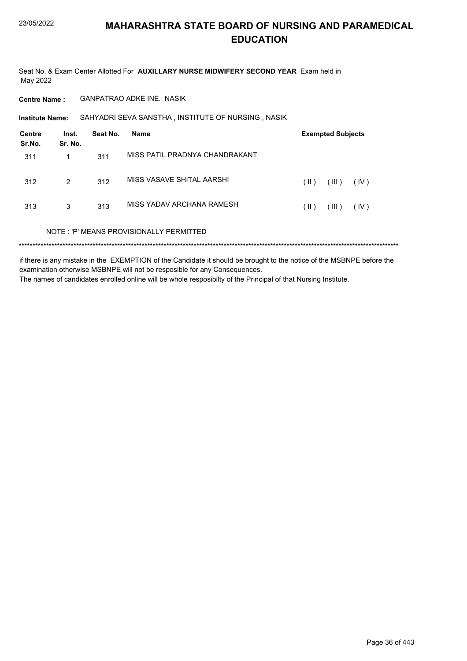Seat No. & Exam Center Allotted For AUXILLARY NURSE MIDWIFERY SECOND YEAR Exam held in May 2022

**Centre Name:** GANPATRAO ADKE INE. NASIK

SAHYADRI SEVA SANSTHA, INSTITUTE OF NURSING, NASIK **Institute Name:** 

| Centre<br>Sr.No. | Inst.<br>Sr. No. | Seat No. | <b>Name</b>                             |      | <b>Exempted Subjects</b> |      |
|------------------|------------------|----------|-----------------------------------------|------|--------------------------|------|
| 311              | 1                | 311      | MISS PATIL PRADNYA CHANDRAKANT          |      |                          |      |
| 312              | 2                | 312      | MISS VASAVE SHITAL AARSHI               | (  ) | (III)                    | (IV) |
| 313              | 3                | 313      | MISS YADAV ARCHANA RAMESH               | (  ) | (III)                    | (IV) |
|                  |                  |          | NOTE: 'P' MEANS PROVISIONALLY PERMITTED |      |                          |      |
|                  |                  |          |                                         |      |                          |      |

if there is any mistake in the EXEMPTION of the Candidate it should be brought to the notice of the MSBNPE before the examination otherwise MSBNPE will not be resposible for any Consequences. The names of candidates enrolled online will be whole resposibilty of the Principal of that Nursing Institute.

Page 36 of 443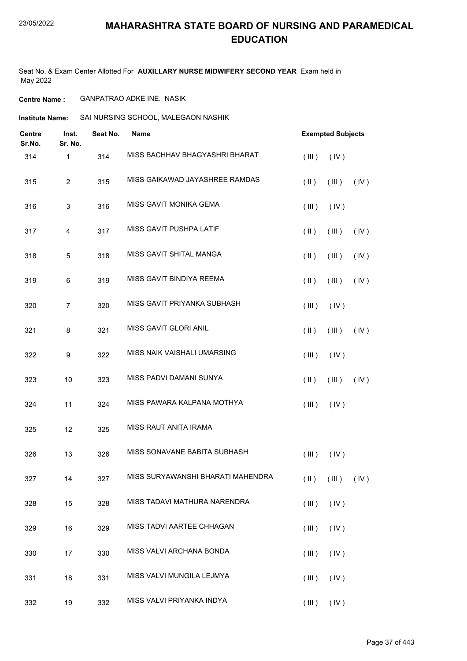Seat No. & Exam Center Allotted For **AUXILLARY NURSE MIDWIFERY SECOND YEAR** Exam held in May 2022

**Centre Name :** GANPATRAO ADKE INE. NASIK

**Institute Name:** SAI NURSING SCHOOL, MALEGAON NASHIK

| <b>Centre</b><br>Sr.No. | Inst.<br>Sr. No.          | Seat No. | <b>Name</b>                       |               | <b>Exempted Subjects</b>                  |      |
|-------------------------|---------------------------|----------|-----------------------------------|---------------|-------------------------------------------|------|
| 314                     | 1                         | 314      | MISS BACHHAV BHAGYASHRI BHARAT    | (III)         | (IV)                                      |      |
| 315                     | $\overline{c}$            | 315      | MISS GAIKAWAD JAYASHREE RAMDAS    | $(\parallel)$ | (III)                                     | (IV) |
| 316                     | $\ensuremath{\mathsf{3}}$ | 316      | MISS GAVIT MONIKA GEMA            | (III)         | (IV)                                      |      |
| 317                     | 4                         | 317      | MISS GAVIT PUSHPA LATIF           | $(\parallel)$ | (III)                                     | (IV) |
| 318                     | $\sqrt{5}$                | 318      | MISS GAVIT SHITAL MANGA           | $(\parallel)$ | (III)                                     | (IV) |
| 319                     | 6                         | 319      | MISS GAVIT BINDIYA REEMA          | $(\parallel)$ | (III)                                     | (IV) |
| 320                     | $\overline{7}$            | 320      | MISS GAVIT PRIYANKA SUBHASH       | (III)         | (IV)                                      |      |
| 321                     | 8                         | 321      | MISS GAVIT GLORI ANIL             | $(\parallel)$ | (III)                                     | (IV) |
| 322                     | 9                         | 322      | MISS NAIK VAISHALI UMARSING       | $($ III $)$   | (IV)                                      |      |
| 323                     | 10                        | 323      | MISS PADVI DAMANI SUNYA           | $(\parallel)$ | (III)                                     | (IV) |
| 324                     | 11                        | 324      | MISS PAWARA KALPANA MOTHYA        | (III)         | (IV)                                      |      |
| 325                     | 12                        | 325      | MISS RAUT ANITA IRAMA             |               |                                           |      |
| 326                     | 13                        | 326      | MISS SONAVANE BABITA SUBHASH      | (III)         | (IV)                                      |      |
| 327                     | 14                        | 327      | MISS SURYAWANSHI BHARATI MAHENDRA |               | $(\parallel)$ $(\parallel)$ $(\parallel)$ |      |
| 328                     | 15                        | 328      | MISS TADAVI MATHURA NARENDRA      | (III)         | (IV)                                      |      |
| 329                     | 16                        | 329      | MISS TADVI AARTEE CHHAGAN         | (III)         | (IV)                                      |      |
| 330                     | 17                        | 330      | MISS VALVI ARCHANA BONDA          | (III)         | (IV)                                      |      |
| 331                     | 18                        | 331      | MISS VALVI MUNGILA LEJMYA         | (III)         | (IV)                                      |      |
| 332                     | 19                        | 332      | MISS VALVI PRIYANKA INDYA         |               | $(III)$ $(IV)$                            |      |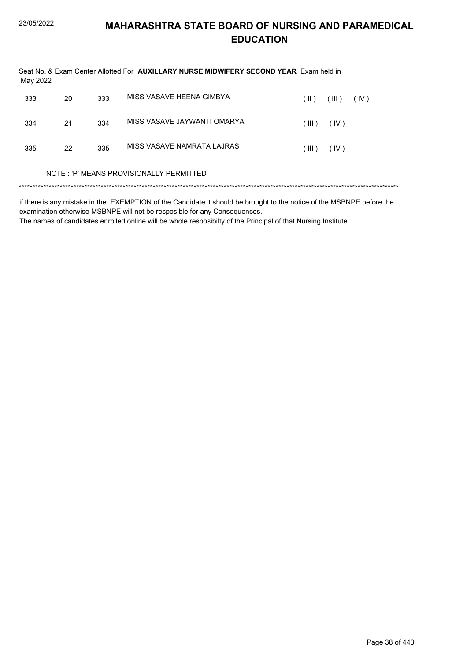| May 2022 |    |     | Seat No. & Exam Center Allotted For AUXILLARY NURSE MIDWIFERY SECOND YEAR Exam held in |       |       |      |  |
|----------|----|-----|----------------------------------------------------------------------------------------|-------|-------|------|--|
| 333      | 20 | 333 | MISS VASAVE HEENA GIMBYA                                                               | (  )  | (III) | (IV) |  |
| 334      | 21 | 334 | MISS VASAVE JAYWANTI OMARYA                                                            | (III) | (IV)  |      |  |
| 335      | 22 | 335 | MISS VASAVE NAMRATA LAJRAS                                                             | (III) | (IV)  |      |  |
|          |    |     | NOTE : 'P' MEANS PROVISIONALLY PERMITTED                                               |       |       |      |  |
|          |    |     |                                                                                        |       |       |      |  |

if there is any mistake in the EXEMPTION of the Candidate it should be brought to the notice of the MSBNPE before the examination otherwise MSBNPE will not be resposible for any Consequences.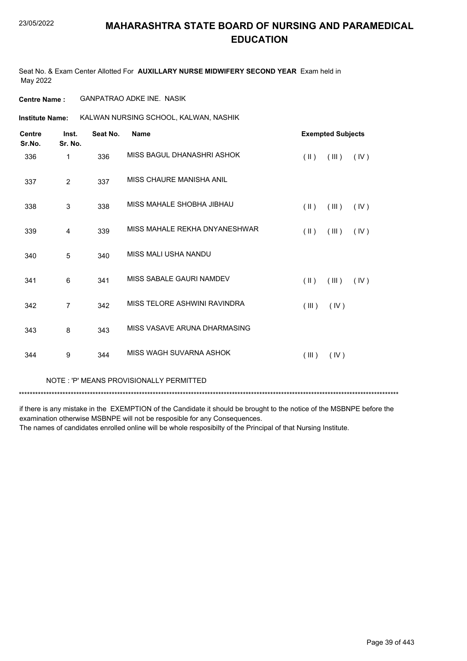Seat No. & Exam Center Allotted For **AUXILLARY NURSE MIDWIFERY SECOND YEAR** Exam held in May 2022

**Centre Name :** GANPATRAO ADKE INE. NASIK

**Institute Name:** KALWAN NURSING SCHOOL, KALWAN, NASHIK

| <b>Centre</b><br>Sr.No. | Inst.<br>Sr. No. | Seat No. | <b>Name</b>                   |                         | <b>Exempted Subjects</b> |      |
|-------------------------|------------------|----------|-------------------------------|-------------------------|--------------------------|------|
| 336                     | 1                | 336      | MISS BAGUL DHANASHRI ASHOK    | $(\parallel \parallel)$ | (III)                    | (IV) |
| 337                     | $\overline{2}$   | 337      | MISS CHAURE MANISHA ANIL      |                         |                          |      |
| 338                     | 3                | 338      | MISS MAHALE SHOBHA JIBHAU     | $(\parallel \parallel)$ | (III)                    | (IV) |
| 339                     | 4                | 339      | MISS MAHALE REKHA DNYANESHWAR | $(\parallel)$           | (III)                    | (IV) |
| 340                     | 5                | 340      | MISS MALI USHA NANDU          |                         |                          |      |
| 341                     | 6                | 341      | MISS SABALE GAURI NAMDEV      | $(\parallel)$           | (III)                    | (IV) |
| 342                     | 7                | 342      | MISS TELORE ASHWINI RAVINDRA  | (III)                   | (IV)                     |      |
| 343                     | 8                | 343      | MISS VASAVE ARUNA DHARMASING  |                         |                          |      |
| 344                     | 9                | 344      | MISS WAGH SUVARNA ASHOK       | (III)                   | (IV)                     |      |
|                         |                  |          |                               |                         |                          |      |

NOTE : 'P' MEANS PROVISIONALLY PERMITTED

\*\*\*\*\*\*\*\*\*\*\*\*\*\*\*\*\*\*\*\*\*\*\*\*\*\*\*\*\*\*\*\*\*\*\*\*\*\*\*\*\*\*\*\*\*\*\*\*\*\*\*\*\*\*\*\*\*\*\*\*\*\*\*\*\*\*\*\*\*\*\*\*\*\*\*\*\*\*\*\*\*\*\*\*\*\*\*\*\*\*\*\*\*\*\*\*\*\*\*\*\*\*\*\*\*\*\*\*\*\*\*\*\*\*\*\*\*\*\*\*\*\*\*\*\*\*\*\*\*\*\*\*\*\*\*\*\*\*\*

if there is any mistake in the EXEMPTION of the Candidate it should be brought to the notice of the MSBNPE before the examination otherwise MSBNPE will not be resposible for any Consequences. The names of candidates enrolled online will be whole resposibilty of the Principal of that Nursing Institute.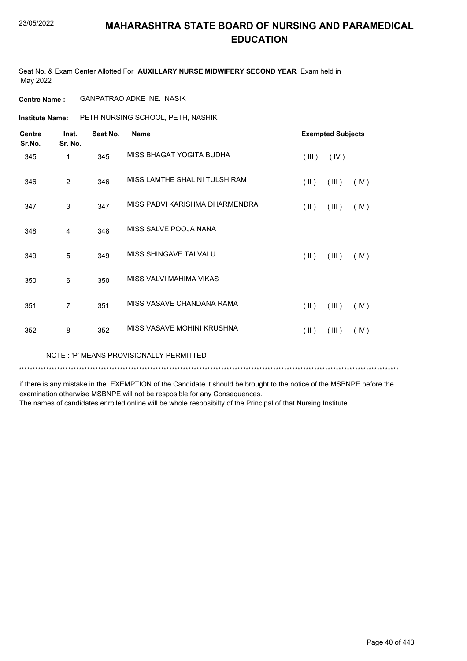Seat No. & Exam Center Allotted For **AUXILLARY NURSE MIDWIFERY SECOND YEAR** Exam held in May 2022

**Centre Name :** GANPATRAO ADKE INE. NASIK

**Institute Name:** PETH NURSING SCHOOL, PETH, NASHIK

| <b>Centre</b><br>Sr.No. | Inst.<br>Sr. No. | Seat No. | <b>Name</b>                    |                         | <b>Exempted Subjects</b> |      |
|-------------------------|------------------|----------|--------------------------------|-------------------------|--------------------------|------|
| 345                     | 1                | 345      | MISS BHAGAT YOGITA BUDHA       | (III)                   | (IV)                     |      |
| 346                     | $\overline{c}$   | 346      | MISS LAMTHE SHALINI TULSHIRAM  | $(\parallel \parallel)$ | (III)                    | (IV) |
| 347                     | 3                | 347      | MISS PADVI KARISHMA DHARMENDRA | $(\parallel \parallel)$ | (III)                    | (IV) |
| 348                     | $\overline{4}$   | 348      | MISS SALVE POOJA NANA          |                         |                          |      |
| 349                     | 5                | 349      | MISS SHINGAVE TAI VALU         | $(\parallel)$           | (III)                    | (IV) |
| 350                     | $\,6$            | 350      | MISS VALVI MAHIMA VIKAS        |                         |                          |      |
| 351                     | 7                | 351      | MISS VASAVE CHANDANA RAMA      | $(\parallel)$           | (III)                    | (IV) |
| 352                     | 8                | 352      | MISS VASAVE MOHINI KRUSHNA     | $($ II $)$              | (III)                    | (IV) |
|                         |                  |          |                                |                         |                          |      |

NOTE : 'P' MEANS PROVISIONALLY PERMITTED

\*\*\*\*\*\*\*\*\*\*\*\*\*\*\*\*\*\*\*\*\*\*\*\*\*\*\*\*\*\*\*\*\*\*\*\*\*\*\*\*\*\*\*\*\*\*\*\*\*\*\*\*\*\*\*\*\*\*\*\*\*\*\*\*\*\*\*\*\*\*\*\*\*\*\*\*\*\*\*\*\*\*\*\*\*\*\*\*\*\*\*\*\*\*\*\*\*\*\*\*\*\*\*\*\*\*\*\*\*\*\*\*\*\*\*\*\*\*\*\*\*\*\*\*\*\*\*\*\*\*\*\*\*\*\*\*\*\*\*

if there is any mistake in the EXEMPTION of the Candidate it should be brought to the notice of the MSBNPE before the examination otherwise MSBNPE will not be resposible for any Consequences.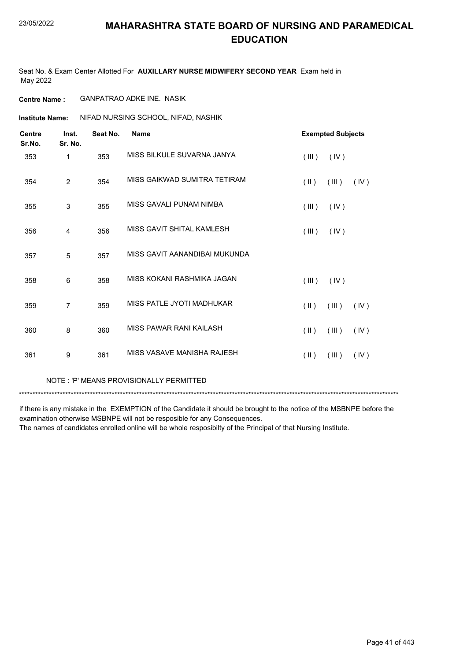Seat No. & Exam Center Allotted For **AUXILLARY NURSE MIDWIFERY SECOND YEAR** Exam held in May 2022

**Centre Name :** GANPATRAO ADKE INE. NASIK

**Institute Name: AIFAD NURSING SCHOOL, NIFAD, NASHIK** 

| <b>Centre</b><br>Sr.No. | Inst.<br>Sr. No. | Seat No. | <b>Name</b>                   |                         | <b>Exempted Subjects</b> |      |
|-------------------------|------------------|----------|-------------------------------|-------------------------|--------------------------|------|
| 353                     | 1                | 353      | MISS BILKULE SUVARNA JANYA    | (III)                   | (IV)                     |      |
| 354                     | $\overline{2}$   | 354      | MISS GAIKWAD SUMITRA TETIRAM  | $($ II $)$              | (III)                    | (IV) |
| 355                     | 3                | 355      | MISS GAVALI PUNAM NIMBA       | (III)                   | (IV)                     |      |
| 356                     | $\overline{4}$   | 356      | MISS GAVIT SHITAL KAMLESH     | (III)                   | (IV)                     |      |
| 357                     | 5                | 357      | MISS GAVIT AANANDIBAI MUKUNDA |                         |                          |      |
| 358                     | $6\phantom{1}6$  | 358      | MISS KOKANI RASHMIKA JAGAN    | (III)                   | (IV)                     |      |
| 359                     | $\overline{7}$   | 359      | MISS PATLE JYOTI MADHUKAR     | $(\parallel)$           | (III)                    | (IV) |
| 360                     | 8                | 360      | MISS PAWAR RANI KAILASH       | $(\parallel)$           | (III)                    | (IV) |
| 361                     | 9                | 361      | MISS VASAVE MANISHA RAJESH    | $(\parallel \parallel)$ | (III)                    | (IV) |
|                         |                  |          |                               |                         |                          |      |

NOTE : 'P' MEANS PROVISIONALLY PERMITTED

\*\*\*\*\*\*\*\*\*\*\*\*\*\*\*\*\*\*\*\*\*\*\*\*\*\*\*\*\*\*\*\*\*\*\*\*\*\*\*\*\*\*\*\*\*\*\*\*\*\*\*\*\*\*\*\*\*\*\*\*\*\*\*\*\*\*\*\*\*\*\*\*\*\*\*\*\*\*\*\*\*\*\*\*\*\*\*\*\*\*\*\*\*\*\*\*\*\*\*\*\*\*\*\*\*\*\*\*\*\*\*\*\*\*\*\*\*\*\*\*\*\*\*\*\*\*\*\*\*\*\*\*\*\*\*\*\*\*\*

if there is any mistake in the EXEMPTION of the Candidate it should be brought to the notice of the MSBNPE before the examination otherwise MSBNPE will not be resposible for any Consequences.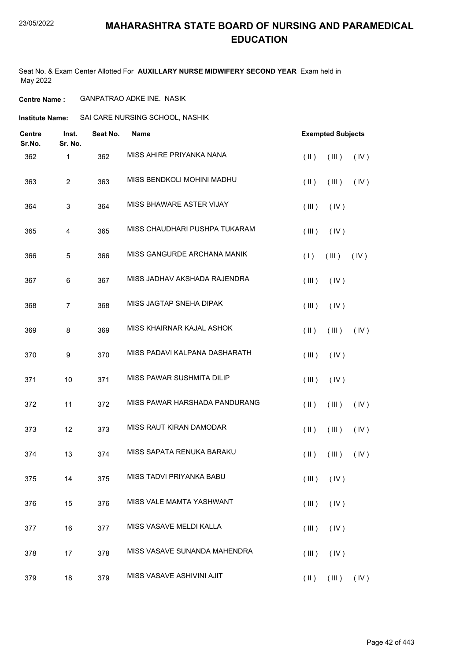### 23/05/2022

### **MAHARASHTRA STATE BOARD OF NURSING AND PARAMEDICAL EDUCATION**

Seat No. & Exam Center Allotted For **AUXILLARY NURSE MIDWIFERY SECOND YEAR** Exam held in May 2022

### **Centre Name :** GANPATRAO ADKE INE. NASIK

**Institute Name:** SAI CARE NURSING SCHOOL, NASHIK

| Centre<br>Sr.No. | Inst.<br>Sr. No. | Seat No. | <b>Name</b>                   | <b>Exempted Subjects</b>       |
|------------------|------------------|----------|-------------------------------|--------------------------------|
| 362              | 1                | 362      | MISS AHIRE PRIYANKA NANA      | $(\parallel)$<br>(III)<br>(IV) |
| 363              | $\overline{2}$   | 363      | MISS BENDKOLI MOHINI MADHU    | (IV)<br>$(\parallel)$<br>(III) |
| 364              | 3                | 364      | MISS BHAWARE ASTER VIJAY      | (III)<br>(IV)                  |
| 365              | 4                | 365      | MISS CHAUDHARI PUSHPA TUKARAM | (III)<br>(IV)                  |
| 366              | 5                | 366      | MISS GANGURDE ARCHANA MANIK   | (1)<br>(III)<br>(IV)           |
| 367              | 6                | 367      | MISS JADHAV AKSHADA RAJENDRA  | (III)<br>(IV)                  |
| 368              | $\overline{7}$   | 368      | MISS JAGTAP SNEHA DIPAK       | (III)<br>(IV)                  |
| 369              | 8                | 369      | MISS KHAIRNAR KAJAL ASHOK     | $(\parallel)$<br>(III)<br>(IV) |
| 370              | 9                | 370      | MISS PADAVI KALPANA DASHARATH | (III)<br>(IV)                  |
| 371              | 10               | 371      | MISS PAWAR SUSHMITA DILIP     | (III)<br>(IV)                  |
| 372              | 11               | 372      | MISS PAWAR HARSHADA PANDURANG | $($ II $)$<br>(III)<br>(IV)    |
| 373              | 12               | 373      | MISS RAUT KIRAN DAMODAR       | $($ II $)$<br>(III)<br>(IV)    |
| 374              | 13               | 374      | MISS SAPATA RENUKA BARAKU     | $(\parallel)$<br>(III)<br>(IV) |
| 375              | 14               | 375      | MISS TADVI PRIYANKA BABU      | $(III)$ $(IV)$                 |
| 376              | 15               | 376      | MISS VALE MAMTA YASHWANT      | (III)<br>(IV)                  |
| 377              | 16               | 377      | MISS VASAVE MELDI KALLA       | (III)<br>(IV)                  |
| 378              | 17               | 378      | MISS VASAVE SUNANDA MAHENDRA  | (III)<br>(IV)                  |
| 379              | 18               | 379      | MISS VASAVE ASHIVINI AJIT     | $(\parallel)$<br>(III)<br>(IV) |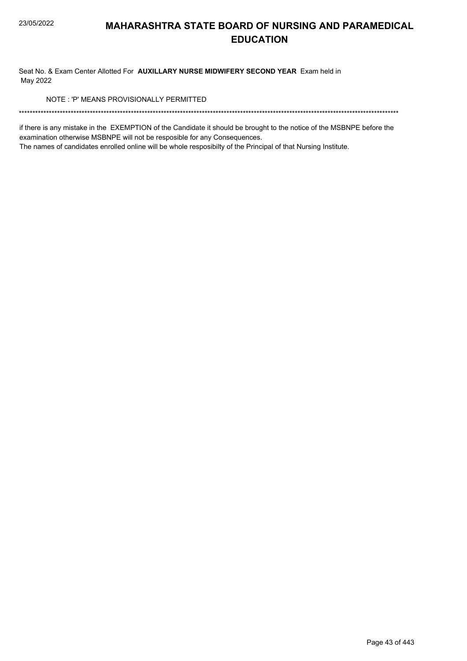Seat No. & Exam Center Allotted For AUXILLARY NURSE MIDWIFERY SECOND YEAR Exam held in May 2022

NOTE: 'P' MEANS PROVISIONALLY PERMITTED

if there is any mistake in the EXEMPTION of the Candidate it should be brought to the notice of the MSBNPE before the examination otherwise MSBNPE will not be resposible for any Consequences.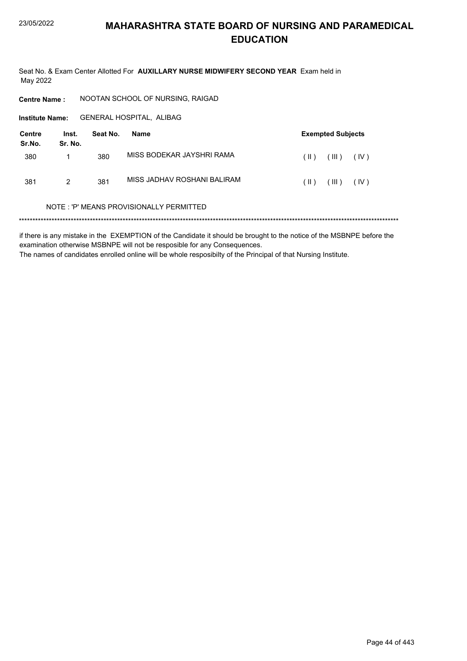Seat No. & Exam Center Allotted For AUXILLARY NURSE MIDWIFERY SECOND YEAR Exam held in May 2022

NOOTAN SCHOOL OF NURSING, RAIGAD **Centre Name:** 

Institute Name: GENERAL HOSPITAL, ALIBAG

| Centre<br>Sr.No. | Inst.<br>Sr. No. | Seat No. | Name                        |               | <b>Exempted Subjects</b> |      |
|------------------|------------------|----------|-----------------------------|---------------|--------------------------|------|
| 380              |                  | 380      | MISS BODEKAR JAYSHRI RAMA   | $\parallel$ ) | HI)                      | (IV) |
| 381              | 2                | 381      | MISS JADHAV ROSHANI BALIRAM | $\  \ $ )     | HI)                      | (IV) |

### NOTE: 'P' MEANS PROVISIONALLY PERMITTED

if there is any mistake in the EXEMPTION of the Candidate it should be brought to the notice of the MSBNPE before the examination otherwise MSBNPE will not be resposible for any Consequences. The names of candidates enrolled online will be whole resposibilty of the Principal of that Nursing Institute.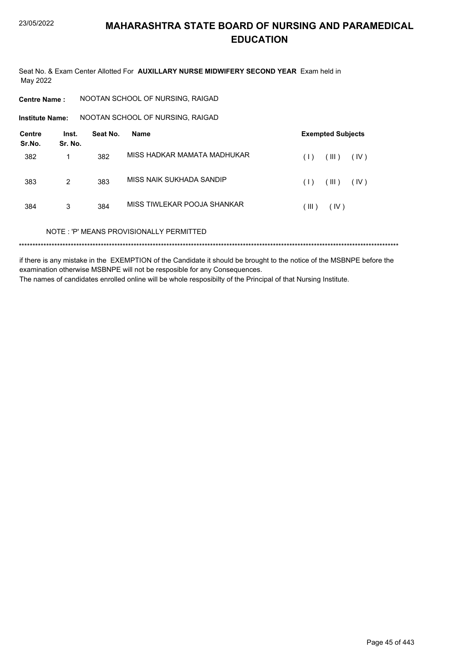Seat No. & Exam Center Allotted For AUXILLARY NURSE MIDWIFERY SECOND YEAR Exam held in May 2022

**Centre Name:** NOOTAN SCHOOL OF NURSING, RAIGAD

NOOTAN SCHOOL OF NURSING, RAIGAD **Institute Name:** 

| <b>Centre</b><br>Sr.No. | Inst.<br>Sr. No. | Seat No. | Name                                    | <b>Exempted Subjects</b>         |
|-------------------------|------------------|----------|-----------------------------------------|----------------------------------|
| 382                     | 1                | 382      | MISS HADKAR MAMATA MADHUKAR             | $^{\prime}$ III )<br>(IV)<br>(1) |
| 383                     | $\overline{2}$   | 383      | MISS NAIK SUKHADA SANDIP                | $^{\prime}$ III )<br>(IV)<br>(1) |
| 384                     | 3                | 384      | MISS TIWLEKAR POOJA SHANKAR             | (IV)<br>(III)                    |
|                         |                  |          | NOTE: 'P' MEANS PROVISIONALLY PERMITTED |                                  |
|                         |                  |          |                                         |                                  |

if there is any mistake in the EXEMPTION of the Candidate it should be brought to the notice of the MSBNPE before the examination otherwise MSBNPE will not be resposible for any Consequences. The names of candidates enrolled online will be whole resposibilty of the Principal of that Nursing Institute.

Page 45 of 443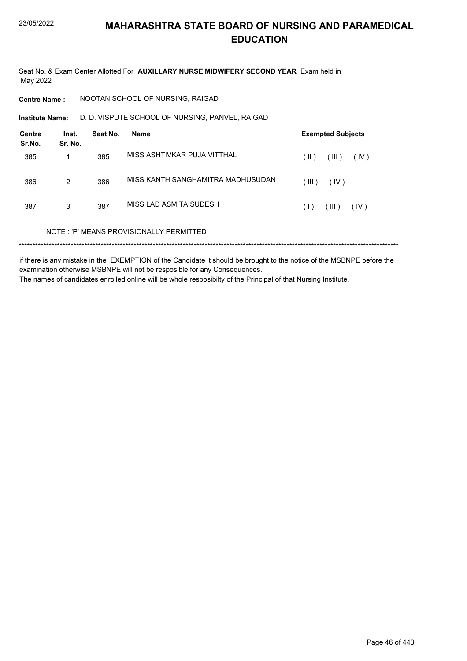Seat No. & Exam Center Allotted For AUXILLARY NURSE MIDWIFERY SECOND YEAR Exam held in May 2022

**Centre Name:** NOOTAN SCHOOL OF NURSING, RAIGAD

D. D. VISPUTE SCHOOL OF NURSING, PANVEL, RAIGAD **Institute Name:** 

| <b>Centre</b><br>Sr.No. | Inst.<br>Sr. No. | Seat No. | Name                                    |       | <b>Exempted Subjects</b> |      |
|-------------------------|------------------|----------|-----------------------------------------|-------|--------------------------|------|
| 385                     |                  | 385      | MISS ASHTIVKAR PUJA VITTHAL             | (  )  | (III)                    | (IV) |
| 386                     | 2                | 386      | MISS KANTH SANGHAMITRA MADHUSUDAN       | (III) | (IV)                     |      |
| 387                     | 3                | 387      | MISS LAD ASMITA SUDESH                  | (1)   | (III)                    | (IV) |
|                         |                  |          | NOTE: 'P' MEANS PROVISIONALLY PERMITTED |       |                          |      |
| *********               |                  |          |                                         |       |                          |      |

if there is any mistake in the EXEMPTION of the Candidate it should be brought to the notice of the MSBNPE before the examination otherwise MSBNPE will not be resposible for any Consequences. The names of candidates enrolled online will be whole resposibilty of the Principal of that Nursing Institute.

Page 46 of 443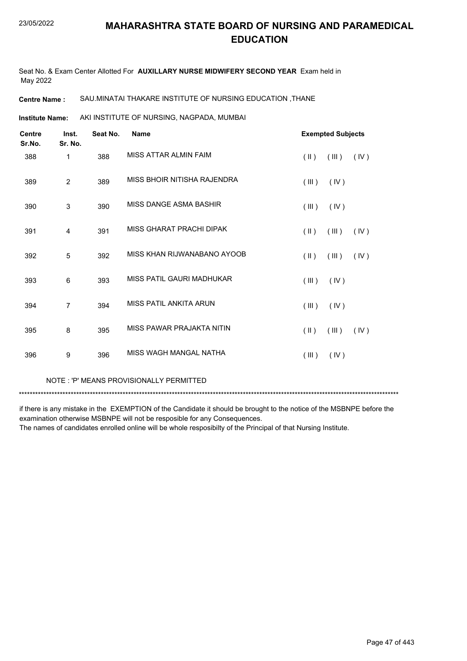Seat No. & Exam Center Allotted For **AUXILLARY NURSE MIDWIFERY SECOND YEAR** Exam held in May 2022

### **Centre Name :** SAU.MINATAI THAKARE INSTITUTE OF NURSING EDUCATION ,THANE

AKI INSTITUTE OF NURSING, NAGPADA, MUMBAI **Institute Name:**

| <b>Centre</b><br>Sr.No. | Inst.<br>Sr. No. | Seat No. | <b>Name</b>                 |               | <b>Exempted Subjects</b> |      |
|-------------------------|------------------|----------|-----------------------------|---------------|--------------------------|------|
| 388                     | 1                | 388      | MISS ATTAR ALMIN FAIM       | $(\parallel)$ | (III)                    | (IV) |
| 389                     | $\overline{2}$   | 389      | MISS BHOIR NITISHA RAJENDRA | (III)         | (IV)                     |      |
| 390                     | 3                | 390      | MISS DANGE ASMA BASHIR      | (III)         | (IV)                     |      |
| 391                     | 4                | 391      | MISS GHARAT PRACHI DIPAK    | $(\parallel)$ | (III)                    | (IV) |
| 392                     | 5                | 392      | MISS KHAN RIJWANABANO AYOOB | $(\parallel)$ | (III)                    | (IV) |
| 393                     | 6                | 393      | MISS PATIL GAURI MADHUKAR   | (III)         | (IV)                     |      |
| 394                     | $\overline{7}$   | 394      | MISS PATIL ANKITA ARUN      | (III)         | (IV)                     |      |
| 395                     | 8                | 395      | MISS PAWAR PRAJAKTA NITIN   | $(\parallel)$ | (III)                    | (IV) |
| 396                     | 9                | 396      | MISS WAGH MANGAI NATHA      | (III)         | (IV)                     |      |
|                         |                  |          |                             |               |                          |      |

NOTE : 'P' MEANS PROVISIONALLY PERMITTED

\*\*\*\*\*\*\*\*\*\*\*\*\*\*\*\*\*\*\*\*\*\*\*\*\*\*\*\*\*\*\*\*\*\*\*\*\*\*\*\*\*\*\*\*\*\*\*\*\*\*\*\*\*\*\*\*\*\*\*\*\*\*\*\*\*\*\*\*\*\*\*\*\*\*\*\*\*\*\*\*\*\*\*\*\*\*\*\*\*\*\*\*\*\*\*\*\*\*\*\*\*\*\*\*\*\*\*\*\*\*\*\*\*\*\*\*\*\*\*\*\*\*\*\*\*\*\*\*\*\*\*\*\*\*\*\*\*\*\*

if there is any mistake in the EXEMPTION of the Candidate it should be brought to the notice of the MSBNPE before the examination otherwise MSBNPE will not be resposible for any Consequences.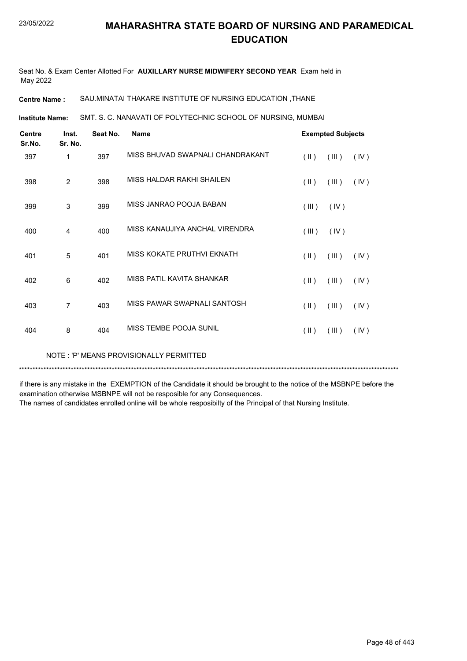Seat No. & Exam Center Allotted For **AUXILLARY NURSE MIDWIFERY SECOND YEAR** Exam held in May 2022

**Centre Name :** SAU.MINATAI THAKARE INSTITUTE OF NURSING EDUCATION ,THANE

SMT. S. C. NANAVATI OF POLYTECHNIC SCHOOL OF NURSING, MUMBAI **Institute Name:**

| <b>Centre</b><br>Sr.No. | Inst.<br>Sr. No. | Seat No. | <b>Name</b>                      |                         | <b>Exempted Subjects</b> |      |
|-------------------------|------------------|----------|----------------------------------|-------------------------|--------------------------|------|
| 397                     | 1                | 397      | MISS BHUVAD SWAPNALI CHANDRAKANT | $(\parallel)$           | (III)                    | (IV) |
| 398                     | $\overline{c}$   | 398      | MISS HALDAR RAKHI SHAILEN        | $(\parallel)$           | (III)                    | (IV) |
| 399                     | 3                | 399      | MISS JANRAO POOJA BABAN          | (III)                   | (IV)                     |      |
| 400                     | 4                | 400      | MISS KANAUJIYA ANCHAL VIRENDRA   | (III)                   | (IV)                     |      |
| 401                     | 5                | 401      | MISS KOKATE PRUTHVI EKNATH       | $($ II $)$              | (III)                    | (IV) |
| 402                     | 6                | 402      | MISS PATIL KAVITA SHANKAR        | $(\parallel \parallel)$ | (III)                    | (IV) |
| 403                     | 7                | 403      | MISS PAWAR SWAPNALI SANTOSH      | $(\parallel \parallel)$ | (III)                    | (IV) |
| 404                     | 8                | 404      | MISS TEMBE POOJA SUNIL           | $(\parallel \parallel)$ | (III)                    | (IV) |

NOTE : 'P' MEANS PROVISIONALLY PERMITTED

\*\*\*\*\*\*\*\*\*\*\*\*\*\*\*\*\*\*\*\*\*\*\*\*\*\*\*\*\*\*\*\*\*\*\*\*\*\*\*\*\*\*\*\*\*\*\*\*\*\*\*\*\*\*\*\*\*\*\*\*\*\*\*\*\*\*\*\*\*\*\*\*\*\*\*\*\*\*\*\*\*\*\*\*\*\*\*\*\*\*\*\*\*\*\*\*\*\*\*\*\*\*\*\*\*\*\*\*\*\*\*\*\*\*\*\*\*\*\*\*\*\*\*\*\*\*\*\*\*\*\*\*\*\*\*\*\*\*\*

if there is any mistake in the EXEMPTION of the Candidate it should be brought to the notice of the MSBNPE before the examination otherwise MSBNPE will not be resposible for any Consequences.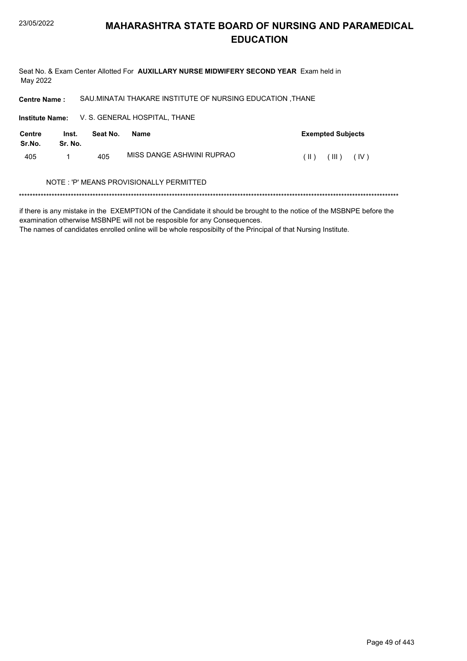Seat No. & Exam Center Allotted For AUXILLARY NURSE MIDWIFERY SECOND YEAR Exam held in May 2022

SAU.MINATAI THAKARE INSTITUTE OF NURSING EDUCATION , THANE **Centre Name:** 

Institute Name: V. S. GENERAL HOSPITAL, THANE

| Centre<br>Sr.No. | Inst.<br>Sr. No. | Seat No. | Name                                    | <b>Exempted Subjects</b> |
|------------------|------------------|----------|-----------------------------------------|--------------------------|
| 405              |                  | 405      | MISS DANGE ASHWINI RUPRAO               | (III)<br>(IV)<br>(  )    |
|                  |                  |          | NOTE: 'P' MEANS PROVISIONALLY PERMITTED |                          |

### 

if there is any mistake in the EXEMPTION of the Candidate it should be brought to the notice of the MSBNPE before the examination otherwise MSBNPE will not be resposible for any Consequences.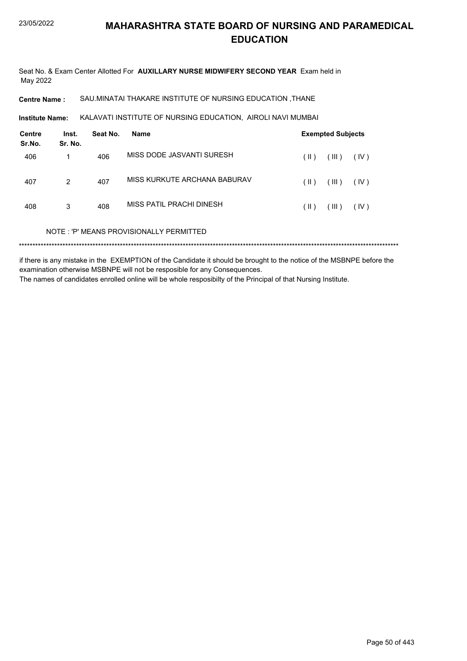Seat No. & Exam Center Allotted For **AUXILLARY NURSE MIDWIFERY SECOND YEAR** Exam held in May 2022

**Centre Name :** SAU.MINATAI THAKARE INSTITUTE OF NURSING EDUCATION ,THANE

KALAVATI INSTITUTE OF NURSING EDUCATION, AIROLI NAVI MUMBAI **Institute Name:**

| <b>Centre</b><br>Sr.No. | Inst.<br>Sr. No. | Seat No. | Name                                    |               | <b>Exempted Subjects</b> |      |
|-------------------------|------------------|----------|-----------------------------------------|---------------|--------------------------|------|
| 406                     |                  | 406      | MISS DODE JASVANTI SURESH               | (  )          | (III)                    | (IV) |
| 407                     | 2                | 407      | MISS KURKUTE ARCHANA BABURAV            | (  )          | (III)                    | (IV) |
| 408                     | 3                | 408      | MISS PATIL PRACHI DINESH                | $(\parallel)$ | (III)                    | (IV) |
|                         |                  |          | NOTE: 'P' MEANS PROVISIONALLY PERMITTED |               |                          |      |
|                         |                  |          |                                         |               |                          |      |

if there is any mistake in the EXEMPTION of the Candidate it should be brought to the notice of the MSBNPE before the examination otherwise MSBNPE will not be resposible for any Consequences. The names of candidates enrolled online will be whole resposibilty of the Principal of that Nursing Institute.

Page 50 of 443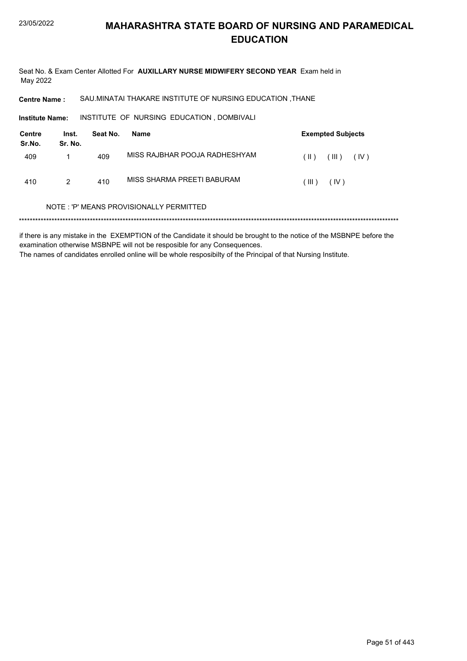Seat No. & Exam Center Allotted For AUXILLARY NURSE MIDWIFERY SECOND YEAR Exam held in May 2022

SAU.MINATAI THAKARE INSTITUTE OF NURSING EDUCATION , THANE **Centre Name:** 

INSTITUTE OF NURSING EDUCATION , DOMBIVALI Institute Name:

| Centre<br>Sr.No. | Inst.<br>Sr. No. | Seat No. | Name                          |          | <b>Exempted Subjects</b> |
|------------------|------------------|----------|-------------------------------|----------|--------------------------|
| 409              |                  | 409      | MISS RAJBHAR POOJA RADHESHYAM | $(\  \)$ | TIL)<br>(IV)             |
| 410              | 2                | 410      | MISS SHARMA PREETI BABURAM    | $III$ )  | (IV)                     |

### NOTE: 'P' MEANS PROVISIONALLY PERMITTED

if there is any mistake in the EXEMPTION of the Candidate it should be brought to the notice of the MSBNPE before the examination otherwise MSBNPE will not be resposible for any Consequences. The names of candidates enrolled online will be whole resposibilty of the Principal of that Nursing Institute.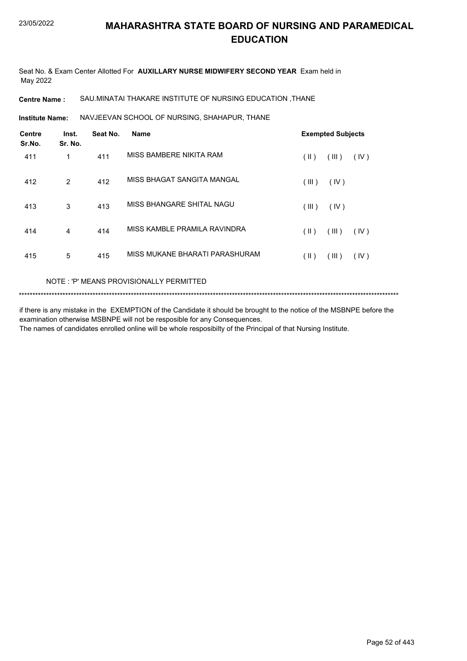Seat No. & Exam Center Allotted For **AUXILLARY NURSE MIDWIFERY SECOND YEAR** Exam held in May 2022

### **Centre Name :** SAU.MINATAI THAKARE INSTITUTE OF NURSING EDUCATION ,THANE

NAVJEEVAN SCHOOL OF NURSING, SHAHAPUR, THANE **Institute Name:**

| <b>Centre</b><br>Sr.No. | Inst.<br>Sr. No. | Seat No. | <b>Name</b>                    |       | <b>Exempted Subjects</b> |      |
|-------------------------|------------------|----------|--------------------------------|-------|--------------------------|------|
| 411                     | 1                | 411      | MISS BAMBERE NIKITA RAM        | (  )  | (III)                    | (IV) |
| 412                     | 2                | 412      | MISS BHAGAT SANGITA MANGAL     | (III) | (IV)                     |      |
| 413                     | 3                | 413      | MISS BHANGARE SHITAL NAGU      | (III) | (IV)                     |      |
| 414                     | $\overline{4}$   | 414      | MISS KAMBLE PRAMILA RAVINDRA   | (  )  | (III)                    | (IV) |
| 415                     | 5                | 415      | MISS MUKANE BHARATI PARASHURAM | (  )  | (III)                    | (IV) |

### NOTE : 'P' MEANS PROVISIONALLY PERMITTED

```
*******************************************************************************************************************************************
```
if there is any mistake in the EXEMPTION of the Candidate it should be brought to the notice of the MSBNPE before the examination otherwise MSBNPE will not be resposible for any Consequences. The names of candidates enrolled online will be whole resposibilty of the Principal of that Nursing Institute.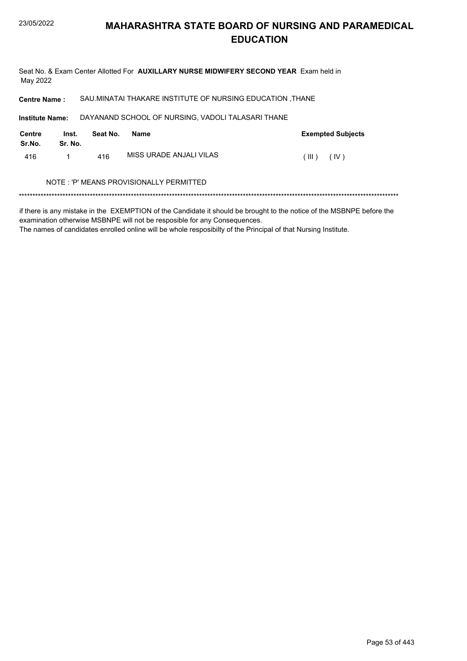Seat No. & Exam Center Allotted For AUXILLARY NURSE MIDWIFERY SECOND YEAR Exam held in May 2022

SAU.MINATAI THAKARE INSTITUTE OF NURSING EDUCATION , THANE **Centre Name:** DAYANAND SCHOOL OF NURSING, VADOLI TALASARI THANE **Institute Name: Centre** Inst. Seat No. **Name Exempted Subjects** Sr.No. Sr. No. MISS URADE ANJALI VILAS 416  $\mathbf{1}$ 416  $(III)$   $(IV)$ NOTE: 'P' MEANS PROVISIONALLY PERMITTED 

if there is any mistake in the EXEMPTION of the Candidate it should be brought to the notice of the MSBNPE before the examination otherwise MSBNPE will not be resposible for any Consequences.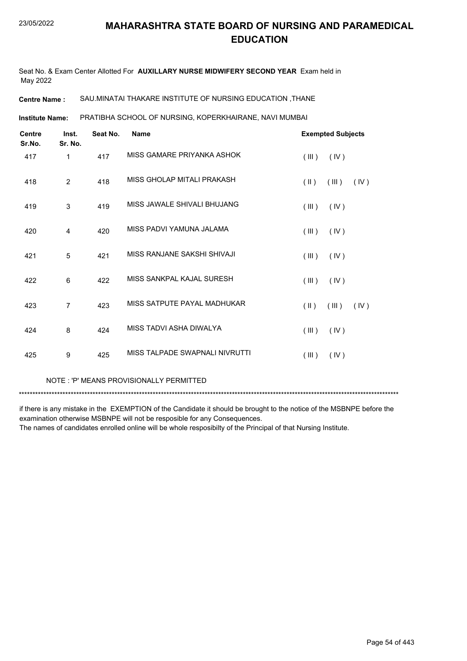Seat No. & Exam Center Allotted For **AUXILLARY NURSE MIDWIFERY SECOND YEAR** Exam held in May 2022

**Centre Name :** SAU.MINATAI THAKARE INSTITUTE OF NURSING EDUCATION ,THANE

PRATIBHA SCHOOL OF NURSING, KOPERKHAIRANE, NAVI MUMBAI **Institute Name:**

| <b>Centre</b><br>Sr.No. | Inst.<br>Sr. No. | Seat No. | <b>Name</b>                    |                         | <b>Exempted Subjects</b> |      |
|-------------------------|------------------|----------|--------------------------------|-------------------------|--------------------------|------|
| 417                     | 1                | 417      | MISS GAMARE PRIYANKA ASHOK     | (III)                   | (IV)                     |      |
| 418                     | 2                | 418      | MISS GHOLAP MITALI PRAKASH     | $(\parallel \parallel)$ | (III)                    | (IV) |
| 419                     | 3                | 419      | MISS JAWALE SHIVALI BHUJANG    | (III)                   | (IV)                     |      |
| 420                     | 4                | 420      | MISS PADVI YAMUNA JALAMA       | (III)                   | (IV)                     |      |
| 421                     | 5                | 421      | MISS RANJANE SAKSHI SHIVAJI    | (III)                   | (IV)                     |      |
| 422                     | 6                | 422      | MISS SANKPAL KAJAL SURFSH      | (III)                   | (IV)                     |      |
| 423                     | $\overline{7}$   | 423      | MISS SATPUTE PAYAL MADHUKAR    | $(\parallel \parallel)$ | (III)                    | (IV) |
| 424                     | 8                | 424      | MISS TADVI ASHA DIWALYA        | (III)                   | (IV)                     |      |
| 425                     | 9                | 425      | MISS TALPADE SWAPNALI NIVRUTTI | (III)                   | (IV)                     |      |
|                         |                  |          |                                |                         |                          |      |

NOTE : 'P' MEANS PROVISIONALLY PERMITTED

\*\*\*\*\*\*\*\*\*\*\*\*\*\*\*\*\*\*\*\*\*\*\*\*\*\*\*\*\*\*\*\*\*\*\*\*\*\*\*\*\*\*\*\*\*\*\*\*\*\*\*\*\*\*\*\*\*\*\*\*\*\*\*\*\*\*\*\*\*\*\*\*\*\*\*\*\*\*\*\*\*\*\*\*\*\*\*\*\*\*\*\*\*\*\*\*\*\*\*\*\*\*\*\*\*\*\*\*\*\*\*\*\*\*\*\*\*\*\*\*\*\*\*\*\*\*\*\*\*\*\*\*\*\*\*\*\*\*\*

if there is any mistake in the EXEMPTION of the Candidate it should be brought to the notice of the MSBNPE before the examination otherwise MSBNPE will not be resposible for any Consequences.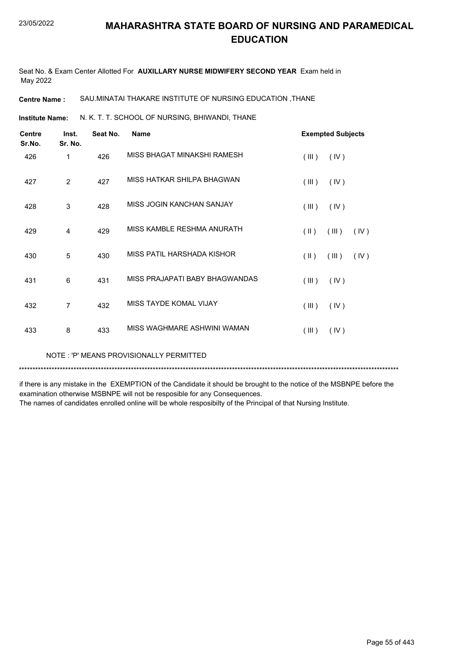Seat No. & Exam Center Allotted For **AUXILLARY NURSE MIDWIFERY SECOND YEAR** Exam held in May 2022

**Centre Name :** SAU.MINATAI THAKARE INSTITUTE OF NURSING EDUCATION ,THANE

N. K. T. T. SCHOOL OF NURSING, BHIWANDI, THANE **Institute Name:**

| <b>Centre</b><br>Sr.No. | Inst.<br>Sr. No. | Seat No. | <b>Name</b>                    |                         | <b>Exempted Subjects</b> |      |
|-------------------------|------------------|----------|--------------------------------|-------------------------|--------------------------|------|
| 426                     | 1                | 426      | MISS BHAGAT MINAKSHI RAMESH    | (III)                   | (IV)                     |      |
| 427                     | $\overline{2}$   | 427      | MISS HATKAR SHILPA BHAGWAN     | (III)                   | (IV)                     |      |
| 428                     | 3                | 428      | MISS JOGIN KANCHAN SANJAY      | (III)                   | (IV)                     |      |
| 429                     | $\overline{4}$   | 429      | MISS KAMBLE RESHMA ANURATH     | $(\parallel \parallel)$ | (III)                    | (IV) |
| 430                     | 5                | 430      | MISS PATIL HARSHADA KISHOR     | $(\parallel \parallel)$ | (III)                    | (IV) |
| 431                     | 6                | 431      | MISS PRAJAPATI BABY BHAGWANDAS | (III)                   | (IV)                     |      |
| 432                     | 7                | 432      | MISS TAYDE KOMAL VIJAY         | (III)                   | (IV)                     |      |
| 433                     | 8                | 433      | MISS WAGHMARE ASHWINI WAMAN    | (III)                   | (IV)                     |      |

NOTE : 'P' MEANS PROVISIONALLY PERMITTED

\*\*\*\*\*\*\*\*\*\*\*\*\*\*\*\*\*\*\*\*\*\*\*\*\*\*\*\*\*\*\*\*\*\*\*\*\*\*\*\*\*\*\*\*\*\*\*\*\*\*\*\*\*\*\*\*\*\*\*\*\*\*\*\*\*\*\*\*\*\*\*\*\*\*\*\*\*\*\*\*\*\*\*\*\*\*\*\*\*\*\*\*\*\*\*\*\*\*\*\*\*\*\*\*\*\*\*\*\*\*\*\*\*\*\*\*\*\*\*\*\*\*\*\*\*\*\*\*\*\*\*\*\*\*\*\*\*\*\*

if there is any mistake in the EXEMPTION of the Candidate it should be brought to the notice of the MSBNPE before the examination otherwise MSBNPE will not be resposible for any Consequences.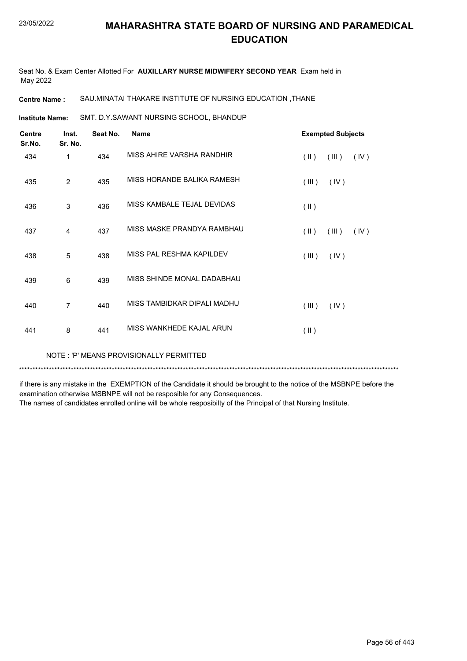Seat No. & Exam Center Allotted For **AUXILLARY NURSE MIDWIFERY SECOND YEAR** Exam held in May 2022

**Centre Name :** SAU.MINATAI THAKARE INSTITUTE OF NURSING EDUCATION ,THANE

SMT. D.Y.SAWANT NURSING SCHOOL, BHANDUP **Institute Name:**

| <b>Centre</b><br>Sr.No. | Inst.<br>Sr. No. | Seat No. | <b>Name</b>                 | <b>Exempted Subjects</b>       |
|-------------------------|------------------|----------|-----------------------------|--------------------------------|
| 434                     | 1                | 434      | MISS AHIRE VARSHA RANDHIR   | $(\parallel)$<br>(III)<br>(IV) |
| 435                     | $\overline{2}$   | 435      | MISS HORANDE BALIKA RAMESH  | (III)<br>(IV)                  |
| 436                     | 3                | 436      | MISS KAMBALE TEJAL DEVIDAS  | $($ II $)$                     |
| 437                     | 4                | 437      | MISS MASKE PRANDYA RAMBHAU  | $($ II $)$<br>(III)<br>(IV)    |
| 438                     | 5                | 438      | MISS PAL RESHMA KAPILDEV    | (III)<br>(IV)                  |
| 439                     | 6                | 439      | MISS SHINDE MONAL DADABHAU  |                                |
| 440                     | 7                | 440      | MISS TAMBIDKAR DIPALI MADHU | (III)<br>(IV)                  |
| 441                     | 8                | 441      | MISS WANKHEDE KAJAL ARUN    | $($ II $)$                     |

NOTE : 'P' MEANS PROVISIONALLY PERMITTED

\*\*\*\*\*\*\*\*\*\*\*\*\*\*\*\*\*\*\*\*\*\*\*\*\*\*\*\*\*\*\*\*\*\*\*\*\*\*\*\*\*\*\*\*\*\*\*\*\*\*\*\*\*\*\*\*\*\*\*\*\*\*\*\*\*\*\*\*\*\*\*\*\*\*\*\*\*\*\*\*\*\*\*\*\*\*\*\*\*\*\*\*\*\*\*\*\*\*\*\*\*\*\*\*\*\*\*\*\*\*\*\*\*\*\*\*\*\*\*\*\*\*\*\*\*\*\*\*\*\*\*\*\*\*\*\*\*\*\*

if there is any mistake in the EXEMPTION of the Candidate it should be brought to the notice of the MSBNPE before the examination otherwise MSBNPE will not be resposible for any Consequences.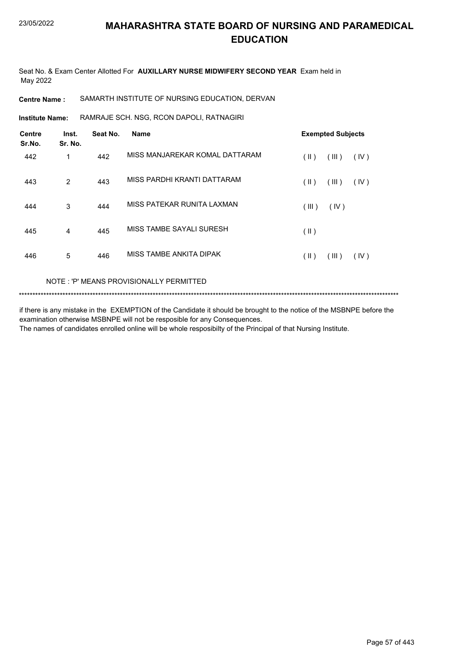Seat No. & Exam Center Allotted For **AUXILLARY NURSE MIDWIFERY SECOND YEAR** Exam held in May 2022

**Centre Name :** SAMARTH INSTITUTE OF NURSING EDUCATION, DERVAN

RAMRAJE SCH. NSG, RCON DAPOLI, RATNAGIRI **Institute Name:**

| <b>Centre</b><br>Sr.No. | Inst.<br>Sr. No. | Seat No. | <b>Name</b>                    | <b>Exempted Subjects</b>         |
|-------------------------|------------------|----------|--------------------------------|----------------------------------|
| 442                     | 1                | 442      | MISS MANJAREKAR KOMAL DATTARAM | (  )<br>(III)<br>(IV)            |
| 443                     | 2                | 443      | MISS PARDHI KRANTI DATTARAM    | (  )<br>(III)<br>(IV)            |
| 444                     | 3                | 444      | MISS PATEKAR RUNITA LAXMAN     | (III)<br>(IV)                    |
| 445                     | $\overline{4}$   | 445      | MISS TAMBE SAYALI SURESH       | $(\parallel)$                    |
| 446                     | 5                | 446      | MISS TAMBE ANKITA DIPAK        | $( \parallel )$<br>(III)<br>(IV) |

### NOTE : 'P' MEANS PROVISIONALLY PERMITTED

\*\*\*\*\*\*\*\*\*\*\*\*\*\*\*\*\*\*\*\*\*\*\*\*\*\*\*\*\*\*\*\*\*\*\*\*\*\*\*\*\*\*\*\*\*\*\*\*\*\*\*\*\*\*\*\*\*\*\*\*\*\*\*\*\*\*\*\*\*\*\*\*\*\*\*\*\*\*\*\*\*\*\*\*\*\*\*\*\*\*\*\*\*\*\*\*\*\*\*\*\*\*\*\*\*\*\*\*\*\*\*\*\*\*\*\*\*\*\*\*\*\*\*\*\*\*\*\*\*\*\*\*\*\*\*\*\*\*\*

if there is any mistake in the EXEMPTION of the Candidate it should be brought to the notice of the MSBNPE before the examination otherwise MSBNPE will not be resposible for any Consequences. The names of candidates enrolled online will be whole resposibilty of the Principal of that Nursing Institute.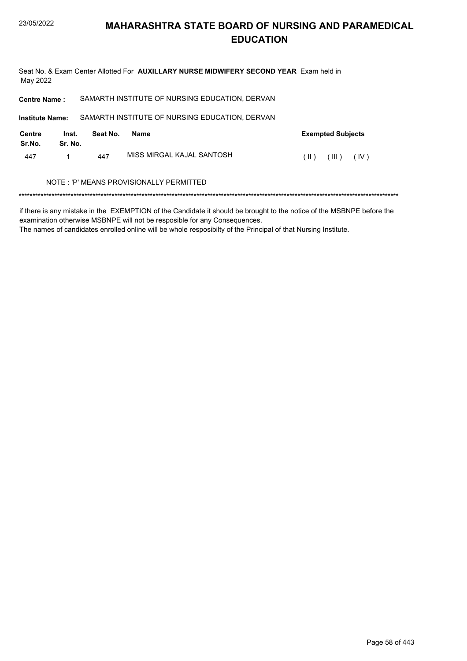447

# **MAHARASHTRA STATE BOARD OF NURSING AND PARAMEDICAL EDUCATION**

Seat No. & Exam Center Allotted For AUXILLARY NURSE MIDWIFERY SECOND YEAR Exam held in May 2022 SAMARTH INSTITUTE OF NURSING EDUCATION, DERVAN **Centre Name:** SAMARTH INSTITUTE OF NURSING EDUCATION, DERVAN **Institute Name: Centre** Inst. Seat No. **Exempted Subjects Name** Sr.No. Sr. No.

MISS MIRGAL KAJAL SANTOSH  $(11)$   $(11)$   $(10)$  $\mathbf{1}$ 447

### NOTE: 'P' MEANS PROVISIONALLY PERMITTED

if there is any mistake in the EXEMPTION of the Candidate it should be brought to the notice of the MSBNPE before the examination otherwise MSBNPE will not be resposible for any Consequences.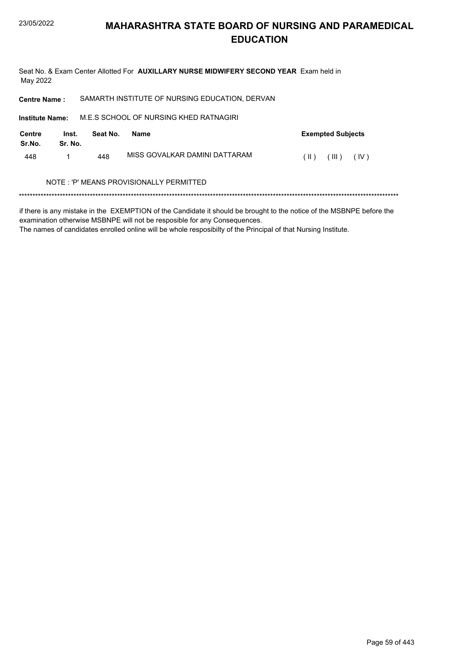Seat No. & Exam Center Allotted For AUXILLARY NURSE MIDWIFERY SECOND YEAR Exam held in May 2022

SAMARTH INSTITUTE OF NURSING EDUCATION, DERVAN **Centre Name:** 

M.E.S SCHOOL OF NURSING KHED RATNAGIRI **Institute Name: Centre** Inst. Seat No. **Exempted Subjects Name** Sr.No. Sr. No. MISS GOVALKAR DAMINI DATTARAM  $(11)$   $(11)$   $(10)$ 448  $\mathbf{1}$ 448

### NOTE: 'P' MEANS PROVISIONALLY PERMITTED

if there is any mistake in the EXEMPTION of the Candidate it should be brought to the notice of the MSBNPE before the examination otherwise MSBNPE will not be resposible for any Consequences.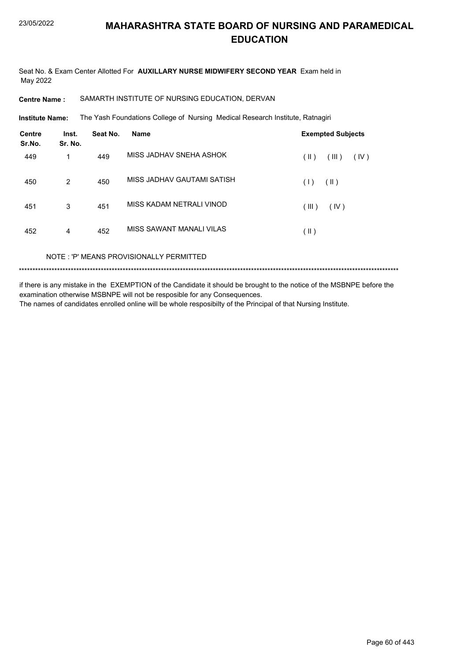Seat No. & Exam Center Allotted For AUXILLARY NURSE MIDWIFERY SECOND YEAR Exam held in May 2022

SAMARTH INSTITUTE OF NURSING EDUCATION, DERVAN **Centre Name:** 

**Institute Name:** The Yash Foundations College of Nursing Medical Research Institute, Ratnagiri

| <b>Centre</b><br>Sr.No. | Inst.<br>Sr. No. | Seat No. | <b>Name</b>                | <b>Exempted Subjects</b> |
|-------------------------|------------------|----------|----------------------------|--------------------------|
| 449                     | 1                | 449      | MISS JADHAV SNEHA ASHOK    | (  )<br>(III)<br>(IV)    |
| 450                     | 2                | 450      | MISS JADHAV GAUTAMI SATISH | $(\parallel)$<br>(1)     |
| 451                     | 3                | 451      | MISS KADAM NETRALI VINOD   | (III)<br>(IV)            |
| 452                     | 4                | 452      | MISS SAWANT MANALI VILAS   | $(\parallel)$            |
|                         |                  |          |                            |                          |

NOTE: 'P' MEANS PROVISIONALLY PERMITTED

if there is any mistake in the EXEMPTION of the Candidate it should be brought to the notice of the MSBNPE before the examination otherwise MSBNPE will not be resposible for any Consequences. The names of candidates enrolled online will be whole resposibilty of the Principal of that Nursing Institute.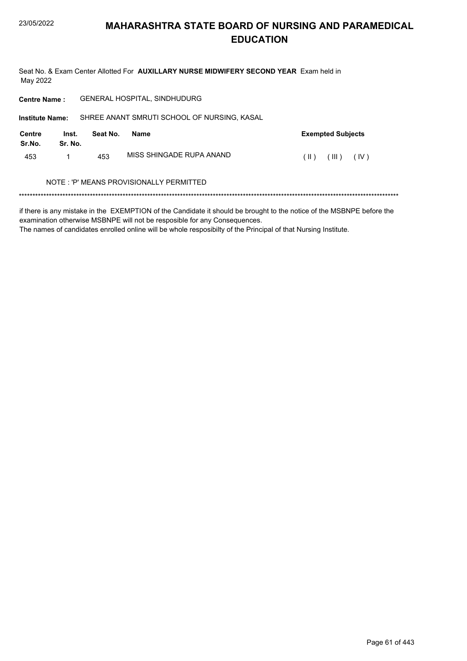Seat No. & Exam Center Allotted For AUXILLARY NURSE MIDWIFERY SECOND YEAR Exam held in May 2022

| <b>Centre Name:</b>     |                  |          | <b>GENERAL HOSPITAL, SINDHUDURG</b>         |                          |
|-------------------------|------------------|----------|---------------------------------------------|--------------------------|
| <b>Institute Name:</b>  |                  |          | SHREE ANANT SMRUTI SCHOOL OF NURSING, KASAL |                          |
| <b>Centre</b><br>Sr.No. | Inst.<br>Sr. No. | Seat No. | Name                                        | <b>Exempted Subjects</b> |
| 453                     |                  | 453      | MISS SHINGADE RUPA ANAND                    | (IV)<br>(III)<br>(  )    |
|                         |                  |          | NOTE : 'P' MEANS PROVISIONALLY PERMITTED    |                          |
|                         |                  |          |                                             |                          |

if there is any mistake in the EXEMPTION of the Candidate it should be brought to the notice of the MSBNPE before the examination otherwise MSBNPE will not be resposible for any Consequences.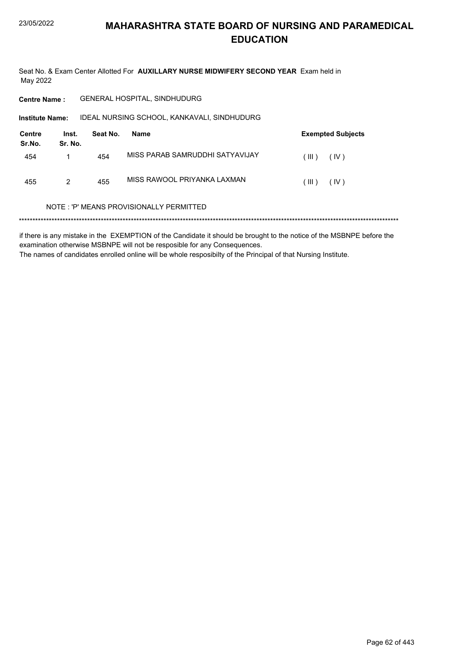Seat No. & Exam Center Allotted For AUXILLARY NURSE MIDWIFERY SECOND YEAR Exam held in May 2022

**Centre Name:** GENERAL HOSPITAL, SINDHUDURG

IDEAL NURSING SCHOOL, KANKAVALI, SINDHUDURG Institute Name:

| Centre<br>Sr.No. | Inst.<br>Sr. No. | Seat No. | Name                            |         | <b>Exempted Subjects</b> |
|------------------|------------------|----------|---------------------------------|---------|--------------------------|
| 454              |                  | 454      | MISS PARAB SAMRUDDHI SATYAVIJAY | . III ) | (IV)                     |
| 455              | 2                | 455      | MISS RAWOOL PRIYANKA LAXMAN     | . III ) | (IV)                     |

### NOTE: 'P' MEANS PROVISIONALLY PERMITTED

if there is any mistake in the EXEMPTION of the Candidate it should be brought to the notice of the MSBNPE before the examination otherwise MSBNPE will not be resposible for any Consequences. The names of candidates enrolled online will be whole resposibilty of the Principal of that Nursing Institute.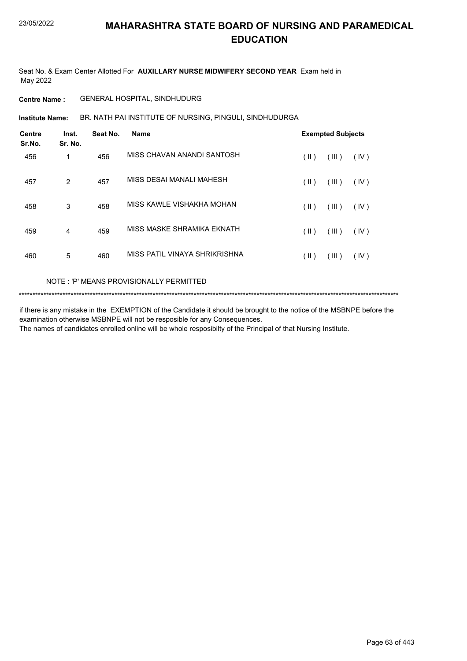Seat No. & Exam Center Allotted For **AUXILLARY NURSE MIDWIFERY SECOND YEAR** Exam held in May 2022

### **Centre Name :** GENERAL HOSPITAL, SINDHUDURG

BR. NATH PAI INSTITUTE OF NURSING, PINGULI, SINDHUDURGA **Institute Name:**

| <b>Centre</b><br>Sr.No. | Inst.<br>Sr. No. | Seat No. | <b>Name</b>                   |      | <b>Exempted Subjects</b> |      |
|-------------------------|------------------|----------|-------------------------------|------|--------------------------|------|
| 456                     | 1                | 456      | MISS CHAVAN ANANDI SANTOSH    | (  ) | (III)                    | (IV) |
| 457                     | $\overline{2}$   | 457      | MISS DESAI MANALI MAHESH      | (  ) | (III)                    | (IV) |
| 458                     | 3                | 458      | MISS KAWLE VISHAKHA MOHAN     | (  ) | (III)                    | (IV) |
| 459                     | 4                | 459      | MISS MASKE SHRAMIKA EKNATH    | (  ) | (III)                    | (IV) |
| 460                     | 5                | 460      | MISS PATIL VINAYA SHRIKRISHNA | (  ) | (III)                    | (IV) |

### NOTE : 'P' MEANS PROVISIONALLY PERMITTED

```
*******************************************************************************************************************************************
```
if there is any mistake in the EXEMPTION of the Candidate it should be brought to the notice of the MSBNPE before the examination otherwise MSBNPE will not be resposible for any Consequences. The names of candidates enrolled online will be whole resposibilty of the Principal of that Nursing Institute.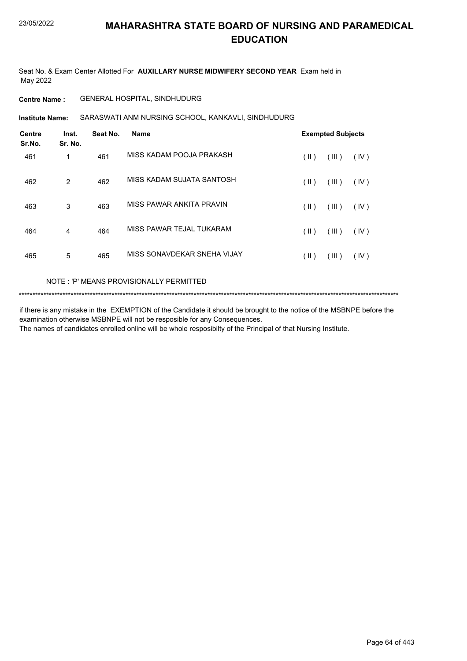Seat No. & Exam Center Allotted For **AUXILLARY NURSE MIDWIFERY SECOND YEAR** Exam held in May 2022

### **Centre Name :** GENERAL HOSPITAL, SINDHUDURG

SARASWATI ANM NURSING SCHOOL, KANKAVLI, SINDHUDURG **Institute Name:**

| <b>Centre</b><br>Sr.No. | Inst.<br>Sr. No. | Seat No. | <b>Name</b>                 |      | <b>Exempted Subjects</b> |      |
|-------------------------|------------------|----------|-----------------------------|------|--------------------------|------|
| 461                     | 1                | 461      | MISS KADAM POOJA PRAKASH    | (  ) | (III)                    | (IV) |
| 462                     | $\overline{2}$   | 462      | MISS KADAM SUJATA SANTOSH   | (  ) | (III)                    | (IV) |
| 463                     | 3                | 463      | MISS PAWAR ANKITA PRAVIN    | (  ) | (III)                    | (IV) |
| 464                     | 4                | 464      | MISS PAWAR TEJAL TUKARAM    | (  ) | (III)                    | (IV) |
| 465                     | 5                | 465      | MISS SONAVDEKAR SNEHA VIJAY | (  ) | (III)                    | (IV) |

### NOTE : 'P' MEANS PROVISIONALLY PERMITTED

```
*******************************************************************************************************************************************
```
if there is any mistake in the EXEMPTION of the Candidate it should be brought to the notice of the MSBNPE before the examination otherwise MSBNPE will not be resposible for any Consequences. The names of candidates enrolled online will be whole resposibilty of the Principal of that Nursing Institute.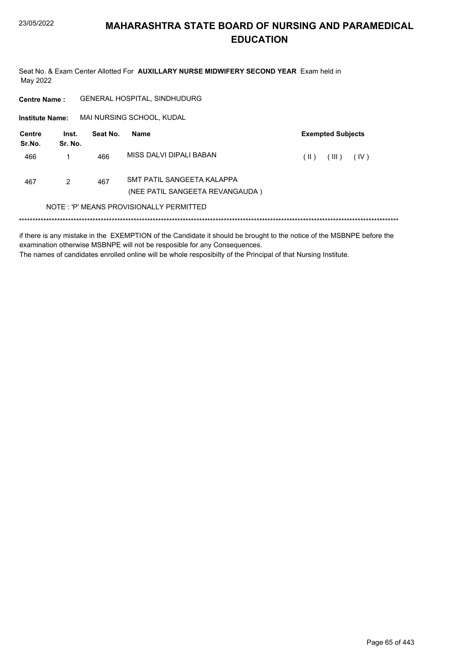Seat No. & Exam Center Allotted For AUXILLARY NURSE MIDWIFERY SECOND YEAR Exam held in May 2022

GENERAL HOSPITAL, SINDHUDURG **Centre Name:** MAI NURSING SCHOOL, KUDAL **Institute Name: Centre** Inst. **Exempted Subjects** Seat No. Name Sr.No. Sr. No. MISS DALVI DIPALI BABAN  $\left(\parallel\textbf{I}\parallel\textbf{I}\right) = \left(\parallel\textbf{II}\parallel\textbf{I}\right) = \left(\parallel\textbf{IV}\parallel\textbf{I}\parallel\textbf{I}\parallel\textbf{I}\parallel\textbf{I}\parallel\textbf{I}\parallel\textbf{I}\parallel\textbf{I}\parallel\textbf{I}\parallel\textbf{I}\parallel\textbf{I}\parallel\textbf{I}\parallel\textbf{I}\parallel\textbf{I}\parallel\textbf{I}\parallel\textbf{I}\parallel\textbf{I}\parallel\textbf{I}\parallel\textbf{I}\parallel\textbf{I}\parallel\textbf{I}\parallel\textbf{I}\parallel\textbf{I}\parallel\textbf{I}\parallel\textbf{I}\parallel\$ 466  $\mathbf{1}$ 466 SMT PATIL SANGEETA KALAPPA 467  $\overline{2}$ 467 (NEE PATIL SANGEETA REVANGAUDA) NOTE: 'P' MEANS PROVISIONALLY PERMITTED 

if there is any mistake in the EXEMPTION of the Candidate it should be brought to the notice of the MSBNPE before the examination otherwise MSBNPE will not be resposible for any Consequences. The names of candidates enrolled online will be whole resposibilty of the Principal of that Nursing Institute.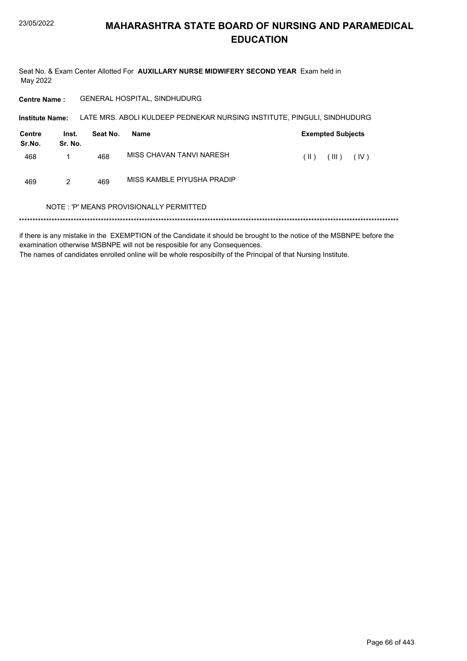Seat No. & Exam Center Allotted For AUXILLARY NURSE MIDWIFERY SECOND YEAR Exam held in May 2022

**Centre Name:** GENERAL HOSPITAL, SINDHUDURG

Institute Name: LATE MRS. ABOLI KULDEEP PEDNEKAR NURSING INSTITUTE, PINGULI, SINDHUDURG

| Centre<br>Sr.No. | Inst.<br>Sr. No. | Seat No. | Name                       | <b>Exempted Subjects</b> |  |  |
|------------------|------------------|----------|----------------------------|--------------------------|--|--|
| 468              |                  | 468      | MISS CHAVAN TANVI NARESH   | (III)<br>(IV)<br>(  )    |  |  |
| 469              | 2                | 469      | MISS KAMBLE PIYUSHA PRADIP |                          |  |  |

### NOTE: 'P' MEANS PROVISIONALLY PERMITTED

if there is any mistake in the EXEMPTION of the Candidate it should be brought to the notice of the MSBNPE before the examination otherwise MSBNPE will not be resposible for any Consequences. The names of candidates enrolled online will be whole resposibilty of the Principal of that Nursing Institute.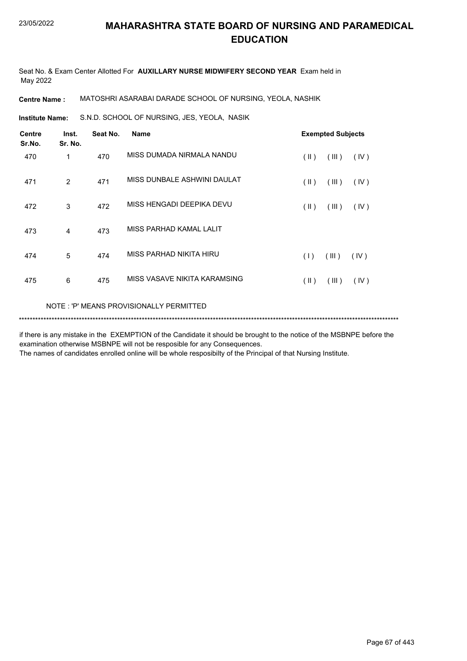Seat No. & Exam Center Allotted For **AUXILLARY NURSE MIDWIFERY SECOND YEAR** Exam held in May 2022

**Centre Name :** MATOSHRI ASARABAI DARADE SCHOOL OF NURSING, YEOLA, NASHIK

S.N.D. SCHOOL OF NURSING, JES, YEOLA, NASIK **Institute Name:**

| <b>Centre</b><br>Sr.No.                 | Inst.<br>Sr. No. | Seat No. | <b>Name</b>                  | <b>Exempted Subjects</b> |                |      |
|-----------------------------------------|------------------|----------|------------------------------|--------------------------|----------------|------|
| 470                                     | 1                | 470      | MISS DUMADA NIRMALA NANDU    | $(\parallel)$            | $(\mathbb{H})$ | (IV) |
| 471                                     | 2                | 471      | MISS DUNBALE ASHWINI DAULAT  | $(\parallel)$            | (III)          | (IV) |
| 472                                     | 3                | 472      | MISS HENGADI DEEPIKA DEVU    | $(\parallel)$            | (III)          | (IV) |
| 473                                     | 4                | 473      | MISS PARHAD KAMAL LALIT      |                          |                |      |
| 474                                     | 5                | 474      | MISS PARHAD NIKITA HIRU      | (1)                      | (III)          | (IV) |
| 475                                     | 6                | 475      | MISS VASAVE NIKITA KARAMSING | $(\parallel)$            | (III)          | (IV) |
| NOTE: 'P' MEANS PROVISIONALLY PERMITTED |                  |          |                              |                          |                |      |

\*\*\*\*\*\*\*\*\*\*\*\*\*\*\*\*\*\*\*\*\*\*\*\*\*\*\*\*\*\*\*\*\*\*\*\*\*\*\*\*\*\*\*\*\*\*\*\*\*\*\*\*\*\*\*\*\*\*\*\*\*\*\*\*\*\*\*\*\*\*\*\*\*\*\*\*\*\*\*\*\*\*\*\*\*\*\*\*\*\*\*\*\*\*\*\*\*\*\*\*\*\*\*\*\*\*\*\*\*\*\*\*\*\*\*\*\*\*\*\*\*\*\*\*\*\*\*\*\*\*\*\*\*\*\*\*\*\*\*

if there is any mistake in the EXEMPTION of the Candidate it should be brought to the notice of the MSBNPE before the examination otherwise MSBNPE will not be resposible for any Consequences.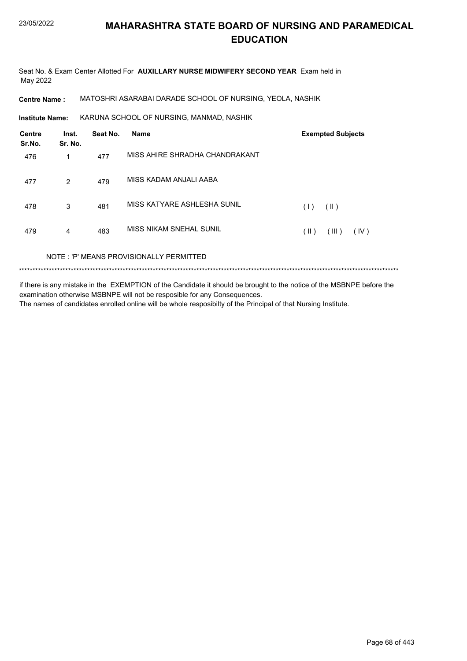Seat No. & Exam Center Allotted For **AUXILLARY NURSE MIDWIFERY SECOND YEAR** Exam held in May 2022

**Centre Name :** MATOSHRI ASARABAI DARADE SCHOOL OF NURSING, YEOLA, NASHIK

KARUNA SCHOOL OF NURSING, MANMAD, NASHIK **Institute Name:**

| Centre<br>Sr.No. | Inst.<br>Sr. No. | Seat No. | <b>Name</b>                             | <b>Exempted Subjects</b>       |  |  |
|------------------|------------------|----------|-----------------------------------------|--------------------------------|--|--|
| 476              | 1                | 477      | MISS AHIRE SHRADHA CHANDRAKANT          |                                |  |  |
| 477              | 2                | 479      | MISS KADAM ANJALI AABA                  |                                |  |  |
| 478              | 3                | 481      | MISS KATYARE ASHLESHA SUNIL             | $(\parallel)$<br>(1)           |  |  |
| 479              | 4                | 483      | MISS NIKAM SNEHAL SUNIL                 | $(\parallel)$<br>(III)<br>(IV) |  |  |
|                  |                  |          | NOTE: 'P' MEANS PROVISIONALLY PERMITTED |                                |  |  |
|                  |                  |          |                                         |                                |  |  |

if there is any mistake in the EXEMPTION of the Candidate it should be brought to the notice of the MSBNPE before the examination otherwise MSBNPE will not be resposible for any Consequences. The names of candidates enrolled online will be whole resposibilty of the Principal of that Nursing Institute.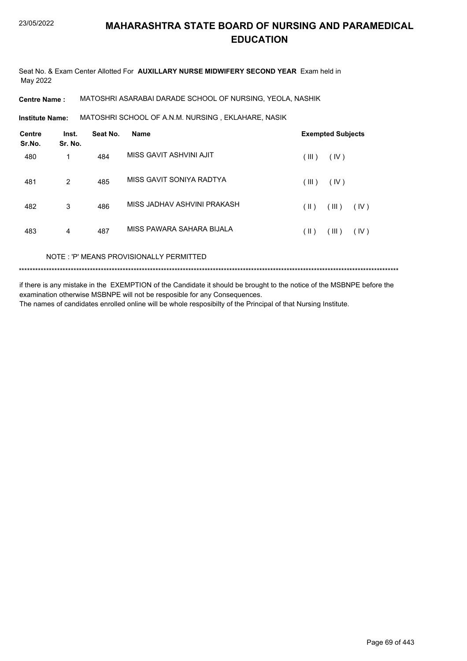Seat No. & Exam Center Allotted For **AUXILLARY NURSE MIDWIFERY SECOND YEAR** Exam held in May 2022

**Centre Name :** MATOSHRI ASARABAI DARADE SCHOOL OF NURSING, YEOLA, NASHIK

MATOSHRI SCHOOL OF A.N.M. NURSING , EKLAHARE, NASIK **Institute Name:**

| <b>Centre</b><br>Sr.No. | Inst.<br>Sr. No. | Seat No. | <b>Name</b>                 | <b>Exempted Subjects</b> |  |  |
|-------------------------|------------------|----------|-----------------------------|--------------------------|--|--|
| 480                     | 1                | 484      | MISS GAVIT ASHVINI AJIT     | (III)<br>(IV)            |  |  |
| 481                     | 2                | 485      | MISS GAVIT SONIYA RADTYA    | (III)<br>(IV)            |  |  |
| 482                     | 3                | 486      | MISS JADHAV ASHVINI PRAKASH | (III)<br>(  )<br>(IV)    |  |  |
| 483                     | 4                | 487      | MISS PAWARA SAHARA BIJALA   | (III)<br>(  )<br>(IV)    |  |  |
|                         |                  |          |                             |                          |  |  |

NOTE : 'P' MEANS PROVISIONALLY PERMITTED

\*\*\*\*\*\*\*\*\*\*\*\*\*\*\*\*\*\*\*\*\*\*\*\*\*\*\*\*\*\*\*\*\*\*\*\*\*\*\*\*\*\*\*\*\*\*\*\*\*\*\*\*\*\*\*\*\*\*\*\*\*\*\*\*\*\*\*\*\*\*\*\*\*\*\*\*\*\*\*\*\*\*\*\*\*\*\*\*\*\*\*\*\*\*\*\*\*\*\*\*\*\*\*\*\*\*\*\*\*\*\*\*\*\*\*\*\*\*\*\*\*\*\*\*\*\*\*\*\*\*\*\*\*\*\*\*\*\*\*

if there is any mistake in the EXEMPTION of the Candidate it should be brought to the notice of the MSBNPE before the examination otherwise MSBNPE will not be resposible for any Consequences.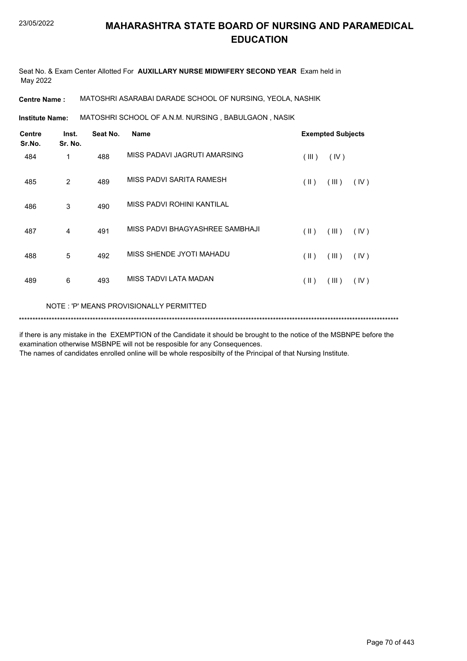Seat No. & Exam Center Allotted For **AUXILLARY NURSE MIDWIFERY SECOND YEAR** Exam held in May 2022

**Centre Name :** MATOSHRI ASARABAI DARADE SCHOOL OF NURSING, YEOLA, NASHIK

MATOSHRI SCHOOL OF A.N.M. NURSING , BABULGAON , NASIK **Institute Name:**

| Centre<br>Sr.No. | Inst.<br>Sr. No. | Seat No. | <b>Name</b>                             |               | <b>Exempted Subjects</b> |      |  |
|------------------|------------------|----------|-----------------------------------------|---------------|--------------------------|------|--|
| 484              | 1                | 488      | MISS PADAVI JAGRUTI AMARSING            | (III)         | (IV)                     |      |  |
| 485              | 2                | 489      | MISS PADVI SARITA RAMESH                | $(\parallel)$ | (III)                    | (IV) |  |
| 486              | 3                | 490      | MISS PADVI ROHINI KANTILAL              |               |                          |      |  |
| 487              | 4                | 491      | MISS PADVI BHAGYASHREE SAMBHAJI         | (  )          | (III)                    | (IV) |  |
| 488              | 5                | 492      | MISS SHENDE JYOTI MAHADU                | $(\parallel)$ | (III)                    | (IV) |  |
| 489              | 6                | 493      | MISS TADVI LATA MADAN                   | (  )          | (III)                    | (IV) |  |
|                  |                  |          | NOTE: 'P' MEANS PROVISIONALLY PERMITTED |               |                          |      |  |

\*\*\*\*\*\*\*\*\*\*\*\*\*\*\*\*\*\*\*\*\*\*\*\*\*\*\*\*\*\*\*\*\*\*\*\*\*\*\*\*\*\*\*\*\*\*\*\*\*\*\*\*\*\*\*\*\*\*\*\*\*\*\*\*\*\*\*\*\*\*\*\*\*\*\*\*\*\*\*\*\*\*\*\*\*\*\*\*\*\*\*\*\*\*\*\*\*\*\*\*\*\*\*\*\*\*\*\*\*\*\*\*\*\*\*\*\*\*\*\*\*\*\*\*\*\*\*\*\*\*\*\*\*\*\*\*\*\*\*

if there is any mistake in the EXEMPTION of the Candidate it should be brought to the notice of the MSBNPE before the examination otherwise MSBNPE will not be resposible for any Consequences.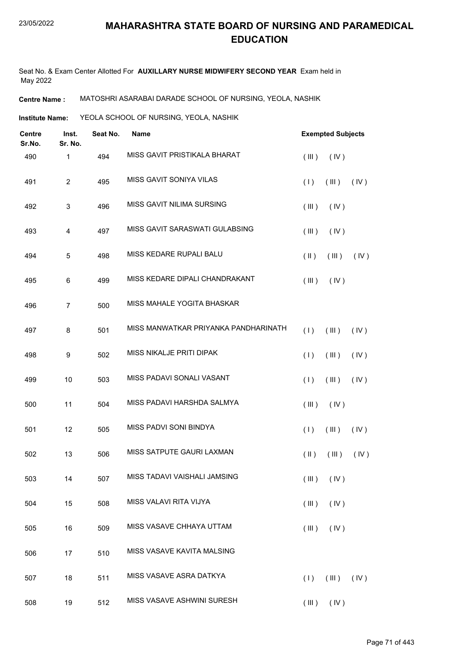Seat No. & Exam Center Allotted For **AUXILLARY NURSE MIDWIFERY SECOND YEAR** Exam held in May 2022

**Centre Name :** MATOSHRI ASARABAI DARADE SCHOOL OF NURSING, YEOLA, NASHIK

**Institute Name: YEOLA SCHOOL OF NURSING, YEOLA, NASHIK** 

| Centre<br>Sr.No. | Inst.<br>Sr. No. | Seat No. | <b>Name</b>                          | <b>Exempted Subjects</b> |                |      |
|------------------|------------------|----------|--------------------------------------|--------------------------|----------------|------|
| 490              | 1                | 494      | MISS GAVIT PRISTIKALA BHARAT         | (III)                    | (IV)           |      |
| 491              | $\overline{c}$   | 495      | MISS GAVIT SONIYA VILAS              | (1)                      | (III)          | (IV) |
| 492              | 3                | 496      | MISS GAVIT NILIMA SURSING            | (III)                    | (IV)           |      |
| 493              | 4                | 497      | MISS GAVIT SARASWATI GULABSING       | (III)                    | (IV)           |      |
| 494              | 5                | 498      | MISS KEDARE RUPALI BALU              | $(\parallel)$            | $($ III $)$    | (IV) |
| 495              | 6                | 499      | MISS KEDARE DIPALI CHANDRAKANT       | (III)                    | (IV)           |      |
| 496              | 7                | 500      | MISS MAHALE YOGITA BHASKAR           |                          |                |      |
| 497              | 8                | 501      | MISS MANWATKAR PRIYANKA PANDHARINATH | (1)                      | (III)          | (IV) |
| 498              | $\boldsymbol{9}$ | 502      | MISS NIKALJE PRITI DIPAK             | (1)                      | (III)          | (IV) |
| 499              | 10               | 503      | MISS PADAVI SONALI VASANT            | (1)                      | (III)          | (IV) |
| 500              | 11               | 504      | MISS PADAVI HARSHDA SALMYA           | (III)                    | (IV)           |      |
| 501              | 12               | 505      | MISS PADVI SONI BINDYA               | (1)                      | (III)          | (IV) |
| 502              | 13               | 506      | MISS SATPUTE GAURI LAXMAN            | $(\parallel)$            | (III)          | (IV) |
| 503              | 14               | 507      | MISS TADAVI VAISHALI JAMSING         |                          | $(III)$ $(IV)$ |      |
| 504              | 15               | 508      | MISS VALAVI RITA VIJYA               | (III)                    | (IV)           |      |
| 505              | 16               | 509      | MISS VASAVE CHHAYA UTTAM             | (III)                    | (IV)           |      |
| 506              | 17               | 510      | MISS VASAVE KAVITA MALSING           |                          |                |      |
| 507              | 18               | 511      | MISS VASAVE ASRA DATKYA              | (1)                      | (III)          | (IV) |
| 508              | 19               | 512      | MISS VASAVE ASHWINI SURESH           |                          | $(III)$ $(IV)$ |      |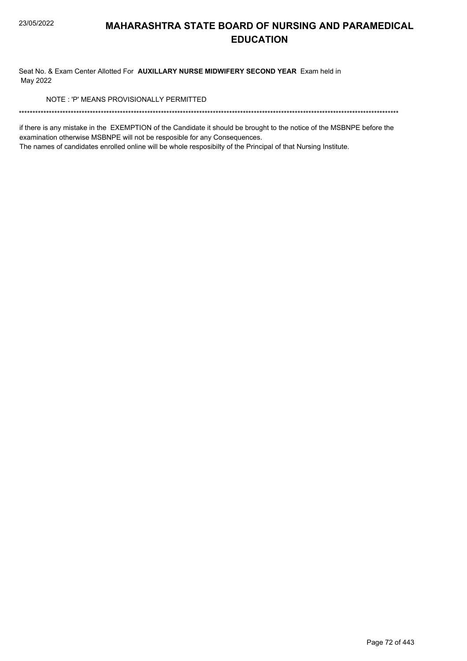Seat No. & Exam Center Allotted For AUXILLARY NURSE MIDWIFERY SECOND YEAR Exam held in May 2022

NOTE: 'P' MEANS PROVISIONALLY PERMITTED

if there is any mistake in the EXEMPTION of the Candidate it should be brought to the notice of the MSBNPE before the examination otherwise MSBNPE will not be resposible for any Consequences.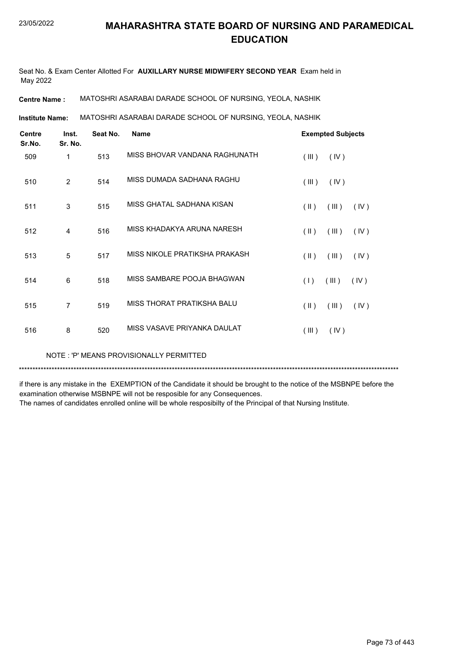Seat No. & Exam Center Allotted For **AUXILLARY NURSE MIDWIFERY SECOND YEAR** Exam held in May 2022

**Centre Name :** MATOSHRI ASARABAI DARADE SCHOOL OF NURSING, YEOLA, NASHIK

MATOSHRI ASARABAI DARADE SCHOOL OF NURSING, YEOLA, NASHIK **Institute Name:**

| <b>Centre</b><br>Sr.No. | Inst.<br>Sr. No. | Seat No. | <b>Name</b>                   |                                          | <b>Exempted Subjects</b> |  |  |
|-------------------------|------------------|----------|-------------------------------|------------------------------------------|--------------------------|--|--|
| 509                     | 1                | 513      | MISS BHOVAR VANDANA RAGHUNATH | (III)<br>(IV)                            |                          |  |  |
| 510                     | 2                | 514      | MISS DUMADA SADHANA RAGHU     | (III)<br>(IV)                            |                          |  |  |
| 511                     | 3                | 515      | MISS GHATAL SADHANA KISAN     | $(\parallel \parallel)$<br>(III)<br>(IV) |                          |  |  |
| 512                     | $\overline{4}$   | 516      | MISS KHADAKYA ARUNA NARESH    | (III)<br>$(\parallel \parallel)$<br>(IV) |                          |  |  |
| 513                     | 5                | 517      | MISS NIKOLE PRATIKSHA PRAKASH | $(\parallel)$<br>(III)<br>(IV)           |                          |  |  |
| 514                     | 6                | 518      | MISS SAMBARE POOJA BHAGWAN    | (1)<br>(III)<br>(IV)                     |                          |  |  |
| 515                     | $\overline{7}$   | 519      | MISS THORAT PRATIKSHA BALU    | $(\parallel)$<br>(III)<br>(IV)           |                          |  |  |
| 516                     | 8                | 520      | MISS VASAVE PRIYANKA DAULAT   | (III)<br>(IV)                            |                          |  |  |

NOTE : 'P' MEANS PROVISIONALLY PERMITTED

\*\*\*\*\*\*\*\*\*\*\*\*\*\*\*\*\*\*\*\*\*\*\*\*\*\*\*\*\*\*\*\*\*\*\*\*\*\*\*\*\*\*\*\*\*\*\*\*\*\*\*\*\*\*\*\*\*\*\*\*\*\*\*\*\*\*\*\*\*\*\*\*\*\*\*\*\*\*\*\*\*\*\*\*\*\*\*\*\*\*\*\*\*\*\*\*\*\*\*\*\*\*\*\*\*\*\*\*\*\*\*\*\*\*\*\*\*\*\*\*\*\*\*\*\*\*\*\*\*\*\*\*\*\*\*\*\*\*\*

if there is any mistake in the EXEMPTION of the Candidate it should be brought to the notice of the MSBNPE before the examination otherwise MSBNPE will not be resposible for any Consequences.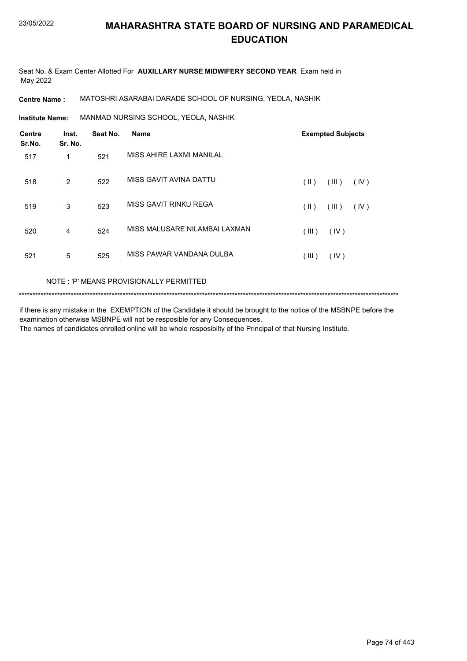Seat No. & Exam Center Allotted For **AUXILLARY NURSE MIDWIFERY SECOND YEAR** Exam held in May 2022

**Centre Name :** MATOSHRI ASARABAI DARADE SCHOOL OF NURSING, YEOLA, NASHIK

MANMAD NURSING SCHOOL, YEOLA, NASHIK **Institute Name:**

| <b>Centre</b><br>Sr.No. | Inst.<br>Sr. No. | Seat No. | <b>Name</b>                   |       | <b>Exempted Subjects</b> |      |
|-------------------------|------------------|----------|-------------------------------|-------|--------------------------|------|
| 517                     | 1                | 521      | MISS AHIRE LAXMI MANILAL      |       |                          |      |
| 518                     | 2                | 522      | MISS GAVIT AVINA DATTU        | (  )  | (III)                    | (IV) |
| 519                     | 3                | 523      | MISS GAVIT RINKU REGA         | (  )  | (III)                    | (IV) |
| 520                     | $\overline{4}$   | 524      | MISS MALUSARE NILAMBAI LAXMAN | (III) | (IV)                     |      |
| 521                     | 5                | 525      | MISS PAWAR VANDANA DULBA      | (III) | (IV)                     |      |

### NOTE : 'P' MEANS PROVISIONALLY PERMITTED

\*\*\*\*\*\*\*\*\*\*\*\*\*\*\*\*\*\*\*\*\*\*\*\*\*\*\*\*\*\*\*\*\*\*\*\*\*\*\*\*\*\*\*\*\*\*\*\*\*\*\*\*\*\*\*\*\*\*\*\*\*\*\*\*\*\*\*\*\*\*\*\*\*\*\*\*\*\*\*\*\*\*\*\*\*\*\*\*\*\*\*\*\*\*\*\*\*\*\*\*\*\*\*\*\*\*\*\*\*\*\*\*\*\*\*\*\*\*\*\*\*\*\*\*\*\*\*\*\*\*\*\*\*\*\*\*\*\*\*

if there is any mistake in the EXEMPTION of the Candidate it should be brought to the notice of the MSBNPE before the examination otherwise MSBNPE will not be resposible for any Consequences. The names of candidates enrolled online will be whole resposibilty of the Principal of that Nursing Institute.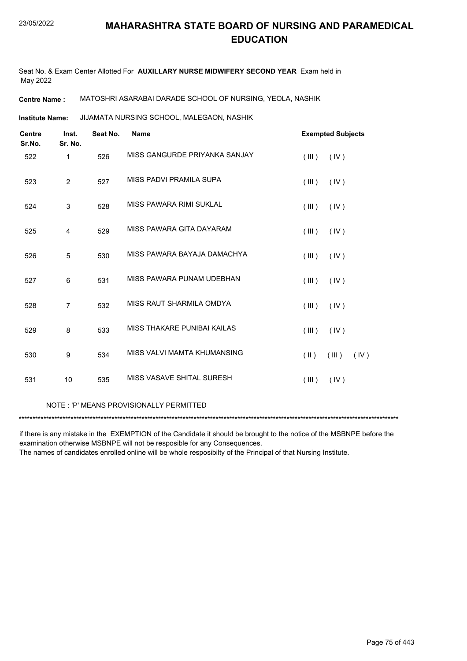Seat No. & Exam Center Allotted For **AUXILLARY NURSE MIDWIFERY SECOND YEAR** Exam held in May 2022

**Centre Name :** MATOSHRI ASARABAI DARADE SCHOOL OF NURSING, YEOLA, NASHIK

JIJAMATA NURSING SCHOOL, MALEGAON, NASHIK **Institute Name:**

| <b>Centre</b><br>Sr.No. | Inst.<br>Sr. No. | Seat No. | <b>Name</b>                   | <b>Exempted Subjects</b>       |
|-------------------------|------------------|----------|-------------------------------|--------------------------------|
| 522                     | 1                | 526      | MISS GANGURDE PRIYANKA SANJAY | (III)<br>(IV)                  |
| 523                     | 2                | 527      | MISS PADVI PRAMILA SUPA       | (IV)<br>(III)                  |
| 524                     | 3                | 528      | MISS PAWARA RIMI SUKLAL       | (III)<br>(IV)                  |
| 525                     | 4                | 529      | MISS PAWARA GITA DAYARAM      | (III)<br>(IV)                  |
| 526                     | 5                | 530      | MISS PAWARA BAYAJA DAMACHYA   | (III)<br>(IV)                  |
| 527                     | 6                | 531      | MISS PAWARA PUNAM UDEBHAN     | (III)<br>(IV)                  |
| 528                     | $\overline{7}$   | 532      | MISS RAUT SHARMILA OMDYA      | (III)<br>(IV)                  |
| 529                     | 8                | 533      | MISS THAKARE PUNIBAI KAILAS   | (III)<br>(IV)                  |
| 530                     | 9                | 534      | MISS VALVI MAMTA KHUMANSING   | $(\parallel)$<br>(III)<br>(IV) |
| 531                     | 10               | 535      | MISS VASAVE SHITAL SURESH     | (III)<br>(IV)                  |

#### NOTE : 'P' MEANS PROVISIONALLY PERMITTED

\*\*\*\*\*\*\*\*\*\*\*\*\*\*\*\*\*\*\*\*\*\*\*\*\*\*\*\*\*\*\*\*\*\*\*\*\*\*\*\*\*\*\*\*\*\*\*\*\*\*\*\*\*\*\*\*\*\*\*\*\*\*\*\*\*\*\*\*\*\*\*\*\*\*\*\*\*\*\*\*\*\*\*\*\*\*\*\*\*\*\*\*\*\*\*\*\*\*\*\*\*\*\*\*\*\*\*\*\*\*\*\*\*\*\*\*\*\*\*\*\*\*\*\*\*\*\*\*\*\*\*\*\*\*\*\*\*\*\*

if there is any mistake in the EXEMPTION of the Candidate it should be brought to the notice of the MSBNPE before the examination otherwise MSBNPE will not be resposible for any Consequences.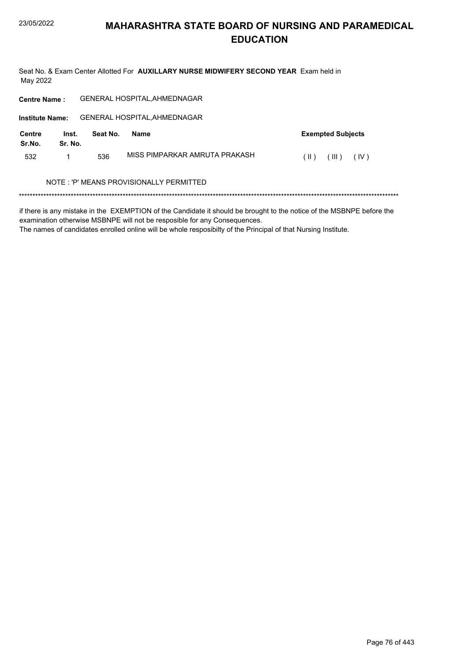Seat No. & Exam Center Allotted For AUXILLARY NURSE MIDWIFERY SECOND YEAR Exam held in May 2022

| <b>Centre Name:</b>     |                                         |          | <b>GENERAL HOSPITAL, AHMEDNAGAR</b> |                                |  |  |  |  |
|-------------------------|-----------------------------------------|----------|-------------------------------------|--------------------------------|--|--|--|--|
| <b>Institute Name:</b>  |                                         |          | <b>GENERAL HOSPITAL, AHMEDNAGAR</b> |                                |  |  |  |  |
| <b>Centre</b><br>Sr.No. | Inst.<br>Sr. No.                        | Seat No. | <b>Name</b>                         | <b>Exempted Subjects</b>       |  |  |  |  |
| 532                     |                                         | 536      | MISS PIMPARKAR AMRUTA PRAKASH       | (IV)<br>$(\parallel)$<br>(III) |  |  |  |  |
|                         | NOTE: 'P' MEANS PROVISIONALLY PERMITTED |          |                                     |                                |  |  |  |  |
|                         |                                         |          |                                     |                                |  |  |  |  |

if there is any mistake in the EXEMPTION of the Candidate it should be brought to the notice of the MSBNPE before the examination otherwise MSBNPE will not be resposible for any Consequences.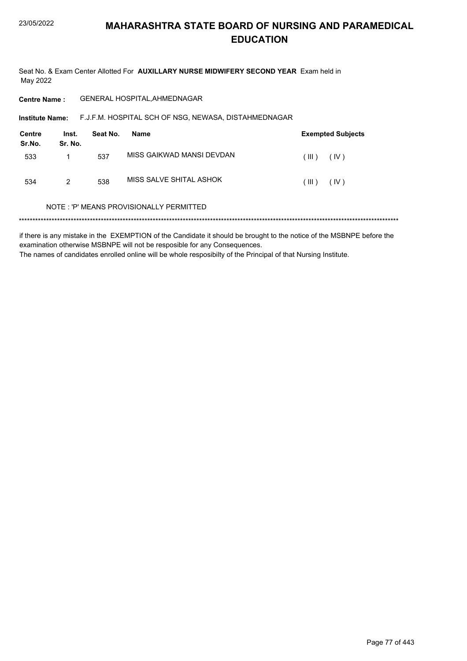Seat No. & Exam Center Allotted For AUXILLARY NURSE MIDWIFERY SECOND YEAR Exam held in May 2022

GENERAL HOSPITAL, AHMEDNAGAR **Centre Name:** 

Institute Name: F.J.F.M. HOSPITAL SCH OF NSG, NEWASA, DISTAHMEDNAGAR

| Centre<br>Sr.No. | Inst.<br>Sr. No. | Seat No. | Name                      |         | <b>Exempted Subjects</b> |
|------------------|------------------|----------|---------------------------|---------|--------------------------|
| 533              |                  | 537      | MISS GAIKWAD MANSI DEVDAN | (III )  | (IV)                     |
| 534              | 2                | 538      | MISS SALVE SHITAL ASHOK   | ( III ) | (IV)                     |

#### NOTE: 'P' MEANS PROVISIONALLY PERMITTED

if there is any mistake in the EXEMPTION of the Candidate it should be brought to the notice of the MSBNPE before the examination otherwise MSBNPE will not be resposible for any Consequences. The names of candidates enrolled online will be whole resposibilty of the Principal of that Nursing Institute.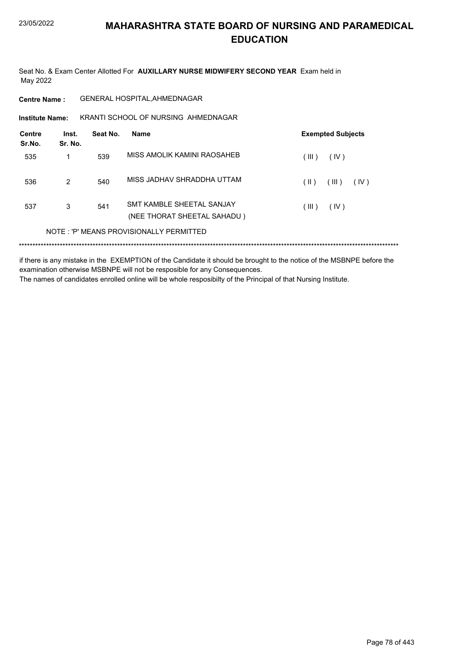Seat No. & Exam Center Allotted For AUXILLARY NURSE MIDWIFERY SECOND YEAR Exam held in May 2022

**Centre Name:** GENERAL HOSPITAL, AHMEDNAGAR

KRANTI SCHOOL OF NURSING AHMEDNAGAR **Institute Name:** 

| Centre<br>Sr.No. | Inst.<br>Sr. No. | Seat No. | Name                                                     | <b>Exempted Subjects</b> |
|------------------|------------------|----------|----------------------------------------------------------|--------------------------|
| 535              | 1                | 539      | MISS AMOLIK KAMINI RAOSAHEB                              | (III)<br>(IV)            |
| 536              | 2                | 540      | MISS JADHAV SHRADDHA UTTAM                               | (III)<br>(IV)<br>(  )    |
| 537              | 3                | 541      | SMT KAMBLE SHEFTAL SANJAY<br>(NEE THORAT SHEETAL SAHADU) | (III)<br>(IV)            |
|                  |                  |          | NOTE: 'P' MEANS PROVISIONALLY PERMITTED                  |                          |
|                  |                  |          |                                                          |                          |

if there is any mistake in the EXEMPTION of the Candidate it should be brought to the notice of the MSBNPE before the examination otherwise MSBNPE will not be resposible for any Consequences. The names of candidates enrolled online will be whole resposibilty of the Principal of that Nursing Institute.

Page 78 of 443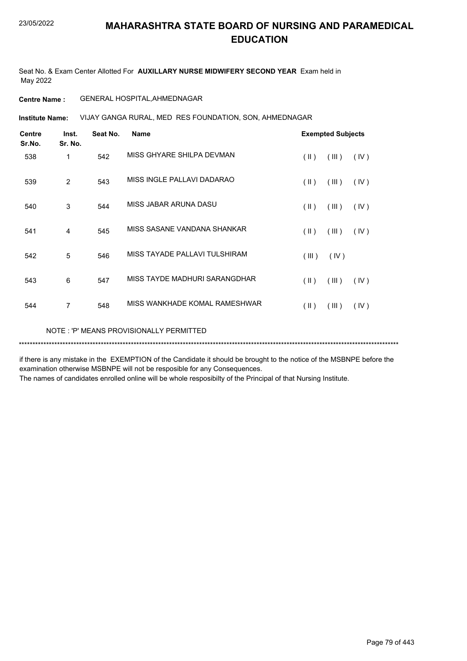Seat No. & Exam Center Allotted For **AUXILLARY NURSE MIDWIFERY SECOND YEAR** Exam held in May 2022

### **Centre Name :** GENERAL HOSPITAL,AHMEDNAGAR

VIJAY GANGA RURAL, MED RES FOUNDATION, SON, AHMEDNAGAR **Institute Name:**

| <b>Centre</b><br>Sr.No. | Inst.<br>Sr. No. | Seat No. | <b>Name</b>                             |               | <b>Exempted Subjects</b> |      |
|-------------------------|------------------|----------|-----------------------------------------|---------------|--------------------------|------|
| 538                     | 1                | 542      | MISS GHYARE SHILPA DEVMAN               | $(\parallel)$ | (III)                    | (IV) |
| 539                     | 2                | 543      | MISS INGLE PALLAVI DADARAO              | (  )          | (III)                    | (IV) |
| 540                     | 3                | 544      | MISS JABAR ARUNA DASU                   | (  )          | (III)                    | (IV) |
| 541                     | 4                | 545      | MISS SASANE VANDANA SHANKAR             | $(\parallel)$ | (III)                    | (IV) |
| 542                     | 5                | 546      | MISS TAYADE PALLAVI TULSHIRAM           | (III)         | (IV)                     |      |
| 543                     | 6                | 547      | MISS TAYDE MADHURI SARANGDHAR           | (  )          | (III)                    | (IV) |
| 544                     | $\overline{7}$   | 548      | MISS WANKHADE KOMAL RAMESHWAR           | (  )          | (III)                    | (IV) |
|                         |                  |          | NOTE: 'P' MEANS PROVISIONALLY PERMITTED |               |                          |      |

if there is any mistake in the EXEMPTION of the Candidate it should be brought to the notice of the MSBNPE before the examination otherwise MSBNPE will not be resposible for any Consequences.

\*\*\*\*\*\*\*\*\*\*\*\*\*\*\*\*\*\*\*\*\*\*\*\*\*\*\*\*\*\*\*\*\*\*\*\*\*\*\*\*\*\*\*\*\*\*\*\*\*\*\*\*\*\*\*\*\*\*\*\*\*\*\*\*\*\*\*\*\*\*\*\*\*\*\*\*\*\*\*\*\*\*\*\*\*\*\*\*\*\*\*\*\*\*\*\*\*\*\*\*\*\*\*\*\*\*\*\*\*\*\*\*\*\*\*\*\*\*\*\*\*\*\*\*\*\*\*\*\*\*\*\*\*\*\*\*\*\*\*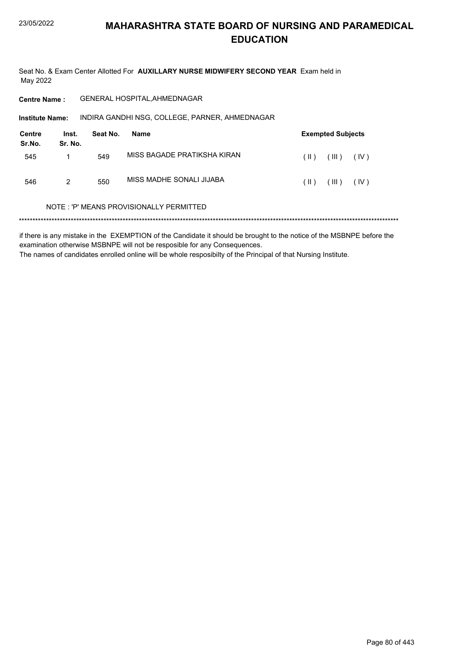Seat No. & Exam Center Allotted For AUXILLARY NURSE MIDWIFERY SECOND YEAR Exam held in May 2022

**Centre Name:** GENERAL HOSPITAL, AHMEDNAGAR

INDIRA GANDHI NSG, COLLEGE, PARNER, AHMEDNAGAR Institute Name:

| <b>Centre</b><br>Sr.No. | Inst.<br>Sr. No. | Seat No. | Name                        |      | <b>Exempted Subjects</b> |      |
|-------------------------|------------------|----------|-----------------------------|------|--------------------------|------|
| 545                     |                  | 549      | MISS BAGADE PRATIKSHA KIRAN | (  ) | (III)                    | (IV) |
| 546                     | 2                | 550      | MISS MADHE SONALI JIJABA    | (  ) | (III)                    | (IV) |

#### NOTE: 'P' MEANS PROVISIONALLY PERMITTED

if there is any mistake in the EXEMPTION of the Candidate it should be brought to the notice of the MSBNPE before the examination otherwise MSBNPE will not be resposible for any Consequences. The names of candidates enrolled online will be whole resposibilty of the Principal of that Nursing Institute.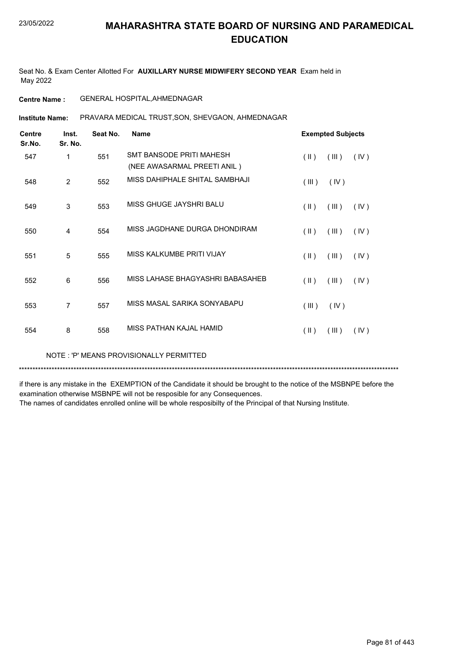Seat No. & Exam Center Allotted For **AUXILLARY NURSE MIDWIFERY SECOND YEAR** Exam held in May 2022

### **Centre Name :** GENERAL HOSPITAL,AHMEDNAGAR

PRAVARA MEDICAL TRUST,SON, SHEVGAON, AHMEDNAGAR **Institute Name:**

| <b>Centre</b><br>Sr.No. | Inst.<br>Sr. No. | Seat No. | <b>Name</b>                                             |               | <b>Exempted Subjects</b> |      |
|-------------------------|------------------|----------|---------------------------------------------------------|---------------|--------------------------|------|
| 547                     | 1                | 551      | SMT BANSODE PRITI MAHESH<br>(NEE AWASARMAL PREETI ANIL) | $(\parallel)$ | (III)                    | (IV) |
| 548                     | 2                | 552      | MISS DAHIPHALE SHITAL SAMBHAJI                          | (III)         | (IV)                     |      |
| 549                     | 3                | 553      | MISS GHUGE JAYSHRI BALU                                 | $(\parallel)$ | (III)                    | (IV) |
| 550                     | $\overline{4}$   | 554      | MISS JAGDHANE DURGA DHONDIRAM                           | $(\parallel)$ | (III)                    | (IV) |
| 551                     | 5                | 555      | MISS KALKUMBE PRITI VIJAY                               | $(\parallel)$ | (III)                    | (IV) |
| 552                     | 6                | 556      | MISS LAHASE BHAGYASHRI BABASAHEB                        | $($ II $)$    | (III)                    | (IV) |
| 553                     | 7                | 557      | MISS MASAL SARIKA SONYABAPU                             | (III)         | (IV)                     |      |
| 554                     | 8                | 558      | MISS PATHAN KAJAI HAMID                                 | $(\parallel)$ | (III)                    | (IV) |

NOTE : 'P' MEANS PROVISIONALLY PERMITTED

\*\*\*\*\*\*\*\*\*\*\*\*\*\*\*\*\*\*\*\*\*\*\*\*\*\*\*\*\*\*\*\*\*\*\*\*\*\*\*\*\*\*\*\*\*\*\*\*\*\*\*\*\*\*\*\*\*\*\*\*\*\*\*\*\*\*\*\*\*\*\*\*\*\*\*\*\*\*\*\*\*\*\*\*\*\*\*\*\*\*\*\*\*\*\*\*\*\*\*\*\*\*\*\*\*\*\*\*\*\*\*\*\*\*\*\*\*\*\*\*\*\*\*\*\*\*\*\*\*\*\*\*\*\*\*\*\*\*\*

if there is any mistake in the EXEMPTION of the Candidate it should be brought to the notice of the MSBNPE before the examination otherwise MSBNPE will not be resposible for any Consequences.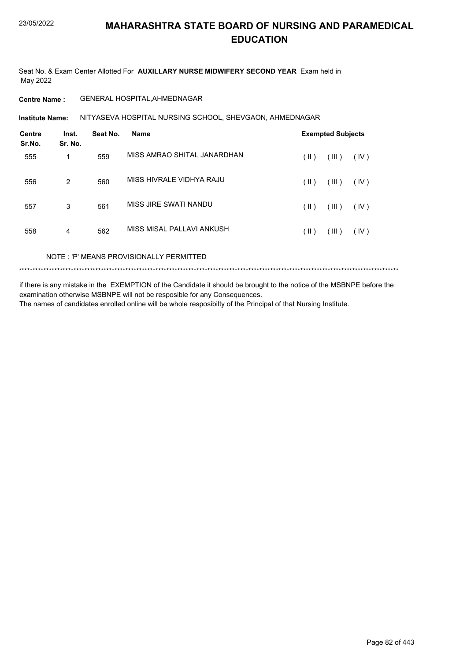Seat No. & Exam Center Allotted For **AUXILLARY NURSE MIDWIFERY SECOND YEAR** Exam held in May 2022

### **Centre Name :** GENERAL HOSPITAL,AHMEDNAGAR

**Institute Name: N**ITYASEVA HOSPITAL NURSING SCHOOL, SHEVGAON, AHMEDNAGAR

| Inst.<br>Sr. No. | Seat No. | <b>Name</b>                 |            |       |                          |
|------------------|----------|-----------------------------|------------|-------|--------------------------|
| 1                | 559      | MISS AMRAO SHITAL JANARDHAN | (  )       | (III) | (IV)                     |
| 2                | 560      | MISS HIVRALE VIDHYA RAJU    | (  )       | (III) | (IV)                     |
| 3                | 561      | MISS JIRE SWATI NANDU       | (  )       | (III) | (IV)                     |
| $\overline{4}$   | 562      | MISS MISAL PALLAVI ANKUSH   | $($ II $)$ | (III) | (IV)                     |
|                  |          |                             |            |       | <b>Exempted Subjects</b> |

NOTE : 'P' MEANS PROVISIONALLY PERMITTED

\*\*\*\*\*\*\*\*\*\*\*\*\*\*\*\*\*\*\*\*\*\*\*\*\*\*\*\*\*\*\*\*\*\*\*\*\*\*\*\*\*\*\*\*\*\*\*\*\*\*\*\*\*\*\*\*\*\*\*\*\*\*\*\*\*\*\*\*\*\*\*\*\*\*\*\*\*\*\*\*\*\*\*\*\*\*\*\*\*\*\*\*\*\*\*\*\*\*\*\*\*\*\*\*\*\*\*\*\*\*\*\*\*\*\*\*\*\*\*\*\*\*\*\*\*\*\*\*\*\*\*\*\*\*\*\*\*\*\*

if there is any mistake in the EXEMPTION of the Candidate it should be brought to the notice of the MSBNPE before the examination otherwise MSBNPE will not be resposible for any Consequences. The names of candidates enrolled online will be whole resposibilty of the Principal of that Nursing Institute.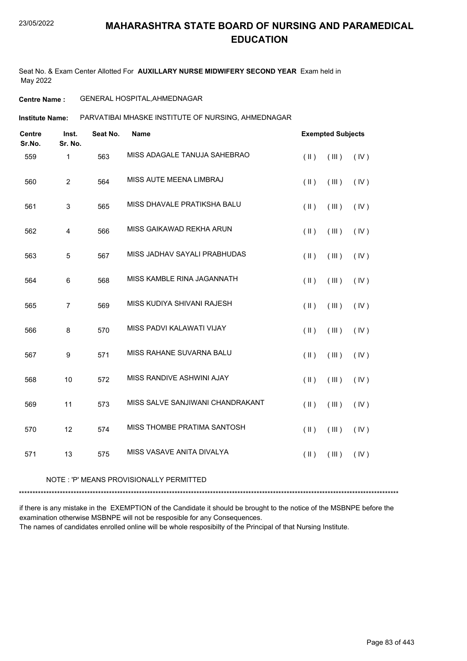Seat No. & Exam Center Allotted For **AUXILLARY NURSE MIDWIFERY SECOND YEAR** Exam held in May 2022

### **Centre Name :** GENERAL HOSPITAL,AHMEDNAGAR

PARVATIBAI MHASKE INSTITUTE OF NURSING, AHMEDNAGAR **Institute Name:**

| <b>Centre</b><br>Sr.No. | Inst.<br>Sr. No.        | Seat No. | <b>Name</b>                      | <b>Exempted Subjects</b> |       |      |
|-------------------------|-------------------------|----------|----------------------------------|--------------------------|-------|------|
| 559                     | 1                       | 563      | MISS ADAGALE TANUJA SAHEBRAO     | $($ II $)$               | (III) | (IV) |
| 560                     | $\overline{2}$          | 564      | MISS AUTE MEENA LIMBRAJ          | $($ II $)$               | (III) | (IV) |
| 561                     | 3                       | 565      | MISS DHAVALE PRATIKSHA BALU      | $(\parallel)$            | (III) | (IV) |
| 562                     | $\overline{\mathbf{4}}$ | 566      | MISS GAIKAWAD REKHA ARUN         | $($ II $)$               | (III) | (IV) |
| 563                     | 5                       | 567      | MISS JADHAV SAYALI PRABHUDAS     | $(\parallel)$            | (III) | (IV) |
| 564                     | 6                       | 568      | MISS KAMBLE RINA JAGANNATH       | $($ II $)$               | (III) | (IV) |
| 565                     | $\overline{7}$          | 569      | MISS KUDIYA SHIVANI RAJESH       | $(\parallel)$            | (III) | (IV) |
| 566                     | 8                       | 570      | MISS PADVI KALAWATI VIJAY        | $($ II $)$               | (III) | (IV) |
| 567                     | $\boldsymbol{9}$        | 571      | MISS RAHANE SUVARNA BALU         | $(\parallel)$            | (III) | (IV) |
| 568                     | 10                      | 572      | MISS RANDIVE ASHWINI AJAY        | $($ II $)$               | (III) | (IV) |
| 569                     | 11                      | 573      | MISS SALVE SANJIWANI CHANDRAKANT | $($ II $)$               | (III) | (IV) |
| 570                     | 12                      | 574      | MISS THOMBE PRATIMA SANTOSH      | $($ II $)$               | (III) | (IV) |
| 571                     | 13                      | 575      | MISS VASAVE ANITA DIVALYA        | $($ II $)$               | (III) | (IV) |

#### NOTE : 'P' MEANS PROVISIONALLY PERMITTED

\*\*\*\*\*\*\*\*\*\*\*\*\*\*\*\*\*\*\*\*\*\*\*\*\*\*\*\*\*\*\*\*\*\*\*\*\*\*\*\*\*\*\*\*\*\*\*\*\*\*\*\*\*\*\*\*\*\*\*\*\*\*\*\*\*\*\*\*\*\*\*\*\*\*\*\*\*\*\*\*\*\*\*\*\*\*\*\*\*\*\*\*\*\*\*\*\*\*\*\*\*\*\*\*\*\*\*\*\*\*\*\*\*\*\*\*\*\*\*\*\*\*\*\*\*\*\*\*\*\*\*\*\*\*\*\*\*\*\*

if there is any mistake in the EXEMPTION of the Candidate it should be brought to the notice of the MSBNPE before the examination otherwise MSBNPE will not be resposible for any Consequences. The names of candidates enrolled online will be whole resposibilty of the Principal of that Nursing Institute.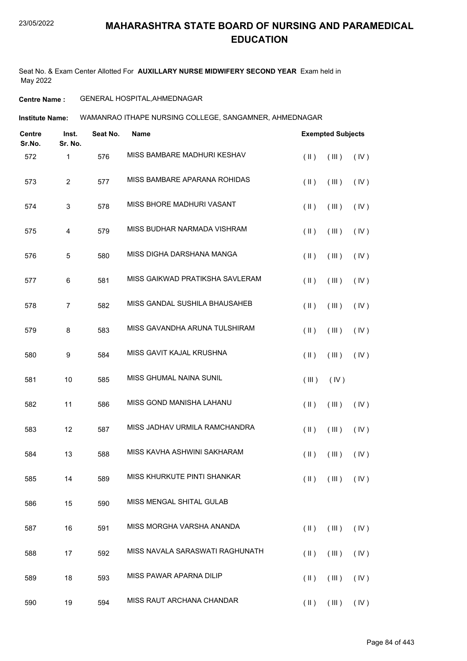Seat No. & Exam Center Allotted For **AUXILLARY NURSE MIDWIFERY SECOND YEAR** Exam held in May 2022

### **Centre Name :** GENERAL HOSPITAL,AHMEDNAGAR

WAMANRAO ITHAPE NURSING COLLEGE, SANGAMNER, AHMEDNAGAR **Institute Name:**

| <b>Centre</b><br>Sr.No. | Inst.<br>Sr. No. | Seat No. | <b>Name</b>                     |               | <b>Exempted Subjects</b>                      |      |
|-------------------------|------------------|----------|---------------------------------|---------------|-----------------------------------------------|------|
| 572                     | 1                | 576      | MISS BAMBARE MADHURI KESHAV     | $($ II $)$    | (III)                                         | (IV) |
| 573                     | $\overline{c}$   | 577      | MISS BAMBARE APARANA ROHIDAS    | $($ II $)$    | (III)                                         | (IV) |
| 574                     | $\mathbf{3}$     | 578      | MISS BHORE MADHURI VASANT       | $(\parallel)$ | (III)                                         | (IV) |
| 575                     | $\overline{4}$   | 579      | MISS BUDHAR NARMADA VISHRAM     | $(\parallel)$ | (III)                                         | (IV) |
| 576                     | 5                | 580      | MISS DIGHA DARSHANA MANGA       | $($ II $)$    | (III)                                         | (IV) |
| 577                     | 6                | 581      | MISS GAIKWAD PRATIKSHA SAVLERAM | $(\parallel)$ | (III)                                         | (IV) |
| 578                     | $\overline{7}$   | 582      | MISS GANDAL SUSHILA BHAUSAHEB   | $(\parallel)$ | (III)                                         | (IV) |
| 579                     | 8                | 583      | MISS GAVANDHA ARUNA TULSHIRAM   | $(\parallel)$ | (III)                                         | (IV) |
| 580                     | 9                | 584      | MISS GAVIT KAJAL KRUSHNA        | $(\parallel)$ | (III)                                         | (IV) |
| 581                     | 10               | 585      | MISS GHUMAL NAINA SUNIL         | (III)         | (IV)                                          |      |
| 582                     | 11               | 586      | MISS GOND MANISHA LAHANU        | $(\parallel)$ | (III)                                         | (IV) |
| 583                     | 12               | 587      | MISS JADHAV URMILA RAMCHANDRA   | $(\parallel)$ | (III)                                         | (IV) |
| 584                     | 13               | 588      | MISS KAVHA ASHWINI SAKHARAM     | $($ II $)$    | (III)                                         | (IV) |
| 585                     | 14               | 589      | MISS KHURKUTE PINTI SHANKAR     |               | $(\mathbb{I})$ $(\mathbb{II})$ $(\mathbb{N})$ |      |
| 586                     | 15               | 590      | MISS MENGAL SHITAL GULAB        |               |                                               |      |
| 587                     | 16               | 591      | MISS MORGHA VARSHA ANANDA       | $($ II $)$    | (III)                                         | (IV) |
| 588                     | 17               | 592      | MISS NAVALA SARASWATI RAGHUNATH | $($ II $)$    | (III)                                         | (IV) |
| 589                     | 18               | 593      | MISS PAWAR APARNA DILIP         | $(\parallel)$ | $($ III $)$                                   | (IV) |
| 590                     | 19               | 594      | MISS RAUT ARCHANA CHANDAR       | $(\parallel)$ | (III)                                         | (IV) |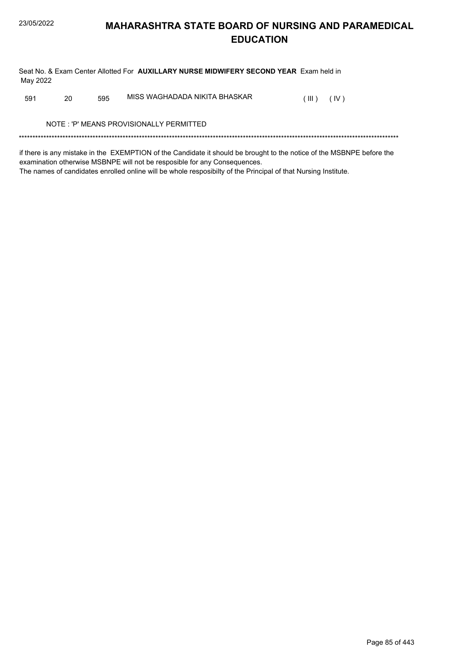Seat No. & Exam Center Allotted For AUXILLARY NURSE MIDWIFERY SECOND YEAR Exam held in May 2022

MISS WAGHADADA NIKITA BHASKAR 591 20 595  $(III)$   $(IV)$ 

NOTE: 'P' MEANS PROVISIONALLY PERMITTED

if there is any mistake in the EXEMPTION of the Candidate it should be brought to the notice of the MSBNPE before the examination otherwise MSBNPE will not be resposible for any Consequences. The names of candidates enrolled online will be whole resposibilty of the Principal of that Nursing Institute.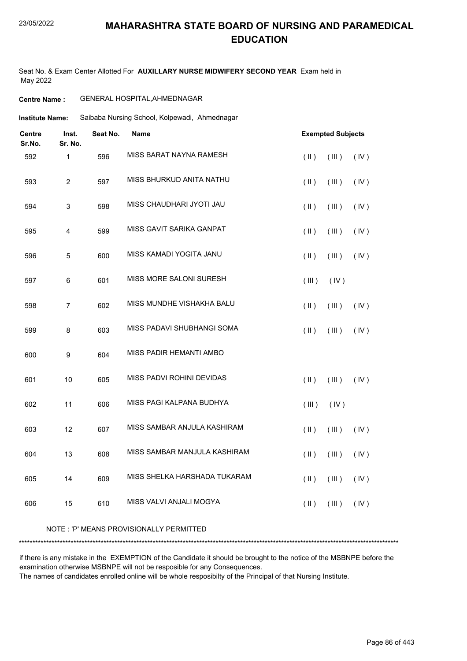### 23/05/2022

### **MAHARASHTRA STATE BOARD OF NURSING AND PARAMEDICAL EDUCATION**

Seat No. & Exam Center Allotted For **AUXILLARY NURSE MIDWIFERY SECOND YEAR** Exam held in May 2022

### **Centre Name :** GENERAL HOSPITAL,AHMEDNAGAR

Saibaba Nursing School, Kolpewadi, Ahmednagar **Institute Name:**

| <b>Centre</b><br>Sr.No. | Inst.<br>Sr. No. | Seat No. | Name                                     |               | <b>Exempted Subjects</b> |      |
|-------------------------|------------------|----------|------------------------------------------|---------------|--------------------------|------|
| 592                     | $\mathbf{1}$     | 596      | MISS BARAT NAYNA RAMESH                  | $(\parallel)$ | (III)                    | (IV) |
| 593                     | $\overline{c}$   | 597      | MISS BHURKUD ANITA NATHU                 | $($ II $)$    | (III)                    | (IV) |
| 594                     | 3                | 598      | MISS CHAUDHARI JYOTI JAU                 | $($ II $)$    | (III)                    | (IV) |
| 595                     | 4                | 599      | MISS GAVIT SARIKA GANPAT                 | $(\parallel)$ | (III)                    | (IV) |
| 596                     | 5                | 600      | MISS KAMADI YOGITA JANU                  | $(\parallel)$ | (III)                    | (IV) |
| 597                     | 6                | 601      | <b>MISS MORE SALONI SURESH</b>           | (III)         | (IV)                     |      |
| 598                     | $\overline{7}$   | 602      | MISS MUNDHE VISHAKHA BALU                | $(\parallel)$ | (III)                    | (IV) |
| 599                     | 8                | 603      | MISS PADAVI SHUBHANGI SOMA               | $(\parallel)$ | (III)                    | (IV) |
| 600                     | 9                | 604      | MISS PADIR HEMANTI AMBO                  |               |                          |      |
| 601                     | 10               | 605      | MISS PADVI ROHINI DEVIDAS                | $(\parallel)$ | (III)                    | (IV) |
| 602                     | 11               | 606      | MISS PAGI KALPANA BUDHYA                 | (III)         | (IV)                     |      |
| 603                     | 12               | 607      | MISS SAMBAR ANJULA KASHIRAM              | $($ II $)$    | (III)                    | (IV) |
| 604                     | 13               | 608      | MISS SAMBAR MANJULA KASHIRAM             | $(\parallel)$ | (III)                    | (IV) |
| 605                     | 14               | 609      | MISS SHELKA HARSHADA TUKARAM             | $(\parallel)$ | (III)                    | (IV) |
| 606                     | 15               | 610      | MISS VALVI ANJALI MOGYA                  | $(\parallel)$ | (III)                    | (IV) |
|                         |                  |          | NOTE : 'P' MEANS PROVISIONALLY PERMITTED |               |                          |      |

\*\*\*\*\*\*\*\*\*\*\*\*\*\*\*\*\*\*\*\*\*\*\*\*\*\*\*\*\*\*\*\*\*\*\*\*\*\*\*\*\*\*\*\*\*\*\*\*\*\*\*\*\*\*\*\*\*\*\*\*\*\*\*\*\*\*\*\*\*\*\*\*\*\*\*\*\*\*\*\*\*\*\*\*\*\*\*\*\*\*\*\*\*\*\*\*\*\*\*\*\*\*\*\*\*\*\*\*\*\*\*\*\*\*\*\*\*\*\*\*\*\*\*\*\*\*\*\*\*\*\*\*\*\*\*\*\*\*\*

if there is any mistake in the EXEMPTION of the Candidate it should be brought to the notice of the MSBNPE before the examination otherwise MSBNPE will not be resposible for any Consequences.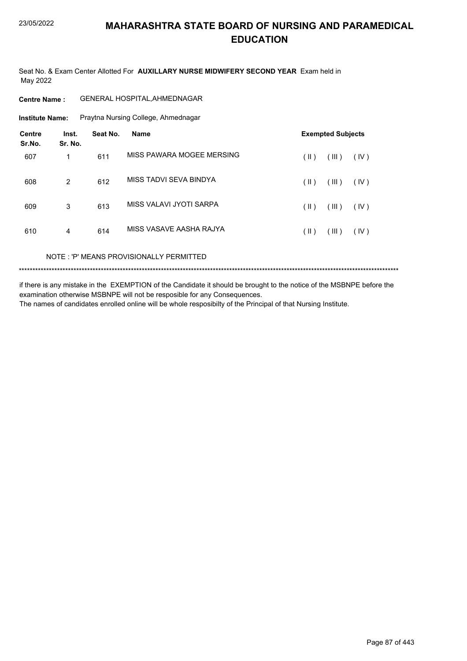Seat No. & Exam Center Allotted For AUXILLARY NURSE MIDWIFERY SECOND YEAR Exam held in May 2022

**Institute Name:** Praytna Nursing College, Ahmednagar

| <b>Centre</b><br>Sr.No. | Inst.<br>Sr. No. | Seat No. | <b>Name</b>               | <b>Exempted Subjects</b> |      |
|-------------------------|------------------|----------|---------------------------|--------------------------|------|
| 607                     | 1                | 611      | MISS PAWARA MOGEE MERSING | (III)<br>(  )            | (IV) |
| 608                     | 2                | 612      | MISS TADVI SEVA BINDYA    | (III)<br>(  )            | (IV) |
| 609                     | 3                | 613      | MISS VALAVI JYOTI SARPA   | (III)<br>$(\parallel)$   | (IV) |
| 610                     | 4                | 614      | MISS VASAVE AASHA RAJYA   | (III)<br>(  )            | (IV) |
|                         |                  |          |                           |                          |      |

NOTE: 'P' MEANS PROVISIONALLY PERMITTED

if there is any mistake in the EXEMPTION of the Candidate it should be brought to the notice of the MSBNPE before the examination otherwise MSBNPE will not be resposible for any Consequences.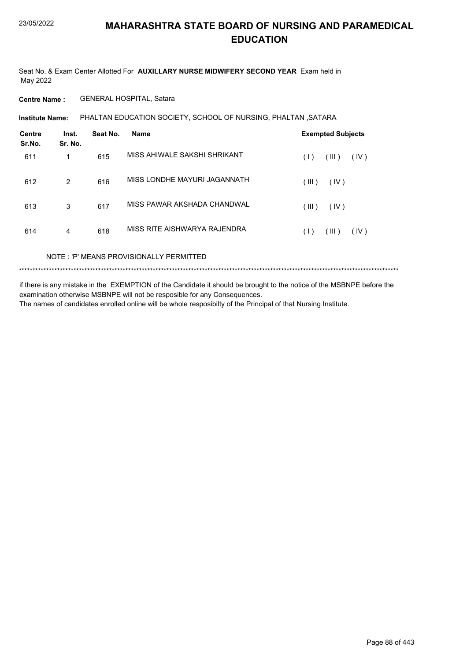Seat No. & Exam Center Allotted For **AUXILLARY NURSE MIDWIFERY SECOND YEAR** Exam held in May 2022

**Centre Name :** GENERAL HOSPITAL, Satara

**Institute Name: PHALTAN EDUCATION SOCIETY, SCHOOL OF NURSING, PHALTAN ,SATARA** 

| Centre<br>Sr.No. | Inst.<br>Sr. No. | Seat No. | <b>Name</b>                  | <b>Exempted Subjects</b> |
|------------------|------------------|----------|------------------------------|--------------------------|
| 611              | 1                | 615      | MISS AHIWALE SAKSHI SHRIKANT | (III)<br>(IV)<br>(1)     |
| 612              | 2                | 616      | MISS LONDHE MAYURI JAGANNATH | (III)<br>(IV)            |
| 613              | 3                | 617      | MISS PAWAR AKSHADA CHANDWAL  | (III)<br>(IV)            |
| 614              | 4                | 618      | MISS RITE AISHWARYA RAJENDRA | (III)<br>(IV)<br>(1)     |
|                  |                  |          |                              |                          |

NOTE : 'P' MEANS PROVISIONALLY PERMITTED

\*\*\*\*\*\*\*\*\*\*\*\*\*\*\*\*\*\*\*\*\*\*\*\*\*\*\*\*\*\*\*\*\*\*\*\*\*\*\*\*\*\*\*\*\*\*\*\*\*\*\*\*\*\*\*\*\*\*\*\*\*\*\*\*\*\*\*\*\*\*\*\*\*\*\*\*\*\*\*\*\*\*\*\*\*\*\*\*\*\*\*\*\*\*\*\*\*\*\*\*\*\*\*\*\*\*\*\*\*\*\*\*\*\*\*\*\*\*\*\*\*\*\*\*\*\*\*\*\*\*\*\*\*\*\*\*\*\*\*

if there is any mistake in the EXEMPTION of the Candidate it should be brought to the notice of the MSBNPE before the examination otherwise MSBNPE will not be resposible for any Consequences. The names of candidates enrolled online will be whole resposibilty of the Principal of that Nursing Institute.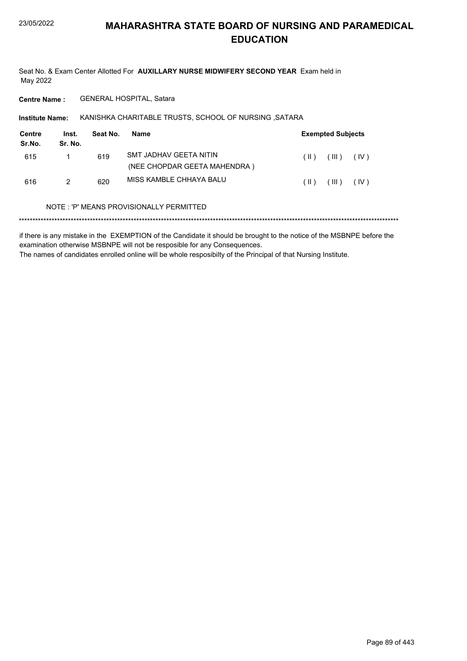Seat No. & Exam Center Allotted For AUXILLARY NURSE MIDWIFERY SECOND YEAR Exam held in May 2022

**Centre Name:** GENERAL HOSPITAL, Satara

Institute Name: KANISHKA CHARITABLE TRUSTS, SCHOOL OF NURSING, SATARA

| Centre<br>Sr.No. | Inst.<br>Sr. No. | Seat No. | Name                         | <b>Exempted Subjects</b> |         |      |
|------------------|------------------|----------|------------------------------|--------------------------|---------|------|
| 615              |                  | 619      | SMT JADHAV GEETA NITIN       | $(\ )$                   | (III)   | (IV) |
|                  |                  |          | (NEE CHOPDAR GEETA MAHENDRA) |                          |         |      |
| 616              | 2                | 620      | MISS KAMBLE CHHAYA BALU      | ( II )                   | ( III ) | (IV) |

#### NOTE: 'P' MEANS PROVISIONALLY PERMITTED

if there is any mistake in the EXEMPTION of the Candidate it should be brought to the notice of the MSBNPE before the examination otherwise MSBNPE will not be resposible for any Consequences. The names of candidates enrolled online will be whole resposibilty of the Principal of that Nursing Institute.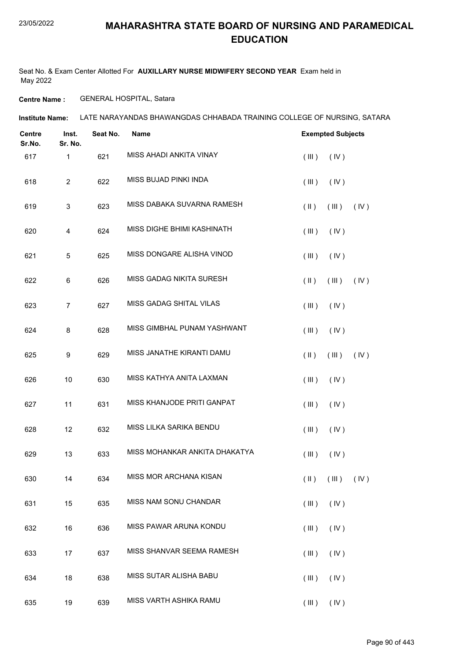Seat No. & Exam Center Allotted For **AUXILLARY NURSE MIDWIFERY SECOND YEAR** Exam held in May 2022

**Centre Name :** GENERAL HOSPITAL, Satara

| <b>Centre</b><br>Sr.No. | Inst.<br>Sr. No. | Seat No. | <b>Name</b>                   | <b>Exempted Subjects</b>                  |
|-------------------------|------------------|----------|-------------------------------|-------------------------------------------|
| 617                     | $\mathbf{1}$     | 621      | MISS AHADI ANKITA VINAY       | (III)<br>(IV)                             |
| 618                     | $\overline{c}$   | 622      | MISS BUJAD PINKI INDA         | (III)<br>(IV)                             |
| 619                     | 3                | 623      | MISS DABAKA SUVARNA RAMESH    | $(\parallel \parallel)$<br>(III)<br>(IV)  |
| 620                     | 4                | 624      | MISS DIGHE BHIMI KASHINATH    | (III)<br>(IV)                             |
| 621                     | 5                | 625      | MISS DONGARE ALISHA VINOD     | (III)<br>(IV)                             |
| 622                     | 6                | 626      | MISS GADAG NIKITA SURESH      | $(\parallel \parallel)$<br>(III)<br>(IV)  |
| 623                     | $\overline{7}$   | 627      | MISS GADAG SHITAL VILAS       | (III)<br>(IV)                             |
| 624                     | 8                | 628      | MISS GIMBHAL PUNAM YASHWANT   | (IV)<br>(III)                             |
| 625                     | 9                | 629      | MISS JANATHE KIRANTI DAMU     | $(\parallel)$<br>(III)<br>(IV)            |
| 626                     | 10               | 630      | MISS KATHYA ANITA LAXMAN      | (III)<br>(IV)                             |
| 627                     | 11               | 631      | MISS KHANJODE PRITI GANPAT    | (III)<br>(IV)                             |
| 628                     | 12               | 632      | MISS LILKA SARIKA BENDU       | (III)<br>(IV)                             |
| 629                     | 13               | 633      | MISS MOHANKAR ANKITA DHAKATYA | $($ III $)$<br>(IV)                       |
| 630                     | 14               | 634      | MISS MOR ARCHANA KISAN        | $(\parallel)$ $(\parallel)$ $(\parallel)$ |
| 631                     | 15               | 635      | MISS NAM SONU CHANDAR         | (III)<br>(IV)                             |
| 632                     | 16               | 636      | MISS PAWAR ARUNA KONDU        | $($ III $)$<br>(IV)                       |
| 633                     | 17               | 637      | MISS SHANVAR SEEMA RAMESH     | (III)<br>(IV)                             |
| 634                     | 18               | 638      | MISS SUTAR ALISHA BABU        | (III)<br>(IV)                             |
| 635                     | 19               | 639      | MISS VARTH ASHIKA RAMU        | $(III)$ $(IV)$                            |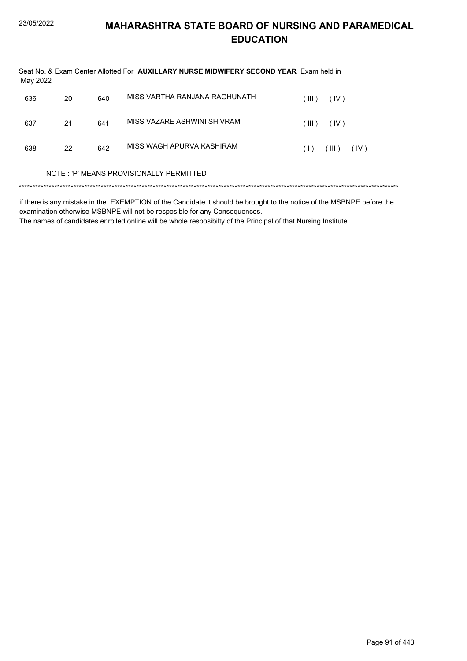| May 2022 |    |     | Seat No. & Exam Center Allotted For AUXILLARY NURSE MIDWIFERY SECOND YEAR Exam held in |                      |
|----------|----|-----|----------------------------------------------------------------------------------------|----------------------|
| 636      | 20 | 640 | MISS VARTHA RANJANA RAGHUNATH                                                          | (III)<br>(IV)        |
| 637      | 21 | 641 | MISS VAZARE ASHWINI SHIVRAM                                                            | (IV)<br>(III)        |
| 638      | 22 | 642 | MISS WAGH APURVA KASHIRAM                                                              | (III)<br>(IV)<br>(1) |
|          |    |     | NOTE: 'P' MEANS PROVISIONALLY PERMITTED                                                |                      |
|          |    |     |                                                                                        |                      |

if there is any mistake in the EXEMPTION of the Candidate it should be brought to the notice of the MSBNPE before the examination otherwise MSBNPE will not be resposible for any Consequences.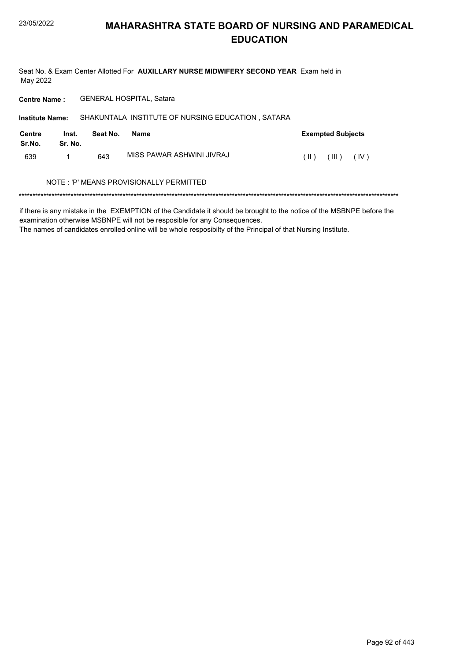Seat No. & Exam Center Allotted For AUXILLARY NURSE MIDWIFERY SECOND YEAR Exam held in May 2022

GENERAL HOSPITAL, Satara **Centre Name:** 

SHAKUNTALA INSTITUTE OF NURSING EDUCATION, SATARA **Institute Name: Centre** Inst. Seat No. **Exempted Subjects** Name Sr.No. Sr. No. MISS PAWAR ASHWINI JIVRAJ  $\left(\parallel\textbf{I}\parallel\textbf{I}\right) = \left(\parallel\textbf{II}\parallel\textbf{I}\right) = \left(\parallel\textbf{IV}\parallel\textbf{I}\parallel\textbf{I}\parallel\textbf{I}\parallel\textbf{I}\parallel\textbf{I}\parallel\textbf{I}\parallel\textbf{I}\parallel\textbf{I}\parallel\textbf{I}\parallel\textbf{I}\parallel\textbf{I}\parallel\textbf{I}\parallel\textbf{I}\parallel\textbf{I}\parallel\textbf{I}\parallel\textbf{I}\parallel\textbf{I}\parallel\textbf{I}\parallel\textbf{I}\parallel\textbf{I}\parallel\textbf{I}\parallel\textbf{I}\parallel\textbf{I}\parallel\textbf{I}\parallel\$ 639  $\mathbf{1}$ 643

### NOTE: 'P' MEANS PROVISIONALLY PERMITTED

if there is any mistake in the EXEMPTION of the Candidate it should be brought to the notice of the MSBNPE before the examination otherwise MSBNPE will not be resposible for any Consequences.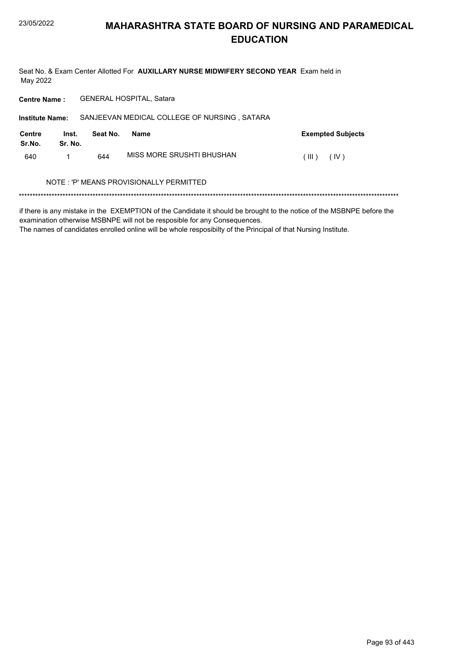Seat No. & Exam Center Allotted For AUXILLARY NURSE MIDWIFERY SECOND YEAR Exam held in May 2022

Centre Name: GENERAL HOSPITAL, Satara

| <b>Institute Name:</b>  |                  |          | SANJEEVAN MEDICAL COLLEGE OF NURSING, SATARA |                          |
|-------------------------|------------------|----------|----------------------------------------------|--------------------------|
| <b>Centre</b><br>Sr.No. | Inst.<br>Sr. No. | Seat No. | <b>Name</b>                                  | <b>Exempted Subjects</b> |
| 640                     |                  | 644      | MISS MORE SRUSHTI BHUSHAN                    | ( III )<br>(IV)          |
|                         |                  |          | NOTE: 'P' MEANS PROVISIONALLY PERMITTED      |                          |

if there is any mistake in the EXEMPTION of the Candidate it should be brought to the notice of the MSBNPE before the examination otherwise MSBNPE will not be resposible for any Consequences.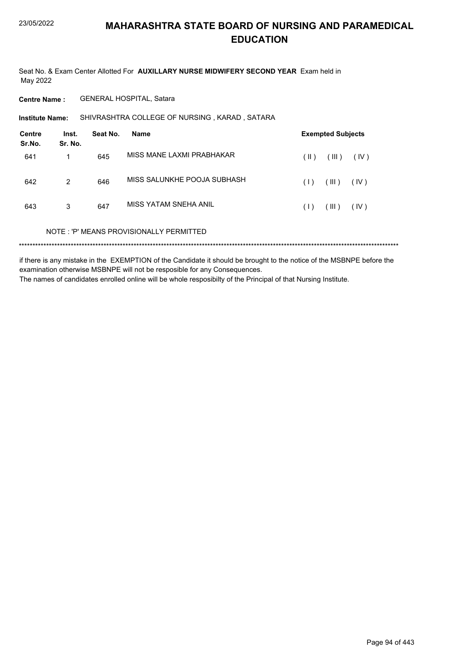Seat No. & Exam Center Allotted For AUXILLARY NURSE MIDWIFERY SECOND YEAR Exam held in May 2022

**Centre Name:** GENERAL HOSPITAL, Satara

SHIVRASHTRA COLLEGE OF NURSING, KARAD, SATARA **Institute Name:** 

| <b>Centre</b><br>Sr.No. | Inst.<br>Sr. No. | Seat No. | Name                                    |      | <b>Exempted Subjects</b> |      |
|-------------------------|------------------|----------|-----------------------------------------|------|--------------------------|------|
| 641                     | 1                | 645      | MISS MANE I AXMI PRABHAKAR              | (  ) | (III)                    | (IV) |
| 642                     | 2                | 646      | MISS SALUNKHE POOJA SUBHASH             | (1)  | (III)                    | (IV) |
| 643                     | 3                | 647      | MISS YATAM SNEHA ANIL                   | (1)  | (III)                    | (IV) |
|                         |                  |          | NOTE: 'P' MEANS PROVISIONALLY PERMITTED |      |                          |      |
|                         |                  |          |                                         |      |                          |      |

if there is any mistake in the EXEMPTION of the Candidate it should be brought to the notice of the MSBNPE before the examination otherwise MSBNPE will not be resposible for any Consequences. The names of candidates enrolled online will be whole resposibilty of the Principal of that Nursing Institute.

Page 94 of 443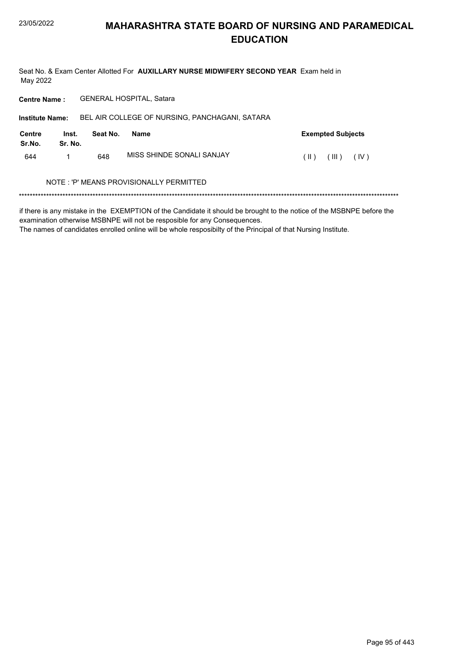Seat No. & Exam Center Allotted For AUXILLARY NURSE MIDWIFERY SECOND YEAR Exam held in May 2022

Centre Name: GENERAL HOSPITAL, Satara

| <b>Institute Name:</b>                  |                  |          | BEL AIR COLLEGE OF NURSING, PANCHAGANI, SATARA |               |                          |      |  |
|-----------------------------------------|------------------|----------|------------------------------------------------|---------------|--------------------------|------|--|
| Centre<br>Sr.No.                        | Inst.<br>Sr. No. | Seat No. | Name                                           |               | <b>Exempted Subjects</b> |      |  |
| 644                                     |                  | 648      | MISS SHINDE SONALI SANJAY                      | $(\parallel)$ | $(\mathbb{H})$           | (IV) |  |
| NOTE: 'P' MEANS PROVISIONALLY PERMITTED |                  |          |                                                |               |                          |      |  |
|                                         |                  |          |                                                |               |                          |      |  |

if there is any mistake in the EXEMPTION of the Candidate it should be brought to the notice of the MSBNPE before the examination otherwise MSBNPE will not be resposible for any Consequences.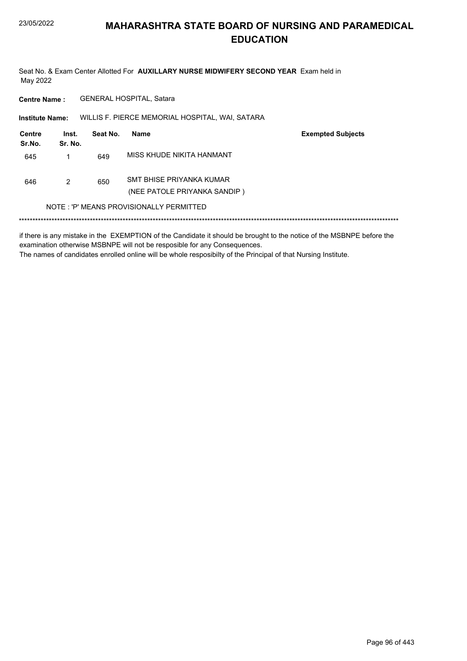Seat No. & Exam Center Allotted For AUXILLARY NURSE MIDWIFERY SECOND YEAR Exam held in May 2022

GENERAL HOSPITAL, Satara **Centre Name:** 

WILLIS F. PIERCE MEMORIAL HOSPITAL, WAI, SATARA **Institute Name:** 

| Centre<br>Sr.No.                        | Inst.<br>Sr. No. | Seat No. | Name                                                     | <b>Exempted Subjects</b> |  |
|-----------------------------------------|------------------|----------|----------------------------------------------------------|--------------------------|--|
| 645                                     |                  | 649      | MISS KHUDE NIKITA HANMANT                                |                          |  |
| 646                                     | 2                | 650      | SMT BHISE PRIYANKA KUMAR<br>(NEE PATOLE PRIYANKA SANDIP) |                          |  |
| NOTE: 'P' MEANS PROVISIONALLY PERMITTED |                  |          |                                                          |                          |  |
|                                         |                  |          |                                                          |                          |  |

if there is any mistake in the EXEMPTION of the Candidate it should be brought to the notice of the MSBNPE before the examination otherwise MSBNPE will not be resposible for any Consequences. The names of candidates enrolled online will be whole resposibilty of the Principal of that Nursing Institute.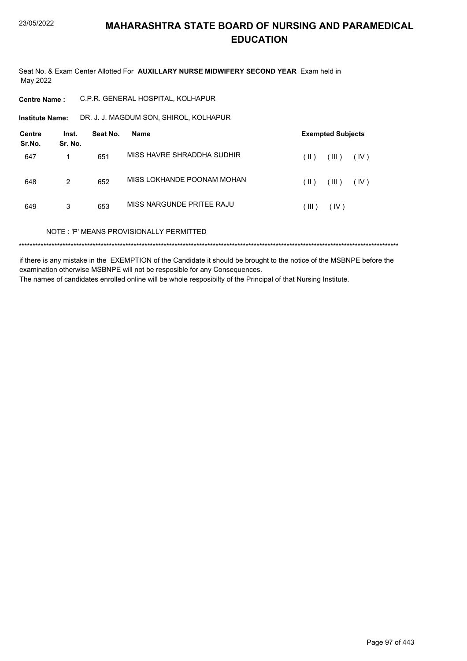Seat No. & Exam Center Allotted For AUXILLARY NURSE MIDWIFERY SECOND YEAR Exam held in May 2022

| C.P.R. GENERAL HOSPITAL, KOLHAPUR<br><b>Centre Name :</b> |  |
|-----------------------------------------------------------|--|
|-----------------------------------------------------------|--|

DR. J. J. MAGDUM SON, SHIROL, KOLHAPUR **Institute Name:** 

| <b>Centre</b><br>Sr.No. | Inst.<br>Sr. No. | Seat No. | Name                                    | <b>Exempted Subjects</b>       |  |  |
|-------------------------|------------------|----------|-----------------------------------------|--------------------------------|--|--|
| 647                     |                  | 651      | MISS HAVRE SHRADDHA SUDHIR              | $(\parallel)$<br>(III)<br>(IV) |  |  |
| 648                     | 2                | 652      | MISS LOKHANDE POONAM MOHAN              | $(\parallel)$<br>(III)<br>(IV) |  |  |
| 649                     | 3                | 653      | MISS NARGUNDE PRITEE RAJU               | (IV)<br>(III)                  |  |  |
|                         |                  |          | NOTE: 'P' MEANS PROVISIONALLY PERMITTED |                                |  |  |
|                         |                  |          |                                         |                                |  |  |

if there is any mistake in the EXEMPTION of the Candidate it should be brought to the notice of the MSBNPE before the examination otherwise MSBNPE will not be resposible for any Consequences. The names of candidates enrolled online will be whole resposibilty of the Principal of that Nursing Institute.

Page 97 of 443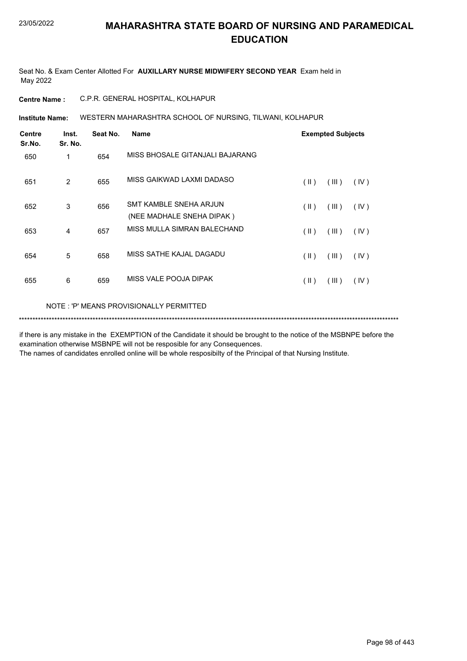Seat No. & Exam Center Allotted For **AUXILLARY NURSE MIDWIFERY SECOND YEAR** Exam held in May 2022

**Centre Name :** C.P.R. GENERAL HOSPITAL, KOLHAPUR

WESTERN MAHARASHTRA SCHOOL OF NURSING, TILWANI, KOLHAPUR **Institute Name:**

| <b>Centre</b><br>Sr.No. | Inst.<br>Sr. No. | Seat No. | <b>Name</b>                                         |               | <b>Exempted Subjects</b> |      |
|-------------------------|------------------|----------|-----------------------------------------------------|---------------|--------------------------|------|
| 650                     | 1                | 654      | MISS BHOSALE GITANJALI BAJARANG                     |               |                          |      |
| 651                     | 2                | 655      | MISS GAIKWAD LAXMI DADASO                           | $(\parallel)$ | (III)                    | (IV) |
| 652                     | 3                | 656      | SMT KAMBLE SNEHA ARJUN<br>(NEE MADHALE SNEHA DIPAK) | $(\parallel)$ | (III)                    | (IV) |
| 653                     | 4                | 657      | MISS MULLA SIMRAN BALECHAND                         | (11)          | (III)                    | (IV) |
| 654                     | 5                | 658      | MISS SATHE KAJAL DAGADU                             | $($ II $)$    | (III)                    | (IV) |
| 655                     | 6                | 659      | MISS VALE POOJA DIPAK                               | $(\parallel)$ | (III)                    | (IV) |
|                         |                  |          |                                                     |               |                          |      |

NOTE : 'P' MEANS PROVISIONALLY PERMITTED

\*\*\*\*\*\*\*\*\*\*\*\*\*\*\*\*\*\*\*\*\*\*\*\*\*\*\*\*\*\*\*\*\*\*\*\*\*\*\*\*\*\*\*\*\*\*\*\*\*\*\*\*\*\*\*\*\*\*\*\*\*\*\*\*\*\*\*\*\*\*\*\*\*\*\*\*\*\*\*\*\*\*\*\*\*\*\*\*\*\*\*\*\*\*\*\*\*\*\*\*\*\*\*\*\*\*\*\*\*\*\*\*\*\*\*\*\*\*\*\*\*\*\*\*\*\*\*\*\*\*\*\*\*\*\*\*\*\*\*

if there is any mistake in the EXEMPTION of the Candidate it should be brought to the notice of the MSBNPE before the examination otherwise MSBNPE will not be resposible for any Consequences.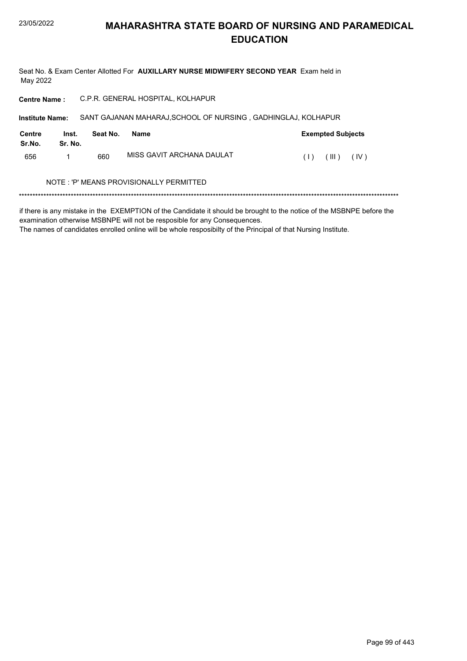Seat No. & Exam Center Allotted For AUXILLARY NURSE MIDWIFERY SECOND YEAR Exam held in May 2022

Centre Name : C.P.R. GENERAL HOSPITAL, KOLHAPUR

| <b>Institute Name:</b> |                  |          | SANT GAJANAN MAHARAJ, SCHOOL OF NURSING, GADHINGLAJ, KOLHAPUR |     |                          |      |  |
|------------------------|------------------|----------|---------------------------------------------------------------|-----|--------------------------|------|--|
| Centre<br>Sr.No.       | Inst.<br>Sr. No. | Seat No. | <b>Name</b>                                                   |     | <b>Exempted Subjects</b> |      |  |
| 656                    |                  | 660      | MISS GAVIT ARCHANA DAULAT                                     | (1) | (III)                    | (IV) |  |
|                        |                  |          | NOTE: 'P' MEANS PROVISIONALLY PERMITTED                       |     |                          |      |  |

if there is any mistake in the EXEMPTION of the Candidate it should be brought to the notice of the MSBNPE before the examination otherwise MSBNPE will not be resposible for any Consequences.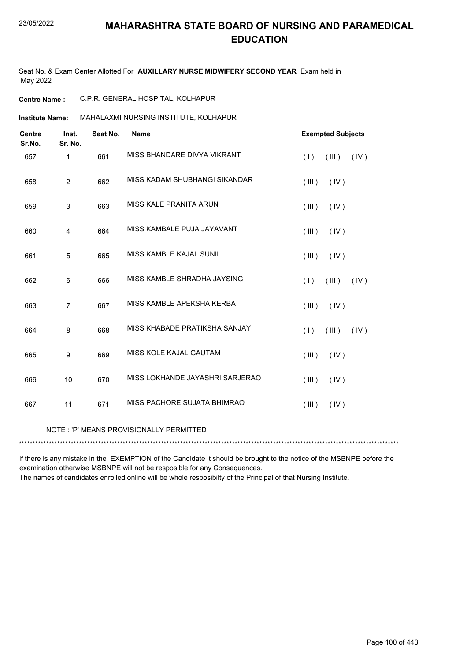Seat No. & Exam Center Allotted For **AUXILLARY NURSE MIDWIFERY SECOND YEAR** Exam held in May 2022

### **Centre Name :** C.P.R. GENERAL HOSPITAL, KOLHAPUR

### **Institute Name: MAHALAXMI NURSING INSTITUTE, KOLHAPUR**

| <b>Centre</b><br>Sr.No. | Inst.<br>Sr. No. | Seat No. | <b>Name</b>                             | <b>Exempted Subjects</b> |
|-------------------------|------------------|----------|-----------------------------------------|--------------------------|
| 657                     | $\mathbf{1}$     | 661      | MISS BHANDARE DIVYA VIKRANT             | (III)<br>(IV)<br>(1)     |
| 658                     | $\overline{2}$   | 662      | MISS KADAM SHUBHANGI SIKANDAR           | (IV)<br>(III)            |
| 659                     | $\mathsf 3$      | 663      | MISS KALE PRANITA ARUN                  | (IV)<br>(III)            |
| 660                     | 4                | 664      | MISS KAMBALE PUJA JAYAVANT              | (III)<br>(IV)            |
| 661                     | $\sqrt{5}$       | 665      | MISS KAMBLE KAJAL SUNIL                 | (III)<br>(IV)            |
| 662                     | 6                | 666      | MISS KAMBLE SHRADHA JAYSING             | (1)<br>(III)<br>(IV)     |
| 663                     | $\overline{7}$   | 667      | MISS KAMBLE APEKSHA KERBA               | (IV)<br>(III)            |
| 664                     | 8                | 668      | MISS KHABADE PRATIKSHA SANJAY           | (IV)<br>(1)<br>(III)     |
| 665                     | 9                | 669      | MISS KOLE KAJAL GAUTAM                  | (IV)<br>(III)            |
| 666                     | 10               | 670      | MISS LOKHANDE JAYASHRI SARJERAO         | (III)<br>(IV)            |
| 667                     | 11               | 671      | MISS PACHORE SUJATA BHIMRAO             | (III)<br>(IV)            |
|                         |                  |          | NOTE: 'P' MEANS PROVISIONALLY PERMITTED |                          |

\*\*\*\*\*\*\*\*\*\*\*\*\*\*\*\*\*\*\*\*\*\*\*\*\*\*\*\*\*\*\*\*\*\*\*\*\*\*\*\*\*\*\*\*\*\*\*\*\*\*\*\*\*\*\*\*\*\*\*\*\*\*\*\*\*\*\*\*\*\*\*\*\*\*\*\*\*\*\*\*\*\*\*\*\*\*\*\*\*\*\*\*\*\*\*\*\*\*\*\*\*\*\*\*\*\*\*\*\*\*\*\*\*\*\*\*\*\*\*\*\*\*\*\*\*\*\*\*\*\*\*\*\*\*\*\*\*\*\*

if there is any mistake in the EXEMPTION of the Candidate it should be brought to the notice of the MSBNPE before the examination otherwise MSBNPE will not be resposible for any Consequences.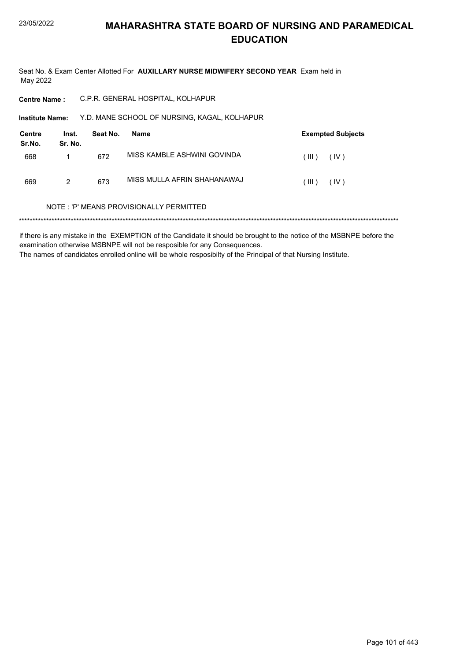Seat No. & Exam Center Allotted For **AUXILLARY NURSE MIDWIFERY SECOND YEAR** Exam held in May 2022

**Centre Name :** C.P.R. GENERAL HOSPITAL, KOLHAPUR

Y.D. MANE SCHOOL OF NURSING, KAGAL, KOLHAPUR **Institute Name:**

| Centre<br>Sr.No. | Inst.<br>Sr. No. | Seat No. | Name                        |         | <b>Exempted Subjects</b> |
|------------------|------------------|----------|-----------------------------|---------|--------------------------|
| 668              |                  | 672      | MISS KAMBLE ASHWINI GOVINDA | ( III ) | (IV)                     |
| 669              | 2                | 673      | MISS MULLA AFRIN SHAHANAWAJ | ( III ) | (IV)                     |

#### NOTE : 'P' MEANS PROVISIONALLY PERMITTED

\*\*\*\*\*\*\*\*\*\*\*\*\*\*\*\*\*\*\*\*\*\*\*\*\*\*\*\*\*\*\*\*\*\*\*\*\*\*\*\*\*\*\*\*\*\*\*\*\*\*\*\*\*\*\*\*\*\*\*\*\*\*\*\*\*\*\*\*\*\*\*\*\*\*\*\*\*\*\*\*\*\*\*\*\*\*\*\*\*\*\*\*\*\*\*\*\*\*\*\*\*\*\*\*\*\*\*\*\*\*\*\*\*\*\*\*\*\*\*\*\*\*\*\*\*\*\*\*\*\*\*\*\*\*\*\*\*\*\*

if there is any mistake in the EXEMPTION of the Candidate it should be brought to the notice of the MSBNPE before the examination otherwise MSBNPE will not be resposible for any Consequences. The names of candidates enrolled online will be whole resposibilty of the Principal of that Nursing Institute.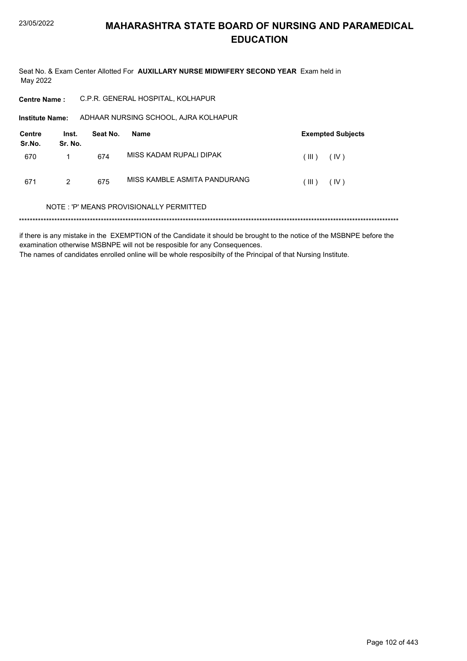Seat No. & Exam Center Allotted For AUXILLARY NURSE MIDWIFERY SECOND YEAR Exam held in May 2022

**Centre Name:** C.P.R. GENERAL HOSPITAL, KOLHAPUR

Institute Name: ADHAAR NURSING SCHOOL, AJRA KOLHAPUR

| Centre<br>Sr.No. | Inst.<br>Sr. No. | Seat No. | Name                         |         | <b>Exempted Subjects</b> |
|------------------|------------------|----------|------------------------------|---------|--------------------------|
| 670              |                  | 674      | MISS KADAM RUPALI DIPAK      | ( III ) | (IV)                     |
| 671              | 2                | 675      | MISS KAMBLE ASMITA PANDURANG | ( III ) | (IV)                     |

#### NOTE: 'P' MEANS PROVISIONALLY PERMITTED

if there is any mistake in the EXEMPTION of the Candidate it should be brought to the notice of the MSBNPE before the examination otherwise MSBNPE will not be resposible for any Consequences. The names of candidates enrolled online will be whole resposibilty of the Principal of that Nursing Institute.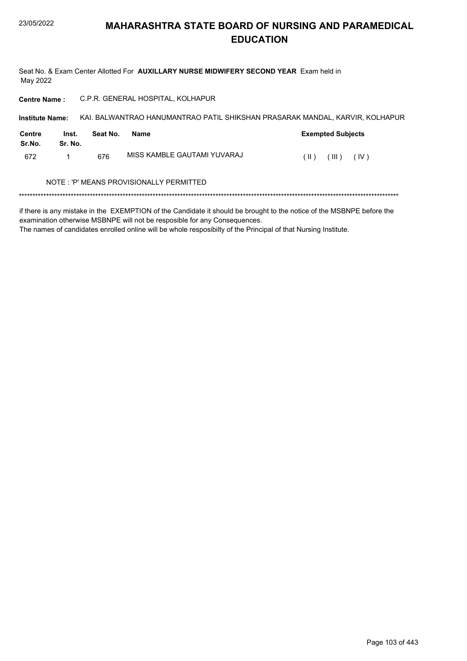Seat No. & Exam Center Allotted For AUXILLARY NURSE MIDWIFERY SECOND YEAR Exam held in May 2022

Centre Name : C.P.R. GENERAL HOSPITAL, KOLHAPUR

| <b>Institute Name:</b> |                                          |          |                             | KAI. BALWANTRAO HANUMANTRAO PATIL SHIKSHAN PRASARAK MANDAL, KARVIR, KOLHAPUR |  |  |  |
|------------------------|------------------------------------------|----------|-----------------------------|------------------------------------------------------------------------------|--|--|--|
| Centre<br>Sr.No.       | Inst.<br>Sr. No.                         | Seat No. | Name                        | <b>Exempted Subjects</b>                                                     |  |  |  |
| 672                    |                                          | 676      | MISS KAMBLE GAUTAMI YUVARAJ | (III)<br>(IV)<br>(  )                                                        |  |  |  |
|                        | NOTE : 'P' MEANS PROVISIONALLY PERMITTED |          |                             |                                                                              |  |  |  |
|                        |                                          |          |                             |                                                                              |  |  |  |

if there is any mistake in the EXEMPTION of the Candidate it should be brought to the notice of the MSBNPE before the

examination otherwise MSBNPE will not be resposible for any Consequences.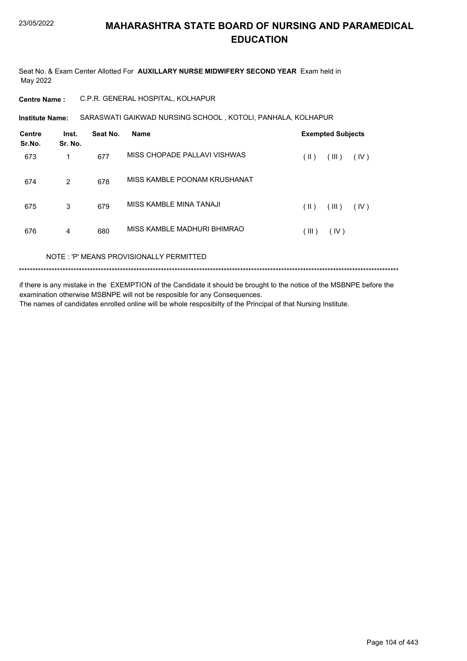Seat No. & Exam Center Allotted For **AUXILLARY NURSE MIDWIFERY SECOND YEAR** Exam held in May 2022

**Centre Name :** C.P.R. GENERAL HOSPITAL, KOLHAPUR

**Institute Name: SARASWATI GAIKWAD NURSING SCHOOL , KOTOLI, PANHALA, KOLHAPUR** 

| Centre<br>Sr.No. | Inst.<br>Sr. No. | Seat No. | <b>Name</b>                             |       | <b>Exempted Subjects</b> |      |
|------------------|------------------|----------|-----------------------------------------|-------|--------------------------|------|
| 673              | 1                | 677      | MISS CHOPADE PALLAVI VISHWAS            | (  )  | (III)                    | (IV) |
| 674              | $\overline{2}$   | 678      | MISS KAMBLE POONAM KRUSHANAT            |       |                          |      |
| 675              | 3                | 679      | MISS KAMBLE MINA TANAJI                 | (  )  | (III)                    | (IV) |
| 676              | 4                | 680      | MISS KAMBLE MADHURI BHIMRAO             | (III) | (IV)                     |      |
|                  |                  |          | NOTE: 'P' MEANS PROVISIONALLY PERMITTED |       |                          |      |

\*\*\*\*\*\*\*\*\*\*\*\*\*\*\*\*\*\*\*\*\*\*\*\*\*\*\*\*\*\*\*\*\*\*\*\*\*\*\*\*\*\*\*\*\*\*\*\*\*\*\*\*\*\*\*\*\*\*\*\*\*\*\*\*\*\*\*\*\*\*\*\*\*\*\*\*\*\*\*\*\*\*\*\*\*\*\*\*\*\*\*\*\*\*\*\*\*\*\*\*\*\*\*\*\*\*\*\*\*\*\*\*\*\*\*\*\*\*\*\*\*\*\*\*\*\*\*\*\*\*\*\*\*\*\*\*\*\*\*

if there is any mistake in the EXEMPTION of the Candidate it should be brought to the notice of the MSBNPE before the examination otherwise MSBNPE will not be resposible for any Consequences. The names of candidates enrolled online will be whole resposibilty of the Principal of that Nursing Institute.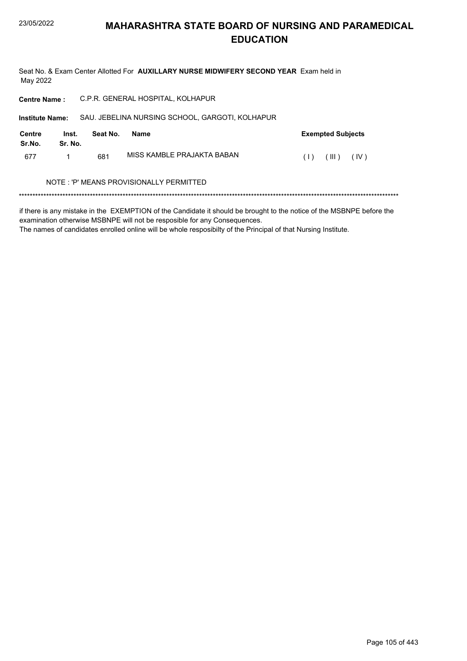Seat No. & Exam Center Allotted For AUXILLARY NURSE MIDWIFERY SECOND YEAR Exam held in May 2022

| <b>Centre Name:</b>    |                  |          | C.P.R. GENERAL HOSPITAL, KOLHAPUR               |                          |
|------------------------|------------------|----------|-------------------------------------------------|--------------------------|
| <b>Institute Name:</b> |                  |          | SAU. JEBELINA NURSING SCHOOL, GARGOTI, KOLHAPUR |                          |
| Centre<br>Sr.No.       | Inst.<br>Sr. No. | Seat No. | Name                                            | <b>Exempted Subjects</b> |
| 677                    |                  | 681      | MISS KAMBLE PRAJAKTA BABAN                      | (III)<br>(IV)<br>(1)     |
|                        |                  |          | NOTE : 'P' MEANS PROVISIONALLY PERMITTED        |                          |
|                        |                  |          |                                                 |                          |

if there is any mistake in the EXEMPTION of the Candidate it should be brought to the notice of the MSBNPE before the examination otherwise MSBNPE will not be resposible for any Consequences.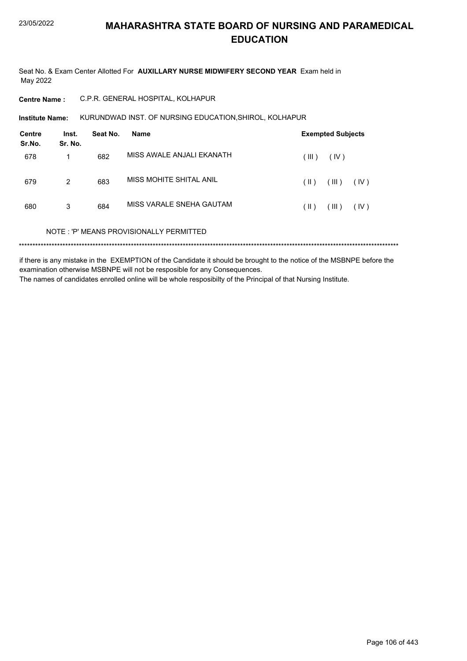Seat No. & Exam Center Allotted For AUXILLARY NURSE MIDWIFERY SECOND YEAR Exam held in May 2022

**Centre Name:** C.P.R. GENERAL HOSPITAL, KOLHAPUR

KURUNDWAD INST. OF NURSING EDUCATION, SHIROL, KOLHAPUR **Institute Name:** 

| <b>Centre</b><br>Sr.No. | Inst.<br>Sr. No. | Seat No. | <b>Name</b>                             |       | <b>Exempted Subjects</b> |      |
|-------------------------|------------------|----------|-----------------------------------------|-------|--------------------------|------|
| 678                     | 1                | 682      | MISS AWALE ANJALI EKANATH               | (III) | (IV)                     |      |
| 679                     | $\overline{2}$   | 683      | MISS MOHITE SHITAL ANIL                 | (  )  | (III)                    | (IV) |
| 680                     | 3                | 684      | MISS VARALE SNEHA GAUTAM                | (  )  | (III)                    | (IV) |
|                         |                  |          | NOTE: 'P' MEANS PROVISIONALLY PERMITTED |       |                          |      |
|                         |                  |          |                                         |       |                          |      |

if there is any mistake in the EXEMPTION of the Candidate it should be brought to the notice of the MSBNPE before the examination otherwise MSBNPE will not be resposible for any Consequences. The names of candidates enrolled online will be whole resposibilty of the Principal of that Nursing Institute.

Page 106 of 443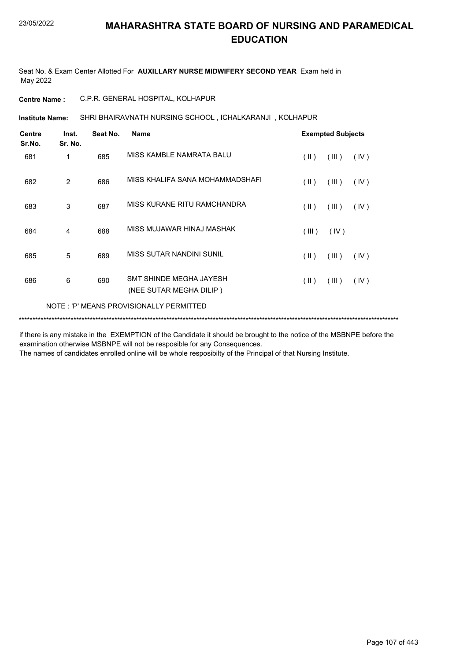Seat No. & Exam Center Allotted For **AUXILLARY NURSE MIDWIFERY SECOND YEAR** Exam held in May 2022

**Centre Name :** C.P.R. GENERAL HOSPITAL, KOLHAPUR

SHRI BHAIRAVNATH NURSING SCHOOL , ICHALKARANJI , KOLHAPUR **Institute Name:**

| <b>Centre</b><br>Sr.No. | Inst.<br>Sr. No. | Seat No. | <b>Name</b>                                        |                         | <b>Exempted Subjects</b> |      |
|-------------------------|------------------|----------|----------------------------------------------------|-------------------------|--------------------------|------|
| 681                     | 1                | 685      | MISS KAMBLE NAMRATA BALU                           | $(\parallel)$           | (III)                    | (IV) |
| 682                     | 2                | 686      | MISS KHALIFA SANA MOHAMMADSHAFI                    | $(\parallel \parallel)$ | (III)                    | (IV) |
| 683                     | 3                | 687      | MISS KURANE RITU RAMCHANDRA                        | $(\parallel \parallel)$ | (III)                    | (IV) |
| 684                     | 4                | 688      | MISS MUJAWAR HINAJ MASHAK                          | (III)                   | (IV)                     |      |
| 685                     | 5                | 689      | MISS SUTAR NANDINI SUNIL                           | (  )                    | (III)                    | (IV) |
| 686                     | 6                | 690      | SMT SHINDE MEGHA JAYESH<br>(NEE SUTAR MEGHA DILIP) | $(\parallel)$           | (III)                    | (IV) |
|                         |                  |          | NOTE: 'P' MEANS PROVISIONALLY PERMITTED            |                         |                          |      |
|                         |                  |          |                                                    |                         |                          |      |

if there is any mistake in the EXEMPTION of the Candidate it should be brought to the notice of the MSBNPE before the examination otherwise MSBNPE will not be resposible for any Consequences.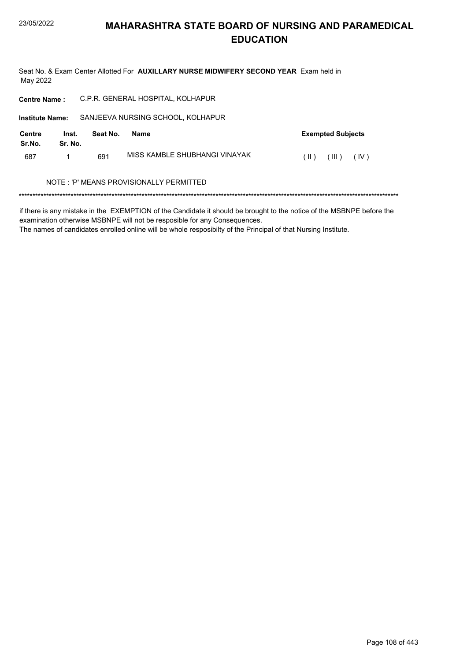Seat No. & Exam Center Allotted For AUXILLARY NURSE MIDWIFERY SECOND YEAR Exam held in May 2022

| <b>Centre Name:</b>    |                  | C.P.R. GENERAL HOSPITAL, KOLHAPUR |                                          |                          |  |
|------------------------|------------------|-----------------------------------|------------------------------------------|--------------------------|--|
| <b>Institute Name:</b> |                  | SANJEEVA NURSING SCHOOL, KOLHAPUR |                                          |                          |  |
| Centre<br>Sr.No.       | Inst.<br>Sr. No. | Seat No.                          | <b>Name</b>                              | <b>Exempted Subjects</b> |  |
| 687                    |                  | 691                               | MISS KAMBI F SHUBHANGI VINAYAK           | (IV)<br>(  )<br>(III)    |  |
|                        |                  |                                   | NOTE : 'P' MEANS PROVISIONALLY PERMITTED |                          |  |
|                        |                  |                                   |                                          |                          |  |

if there is any mistake in the EXEMPTION of the Candidate it should be brought to the notice of the MSBNPE before the examination otherwise MSBNPE will not be resposible for any Consequences.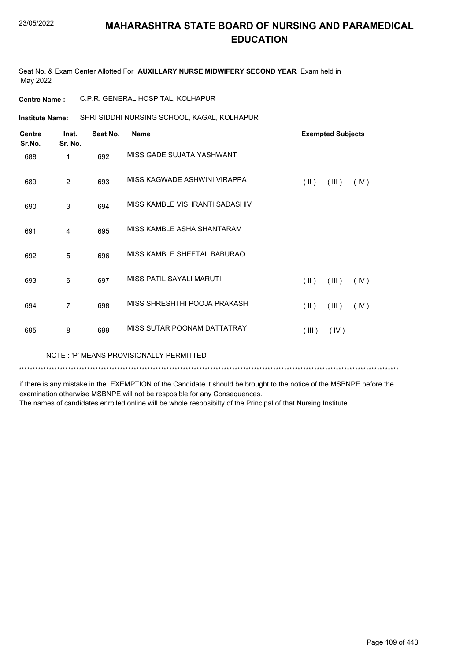Seat No. & Exam Center Allotted For **AUXILLARY NURSE MIDWIFERY SECOND YEAR** Exam held in May 2022

| <b>Centre Name:</b>     |                  |          | C.P.R. GENERAL HOSPITAL, KOLHAPUR           |               |                          |      |
|-------------------------|------------------|----------|---------------------------------------------|---------------|--------------------------|------|
| <b>Institute Name:</b>  |                  |          | SHRI SIDDHI NURSING SCHOOL, KAGAL, KOLHAPUR |               |                          |      |
| <b>Centre</b><br>Sr.No. | Inst.<br>Sr. No. | Seat No. | <b>Name</b>                                 |               | <b>Exempted Subjects</b> |      |
| 688                     | 1                | 692      | MISS GADE SUJATA YASHWANT                   |               |                          |      |
| 689                     | $\overline{2}$   | 693      | MISS KAGWADE ASHWINI VIRAPPA                | $(\parallel)$ | (III)                    | (IV) |
| 690                     | 3                | 694      | MISS KAMBLE VISHRANTI SADASHIV              |               |                          |      |
| 691                     | 4                | 695      | MISS KAMBLE ASHA SHANTARAM                  |               |                          |      |
| 692                     | 5                | 696      | MISS KAMBLE SHEETAL BABURAO                 |               |                          |      |
| 693                     | 6                | 697      | MISS PATIL SAYALLMARUTI                     | $(\parallel)$ | (III)                    | (IV) |
| 694                     | $\overline{7}$   | 698      | MISS SHRESHTHI POOJA PRAKASH                | $(\parallel)$ | (III)                    | (IV) |
| 695                     | 8                | 699      | MISS SUTAR POONAM DATTATRAY                 | (III)         | (IV)                     |      |
|                         |                  |          |                                             |               |                          |      |

NOTE : 'P' MEANS PROVISIONALLY PERMITTED

\*\*\*\*\*\*\*\*\*\*\*\*\*\*\*\*\*\*\*\*\*\*\*\*\*\*\*\*\*\*\*\*\*\*\*\*\*\*\*\*\*\*\*\*\*\*\*\*\*\*\*\*\*\*\*\*\*\*\*\*\*\*\*\*\*\*\*\*\*\*\*\*\*\*\*\*\*\*\*\*\*\*\*\*\*\*\*\*\*\*\*\*\*\*\*\*\*\*\*\*\*\*\*\*\*\*\*\*\*\*\*\*\*\*\*\*\*\*\*\*\*\*\*\*\*\*\*\*\*\*\*\*\*\*\*\*\*\*\*

if there is any mistake in the EXEMPTION of the Candidate it should be brought to the notice of the MSBNPE before the examination otherwise MSBNPE will not be resposible for any Consequences.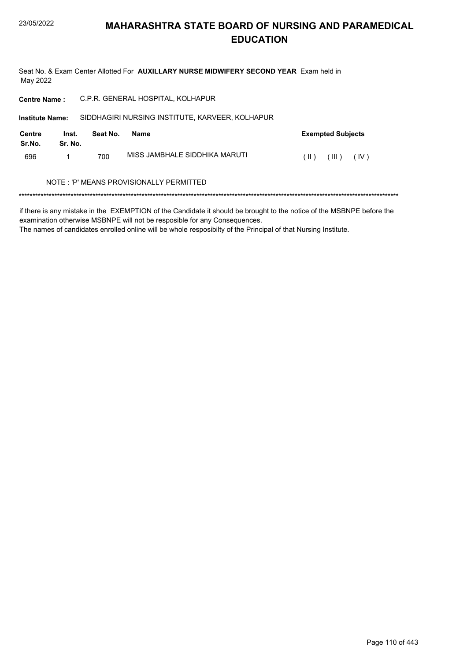Seat No. & Exam Center Allotted For AUXILLARY NURSE MIDWIFERY SECOND YEAR Exam held in May 2022

| <b>Centre Name:</b>    |                                          |          | C.P.R. GENERAL HOSPITAL, KOLHAPUR               |                                  |  |  |  |  |
|------------------------|------------------------------------------|----------|-------------------------------------------------|----------------------------------|--|--|--|--|
| <b>Institute Name:</b> |                                          |          | SIDDHAGIRI NURSING INSTITUTE, KARVEER, KOLHAPUR |                                  |  |  |  |  |
| Centre<br>Sr.No.       | Inst.<br>Sr. No.                         | Seat No. | Name                                            | <b>Exempted Subjects</b>         |  |  |  |  |
| 696                    |                                          | 700      | MISS JAMBHALE SIDDHIKA MARUTI                   | (IV)<br>(III)<br>$( \parallel )$ |  |  |  |  |
|                        | NOTE : 'P' MEANS PROVISIONALLY PERMITTED |          |                                                 |                                  |  |  |  |  |
|                        |                                          |          |                                                 |                                  |  |  |  |  |

if there is any mistake in the EXEMPTION of the Candidate it should be brought to the notice of the MSBNPE before the examination otherwise MSBNPE will not be resposible for any Consequences.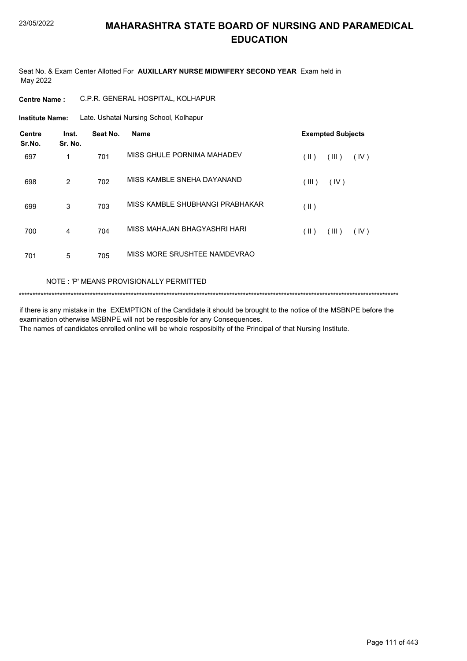Seat No. & Exam Center Allotted For **AUXILLARY NURSE MIDWIFERY SECOND YEAR** Exam held in May 2022

**Centre Name :** C.P.R. GENERAL HOSPITAL, KOLHAPUR

Late. Ushatai Nursing School, Kolhapur **Institute Name:**

| <b>Centre</b><br>Sr.No. | Inst.<br>Sr. No. | Seat No. | <b>Name</b>                     | <b>Exempted Subjects</b> |
|-------------------------|------------------|----------|---------------------------------|--------------------------|
| 697                     | 1                | 701      | MISS GHULE PORNIMA MAHADEV      | (  )<br>(III)<br>(IV)    |
| 698                     | 2                | 702      | MISS KAMBLE SNEHA DAYANAND      | (III)<br>(IV)            |
| 699                     | 3                | 703      | MISS KAMBLE SHUBHANGI PRABHAKAR | $($ II $)$               |
| 700                     | 4                | 704      | MISS MAHAJAN BHAGYASHRI HARI    | (  )<br>(III)<br>(IV)    |
| 701                     | 5                | 705      | MISS MORE SRUSHTEE NAMDEVRAO    |                          |

#### NOTE : 'P' MEANS PROVISIONALLY PERMITTED

\*\*\*\*\*\*\*\*\*\*\*\*\*\*\*\*\*\*\*\*\*\*\*\*\*\*\*\*\*\*\*\*\*\*\*\*\*\*\*\*\*\*\*\*\*\*\*\*\*\*\*\*\*\*\*\*\*\*\*\*\*\*\*\*\*\*\*\*\*\*\*\*\*\*\*\*\*\*\*\*\*\*\*\*\*\*\*\*\*\*\*\*\*\*\*\*\*\*\*\*\*\*\*\*\*\*\*\*\*\*\*\*\*\*\*\*\*\*\*\*\*\*\*\*\*\*\*\*\*\*\*\*\*\*\*\*\*\*\*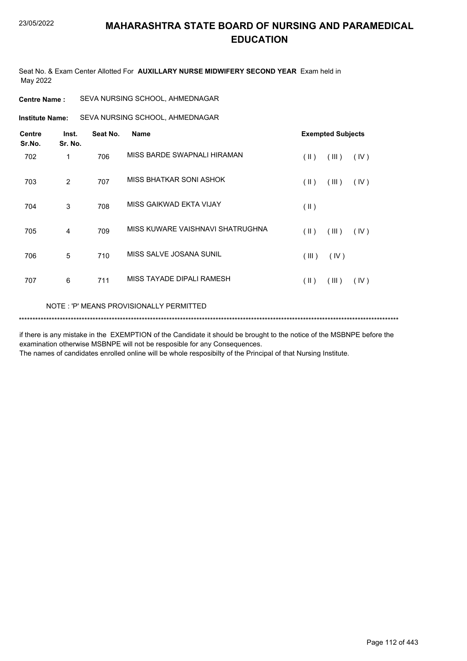Seat No. & Exam Center Allotted For **AUXILLARY NURSE MIDWIFERY SECOND YEAR** Exam held in May 2022

| <b>Centre Name :</b> | SEVA NURSING SCHOOL, AHMEDNAGAR |  |
|----------------------|---------------------------------|--|
|                      |                                 |  |

**Institute Name:** SEVA NURSING SCHOOL, AHMEDNAGAR

| <b>Centre</b><br>Sr.No. | Inst.<br>Sr. No. | Seat No. | <b>Name</b>                             |                         | <b>Exempted Subjects</b> |      |  |
|-------------------------|------------------|----------|-----------------------------------------|-------------------------|--------------------------|------|--|
| 702                     | 1                | 706      | MISS BARDE SWAPNALI HIRAMAN             | $(\parallel \parallel)$ | (III)                    | (IV) |  |
| 703                     | 2                | 707      | MISS BHATKAR SONI ASHOK                 | $(\parallel \parallel)$ | (III)                    | (IV) |  |
| 704                     | 3                | 708      | MISS GAIKWAD EKTA VIJAY                 | $(\parallel)$           |                          |      |  |
| 705                     | 4                | 709      | MISS KUWARE VAISHNAVI SHATRUGHNA        | $(\parallel)$           | (III)                    | (IV) |  |
| 706                     | 5                | 710      | MISS SALVE JOSANA SUNIL                 | (III)                   | (IV)                     |      |  |
| 707                     | 6                | 711      | MISS TAYADE DIPALI RAMESH               | $(\parallel)$           | (III)                    | (IV) |  |
|                         |                  |          | NOTE: 'P' MEANS PROVISIONALLY PERMITTED |                         |                          |      |  |

\*\*\*\*\*\*\*\*\*\*\*\*\*\*\*\*\*\*\*\*\*\*\*\*\*\*\*\*\*\*\*\*\*\*\*\*\*\*\*\*\*\*\*\*\*\*\*\*\*\*\*\*\*\*\*\*\*\*\*\*\*\*\*\*\*\*\*\*\*\*\*\*\*\*\*\*\*\*\*\*\*\*\*\*\*\*\*\*\*\*\*\*\*\*\*\*\*\*\*\*\*\*\*\*\*\*\*\*\*\*\*\*\*\*\*\*\*\*\*\*\*\*\*\*\*\*\*\*\*\*\*\*\*\*\*\*\*\*\*

if there is any mistake in the EXEMPTION of the Candidate it should be brought to the notice of the MSBNPE before the examination otherwise MSBNPE will not be resposible for any Consequences.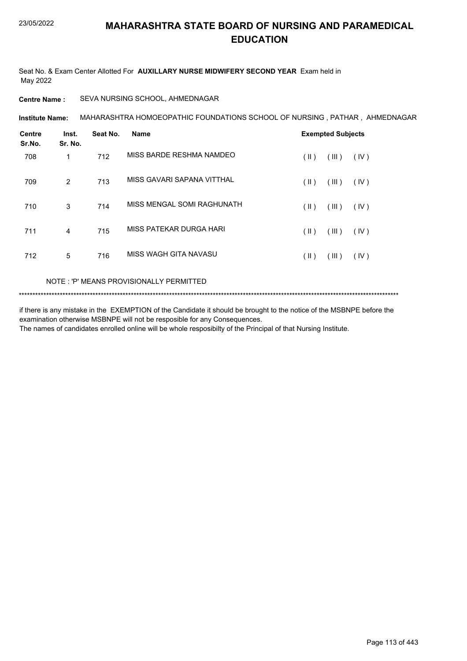Seat No. & Exam Center Allotted For **AUXILLARY NURSE MIDWIFERY SECOND YEAR** Exam held in May 2022

#### **Centre Name :** SEVA NURSING SCHOOL, AHMEDNAGAR

MAHARASHTRA HOMOEOPATHIC FOUNDATIONS SCHOOL OF NURSING , PATHAR , AHMEDNAGAR **Institute Name:**

| <b>Centre</b><br>Sr.No. | Inst.<br>Sr. No. | Seat No. | <b>Name</b>                |      | <b>Exempted Subjects</b> |      |
|-------------------------|------------------|----------|----------------------------|------|--------------------------|------|
| 708                     | 1                | 712      | MISS BARDE RESHMA NAMDEO   | (  ) | (III)                    | (IV) |
| 709                     | 2                | 713      | MISS GAVARI SAPANA VITTHAL | (  ) | (III)                    | (IV) |
| 710                     | 3                | 714      | MISS MENGAL SOMI RAGHUNATH | (  ) | (III)                    | (IV) |
| 711                     | 4                | 715      | MISS PATEKAR DURGA HARI    | (  ) | (III)                    | (IV) |
| 712                     | 5                | 716      | MISS WAGH GITA NAVASU      | (  ) | (III)                    | (IV) |

#### NOTE : 'P' MEANS PROVISIONALLY PERMITTED

\*\*\*\*\*\*\*\*\*\*\*\*\*\*\*\*\*\*\*\*\*\*\*\*\*\*\*\*\*\*\*\*\*\*\*\*\*\*\*\*\*\*\*\*\*\*\*\*\*\*\*\*\*\*\*\*\*\*\*\*\*\*\*\*\*\*\*\*\*\*\*\*\*\*\*\*\*\*\*\*\*\*\*\*\*\*\*\*\*\*\*\*\*\*\*\*\*\*\*\*\*\*\*\*\*\*\*\*\*\*\*\*\*\*\*\*\*\*\*\*\*\*\*\*\*\*\*\*\*\*\*\*\*\*\*\*\*\*\*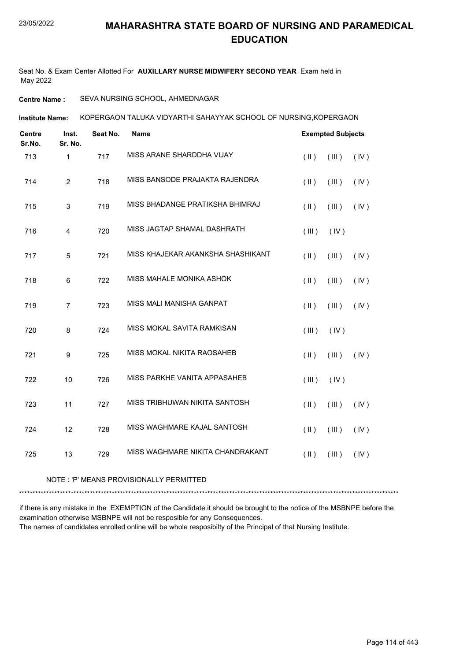Seat No. & Exam Center Allotted For **AUXILLARY NURSE MIDWIFERY SECOND YEAR** Exam held in May 2022

#### **Centre Name :** SEVA NURSING SCHOOL, AHMEDNAGAR

KOPERGAON TALUKA VIDYARTHI SAHAYYAK SCHOOL OF NURSING,KOPERGAON **Institute Name:**

| <b>Centre</b><br>Sr.No. | Inst.<br>Sr. No. | Seat No. | Name                              |               | <b>Exempted Subjects</b> |      |
|-------------------------|------------------|----------|-----------------------------------|---------------|--------------------------|------|
| 713                     | 1                | 717      | MISS ARANE SHARDDHA VIJAY         | $(\parallel)$ | (III)                    | (IV) |
| 714                     | $\overline{2}$   | 718      | MISS BANSODE PRAJAKTA RAJENDRA    | $($ II $)$    | (III)                    | (IV) |
| 715                     | 3                | 719      | MISS BHADANGE PRATIKSHA BHIMRAJ   | $(\parallel)$ | (III)                    | (IV) |
| 716                     | $\overline{4}$   | 720      | MISS JAGTAP SHAMAL DASHRATH       | (III)         | (IV)                     |      |
| 717                     | 5                | 721      | MISS KHAJEKAR AKANKSHA SHASHIKANT | $(\parallel)$ | (III)                    | (IV) |
| 718                     | 6                | 722      | MISS MAHALE MONIKA ASHOK          | $($ II $)$    | (III)                    | (IV) |
| 719                     | $\overline{7}$   | 723      | MISS MALI MANISHA GANPAT          | $(\parallel)$ | (III)                    | (IV) |
| 720                     | 8                | 724      | MISS MOKAL SAVITA RAMKISAN        | (III)         | (IV)                     |      |
| 721                     | 9                | 725      | MISS MOKAL NIKITA RAOSAHEB        | $($ II $)$    | (III)                    | (IV) |
| 722                     | 10               | 726      | MISS PARKHE VANITA APPASAHEB      | (III)         | (IV)                     |      |
| 723                     | 11               | 727      | MISS TRIBHUWAN NIKITA SANTOSH     | $($ II $)$    | (III)                    | (IV) |
| 724                     | 12               | 728      | MISS WAGHMARE KAJAL SANTOSH       | $(\parallel)$ | (III)                    | (IV) |
| 725                     | 13               | 729      | MISS WAGHMARE NIKITA CHANDRAKANT  | $(\parallel)$ | (III)                    | (IV) |

#### NOTE : 'P' MEANS PROVISIONALLY PERMITTED

\*\*\*\*\*\*\*\*\*\*\*\*\*\*\*\*\*\*\*\*\*\*\*\*\*\*\*\*\*\*\*\*\*\*\*\*\*\*\*\*\*\*\*\*\*\*\*\*\*\*\*\*\*\*\*\*\*\*\*\*\*\*\*\*\*\*\*\*\*\*\*\*\*\*\*\*\*\*\*\*\*\*\*\*\*\*\*\*\*\*\*\*\*\*\*\*\*\*\*\*\*\*\*\*\*\*\*\*\*\*\*\*\*\*\*\*\*\*\*\*\*\*\*\*\*\*\*\*\*\*\*\*\*\*\*\*\*\*\*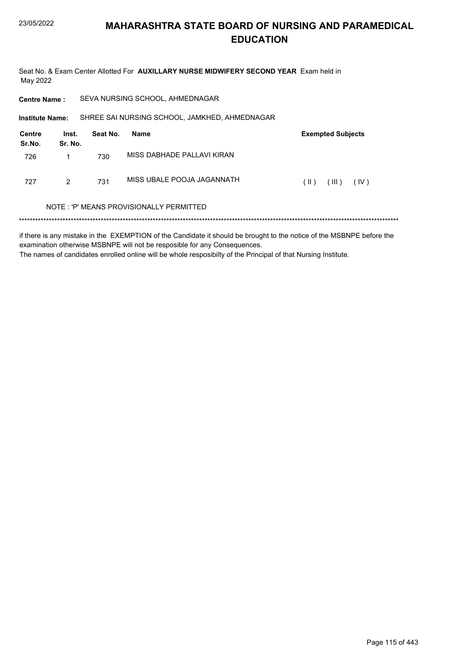Seat No. & Exam Center Allotted For AUXILLARY NURSE MIDWIFERY SECOND YEAR Exam held in May 2022

| <b>Centre Name:</b>    |                  |          | SEVA NURSING SCHOOL, AHMEDNAGAR               |                                |
|------------------------|------------------|----------|-----------------------------------------------|--------------------------------|
| <b>Institute Name:</b> |                  |          | SHREE SAI NURSING SCHOOL, JAMKHED, AHMEDNAGAR |                                |
| Centre<br>Sr.No.       | Inst.<br>Sr. No. | Seat No. | <b>Name</b>                                   | <b>Exempted Subjects</b>       |
| 726                    |                  | 730      | MISS DABHADE PALLAVI KIRAN                    |                                |
| 727                    | 2                | 731      | MISS UBALE POOJA JAGANNATH                    | $(\parallel)$<br>(III)<br>(IV) |
|                        |                  |          | NOTE: 'P' MEANS PROVISIONALLY PERMITTED       |                                |
|                        |                  |          |                                               |                                |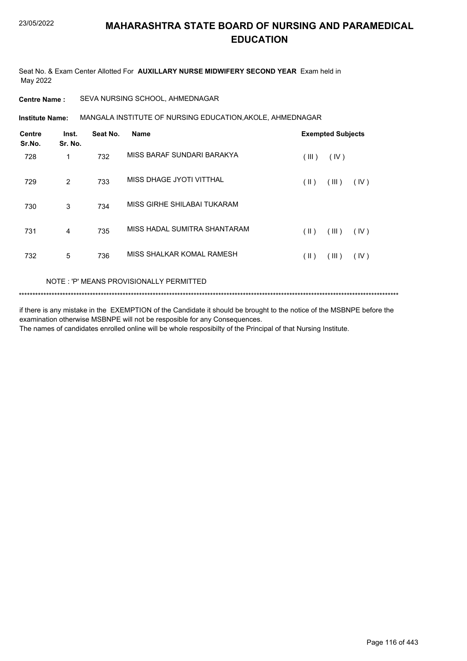Seat No. & Exam Center Allotted For **AUXILLARY NURSE MIDWIFERY SECOND YEAR** Exam held in May 2022

**Centre Name :** SEVA NURSING SCHOOL, AHMEDNAGAR

MANGALA INSTITUTE OF NURSING EDUCATION,AKOLE, AHMEDNAGAR **Institute Name:**

| <b>Centre</b><br>Sr.No. | Inst.<br>Sr. No. | Seat No. | <b>Name</b>                  |       | <b>Exempted Subjects</b> |      |
|-------------------------|------------------|----------|------------------------------|-------|--------------------------|------|
| 728                     | 1                | 732      | MISS BARAF SUNDARI BARAKYA   | (III) | (IV)                     |      |
| 729                     | 2                | 733      | MISS DHAGE JYOTI VITTHAL     | (  )  | (III)                    | (IV) |
| 730                     | 3                | 734      | MISS GIRHE SHILABAI TUKARAM  |       |                          |      |
| 731                     | $\overline{4}$   | 735      | MISS HADAL SUMITRA SHANTARAM | (  )  | (III)                    | (IV) |
| 732                     | 5                | 736      | MISS SHALKAR KOMAL RAMESH    | (  )  | (III)                    | (IV) |

NOTE : 'P' MEANS PROVISIONALLY PERMITTED

\*\*\*\*\*\*\*\*\*\*\*\*\*\*\*\*\*\*\*\*\*\*\*\*\*\*\*\*\*\*\*\*\*\*\*\*\*\*\*\*\*\*\*\*\*\*\*\*\*\*\*\*\*\*\*\*\*\*\*\*\*\*\*\*\*\*\*\*\*\*\*\*\*\*\*\*\*\*\*\*\*\*\*\*\*\*\*\*\*\*\*\*\*\*\*\*\*\*\*\*\*\*\*\*\*\*\*\*\*\*\*\*\*\*\*\*\*\*\*\*\*\*\*\*\*\*\*\*\*\*\*\*\*\*\*\*\*\*\*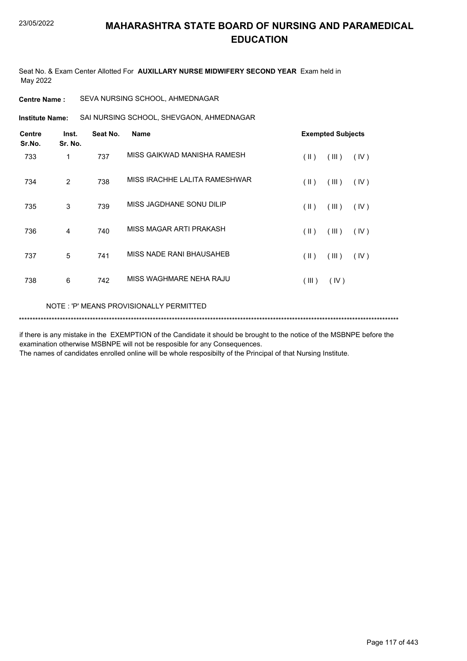Seat No. & Exam Center Allotted For **AUXILLARY NURSE MIDWIFERY SECOND YEAR** Exam held in May 2022

**Centre Name :** SEVA NURSING SCHOOL, AHMEDNAGAR

SAI NURSING SCHOOL, SHEVGAON, AHMEDNAGAR **Institute Name:**

| <b>Centre</b><br>Sr.No. | Inst.<br>Sr. No. | Seat No. | <b>Name</b>                   |               | <b>Exempted Subjects</b> |      |
|-------------------------|------------------|----------|-------------------------------|---------------|--------------------------|------|
| 733                     | 1                | 737      | MISS GAIKWAD MANISHA RAMESH   | $(\parallel)$ | (III)                    | (IV) |
| 734                     | 2                | 738      | MISS IRACHHE LALITA RAMESHWAR | $(\parallel)$ | (III)                    | (IV) |
| 735                     | 3                | 739      | MISS JAGDHANE SONU DILIP      | $(\parallel)$ | (III)                    | (IV) |
| 736                     | 4                | 740      | MISS MAGAR ARTI PRAKASH       | $(\parallel)$ | (III)                    | (IV) |
| 737                     | 5                | 741      | MISS NADE RANI BHAUSAHEB      | $(\parallel)$ | (III)                    | (IV) |
| 738                     | 6                | 742      | MISS WAGHMARE NEHA RAJU       | (III)         | (IV)                     |      |
|                         |                  |          |                               |               |                          |      |

NOTE : 'P' MEANS PROVISIONALLY PERMITTED

\*\*\*\*\*\*\*\*\*\*\*\*\*\*\*\*\*\*\*\*\*\*\*\*\*\*\*\*\*\*\*\*\*\*\*\*\*\*\*\*\*\*\*\*\*\*\*\*\*\*\*\*\*\*\*\*\*\*\*\*\*\*\*\*\*\*\*\*\*\*\*\*\*\*\*\*\*\*\*\*\*\*\*\*\*\*\*\*\*\*\*\*\*\*\*\*\*\*\*\*\*\*\*\*\*\*\*\*\*\*\*\*\*\*\*\*\*\*\*\*\*\*\*\*\*\*\*\*\*\*\*\*\*\*\*\*\*\*\*

if there is any mistake in the EXEMPTION of the Candidate it should be brought to the notice of the MSBNPE before the examination otherwise MSBNPE will not be resposible for any Consequences.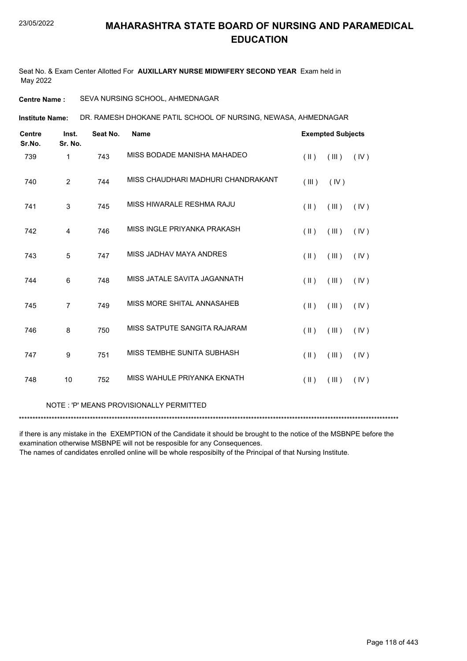Seat No. & Exam Center Allotted For **AUXILLARY NURSE MIDWIFERY SECOND YEAR** Exam held in May 2022

**Centre Name :** SEVA NURSING SCHOOL, AHMEDNAGAR

DR. RAMESH DHOKANE PATIL SCHOOL OF NURSING, NEWASA, AHMEDNAGAR **Institute Name:**

| <b>Centre</b><br>Sr.No. | Inst.<br>Sr. No. | Seat No. | <b>Name</b>                        |                         | <b>Exempted Subjects</b> |      |
|-------------------------|------------------|----------|------------------------------------|-------------------------|--------------------------|------|
| 739                     | 1                | 743      | MISS BODADE MANISHA MAHADEO        | $(\parallel)$           | (III)                    | (IV) |
| 740                     | $\overline{2}$   | 744      | MISS CHAUDHARI MADHURI CHANDRAKANT | (III)                   | (IV)                     |      |
| 741                     | 3                | 745      | MISS HIWARALE RESHMA RAJU          | $($ II $)$              | (III)                    | (IV) |
| 742                     | 4                | 746      | MISS INGLE PRIYANKA PRAKASH        | $($ II $)$              | (III)                    | (IV) |
| 743                     | 5                | 747      | MISS JADHAV MAYA ANDRES            | $(\parallel)$           | (III)                    | (IV) |
| 744                     | 6                | 748      | MISS JATALE SAVITA JAGANNATH       | $(\parallel)$           | (III)                    | (IV) |
| 745                     | $\overline{7}$   | 749      | MISS MORE SHITAL ANNASAHEB         | $(\parallel)$           | (III)                    | (IV) |
| 746                     | 8                | 750      | MISS SATPUTE SANGITA RAJARAM       | $(\parallel \parallel)$ | (III)                    | (IV) |
| 747                     | 9                | 751      | MISS TEMBHE SUNITA SUBHASH         | $(\parallel)$           | (III)                    | (IV) |
| 748                     | 10               | 752      | MISS WAHULE PRIYANKA EKNATH        | $(\parallel \parallel)$ | (III)                    | (IV) |

#### NOTE : 'P' MEANS PROVISIONALLY PERMITTED

\*\*\*\*\*\*\*\*\*\*\*\*\*\*\*\*\*\*\*\*\*\*\*\*\*\*\*\*\*\*\*\*\*\*\*\*\*\*\*\*\*\*\*\*\*\*\*\*\*\*\*\*\*\*\*\*\*\*\*\*\*\*\*\*\*\*\*\*\*\*\*\*\*\*\*\*\*\*\*\*\*\*\*\*\*\*\*\*\*\*\*\*\*\*\*\*\*\*\*\*\*\*\*\*\*\*\*\*\*\*\*\*\*\*\*\*\*\*\*\*\*\*\*\*\*\*\*\*\*\*\*\*\*\*\*\*\*\*\*

if there is any mistake in the EXEMPTION of the Candidate it should be brought to the notice of the MSBNPE before the examination otherwise MSBNPE will not be resposible for any Consequences.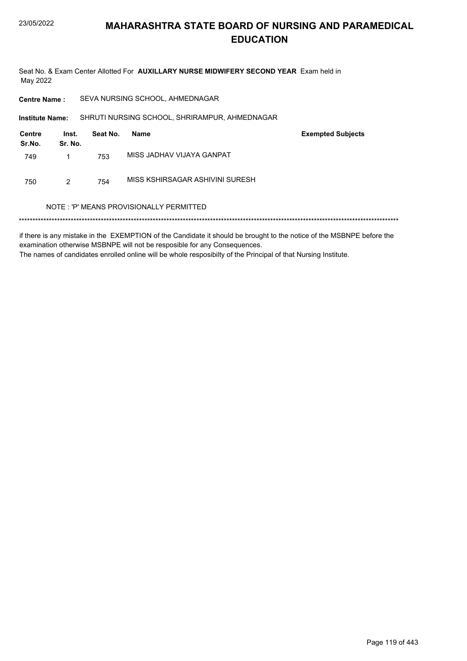Seat No. & Exam Center Allotted For AUXILLARY NURSE MIDWIFERY SECOND YEAR Exam held in May 2022

**Centre Name:** SEVA NURSING SCHOOL, AHMEDNAGAR

SHRUTI NURSING SCHOOL, SHRIRAMPUR, AHMEDNAGAR Institute Name:

| Centre<br>Sr.No. | Inst.<br>Sr. No. | Seat No. | Name                            | <b>Exempted Subjects</b> |
|------------------|------------------|----------|---------------------------------|--------------------------|
| 749              |                  | 753      | MISS JADHAV VIJAYA GANPAT       |                          |
| 750              | 2                | 754      | MISS KSHIRSAGAR ASHIVINI SURESH |                          |

#### NOTE: 'P' MEANS PROVISIONALLY PERMITTED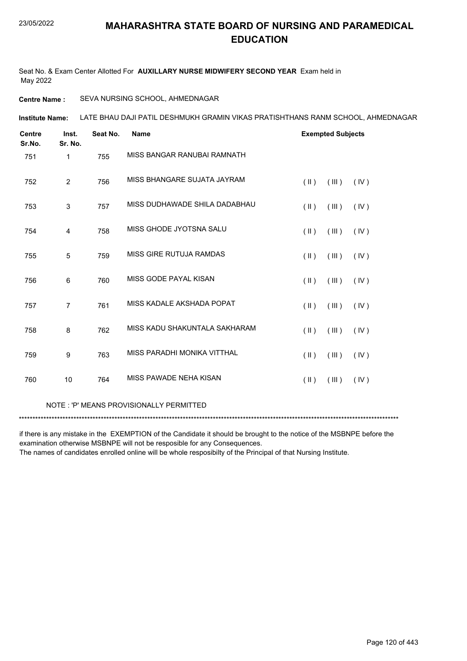Seat No. & Exam Center Allotted For **AUXILLARY NURSE MIDWIFERY SECOND YEAR** Exam held in May 2022

#### **Centre Name :** SEVA NURSING SCHOOL, AHMEDNAGAR

LATE BHAU DAJI PATIL DESHMUKH GRAMIN VIKAS PRATISHTHANS RANM SCHOOL, AHMEDNAGAR **Institute Name:**

| <b>Centre</b><br>Sr.No. | Inst.<br>Sr. No. | Seat No. | <b>Name</b>                   | <b>Exempted Subjects</b>                 |
|-------------------------|------------------|----------|-------------------------------|------------------------------------------|
| 751                     | $\mathbf{1}$     | 755      | MISS BANGAR RANUBAI RAMNATH   |                                          |
| 752                     | 2                | 756      | MISS BHANGARE SUJATA JAYRAM   | $(\parallel)$<br>(III)<br>(IV)           |
| 753                     | 3                | 757      | MISS DUDHAWADE SHILA DADABHAU | $(\parallel \parallel)$<br>(III)<br>(IV) |
| 754                     | 4                | 758      | MISS GHODE JYOTSNA SALU       | $(\parallel \parallel)$<br>(III)<br>(IV) |
| 755                     | 5                | 759      | MISS GIRE RUTUJA RAMDAS       | $(\parallel)$<br>(III)<br>(IV)           |
| 756                     | 6                | 760      | MISS GODE PAYAL KISAN         | $($ II $)$<br>(III)<br>(IV)              |
| 757                     | $\overline{7}$   | 761      | MISS KADALE AKSHADA POPAT     | $($ II $)$<br>(III)<br>(IV)              |
| 758                     | 8                | 762      | MISS KADU SHAKUNTALA SAKHARAM | $(\parallel)$<br>(III)<br>(IV)           |
| 759                     | 9                | 763      | MISS PARADHI MONIKA VITTHAL   | $(\parallel)$<br>(III)<br>(IV)           |
| 760                     | 10               | 764      | MISS PAWADE NEHA KISAN        | $(\parallel)$<br>(III)<br>(IV)           |

#### NOTE : 'P' MEANS PROVISIONALLY PERMITTED

\*\*\*\*\*\*\*\*\*\*\*\*\*\*\*\*\*\*\*\*\*\*\*\*\*\*\*\*\*\*\*\*\*\*\*\*\*\*\*\*\*\*\*\*\*\*\*\*\*\*\*\*\*\*\*\*\*\*\*\*\*\*\*\*\*\*\*\*\*\*\*\*\*\*\*\*\*\*\*\*\*\*\*\*\*\*\*\*\*\*\*\*\*\*\*\*\*\*\*\*\*\*\*\*\*\*\*\*\*\*\*\*\*\*\*\*\*\*\*\*\*\*\*\*\*\*\*\*\*\*\*\*\*\*\*\*\*\*\*

if there is any mistake in the EXEMPTION of the Candidate it should be brought to the notice of the MSBNPE before the examination otherwise MSBNPE will not be resposible for any Consequences.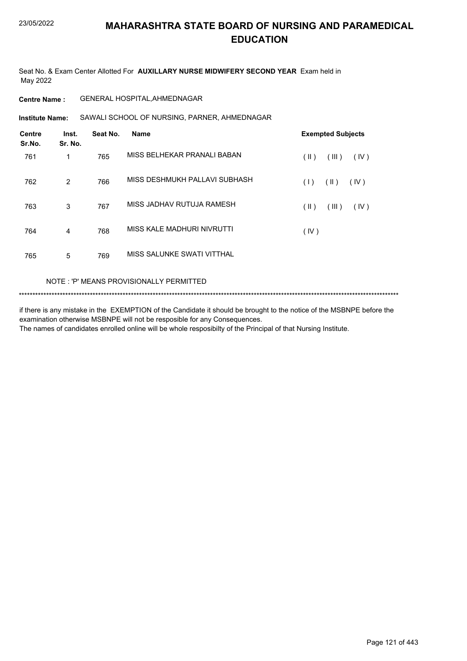Seat No. & Exam Center Allotted For **AUXILLARY NURSE MIDWIFERY SECOND YEAR** Exam held in May 2022

**Centre Name :** GENERAL HOSPITAL,AHMEDNAGAR

SAWALI SCHOOL OF NURSING, PARNER, AHMEDNAGAR **Institute Name:**

| <b>Centre</b><br>Sr.No. | Inst.<br>Sr. No. | Seat No. | <b>Name</b>                   | <b>Exempted Subjects</b> |
|-------------------------|------------------|----------|-------------------------------|--------------------------|
| 761                     | 1                | 765      | MISS BELHEKAR PRANALI BABAN   | (  )<br>(III)<br>(IV)    |
| 762                     | 2                | 766      | MISS DESHMUKH PALLAVI SUBHASH | (  )<br>(IV)<br>(1)      |
| 763                     | 3                | 767      | MISS JADHAV RUTUJA RAMESH     | (III)<br>(IV)<br>(  )    |
| 764                     | $\overline{4}$   | 768      | MISS KALE MADHURI NIVRUTTI    | (IV)                     |
| 765                     | 5                | 769      | MISS SALUNKE SWATI VITTHAL    |                          |

#### NOTE : 'P' MEANS PROVISIONALLY PERMITTED

\*\*\*\*\*\*\*\*\*\*\*\*\*\*\*\*\*\*\*\*\*\*\*\*\*\*\*\*\*\*\*\*\*\*\*\*\*\*\*\*\*\*\*\*\*\*\*\*\*\*\*\*\*\*\*\*\*\*\*\*\*\*\*\*\*\*\*\*\*\*\*\*\*\*\*\*\*\*\*\*\*\*\*\*\*\*\*\*\*\*\*\*\*\*\*\*\*\*\*\*\*\*\*\*\*\*\*\*\*\*\*\*\*\*\*\*\*\*\*\*\*\*\*\*\*\*\*\*\*\*\*\*\*\*\*\*\*\*\*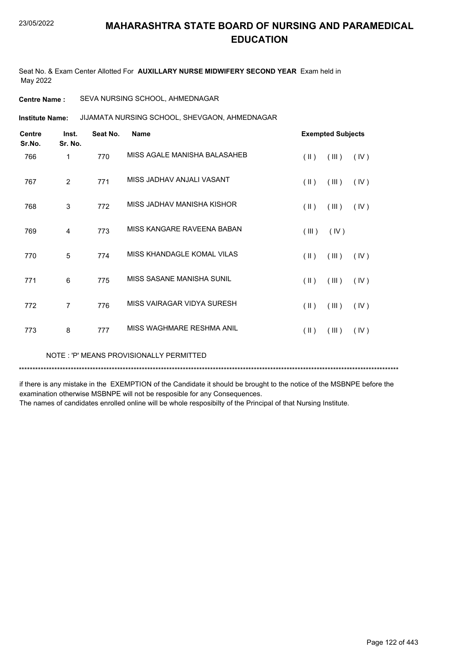Seat No. & Exam Center Allotted For **AUXILLARY NURSE MIDWIFERY SECOND YEAR** Exam held in May 2022

**Centre Name :** SEVA NURSING SCHOOL, AHMEDNAGAR

JIJAMATA NURSING SCHOOL, SHEVGAON, AHMEDNAGAR **Institute Name:**

| <b>Centre</b><br>Sr.No. | Inst.<br>Sr. No. | Seat No. | <b>Name</b>                  |                         | <b>Exempted Subjects</b> |      |
|-------------------------|------------------|----------|------------------------------|-------------------------|--------------------------|------|
| 766                     | 1                | 770      | MISS AGALE MANISHA BALASAHEB | $(\parallel \parallel)$ | (III)                    | (IV) |
| 767                     | $\overline{2}$   | 771      | MISS JADHAV ANJALI VASANT    | $(\parallel)$           | (III)                    | (IV) |
| 768                     | 3                | 772      | MISS JADHAV MANISHA KISHOR   | $(\parallel \parallel)$ | (III)                    | (IV) |
| 769                     | $\overline{4}$   | 773      | MISS KANGARE RAVEENA BABAN   | (III)                   | (IV)                     |      |
| 770                     | 5                | 774      | MISS KHANDAGLE KOMAL VILAS   | $(\parallel \parallel)$ | (III)                    | (IV) |
| 771                     | 6                | 775      | MISS SASANE MANISHA SUNIL    | $(\parallel)$           | (III)                    | (IV) |
| 772                     | $\overline{7}$   | 776      | MISS VAIRAGAR VIDYA SURESH   | $(\parallel)$           | (III)                    | (IV) |
| 773                     | 8                | 777      | MISS WAGHMARE RESHMA ANIL    | $(\parallel)$           | (III)                    | (IV) |

NOTE : 'P' MEANS PROVISIONALLY PERMITTED

\*\*\*\*\*\*\*\*\*\*\*\*\*\*\*\*\*\*\*\*\*\*\*\*\*\*\*\*\*\*\*\*\*\*\*\*\*\*\*\*\*\*\*\*\*\*\*\*\*\*\*\*\*\*\*\*\*\*\*\*\*\*\*\*\*\*\*\*\*\*\*\*\*\*\*\*\*\*\*\*\*\*\*\*\*\*\*\*\*\*\*\*\*\*\*\*\*\*\*\*\*\*\*\*\*\*\*\*\*\*\*\*\*\*\*\*\*\*\*\*\*\*\*\*\*\*\*\*\*\*\*\*\*\*\*\*\*\*\*

if there is any mistake in the EXEMPTION of the Candidate it should be brought to the notice of the MSBNPE before the examination otherwise MSBNPE will not be resposible for any Consequences.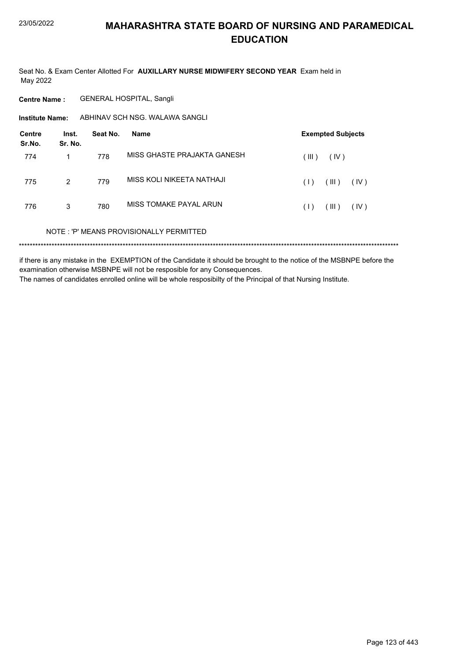Seat No. & Exam Center Allotted For AUXILLARY NURSE MIDWIFERY SECOND YEAR Exam held in May 2022

**Centre Name: GENERAL HOSPITAL, Sangli** 

ABHINAV SCH NSG. WALAWA SANGLI **Institute Name:** 

| <b>Centre</b><br>Sr.No. | Inst.<br>Sr. No. | Seat No. | Name                                    | <b>Exempted Subjects</b> |
|-------------------------|------------------|----------|-----------------------------------------|--------------------------|
| 774                     | 1                | 778      | MISS GHASTE PRAJAKTA GANESH             | (III)<br>(IV)            |
| 775                     | $\overline{2}$   | 779      | MISS KOLI NIKEETA NATHAJI               | (III)<br>(IV)<br>(1)     |
| 776                     | 3                | 780      | MISS TOMAKE PAYAL ARUN                  | (III)<br>(IV)<br>(1)     |
|                         |                  |          | NOTE: 'P' MEANS PROVISIONALLY PERMITTED |                          |
|                         |                  |          |                                         |                          |

if there is any mistake in the EXEMPTION of the Candidate it should be brought to the notice of the MSBNPE before the examination otherwise MSBNPE will not be resposible for any Consequences. The names of candidates enrolled online will be whole resposibilty of the Principal of that Nursing Institute.

Page 123 of 443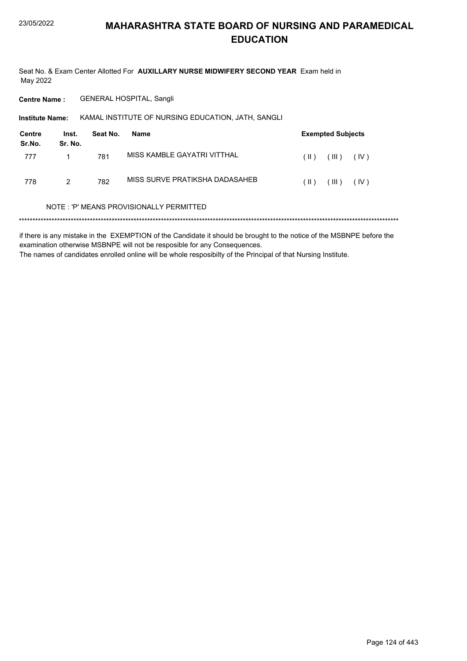Seat No. & Exam Center Allotted For AUXILLARY NURSE MIDWIFERY SECOND YEAR Exam held in May 2022

**Centre Name: GENERAL HOSPITAL, Sangli** 

Institute Name: KAMAL INSTITUTE OF NURSING EDUCATION, JATH, SANGLI

| Centre<br>Sr.No. | Inst.<br>Sr. No. | Seat No. | Name                           |                            | <b>Exempted Subjects</b> |      |
|------------------|------------------|----------|--------------------------------|----------------------------|--------------------------|------|
| 777              |                  | 781      | MISS KAMBLE GAYATRI VITTHAL    | ( II )                     | (III)                    | (IV) |
| 778              | 2                | 782      | MISS SURVE PRATIKSHA DADASAHEB | $\left( \parallel \right)$ | (III)                    | (IV) |

#### NOTE: 'P' MEANS PROVISIONALLY PERMITTED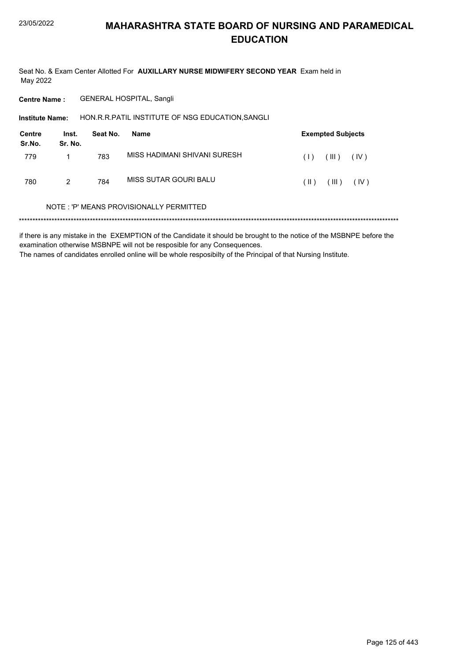Seat No. & Exam Center Allotted For AUXILLARY NURSE MIDWIFERY SECOND YEAR Exam held in May 2022

**Centre Name: GENERAL HOSPITAL, Sangli** 

HON.R.R.PATIL INSTITUTE OF NSG EDUCATION, SANGLI Institute Name:

| Centre<br>Sr.No. | Inst.<br>Sr. No. | Seat No. | Name                         |        | <b>Exempted Subjects</b> |      |
|------------------|------------------|----------|------------------------------|--------|--------------------------|------|
| 779              |                  | 783      | MISS HADIMANI SHIVANI SURESH | (1)    | $III$ )                  | (IV) |
| 780              | 2                | 784      | MISS SUTAR GOURI BALU        | $(\ )$ | (III)                    | (IV) |

#### NOTE: 'P' MEANS PROVISIONALLY PERMITTED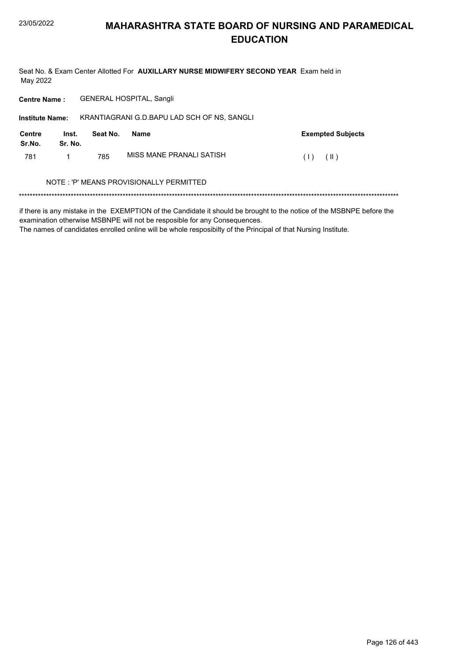Seat No. & Exam Center Allotted For AUXILLARY NURSE MIDWIFERY SECOND YEAR Exam held in May 2022

Centre Name: GENERAL HOSPITAL, Sangli

| <b>Institute Name:</b> |                  |          | KRANTIAGRANI G.D.BAPU LAD SCH OF NS, SANGLI |                          |
|------------------------|------------------|----------|---------------------------------------------|--------------------------|
| Centre<br>Sr.No.       | Inst.<br>Sr. No. | Seat No. | Name                                        | <b>Exempted Subjects</b> |
| 781                    |                  | 785      | MISS MANE PRANALI SATISH                    | (1)<br>$(\ )$            |
|                        |                  |          | NOTE: 'P' MEANS PROVISIONALLY PERMITTED     |                          |

if there is any mistake in the EXEMPTION of the Candidate it should be brought to the notice of the MSBNPE before the examination otherwise MSBNPE will not be resposible for any Consequences.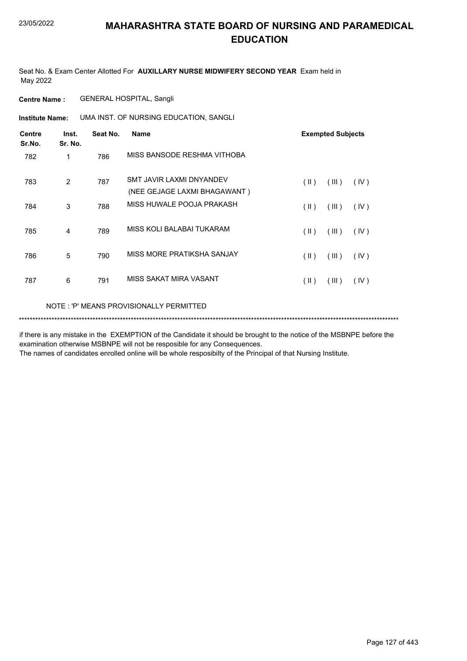Seat No. & Exam Center Allotted For **AUXILLARY NURSE MIDWIFERY SECOND YEAR** Exam held in May 2022

**Centre Name :** GENERAL HOSPITAL, Sangli

**Institute Name: UMA INST. OF NURSING EDUCATION, SANGLI** 

| <b>Centre</b><br>Sr.No. | Inst.<br>Sr. No. | Seat No. | <b>Name</b>                                              |               | <b>Exempted Subjects</b> |      |
|-------------------------|------------------|----------|----------------------------------------------------------|---------------|--------------------------|------|
| 782                     | 1                | 786      | MISS BANSODE RESHMA VITHOBA                              |               |                          |      |
| 783                     | 2                | 787      | SMT JAVIR LAXMI DNYANDEV<br>(NEE GEJAGE LAXMI BHAGAWANT) | $(\parallel)$ | (III)                    | (IV) |
| 784                     | 3                | 788      | MISS HUWALE POOJA PRAKASH                                | $(\parallel)$ | (III)                    | (IV) |
| 785                     | 4                | 789      | MISS KOLI BALABAI TUKARAM                                | $(\parallel)$ | (III)                    | (IV) |
| 786                     | 5                | 790      | MISS MORE PRATIKSHA SANJAY                               | $(\parallel)$ | (III)                    | (IV) |
| 787                     | 6                | 791      | MISS SAKAT MIRA VASANT                                   | $(\parallel)$ | (III)                    | (IV) |
|                         |                  |          | NOTE : 'P' MEANS PROVISIONALLY PERMITTED                 |               |                          |      |

\*\*\*\*\*\*\*\*\*\*\*\*\*\*\*\*\*\*\*\*\*\*\*\*\*\*\*\*\*\*\*\*\*\*\*\*\*\*\*\*\*\*\*\*\*\*\*\*\*\*\*\*\*\*\*\*\*\*\*\*\*\*\*\*\*\*\*\*\*\*\*\*\*\*\*\*\*\*\*\*\*\*\*\*\*\*\*\*\*\*\*\*\*\*\*\*\*\*\*\*\*\*\*\*\*\*\*\*\*\*\*\*\*\*\*\*\*\*\*\*\*\*\*\*\*\*\*\*\*\*\*\*\*\*\*\*\*\*\*

if there is any mistake in the EXEMPTION of the Candidate it should be brought to the notice of the MSBNPE before the examination otherwise MSBNPE will not be resposible for any Consequences.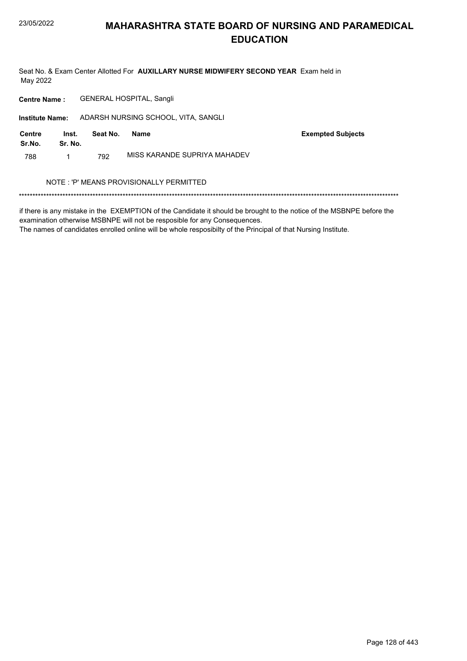Seat No. & Exam Center Allotted For AUXILLARY NURSE MIDWIFERY SECOND YEAR Exam held in May 2022

**GENERAL HOSPITAL, Sangli Centre Name:** 

Institute Name: ADARSH NURSING SCHOOL, VITA, SANGLI

| Centre<br>Sr.No. | Inst.<br>Sr. No. | Seat No. | Name                         | <b>Exempted Subjects</b> |
|------------------|------------------|----------|------------------------------|--------------------------|
| 788              |                  | 792      | MISS KARANDE SUPRIYA MAHADEV |                          |

#### NOTE : 'P' MEANS PROVISIONALLY PERMITTED

if there is any mistake in the EXEMPTION of the Candidate it should be brought to the notice of the MSBNPE before the examination otherwise MSBNPE will not be resposible for any Consequences.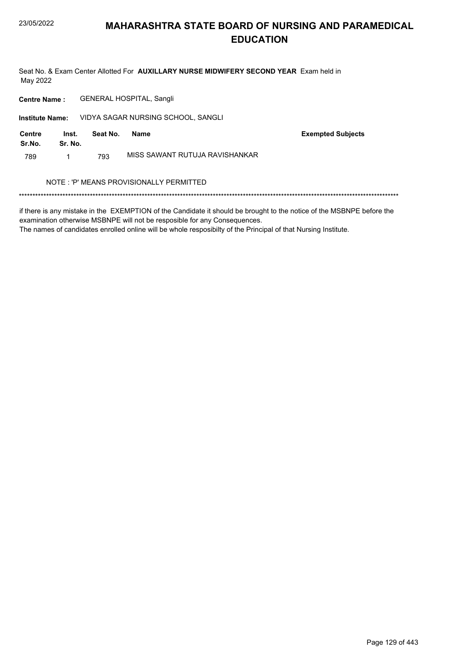Seat No. & Exam Center Allotted For AUXILLARY NURSE MIDWIFERY SECOND YEAR Exam held in May 2022

**GENERAL HOSPITAL, Sangli Centre Name:** 

Institute Name: VIDYA SAGAR NURSING SCHOOL, SANGLI

| <b>Centre</b><br>Sr.No. | Inst.<br>Sr. No. | Seat No. | Name                           | <b>Exempted Subjects</b> |
|-------------------------|------------------|----------|--------------------------------|--------------------------|
| 789                     |                  | 793      | MISS SAWANT RUTUJA RAVISHANKAR |                          |

#### NOTE : 'P' MEANS PROVISIONALLY PERMITTED

if there is any mistake in the EXEMPTION of the Candidate it should be brought to the notice of the MSBNPE before the examination otherwise MSBNPE will not be resposible for any Consequences.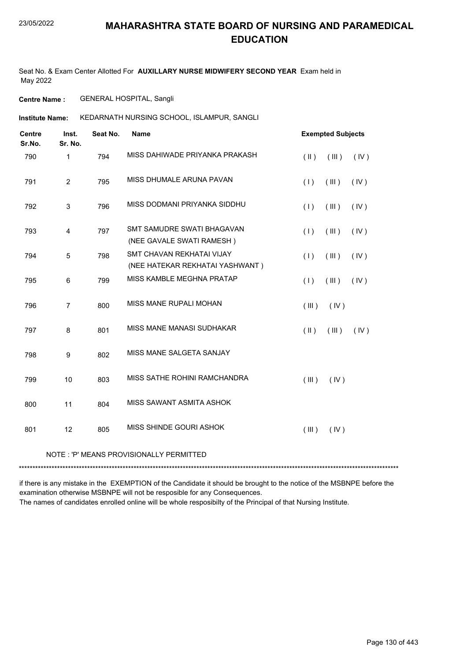Seat No. & Exam Center Allotted For **AUXILLARY NURSE MIDWIFERY SECOND YEAR** Exam held in May 2022

**Centre Name :** GENERAL HOSPITAL, Sangli

KEDARNATH NURSING SCHOOL, ISLAMPUR, SANGLI **Institute Name:**

| <b>Centre</b><br>Sr.No. | Inst.<br>Sr. No. | Seat No. | <b>Name</b>                                                  | <b>Exempted Subjects</b> |      |
|-------------------------|------------------|----------|--------------------------------------------------------------|--------------------------|------|
| 790                     | 1                | 794      | MISS DAHIWADE PRIYANKA PRAKASH                               | $(\parallel)$<br>(III)   | (IV) |
| 791                     | $\overline{2}$   | 795      | MISS DHUMALE ARUNA PAVAN                                     | (1)<br>(III)             | (IV) |
| 792                     | 3                | 796      | MISS DODMANI PRIYANKA SIDDHU                                 | (1)<br>$($ III $)$       | (IV) |
| 793                     | $\overline{4}$   | 797      | SMT SAMUDRE SWATI BHAGAVAN<br>(NEE GAVALE SWATI RAMESH)      | $($ III $)$<br>(1)       | (IV) |
| 794                     | 5                | 798      | SMT CHAVAN REKHATAI VIJAY<br>(NEE HATEKAR REKHATAI YASHWANT) | $($ III $)$<br>(1)       | (IV) |
| 795                     | 6                | 799      | MISS KAMBLE MEGHNA PRATAP                                    | (1)<br>(III)             | (IV) |
| 796                     | $\overline{7}$   | 800      | MISS MANE RUPALI MOHAN                                       | (III)<br>(IV)            |      |
| 797                     | 8                | 801      | <b>MISS MANE MANASI SUDHAKAR</b>                             | $($ II $)$<br>(III)      | (IV) |
| 798                     | 9                | 802      | MISS MANE SALGETA SANJAY                                     |                          |      |
| 799                     | 10               | 803      | MISS SATHE ROHINI RAMCHANDRA                                 | (III)<br>(IV)            |      |
| 800                     | 11               | 804      | MISS SAWANT ASMITA ASHOK                                     |                          |      |
| 801                     | 12               | 805      | MISS SHINDE GOURI ASHOK                                      | (III)<br>(IV)            |      |
|                         |                  |          |                                                              |                          |      |

#### NOTE : 'P' MEANS PROVISIONALLY PERMITTED

\*\*\*\*\*\*\*\*\*\*\*\*\*\*\*\*\*\*\*\*\*\*\*\*\*\*\*\*\*\*\*\*\*\*\*\*\*\*\*\*\*\*\*\*\*\*\*\*\*\*\*\*\*\*\*\*\*\*\*\*\*\*\*\*\*\*\*\*\*\*\*\*\*\*\*\*\*\*\*\*\*\*\*\*\*\*\*\*\*\*\*\*\*\*\*\*\*\*\*\*\*\*\*\*\*\*\*\*\*\*\*\*\*\*\*\*\*\*\*\*\*\*\*\*\*\*\*\*\*\*\*\*\*\*\*\*\*\*\*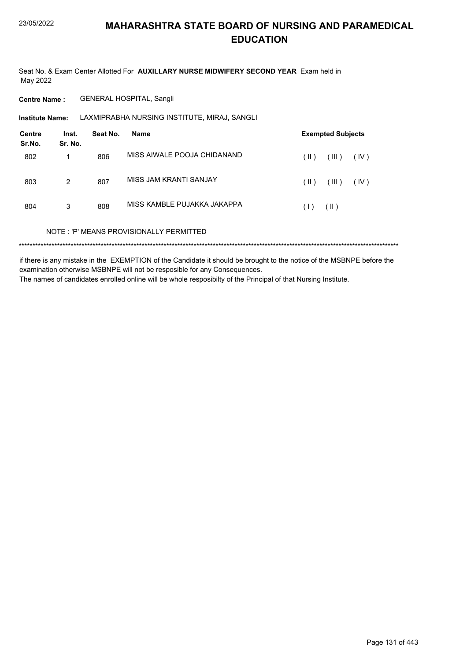Seat No. & Exam Center Allotted For AUXILLARY NURSE MIDWIFERY SECOND YEAR Exam held in May 2022

**Centre Name: GENERAL HOSPITAL, Sangli** 

LAXMIPRABHA NURSING INSTITUTE, MIRAJ, SANGLI **Institute Name:** 

| <b>Centre</b><br>Sr.No. | Inst.<br>Sr. No. | Seat No. | <b>Name</b>                             | <b>Exempted Subjects</b> |
|-------------------------|------------------|----------|-----------------------------------------|--------------------------|
| 802                     | 1                | 806      | MISS AIWALE POOJA CHIDANAND             | (III)<br>(IV)<br>(  )    |
| 803                     | $\overline{2}$   | 807      | MISS JAM KRANTI SANJAY                  | (III)<br>(  )<br>(IV)    |
| 804                     | 3                | 808      | MISS KAMBLE PUJAKKA JAKAPPA             | $(\parallel)$<br>(1)     |
|                         |                  |          | NOTE: 'P' MEANS PROVISIONALLY PERMITTED |                          |
|                         |                  |          |                                         |                          |

if there is any mistake in the EXEMPTION of the Candidate it should be brought to the notice of the MSBNPE before the examination otherwise MSBNPE will not be resposible for any Consequences. The names of candidates enrolled online will be whole resposibilty of the Principal of that Nursing Institute.

Page 131 of 443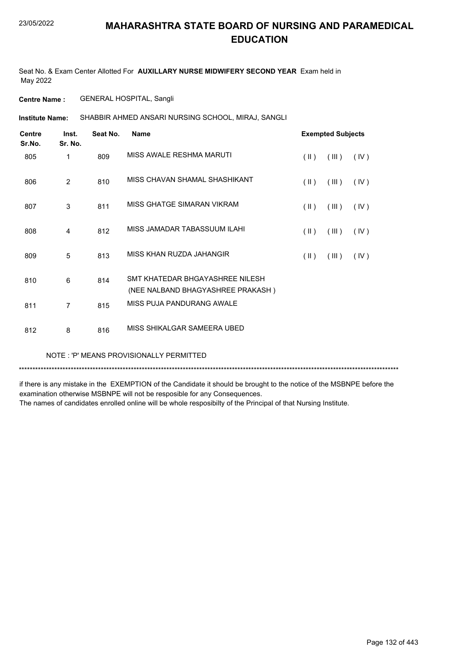Seat No. & Exam Center Allotted For **AUXILLARY NURSE MIDWIFERY SECOND YEAR** Exam held in May 2022

**Centre Name :** GENERAL HOSPITAL, Sangli

SHABBIR AHMED ANSARI NURSING SCHOOL, MIRAJ, SANGLI **Institute Name:**

| <b>Centre</b><br>Sr.No. | Inst.<br>Sr. No. | Seat No. | <b>Name</b>                                                           |                         | <b>Exempted Subjects</b> |      |
|-------------------------|------------------|----------|-----------------------------------------------------------------------|-------------------------|--------------------------|------|
| 805                     | 1                | 809      | MISS AWALE RESHMA MARUTI                                              | $(\parallel)$           | (III)                    | (IV) |
| 806                     | $\overline{2}$   | 810      | MISS CHAVAN SHAMAL SHASHIKANT                                         | $(\parallel)$           | (III)                    | (IV) |
| 807                     | 3                | 811      | MISS GHATGE SIMARAN VIKRAM                                            | $(\parallel \parallel)$ | (III)                    | (IV) |
| 808                     | $\overline{4}$   | 812      | MISS JAMADAR TABASSUUM ILAHI                                          | $(\parallel)$           | (III)                    | (IV) |
| 809                     | 5                | 813      | MISS KHAN RUZDA JAHANGIR                                              | $(\parallel)$           | (III)                    | (IV) |
| 810                     | 6                | 814      | SMT KHATFDAR BHGAYASHRFF NII FSH<br>(NEE NALBAND BHAGYASHREE PRAKASH) |                         |                          |      |
| 811                     | $\overline{7}$   | 815      | MISS PUJA PANDURANG AWALE                                             |                         |                          |      |
| 812                     | 8                | 816      | MISS SHIKALGAR SAMEERA UBED                                           |                         |                          |      |

#### NOTE : 'P' MEANS PROVISIONALLY PERMITTED

\*\*\*\*\*\*\*\*\*\*\*\*\*\*\*\*\*\*\*\*\*\*\*\*\*\*\*\*\*\*\*\*\*\*\*\*\*\*\*\*\*\*\*\*\*\*\*\*\*\*\*\*\*\*\*\*\*\*\*\*\*\*\*\*\*\*\*\*\*\*\*\*\*\*\*\*\*\*\*\*\*\*\*\*\*\*\*\*\*\*\*\*\*\*\*\*\*\*\*\*\*\*\*\*\*\*\*\*\*\*\*\*\*\*\*\*\*\*\*\*\*\*\*\*\*\*\*\*\*\*\*\*\*\*\*\*\*\*\*

if there is any mistake in the EXEMPTION of the Candidate it should be brought to the notice of the MSBNPE before the examination otherwise MSBNPE will not be resposible for any Consequences.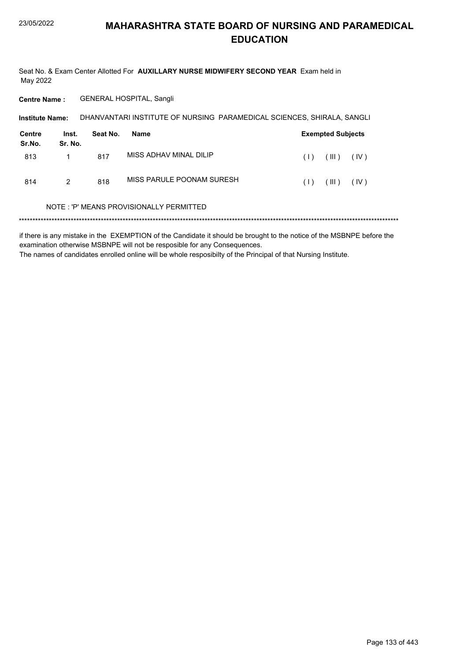Seat No. & Exam Center Allotted For AUXILLARY NURSE MIDWIFERY SECOND YEAR Exam held in May 2022

Centre Name: GENERAL HOSPITAL, Sangli

| <b>Institute Name:</b> |                  | DHANVANTARI INSTITUTE OF NURSING PARAMEDICAL SCIENCES, SHIRALA, SANGLI |                                          |     |                          |      |  |
|------------------------|------------------|------------------------------------------------------------------------|------------------------------------------|-----|--------------------------|------|--|
| Centre<br>Sr.No.       | Inst.<br>Sr. No. | Seat No.                                                               | Name                                     |     | <b>Exempted Subjects</b> |      |  |
| 813                    |                  | 817                                                                    | MISS ADHAV MINAL DILIP                   | (1) | (III)                    | (IV) |  |
| 814                    | 2                | 818                                                                    | MISS PARULE POONAM SURESH                | (1) | (III)                    | (IV) |  |
|                        |                  |                                                                        | NOTE : 'P' MEANS PROVISIONALLY PERMITTED |     |                          |      |  |

####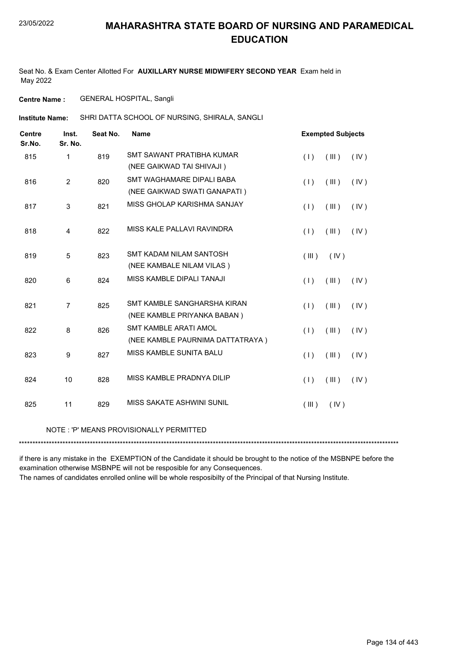Seat No. & Exam Center Allotted For **AUXILLARY NURSE MIDWIFERY SECOND YEAR** Exam held in May 2022

**Centre Name :** GENERAL HOSPITAL, Sangli

SHRI DATTA SCHOOL OF NURSING, SHIRALA, SANGLI **Institute Name:**

| <b>Centre</b><br>Sr.No. | Inst.<br>Sr. No. | Seat No. | <b>Name</b>                      |       | <b>Exempted Subjects</b> |      |
|-------------------------|------------------|----------|----------------------------------|-------|--------------------------|------|
| 815                     | $\mathbf{1}$     | 819      | SMT SAWANT PRATIBHA KUMAR        | (1)   | (III)                    | (IV) |
|                         |                  |          | (NEE GAIKWAD TAI SHIVAJI)        |       |                          |      |
| 816                     | $\overline{2}$   | 820      | SMT WAGHAMARE DIPALI BABA        | (1)   | (III)                    | (IV) |
|                         |                  |          | (NEE GAIKWAD SWATI GANAPATI)     |       |                          |      |
| 817                     | 3                | 821      | MISS GHOLAP KARISHMA SANJAY      | (1)   | (III)                    | (IV) |
| 818                     | 4                | 822      | MISS KALE PALLAVI RAVINDRA       | (1)   | (III)                    | (IV) |
| 819                     | 5                | 823      | SMT KADAM NII AM SANTOSH         | (III) | (IV)                     |      |
|                         |                  |          | (NEE KAMBALE NILAM VILAS)        |       |                          |      |
| 820                     | 6                | 824      | MISS KAMBLE DIPALI TANAJI        | (1)   | (III)                    | (IV) |
| 821                     | $\overline{7}$   | 825      | SMT KAMBLE SANGHARSHA KIRAN      | (1)   | (III)                    | (IV) |
|                         |                  |          | (NEE KAMBLE PRIYANKA BABAN)      |       |                          |      |
| 822                     | 8                | 826      | <b>SMT KAMBLE ARATI AMOL</b>     | (1)   | (III)                    | (IV) |
|                         |                  |          | (NEE KAMBLE PAURNIMA DATTATRAYA) |       |                          |      |
| 823                     | 9                | 827      | MISS KAMBLE SUNITA BALU          | (1)   | (III)                    | (IV) |
| 824                     | 10               | 828      | MISS KAMBLE PRADNYA DILIP        | (1)   | (III)                    | (IV) |
| 825                     | 11               | 829      | MISS SAKATE ASHWINI SUNIL        | (III) | (IV)                     |      |
|                         |                  |          |                                  |       |                          |      |

NOTE : 'P' MEANS PROVISIONALLY PERMITTED

\*\*\*\*\*\*\*\*\*\*\*\*\*\*\*\*\*\*\*\*\*\*\*\*\*\*\*\*\*\*\*\*\*\*\*\*\*\*\*\*\*\*\*\*\*\*\*\*\*\*\*\*\*\*\*\*\*\*\*\*\*\*\*\*\*\*\*\*\*\*\*\*\*\*\*\*\*\*\*\*\*\*\*\*\*\*\*\*\*\*\*\*\*\*\*\*\*\*\*\*\*\*\*\*\*\*\*\*\*\*\*\*\*\*\*\*\*\*\*\*\*\*\*\*\*\*\*\*\*\*\*\*\*\*\*\*\*\*\*

if there is any mistake in the EXEMPTION of the Candidate it should be brought to the notice of the MSBNPE before the examination otherwise MSBNPE will not be resposible for any Consequences.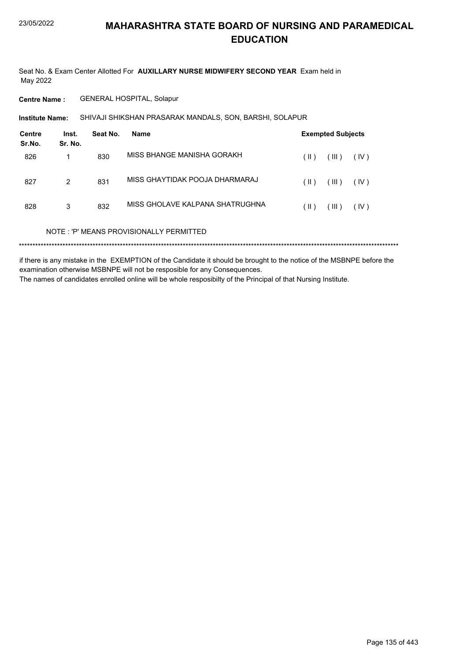Seat No. & Exam Center Allotted For AUXILLARY NURSE MIDWIFERY SECOND YEAR Exam held in May 2022

**Centre Name: GENERAL HOSPITAL, Solapur** 

SHIVAJI SHIKSHAN PRASARAK MANDALS, SON, BARSHI, SOLAPUR **Institute Name:** 

| <b>Centre</b><br>Sr.No. | Inst.<br>Sr. No. | Seat No. | <b>Name</b>                             |               | <b>Exempted Subjects</b> |      |
|-------------------------|------------------|----------|-----------------------------------------|---------------|--------------------------|------|
| 826                     | 1                | 830      | MISS BHANGE MANISHA GORAKH              | (  )          | (III)                    | (IV) |
| 827                     | $\overline{2}$   | 831      | MISS GHAYTIDAK POOJA DHARMARAJ          | (  )          | (III)                    | (IV) |
| 828                     | 3                | 832      | MISS GHOLAVE KALPANA SHATRUGHNA         | $(\parallel)$ | (III)                    | (IV) |
|                         |                  |          | NOTE: 'P' MEANS PROVISIONALLY PERMITTED |               |                          |      |
|                         |                  |          |                                         |               |                          |      |

if there is any mistake in the EXEMPTION of the Candidate it should be brought to the notice of the MSBNPE before the examination otherwise MSBNPE will not be resposible for any Consequences. The names of candidates enrolled online will be whole resposibilty of the Principal of that Nursing Institute.

Page 135 of 443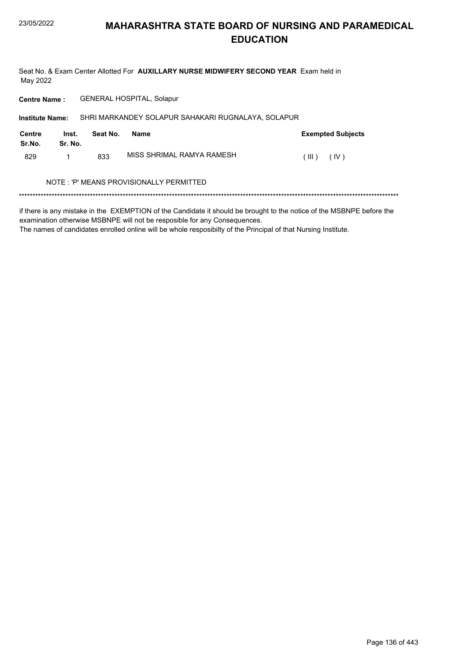Seat No. & Exam Center Allotted For AUXILLARY NURSE MIDWIFERY SECOND YEAR Exam held in May 2022

Centre Name: GENERAL HOSPITAL, Solapur

| <b>Institute Name:</b> |                  |          | SHRI MARKANDEY SOLAPUR SAHAKARI RUGNALAYA, SOLAPUR |                          |  |  |
|------------------------|------------------|----------|----------------------------------------------------|--------------------------|--|--|
| Centre<br>Sr.No.       | Inst.<br>Sr. No. | Seat No. | <b>Name</b>                                        | <b>Exempted Subjects</b> |  |  |
| 829                    | 1                | 833      | MISS SHRIMAL RAMYA RAMESH                          | (III)<br>(IV)            |  |  |
|                        |                  |          | NOTE : 'P' MEANS PROVISIONALLY PERMITTED           |                          |  |  |

if there is any mistake in the EXEMPTION of the Candidate it should be brought to the notice of the MSBNPE before the examination otherwise MSBNPE will not be resposible for any Consequences.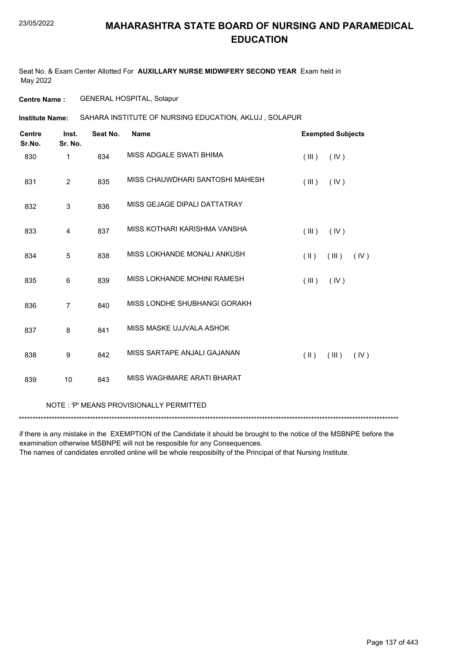Seat No. & Exam Center Allotted For **AUXILLARY NURSE MIDWIFERY SECOND YEAR** Exam held in May 2022

**Centre Name :** GENERAL HOSPITAL, Solapur

SAHARA INSTITUTE OF NURSING EDUCATION, AKLUJ , SOLAPUR **Institute Name:**

| <b>Centre</b><br>Sr.No. | Inst.<br>Sr. No. | Seat No. | <b>Name</b>                     | <b>Exempted Subjects</b>                 |
|-------------------------|------------------|----------|---------------------------------|------------------------------------------|
| 830                     | 1                | 834      | MISS ADGALE SWATI BHIMA         | (IV)<br>(III)                            |
| 831                     | 2                | 835      | MISS CHAUWDHARI SANTOSHI MAHESH | (III)<br>(IV)                            |
| 832                     | 3                | 836      | MISS GEJAGE DIPALI DATTATRAY    |                                          |
| 833                     | $\overline{4}$   | 837      | MISS KOTHARI KARISHMA VANSHA    | (III)<br>(IV)                            |
| 834                     | 5                | 838      | MISS LOKHANDE MONALI ANKUSH     | $(\parallel \parallel)$<br>(III)<br>(IV) |
| 835                     | $\,6$            | 839      | MISS LOKHANDE MOHINI RAMESH     | (III)<br>(IV)                            |
| 836                     | $\overline{7}$   | 840      | MISS LONDHE SHUBHANGI GORAKH    |                                          |
| 837                     | 8                | 841      | MISS MASKE UJJVALA ASHOK        |                                          |
| 838                     | 9                | 842      | MISS SARTAPE ANJALI GAJANAN     | $(\parallel)$<br>(III)<br>(IV)           |
| 839                     | 10               | 843      | MISS WAGHMARE ARATI BHARAT      |                                          |
|                         |                  |          |                                 |                                          |

NOTE : 'P' MEANS PROVISIONALLY PERMITTED

\*\*\*\*\*\*\*\*\*\*\*\*\*\*\*\*\*\*\*\*\*\*\*\*\*\*\*\*\*\*\*\*\*\*\*\*\*\*\*\*\*\*\*\*\*\*\*\*\*\*\*\*\*\*\*\*\*\*\*\*\*\*\*\*\*\*\*\*\*\*\*\*\*\*\*\*\*\*\*\*\*\*\*\*\*\*\*\*\*\*\*\*\*\*\*\*\*\*\*\*\*\*\*\*\*\*\*\*\*\*\*\*\*\*\*\*\*\*\*\*\*\*\*\*\*\*\*\*\*\*\*\*\*\*\*\*\*\*\*

if there is any mistake in the EXEMPTION of the Candidate it should be brought to the notice of the MSBNPE before the examination otherwise MSBNPE will not be resposible for any Consequences.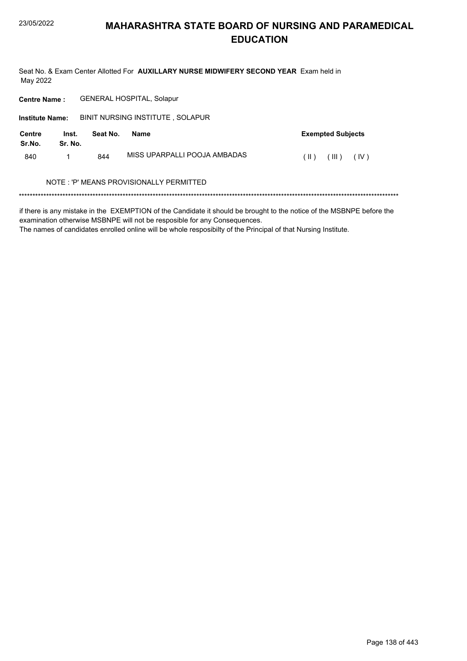Seat No. & Exam Center Allotted For AUXILLARY NURSE MIDWIFERY SECOND YEAR Exam held in May 2022

Centre Name: GENERAL HOSPITAL, Solapur

| <b>Institute Name:</b>  |                  |          | BINIT NURSING INSTITUTE, SOLAPUR        |                          |
|-------------------------|------------------|----------|-----------------------------------------|--------------------------|
| <b>Centre</b><br>Sr.No. | Inst.<br>Sr. No. | Seat No. | <b>Name</b>                             | <b>Exempted Subjects</b> |
| 840                     |                  | 844      | MISS UPARPALLI POOJA AMBADAS            | (III)<br>(IV)<br>(  )    |
|                         |                  |          | NOTE: 'P' MEANS PROVISIONALLY PERMITTED |                          |

if there is any mistake in the EXEMPTION of the Candidate it should be brought to the notice of the MSBNPE before the examination otherwise MSBNPE will not be resposible for any Consequences.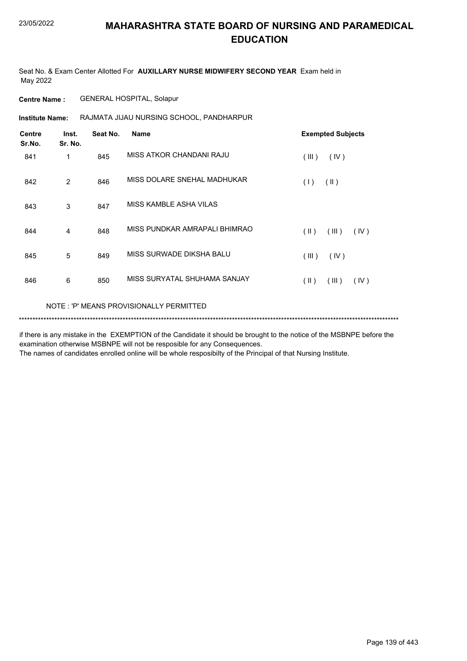Seat No. & Exam Center Allotted For **AUXILLARY NURSE MIDWIFERY SECOND YEAR** Exam held in May 2022

**Centre Name :** GENERAL HOSPITAL, Solapur

**Institute Name: RAJMATA JIJAU NURSING SCHOOL, PANDHARPUR** 

| <b>Centre</b><br>Sr.No. | Inst.<br>Sr. No. | Seat No. | <b>Name</b>                   | <b>Exempted Subjects</b>       |
|-------------------------|------------------|----------|-------------------------------|--------------------------------|
| 841                     | 1                | 845      | MISS ATKOR CHANDANI RAJU      | (III)<br>(IV)                  |
| 842                     | 2                | 846      | MISS DOLARE SNEHAL MADHUKAR   | $(\parallel)$<br>(1)           |
| 843                     | 3                | 847      | MISS KAMBLE ASHA VILAS        |                                |
| 844                     | 4                | 848      | MISS PUNDKAR AMRAPALI BHIMRAO | $(\parallel)$<br>(III)<br>(IV) |
| 845                     | 5                | 849      | MISS SURWADE DIKSHA BALU      | (III)<br>(IV)                  |
| 846                     | 6                | 850      | MISS SURYATAL SHUHAMA SANJAY  | $(\parallel)$<br>(III)<br>(IV) |
|                         |                  |          |                               |                                |

NOTE : 'P' MEANS PROVISIONALLY PERMITTED

\*\*\*\*\*\*\*\*\*\*\*\*\*\*\*\*\*\*\*\*\*\*\*\*\*\*\*\*\*\*\*\*\*\*\*\*\*\*\*\*\*\*\*\*\*\*\*\*\*\*\*\*\*\*\*\*\*\*\*\*\*\*\*\*\*\*\*\*\*\*\*\*\*\*\*\*\*\*\*\*\*\*\*\*\*\*\*\*\*\*\*\*\*\*\*\*\*\*\*\*\*\*\*\*\*\*\*\*\*\*\*\*\*\*\*\*\*\*\*\*\*\*\*\*\*\*\*\*\*\*\*\*\*\*\*\*\*\*\*

if there is any mistake in the EXEMPTION of the Candidate it should be brought to the notice of the MSBNPE before the examination otherwise MSBNPE will not be resposible for any Consequences.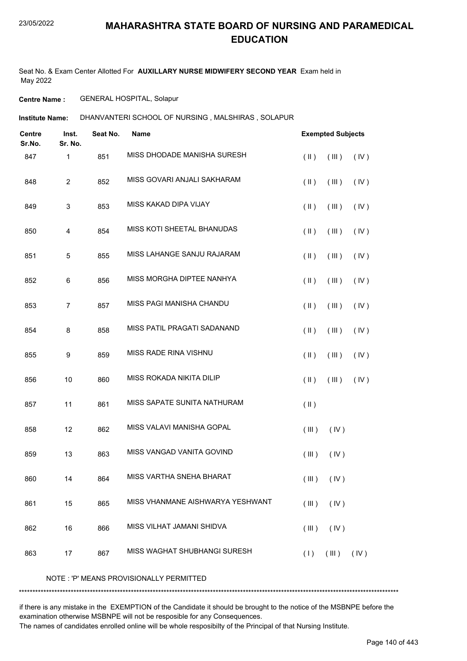Seat No. & Exam Center Allotted For **AUXILLARY NURSE MIDWIFERY SECOND YEAR** Exam held in May 2022

**Centre Name :** GENERAL HOSPITAL, Solapur

**Institute Name:** DHANVANTERI SCHOOL OF NURSING , MALSHIRAS , SOLAPUR

| <b>Centre</b><br>Sr.No. | Inst.<br>Sr. No.          | Seat No. | Name                             | <b>Exempted Subjects</b> |                |      |
|-------------------------|---------------------------|----------|----------------------------------|--------------------------|----------------|------|
| 847                     | 1                         | 851      | MISS DHODADE MANISHA SURESH      | $(\parallel \parallel)$  | (III)          | (IV) |
| 848                     | $\overline{2}$            | 852      | MISS GOVARI ANJALI SAKHARAM      | $(\parallel)$            | (III)          | (IV) |
| 849                     | $\ensuremath{\mathsf{3}}$ | 853      | MISS KAKAD DIPA VIJAY            | $($ II $)$               | (III)          | (IV) |
| 850                     | $\overline{4}$            | 854      | MISS KOTI SHEETAL BHANUDAS       | $(\parallel)$            | (III)          | (IV) |
| 851                     | 5                         | 855      | MISS LAHANGE SANJU RAJARAM       | $(\parallel)$            | (III)          | (IV) |
| 852                     | 6                         | 856      | MISS MORGHA DIPTEE NANHYA        | $(\parallel)$            | (III)          | (IV) |
| 853                     | $\overline{7}$            | 857      | MISS PAGI MANISHA CHANDU         | $(\parallel)$            | (III)          | (IV) |
| 854                     | 8                         | 858      | MISS PATIL PRAGATI SADANAND      | $(\parallel)$            | (III)          | (IV) |
| 855                     | 9                         | 859      | <b>MISS RADE RINA VISHNU</b>     | $(\parallel)$            | (III)          | (IV) |
| 856                     | 10                        | 860      | MISS ROKADA NIKITA DILIP         | $($ II $)$               | (III)          | (IV) |
| 857                     | 11                        | 861      | MISS SAPATE SUNITA NATHURAM      | $($ II $)$               |                |      |
| 858                     | 12                        | 862      | MISS VALAVI MANISHA GOPAL        | (III)                    | (IV)           |      |
| 859                     | 13                        | 863      | MISS VANGAD VANITA GOVIND        | (III)                    | (IV)           |      |
| 860                     | 14                        | 864      | MISS VARTHA SNEHA BHARAT         |                          | $(III)$ $(IV)$ |      |
| 861                     | 15                        | 865      | MISS VHANMANE AISHWARYA YESHWANT | (III)                    | (IV)           |      |
| 862                     | 16                        | 866      | MISS VILHAT JAMANI SHIDVA        | (III)                    | (IV)           |      |
| 863                     | 17                        | 867      | MISS WAGHAT SHUBHANGI SURESH     | (1)                      | (III)          | (IV) |

NOTE : 'P' MEANS PROVISIONALLY PERMITTED

\*\*\*\*\*\*\*\*\*\*\*\*\*\*\*\*\*\*\*\*\*\*\*\*\*\*\*\*\*\*\*\*\*\*\*\*\*\*\*\*\*\*\*\*\*\*\*\*\*\*\*\*\*\*\*\*\*\*\*\*\*\*\*\*\*\*\*\*\*\*\*\*\*\*\*\*\*\*\*\*\*\*\*\*\*\*\*\*\*\*\*\*\*\*\*\*\*\*\*\*\*\*\*\*\*\*\*\*\*\*\*\*\*\*\*\*\*\*\*\*\*\*\*\*\*\*\*\*\*\*\*\*\*\*\*\*\*\*\*

if there is any mistake in the EXEMPTION of the Candidate it should be brought to the notice of the MSBNPE before the examination otherwise MSBNPE will not be resposible for any Consequences.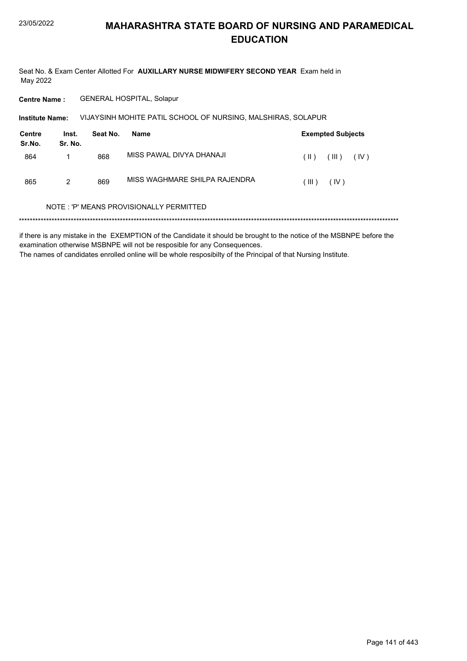Seat No. & Exam Center Allotted For AUXILLARY NURSE MIDWIFERY SECOND YEAR Exam held in May 2022

**Centre Name: GENERAL HOSPITAL, Solapur** 

VIJAYSINH MOHITE PATIL SCHOOL OF NURSING, MALSHIRAS, SOLAPUR Institute Name:

| Centre<br>Sr.No. | Inst.<br>Sr. No. | Seat No. | Name                          |          | <b>Exempted Subjects</b> |
|------------------|------------------|----------|-------------------------------|----------|--------------------------|
| 864              |                  | 868      | MISS PAWAL DIVYA DHANAJI      | $(\  \)$ | $\vert$ III )<br>(IV)    |
| 865              | 2                | 869      | MISS WAGHMARE SHILPA RAJENDRA | HI)      | (IV)                     |

#### NOTE: 'P' MEANS PROVISIONALLY PERMITTED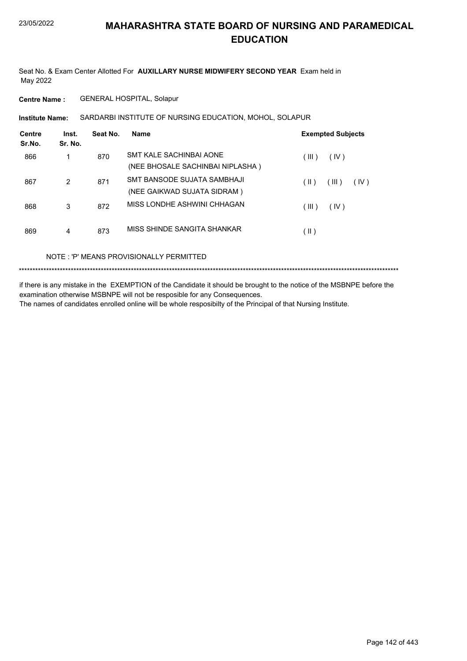Seat No. & Exam Center Allotted For **AUXILLARY NURSE MIDWIFERY SECOND YEAR** Exam held in May 2022

**Centre Name :** GENERAL HOSPITAL, Solapur

**Institute Name: SARDARBI INSTITUTE OF NURSING EDUCATION, MOHOL, SOLAPUR** 

| Centre<br>Sr.No. | Inst.<br>Sr. No. | Seat No. | Name                             | <b>Exempted Subjects</b>       |
|------------------|------------------|----------|----------------------------------|--------------------------------|
| 866              |                  | 870      | SMT KALE SACHINBAI AONE          | (III)<br>(IV)                  |
|                  |                  |          | (NEE BHOSALE SACHINBAI NIPLASHA) |                                |
| 867              | 2                | 871      | SMT BANSODE SUJATA SAMBHAJI      | $(\parallel)$<br>(III)<br>(IV) |
|                  |                  |          | (NEE GAIKWAD SUJATA SIDRAM)      |                                |
| 868              | 3                | 872      | MISS LONDHE ASHWINI CHHAGAN      | (III)<br>(IV)                  |
| 869              | 4                | 873      | MISS SHINDE SANGITA SHANKAR      | (  )                           |

NOTE : 'P' MEANS PROVISIONALLY PERMITTED

\*\*\*\*\*\*\*\*\*\*\*\*\*\*\*\*\*\*\*\*\*\*\*\*\*\*\*\*\*\*\*\*\*\*\*\*\*\*\*\*\*\*\*\*\*\*\*\*\*\*\*\*\*\*\*\*\*\*\*\*\*\*\*\*\*\*\*\*\*\*\*\*\*\*\*\*\*\*\*\*\*\*\*\*\*\*\*\*\*\*\*\*\*\*\*\*\*\*\*\*\*\*\*\*\*\*\*\*\*\*\*\*\*\*\*\*\*\*\*\*\*\*\*\*\*\*\*\*\*\*\*\*\*\*\*\*\*\*\*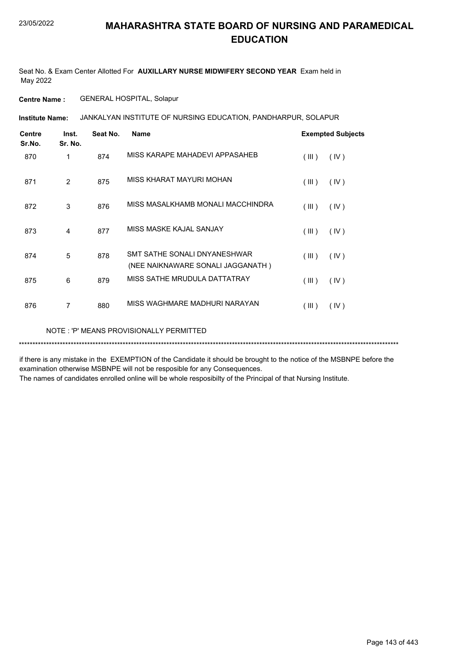Seat No. & Exam Center Allotted For **AUXILLARY NURSE MIDWIFERY SECOND YEAR** Exam held in May 2022

**Centre Name :** GENERAL HOSPITAL, Solapur

**Institute Name: JANKALYAN INSTITUTE OF NURSING EDUCATION, PANDHARPUR, SOLAPUR** 

| <b>Centre</b><br>Sr.No. | Inst.<br>Sr. No. | Seat No. | <b>Name</b>                                                       |       | <b>Exempted Subjects</b> |
|-------------------------|------------------|----------|-------------------------------------------------------------------|-------|--------------------------|
| 870                     | 1                | 874      | MISS KARAPE MAHADEVI APPASAHEB                                    | (III) | (IV)                     |
| 871                     | 2                | 875      | MISS KHARAT MAYURI MOHAN                                          | (III) | (IV)                     |
| 872                     | 3                | 876      | MISS MASALKHAMB MONALI MACCHINDRA                                 | (III) | (IV)                     |
| 873                     | 4                | 877      | MISS MASKE KAJAL SANJAY                                           | (III) | (IV)                     |
| 874                     | 5                | 878      | SMT SATHE SONALI DNYANESHWAR<br>(NEE NAIKNAWARE SONALI JAGGANATH) | (III) | (IV)                     |
| 875                     | 6                | 879      | MISS SATHE MRUDULA DATTATRAY                                      | (III) | (IV)                     |
| 876                     | 7                | 880      | MISS WAGHMARE MADHURI NARAYAN                                     | (III) | (IV)                     |

NOTE : 'P' MEANS PROVISIONALLY PERMITTED

\*\*\*\*\*\*\*\*\*\*\*\*\*\*\*\*\*\*\*\*\*\*\*\*\*\*\*\*\*\*\*\*\*\*\*\*\*\*\*\*\*\*\*\*\*\*\*\*\*\*\*\*\*\*\*\*\*\*\*\*\*\*\*\*\*\*\*\*\*\*\*\*\*\*\*\*\*\*\*\*\*\*\*\*\*\*\*\*\*\*\*\*\*\*\*\*\*\*\*\*\*\*\*\*\*\*\*\*\*\*\*\*\*\*\*\*\*\*\*\*\*\*\*\*\*\*\*\*\*\*\*\*\*\*\*\*\*\*\*

if there is any mistake in the EXEMPTION of the Candidate it should be brought to the notice of the MSBNPE before the examination otherwise MSBNPE will not be resposible for any Consequences.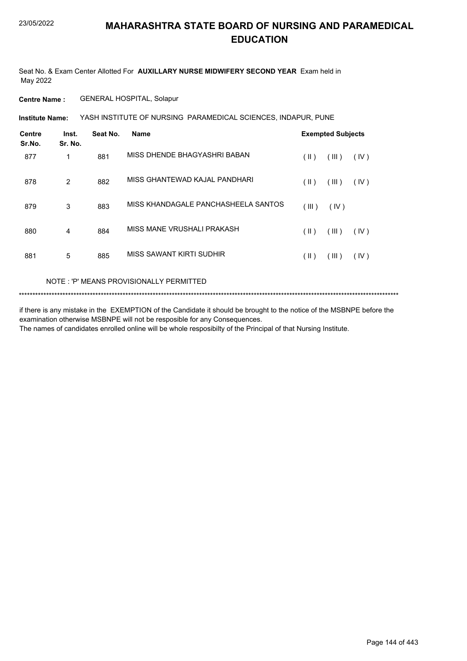Seat No. & Exam Center Allotted For **AUXILLARY NURSE MIDWIFERY SECOND YEAR** Exam held in May 2022

**Centre Name :** GENERAL HOSPITAL, Solapur

YASH INSTITUTE OF NURSING PARAMEDICAL SCIENCES, INDAPUR, PUNE **Institute Name:**

| <b>Centre</b><br>Sr.No. | Inst.<br>Sr. No. | Seat No. | <b>Name</b>                         | <b>Exempted Subjects</b> |       |      |
|-------------------------|------------------|----------|-------------------------------------|--------------------------|-------|------|
| 877                     | 1                | 881      | MISS DHENDE BHAGYASHRI BABAN        | $(\parallel)$            | (III) | (IV) |
| 878                     | 2                | 882      | MISS GHANTEWAD KAJAL PANDHARI       | $(\parallel)$            | (III) | (IV) |
| 879                     | 3                | 883      | MISS KHANDAGALE PANCHASHEELA SANTOS | (III)                    | (IV)  |      |
| 880                     | 4                | 884      | MISS MANE VRUSHALI PRAKASH          | $(\parallel)$            | (III) | (IV) |
| 881                     | 5                | 885      | MISS SAWANT KIRTI SUDHIR            | (  )                     | (III) | (IV) |

#### NOTE : 'P' MEANS PROVISIONALLY PERMITTED

\*\*\*\*\*\*\*\*\*\*\*\*\*\*\*\*\*\*\*\*\*\*\*\*\*\*\*\*\*\*\*\*\*\*\*\*\*\*\*\*\*\*\*\*\*\*\*\*\*\*\*\*\*\*\*\*\*\*\*\*\*\*\*\*\*\*\*\*\*\*\*\*\*\*\*\*\*\*\*\*\*\*\*\*\*\*\*\*\*\*\*\*\*\*\*\*\*\*\*\*\*\*\*\*\*\*\*\*\*\*\*\*\*\*\*\*\*\*\*\*\*\*\*\*\*\*\*\*\*\*\*\*\*\*\*\*\*\*\*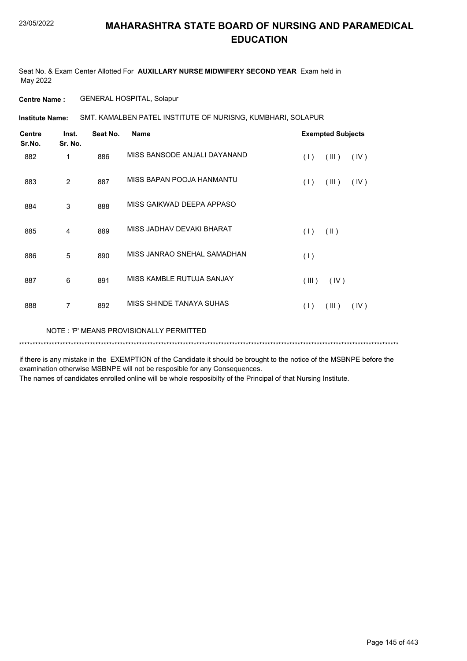Seat No. & Exam Center Allotted For **AUXILLARY NURSE MIDWIFERY SECOND YEAR** Exam held in May 2022

**Centre Name :** GENERAL HOSPITAL, Solapur

**Institute Name: SMT. KAMALBEN PATEL INSTITUTE OF NURISNG, KUMBHARI, SOLAPUR** 

| <b>Centre</b><br>Sr.No. | Inst.<br>Sr. No. | Seat No. | <b>Name</b>                             | <b>Exempted Subjects</b> |  |
|-------------------------|------------------|----------|-----------------------------------------|--------------------------|--|
| 882                     | 1                | 886      | MISS BANSODE ANJALI DAYANAND            | (1)<br>(III)<br>(IV)     |  |
| 883                     | $\overline{2}$   | 887      | MISS BAPAN POOJA HANMANTU               | (1)<br>(III)<br>(IV)     |  |
| 884                     | 3                | 888      | MISS GAIKWAD DEEPA APPASO               |                          |  |
| 885                     | 4                | 889      | MISS JADHAV DEVAKI BHARAT               | (1)<br>$(\parallel)$     |  |
| 886                     | 5                | 890      | MISS JANRAO SNEHAL SAMADHAN             | (1)                      |  |
| 887                     | 6                | 891      | MISS KAMBLE RUTUJA SANJAY               | (III)<br>(IV)            |  |
| 888                     | 7                | 892      | MISS SHINDE TANAYA SUHAS                | (III)<br>(1)<br>(IV)     |  |
|                         |                  |          | NOTE: 'P' MEANS PROVISIONALLY PERMITTED |                          |  |

if there is any mistake in the EXEMPTION of the Candidate it should be brought to the notice of the MSBNPE before the examination otherwise MSBNPE will not be resposible for any Consequences.

\*\*\*\*\*\*\*\*\*\*\*\*\*\*\*\*\*\*\*\*\*\*\*\*\*\*\*\*\*\*\*\*\*\*\*\*\*\*\*\*\*\*\*\*\*\*\*\*\*\*\*\*\*\*\*\*\*\*\*\*\*\*\*\*\*\*\*\*\*\*\*\*\*\*\*\*\*\*\*\*\*\*\*\*\*\*\*\*\*\*\*\*\*\*\*\*\*\*\*\*\*\*\*\*\*\*\*\*\*\*\*\*\*\*\*\*\*\*\*\*\*\*\*\*\*\*\*\*\*\*\*\*\*\*\*\*\*\*\*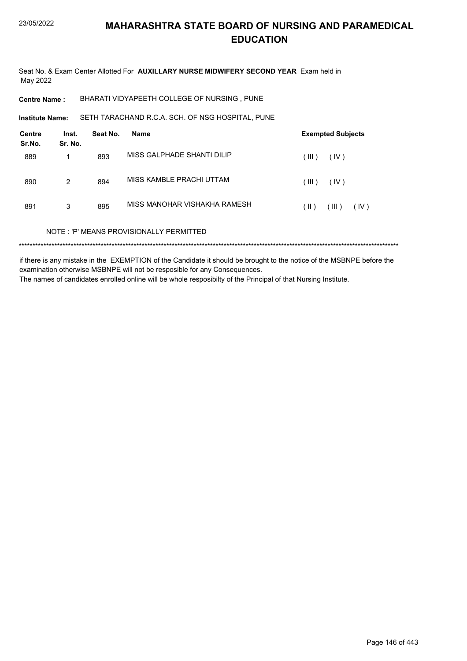Seat No. & Exam Center Allotted For AUXILLARY NURSE MIDWIFERY SECOND YEAR Exam held in May 2022

BHARATI VIDYAPEETH COLLEGE OF NURSING, PUNE **Centre Name:** 

SETH TARACHAND R.C.A. SCH. OF NSG HOSPITAL, PUNE **Institute Name:** 

| <b>Centre</b><br>Sr.No. | Inst.<br>Sr. No. | Seat No. | <b>Name</b>                             | <b>Exempted Subjects</b> |
|-------------------------|------------------|----------|-----------------------------------------|--------------------------|
| 889                     | 1                | 893      | MISS GALPHADE SHANTI DILIP              | (III)<br>(IV)            |
| 890                     | 2                | 894      | MISS KAMBLE PRACHI UTTAM                | (III)<br>(IV)            |
| 891                     | 3                | 895      | MISS MANOHAR VISHAKHA RAMESH            | (III)<br>(  )<br>(IV)    |
|                         |                  |          | NOTE: 'P' MEANS PROVISIONALLY PERMITTED |                          |
| ******                  |                  |          |                                         |                          |

if there is any mistake in the EXEMPTION of the Candidate it should be brought to the notice of the MSBNPE before the examination otherwise MSBNPE will not be resposible for any Consequences. The names of candidates enrolled online will be whole resposibilty of the Principal of that Nursing Institute.

Page 146 of 443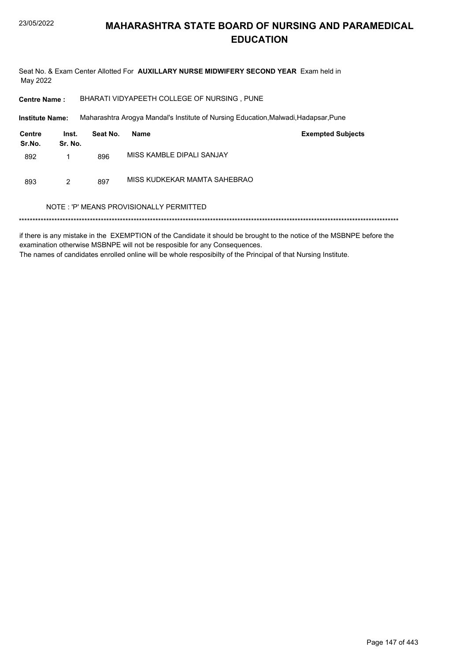Seat No. & Exam Center Allotted For AUXILLARY NURSE MIDWIFERY SECOND YEAR Exam held in May 2022

**Centre Name:** BHARATI VIDYAPEETH COLLEGE OF NURSING, PUNE

**Institute Name:** Maharashtra Arogya Mandal's Institute of Nursing Education, Malwadi, Hadapsar, Pune

| Centre<br>Sr.No. | Inst.<br>Sr. No. | Seat No. | Name                         | <b>Exempted Subjects</b> |
|------------------|------------------|----------|------------------------------|--------------------------|
| 892              |                  | 896      | MISS KAMBLE DIPALI SANJAY    |                          |
| 893              | 2                | 897      | MISS KUDKEKAR MAMTA SAHEBRAO |                          |

#### NOTE: 'P' MEANS PROVISIONALLY PERMITTED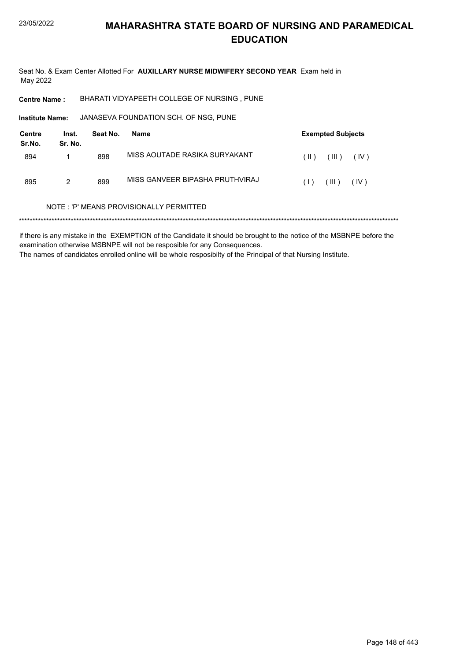Seat No. & Exam Center Allotted For AUXILLARY NURSE MIDWIFERY SECOND YEAR Exam held in May 2022

**Centre Name:** BHARATI VIDYAPEETH COLLEGE OF NURSING, PUNE

Institute Name: JANASEVA FOUNDATION SCH. OF NSG, PUNE

| Centre<br>Sr.No. | Inst.<br>Sr. No. | Seat No. | Name                            |        | <b>Exempted Subjects</b> |      |
|------------------|------------------|----------|---------------------------------|--------|--------------------------|------|
| 894              |                  | 898      | MISS AOUTADE RASIKA SURYAKANT   | $(\ )$ | (III)                    | (IV) |
| 895              | 2                | 899      | MISS GANVEER BIPASHA PRUTHVIRAJ | (1)    | (III)                    | (IV) |

#### NOTE: 'P' MEANS PROVISIONALLY PERMITTED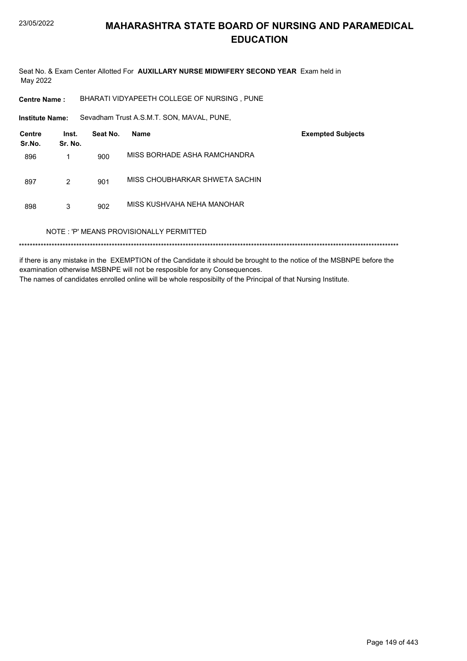Seat No. & Exam Center Allotted For AUXILLARY NURSE MIDWIFERY SECOND YEAR Exam held in May 2022

BHARATI VIDYAPEETH COLLEGE OF NURSING, PUNE **Centre Name:** 

Sevadham Trust A.S.M.T. SON, MAVAL, PUNE, **Institute Name:** 

| <b>Centre</b><br>Sr.No. | Inst.<br>Sr. No. | Seat No. | <b>Name</b>                             | <b>Exempted Subjects</b> |
|-------------------------|------------------|----------|-----------------------------------------|--------------------------|
| 896                     |                  | 900      | MISS BORHADE ASHA RAMCHANDRA            |                          |
| 897                     | 2                | 901      | MISS CHOUBHARKAR SHWETA SACHIN          |                          |
| 898                     | 3                | 902      | MISS KUSHVAHA NEHA MANOHAR              |                          |
|                         |                  |          | NOTE: 'P' MEANS PROVISIONALLY PERMITTED |                          |
|                         |                  |          |                                         |                          |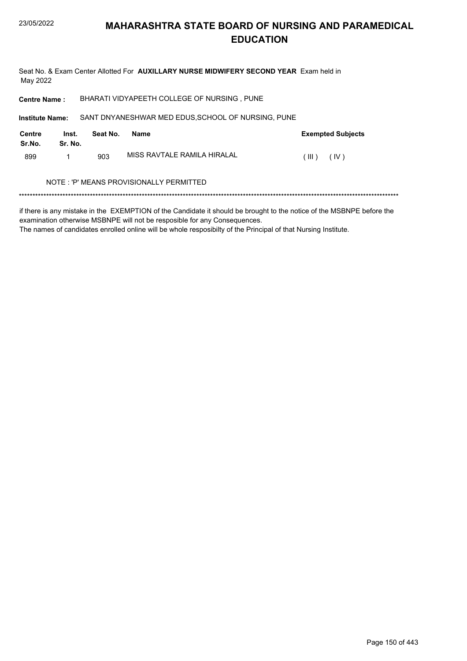Seat No. & Exam Center Allotted For AUXILLARY NURSE MIDWIFERY SECOND YEAR Exam held in May 2022

BHARATI VIDYAPEETH COLLEGE OF NURSING, PUNE **Centre Name:** 

Institute Name: SANT DNYANESHWAR MED EDUS, SCHOOL OF NURSING, PUNE

| Centre<br>Sr.No. | Inst.<br>Sr. No. | Seat No. | Name                        | <b>Exempted Subjects</b> |
|------------------|------------------|----------|-----------------------------|--------------------------|
| 899              |                  | 903      | MISS RAVTALE RAMILA HIRALAL | (III)<br>(IV)            |

#### NOTE : 'P' MEANS PROVISIONALLY PERMITTED

if there is any mistake in the EXEMPTION of the Candidate it should be brought to the notice of the MSBNPE before the examination otherwise MSBNPE will not be resposible for any Consequences.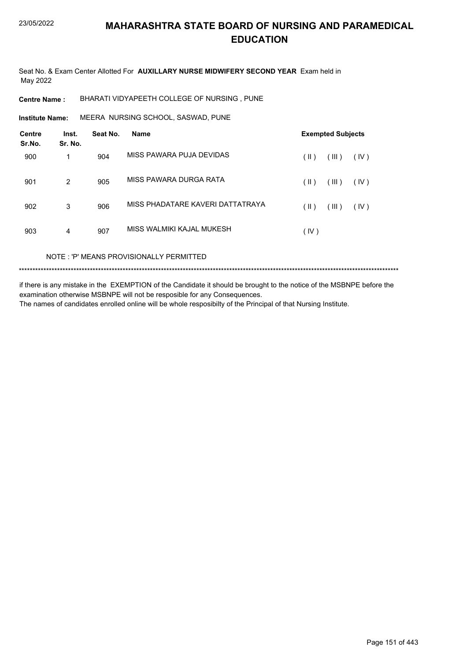Seat No. & Exam Center Allotted For **AUXILLARY NURSE MIDWIFERY SECOND YEAR** Exam held in May 2022

**Centre Name :** BHARATI VIDYAPEETH COLLEGE OF NURSING , PUNE

**Institute Name: MEERA NURSING SCHOOL, SASWAD, PUNE** 

| <b>Centre</b><br>Sr.No. | Inst.<br>Sr. No. | Seat No. | <b>Name</b>                      |      | <b>Exempted Subjects</b> |      |
|-------------------------|------------------|----------|----------------------------------|------|--------------------------|------|
| 900                     | 1                | 904      | MISS PAWARA PUJA DEVIDAS         | (  ) | (III)                    | (IV) |
| 901                     | 2                | 905      | MISS PAWARA DURGA RATA           | (  ) | (III)                    | (IV) |
| 902                     | 3                | 906      | MISS PHADATARE KAVERI DATTATRAYA | (  ) | (III)                    | (IV) |
| 903                     | 4                | 907      | MISS WALMIKI KAJAL MUKESH        | (IV) |                          |      |

NOTE : 'P' MEANS PROVISIONALLY PERMITTED

\*\*\*\*\*\*\*\*\*\*\*\*\*\*\*\*\*\*\*\*\*\*\*\*\*\*\*\*\*\*\*\*\*\*\*\*\*\*\*\*\*\*\*\*\*\*\*\*\*\*\*\*\*\*\*\*\*\*\*\*\*\*\*\*\*\*\*\*\*\*\*\*\*\*\*\*\*\*\*\*\*\*\*\*\*\*\*\*\*\*\*\*\*\*\*\*\*\*\*\*\*\*\*\*\*\*\*\*\*\*\*\*\*\*\*\*\*\*\*\*\*\*\*\*\*\*\*\*\*\*\*\*\*\*\*\*\*\*\*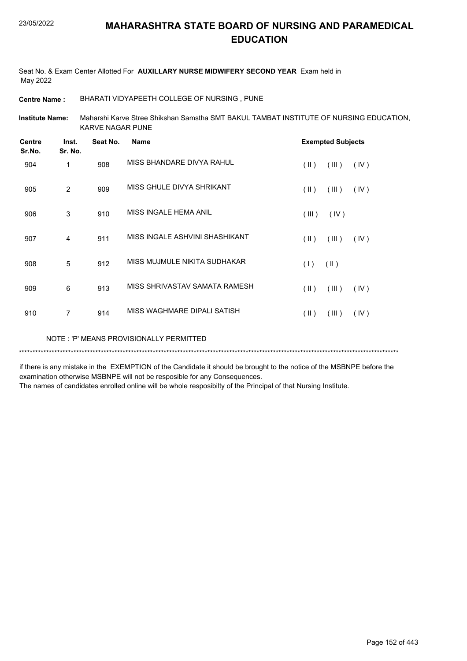Seat No. & Exam Center Allotted For **AUXILLARY NURSE MIDWIFERY SECOND YEAR** Exam held in May 2022

**Centre Name :** BHARATI VIDYAPEETH COLLEGE OF NURSING , PUNE

Maharshi Karve Stree Shikshan Samstha SMT BAKUL TAMBAT INSTITUTE OF NURSING EDUCATION, KARVE NAGAR PUNE **Institute Name:**

| <b>Centre</b><br>Sr.No.                 | Inst.<br>Sr. No. | Seat No. | <b>Name</b>                    |                         | <b>Exempted Subjects</b> |      |
|-----------------------------------------|------------------|----------|--------------------------------|-------------------------|--------------------------|------|
| 904                                     | 1                | 908      | MISS BHANDARE DIVYA RAHUL      | $(\parallel)$           | (III)                    | (IV) |
| 905                                     | $\overline{2}$   | 909      | MISS GHULE DIVYA SHRIKANT      | $(\parallel)$           | (III)                    | (IV) |
| 906                                     | 3                | 910      | MISS INGALE HEMA ANIL          | (III)                   | (IV)                     |      |
| 907                                     | 4                | 911      | MISS INGALE ASHVINI SHASHIKANT | $($ II $)$              | (III)                    | (IV) |
| 908                                     | 5                | 912      | MISS MUJMULE NIKITA SUDHAKAR   | (1)                     | $(\parallel)$            |      |
| 909                                     | 6                | 913      | MISS SHRIVASTAV SAMATA RAMESH  | $($ II $)$              | (III)                    | (IV) |
| 910                                     | $\overline{7}$   | 914      | MISS WAGHMARE DIPALI SATISH    | $(\parallel \parallel)$ | (III)                    | (IV) |
| NOTE: 'P' MEANS PROVISIONALLY PERMITTED |                  |          |                                |                         |                          |      |

if there is any mistake in the EXEMPTION of the Candidate it should be brought to the notice of the MSBNPE before the examination otherwise MSBNPE will not be resposible for any Consequences.

\*\*\*\*\*\*\*\*\*\*\*\*\*\*\*\*\*\*\*\*\*\*\*\*\*\*\*\*\*\*\*\*\*\*\*\*\*\*\*\*\*\*\*\*\*\*\*\*\*\*\*\*\*\*\*\*\*\*\*\*\*\*\*\*\*\*\*\*\*\*\*\*\*\*\*\*\*\*\*\*\*\*\*\*\*\*\*\*\*\*\*\*\*\*\*\*\*\*\*\*\*\*\*\*\*\*\*\*\*\*\*\*\*\*\*\*\*\*\*\*\*\*\*\*\*\*\*\*\*\*\*\*\*\*\*\*\*\*\*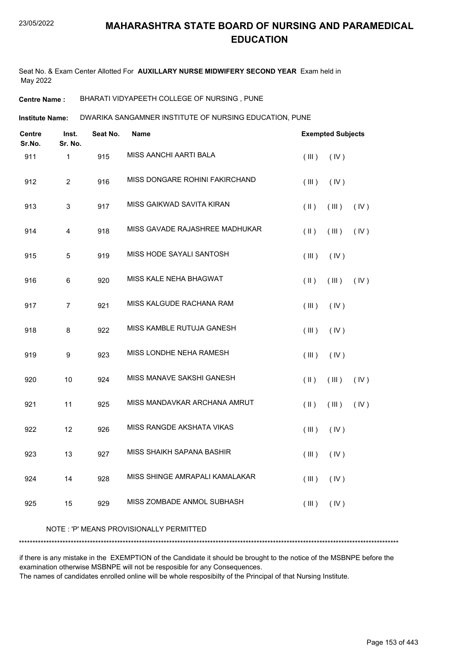Seat No. & Exam Center Allotted For **AUXILLARY NURSE MIDWIFERY SECOND YEAR** Exam held in May 2022

**Centre Name :** BHARATI VIDYAPEETH COLLEGE OF NURSING , PUNE

DWARIKA SANGAMNER INSTITUTE OF NURSING EDUCATION, PUNE **Institute Name:**

| Centre<br>Sr.No. | Inst.<br>Sr. No. | Seat No. | <b>Name</b>                    |               | <b>Exempted Subjects</b> |      |
|------------------|------------------|----------|--------------------------------|---------------|--------------------------|------|
| 911              | $\mathbf{1}$     | 915      | <b>MISS AANCHI AARTI BALA</b>  | (III)         | (IV)                     |      |
| 912              | $\overline{2}$   | 916      | MISS DONGARE ROHINI FAKIRCHAND | (III)         | (IV)                     |      |
| 913              | 3                | 917      | MISS GAIKWAD SAVITA KIRAN      | $(\parallel)$ | (III)                    | (IV) |
| 914              | 4                | 918      | MISS GAVADE RAJASHREE MADHUKAR | $(\parallel)$ | (III)                    | (IV) |
| 915              | $\sqrt{5}$       | 919      | MISS HODE SAYALI SANTOSH       | (III)         | (IV)                     |      |
| 916              | 6                | 920      | MISS KALE NEHA BHAGWAT         | $(\parallel)$ | (III)                    | (IV) |
| 917              | $\overline{7}$   | 921      | MISS KALGUDE RACHANA RAM       | (III)         | (IV)                     |      |
| 918              | 8                | 922      | MISS KAMBLE RUTUJA GANESH      | (III)         | (IV)                     |      |
| 919              | 9                | 923      | MISS LONDHE NEHA RAMESH        | (III)         | (IV)                     |      |
| 920              | 10               | 924      | MISS MANAVE SAKSHI GANESH      | $(\parallel)$ | (III)                    | (IV) |
| 921              | 11               | 925      | MISS MANDAVKAR ARCHANA AMRUT   | $($ II $)$    | (III)                    | (IV) |
| 922              | 12               | 926      | MISS RANGDE AKSHATA VIKAS      | (III)         | (IV)                     |      |
| 923              | 13               | 927      | MISS SHAIKH SAPANA BASHIR      | (III)         | (IV)                     |      |
| 924              | 14               | 928      | MISS SHINGE AMRAPALI KAMALAKAR | (III)         | (IV)                     |      |
| 925              | 15               | 929      | MISS ZOMBADE ANMOL SUBHASH     | (III)         | (IV)                     |      |
|                  |                  |          |                                |               |                          |      |

#### NOTE : 'P' MEANS PROVISIONALLY PERMITTED

\*\*\*\*\*\*\*\*\*\*\*\*\*\*\*\*\*\*\*\*\*\*\*\*\*\*\*\*\*\*\*\*\*\*\*\*\*\*\*\*\*\*\*\*\*\*\*\*\*\*\*\*\*\*\*\*\*\*\*\*\*\*\*\*\*\*\*\*\*\*\*\*\*\*\*\*\*\*\*\*\*\*\*\*\*\*\*\*\*\*\*\*\*\*\*\*\*\*\*\*\*\*\*\*\*\*\*\*\*\*\*\*\*\*\*\*\*\*\*\*\*\*\*\*\*\*\*\*\*\*\*\*\*\*\*\*\*\*\*

if there is any mistake in the EXEMPTION of the Candidate it should be brought to the notice of the MSBNPE before the examination otherwise MSBNPE will not be resposible for any Consequences.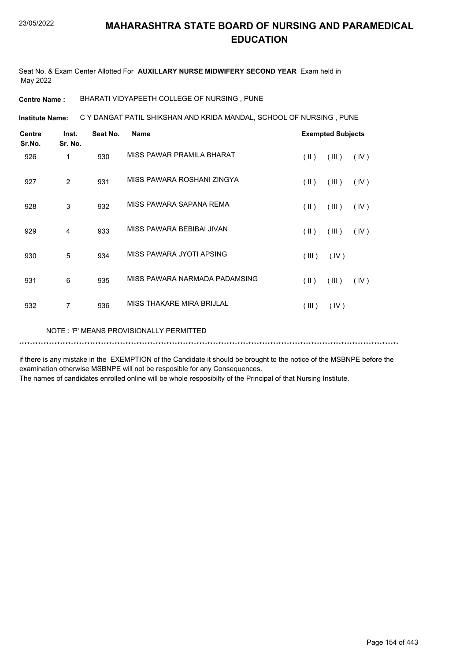Seat No. & Exam Center Allotted For **AUXILLARY NURSE MIDWIFERY SECOND YEAR** Exam held in May 2022

**Centre Name :** BHARATI VIDYAPEETH COLLEGE OF NURSING , PUNE

**Institute Name: C Y DANGAT PATIL SHIKSHAN AND KRIDA MANDAL, SCHOOL OF NURSING , PUNE** 

| <b>Centre</b><br>Sr.No. | Inst.<br>Sr. No. | Seat No. | <b>Name</b>                   |               | <b>Exempted Subjects</b> |      |
|-------------------------|------------------|----------|-------------------------------|---------------|--------------------------|------|
| 926                     | 1                | 930      | MISS PAWAR PRAMILA BHARAT     | $(\parallel)$ | (III)                    | (IV) |
| 927                     | $\overline{2}$   | 931      | MISS PAWARA ROSHANI ZINGYA    | $(\parallel)$ | (III)                    | (IV) |
| 928                     | 3                | 932      | MISS PAWARA SAPANA REMA       | $(\parallel)$ | (III)                    | (IV) |
| 929                     | $\overline{4}$   | 933      | MISS PAWARA BEBIBAI JIVAN     | $(\parallel)$ | (III)                    | (IV) |
| 930                     | 5                | 934      | MISS PAWARA JYOTI APSING      | (III)         | (IV)                     |      |
| 931                     | 6                | 935      | MISS PAWARA NARMADA PADAMSING | $(\parallel)$ | (III)                    | (IV) |
| 932                     | 7                | 936      | MISS THAKARE MIRA BRIJLAL     | (III)         | (IV)                     |      |
|                         |                  |          |                               |               |                          |      |

NOTE : 'P' MEANS PROVISIONALLY PERMITTED

\*\*\*\*\*\*\*\*\*\*\*\*\*\*\*\*\*\*\*\*\*\*\*\*\*\*\*\*\*\*\*\*\*\*\*\*\*\*\*\*\*\*\*\*\*\*\*\*\*\*\*\*\*\*\*\*\*\*\*\*\*\*\*\*\*\*\*\*\*\*\*\*\*\*\*\*\*\*\*\*\*\*\*\*\*\*\*\*\*\*\*\*\*\*\*\*\*\*\*\*\*\*\*\*\*\*\*\*\*\*\*\*\*\*\*\*\*\*\*\*\*\*\*\*\*\*\*\*\*\*\*\*\*\*\*\*\*\*\*

if there is any mistake in the EXEMPTION of the Candidate it should be brought to the notice of the MSBNPE before the examination otherwise MSBNPE will not be resposible for any Consequences.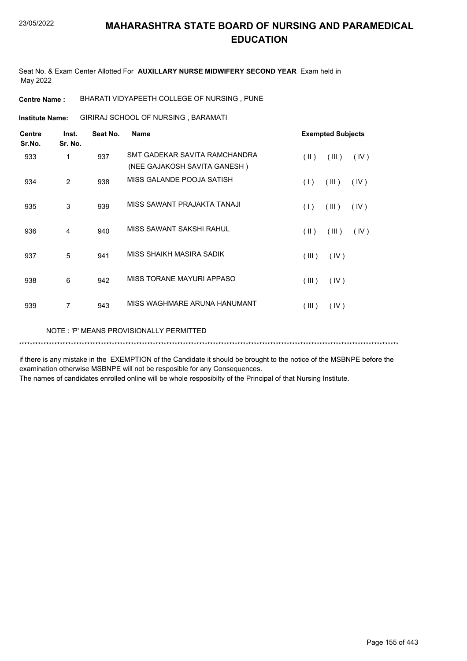Seat No. & Exam Center Allotted For **AUXILLARY NURSE MIDWIFERY SECOND YEAR** Exam held in May 2022

**Centre Name :** BHARATI VIDYAPEETH COLLEGE OF NURSING , PUNE

GIRIRAJ SCHOOL OF NURSING , BARAMATI **Institute Name:**

| <b>Centre</b><br>Sr.No. | Inst.<br>Sr. No. | Seat No. | <b>Name</b>                                                   | <b>Exempted Subjects</b>       |
|-------------------------|------------------|----------|---------------------------------------------------------------|--------------------------------|
| 933                     | 1                | 937      | SMT GADEKAR SAVITA RAMCHANDRA<br>(NEE GAJAKOSH SAVITA GANESH) | $(\parallel)$<br>(III)<br>(IV) |
| 934                     | $\overline{2}$   | 938      | MISS GALANDE POOJA SATISH                                     | (III)<br>(1)<br>(IV)           |
| 935                     | 3                | 939      | MISS SAWANT PRAJAKTA TANAJI                                   | (1)<br>(III)<br>(IV)           |
| 936                     | 4                | 940      | MISS SAWANT SAKSHI RAHUL                                      | $(\parallel)$<br>(IV)<br>(III) |
| 937                     | 5                | 941      | MISS SHAIKH MASIRA SADIK                                      | (III)<br>(IV)                  |
| 938                     | 6                | 942      | MISS TORANE MAYURI APPASO                                     | (III)<br>(IV)                  |
| 939                     | 7                | 943      | MISS WAGHMARE ARUNA HANUMANT                                  | (III)<br>(IV)                  |
|                         |                  |          |                                                               |                                |

NOTE : 'P' MEANS PROVISIONALLY PERMITTED

\*\*\*\*\*\*\*\*\*\*\*\*\*\*\*\*\*\*\*\*\*\*\*\*\*\*\*\*\*\*\*\*\*\*\*\*\*\*\*\*\*\*\*\*\*\*\*\*\*\*\*\*\*\*\*\*\*\*\*\*\*\*\*\*\*\*\*\*\*\*\*\*\*\*\*\*\*\*\*\*\*\*\*\*\*\*\*\*\*\*\*\*\*\*\*\*\*\*\*\*\*\*\*\*\*\*\*\*\*\*\*\*\*\*\*\*\*\*\*\*\*\*\*\*\*\*\*\*\*\*\*\*\*\*\*\*\*\*\*

if there is any mistake in the EXEMPTION of the Candidate it should be brought to the notice of the MSBNPE before the examination otherwise MSBNPE will not be resposible for any Consequences.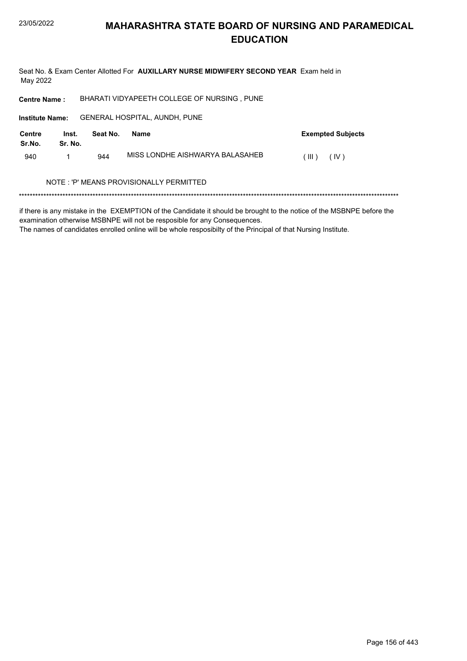Seat No. & Exam Center Allotted For AUXILLARY NURSE MIDWIFERY SECOND YEAR Exam held in May 2022

BHARATI VIDYAPEETH COLLEGE OF NURSING, PUNE **Centre Name:** 

Institute Name: GENERAL HOSPITAL, AUNDH, PUNE

| <b>Centre</b><br>Sr.No. | Inst.<br>Sr. No. | Seat No. | Name                            | <b>Exempted Subjects</b> |
|-------------------------|------------------|----------|---------------------------------|--------------------------|
| 940                     |                  | 944      | MISS LONDHE AISHWARYA BALASAHEB | $(\mathbb{H})$<br>(IV)   |

#### NOTE : 'P' MEANS PROVISIONALLY PERMITTED

if there is any mistake in the EXEMPTION of the Candidate it should be brought to the notice of the MSBNPE before the examination otherwise MSBNPE will not be resposible for any Consequences.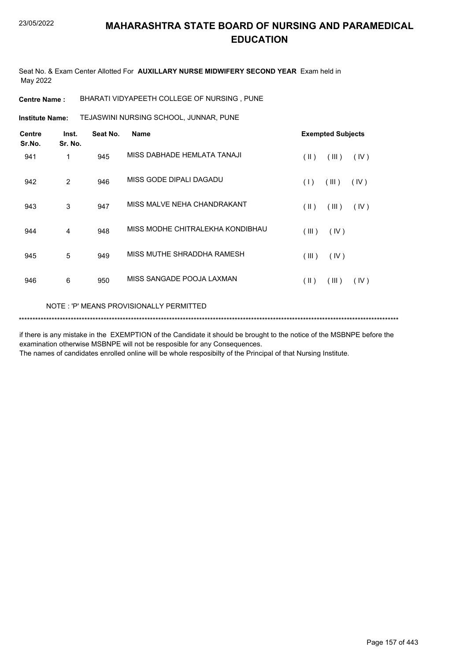Seat No. & Exam Center Allotted For **AUXILLARY NURSE MIDWIFERY SECOND YEAR** Exam held in May 2022

**Centre Name :** BHARATI VIDYAPEETH COLLEGE OF NURSING , PUNE

TEJASWINI NURSING SCHOOL, JUNNAR, PUNE **Institute Name:**

| <b>Centre</b><br>Sr.No. | Inst.<br>Sr. No. | Seat No. | <b>Name</b>                      | <b>Exempted Subjects</b>    |
|-------------------------|------------------|----------|----------------------------------|-----------------------------|
| 941                     | 1                | 945      | MISS DABHADE HEMLATA TANAJI      | $($ II $)$<br>(III)<br>(IV) |
| 942                     | 2                | 946      | MISS GODE DIPALI DAGADU          | (III)<br>(IV)<br>(1)        |
| 943                     | 3                | 947      | MISS MALVE NEHA CHANDRAKANT      | $($ II $)$<br>(III)<br>(IV) |
| 944                     | 4                | 948      | MISS MODHE CHITRALEKHA KONDIBHAU | (III)<br>(IV)               |
| 945                     | 5                | 949      | MISS MUTHE SHRADDHA RAMESH       | (III)<br>(IV)               |
| 946                     | 6                | 950      | MISS SANGADE POOJA LAXMAN        | (III)<br>(  )<br>(IV)       |
|                         |                  |          |                                  |                             |

NOTE : 'P' MEANS PROVISIONALLY PERMITTED

\*\*\*\*\*\*\*\*\*\*\*\*\*\*\*\*\*\*\*\*\*\*\*\*\*\*\*\*\*\*\*\*\*\*\*\*\*\*\*\*\*\*\*\*\*\*\*\*\*\*\*\*\*\*\*\*\*\*\*\*\*\*\*\*\*\*\*\*\*\*\*\*\*\*\*\*\*\*\*\*\*\*\*\*\*\*\*\*\*\*\*\*\*\*\*\*\*\*\*\*\*\*\*\*\*\*\*\*\*\*\*\*\*\*\*\*\*\*\*\*\*\*\*\*\*\*\*\*\*\*\*\*\*\*\*\*\*\*\*

if there is any mistake in the EXEMPTION of the Candidate it should be brought to the notice of the MSBNPE before the examination otherwise MSBNPE will not be resposible for any Consequences.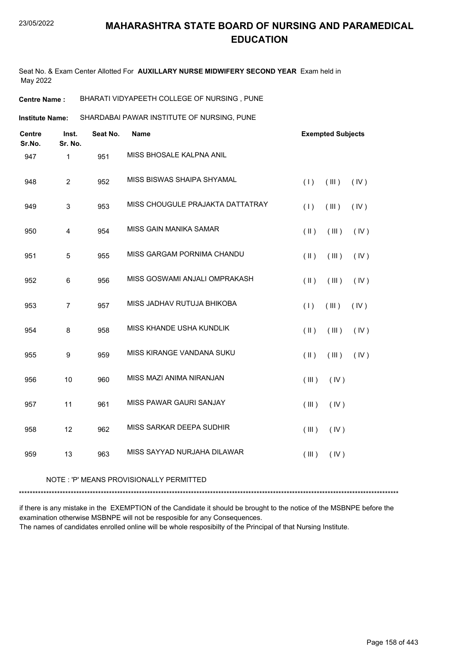Seat No. & Exam Center Allotted For **AUXILLARY NURSE MIDWIFERY SECOND YEAR** Exam held in May 2022

**Centre Name :** BHARATI VIDYAPEETH COLLEGE OF NURSING , PUNE

SHARDABAI PAWAR INSTITUTE OF NURSING, PUNE **Institute Name:**

| <b>Centre</b><br>Sr.No. | Inst.<br>Sr. No. | Seat No. | <b>Name</b>                      |               | <b>Exempted Subjects</b> |      |
|-------------------------|------------------|----------|----------------------------------|---------------|--------------------------|------|
| 947                     | 1                | 951      | MISS BHOSALE KALPNA ANIL         |               |                          |      |
| 948                     | $\overline{2}$   | 952      | MISS BISWAS SHAIPA SHYAMAL       | (1)           | (III)                    | (IV) |
| 949                     | $\mathsf 3$      | 953      | MISS CHOUGULE PRAJAKTA DATTATRAY | (1)           | (III)                    | (IV) |
| 950                     | $\overline{4}$   | 954      | MISS GAIN MANIKA SAMAR           | $(\parallel)$ | (III)                    | (IV) |
| 951                     | $\sqrt{5}$       | 955      | MISS GARGAM PORNIMA CHANDU       | $(\parallel)$ | (III)                    | (IV) |
| 952                     | 6                | 956      | MISS GOSWAMI ANJALI OMPRAKASH    | $(\parallel)$ | (III)                    | (IV) |
| 953                     | $\overline{7}$   | 957      | MISS JADHAV RUTUJA BHIKOBA       | (1)           | (III)                    | (IV) |
| 954                     | 8                | 958      | MISS KHANDE USHA KUNDLIK         | $(\parallel)$ | (III)                    | (IV) |
| 955                     | $\boldsymbol{9}$ | 959      | MISS KIRANGE VANDANA SUKU        | $($ II $)$    | (III)                    | (IV) |
| 956                     | 10               | 960      | MISS MAZI ANIMA NIRANJAN         | (III)         | (IV)                     |      |
| 957                     | 11               | 961      | <b>MISS PAWAR GAURI SANJAY</b>   | (III)         | (IV)                     |      |
| 958                     | 12               | 962      | MISS SARKAR DEEPA SUDHIR         | (III)         | (IV)                     |      |
| 959                     | 13               | 963      | MISS SAYYAD NURJAHA DILAWAR      | (III)         | (IV)                     |      |

NOTE : 'P' MEANS PROVISIONALLY PERMITTED

\*\*\*\*\*\*\*\*\*\*\*\*\*\*\*\*\*\*\*\*\*\*\*\*\*\*\*\*\*\*\*\*\*\*\*\*\*\*\*\*\*\*\*\*\*\*\*\*\*\*\*\*\*\*\*\*\*\*\*\*\*\*\*\*\*\*\*\*\*\*\*\*\*\*\*\*\*\*\*\*\*\*\*\*\*\*\*\*\*\*\*\*\*\*\*\*\*\*\*\*\*\*\*\*\*\*\*\*\*\*\*\*\*\*\*\*\*\*\*\*\*\*\*\*\*\*\*\*\*\*\*\*\*\*\*\*\*\*\*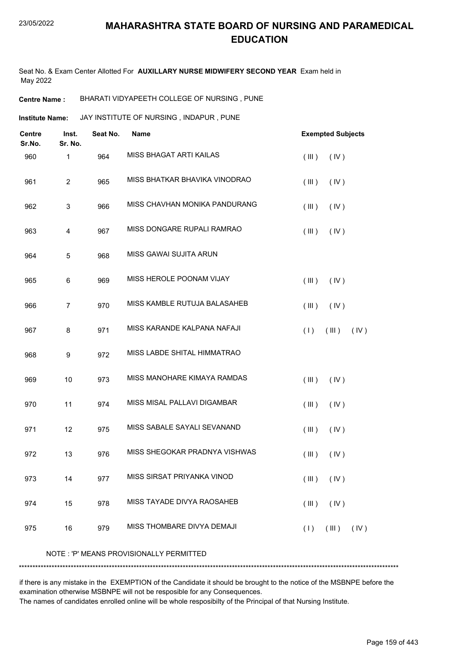Seat No. & Exam Center Allotted For **AUXILLARY NURSE MIDWIFERY SECOND YEAR** Exam held in May 2022

**Centre Name :** BHARATI VIDYAPEETH COLLEGE OF NURSING , PUNE

**Institute Name: ANY INSTITUTE OF NURSING, INDAPUR, PUNE** 

| <b>Centre</b><br>Sr.No. | Inst.<br>Sr. No. | Seat No. | <b>Name</b>                             | <b>Exempted Subjects</b> |
|-------------------------|------------------|----------|-----------------------------------------|--------------------------|
| 960                     | 1                | 964      | MISS BHAGAT ARTI KAILAS                 | (III)<br>(IV)            |
| 961                     | $\boldsymbol{2}$ | 965      | MISS BHATKAR BHAVIKA VINODRAO           | (III)<br>(IV)            |
| 962                     | 3                | 966      | MISS CHAVHAN MONIKA PANDURANG           | (III)<br>(IV)            |
| 963                     | 4                | 967      | MISS DONGARE RUPALI RAMRAO              | (III)<br>(IV)            |
| 964                     | 5                | 968      | MISS GAWAI SUJITA ARUN                  |                          |
| 965                     | 6                | 969      | MISS HEROLE POONAM VIJAY                | (III)<br>(IV)            |
| 966                     | $\overline{7}$   | 970      | MISS KAMBLE RUTUJA BALASAHEB            | (III)<br>(IV)            |
| 967                     | 8                | 971      | MISS KARANDE KALPANA NAFAJI             | (1)<br>(III)<br>(IV)     |
| 968                     | 9                | 972      | MISS LABDE SHITAL HIMMATRAO             |                          |
| 969                     | 10               | 973      | MISS MANOHARE KIMAYA RAMDAS             | (III)<br>(IV)            |
| 970                     | 11               | 974      | MISS MISAL PALLAVI DIGAMBAR             | (III)<br>(IV)            |
| 971                     | 12               | 975      | MISS SABALE SAYALI SEVANAND             | (III)<br>(IV)            |
| 972                     | 13               | 976      | MISS SHEGOKAR PRADNYA VISHWAS           | (III)<br>(IV)            |
| 973                     | 14               | 977      | MISS SIRSAT PRIYANKA VINOD              | (III)<br>$($ IV $)$      |
| 974                     | 15               | 978      | MISS TAYADE DIVYA RAOSAHEB              | (III)<br>(IV)            |
| 975                     | 16               | 979      | MISS THOMBARE DIVYA DEMAJI              | (1)<br>(III)<br>(IV)     |
|                         |                  |          | NOTE: 'P' MEANS PROVISIONALLY PERMITTED |                          |

if there is any mistake in the EXEMPTION of the Candidate it should be brought to the notice of the MSBNPE before the examination otherwise MSBNPE will not be resposible for any Consequences.

\*\*\*\*\*\*\*\*\*\*\*\*\*\*\*\*\*\*\*\*\*\*\*\*\*\*\*\*\*\*\*\*\*\*\*\*\*\*\*\*\*\*\*\*\*\*\*\*\*\*\*\*\*\*\*\*\*\*\*\*\*\*\*\*\*\*\*\*\*\*\*\*\*\*\*\*\*\*\*\*\*\*\*\*\*\*\*\*\*\*\*\*\*\*\*\*\*\*\*\*\*\*\*\*\*\*\*\*\*\*\*\*\*\*\*\*\*\*\*\*\*\*\*\*\*\*\*\*\*\*\*\*\*\*\*\*\*\*\*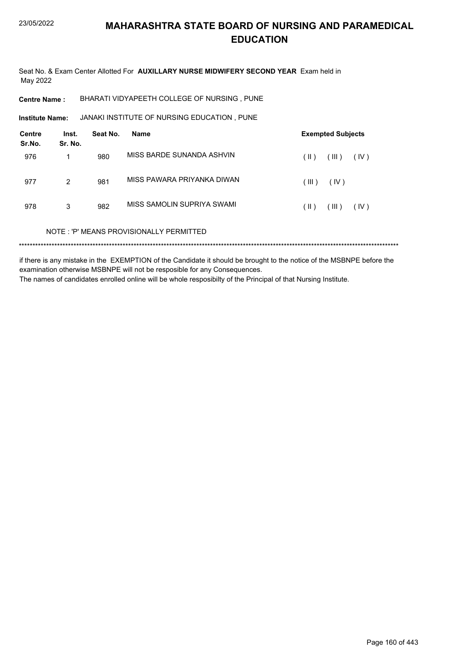Seat No. & Exam Center Allotted For AUXILLARY NURSE MIDWIFERY SECOND YEAR Exam held in May 2022

BHARATI VIDYAPEETH COLLEGE OF NURSING, PUNE **Centre Name:** 

JANAKI INSTITUTE OF NURSING EDUCATION, PUNE **Institute Name:** 

| <b>Centre</b><br>Sr.No. | Inst.<br>Sr. No. | Seat No. | <b>Name</b>                             |       | <b>Exempted Subjects</b> |      |
|-------------------------|------------------|----------|-----------------------------------------|-------|--------------------------|------|
| 976                     |                  | 980      | MISS BARDE SUNANDA ASHVIN               | (  )  | (III)                    | (IV) |
| 977                     | $\overline{2}$   | 981      | MISS PAWARA PRIYANKA DIWAN              | (III) | (IV)                     |      |
| 978                     | 3                | 982      | MISS SAMOLIN SUPRIYA SWAMI              | (  )  | (III)                    | (IV) |
|                         |                  |          | NOTE: 'P' MEANS PROVISIONALLY PERMITTED |       |                          |      |
|                         |                  |          |                                         |       |                          |      |

if there is any mistake in the EXEMPTION of the Candidate it should be brought to the notice of the MSBNPE before the examination otherwise MSBNPE will not be resposible for any Consequences. The names of candidates enrolled online will be whole resposibilty of the Principal of that Nursing Institute.

Page 160 of 443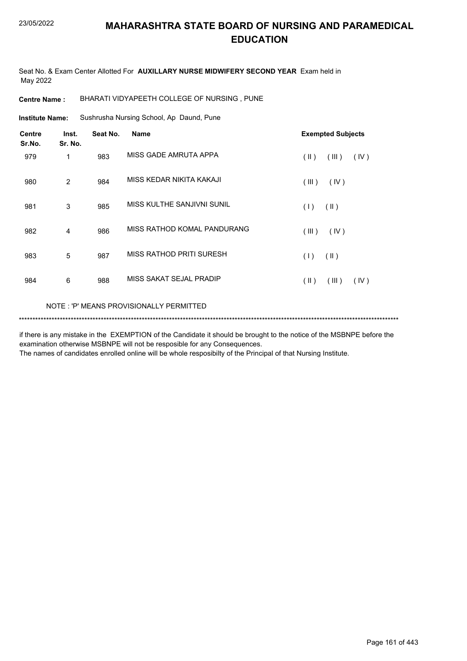Seat No. & Exam Center Allotted For **AUXILLARY NURSE MIDWIFERY SECOND YEAR** Exam held in May 2022

**Centre Name :** BHARATI VIDYAPEETH COLLEGE OF NURSING , PUNE

Sushrusha Nursing School, Ap Daund, Pune **Institute Name:**

| <b>Centre</b><br>Sr.No. | Inst.<br>Sr. No. | Seat No. | <b>Name</b>                 | <b>Exempted Subjects</b> |  |  |  |
|-------------------------|------------------|----------|-----------------------------|--------------------------|--|--|--|
| 979                     | $\mathbf{1}$     | 983      | MISS GADE AMRUTA APPA       | (  )<br>(III)<br>(IV)    |  |  |  |
| 980                     | $\overline{2}$   | 984      | MISS KEDAR NIKITA KAKAJI    | (III)<br>(IV)            |  |  |  |
| 981                     | 3                | 985      | MISS KULTHE SANJIVNI SUNIL  | (1)<br>$(\parallel)$     |  |  |  |
| 982                     | 4                | 986      | MISS RATHOD KOMAL PANDURANG | (IV)<br>(III)            |  |  |  |
| 983                     | 5                | 987      | MISS RATHOD PRITI SURESH    | (1)<br>$(\parallel)$     |  |  |  |
| 984                     | 6                | 988      | MISS SAKAT SEJAL PRADIP     | (11)<br>(III)<br>(IV)    |  |  |  |
|                         |                  |          |                             |                          |  |  |  |

NOTE : 'P' MEANS PROVISIONALLY PERMITTED

\*\*\*\*\*\*\*\*\*\*\*\*\*\*\*\*\*\*\*\*\*\*\*\*\*\*\*\*\*\*\*\*\*\*\*\*\*\*\*\*\*\*\*\*\*\*\*\*\*\*\*\*\*\*\*\*\*\*\*\*\*\*\*\*\*\*\*\*\*\*\*\*\*\*\*\*\*\*\*\*\*\*\*\*\*\*\*\*\*\*\*\*\*\*\*\*\*\*\*\*\*\*\*\*\*\*\*\*\*\*\*\*\*\*\*\*\*\*\*\*\*\*\*\*\*\*\*\*\*\*\*\*\*\*\*\*\*\*\*

if there is any mistake in the EXEMPTION of the Candidate it should be brought to the notice of the MSBNPE before the examination otherwise MSBNPE will not be resposible for any Consequences.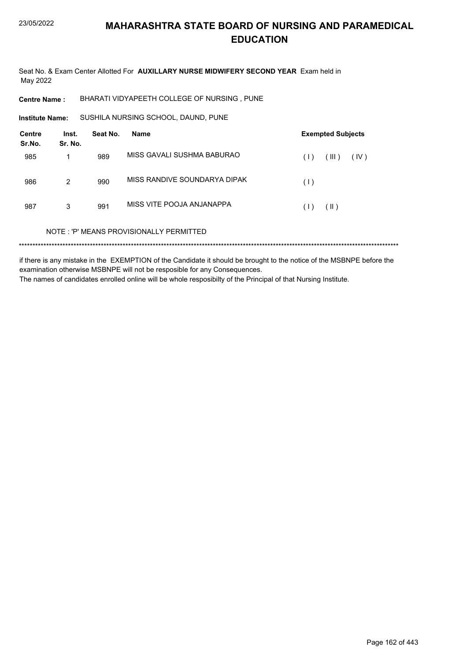Seat No. & Exam Center Allotted For AUXILLARY NURSE MIDWIFERY SECOND YEAR Exam held in May 2022

BHARATI VIDYAPEETH COLLEGE OF NURSING, PUNE **Centre Name:** 

SUSHILA NURSING SCHOOL, DAUND, PUNE **Institute Name:** 

| <b>Centre</b><br>Sr.No. | Inst.<br>Sr. No. | Seat No. | <b>Name</b>                             |     | <b>Exempted Subjects</b> |      |
|-------------------------|------------------|----------|-----------------------------------------|-----|--------------------------|------|
| 985                     |                  | 989      | MISS GAVALL SUSHMA BABURAO              | (1) | (III)                    | (IV) |
| 986                     | 2                | 990      | MISS RANDIVE SOUNDARYA DIPAK            | (1) |                          |      |
| 987                     | 3                | 991      | MISS VITE POOJA ANJANAPPA               | (1) | $(\parallel)$            |      |
|                         |                  |          | NOTE: 'P' MEANS PROVISIONALLY PERMITTED |     |                          |      |
|                         |                  |          |                                         |     |                          |      |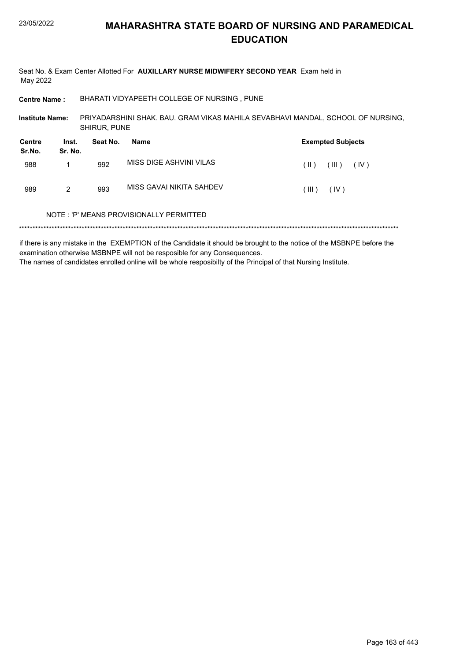| May 2022                |                  |                     | Seat No. & Exam Center Allotted For AUXILLARY NURSE MIDWIFERY SECOND YEAR Exam held in |               |                          |      |
|-------------------------|------------------|---------------------|----------------------------------------------------------------------------------------|---------------|--------------------------|------|
| <b>Centre Name:</b>     |                  |                     | BHARATI VIDYAPEETH COLLEGE OF NURSING, PUNE                                            |               |                          |      |
| <b>Institute Name:</b>  |                  | <b>SHIRUR, PUNE</b> | PRIYADARSHINI SHAK. BAU. GRAM VIKAS MAHILA SEVABHAVI MANDAL, SCHOOL OF NURSING,        |               |                          |      |
| <b>Centre</b><br>Sr.No. | Inst.<br>Sr. No. | Seat No.            | Name                                                                                   |               | <b>Exempted Subjects</b> |      |
| 988                     | 1                | 992                 | MISS DIGE ASHVINI VILAS                                                                | $(\parallel)$ | (III)                    | (IV) |
| 989                     | 2                | 993                 | MISS GAVAI NIKITA SAHDEV                                                               | (III)         | (IV)                     |      |
|                         |                  |                     | NOTE: 'P' MEANS PROVISIONALLY PERMITTED                                                |               |                          |      |
|                         |                  |                     |                                                                                        |               |                          |      |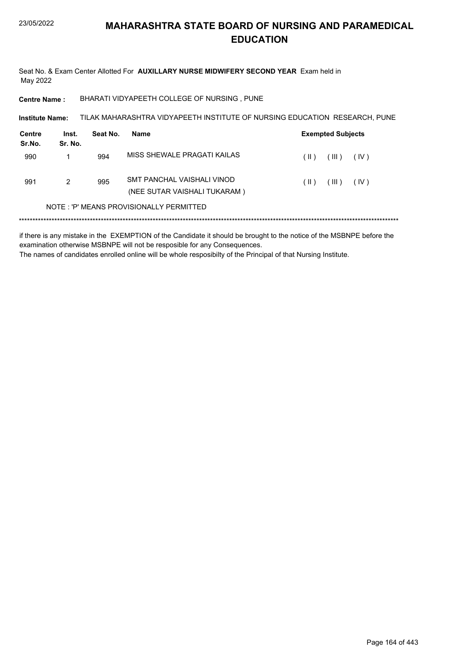Seat No. & Exam Center Allotted For AUXILLARY NURSE MIDWIFERY SECOND YEAR Exam held in May 2022

BHARATI VIDYAPEETH COLLEGE OF NURSING, PUNE **Centre Name:** 

TILAK MAHARASHTRA VIDYAPEETH INSTITUTE OF NURSING EDUCATION RESEARCH, PUNE Institute Name:

| Centre<br>Sr.No. | Inst.<br>Sr. No. | Seat No. | Name                                                       | <b>Exempted Subjects</b> |                     |
|------------------|------------------|----------|------------------------------------------------------------|--------------------------|---------------------|
| 990              |                  | 994      | MISS SHEWALE PRAGATI KAILAS                                | (  )                     | (III)<br>(IV)       |
| 991              | 2                | 995      | SMT PANCHAL VAISHALI VINOD<br>(NEE SUTAR VAISHALI TUKARAM) | (  )                     | $($ III $)$<br>(IV) |
|                  |                  |          | NOTE: 'P' MEANS PROVISIONALLY PERMITTED                    |                          |                     |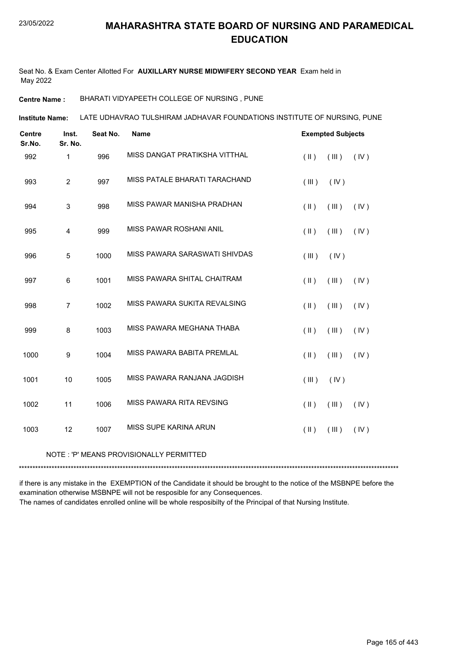Seat No. & Exam Center Allotted For **AUXILLARY NURSE MIDWIFERY SECOND YEAR** Exam held in May 2022

**Centre Name :** BHARATI VIDYAPEETH COLLEGE OF NURSING , PUNE

LATE UDHAVRAO TULSHIRAM JADHAVAR FOUNDATIONS INSTITUTE OF NURSING, PUNE **Institute Name:**

| <b>Centre</b><br>Sr.No. | Inst.<br>Sr. No. | Seat No. | <b>Name</b>                   |               | <b>Exempted Subjects</b> |      |
|-------------------------|------------------|----------|-------------------------------|---------------|--------------------------|------|
| 992                     | $\mathbf{1}$     | 996      | MISS DANGAT PRATIKSHA VITTHAL | $(\parallel)$ | (III)                    | (IV) |
| 993                     | $\overline{2}$   | 997      | MISS PATALE BHARATI TARACHAND | (III)         | (IV)                     |      |
| 994                     | $\mathsf 3$      | 998      | MISS PAWAR MANISHA PRADHAN    | $(\parallel)$ | (III)                    | (IV) |
| 995                     | 4                | 999      | MISS PAWAR ROSHANI ANIL       | $(\parallel)$ | (III)                    | (IV) |
| 996                     | $\sqrt{5}$       | 1000     | MISS PAWARA SARASWATI SHIVDAS | (III)         | (IV)                     |      |
| 997                     | 6                | 1001     | MISS PAWARA SHITAL CHAITRAM   | $($ II $)$    | (III)                    | (IV) |
| 998                     | $\overline{7}$   | 1002     | MISS PAWARA SUKITA REVALSING  | $(\parallel)$ | (III)                    | (IV) |
| 999                     | 8                | 1003     | MISS PAWARA MEGHANA THABA     | $($ II $)$    | (III)                    | (IV) |
| 1000                    | 9                | 1004     | MISS PAWARA BABITA PREMLAL    | $($ II $)$    | (III)                    | (IV) |
| 1001                    | 10               | 1005     | MISS PAWARA RANJANA JAGDISH   | (III)         | (IV)                     |      |
| 1002                    | 11               | 1006     | MISS PAWARA RITA REVSING      | $($ II $)$    | (III)                    | (IV) |
| 1003                    | 12               | 1007     | MISS SUPE KARINA ARUN         | $(\parallel)$ | (III)                    | (IV) |

#### NOTE : 'P' MEANS PROVISIONALLY PERMITTED

\*\*\*\*\*\*\*\*\*\*\*\*\*\*\*\*\*\*\*\*\*\*\*\*\*\*\*\*\*\*\*\*\*\*\*\*\*\*\*\*\*\*\*\*\*\*\*\*\*\*\*\*\*\*\*\*\*\*\*\*\*\*\*\*\*\*\*\*\*\*\*\*\*\*\*\*\*\*\*\*\*\*\*\*\*\*\*\*\*\*\*\*\*\*\*\*\*\*\*\*\*\*\*\*\*\*\*\*\*\*\*\*\*\*\*\*\*\*\*\*\*\*\*\*\*\*\*\*\*\*\*\*\*\*\*\*\*\*\*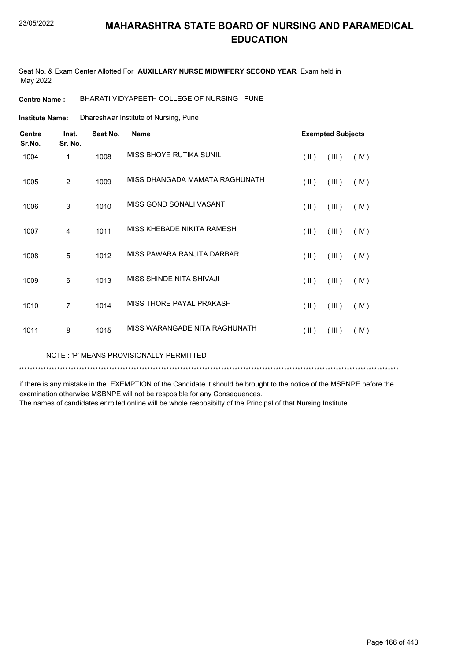Seat No. & Exam Center Allotted For **AUXILLARY NURSE MIDWIFERY SECOND YEAR** Exam held in May 2022

**Centre Name :** BHARATI VIDYAPEETH COLLEGE OF NURSING , PUNE

Dhareshwar Institute of Nursing, Pune **Institute Name:**

| <b>Centre</b><br>Sr.No. | Inst.<br>Sr. No. | Seat No. | <b>Name</b>                    | <b>Exempted Subjects</b>       |
|-------------------------|------------------|----------|--------------------------------|--------------------------------|
| 1004                    | 1                | 1008     | MISS BHOYE RUTIKA SUNIL        | $(\parallel)$<br>(III)<br>(IV) |
| 1005                    | 2                | 1009     | MISS DHANGADA MAMATA RAGHUNATH | $($ II $)$<br>(III)<br>(IV)    |
| 1006                    | 3                | 1010     | MISS GOND SONALI VASANT        | $(\parallel)$<br>(IV)<br>(III) |
| 1007                    | 4                | 1011     | MISS KHEBADE NIKITA RAMESH     | $(\parallel)$<br>(III)<br>(IV) |
| 1008                    | 5                | 1012     | MISS PAWARA RANJITA DARBAR     | $(\parallel)$<br>(IV)<br>(III) |
| 1009                    | 6                | 1013     | MISS SHINDE NITA SHIVAJI       | $(\parallel)$<br>(III)<br>(IV) |
| 1010                    | $\overline{7}$   | 1014     | MISS THORE PAYAL PRAKASH       | $(\parallel)$<br>(IV)<br>(III) |
| 1011                    | 8                | 1015     | MISS WARANGADE NITA RAGHUNATH  | $($ II $)$<br>(IV)<br>(III)    |

NOTE : 'P' MEANS PROVISIONALLY PERMITTED

\*\*\*\*\*\*\*\*\*\*\*\*\*\*\*\*\*\*\*\*\*\*\*\*\*\*\*\*\*\*\*\*\*\*\*\*\*\*\*\*\*\*\*\*\*\*\*\*\*\*\*\*\*\*\*\*\*\*\*\*\*\*\*\*\*\*\*\*\*\*\*\*\*\*\*\*\*\*\*\*\*\*\*\*\*\*\*\*\*\*\*\*\*\*\*\*\*\*\*\*\*\*\*\*\*\*\*\*\*\*\*\*\*\*\*\*\*\*\*\*\*\*\*\*\*\*\*\*\*\*\*\*\*\*\*\*\*\*\*

if there is any mistake in the EXEMPTION of the Candidate it should be brought to the notice of the MSBNPE before the examination otherwise MSBNPE will not be resposible for any Consequences.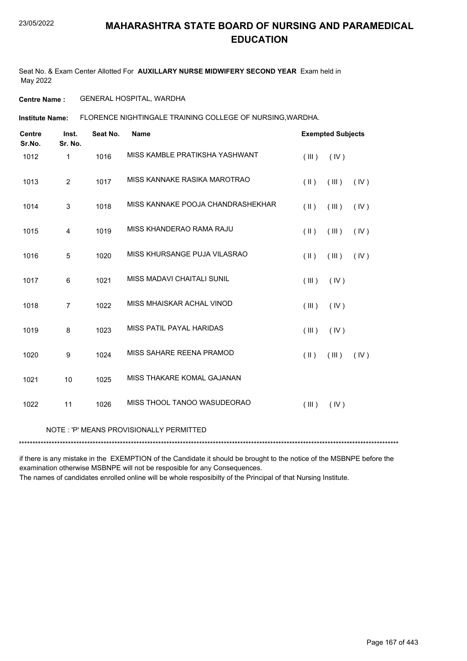Seat No. & Exam Center Allotted For **AUXILLARY NURSE MIDWIFERY SECOND YEAR** Exam held in May 2022

**Centre Name :** GENERAL HOSPITAL, WARDHA

FLORENCE NIGHTINGALE TRAINING COLLEGE OF NURSING,WARDHA. **Institute Name:**

| <b>Centre</b><br>Sr.No. | Inst.<br>Sr. No. | Seat No. | <b>Name</b>                             |               | <b>Exempted Subjects</b> |      |
|-------------------------|------------------|----------|-----------------------------------------|---------------|--------------------------|------|
| 1012                    | 1                | 1016     | MISS KAMBLE PRATIKSHA YASHWANT          | (III)         | (IV)                     |      |
| 1013                    | $\overline{2}$   | 1017     | MISS KANNAKE RASIKA MAROTRAO            | $(\parallel)$ | (III)                    | (IV) |
| 1014                    | 3                | 1018     | MISS KANNAKE POOJA CHANDRASHEKHAR       | $(\parallel)$ | (III)                    | (IV) |
| 1015                    | 4                | 1019     | MISS KHANDERAO RAMA RAJU                | (11)          | (III)                    | (IV) |
| 1016                    | 5                | 1020     | MISS KHURSANGE PUJA VILASRAO            | (11)          | (III)                    | (IV) |
| 1017                    | 6                | 1021     | MISS MADAVI CHAITALI SUNIL              | (III)         | (IV)                     |      |
| 1018                    | $\overline{7}$   | 1022     | MISS MHAISKAR ACHAL VINOD               | (III)         | (IV)                     |      |
| 1019                    | 8                | 1023     | MISS PATIL PAYAL HARIDAS                | (III)         | (IV)                     |      |
| 1020                    | 9                | 1024     | MISS SAHARE REENA PRAMOD                | $(\parallel)$ | (III)                    | (IV) |
| 1021                    | 10               | 1025     | MISS THAKARE KOMAL GAJANAN              |               |                          |      |
| 1022                    | 11               | 1026     | MISS THOOL TANOO WASUDEORAO             | (III)         | (IV)                     |      |
|                         |                  |          | NOTE: 'P' MEANS PROVISIONALLY PERMITTED |               |                          |      |
|                         |                  |          |                                         |               |                          |      |

if there is any mistake in the EXEMPTION of the Candidate it should be brought to the notice of the MSBNPE before the examination otherwise MSBNPE will not be resposible for any Consequences.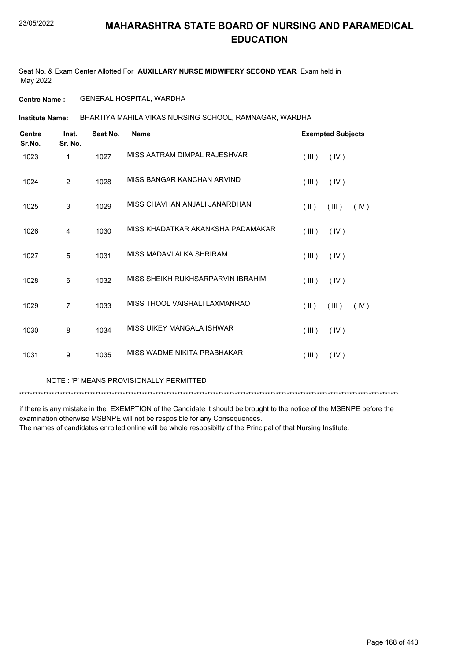Seat No. & Exam Center Allotted For **AUXILLARY NURSE MIDWIFERY SECOND YEAR** Exam held in May 2022

**Centre Name :** GENERAL HOSPITAL, WARDHA

BHARTIYA MAHILA VIKAS NURSING SCHOOL, RAMNAGAR, WARDHA **Institute Name:**

| <b>Centre</b><br>Sr.No. | Inst.<br>Sr. No. | Seat No. | <b>Name</b>                       |                         | <b>Exempted Subjects</b> |      |
|-------------------------|------------------|----------|-----------------------------------|-------------------------|--------------------------|------|
| 1023                    | 1                | 1027     | MISS AATRAM DIMPAL RAJESHVAR      | $($ III $)$             | (IV)                     |      |
| 1024                    | 2                | 1028     | MISS BANGAR KANCHAN ARVIND        | (III)                   | (IV)                     |      |
| 1025                    | 3                | 1029     | MISS CHAVHAN ANJALI JANARDHAN     | $(\parallel)$           | (III)                    | (IV) |
| 1026                    | $\overline{4}$   | 1030     | MISS KHADATKAR AKANKSHA PADAMAKAR | (III)                   | (IV)                     |      |
| 1027                    | 5                | 1031     | MISS MADAVI ALKA SHRIRAM          | (III)                   | (IV)                     |      |
| 1028                    | 6                | 1032     | MISS SHEIKH RUKHSARPARVIN IBRAHIM | (III)                   | (IV)                     |      |
| 1029                    | $\overline{7}$   | 1033     | MISS THOOL VAISHALI LAXMANRAO     | $(\parallel \parallel)$ | (III)                    | (IV) |
| 1030                    | 8                | 1034     | MISS UIKEY MANGALA ISHWAR         | (III)                   | (IV)                     |      |
| 1031                    | 9                | 1035     | MISS WADME NIKITA PRABHAKAR       | (III)                   | (IV)                     |      |
|                         |                  |          |                                   |                         |                          |      |

NOTE : 'P' MEANS PROVISIONALLY PERMITTED

\*\*\*\*\*\*\*\*\*\*\*\*\*\*\*\*\*\*\*\*\*\*\*\*\*\*\*\*\*\*\*\*\*\*\*\*\*\*\*\*\*\*\*\*\*\*\*\*\*\*\*\*\*\*\*\*\*\*\*\*\*\*\*\*\*\*\*\*\*\*\*\*\*\*\*\*\*\*\*\*\*\*\*\*\*\*\*\*\*\*\*\*\*\*\*\*\*\*\*\*\*\*\*\*\*\*\*\*\*\*\*\*\*\*\*\*\*\*\*\*\*\*\*\*\*\*\*\*\*\*\*\*\*\*\*\*\*\*\*

if there is any mistake in the EXEMPTION of the Candidate it should be brought to the notice of the MSBNPE before the examination otherwise MSBNPE will not be resposible for any Consequences.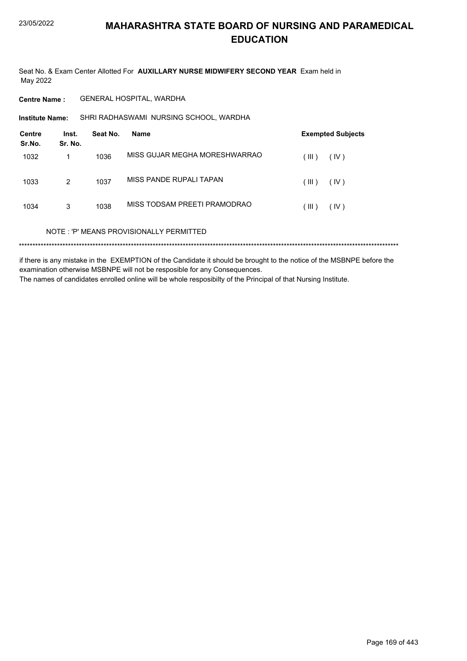Seat No. & Exam Center Allotted For AUXILLARY NURSE MIDWIFERY SECOND YEAR Exam held in May 2022

**Centre Name:** GENERAL HOSPITAL, WARDHA

SHRI RADHASWAMI NURSING SCHOOL, WARDHA Institute Name:

| <b>Centre</b><br>Sr.No. | Inst.<br>Sr. No. | Seat No. | Name                                    | <b>Exempted Subjects</b> |
|-------------------------|------------------|----------|-----------------------------------------|--------------------------|
| 1032                    |                  | 1036     | MISS GUJAR MEGHA MORESHWARRAO           | (IV)<br>(III)            |
| 1033                    | 2                | 1037     | MISS PANDE RUPALI TAPAN                 | (IV)<br>(III)            |
| 1034                    | 3                | 1038     | MISS TODSAM PREETI PRAMODRAO            | (IV)<br>(III)            |
|                         |                  |          | NOTE: 'P' MEANS PROVISIONALLY PERMITTED |                          |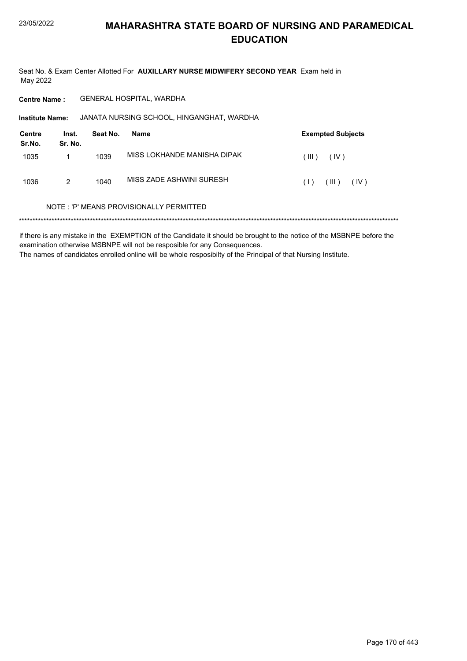Seat No. & Exam Center Allotted For AUXILLARY NURSE MIDWIFERY SECOND YEAR Exam held in May 2022

GENERAL HOSPITAL, WARDHA **Centre Name:** 

Institute Name: JANATA NURSING SCHOOL, HINGANGHAT, WARDHA

| Centre<br>Sr.No. | Inst.<br>Sr. No. | Seat No. | Name                        | <b>Exempted Subjects</b> |
|------------------|------------------|----------|-----------------------------|--------------------------|
| 1035             |                  | 1039     | MISS LOKHANDE MANISHA DIPAK | ( III )<br>(IV)          |
| 1036             | 2                | 1040     | MISS ZADE ASHWINI SURESH    | TIL)<br>(IV)<br>(1)      |

#### NOTE: 'P' MEANS PROVISIONALLY PERMITTED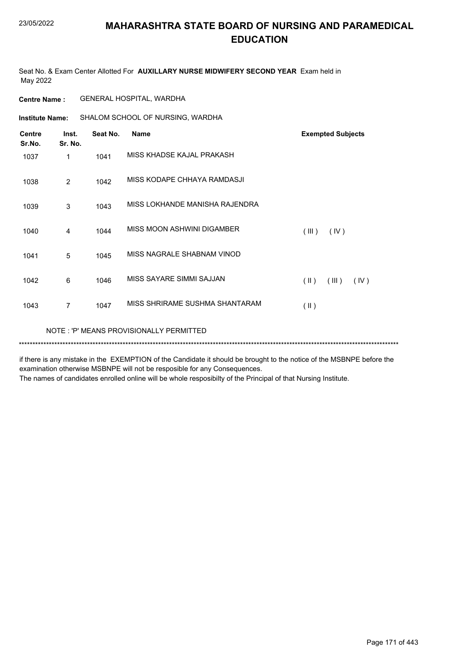Seat No. & Exam Center Allotted For **AUXILLARY NURSE MIDWIFERY SECOND YEAR** Exam held in May 2022

**Centre Name :** GENERAL HOSPITAL, WARDHA

**Institute Name:** SHALOM SCHOOL OF NURSING, WARDHA

| <b>Centre</b><br>Sr.No. | Inst.<br>Sr. No. | Seat No. | <b>Name</b>                             | <b>Exempted Subjects</b>       |
|-------------------------|------------------|----------|-----------------------------------------|--------------------------------|
| 1037                    | 1                | 1041     | MISS KHADSE KAJAL PRAKASH               |                                |
| 1038                    | 2                | 1042     | MISS KODAPE CHHAYA RAMDASJI             |                                |
| 1039                    | 3                | 1043     | MISS LOKHANDE MANISHA RAJENDRA          |                                |
| 1040                    | 4                | 1044     | MISS MOON ASHWINI DIGAMBER              | (III)<br>(IV)                  |
| 1041                    | 5                | 1045     | MISS NAGRALE SHABNAM VINOD              |                                |
| 1042                    | 6                | 1046     | MISS SAYARE SIMMI SAJJAN                | $(\parallel)$<br>(III)<br>(IV) |
| 1043                    | 7                | 1047     | MISS SHRIRAME SUSHMA SHANTARAM          | $($ II $)$                     |
|                         |                  |          | NOTE: 'P' MEANS PROVISIONALLY PERMITTED |                                |

if there is any mistake in the EXEMPTION of the Candidate it should be brought to the notice of the MSBNPE before the examination otherwise MSBNPE will not be resposible for any Consequences.

\*\*\*\*\*\*\*\*\*\*\*\*\*\*\*\*\*\*\*\*\*\*\*\*\*\*\*\*\*\*\*\*\*\*\*\*\*\*\*\*\*\*\*\*\*\*\*\*\*\*\*\*\*\*\*\*\*\*\*\*\*\*\*\*\*\*\*\*\*\*\*\*\*\*\*\*\*\*\*\*\*\*\*\*\*\*\*\*\*\*\*\*\*\*\*\*\*\*\*\*\*\*\*\*\*\*\*\*\*\*\*\*\*\*\*\*\*\*\*\*\*\*\*\*\*\*\*\*\*\*\*\*\*\*\*\*\*\*\*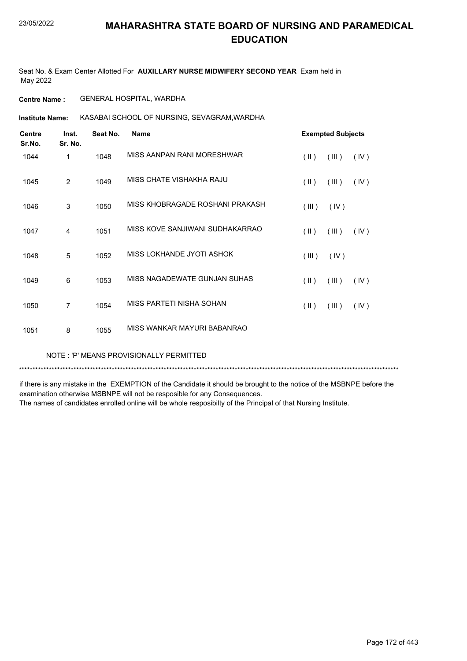Seat No. & Exam Center Allotted For **AUXILLARY NURSE MIDWIFERY SECOND YEAR** Exam held in May 2022

**Centre Name :** GENERAL HOSPITAL, WARDHA

KASABAI SCHOOL OF NURSING, SEVAGRAM,WARDHA **Institute Name:**

| <b>Centre</b><br>Sr.No. | Inst.<br>Sr. No. | Seat No. | <b>Name</b>                     |               | <b>Exempted Subjects</b> |      |
|-------------------------|------------------|----------|---------------------------------|---------------|--------------------------|------|
| 1044                    | 1                | 1048     | MISS AANPAN RANI MORESHWAR      | $(\parallel)$ | (III)                    | (IV) |
| 1045                    | $\overline{2}$   | 1049     | MISS CHATE VISHAKHA RAJU        | $($ II $)$    | (III)                    | (IV) |
| 1046                    | 3                | 1050     | MISS KHOBRAGADE ROSHANI PRAKASH | (III)         | (IV)                     |      |
| 1047                    | 4                | 1051     | MISS KOVE SANJIWANI SUDHAKARRAO | $(\parallel)$ | (III)                    | (IV) |
| 1048                    | 5                | 1052     | MISS LOKHANDE JYOTI ASHOK       | (III)         | (IV)                     |      |
| 1049                    | 6                | 1053     | MISS NAGADEWATE GUNJAN SUHAS    | $($ II $)$    | (III)                    | (IV) |
| 1050                    | 7                | 1054     | MISS PARTETI NISHA SOHAN        | $($ II $)$    | (III)                    | (IV) |
| 1051                    | 8                | 1055     | MISS WANKAR MAYURI BABANRAO     |               |                          |      |

NOTE : 'P' MEANS PROVISIONALLY PERMITTED

\*\*\*\*\*\*\*\*\*\*\*\*\*\*\*\*\*\*\*\*\*\*\*\*\*\*\*\*\*\*\*\*\*\*\*\*\*\*\*\*\*\*\*\*\*\*\*\*\*\*\*\*\*\*\*\*\*\*\*\*\*\*\*\*\*\*\*\*\*\*\*\*\*\*\*\*\*\*\*\*\*\*\*\*\*\*\*\*\*\*\*\*\*\*\*\*\*\*\*\*\*\*\*\*\*\*\*\*\*\*\*\*\*\*\*\*\*\*\*\*\*\*\*\*\*\*\*\*\*\*\*\*\*\*\*\*\*\*\*

if there is any mistake in the EXEMPTION of the Candidate it should be brought to the notice of the MSBNPE before the examination otherwise MSBNPE will not be resposible for any Consequences.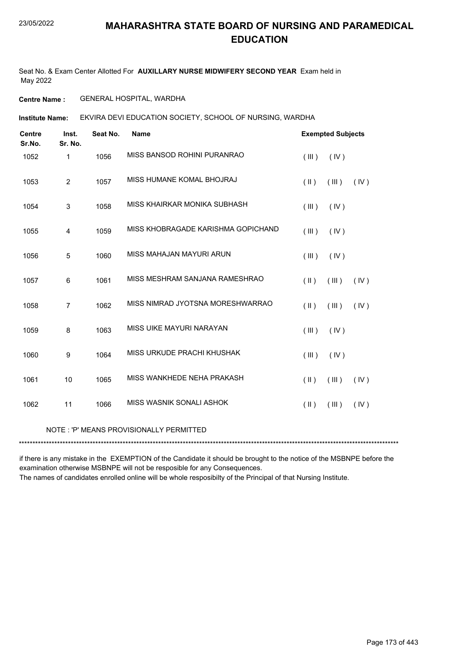Seat No. & Exam Center Allotted For **AUXILLARY NURSE MIDWIFERY SECOND YEAR** Exam held in May 2022

**Centre Name :** GENERAL HOSPITAL, WARDHA

EKVIRA DEVI EDUCATION SOCIETY, SCHOOL OF NURSING, WARDHA **Institute Name:**

| <b>Centre</b><br>Sr.No. | Inst.<br>Sr. No. | Seat No. | <b>Name</b>                             |                         | <b>Exempted Subjects</b> |      |
|-------------------------|------------------|----------|-----------------------------------------|-------------------------|--------------------------|------|
| 1052                    | 1                | 1056     | MISS BANSOD ROHINI PURANRAO             | (III)                   | (IV)                     |      |
| 1053                    | $\overline{2}$   | 1057     | MISS HUMANE KOMAL BHOJRAJ               | $(\parallel)$           | (III)                    | (IV) |
| 1054                    | 3                | 1058     | MISS KHAIRKAR MONIKA SUBHASH            | (III)                   | (IV)                     |      |
| 1055                    | 4                | 1059     | MISS KHOBRAGADE KARISHMA GOPICHAND      | (III)                   | (IV)                     |      |
| 1056                    | 5                | 1060     | MISS MAHAJAN MAYURI ARUN                | (III)                   | (IV)                     |      |
| 1057                    | 6                | 1061     | MISS MESHRAM SANJANA RAMESHRAO          | $(\parallel)$           | (III)                    | (IV) |
| 1058                    | $\overline{7}$   | 1062     | MISS NIMRAD JYOTSNA MORESHWARRAO        | $($ II $)$              | (III)                    | (IV) |
| 1059                    | 8                | 1063     | MISS UIKE MAYURI NARAYAN                | (III)                   | (IV)                     |      |
| 1060                    | 9                | 1064     | MISS URKUDE PRACHI KHUSHAK              | (III)                   | (IV)                     |      |
| 1061                    | 10               | 1065     | MISS WANKHEDE NEHA PRAKASH              | $(\parallel)$           | (III)                    | (IV) |
| 1062                    | 11               | 1066     | MISS WASNIK SONALI ASHOK                | $(\parallel \parallel)$ | (III)                    | (IV) |
|                         |                  |          | NOTE: 'P' MEANS PROVISIONALLY PERMITTED |                         |                          |      |

\*\*\*\*\*\*\*\*\*\*\*\*\*\*\*\*\*\*\*\*\*\*\*\*\*\*\*\*\*\*\*\*\*\*\*\*\*\*\*\*\*\*\*\*\*\*\*\*\*\*\*\*\*\*\*\*\*\*\*\*\*\*\*\*\*\*\*\*\*\*\*\*\*\*\*\*\*\*\*\*\*\*\*\*\*\*\*\*\*\*\*\*\*\*\*\*\*\*\*\*\*\*\*\*\*\*\*\*\*\*\*\*\*\*\*\*\*\*\*\*\*\*\*\*\*\*\*\*\*\*\*\*\*\*\*\*\*\*\*

if there is any mistake in the EXEMPTION of the Candidate it should be brought to the notice of the MSBNPE before the examination otherwise MSBNPE will not be resposible for any Consequences.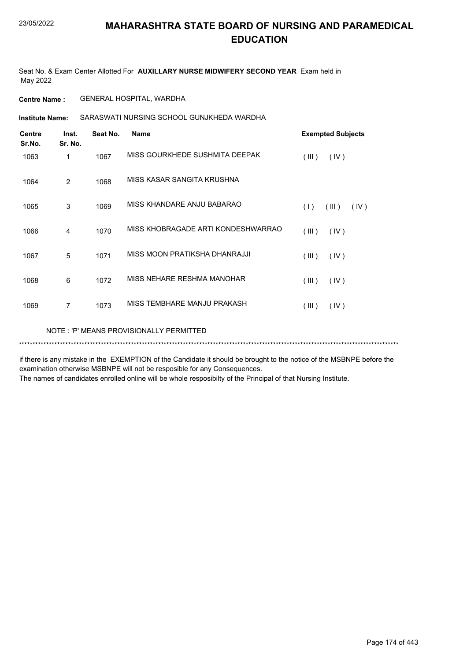Seat No. & Exam Center Allotted For **AUXILLARY NURSE MIDWIFERY SECOND YEAR** Exam held in May 2022

**Centre Name :** GENERAL HOSPITAL, WARDHA

SARASWATI NURSING SCHOOL GUNJKHEDA WARDHA **Institute Name:**

| <b>Centre</b><br>Sr.No. | Inst.<br>Sr. No. | Seat No. | <b>Name</b>                        | <b>Exempted Subjects</b> |
|-------------------------|------------------|----------|------------------------------------|--------------------------|
| 1063                    | 1                | 1067     | MISS GOURKHEDE SUSHMITA DEEPAK     | (III)<br>(IV)            |
| 1064                    | 2                | 1068     | MISS KASAR SANGITA KRUSHNA         |                          |
| 1065                    | 3                | 1069     | MISS KHANDARE ANJU BABARAO         | (1)<br>(III)<br>(IV)     |
| 1066                    | 4                | 1070     | MISS KHOBRAGADE ARTI KONDESHWARRAO | (III)<br>(IV)            |
| 1067                    | 5                | 1071     | MISS MOON PRATIKSHA DHANRAJJI      | (III)<br>(IV)            |
| 1068                    | 6                | 1072     | MISS NEHARE RESHMA MANOHAR         | (III)<br>(IV)            |
| 1069                    | 7                | 1073     | MISS TEMBHARE MANJU PRAKASH        | (III)<br>(IV)            |
|                         |                  |          |                                    |                          |

\*\*\*\*\*\*\*\*\*\*\*\*\*\*\*\*\*\*\*\*\*\*\*\*\*\*\*\*\*\*\*\*\*\*\*\*\*\*\*\*\*\*\*\*\*\*\*\*\*\*\*\*\*\*\*\*\*\*\*\*\*\*\*\*\*\*\*\*\*\*\*\*\*\*\*\*\*\*\*\*\*\*\*\*\*\*\*\*\*\*\*\*\*\*\*\*\*\*\*\*\*\*\*\*\*\*\*\*\*\*\*\*\*\*\*\*\*\*\*\*\*\*\*\*\*\*\*\*\*\*\*\*\*\*\*\*\*\*\* NOTE : 'P' MEANS PROVISIONALLY PERMITTED

if there is any mistake in the EXEMPTION of the Candidate it should be brought to the notice of the MSBNPE before the examination otherwise MSBNPE will not be resposible for any Consequences.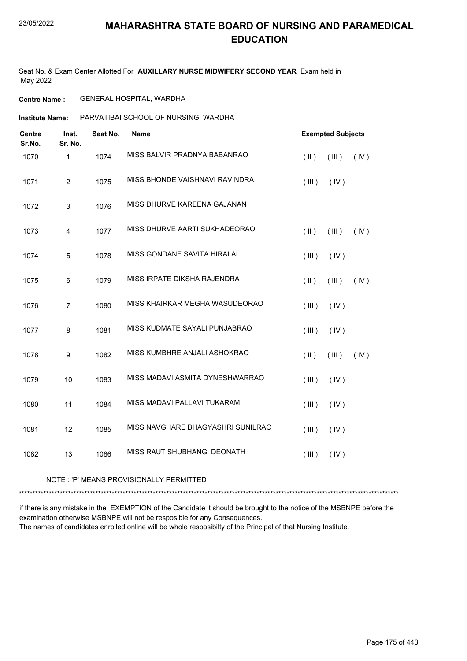Seat No. & Exam Center Allotted For **AUXILLARY NURSE MIDWIFERY SECOND YEAR** Exam held in May 2022

**Centre Name :** GENERAL HOSPITAL, WARDHA

**Institute Name:** PARVATIBAI SCHOOL OF NURSING, WARDHA

| <b>Centre</b><br>Sr.No. | Inst.<br>Sr. No.        | Seat No. | <b>Name</b>                       |               | <b>Exempted Subjects</b> |      |
|-------------------------|-------------------------|----------|-----------------------------------|---------------|--------------------------|------|
| 1070                    | 1                       | 1074     | MISS BALVIR PRADNYA BABANRAO      | $(\parallel)$ | (III)                    | (IV) |
| 1071                    | $\overline{2}$          | 1075     | MISS BHONDE VAISHNAVI RAVINDRA    | (III)         | (IV)                     |      |
| 1072                    | $\mathsf 3$             | 1076     | MISS DHURVE KAREENA GAJANAN       |               |                          |      |
| 1073                    | $\overline{\mathbf{4}}$ | 1077     | MISS DHURVE AARTI SUKHADEORAO     | $(\parallel)$ | (III)                    | (IV) |
| 1074                    | 5                       | 1078     | MISS GONDANE SAVITA HIRALAL       | (III)         | (IV)                     |      |
| 1075                    | $\,6$                   | 1079     | MISS IRPATE DIKSHA RAJENDRA       | $($ II $)$    | (III)                    | (IV) |
| 1076                    | $\overline{7}$          | 1080     | MISS KHAIRKAR MEGHA WASUDEORAO    | (III)         | (IV)                     |      |
| 1077                    | 8                       | 1081     | MISS KUDMATE SAYALI PUNJABRAO     | (III)         | (IV)                     |      |
| 1078                    | $\boldsymbol{9}$        | 1082     | MISS KUMBHRE ANJALI ASHOKRAO      | $($ II $)$    | (III)                    | (IV) |
| 1079                    | 10                      | 1083     | MISS MADAVI ASMITA DYNESHWARRAO   | (III)         | (IV)                     |      |
| 1080                    | 11                      | 1084     | MISS MADAVI PALLAVI TUKARAM       | (III)         | (IV)                     |      |
| 1081                    | 12                      | 1085     | MISS NAVGHARE BHAGYASHRI SUNILRAO | (III)         | (IV)                     |      |
| 1082                    | 13                      | 1086     | MISS RAUT SHUBHANGI DEONATH       | (III)         | (IV)                     |      |

NOTE : 'P' MEANS PROVISIONALLY PERMITTED

\*\*\*\*\*\*\*\*\*\*\*\*\*\*\*\*\*\*\*\*\*\*\*\*\*\*\*\*\*\*\*\*\*\*\*\*\*\*\*\*\*\*\*\*\*\*\*\*\*\*\*\*\*\*\*\*\*\*\*\*\*\*\*\*\*\*\*\*\*\*\*\*\*\*\*\*\*\*\*\*\*\*\*\*\*\*\*\*\*\*\*\*\*\*\*\*\*\*\*\*\*\*\*\*\*\*\*\*\*\*\*\*\*\*\*\*\*\*\*\*\*\*\*\*\*\*\*\*\*\*\*\*\*\*\*\*\*\*\*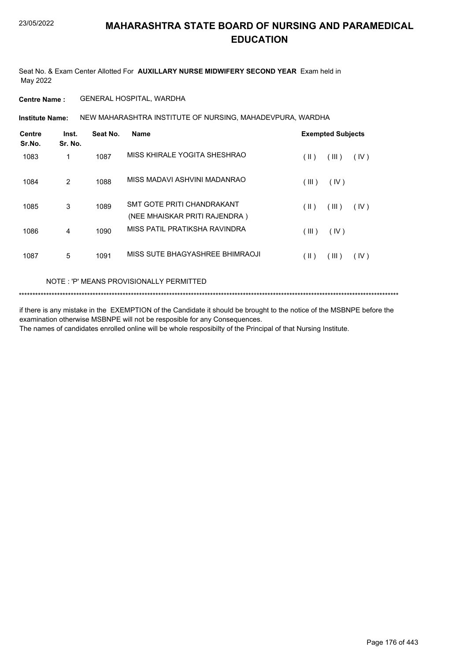Seat No. & Exam Center Allotted For **AUXILLARY NURSE MIDWIFERY SECOND YEAR** Exam held in May 2022

**Centre Name :** GENERAL HOSPITAL, WARDHA

NEW MAHARASHTRA INSTITUTE OF NURSING, MAHADEVPURA, WARDHA **Institute Name:**

| <b>Centre</b><br>Sr.No. | Inst.<br>Sr. No. | Seat No. | Name                                                        |       | <b>Exempted Subjects</b> |      |
|-------------------------|------------------|----------|-------------------------------------------------------------|-------|--------------------------|------|
| 1083                    | 1                | 1087     | MISS KHIRALE YOGITA SHESHRAO                                | (  )  | (III)                    | (IV) |
| 1084                    | 2                | 1088     | MISS MADAVI ASHVINI MADANRAO                                | (III) | (IV)                     |      |
| 1085                    | 3                | 1089     | SMT GOTE PRITI CHANDRAKANT<br>(NEE MHAISKAR PRITI RAJENDRA) | (  )  | (III)                    | (IV) |
| 1086                    | 4                | 1090     | MISS PATIL PRATIKSHA RAVINDRA                               | (III) | (IV)                     |      |
| 1087                    | 5                | 1091     | MISS SUTE BHAGYASHREE BHIMRAOJI                             | (  )  | (III)                    | (IV) |

NOTE : 'P' MEANS PROVISIONALLY PERMITTED

\*\*\*\*\*\*\*\*\*\*\*\*\*\*\*\*\*\*\*\*\*\*\*\*\*\*\*\*\*\*\*\*\*\*\*\*\*\*\*\*\*\*\*\*\*\*\*\*\*\*\*\*\*\*\*\*\*\*\*\*\*\*\*\*\*\*\*\*\*\*\*\*\*\*\*\*\*\*\*\*\*\*\*\*\*\*\*\*\*\*\*\*\*\*\*\*\*\*\*\*\*\*\*\*\*\*\*\*\*\*\*\*\*\*\*\*\*\*\*\*\*\*\*\*\*\*\*\*\*\*\*\*\*\*\*\*\*\*\*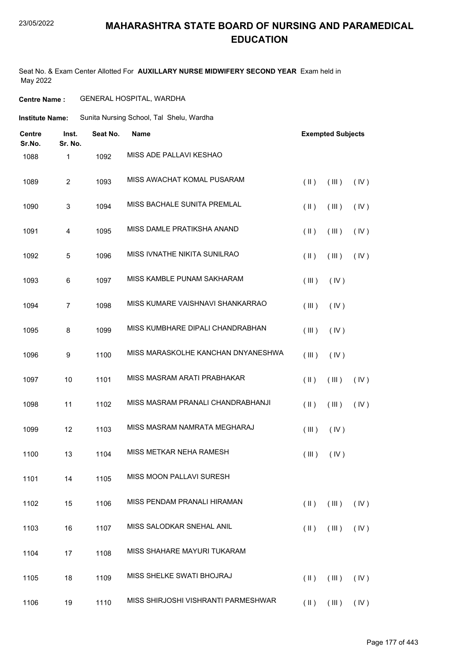#### 23/05/2022

#### **MAHARASHTRA STATE BOARD OF NURSING AND PARAMEDICAL EDUCATION**

Seat No. & Exam Center Allotted For **AUXILLARY NURSE MIDWIFERY SECOND YEAR** Exam held in May 2022

#### **Centre Name :** GENERAL HOSPITAL, WARDHA

| Institute Name: | Sunita Nursing School, Tal Shelu, Wardha |  |
|-----------------|------------------------------------------|--|
|                 |                                          |  |

| Centre<br>Sr.No. | Inst.<br>Sr. No. | Seat No. | <b>Name</b>                         |               | <b>Exempted Subjects</b>                       |      |  |
|------------------|------------------|----------|-------------------------------------|---------------|------------------------------------------------|------|--|
| 1088             | 1                | 1092     | MISS ADE PALLAVI KESHAO             |               |                                                |      |  |
| 1089             | $\overline{c}$   | 1093     | MISS AWACHAT KOMAL PUSARAM          | $($ II $)$    | (III)                                          | (IV) |  |
| 1090             | 3                | 1094     | MISS BACHALE SUNITA PREMLAL         | $(\parallel)$ | (III)                                          | (IV) |  |
| 1091             | 4                | 1095     | MISS DAMLE PRATIKSHA ANAND          | $($ II $)$    | (III)                                          | (IV) |  |
| 1092             | 5                | 1096     | MISS IVNATHE NIKITA SUNILRAO        | $($ II $)$    | $($ III $)$                                    | (IV) |  |
| 1093             | 6                | 1097     | MISS KAMBLE PUNAM SAKHARAM          | (III)         | (IV)                                           |      |  |
| 1094             | $\overline{7}$   | 1098     | MISS KUMARE VAISHNAVI SHANKARRAO    | (III)         | (IV)                                           |      |  |
| 1095             | 8                | 1099     | MISS KUMBHARE DIPALI CHANDRABHAN    | (III)         | (IV)                                           |      |  |
| 1096             | 9                | 1100     | MISS MARASKOLHE KANCHAN DNYANESHWA  | (III)         | (IV)                                           |      |  |
| 1097             | 10               | 1101     | MISS MASRAM ARATI PRABHAKAR         | $($ II $)$    | (III)                                          | (IV) |  |
| 1098             | 11               | 1102     | MISS MASRAM PRANALI CHANDRABHANJI   | $($ II $)$    | $($ III $)$                                    | (IV) |  |
| 1099             | 12               | 1103     | MISS MASRAM NAMRATA MEGHARAJ        | (III)         | (IV)                                           |      |  |
| 1100             | 13               | 1104     | MISS METKAR NEHA RAMESH             | $($ III $)$   | (IV)                                           |      |  |
| 1101             | 14               | 1105     | MISS MOON PALLAVI SURESH            |               |                                                |      |  |
| 1102             | 15               | 1106     | MISS PENDAM PRANALI HIRAMAN         | $(\parallel)$ | (III)                                          | (IV) |  |
| 1103             | 16               | 1107     | MISS SALODKAR SNEHAL ANIL           | $(\parallel)$ | (III)                                          | (IV) |  |
| 1104             | 17               | 1108     | MISS SHAHARE MAYURI TUKARAM         |               |                                                |      |  |
| 1105             | 18               | 1109     | MISS SHELKE SWATI BHOJRAJ           | $(\parallel)$ | (III)                                          | (IV) |  |
| 1106             | 19               | 1110     | MISS SHIRJOSHI VISHRANTI PARMESHWAR |               | $(\mathbb{I})$ $(\mathbb{II})$ $(\mathbb{IV})$ |      |  |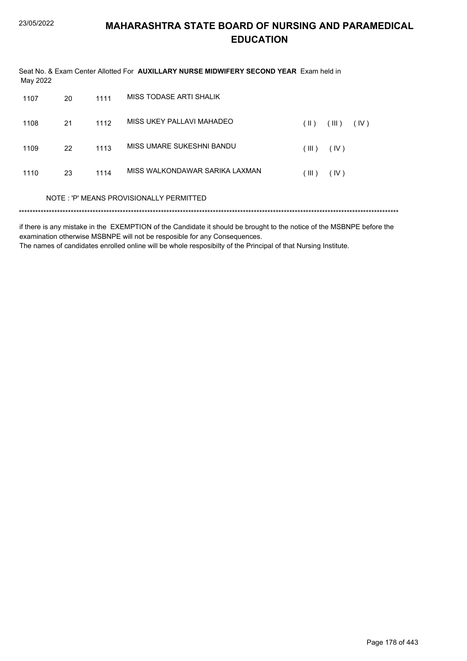| May 2022 |    |      | Seat No. & Exam Center Allotted For <b>AUXILLARY NURSE MIDWIFERY SECOND YEAR</b> Exam held in |                 |       |      |  |
|----------|----|------|-----------------------------------------------------------------------------------------------|-----------------|-------|------|--|
| 1107     | 20 | 1111 | MISS TODASE ARTI SHALIK                                                                       |                 |       |      |  |
| 1108     | 21 | 1112 | MISS UKEY PALLAVI MAHADEO                                                                     | $( \parallel )$ | (III) | (IV) |  |
| 1109     | 22 | 1113 | MISS UMARE SUKESHNI BANDU                                                                     | (III)           | (IV)  |      |  |
| 1110     | 23 | 1114 | MISS WALKONDAWAR SARIKA LAXMAN                                                                | (III)           | (IV)  |      |  |
|          |    |      | NOTE: 'P' MEANS PROVISIONALLY PERMITTED                                                       |                 |       |      |  |
|          |    |      |                                                                                               |                 |       |      |  |

if there is any mistake in the EXEMPTION of the Candidate it should be brought to the notice of the MSBNPE before the examination otherwise MSBNPE will not be resposible for any Consequences.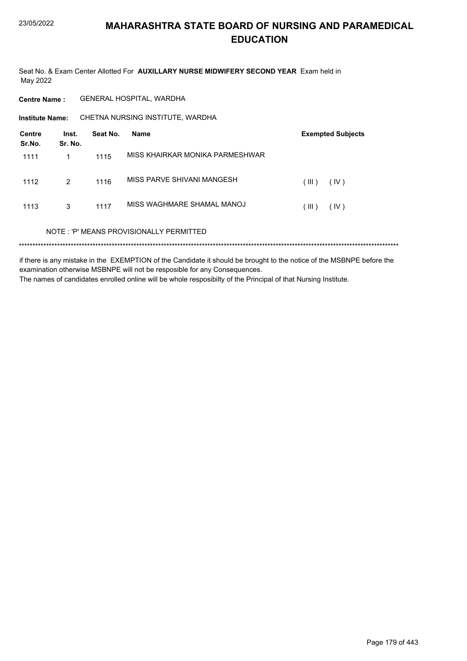Seat No. & Exam Center Allotted For AUXILLARY NURSE MIDWIFERY SECOND YEAR Exam held in May 2022

**Centre Name:** GENERAL HOSPITAL, WARDHA

CHETNA NURSING INSTITUTE, WARDHA **Institute Name:** 

| Centre<br>Sr.No. | Inst.<br>Sr. No. | Seat No. | Name                                    | <b>Exempted Subjects</b> |
|------------------|------------------|----------|-----------------------------------------|--------------------------|
| 1111             | 1                | 1115     | MISS KHAIRKAR MONIKA PARMESHWAR         |                          |
| 1112             | 2                | 1116     | MISS PARVE SHIVANI MANGESH              | (III)<br>(IV)            |
| 1113             | 3                | 1117     | MISS WAGHMARE SHAMAL MANOJ              | (III)<br>(IV)            |
|                  |                  |          | NOTE: 'P' MEANS PROVISIONALLY PERMITTED |                          |
|                  |                  |          |                                         |                          |

if there is any mistake in the EXEMPTION of the Candidate it should be brought to the notice of the MSBNPE before the examination otherwise MSBNPE will not be resposible for any Consequences. The names of candidates enrolled online will be whole resposibilty of the Principal of that Nursing Institute.

Page 179 of 443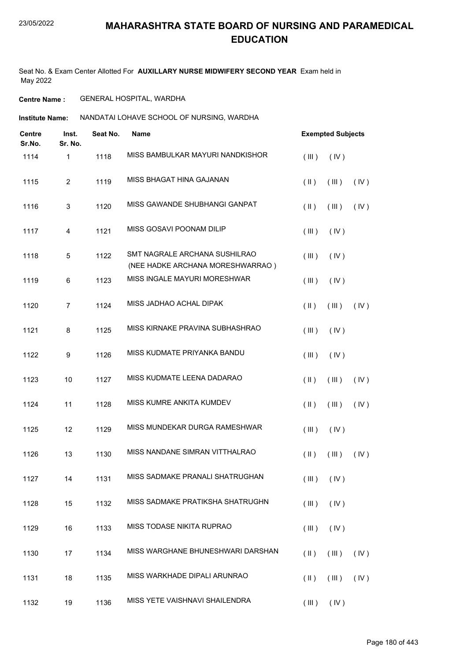Seat No. & Exam Center Allotted For **AUXILLARY NURSE MIDWIFERY SECOND YEAR** Exam held in May 2022

**Centre Name :** GENERAL HOSPITAL, WARDHA

**Institute Name: ANANDATAI LOHAVE SCHOOL OF NURSING, WARDHA** 

| <b>Centre</b><br>Sr.No. | Inst.<br>Sr. No. | Seat No. | <b>Name</b>                                                       |                         | <b>Exempted Subjects</b>       |      |  |
|-------------------------|------------------|----------|-------------------------------------------------------------------|-------------------------|--------------------------------|------|--|
| 1114                    | 1                | 1118     | MISS BAMBULKAR MAYURI NANDKISHOR                                  | (III)                   | (IV)                           |      |  |
| 1115                    | $\overline{2}$   | 1119     | MISS BHAGAT HINA GAJANAN                                          | $(\parallel)$           | (III)                          | (IV) |  |
| 1116                    | 3                | 1120     | MISS GAWANDE SHUBHANGI GANPAT                                     | $(\parallel)$           | (III)                          | (IV) |  |
| 1117                    | $\overline{4}$   | 1121     | MISS GOSAVI POONAM DILIP                                          | (III)                   | (IV)                           |      |  |
| 1118                    | 5                | 1122     | SMT NAGRALE ARCHANA SUSHILRAO<br>(NEE HADKE ARCHANA MORESHWARRAO) | (III)                   | (IV)                           |      |  |
| 1119                    | 6                | 1123     | MISS INGALE MAYURI MORESHWAR                                      | (III)                   | (IV)                           |      |  |
| 1120                    | $\overline{7}$   | 1124     | MISS JADHAO ACHAL DIPAK                                           | $(\parallel)$           | (III)                          | (IV) |  |
| 1121                    | 8                | 1125     | MISS KIRNAKE PRAVINA SUBHASHRAO                                   | (III)                   | (IV)                           |      |  |
| 1122                    | 9                | 1126     | MISS KUDMATE PRIYANKA BANDU                                       | (III)                   | (IV)                           |      |  |
| 1123                    | 10               | 1127     | MISS KUDMATE LEENA DADARAO                                        | $(\parallel)$           | (III)                          | (IV) |  |
| 1124                    | 11               | 1128     | MISS KUMRE ANKITA KUMDEV                                          | $(\parallel)$           | (III)                          | (IV) |  |
| 1125                    | 12               | 1129     | MISS MUNDEKAR DURGA RAMESHWAR                                     | (III)                   | (IV)                           |      |  |
| 1126                    | 13               | 1130     | MISS NANDANE SIMRAN VITTHALRAO                                    | $(\parallel)$           | (III)                          | (IV) |  |
| 1127                    | 14               | 1131     | MISS SADMAKE PRANALI SHATRUGHAN                                   |                         | $(\mathbb{II})$ $(\mathbb{V})$ |      |  |
| 1128                    | 15               | 1132     | MISS SADMAKE PRATIKSHA SHATRUGHN                                  | (III)                   | (IV)                           |      |  |
| 1129                    | 16               | 1133     | MISS TODASE NIKITA RUPRAO                                         | (III)                   | (IV)                           |      |  |
| 1130                    | 17               | 1134     | MISS WARGHANE BHUNESHWARI DARSHAN                                 | $(\parallel)$           | (III)                          | (IV) |  |
| 1131                    | 18               | 1135     | MISS WARKHADE DIPALI ARUNRAO                                      | $(\parallel \parallel)$ | (III)                          | (IV) |  |
| 1132                    | 19               | 1136     | MISS YETE VAISHNAVI SHAILENDRA                                    |                         | $(III)$ $(IV)$                 |      |  |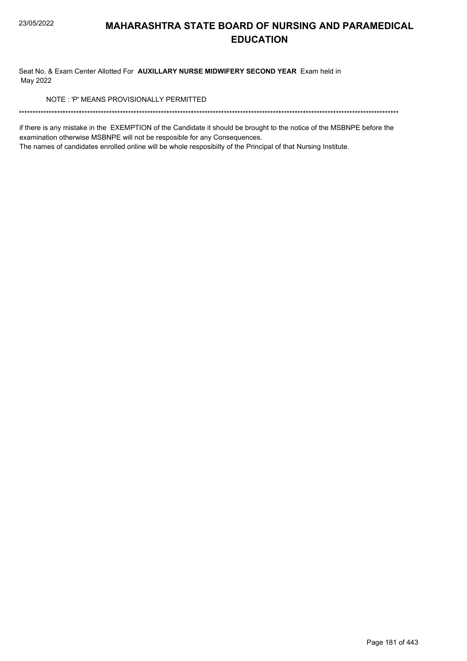Seat No. & Exam Center Allotted For AUXILLARY NURSE MIDWIFERY SECOND YEAR Exam held in May 2022

NOTE: 'P' MEANS PROVISIONALLY PERMITTED

if there is any mistake in the EXEMPTION of the Candidate it should be brought to the notice of the MSBNPE before the examination otherwise MSBNPE will not be resposible for any Consequences.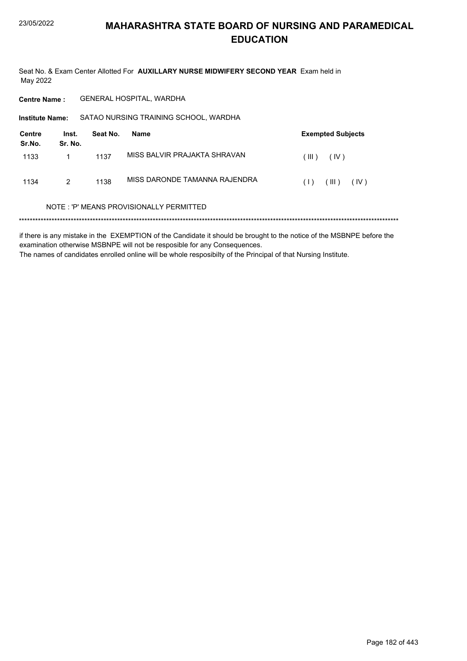Seat No. & Exam Center Allotted For AUXILLARY NURSE MIDWIFERY SECOND YEAR Exam held in May 2022

GENERAL HOSPITAL, WARDHA **Centre Name:** 

Institute Name: SATAO NURSING TRAINING SCHOOL, WARDHA

| Centre<br>Sr.No. | Inst.<br>Sr. No. | Seat No. | Name                          | <b>Exempted Subjects</b> |
|------------------|------------------|----------|-------------------------------|--------------------------|
| 1133             |                  | 1137     | MISS BALVIR PRAJAKTA SHRAVAN  | (IV)<br>(III)            |
| 1134             | 2                | 1138     | MISS DARONDE TAMANNA RAJENDRA | (III)<br>(IV)<br>(1)     |

#### NOTE: 'P' MEANS PROVISIONALLY PERMITTED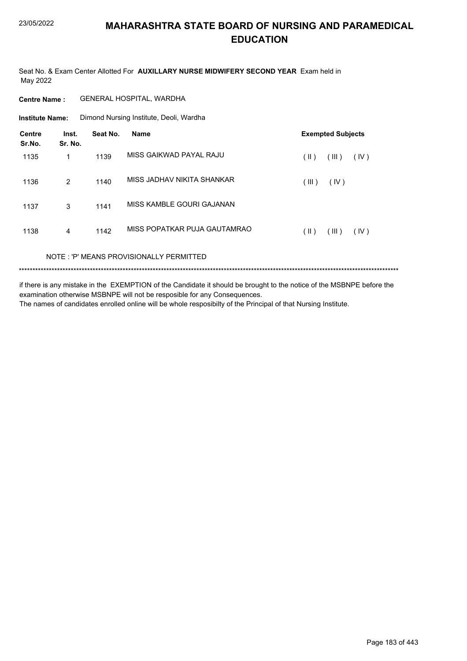Seat No. & Exam Center Allotted For AUXILLARY NURSE MIDWIFERY SECOND YEAR Exam held in May 2022

#### **Centre Name:** GENERAL HOSPITAL, WARDHA

**Institute Name:** Dimond Nursing Institute, Deoli, Wardha

| Centre<br>Sr.No. | Inst.<br>Sr. No. | Seat No. | <b>Name</b>                              |       | <b>Exempted Subjects</b> |      |
|------------------|------------------|----------|------------------------------------------|-------|--------------------------|------|
| 1135             | 1                | 1139     | MISS GAIKWAD PAYAL RAJU                  | (  )  | (III)                    | (IV) |
| 1136             | 2                | 1140     | MISS JADHAV NIKITA SHANKAR               | (III) | (IV)                     |      |
| 1137             | 3                | 1141     | MISS KAMBLE GOURI GAJANAN                |       |                          |      |
| 1138             | 4                | 1142     | MISS POPATKAR PUJA GAUTAMRAO             | (  )  | (III)                    | (IV) |
|                  |                  |          | NOTE · 'P' MEANS PROVISIONALLY PERMITTED |       |                          |      |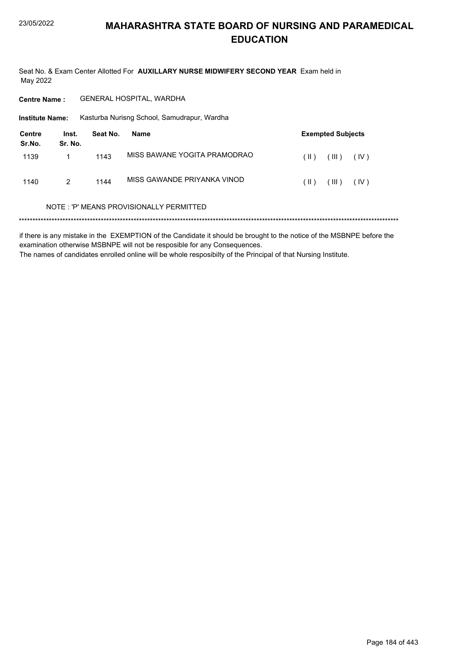Seat No. & Exam Center Allotted For AUXILLARY NURSE MIDWIFERY SECOND YEAR Exam held in May 2022

GENERAL HOSPITAL, WARDHA **Centre Name:** 

**Institute Name:** Kasturba Nurisng School, Samudrapur, Wardha

| Centre<br>Sr.No. | Inst.<br>Sr. No. | Seat No. | Name                         |      | <b>Exempted Subjects</b> |      |
|------------------|------------------|----------|------------------------------|------|--------------------------|------|
| 1139             |                  | 1143     | MISS BAWANE YOGITA PRAMODRAO | (  ) | (III)                    | (IV) |
| 1140             | 2                | 1144     | MISS GAWANDE PRIYANKA VINOD  | (  ) | (III)                    | (IV) |

#### NOTE: 'P' MEANS PROVISIONALLY PERMITTED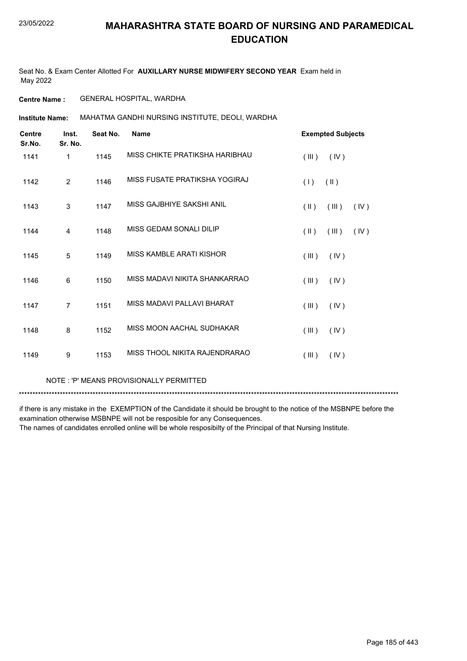Seat No. & Exam Center Allotted For **AUXILLARY NURSE MIDWIFERY SECOND YEAR** Exam held in May 2022

**Centre Name :** GENERAL HOSPITAL, WARDHA

**Institute Name: MAHATMA GANDHI NURSING INSTITUTE, DEOLI, WARDHA** 

| <b>Centre</b><br>Sr.No. | Inst.<br>Sr. No. | Seat No. | <b>Name</b>                    | <b>Exempted Subjects</b>       |
|-------------------------|------------------|----------|--------------------------------|--------------------------------|
| 1141                    | 1                | 1145     | MISS CHIKTE PRATIKSHA HARIBHAU | (III)<br>(IV)                  |
| 1142                    | 2                | 1146     | MISS FUSATE PRATIKSHA YOGIRAJ  | (1)<br>$(\parallel)$           |
| 1143                    | 3                | 1147     | MISS GAJBHIYE SAKSHI ANIL      | $(\parallel)$<br>(III)<br>(IV) |
| 1144                    | 4                | 1148     | MISS GEDAM SONALI DILIP        | $(\parallel)$<br>(III)<br>(IV) |
| 1145                    | 5                | 1149     | MISS KAMBLE ARATI KISHOR       | (III)<br>(IV)                  |
| 1146                    | 6                | 1150     | MISS MADAVI NIKITA SHANKARRAO  | (III)<br>(IV)                  |
| 1147                    | $\overline{7}$   | 1151     | MISS MADAVI PAI LAVI BHARAT    | $($ III $)$<br>(IV)            |
| 1148                    | 8                | 1152     | MISS MOON AACHAL SUDHAKAR      | (III)<br>(IV)                  |
| 1149                    | 9                | 1153     | MISS THOOL NIKITA RAJENDRARAO  | (III)<br>(IV)                  |
|                         |                  |          |                                |                                |

NOTE : 'P' MEANS PROVISIONALLY PERMITTED

\*\*\*\*\*\*\*\*\*\*\*\*\*\*\*\*\*\*\*\*\*\*\*\*\*\*\*\*\*\*\*\*\*\*\*\*\*\*\*\*\*\*\*\*\*\*\*\*\*\*\*\*\*\*\*\*\*\*\*\*\*\*\*\*\*\*\*\*\*\*\*\*\*\*\*\*\*\*\*\*\*\*\*\*\*\*\*\*\*\*\*\*\*\*\*\*\*\*\*\*\*\*\*\*\*\*\*\*\*\*\*\*\*\*\*\*\*\*\*\*\*\*\*\*\*\*\*\*\*\*\*\*\*\*\*\*\*\*\*

if there is any mistake in the EXEMPTION of the Candidate it should be brought to the notice of the MSBNPE before the examination otherwise MSBNPE will not be resposible for any Consequences.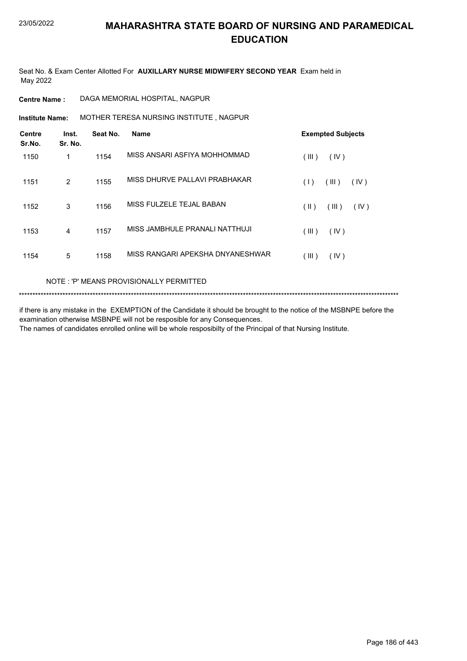Seat No. & Exam Center Allotted For **AUXILLARY NURSE MIDWIFERY SECOND YEAR** Exam held in May 2022

### **Centre Name :** DAGA MEMORIAL HOSPITAL, NAGPUR

MOTHER TERESA NURSING INSTITUTE , NAGPUR **Institute Name:**

| <b>Centre</b><br>Sr.No. | Inst.<br>Sr. No. | Seat No. | <b>Name</b>                      | <b>Exempted Subjects</b> |
|-------------------------|------------------|----------|----------------------------------|--------------------------|
| 1150                    | 1                | 1154     | MISS ANSARI ASFIYA MOHHOMMAD     | (III)<br>(IV)            |
| 1151                    | 2                | 1155     | MISS DHURVE PALLAVI PRABHAKAR    | (III)<br>(IV)<br>(1)     |
| 1152                    | 3                | 1156     | MISS FULZELE TEJAL BABAN         | (  )<br>(III)<br>(IV)    |
| 1153                    | 4                | 1157     | MISS JAMBHULE PRANALI NATTHUJI   | (III)<br>(IV)            |
| 1154                    | 5                | 1158     | MISS RANGARI APEKSHA DNYANESHWAR | $($ III $)$<br>(IV)      |

### NOTE : 'P' MEANS PROVISIONALLY PERMITTED

```
*******************************************************************************************************************************************
```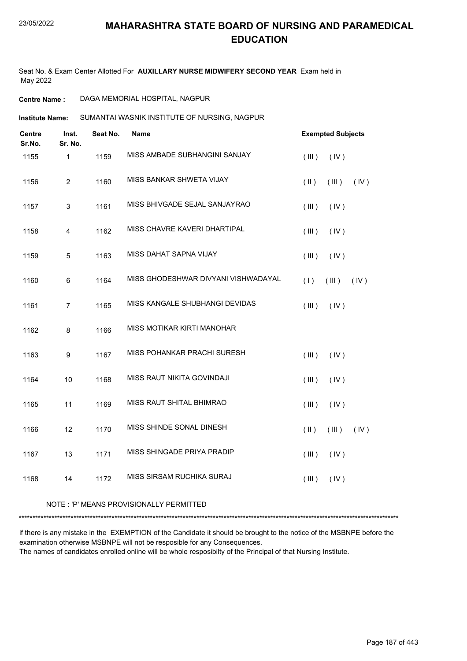Seat No. & Exam Center Allotted For **AUXILLARY NURSE MIDWIFERY SECOND YEAR** Exam held in May 2022

**Centre Name :** DAGA MEMORIAL HOSPITAL, NAGPUR

SUMANTAI WASNIK INSTITUTE OF NURSING, NAGPUR **Institute Name:**

| <b>Centre</b><br>Sr.No. | Inst.<br>Sr. No. | Seat No. | <b>Name</b>                         | <b>Exempted Subjects</b>     |      |
|-------------------------|------------------|----------|-------------------------------------|------------------------------|------|
| 1155                    | $\mathbf{1}$     | 1159     | MISS AMBADE SUBHANGINI SANJAY       | (III)<br>(IV)                |      |
| 1156                    | $\overline{2}$   | 1160     | MISS BANKAR SHWETA VIJAY            | $(\parallel)$<br>$($ III $)$ | (IV) |
| 1157                    | 3                | 1161     | MISS BHIVGADE SEJAL SANJAYRAO       | (III)<br>(IV)                |      |
| 1158                    | 4                | 1162     | MISS CHAVRE KAVERI DHARTIPAL        | $($ III $)$<br>(IV)          |      |
| 1159                    | $\sqrt{5}$       | 1163     | MISS DAHAT SAPNA VIJAY              | (III)<br>(IV)                |      |
| 1160                    | 6                | 1164     | MISS GHODESHWAR DIVYANI VISHWADAYAL | (1)<br>(III)                 | (IV) |
| 1161                    | $\overline{7}$   | 1165     | MISS KANGALE SHUBHANGI DEVIDAS      | (III)<br>(IV)                |      |
| 1162                    | 8                | 1166     | MISS MOTIKAR KIRTI MANOHAR          |                              |      |
| 1163                    | 9                | 1167     | MISS POHANKAR PRACHI SURESH         | (III)<br>(IV)                |      |
| 1164                    | 10               | 1168     | MISS RAUT NIKITA GOVINDAJI          | (III)<br>(IV)                |      |
| 1165                    | 11               | 1169     | MISS RAUT SHITAL BHIMRAO            | (III)<br>(IV)                |      |
| 1166                    | 12               | 1170     | MISS SHINDE SONAL DINESH            | $(\parallel)$<br>(III)       | (IV) |
| 1167                    | 13               | 1171     | MISS SHINGADE PRIYA PRADIP          | (III)<br>(IV)                |      |
| 1168                    | 14               | 1172     | MISS SIRSAM RUCHIKA SURAJ           | (III)<br>(IV)                |      |
|                         |                  |          |                                     |                              |      |

#### NOTE : 'P' MEANS PROVISIONALLY PERMITTED

\*\*\*\*\*\*\*\*\*\*\*\*\*\*\*\*\*\*\*\*\*\*\*\*\*\*\*\*\*\*\*\*\*\*\*\*\*\*\*\*\*\*\*\*\*\*\*\*\*\*\*\*\*\*\*\*\*\*\*\*\*\*\*\*\*\*\*\*\*\*\*\*\*\*\*\*\*\*\*\*\*\*\*\*\*\*\*\*\*\*\*\*\*\*\*\*\*\*\*\*\*\*\*\*\*\*\*\*\*\*\*\*\*\*\*\*\*\*\*\*\*\*\*\*\*\*\*\*\*\*\*\*\*\*\*\*\*\*\*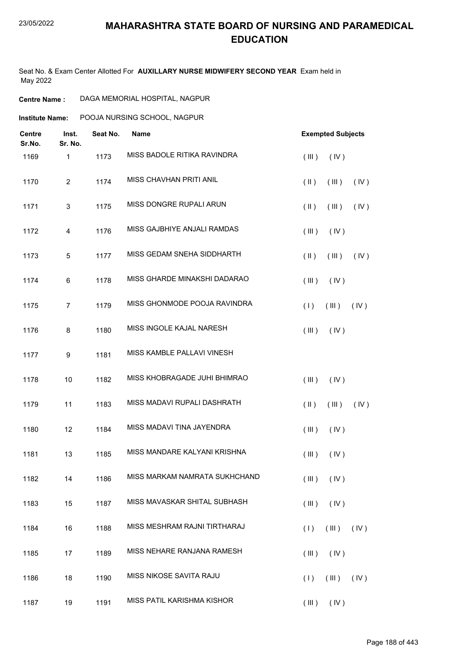Seat No. & Exam Center Allotted For **AUXILLARY NURSE MIDWIFERY SECOND YEAR** Exam held in May 2022

| <b>Centre Name :</b> | DAGA MEMORIAL HOSPITAL, NAGPUR |  |
|----------------------|--------------------------------|--|
|----------------------|--------------------------------|--|

**Institute Name:** POOJA NURSING SCHOOL, NAGPUR

| <b>Centre</b><br>Sr.No. | Inst.<br>Sr. No.          | Seat No. | Name                          | <b>Exempted Subjects</b>       |
|-------------------------|---------------------------|----------|-------------------------------|--------------------------------|
| 1169                    | $\mathbf{1}$              | 1173     | MISS BADOLE RITIKA RAVINDRA   | (III)<br>(IV)                  |
| 1170                    | $\overline{c}$            | 1174     | MISS CHAVHAN PRITI ANIL       | $(\parallel)$<br>(III)<br>(IV) |
| 1171                    | $\ensuremath{\mathsf{3}}$ | 1175     | MISS DONGRE RUPALI ARUN       | (IV)<br>$(\parallel)$<br>(III) |
| 1172                    | 4                         | 1176     | MISS GAJBHIYE ANJALI RAMDAS   | (III)<br>(IV)                  |
| 1173                    | $\mathbf 5$               | 1177     | MISS GEDAM SNEHA SIDDHARTH    | (IV)<br>$(\parallel)$<br>(III) |
| 1174                    | 6                         | 1178     | MISS GHARDE MINAKSHI DADARAO  | (III)<br>(IV)                  |
| 1175                    | $\overline{7}$            | 1179     | MISS GHONMODE POOJA RAVINDRA  | (1)<br>(III)<br>(IV)           |
| 1176                    | 8                         | 1180     | MISS INGOLE KAJAL NARESH      | $($ III $)$<br>(IV)            |
| 1177                    | $\boldsymbol{9}$          | 1181     | MISS KAMBLE PALLAVI VINESH    |                                |
| 1178                    | 10                        | 1182     | MISS KHOBRAGADE JUHI BHIMRAO  | (III)<br>(IV)                  |
| 1179                    | 11                        | 1183     | MISS MADAVI RUPALI DASHRATH   | (IV)<br>$(\parallel)$<br>(III) |
| 1180                    | 12                        | 1184     | MISS MADAVI TINA JAYENDRA     | (III)<br>(IV)                  |
| 1181                    | 13                        | 1185     | MISS MANDARE KALYANI KRISHNA  | (III)<br>(IV)                  |
| 1182                    | 14                        | 1186     | MISS MARKAM NAMRATA SUKHCHAND | (III)<br>(IV)                  |
| 1183                    | 15                        | 1187     | MISS MAVASKAR SHITAL SUBHASH  | (III)<br>(IV)                  |
| 1184                    | 16                        | 1188     | MISS MESHRAM RAJNI TIRTHARAJ  | (III)<br>(1)<br>(N)            |
| 1185                    | 17                        | 1189     | MISS NEHARE RANJANA RAMESH    | (III)<br>(IV)                  |
| 1186                    | 18                        | 1190     | MISS NIKOSE SAVITA RAJU       | (1)<br>(III)<br>(IV)           |
| 1187                    | 19                        | 1191     | MISS PATIL KARISHMA KISHOR    | $(III)$ $(IV)$                 |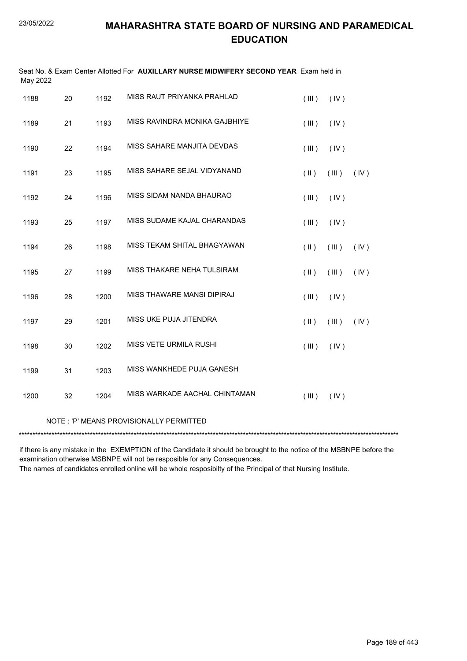| May 2022 |    |      | Seat No. & Exam Center Allotted For AUXILLARY NURSE MIDWIFERY SECOND YEAR Exam held in |               |       |      |
|----------|----|------|----------------------------------------------------------------------------------------|---------------|-------|------|
| 1188     | 20 | 1192 | MISS RAUT PRIYANKA PRAHLAD                                                             | (III)         | (IV)  |      |
| 1189     | 21 | 1193 | MISS RAVINDRA MONIKA GAJBHIYE                                                          | (III)         | (IV)  |      |
| 1190     | 22 | 1194 | MISS SAHARE MANJITA DEVDAS                                                             | (III)         | (IV)  |      |
| 1191     | 23 | 1195 | MISS SAHARE SEJAL VIDYANAND                                                            | $(\parallel)$ | (III) | (IV) |
| 1192     | 24 | 1196 | MISS SIDAM NANDA BHAURAO                                                               | (III)         | (IV)  |      |
| 1193     | 25 | 1197 | MISS SUDAME KAJAL CHARANDAS                                                            | (III)         | (IV)  |      |
| 1194     | 26 | 1198 | MISS TEKAM SHITAL BHAGYAWAN                                                            | $($ II $)$    | (III) | (IV) |
| 1195     | 27 | 1199 | MISS THAKARE NEHA TULSIRAM                                                             | (II)          | (III) | (IV) |
| 1196     | 28 | 1200 | MISS THAWARE MANSI DIPIRAJ                                                             | (III)         | (IV)  |      |
| 1197     | 29 | 1201 | MISS UKE PUJA JITENDRA                                                                 | $(\parallel)$ | (III) | (IV) |
| 1198     | 30 | 1202 | <b>MISS VETE URMILA RUSHI</b>                                                          | (III)         | (IV)  |      |
| 1199     | 31 | 1203 | MISS WANKHEDE PUJA GANESH                                                              |               |       |      |
| 1200     | 32 | 1204 | MISS WARKADE AACHAL CHINTAMAN                                                          | (III)         | (IV)  |      |
|          |    |      | NOTE: 'P' MEANS PROVISIONALLY PERMITTED                                                |               |       |      |

if there is any mistake in the EXEMPTION of the Candidate it should be brought to the notice of the MSBNPE before the examination otherwise MSBNPE will not be resposible for any Consequences.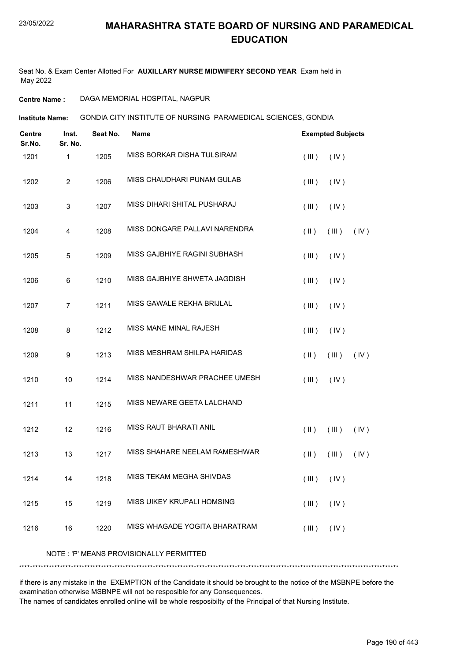Seat No. & Exam Center Allotted For **AUXILLARY NURSE MIDWIFERY SECOND YEAR** Exam held in May 2022

### **Centre Name :** DAGA MEMORIAL HOSPITAL, NAGPUR

GONDIA CITY INSTITUTE OF NURSING PARAMEDICAL SCIENCES, GONDIA **Institute Name:**

| <b>Centre</b><br>Sr.No. | Inst.<br>Sr. No. | Seat No. | Name                                    |               | <b>Exempted Subjects</b> |      |
|-------------------------|------------------|----------|-----------------------------------------|---------------|--------------------------|------|
| 1201                    | 1                | 1205     | MISS BORKAR DISHA TULSIRAM              | (III)         | (IV)                     |      |
| 1202                    | $\overline{c}$   | 1206     | MISS CHAUDHARI PUNAM GULAB              | (III)         | (IV)                     |      |
| 1203                    | $\mathbf{3}$     | 1207     | MISS DIHARI SHITAL PUSHARAJ             | (III)         | (IV)                     |      |
| 1204                    | 4                | 1208     | MISS DONGARE PALLAVI NARENDRA           | $(\parallel)$ | (III)                    | (IV) |
| 1205                    | 5                | 1209     | MISS GAJBHIYE RAGINI SUBHASH            | (III)         | (IV)                     |      |
| 1206                    | 6                | 1210     | MISS GAJBHIYE SHWETA JAGDISH            | (III)         | (IV)                     |      |
| 1207                    | $\overline{7}$   | 1211     | MISS GAWALE REKHA BRIJLAL               | (III)         | (IV)                     |      |
| 1208                    | 8                | 1212     | MISS MANE MINAL RAJESH                  | (III)         | (IV)                     |      |
| 1209                    | 9                | 1213     | MISS MESHRAM SHILPA HARIDAS             | $($ II $)$    | (III)                    | (IV) |
| 1210                    | 10               | 1214     | MISS NANDESHWAR PRACHEE UMESH           | (III)         | (IV)                     |      |
| 1211                    | 11               | 1215     | MISS NEWARE GEETA LALCHAND              |               |                          |      |
| 1212                    | 12               | 1216     | <b>MISS RAUT BHARATI ANIL</b>           | $(\parallel)$ | (III)                    | (IV) |
| 1213                    | 13               | 1217     | MISS SHAHARE NEELAM RAMESHWAR           | $($ II $)$    | (III)                    | (IV) |
| 1214                    | 14               | 1218     | MISS TEKAM MEGHA SHIVDAS                |               | $(III)$ $(IV)$           |      |
| 1215                    | 15               | 1219     | MISS UIKEY KRUPALI HOMSING              | (III)         | (IV)                     |      |
| 1216                    | 16               | 1220     | MISS WHAGADE YOGITA BHARATRAM           | (III)         | (IV)                     |      |
|                         |                  |          | NOTE: 'P' MEANS PROVISIONALLY PERMITTED |               |                          |      |

if there is any mistake in the EXEMPTION of the Candidate it should be brought to the notice of the MSBNPE before the examination otherwise MSBNPE will not be resposible for any Consequences.

\*\*\*\*\*\*\*\*\*\*\*\*\*\*\*\*\*\*\*\*\*\*\*\*\*\*\*\*\*\*\*\*\*\*\*\*\*\*\*\*\*\*\*\*\*\*\*\*\*\*\*\*\*\*\*\*\*\*\*\*\*\*\*\*\*\*\*\*\*\*\*\*\*\*\*\*\*\*\*\*\*\*\*\*\*\*\*\*\*\*\*\*\*\*\*\*\*\*\*\*\*\*\*\*\*\*\*\*\*\*\*\*\*\*\*\*\*\*\*\*\*\*\*\*\*\*\*\*\*\*\*\*\*\*\*\*\*\*\*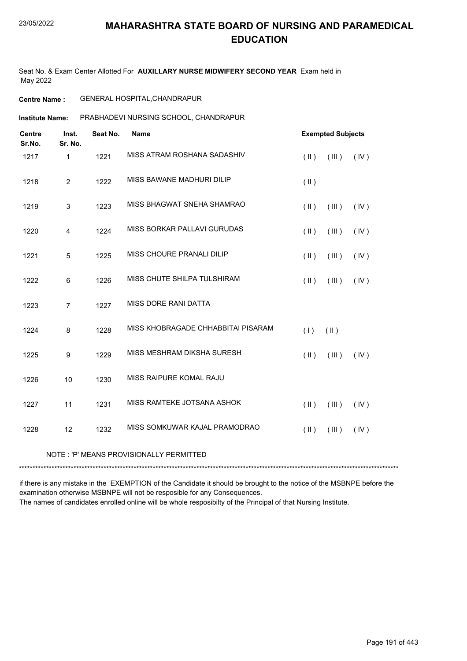Seat No. & Exam Center Allotted For **AUXILLARY NURSE MIDWIFERY SECOND YEAR** Exam held in May 2022

### **Centre Name :** GENERAL HOSPITAL,CHANDRAPUR

**Institute Name: PRABHADEVI NURSING SCHOOL, CHANDRAPUR** 

| <b>Centre</b><br>Sr.No. | Inst.<br>Sr. No. | Seat No. | <b>Name</b>                        | <b>Exempted Subjects</b>         |      |
|-------------------------|------------------|----------|------------------------------------|----------------------------------|------|
| 1217                    | $\mathbf{1}$     | 1221     | MISS ATRAM ROSHANA SADASHIV        | $(\parallel)$<br>(III)           | (IV) |
| 1218                    | $\overline{2}$   | 1222     | MISS BAWANE MADHURI DILIP          | $(\parallel)$                    |      |
| 1219                    | 3                | 1223     | MISS BHAGWAT SNEHA SHAMRAO         | (III)<br>$(\parallel)$           | (IV) |
| 1220                    | 4                | 1224     | MISS BORKAR PALLAVI GURUDAS        | (III)<br>$(\parallel)$           | (IV) |
| 1221                    | 5                | 1225     | MISS CHOURE PRANALI DILIP          | (III)<br>$(\parallel)$           | (IV) |
| 1222                    | 6                | 1226     | MISS CHUTE SHILPA TULSHIRAM        | $(\parallel)$<br>(III)           | (IV) |
| 1223                    | $\overline{7}$   | 1227     | MISS DORE RANI DATTA               |                                  |      |
| 1224                    | 8                | 1228     | MISS KHOBRAGADE CHHABBITAI PISARAM | (1)<br>$(\parallel)$             |      |
| 1225                    | 9                | 1229     | MISS MESHRAM DIKSHA SURESH         | $(\parallel)$<br>(III)           | (IV) |
| 1226                    | 10               | 1230     | MISS RAIPURE KOMAL RAJU            |                                  |      |
| 1227                    | 11               | 1231     | MISS RAMTEKE JOTSANA ASHOK         | $(\parallel)$<br>(III)           | (IV) |
| 1228                    | 12               | 1232     | MISS SOMKUWAR KAJAL PRAMODRAO      | $(\parallel \parallel)$<br>(III) | (IV) |
|                         |                  |          |                                    |                                  |      |

### NOTE : 'P' MEANS PROVISIONALLY PERMITTED

\*\*\*\*\*\*\*\*\*\*\*\*\*\*\*\*\*\*\*\*\*\*\*\*\*\*\*\*\*\*\*\*\*\*\*\*\*\*\*\*\*\*\*\*\*\*\*\*\*\*\*\*\*\*\*\*\*\*\*\*\*\*\*\*\*\*\*\*\*\*\*\*\*\*\*\*\*\*\*\*\*\*\*\*\*\*\*\*\*\*\*\*\*\*\*\*\*\*\*\*\*\*\*\*\*\*\*\*\*\*\*\*\*\*\*\*\*\*\*\*\*\*\*\*\*\*\*\*\*\*\*\*\*\*\*\*\*\*\*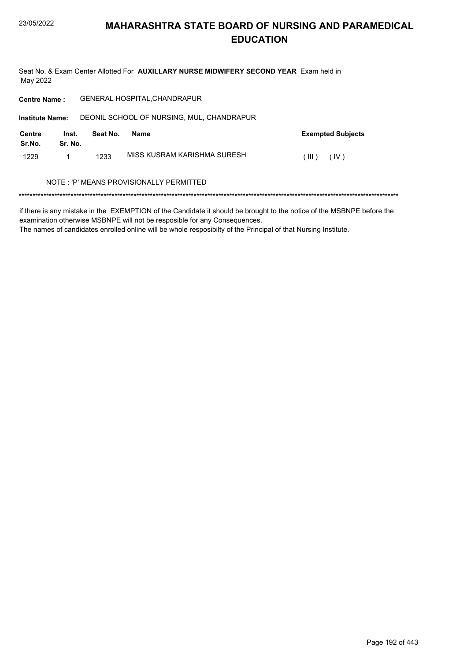Seat No. & Exam Center Allotted For AUXILLARY NURSE MIDWIFERY SECOND YEAR Exam held in May 2022

| <b>Centre Name:</b>                                                 |                  |          | <b>GENERAL HOSPITAL, CHANDRAPUR</b> |                          |  |  |
|---------------------------------------------------------------------|------------------|----------|-------------------------------------|--------------------------|--|--|
| DEONIL SCHOOL OF NURSING, MUL, CHANDRAPUR<br><b>Institute Name:</b> |                  |          |                                     |                          |  |  |
| Centre<br>Sr.No.                                                    | Inst.<br>Sr. No. | Seat No. | <b>Name</b>                         | <b>Exempted Subjects</b> |  |  |
| 1229                                                                |                  | 1233     | MISS KUSRAM KARISHMA SURESH         | (IV)<br>(III)            |  |  |
| NOTE : 'P' MEANS PROVISIONALLY PERMITTED                            |                  |          |                                     |                          |  |  |
|                                                                     |                  |          |                                     |                          |  |  |

if there is any mistake in the EXEMPTION of the Candidate it should be brought to the notice of the MSBNPE before the examination otherwise MSBNPE will not be resposible for any Consequences.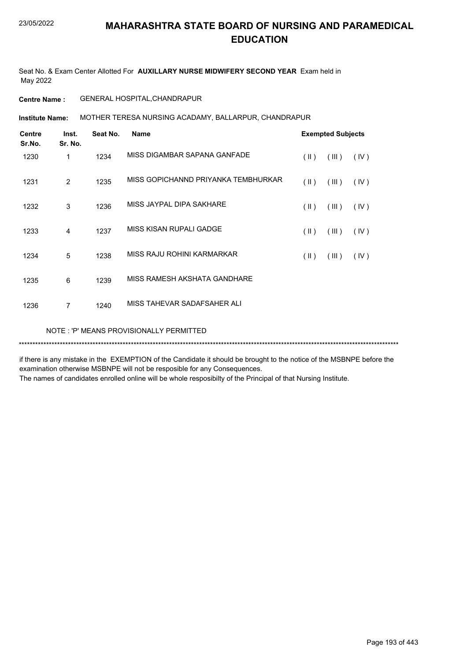Seat No. & Exam Center Allotted For **AUXILLARY NURSE MIDWIFERY SECOND YEAR** Exam held in May 2022

**Centre Name :** GENERAL HOSPITAL,CHANDRAPUR

**Institute Name: MOTHER TERESA NURSING ACADAMY, BALLARPUR, CHANDRAPUR** 

| <b>Centre</b><br>Sr.No. | Inst.<br>Sr. No. | Seat No. | <b>Name</b>                             | <b>Exempted Subjects</b> |       |      |  |
|-------------------------|------------------|----------|-----------------------------------------|--------------------------|-------|------|--|
| 1230                    | 1                | 1234     | MISS DIGAMBAR SAPANA GANFADE            | $(\parallel)$            | (III) | (IV) |  |
| 1231                    | 2                | 1235     | MISS GOPICHANND PRIYANKA TEMBHURKAR     | $(\parallel)$            | (III) | (IV) |  |
| 1232                    | 3                | 1236     | MISS JAYPAL DIPA SAKHARE                | $(\parallel)$            | (III) | (IV) |  |
| 1233                    | 4                | 1237     | MISS KISAN RUPALI GADGE                 | (  )                     | (III) | (IV) |  |
| 1234                    | 5                | 1238     | MISS RAJU ROHINI KARMARKAR              | $(\parallel)$            | (III) | (IV) |  |
| 1235                    | 6                | 1239     | MISS RAMESH AKSHATA GANDHARE            |                          |       |      |  |
| 1236                    | $\overline{7}$   | 1240     | MISS TAHEVAR SADAFSAHER ALI             |                          |       |      |  |
|                         |                  |          | NOTE: 'P' MEANS PROVISIONALLY PERMITTED |                          |       |      |  |

if there is any mistake in the EXEMPTION of the Candidate it should be brought to the notice of the MSBNPE before the examination otherwise MSBNPE will not be resposible for any Consequences.

\*\*\*\*\*\*\*\*\*\*\*\*\*\*\*\*\*\*\*\*\*\*\*\*\*\*\*\*\*\*\*\*\*\*\*\*\*\*\*\*\*\*\*\*\*\*\*\*\*\*\*\*\*\*\*\*\*\*\*\*\*\*\*\*\*\*\*\*\*\*\*\*\*\*\*\*\*\*\*\*\*\*\*\*\*\*\*\*\*\*\*\*\*\*\*\*\*\*\*\*\*\*\*\*\*\*\*\*\*\*\*\*\*\*\*\*\*\*\*\*\*\*\*\*\*\*\*\*\*\*\*\*\*\*\*\*\*\*\*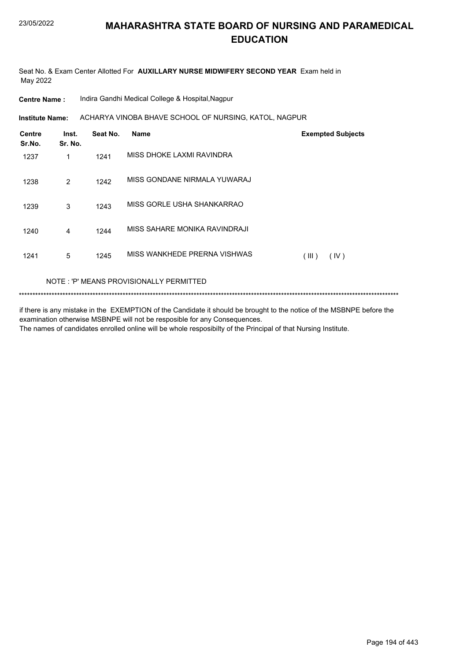Seat No. & Exam Center Allotted For AUXILLARY NURSE MIDWIFERY SECOND YEAR Exam held in May 2022

**Centre Name:** Indira Gandhi Medical College & Hospital, Nagpur

ACHARYA VINOBA BHAVE SCHOOL OF NURSING, KATOL, NAGPUR **Institute Name:** 

| <b>Centre</b><br>Sr.No. | Inst.<br>Sr. No. | Seat No. | <b>Name</b>                             | <b>Exempted Subjects</b> |
|-------------------------|------------------|----------|-----------------------------------------|--------------------------|
| 1237                    | 1                | 1241     | MISS DHOKE LAXMI RAVINDRA               |                          |
| 1238                    | 2                | 1242     | MISS GONDANE NIRMALA YUWARAJ            |                          |
| 1239                    | 3                | 1243     | MISS GORLE USHA SHANKARRAO              |                          |
| 1240                    | 4                | 1244     | MISS SAHARE MONIKA RAVINDRAJI           |                          |
| 1241                    | 5                | 1245     | MISS WANKHEDE PRERNA VISHWAS            | (IV)<br>(III)            |
|                         |                  |          | NOTE: 'P' MEANS PROVISIONALLY PERMITTED |                          |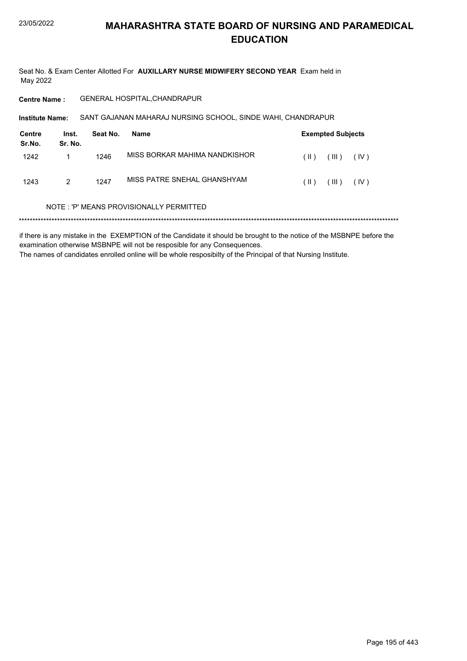Seat No. & Exam Center Allotted For AUXILLARY NURSE MIDWIFERY SECOND YEAR Exam held in May 2022

GENERAL HOSPITAL, CHANDRAPUR **Centre Name:** 

| <b>Institute Name:</b> |                  |          | SANT GAJANAN MAHARAJ NURSING SCHOOL, SINDE WAHI, CHANDRAPUR |      |                          |      |  |  |  |
|------------------------|------------------|----------|-------------------------------------------------------------|------|--------------------------|------|--|--|--|
| Centre<br>Sr.No.       | Inst.<br>Sr. No. | Seat No. | Name                                                        |      | <b>Exempted Subjects</b> |      |  |  |  |
| 1242                   |                  | 1246     | MISS BORKAR MAHIMA NANDKISHOR                               | (  ) | (III)                    | (IV) |  |  |  |
| 1243                   | 2                | 1247     | MISS PATRE SNEHAL GHANSHYAM                                 | (  ) | (III)                    | (IV) |  |  |  |

#### NOTE: 'P' MEANS PROVISIONALLY PERMITTED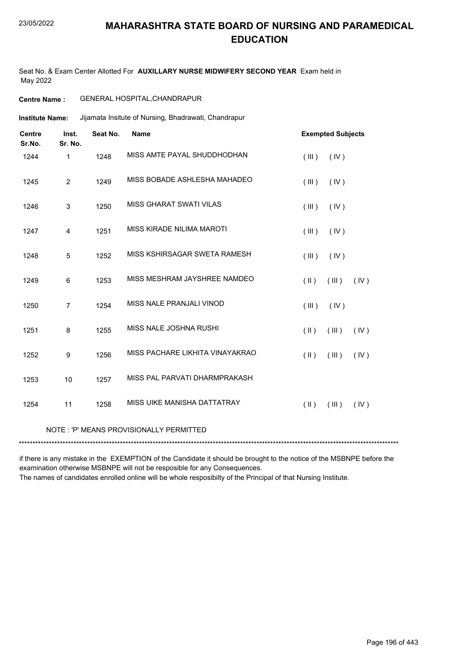Seat No. & Exam Center Allotted For **AUXILLARY NURSE MIDWIFERY SECOND YEAR** Exam held in May 2022

### **Centre Name :** GENERAL HOSPITAL,CHANDRAPUR

Jijamata Insitute of Nursing, Bhadrawati, Chandrapur **Institute Name:**

| <b>Centre</b><br>Sr.No. | Inst.<br>Sr. No. | Seat No. | <b>Name</b>                             | <b>Exempted Subjects</b>       |
|-------------------------|------------------|----------|-----------------------------------------|--------------------------------|
| 1244                    | 1                | 1248     | MISS AMTE PAYAL SHUDDHODHAN             | (III)<br>(IV)                  |
| 1245                    | $\overline{2}$   | 1249     | MISS BOBADE ASHLESHA MAHADEO            | (III)<br>(IV)                  |
| 1246                    | 3                | 1250     | <b>MISS GHARAT SWATI VILAS</b>          | (III)<br>(IV)                  |
| 1247                    | 4                | 1251     | MISS KIRADE NILIMA MAROTI               | (III)<br>(IV)                  |
| 1248                    | 5                | 1252     | MISS KSHIRSAGAR SWETA RAMESH            | (III)<br>(IV)                  |
| 1249                    | 6                | 1253     | MISS MESHRAM JAYSHREE NAMDEO            | $(\parallel)$<br>(III)<br>(IV) |
| 1250                    | $\overline{7}$   | 1254     | MISS NALE PRANJALI VINOD                | (III)<br>(IV)                  |
| 1251                    | 8                | 1255     | MISS NALE JOSHNA RUSHI                  | (III)<br>$(\parallel)$<br>(IV) |
| 1252                    | 9                | 1256     | MISS PACHARE LIKHITA VINAYAKRAO         | $(\parallel)$<br>(III)<br>(IV) |
| 1253                    | 10               | 1257     | MISS PAL PARVATI DHARMPRAKASH           |                                |
| 1254                    | 11               | 1258     | MISS UIKE MANISHA DATTATRAY             | $(\parallel)$<br>(III)<br>(IV) |
|                         |                  |          | NOTE: 'P' MEANS PROVISIONALLY PERMITTED |                                |
|                         |                  |          |                                         |                                |

if there is any mistake in the EXEMPTION of the Candidate it should be brought to the notice of the MSBNPE before the examination otherwise MSBNPE will not be resposible for any Consequences.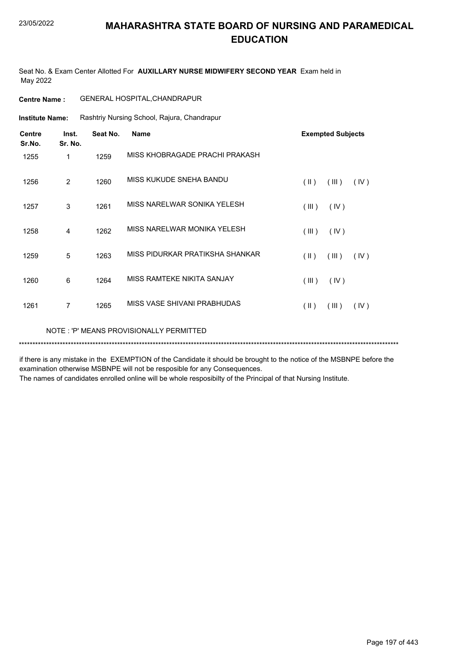Seat No. & Exam Center Allotted For **AUXILLARY NURSE MIDWIFERY SECOND YEAR** Exam held in May 2022

| <b>Centre Name:</b>     |                  |          | <b>GENERAL HOSPITAL, CHANDRAPUR</b>         |                                          |
|-------------------------|------------------|----------|---------------------------------------------|------------------------------------------|
| <b>Institute Name:</b>  |                  |          | Rashtriy Nursing School, Rajura, Chandrapur |                                          |
| <b>Centre</b><br>Sr.No. | Inst.<br>Sr. No. | Seat No. | <b>Name</b>                                 | <b>Exempted Subjects</b>                 |
| 1255                    | 1                | 1259     | MISS KHOBRAGADE PRACHI PRAKASH              |                                          |
| 1256                    | $\overline{2}$   | 1260     | MISS KUKUDE SNEHA BANDU                     | $(\parallel)$<br>(III)<br>(IV)           |
| 1257                    | 3                | 1261     | MISS NARELWAR SONIKA YELESH                 | (III)<br>(IV)                            |
| 1258                    | 4                | 1262     | MISS NARELWAR MONIKA YELESH                 | (III)<br>(IV)                            |
| 1259                    | 5                | 1263     | MISS PIDURKAR PRATIKSHA SHANKAR             | $(\parallel \parallel)$<br>(III)<br>(IV) |
| 1260                    | 6                | 1264     | MISS RAMTEKE NIKITA SANJAY                  | (III)<br>(IV)                            |
| 1261                    | $\overline{7}$   | 1265     | MISS VASE SHIVANI PRABHUDAS                 | $(\parallel)$<br>(III)<br>(IV)           |
|                         |                  |          | NOTE: 'P' MEANS PROVISIONALLY PERMITTED     |                                          |
|                         |                  |          |                                             |                                          |

if there is any mistake in the EXEMPTION of the Candidate it should be brought to the notice of the MSBNPE before the examination otherwise MSBNPE will not be resposible for any Consequences.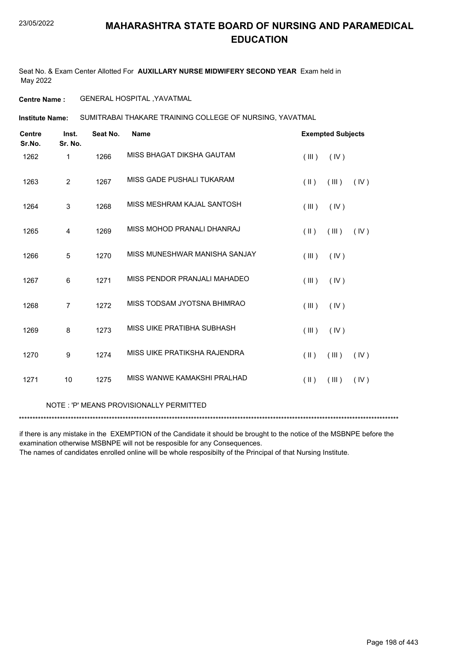Seat No. & Exam Center Allotted For **AUXILLARY NURSE MIDWIFERY SECOND YEAR** Exam held in May 2022

**Centre Name :** GENERAL HOSPITAL ,YAVATMAL

SUMITRABAI THAKARE TRAINING COLLEGE OF NURSING, YAVATMAL **Institute Name:**

| <b>Centre</b><br>Sr.No. | Inst.<br>Sr. No. | Seat No. | <b>Name</b>                   | <b>Exempted Subjects</b> |       |      |
|-------------------------|------------------|----------|-------------------------------|--------------------------|-------|------|
| 1262                    | 1                | 1266     | MISS BHAGAT DIKSHA GAUTAM     | (III)                    | (IV)  |      |
| 1263                    | $\overline{2}$   | 1267     | MISS GADE PUSHALI TUKARAM     | $(\parallel)$            | (III) | (IV) |
| 1264                    | 3                | 1268     | MISS MESHRAM KAJAL SANTOSH    | (III)                    | (IV)  |      |
| 1265                    | 4                | 1269     | MISS MOHOD PRANALI DHANRAJ    | $(\parallel \parallel)$  | (III) | (IV) |
| 1266                    | 5                | 1270     | MISS MUNESHWAR MANISHA SANJAY | (III)                    | (IV)  |      |
| 1267                    | 6                | 1271     | MISS PENDOR PRANJALI MAHADEO  | (III)                    | (IV)  |      |
| 1268                    | $\overline{7}$   | 1272     | MISS TODSAM JYOTSNA BHIMRAO   | (III)                    | (IV)  |      |
| 1269                    | 8                | 1273     | MISS UIKE PRATIBHA SUBHASH    | (III)                    | (IV)  |      |
| 1270                    | 9                | 1274     | MISS UIKE PRATIKSHA RAJENDRA  | $(\parallel \parallel)$  | (III) | (IV) |
| 1271                    | 10               | 1275     | MISS WANWE KAMAKSHI PRALHAD   | $(\parallel \parallel)$  | (III) | (IV) |

### NOTE : 'P' MEANS PROVISIONALLY PERMITTED

\*\*\*\*\*\*\*\*\*\*\*\*\*\*\*\*\*\*\*\*\*\*\*\*\*\*\*\*\*\*\*\*\*\*\*\*\*\*\*\*\*\*\*\*\*\*\*\*\*\*\*\*\*\*\*\*\*\*\*\*\*\*\*\*\*\*\*\*\*\*\*\*\*\*\*\*\*\*\*\*\*\*\*\*\*\*\*\*\*\*\*\*\*\*\*\*\*\*\*\*\*\*\*\*\*\*\*\*\*\*\*\*\*\*\*\*\*\*\*\*\*\*\*\*\*\*\*\*\*\*\*\*\*\*\*\*\*\*\*

if there is any mistake in the EXEMPTION of the Candidate it should be brought to the notice of the MSBNPE before the examination otherwise MSBNPE will not be resposible for any Consequences.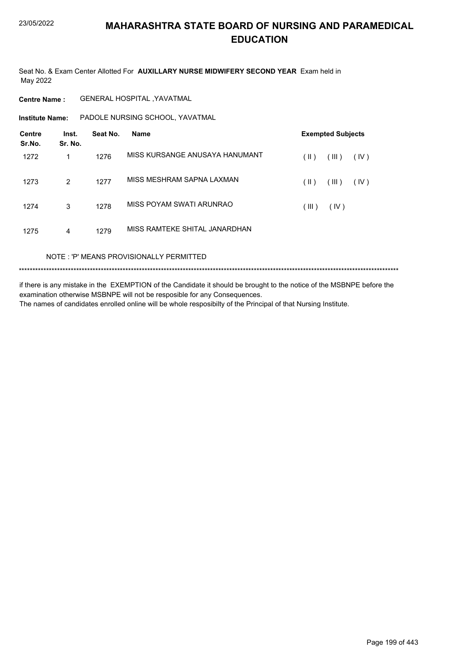Seat No. & Exam Center Allotted For AUXILLARY NURSE MIDWIFERY SECOND YEAR Exam held in May 2022

**Centre Name: GENERAL HOSPITAL , YAVATMAL** 

Institute Name: PADOLE NURSING SCHOOL, YAVATMAL

| <b>Centre</b><br>Sr.No. | Inst.<br>Sr. No. | Seat No. | <b>Name</b>                    |               | <b>Exempted Subjects</b> |      |
|-------------------------|------------------|----------|--------------------------------|---------------|--------------------------|------|
| 1272                    | 1                | 1276     | MISS KURSANGE ANUSAYA HANUMANT | (  )          | (III)                    | (IV) |
| 1273                    | 2                | 1277     | MISS MESHRAM SAPNA LAXMAN      | $(\parallel)$ | (III)                    | (IV) |
| 1274                    | 3                | 1278     | MISS POYAM SWATI ARUNRAO       | (III)         | (IV)                     |      |
| 1275                    | $\overline{4}$   | 1279     | MISS RAMTEKE SHITAL JANARDHAN  |               |                          |      |

NOTE: 'P' MEANS PROVISIONALLY PERMITTED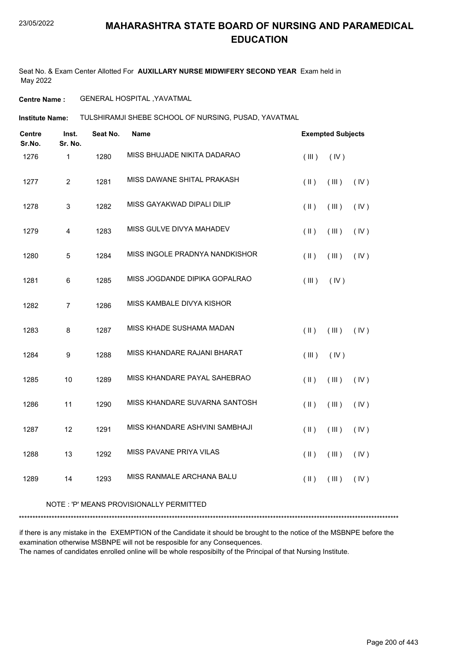Seat No. & Exam Center Allotted For **AUXILLARY NURSE MIDWIFERY SECOND YEAR** Exam held in May 2022

**Centre Name :** GENERAL HOSPITAL ,YAVATMAL

TULSHIRAMJI SHEBE SCHOOL OF NURSING, PUSAD, YAVATMAL **Institute Name:**

| <b>Centre</b><br>Sr.No. | Inst.<br>Sr. No.        | Seat No. | Name                           |                     | <b>Exempted Subjects</b> |      |  |
|-------------------------|-------------------------|----------|--------------------------------|---------------------|--------------------------|------|--|
| 1276                    | $\mathbf{1}$            | 1280     | MISS BHUJADE NIKITA DADARAO    | (III)               | (IV)                     |      |  |
| 1277                    | $\overline{c}$          | 1281     | MISS DAWANE SHITAL PRAKASH     | $($ II $)$          | (III)                    | (IV) |  |
| 1278                    | $\sqrt{3}$              | 1282     | MISS GAYAKWAD DIPALI DILIP     | $($ II $)$          | (III)                    | (IV) |  |
| 1279                    | $\overline{\mathbf{4}}$ | 1283     | MISS GULVE DIVYA MAHADEV       | $($ II $)$          | (III)                    | (IV) |  |
| 1280                    | 5                       | 1284     | MISS INGOLE PRADNYA NANDKISHOR | $(\parallel)$       | (III)                    | (IV) |  |
| 1281                    | 6                       | 1285     | MISS JOGDANDE DIPIKA GOPALRAO  | (III)               | (IV)                     |      |  |
| 1282                    | $\overline{7}$          | 1286     | MISS KAMBALE DIVYA KISHOR      |                     |                          |      |  |
| 1283                    | 8                       | 1287     | MISS KHADE SUSHAMA MADAN       | $($ II $)$          | (III)                    | (IV) |  |
| 1284                    | $\boldsymbol{9}$        | 1288     | MISS KHANDARE RAJANI BHARAT    | (III)               | (IV)                     |      |  |
| 1285                    | 10                      | 1289     | MISS KHANDARE PAYAL SAHEBRAO   | $($ $\parallel$ $)$ | (III)                    | (IV) |  |
| 1286                    | 11                      | 1290     | MISS KHANDARE SUVARNA SANTOSH  | $($ II $)$          | (III)                    | (IV) |  |
| 1287                    | 12                      | 1291     | MISS KHANDARE ASHVINI SAMBHAJI | $($ II $)$          | (III)                    | (IV) |  |
| 1288                    | 13                      | 1292     | MISS PAVANE PRIYA VILAS        | $($ II $)$          | (III)                    | (IV) |  |
| 1289                    | 14                      | 1293     | MISS RANMALE ARCHANA BALU      | $($ II $)$          | (III)                    | (IV) |  |
|                         |                         |          |                                |                     |                          |      |  |

#### NOTE : 'P' MEANS PROVISIONALLY PERMITTED

\*\*\*\*\*\*\*\*\*\*\*\*\*\*\*\*\*\*\*\*\*\*\*\*\*\*\*\*\*\*\*\*\*\*\*\*\*\*\*\*\*\*\*\*\*\*\*\*\*\*\*\*\*\*\*\*\*\*\*\*\*\*\*\*\*\*\*\*\*\*\*\*\*\*\*\*\*\*\*\*\*\*\*\*\*\*\*\*\*\*\*\*\*\*\*\*\*\*\*\*\*\*\*\*\*\*\*\*\*\*\*\*\*\*\*\*\*\*\*\*\*\*\*\*\*\*\*\*\*\*\*\*\*\*\*\*\*\*\*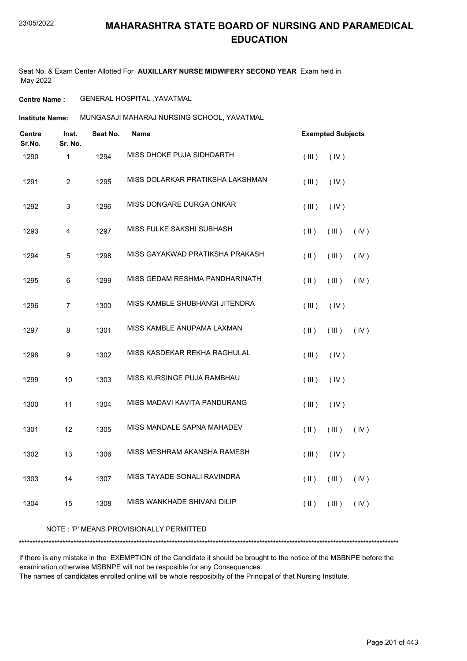Seat No. & Exam Center Allotted For **AUXILLARY NURSE MIDWIFERY SECOND YEAR** Exam held in May 2022

**Centre Name :** GENERAL HOSPITAL ,YAVATMAL

MUNGASAJI MAHARAJ NURSING SCHOOL, YAVATMAL **Institute Name:**

| Centre<br>Sr.No. | Inst.<br>Sr. No.        | Seat No. | <b>Name</b>                      |                     | <b>Exempted Subjects</b> |      |
|------------------|-------------------------|----------|----------------------------------|---------------------|--------------------------|------|
| 1290             | $\mathbf{1}$            | 1294     | MISS DHOKE PUJA SIDHDARTH        | (III)               | (IV)                     |      |
| 1291             | $\overline{2}$          | 1295     | MISS DOLARKAR PRATIKSHA LAKSHMAN | (III)               | (IV)                     |      |
| 1292             | 3                       | 1296     | MISS DONGARE DURGA ONKAR         | (III)               | (IV)                     |      |
| 1293             | $\overline{\mathbf{4}}$ | 1297     | MISS FULKE SAKSHI SUBHASH        | $(\parallel)$       | (III)                    | (IV) |
| 1294             | 5                       | 1298     | MISS GAYAKWAD PRATIKSHA PRAKASH  | $($ $\parallel$ $)$ | (III)                    | (IV) |
| 1295             | 6                       | 1299     | MISS GEDAM RESHMA PANDHARINATH   | $(\parallel)$       | (III)                    | (IV) |
| 1296             | $\overline{7}$          | 1300     | MISS KAMBLE SHUBHANGI JITENDRA   | (III)               | (IV)                     |      |
| 1297             | 8                       | 1301     | MISS KAMBLE ANUPAMA LAXMAN       | $($ II $)$          | (III)                    | (IV) |
| 1298             | 9                       | 1302     | MISS KASDEKAR REKHA RAGHULAL     | (III)               | (IV)                     |      |
| 1299             | 10                      | 1303     | MISS KURSINGE PUJA RAMBHAU       | (III)               | (IV)                     |      |
| 1300             | 11                      | 1304     | MISS MADAVI KAVITA PANDURANG     | (III)               | (IV)                     |      |
| 1301             | 12                      | 1305     | MISS MANDALE SAPNA MAHADEV       | $($ II $)$          | (III)                    | (IV) |
| 1302             | 13                      | 1306     | MISS MESHRAM AKANSHA RAMESH      | (III)               | (IV)                     |      |
| 1303             | 14                      | 1307     | MISS TAYADE SONALI RAVINDRA      | $($ II $)$          | (III)                    | (IV) |
| 1304             | 15                      | 1308     | MISS WANKHADE SHIVANI DILIP      | $($ II $)$          | (III)                    | (IV) |
|                  |                         |          |                                  |                     |                          |      |

NOTE : 'P' MEANS PROVISIONALLY PERMITTED

\*\*\*\*\*\*\*\*\*\*\*\*\*\*\*\*\*\*\*\*\*\*\*\*\*\*\*\*\*\*\*\*\*\*\*\*\*\*\*\*\*\*\*\*\*\*\*\*\*\*\*\*\*\*\*\*\*\*\*\*\*\*\*\*\*\*\*\*\*\*\*\*\*\*\*\*\*\*\*\*\*\*\*\*\*\*\*\*\*\*\*\*\*\*\*\*\*\*\*\*\*\*\*\*\*\*\*\*\*\*\*\*\*\*\*\*\*\*\*\*\*\*\*\*\*\*\*\*\*\*\*\*\*\*\*\*\*\*\*

if there is any mistake in the EXEMPTION of the Candidate it should be brought to the notice of the MSBNPE before the examination otherwise MSBNPE will not be resposible for any Consequences.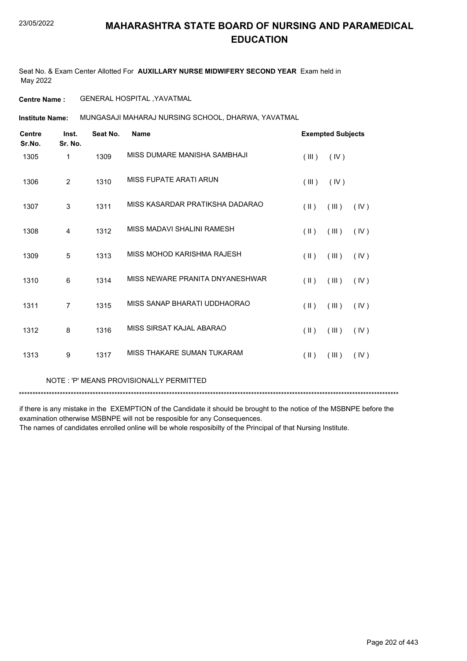Seat No. & Exam Center Allotted For **AUXILLARY NURSE MIDWIFERY SECOND YEAR** Exam held in May 2022

**Centre Name :** GENERAL HOSPITAL ,YAVATMAL

MUNGASAJI MAHARAJ NURSING SCHOOL, DHARWA, YAVATMAL **Institute Name:**

| <b>Centre</b><br>Sr.No. | Inst.<br>Sr. No. | Seat No. | <b>Name</b>                     |                         | <b>Exempted Subjects</b> |      |
|-------------------------|------------------|----------|---------------------------------|-------------------------|--------------------------|------|
| 1305                    | 1                | 1309     | MISS DUMARE MANISHA SAMBHAJI    | (III)                   | (IV)                     |      |
| 1306                    | $\overline{2}$   | 1310     | MISS FUPATE ARATI ARUN          | (III)                   | (IV)                     |      |
| 1307                    | 3                | 1311     | MISS KASARDAR PRATIKSHA DADARAO | $(\parallel \parallel)$ | (III)                    | (IV) |
| 1308                    | 4                | 1312     | MISS MADAVI SHALINI RAMESH      | $(\parallel)$           | (III)                    | (IV) |
| 1309                    | 5                | 1313     | MISS MOHOD KARISHMA RAJESH      | $(\parallel \parallel)$ | (III)                    | (IV) |
| 1310                    | 6                | 1314     | MISS NEWARE PRANITA DNYANESHWAR | $(\parallel \parallel)$ | (III)                    | (IV) |
| 1311                    | $\overline{7}$   | 1315     | MISS SANAP BHARATI UDDHAORAO    | $(\parallel \parallel)$ | (III)                    | (IV) |
| 1312                    | 8                | 1316     | MISS SIRSAT KAJAL ABARAO        | $(\parallel)$           | (III)                    | (IV) |
| 1313                    | 9                | 1317     | MISS THAKARE SUMAN TUKARAM      | $(\parallel \parallel)$ | (III)                    | (IV) |
|                         |                  |          |                                 |                         |                          |      |

NOTE : 'P' MEANS PROVISIONALLY PERMITTED

\*\*\*\*\*\*\*\*\*\*\*\*\*\*\*\*\*\*\*\*\*\*\*\*\*\*\*\*\*\*\*\*\*\*\*\*\*\*\*\*\*\*\*\*\*\*\*\*\*\*\*\*\*\*\*\*\*\*\*\*\*\*\*\*\*\*\*\*\*\*\*\*\*\*\*\*\*\*\*\*\*\*\*\*\*\*\*\*\*\*\*\*\*\*\*\*\*\*\*\*\*\*\*\*\*\*\*\*\*\*\*\*\*\*\*\*\*\*\*\*\*\*\*\*\*\*\*\*\*\*\*\*\*\*\*\*\*\*\*

if there is any mistake in the EXEMPTION of the Candidate it should be brought to the notice of the MSBNPE before the examination otherwise MSBNPE will not be resposible for any Consequences.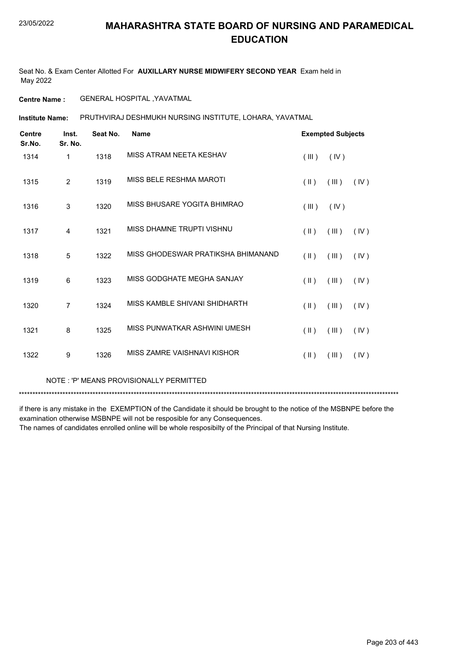Seat No. & Exam Center Allotted For **AUXILLARY NURSE MIDWIFERY SECOND YEAR** Exam held in May 2022

**Centre Name :** GENERAL HOSPITAL ,YAVATMAL

PRUTHVIRAJ DESHMUKH NURSING INSTITUTE, LOHARA, YAVATMAL **Institute Name:**

| <b>Centre</b><br>Sr.No. | Inst.<br>Sr. No. | Seat No. | <b>Name</b>                        | <b>Exempted Subjects</b> |       |      |
|-------------------------|------------------|----------|------------------------------------|--------------------------|-------|------|
| 1314                    | 1                | 1318     | MISS ATRAM NEETA KESHAV            | (III)                    | (IV)  |      |
| 1315                    | $\overline{2}$   | 1319     | MISS BELE RESHMA MAROTI            | $(\parallel)$            | (III) | (IV) |
| 1316                    | 3                | 1320     | MISS BHUSARE YOGITA BHIMRAO        | (III)                    | (IV)  |      |
| 1317                    | 4                | 1321     | MISS DHAMNE TRUPTI VISHNU          | $(\parallel \parallel)$  | (III) | (IV) |
| 1318                    | 5                | 1322     | MISS GHODESWAR PRATIKSHA BHIMANAND | $(\parallel \parallel)$  | (III) | (IV) |
| 1319                    | 6                | 1323     | MISS GODGHATE MEGHA SANJAY         | $(\parallel \parallel)$  | (III) | (IV) |
| 1320                    | $\overline{7}$   | 1324     | MISS KAMBLE SHIVANI SHIDHARTH      | $(\parallel \parallel)$  | (III) | (IV) |
| 1321                    | 8                | 1325     | MISS PUNWATKAR ASHWINI UMESH       | $(\parallel \parallel)$  | (III) | (IV) |
| 1322                    | 9                | 1326     | MISS ZAMRE VAISHNAVI KISHOR        | $(\parallel \parallel)$  | (III) | (IV) |

NOTE : 'P' MEANS PROVISIONALLY PERMITTED

\*\*\*\*\*\*\*\*\*\*\*\*\*\*\*\*\*\*\*\*\*\*\*\*\*\*\*\*\*\*\*\*\*\*\*\*\*\*\*\*\*\*\*\*\*\*\*\*\*\*\*\*\*\*\*\*\*\*\*\*\*\*\*\*\*\*\*\*\*\*\*\*\*\*\*\*\*\*\*\*\*\*\*\*\*\*\*\*\*\*\*\*\*\*\*\*\*\*\*\*\*\*\*\*\*\*\*\*\*\*\*\*\*\*\*\*\*\*\*\*\*\*\*\*\*\*\*\*\*\*\*\*\*\*\*\*\*\*\*

if there is any mistake in the EXEMPTION of the Candidate it should be brought to the notice of the MSBNPE before the examination otherwise MSBNPE will not be resposible for any Consequences.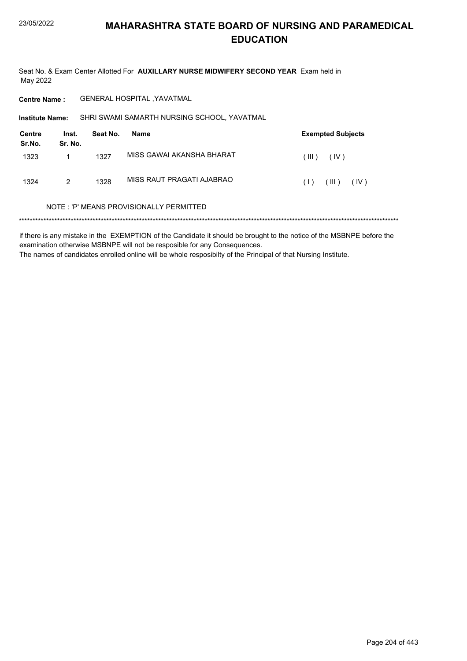Seat No. & Exam Center Allotted For AUXILLARY NURSE MIDWIFERY SECOND YEAR Exam held in May 2022

**GENERAL HOSPITAL , YAVATMAL Centre Name:** 

SHRI SWAMI SAMARTH NURSING SCHOOL, YAVATMAL Institute Name:

| Centre<br>Sr.No. | Inst.<br>Sr. No. | Seat No. | Name                      |       | <b>Exempted Subjects</b> |      |
|------------------|------------------|----------|---------------------------|-------|--------------------------|------|
| 1323             |                  | 1327     | MISS GAWAI AKANSHA BHARAT | (III) | (IV)                     |      |
| 1324             | 2                | 1328     | MISS RAUT PRAGATI AJABRAO | (1)   | (III)                    | (IV) |

#### NOTE: 'P' MEANS PROVISIONALLY PERMITTED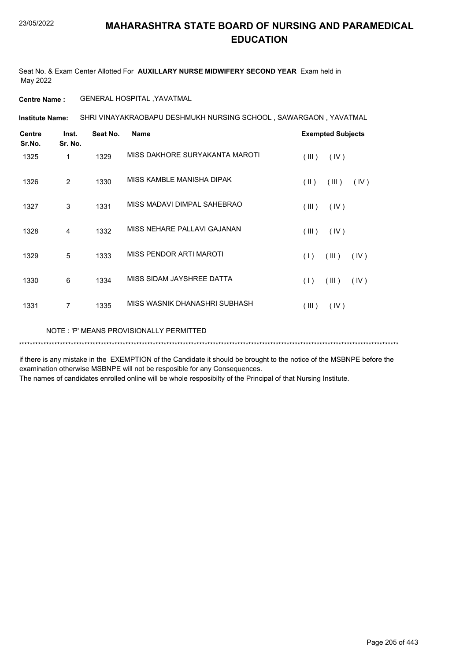Seat No. & Exam Center Allotted For **AUXILLARY NURSE MIDWIFERY SECOND YEAR** Exam held in May 2022

**Centre Name :** GENERAL HOSPITAL ,YAVATMAL

SHRI VINAYAKRAOBAPU DESHMUKH NURSING SCHOOL , SAWARGAON , YAVATMAL **Institute Name:**

| <b>Centre</b><br>Sr.No. | Inst.<br>Sr. No. | Seat No. | <b>Name</b>                    | <b>Exempted Subjects</b>       |  |  |
|-------------------------|------------------|----------|--------------------------------|--------------------------------|--|--|
| 1325                    | 1                | 1329     | MISS DAKHORE SURYAKANTA MAROTI | (III)<br>(IV)                  |  |  |
| 1326                    | 2                | 1330     | MISS KAMBLE MANISHA DIPAK      | $(\parallel)$<br>(III)<br>(IV) |  |  |
| 1327                    | 3                | 1331     | MISS MADAVI DIMPAL SAHEBRAO    | (III)<br>(IV)                  |  |  |
| 1328                    | 4                | 1332     | MISS NEHARE PALLAVI GAJANAN    | (III)<br>(IV)                  |  |  |
| 1329                    | 5                | 1333     | MISS PENDOR ARTI MAROTI        | (1)<br>(III)<br>(IV)           |  |  |
| 1330                    | 6                | 1334     | MISS SIDAM JAYSHREE DATTA      | (1)<br>(III)<br>(IV)           |  |  |
| 1331                    | $\overline{7}$   | 1335     | MISS WASNIK DHANASHRI SUBHASH  | (III)<br>(IV)                  |  |  |
|                         |                  |          |                                |                                |  |  |

NOTE : 'P' MEANS PROVISIONALLY PERMITTED

\*\*\*\*\*\*\*\*\*\*\*\*\*\*\*\*\*\*\*\*\*\*\*\*\*\*\*\*\*\*\*\*\*\*\*\*\*\*\*\*\*\*\*\*\*\*\*\*\*\*\*\*\*\*\*\*\*\*\*\*\*\*\*\*\*\*\*\*\*\*\*\*\*\*\*\*\*\*\*\*\*\*\*\*\*\*\*\*\*\*\*\*\*\*\*\*\*\*\*\*\*\*\*\*\*\*\*\*\*\*\*\*\*\*\*\*\*\*\*\*\*\*\*\*\*\*\*\*\*\*\*\*\*\*\*\*\*\*\*

if there is any mistake in the EXEMPTION of the Candidate it should be brought to the notice of the MSBNPE before the examination otherwise MSBNPE will not be resposible for any Consequences.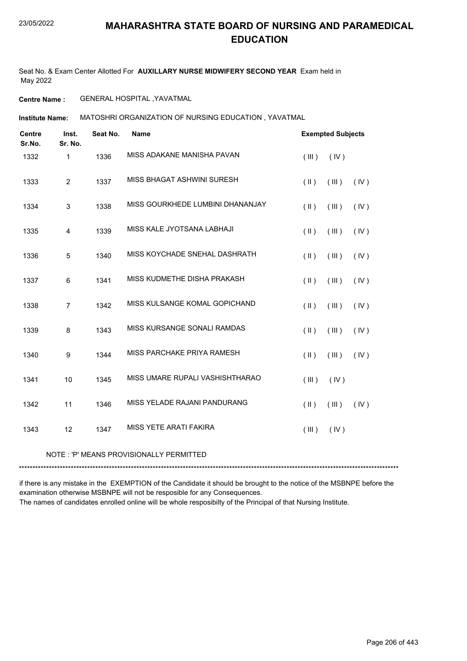Seat No. & Exam Center Allotted For **AUXILLARY NURSE MIDWIFERY SECOND YEAR** Exam held in May 2022

**Centre Name :** GENERAL HOSPITAL ,YAVATMAL

MATOSHRI ORGANIZATION OF NURSING EDUCATION , YAVATMAL **Institute Name:**

| <b>Centre</b><br>Sr.No. | Inst.<br>Sr. No. | Seat No. | <b>Name</b>                      |               | <b>Exempted Subjects</b> |      |  |
|-------------------------|------------------|----------|----------------------------------|---------------|--------------------------|------|--|
| 1332                    | 1                | 1336     | MISS ADAKANE MANISHA PAVAN       | (III)         | (IV)                     |      |  |
| 1333                    | $\overline{2}$   | 1337     | MISS BHAGAT ASHWINI SURESH       | $(\parallel)$ | (III)                    | (IV) |  |
| 1334                    | $\mathsf 3$      | 1338     | MISS GOURKHEDE LUMBINI DHANANJAY | $($ II $)$    | (III)                    | (IV) |  |
| 1335                    | $\overline{4}$   | 1339     | MISS KALE JYOTSANA LABHAJI       | $($ II $)$    | (III)                    | (IV) |  |
| 1336                    | 5                | 1340     | MISS KOYCHADE SNEHAL DASHRATH    | $($ II $)$    | (III)                    | (IV) |  |
| 1337                    | 6                | 1341     | MISS KUDMETHE DISHA PRAKASH      | $($ II $)$    | (III)                    | (IV) |  |
| 1338                    | $\overline{7}$   | 1342     | MISS KULSANGE KOMAL GOPICHAND    | $(\parallel)$ | (III)                    | (IV) |  |
| 1339                    | 8                | 1343     | MISS KURSANGE SONALI RAMDAS      | $($ II $)$    | (III)                    | (IV) |  |
| 1340                    | $\boldsymbol{9}$ | 1344     | MISS PARCHAKE PRIYA RAMESH       | $(\parallel)$ | (III)                    | (IV) |  |
| 1341                    | 10               | 1345     | MISS UMARE RUPALI VASHISHTHARAO  | (III)         | (IV)                     |      |  |
| 1342                    | 11               | 1346     | MISS YELADE RAJANI PANDURANG     | $(\parallel)$ | (III)                    | (IV) |  |
| 1343                    | 12               | 1347     | MISS YETE ARATI FAKIRA           | (III)         | (IV)                     |      |  |

### NOTE : 'P' MEANS PROVISIONALLY PERMITTED

\*\*\*\*\*\*\*\*\*\*\*\*\*\*\*\*\*\*\*\*\*\*\*\*\*\*\*\*\*\*\*\*\*\*\*\*\*\*\*\*\*\*\*\*\*\*\*\*\*\*\*\*\*\*\*\*\*\*\*\*\*\*\*\*\*\*\*\*\*\*\*\*\*\*\*\*\*\*\*\*\*\*\*\*\*\*\*\*\*\*\*\*\*\*\*\*\*\*\*\*\*\*\*\*\*\*\*\*\*\*\*\*\*\*\*\*\*\*\*\*\*\*\*\*\*\*\*\*\*\*\*\*\*\*\*\*\*\*\*

if there is any mistake in the EXEMPTION of the Candidate it should be brought to the notice of the MSBNPE before the examination otherwise MSBNPE will not be resposible for any Consequences.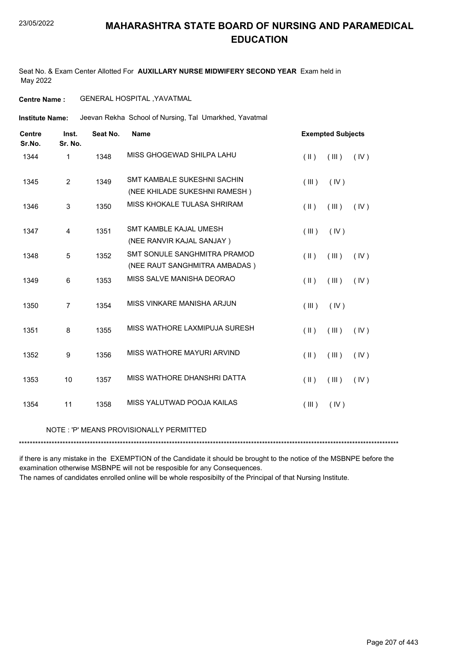Seat No. & Exam Center Allotted For **AUXILLARY NURSE MIDWIFERY SECOND YEAR** Exam held in May 2022

**Centre Name :** GENERAL HOSPITAL ,YAVATMAL

Jeevan Rekha School of Nursing, Tal Umarkhed, Yavatmal **Institute Name:**

| <b>Centre</b><br>Sr.No. | Inst.<br>Sr. No. | Seat No. | <b>Name</b>                                                         | <b>Exempted Subjects</b>                 |  |  |
|-------------------------|------------------|----------|---------------------------------------------------------------------|------------------------------------------|--|--|
| 1344                    | 1                | 1348     | MISS GHOGEWAD SHILPA LAHU                                           | $(\parallel)$<br>(III)<br>(IV)           |  |  |
| 1345                    | $\overline{2}$   | 1349     | <b>SMT KAMBALE SUKESHNI SACHIN</b><br>(NEE KHILADE SUKESHNI RAMESH) | (III)<br>(IV)                            |  |  |
| 1346                    | 3                | 1350     | MISS KHOKALE TULASA SHRIRAM                                         | $(\parallel \parallel)$<br>(III)<br>(IV) |  |  |
| 1347                    | 4                | 1351     | SMT KAMBLE KAJAL UMESH<br>(NEE RANVIR KAJAL SANJAY)                 | (III)<br>(IV)                            |  |  |
| 1348                    | 5                | 1352     | SMT SONULE SANGHMITRA PRAMOD<br>(NEE RAUT SANGHMITRA AMBADAS)       | $(\parallel)$<br>(III)<br>(IV)           |  |  |
| 1349                    | 6                | 1353     | MISS SALVE MANISHA DEORAO                                           | $(\parallel)$<br>(III)<br>(IV)           |  |  |
| 1350                    | $\overline{7}$   | 1354     | MISS VINKARE MANISHA ARJUN                                          | (III)<br>(IV)                            |  |  |
| 1351                    | 8                | 1355     | MISS WATHORE LAXMIPUJA SURESH                                       | (III)<br>$(\parallel)$<br>(IV)           |  |  |
| 1352                    | 9                | 1356     | MISS WATHORE MAYURI ARVIND                                          | $($ II $)$<br>(III)<br>(IV)              |  |  |
| 1353                    | 10               | 1357     | MISS WATHORE DHANSHRI DATTA                                         | $($ II $)$<br>(III)<br>(IV)              |  |  |
| 1354                    | 11               | 1358     | MISS YALUTWAD POOJA KAILAS                                          | (III)<br>(IV)                            |  |  |
|                         |                  |          |                                                                     |                                          |  |  |

### NOTE : 'P' MEANS PROVISIONALLY PERMITTED

\*\*\*\*\*\*\*\*\*\*\*\*\*\*\*\*\*\*\*\*\*\*\*\*\*\*\*\*\*\*\*\*\*\*\*\*\*\*\*\*\*\*\*\*\*\*\*\*\*\*\*\*\*\*\*\*\*\*\*\*\*\*\*\*\*\*\*\*\*\*\*\*\*\*\*\*\*\*\*\*\*\*\*\*\*\*\*\*\*\*\*\*\*\*\*\*\*\*\*\*\*\*\*\*\*\*\*\*\*\*\*\*\*\*\*\*\*\*\*\*\*\*\*\*\*\*\*\*\*\*\*\*\*\*\*\*\*\*\*

if there is any mistake in the EXEMPTION of the Candidate it should be brought to the notice of the MSBNPE before the examination otherwise MSBNPE will not be resposible for any Consequences.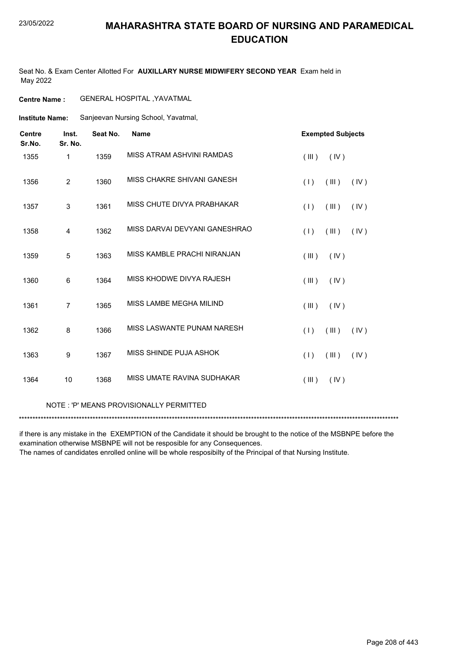#### 23/05/2022

### **MAHARASHTRA STATE BOARD OF NURSING AND PARAMEDICAL EDUCATION**

Seat No. & Exam Center Allotted For **AUXILLARY NURSE MIDWIFERY SECOND YEAR** Exam held in May 2022

**Centre Name :** GENERAL HOSPITAL ,YAVATMAL

Sanjeevan Nursing School, Yavatmal, **Institute Name:**

| <b>Centre</b><br>Sr.No. | Inst.<br>Sr. No. | Seat No. | <b>Name</b>                   | <b>Exempted Subjects</b> |
|-------------------------|------------------|----------|-------------------------------|--------------------------|
| 1355                    | 1                | 1359     | MISS ATRAM ASHVINI RAMDAS     | (III)<br>(IV)            |
| 1356                    | $\overline{2}$   | 1360     | MISS CHAKRE SHIVANI GANESH    | (1)<br>(III)<br>(IV)     |
| 1357                    | $\sqrt{3}$       | 1361     | MISS CHUTE DIVYA PRABHAKAR    | (1)<br>(III)<br>(IV)     |
| 1358                    | 4                | 1362     | MISS DARVAI DEVYANI GANESHRAO | (1)<br>(III)<br>(IV)     |
| 1359                    | 5                | 1363     | MISS KAMBLE PRACHI NIRANJAN   | (III)<br>(IV)            |
| 1360                    | 6                | 1364     | MISS KHODWE DIVYA RAJESH      | (III)<br>(IV)            |
| 1361                    | $\overline{7}$   | 1365     | MISS LAMBE MEGHA MILIND       | (III)<br>(IV)            |
| 1362                    | 8                | 1366     | MISS LASWANTE PUNAM NARESH    | (III)<br>(1)<br>(IV)     |
| 1363                    | 9                | 1367     | MISS SHINDE PUJA ASHOK        | (III)<br>(1)<br>(IV)     |
| 1364                    | 10               | 1368     | MISS UMATE RAVINA SUDHAKAR    | (III)<br>(IV)            |

#### NOTE : 'P' MEANS PROVISIONALLY PERMITTED

\*\*\*\*\*\*\*\*\*\*\*\*\*\*\*\*\*\*\*\*\*\*\*\*\*\*\*\*\*\*\*\*\*\*\*\*\*\*\*\*\*\*\*\*\*\*\*\*\*\*\*\*\*\*\*\*\*\*\*\*\*\*\*\*\*\*\*\*\*\*\*\*\*\*\*\*\*\*\*\*\*\*\*\*\*\*\*\*\*\*\*\*\*\*\*\*\*\*\*\*\*\*\*\*\*\*\*\*\*\*\*\*\*\*\*\*\*\*\*\*\*\*\*\*\*\*\*\*\*\*\*\*\*\*\*\*\*\*\*

if there is any mistake in the EXEMPTION of the Candidate it should be brought to the notice of the MSBNPE before the examination otherwise MSBNPE will not be resposible for any Consequences.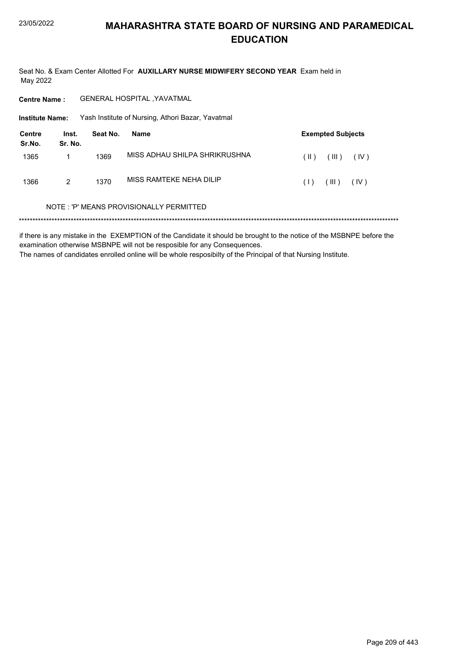Seat No. & Exam Center Allotted For AUXILLARY NURSE MIDWIFERY SECOND YEAR Exam held in May 2022

**GENERAL HOSPITAL , YAVATMAL Centre Name:** 

Institute Name: Yash Institute of Nursing, Athori Bazar, Yavatmal

| Centre<br>Sr.No. | Inst.<br>Sr. No. | Seat No. | Name                          |        | <b>Exempted Subjects</b> |      |
|------------------|------------------|----------|-------------------------------|--------|--------------------------|------|
| 1365             |                  | 1369     | MISS ADHAU SHILPA SHRIKRUSHNA | $(\ )$ | $(\parallel \parallel)$  | (IV) |
| 1366             | 2                | 1370     | MISS RAMTEKE NEHA DILIP       | (1)    | (III)                    | (IV) |

#### NOTE: 'P' MEANS PROVISIONALLY PERMITTED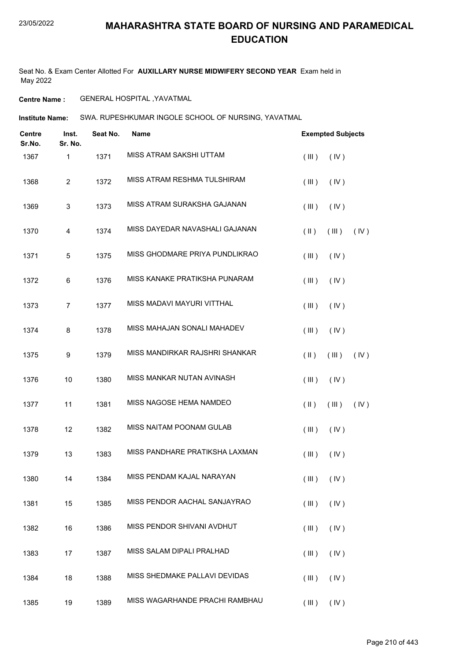Seat No. & Exam Center Allotted For **AUXILLARY NURSE MIDWIFERY SECOND YEAR** Exam held in May 2022

**Centre Name :** GENERAL HOSPITAL ,YAVATMAL

**Institute Name: SWA. RUPESHKUMAR INGOLE SCHOOL OF NURSING, YAVATMAL** 

| <b>Centre</b><br>Sr.No. | Inst.<br>Sr. No. | Seat No. | <b>Name</b>                    |                                  |      | <b>Exempted Subjects</b> |  |  |
|-------------------------|------------------|----------|--------------------------------|----------------------------------|------|--------------------------|--|--|
| 1367                    | $\mathbf{1}$     | 1371     | MISS ATRAM SAKSHI UTTAM        | (III)<br>(IV)                    |      |                          |  |  |
| 1368                    | 2                | 1372     | MISS ATRAM RESHMA TULSHIRAM    | (III)<br>(IV)                    |      |                          |  |  |
| 1369                    | 3                | 1373     | MISS ATRAM SURAKSHA GAJANAN    | (III)<br>(IV)                    |      |                          |  |  |
| 1370                    | $\overline{4}$   | 1374     | MISS DAYEDAR NAVASHALI GAJANAN | $(\parallel)$<br>(III)           | (IV) |                          |  |  |
| 1371                    | 5                | 1375     | MISS GHODMARE PRIYA PUNDLIKRAO | (III)<br>(IV)                    |      |                          |  |  |
| 1372                    | 6                | 1376     | MISS KANAKE PRATIKSHA PUNARAM  | (III)<br>(IV)                    |      |                          |  |  |
| 1373                    | $\overline{7}$   | 1377     | MISS MADAVI MAYURI VITTHAL     | (III)<br>(IV)                    |      |                          |  |  |
| 1374                    | 8                | 1378     | MISS MAHAJAN SONALI MAHADEV    | (III)<br>(IV)                    |      |                          |  |  |
| 1375                    | 9                | 1379     | MISS MANDIRKAR RAJSHRI SHANKAR | $(\parallel \parallel)$<br>(III) | (IV) |                          |  |  |
| 1376                    | 10               | 1380     | MISS MANKAR NUTAN AVINASH      | (III)<br>(IV)                    |      |                          |  |  |
| 1377                    | 11               | 1381     | MISS NAGOSE HEMA NAMDEO        | $(\parallel \parallel)$<br>(III) | (IV) |                          |  |  |
| 1378                    | 12               | 1382     | MISS NAITAM POONAM GULAB       | (III)<br>(IV)                    |      |                          |  |  |
| 1379                    | 13               | 1383     | MISS PANDHARE PRATIKSHA LAXMAN | (III)<br>(IV)                    |      |                          |  |  |
| 1380                    | 14               | 1384     | MISS PENDAM KAJAL NARAYAN      | $(III)$ $(IV)$                   |      |                          |  |  |
| 1381                    | 15               | 1385     | MISS PENDOR AACHAL SANJAYRAO   | (III)<br>(IV)                    |      |                          |  |  |
| 1382                    | 16               | 1386     | MISS PENDOR SHIVANI AVDHUT     | (III)<br>(IV)                    |      |                          |  |  |
| 1383                    | 17               | 1387     | MISS SALAM DIPALI PRALHAD      | (IV)<br>(III)                    |      |                          |  |  |
| 1384                    | 18               | 1388     | MISS SHEDMAKE PALLAVI DEVIDAS  | (III)<br>(IV)                    |      |                          |  |  |
| 1385                    | 19               | 1389     | MISS WAGARHANDE PRACHI RAMBHAU | (III)<br>$($ IV $)$              |      |                          |  |  |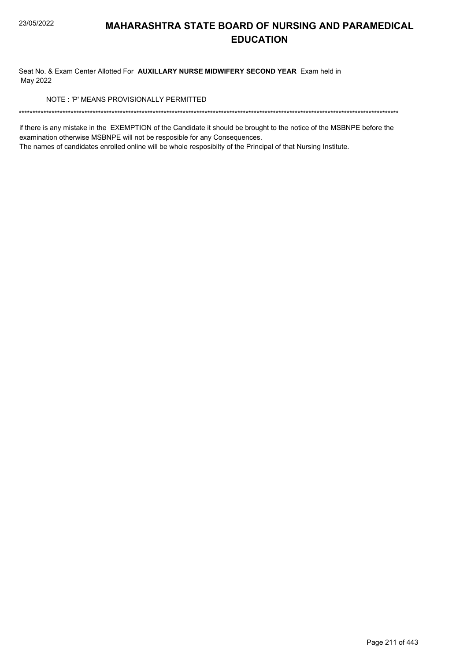Seat No. & Exam Center Allotted For AUXILLARY NURSE MIDWIFERY SECOND YEAR Exam held in May 2022

NOTE: 'P' MEANS PROVISIONALLY PERMITTED

if there is any mistake in the EXEMPTION of the Candidate it should be brought to the notice of the MSBNPE before the examination otherwise MSBNPE will not be resposible for any Consequences.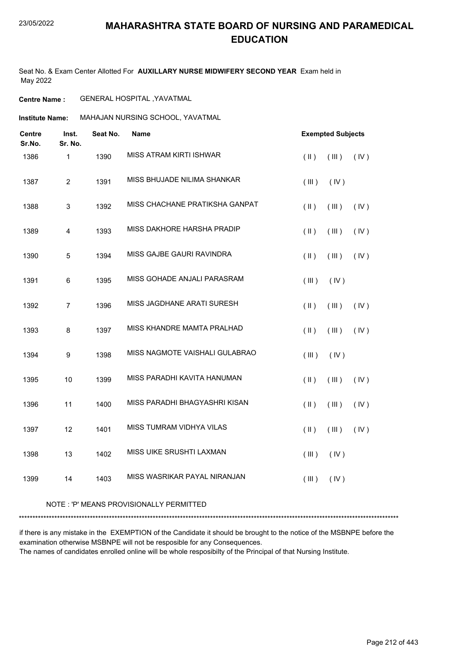Seat No. & Exam Center Allotted For **AUXILLARY NURSE MIDWIFERY SECOND YEAR** Exam held in May 2022

**Centre Name :** GENERAL HOSPITAL ,YAVATMAL

**Institute Name: MAHAJAN NURSING SCHOOL, YAVATMAL** 

| Centre<br>Sr.No. | Inst.<br>Sr. No.        | Seat No. | <b>Name</b>                    | <b>Exempted Subjects</b> |       |      |
|------------------|-------------------------|----------|--------------------------------|--------------------------|-------|------|
| 1386             | $\mathbf{1}$            | 1390     | MISS ATRAM KIRTI ISHWAR        | $($ $\parallel$ $)$      | (III) | (IV) |
| 1387             | $\overline{c}$          | 1391     | MISS BHUJADE NILIMA SHANKAR    | (III)                    | (IV)  |      |
| 1388             | $\sqrt{3}$              | 1392     | MISS CHACHANE PRATIKSHA GANPAT | $($ II $)$               | (III) | (IV) |
| 1389             | $\overline{\mathbf{4}}$ | 1393     | MISS DAKHORE HARSHA PRADIP     | $($ II $)$               | (III) | (IV) |
| 1390             | 5                       | 1394     | MISS GAJBE GAURI RAVINDRA      | $(\parallel)$            | (III) | (IV) |
| 1391             | $\,6$                   | 1395     | MISS GOHADE ANJALI PARASRAM    | $($ III $)$              | (IV)  |      |
| 1392             | $\overline{7}$          | 1396     | MISS JAGDHANE ARATI SURESH     | $(\parallel)$            | (III) | (IV) |
| 1393             | 8                       | 1397     | MISS KHANDRE MAMTA PRALHAD     | $($ $\parallel$ $)$      | (III) | (IV) |
| 1394             | $\boldsymbol{9}$        | 1398     | MISS NAGMOTE VAISHALI GULABRAO | (III)                    | (IV)  |      |
| 1395             | 10                      | 1399     | MISS PARADHI KAVITA HANUMAN    | $(\parallel)$            | (III) | (IV) |
| 1396             | 11                      | 1400     | MISS PARADHI BHAGYASHRI KISAN  | $($ II $)$               | (III) | (IV) |
| 1397             | 12                      | 1401     | MISS TUMRAM VIDHYA VILAS       | $($ $\parallel$ $)$      | (III) | (IV) |
| 1398             | 13                      | 1402     | MISS UIKE SRUSHTI LAXMAN       | $($ III $)$              | (IV)  |      |
| 1399             | 14                      | 1403     | MISS WASRIKAR PAYAL NIRANJAN   | (III)                    | (IV)  |      |

### NOTE : 'P' MEANS PROVISIONALLY PERMITTED

\*\*\*\*\*\*\*\*\*\*\*\*\*\*\*\*\*\*\*\*\*\*\*\*\*\*\*\*\*\*\*\*\*\*\*\*\*\*\*\*\*\*\*\*\*\*\*\*\*\*\*\*\*\*\*\*\*\*\*\*\*\*\*\*\*\*\*\*\*\*\*\*\*\*\*\*\*\*\*\*\*\*\*\*\*\*\*\*\*\*\*\*\*\*\*\*\*\*\*\*\*\*\*\*\*\*\*\*\*\*\*\*\*\*\*\*\*\*\*\*\*\*\*\*\*\*\*\*\*\*\*\*\*\*\*\*\*\*\*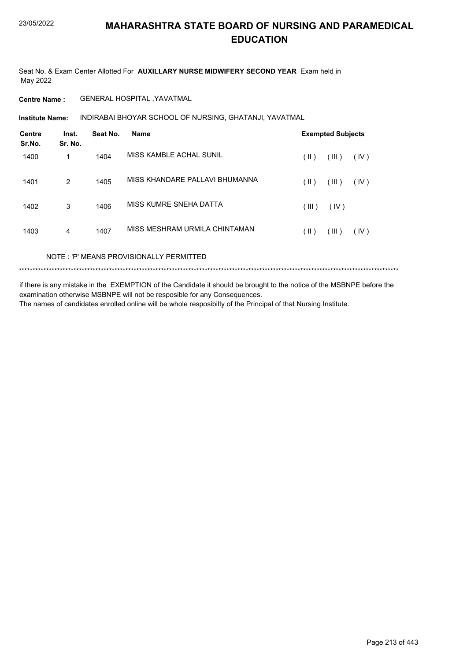Seat No. & Exam Center Allotted For **AUXILLARY NURSE MIDWIFERY SECOND YEAR** Exam held in May 2022

**Centre Name :** GENERAL HOSPITAL ,YAVATMAL

**Institute Name: INDIRABAI BHOYAR SCHOOL OF NURSING, GHATANJI, YAVATMAL** 

| <b>Centre</b><br>Sr.No. | Inst.<br>Sr. No. | Seat No. | <b>Name</b>                    |       | <b>Exempted Subjects</b> |      |
|-------------------------|------------------|----------|--------------------------------|-------|--------------------------|------|
| 1400                    | 1                | 1404     | MISS KAMBLE ACHAL SUNIL        | (  )  | (III)                    | (IV) |
| 1401                    | 2                | 1405     | MISS KHANDARE PALLAVI BHUMANNA | (  )  | (III)                    | (IV) |
| 1402                    | 3                | 1406     | MISS KUMRE SNEHA DATTA         | (III) | (IV)                     |      |
| 1403                    | $\overline{4}$   | 1407     | MISS MESHRAM URMILA CHINTAMAN  | (  )  | (III)                    | (IV) |
|                         |                  |          |                                |       |                          |      |

NOTE : 'P' MEANS PROVISIONALLY PERMITTED

\*\*\*\*\*\*\*\*\*\*\*\*\*\*\*\*\*\*\*\*\*\*\*\*\*\*\*\*\*\*\*\*\*\*\*\*\*\*\*\*\*\*\*\*\*\*\*\*\*\*\*\*\*\*\*\*\*\*\*\*\*\*\*\*\*\*\*\*\*\*\*\*\*\*\*\*\*\*\*\*\*\*\*\*\*\*\*\*\*\*\*\*\*\*\*\*\*\*\*\*\*\*\*\*\*\*\*\*\*\*\*\*\*\*\*\*\*\*\*\*\*\*\*\*\*\*\*\*\*\*\*\*\*\*\*\*\*\*\*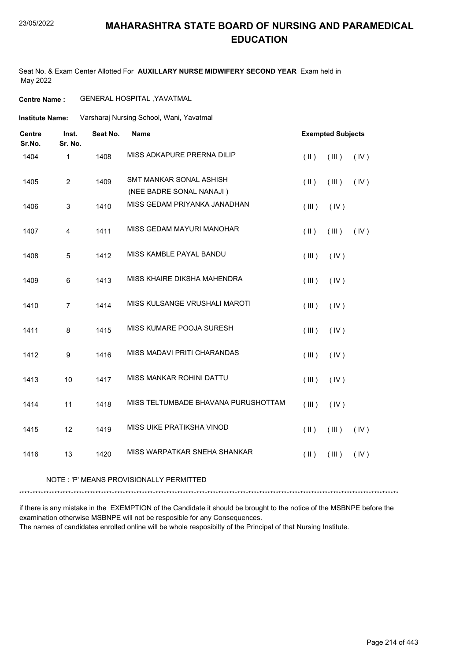#### 23/05/2022

### **MAHARASHTRA STATE BOARD OF NURSING AND PARAMEDICAL EDUCATION**

Seat No. & Exam Center Allotted For **AUXILLARY NURSE MIDWIFERY SECOND YEAR** Exam held in May 2022

### **Centre Name :** GENERAL HOSPITAL ,YAVATMAL

Varsharaj Nursing School, Wani, Yavatmal **Institute Name:**

| <b>Centre</b><br>Sr.No. | Inst.<br>Sr. No. | Seat No. | <b>Name</b>                                                | <b>Exempted Subjects</b> |             |      |
|-------------------------|------------------|----------|------------------------------------------------------------|--------------------------|-------------|------|
| 1404                    | 1                | 1408     | MISS ADKAPURE PRERNA DILIP                                 | $($ II $)$               | (III)       | (IV) |
| 1405                    | $\overline{2}$   | 1409     | <b>SMT MANKAR SONAL ASHISH</b><br>(NEE BADRE SONAL NANAJI) | $(\parallel)$            | $($ III $)$ | (IV) |
| 1406                    | 3                | 1410     | MISS GEDAM PRIYANKA JANADHAN                               | (III)                    | (IV)        |      |
| 1407                    | $\overline{4}$   | 1411     | MISS GEDAM MAYURI MANOHAR                                  | $($ II $)$               | $($ III $)$ | (IV) |
| 1408                    | 5                | 1412     | MISS KAMBLE PAYAL BANDU                                    | (III)                    | (IV)        |      |
| 1409                    | 6                | 1413     | MISS KHAIRE DIKSHA MAHENDRA                                | (III)                    | (IV)        |      |
| 1410                    | $\overline{7}$   | 1414     | MISS KULSANGE VRUSHALI MAROTI                              | (III)                    | (IV)        |      |
| 1411                    | 8                | 1415     | MISS KUMARE POOJA SURESH                                   | (III)                    | (IV)        |      |
| 1412                    | $\boldsymbol{9}$ | 1416     | MISS MADAVI PRITI CHARANDAS                                | (III)                    | (IV)        |      |
| 1413                    | 10               | 1417     | MISS MANKAR ROHINI DATTU                                   | (III)                    | (IV)        |      |
| 1414                    | 11               | 1418     | MISS TELTUMBADE BHAVANA PURUSHOTTAM                        | (III)                    | (IV)        |      |
| 1415                    | 12               | 1419     | MISS UIKE PRATIKSHA VINOD                                  | $($ II $)$               | (III)       | (IV) |
| 1416                    | 13               | 1420     | MISS WARPATKAR SNEHA SHANKAR                               | $($ II $)$               | (III)       | (IV) |

#### NOTE : 'P' MEANS PROVISIONALLY PERMITTED

\*\*\*\*\*\*\*\*\*\*\*\*\*\*\*\*\*\*\*\*\*\*\*\*\*\*\*\*\*\*\*\*\*\*\*\*\*\*\*\*\*\*\*\*\*\*\*\*\*\*\*\*\*\*\*\*\*\*\*\*\*\*\*\*\*\*\*\*\*\*\*\*\*\*\*\*\*\*\*\*\*\*\*\*\*\*\*\*\*\*\*\*\*\*\*\*\*\*\*\*\*\*\*\*\*\*\*\*\*\*\*\*\*\*\*\*\*\*\*\*\*\*\*\*\*\*\*\*\*\*\*\*\*\*\*\*\*\*\*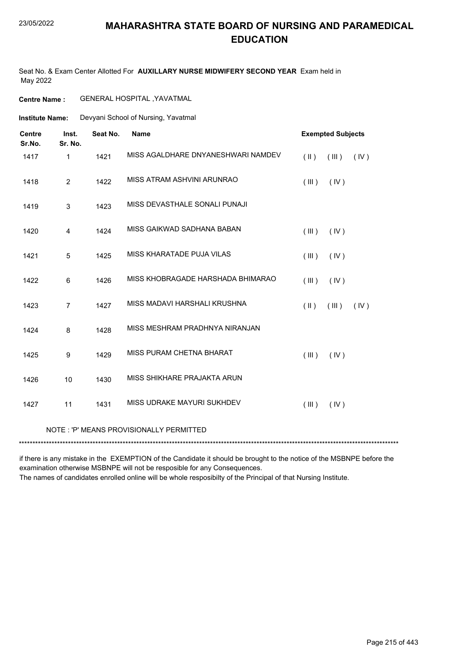#### 23/05/2022

### **MAHARASHTRA STATE BOARD OF NURSING AND PARAMEDICAL EDUCATION**

Seat No. & Exam Center Allotted For **AUXILLARY NURSE MIDWIFERY SECOND YEAR** Exam held in May 2022

**Centre Name :** GENERAL HOSPITAL ,YAVATMAL

Devyani School of Nursing, Yavatmal **Institute Name:**

| <b>Centre</b><br>Sr.No. | Inst.<br>Sr. No.                        | Seat No. | <b>Name</b>                        |               | <b>Exempted Subjects</b> |      |  |  |
|-------------------------|-----------------------------------------|----------|------------------------------------|---------------|--------------------------|------|--|--|
| 1417                    | $\mathbf{1}$                            | 1421     | MISS AGALDHARE DNYANESHWARI NAMDEV | $(\parallel)$ | (III)                    | (IV) |  |  |
| 1418                    | $\overline{2}$                          | 1422     | MISS ATRAM ASHVINI ARUNRAO         | (III)         | (IV)                     |      |  |  |
| 1419                    | 3                                       | 1423     | MISS DEVASTHALE SONALI PUNAJI      |               |                          |      |  |  |
| 1420                    | 4                                       | 1424     | MISS GAIKWAD SADHANA BABAN         | (III)         | (IV)                     |      |  |  |
| 1421                    | 5                                       | 1425     | MISS KHARATADE PUJA VILAS          | (III)         | (IV)                     |      |  |  |
| 1422                    | 6                                       | 1426     | MISS KHOBRAGADE HARSHADA BHIMARAO  | (III)         | (IV)                     |      |  |  |
| 1423                    | $\overline{7}$                          | 1427     | MISS MADAVI HARSHALI KRUSHNA       | $($ II $)$    | (III)                    | (IV) |  |  |
| 1424                    | 8                                       | 1428     | MISS MESHRAM PRADHNYA NIRANJAN     |               |                          |      |  |  |
| 1425                    | 9                                       | 1429     | MISS PURAM CHETNA BHARAT           | (III)         | (IV)                     |      |  |  |
| 1426                    | 10                                      | 1430     | MISS SHIKHARE PRAJAKTA ARUN        |               |                          |      |  |  |
| 1427                    | 11                                      | 1431     | MISS UDRAKE MAYURI SUKHDEV         | (III)         | (IV)                     |      |  |  |
|                         | NOTE: 'P' MEANS PROVISIONALLY PERMITTED |          |                                    |               |                          |      |  |  |
|                         |                                         |          |                                    |               |                          |      |  |  |

if there is any mistake in the EXEMPTION of the Candidate it should be brought to the notice of the MSBNPE before the examination otherwise MSBNPE will not be resposible for any Consequences.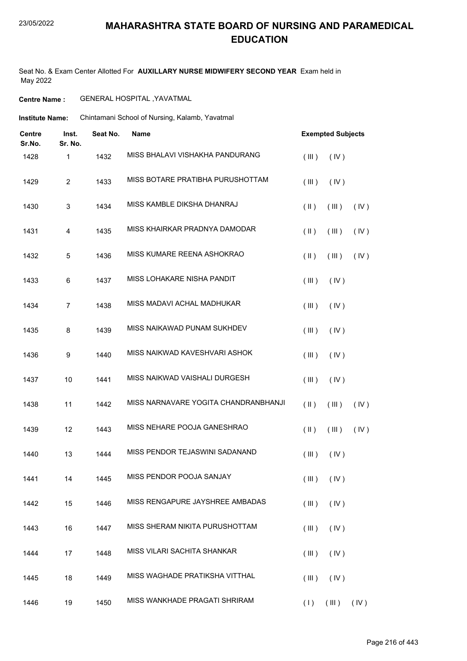Seat No. & Exam Center Allotted For **AUXILLARY NURSE MIDWIFERY SECOND YEAR** Exam held in May 2022

**Centre Name :** GENERAL HOSPITAL ,YAVATMAL

Institute Name: Chintamani School of Nursing, Kalamb, Yavatmal

| Centre<br>Sr.No. | Inst.<br>Sr. No. | Seat No. | <b>Name</b>                          | <b>Exempted Subjects</b> |                      |      |
|------------------|------------------|----------|--------------------------------------|--------------------------|----------------------|------|
| 1428             | 1                | 1432     | MISS BHALAVI VISHAKHA PANDURANG      | (III)                    | (IV)                 |      |
| 1429             | $\overline{c}$   | 1433     | MISS BOTARE PRATIBHA PURUSHOTTAM     | (III)                    | (IV)                 |      |
| 1430             | 3                | 1434     | MISS KAMBLE DIKSHA DHANRAJ           | $(\parallel)$            | (III)                | (IV) |
| 1431             | 4                | 1435     | MISS KHAIRKAR PRADNYA DAMODAR        | $(\parallel)$            | (III)                | (IV) |
| 1432             | 5                | 1436     | MISS KUMARE REENA ASHOKRAO           | $(\parallel)$            | (III)                | (IV) |
| 1433             | 6                | 1437     | MISS LOHAKARE NISHA PANDIT           | (III)                    | (IV)                 |      |
| 1434             | $\overline{7}$   | 1438     | MISS MADAVI ACHAL MADHUKAR           | (III)                    | (IV)                 |      |
| 1435             | 8                | 1439     | MISS NAIKAWAD PUNAM SUKHDEV          | (III)                    | (IV)                 |      |
| 1436             | 9                | 1440     | MISS NAIKWAD KAVESHVARI ASHOK        | (III)                    | (IV)                 |      |
| 1437             | 10               | 1441     | MISS NAIKWAD VAISHALI DURGESH        | (III)                    | (IV)                 |      |
| 1438             | 11               | 1442     | MISS NARNAVARE YOGITA CHANDRANBHANJI | $(\parallel)$            | (III)                | (IV) |
| 1439             | 12               | 1443     | MISS NEHARE POOJA GANESHRAO          | $(\parallel)$            | (III)                | (IV) |
| 1440             | 13               | 1444     | MISS PENDOR TEJASWINI SADANAND       | (III)                    | (IV)                 |      |
| 1441             | 14               | 1445     | MISS PENDOR POOJA SANJAY             |                          | $(III)$ $(IV)$       |      |
| 1442             | 15               | 1446     | MISS RENGAPURE JAYSHREE AMBADAS      | (III)                    | (IV)                 |      |
| 1443             | 16               | 1447     | MISS SHERAM NIKITA PURUSHOTTAM       | (III)                    | (IV)                 |      |
| 1444             | 17               | 1448     | MISS VILARI SACHITA SHANKAR          | (III)                    | (IV)                 |      |
| 1445             | 18               | 1449     | MISS WAGHADE PRATIKSHA VITTHAL       | (III)                    | (IV)                 |      |
| 1446             | 19               | 1450     | MISS WANKHADE PRAGATI SHRIRAM        |                          | $(1)$ $(III)$ $(IV)$ |      |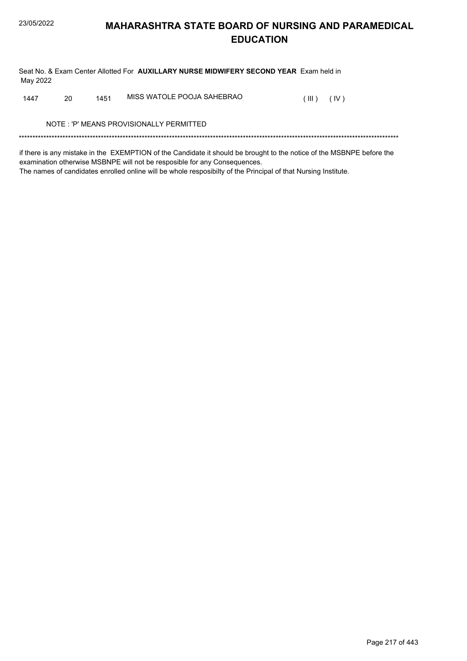Seat No. & Exam Center Allotted For AUXILLARY NURSE MIDWIFERY SECOND YEAR Exam held in May 2022

MISS WATOLE POOJA SAHEBRAO 1447 20 1451  $(III)$   $(IV)$ 

NOTE: 'P' MEANS PROVISIONALLY PERMITTED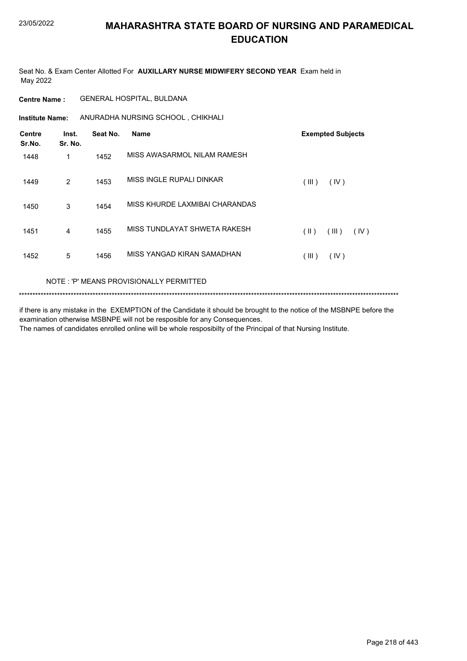Seat No. & Exam Center Allotted For **AUXILLARY NURSE MIDWIFERY SECOND YEAR** Exam held in May 2022

#### **Centre Name :** GENERAL HOSPITAL, BULDANA

**Institute Name:** ANURADHA NURSING SCHOOL , CHIKHALI

| <b>Centre</b><br>Sr.No. | Inst.<br>Sr. No. | Seat No. | <b>Name</b>                    | <b>Exempted Subjects</b> |
|-------------------------|------------------|----------|--------------------------------|--------------------------|
| 1448                    | 1                | 1452     | MISS AWASARMOL NILAM RAMESH    |                          |
| 1449                    | 2                | 1453     | MISS INGLE RUPALI DINKAR       | (III)<br>(IV)            |
| 1450                    | 3                | 1454     | MISS KHURDE LAXMIBAI CHARANDAS |                          |
| 1451                    | 4                | 1455     | MISS TUNDLAYAT SHWETA RAKESH   | (III)<br>(  )<br>(IV)    |
| 1452                    | 5                | 1456     | MISS YANGAD KIRAN SAMADHAN     | (III)<br>(IV)            |

#### NOTE : 'P' MEANS PROVISIONALLY PERMITTED

\*\*\*\*\*\*\*\*\*\*\*\*\*\*\*\*\*\*\*\*\*\*\*\*\*\*\*\*\*\*\*\*\*\*\*\*\*\*\*\*\*\*\*\*\*\*\*\*\*\*\*\*\*\*\*\*\*\*\*\*\*\*\*\*\*\*\*\*\*\*\*\*\*\*\*\*\*\*\*\*\*\*\*\*\*\*\*\*\*\*\*\*\*\*\*\*\*\*\*\*\*\*\*\*\*\*\*\*\*\*\*\*\*\*\*\*\*\*\*\*\*\*\*\*\*\*\*\*\*\*\*\*\*\*\*\*\*\*\*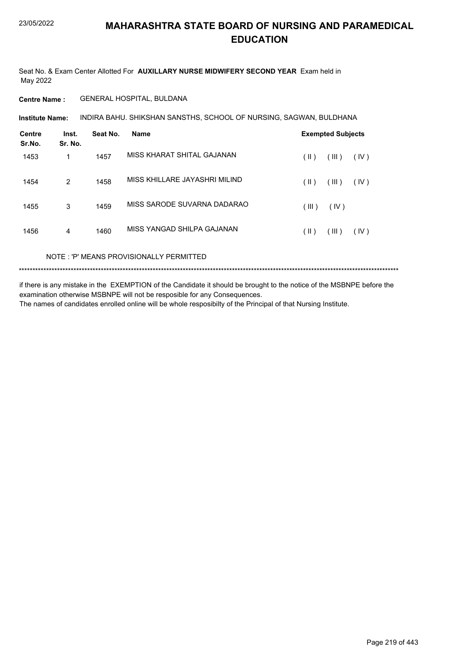Seat No. & Exam Center Allotted For **AUXILLARY NURSE MIDWIFERY SECOND YEAR** Exam held in May 2022

#### **Centre Name :** GENERAL HOSPITAL, BULDANA

**Institute Name: INDIRA BAHU. SHIKSHAN SANSTHS, SCHOOL OF NURSING, SAGWAN, BULDHANA** 

| <b>Centre</b><br>Sr.No. | Inst.<br>Sr. No. | Seat No. | Name                          |               | <b>Exempted Subjects</b> |      |
|-------------------------|------------------|----------|-------------------------------|---------------|--------------------------|------|
| 1453                    | 1                | 1457     | MISS KHARAT SHITAL GAJANAN    | (  )          | (III)                    | (IV) |
| 1454                    | 2                | 1458     | MISS KHILLARE JAYASHRI MILIND | $(\parallel)$ | (III)                    | (IV) |
| 1455                    | 3                | 1459     | MISS SARODE SUVARNA DADARAO   | (III)         | (IV)                     |      |
| 1456                    | 4                | 1460     | MISS YANGAD SHILPA GAJANAN    | (  )          | (III)                    | (IV) |

NOTE : 'P' MEANS PROVISIONALLY PERMITTED

\*\*\*\*\*\*\*\*\*\*\*\*\*\*\*\*\*\*\*\*\*\*\*\*\*\*\*\*\*\*\*\*\*\*\*\*\*\*\*\*\*\*\*\*\*\*\*\*\*\*\*\*\*\*\*\*\*\*\*\*\*\*\*\*\*\*\*\*\*\*\*\*\*\*\*\*\*\*\*\*\*\*\*\*\*\*\*\*\*\*\*\*\*\*\*\*\*\*\*\*\*\*\*\*\*\*\*\*\*\*\*\*\*\*\*\*\*\*\*\*\*\*\*\*\*\*\*\*\*\*\*\*\*\*\*\*\*\*\*

if there is any mistake in the EXEMPTION of the Candidate it should be brought to the notice of the MSBNPE before the examination otherwise MSBNPE will not be resposible for any Consequences.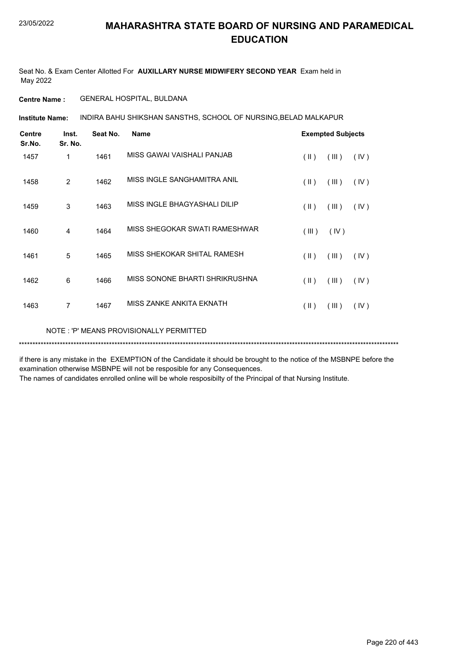Seat No. & Exam Center Allotted For **AUXILLARY NURSE MIDWIFERY SECOND YEAR** Exam held in May 2022

#### **Centre Name :** GENERAL HOSPITAL, BULDANA

INDIRA BAHU SHIKSHAN SANSTHS, SCHOOL OF NURSING,BELAD MALKAPUR **Institute Name:**

| <b>Centre</b><br>Sr.No. | Inst.<br>Sr. No. | Seat No. | <b>Name</b>                    |                         | <b>Exempted Subjects</b> |      |
|-------------------------|------------------|----------|--------------------------------|-------------------------|--------------------------|------|
| 1457                    | 1                | 1461     | MISS GAWAI VAISHALI PANJAB     | $(\parallel \parallel)$ | (III)                    | (IV) |
| 1458                    | $\overline{2}$   | 1462     | MISS INGLE SANGHAMITRA ANIL    | (  )                    | (III)                    | (IV) |
| 1459                    | 3                | 1463     | MISS INGLE BHAGYASHALI DILIP   | $($ II $)$              | (III)                    | (IV) |
| 1460                    | 4                | 1464     | MISS SHEGOKAR SWATI RAMESHWAR  | (III)                   | (IV)                     |      |
| 1461                    | 5                | 1465     | MISS SHEKOKAR SHITAL RAMESH    | $(\parallel)$           | (III)                    | (IV) |
| 1462                    | $6\phantom{1}6$  | 1466     | MISS SONONE BHARTI SHRIKRUSHNA | (  )                    | (III)                    | (IV) |
| 1463                    | 7                | 1467     | MISS ZANKE ANKITA EKNATH       | $($ II $)$              | (III)                    | (IV) |
|                         |                  |          |                                |                         |                          |      |

NOTE : 'P' MEANS PROVISIONALLY PERMITTED

#### \*\*\*\*\*\*\*\*\*\*\*\*\*\*\*\*\*\*\*\*\*\*\*\*\*\*\*\*\*\*\*\*\*\*\*\*\*\*\*\*\*\*\*\*\*\*\*\*\*\*\*\*\*\*\*\*\*\*\*\*\*\*\*\*\*\*\*\*\*\*\*\*\*\*\*\*\*\*\*\*\*\*\*\*\*\*\*\*\*\*\*\*\*\*\*\*\*\*\*\*\*\*\*\*\*\*\*\*\*\*\*\*\*\*\*\*\*\*\*\*\*\*\*\*\*\*\*\*\*\*\*\*\*\*\*\*\*\*\*

if there is any mistake in the EXEMPTION of the Candidate it should be brought to the notice of the MSBNPE before the examination otherwise MSBNPE will not be resposible for any Consequences.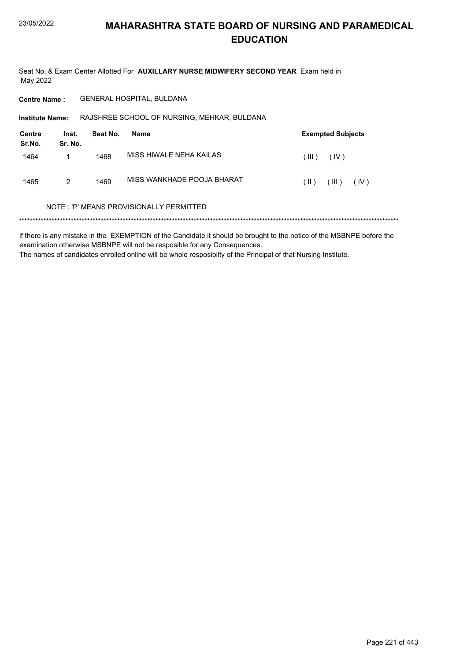Seat No. & Exam Center Allotted For AUXILLARY NURSE MIDWIFERY SECOND YEAR Exam held in May 2022

**GENERAL HOSPITAL, BULDANA Centre Name:** 

Institute Name: RAJSHREE SCHOOL OF NURSING, MEHKAR, BULDANA

| <b>Centre</b><br>Sr.No. | Inst.<br>Sr. No. | Seat No. | Name                       |        | <b>Exempted Subjects</b> |
|-------------------------|------------------|----------|----------------------------|--------|--------------------------|
| 1464                    |                  | 1468     | MISS HIWALE NEHA KAILAS    | (III)  | (IV)                     |
| 1465                    | 2                | 1469     | MISS WANKHADE POOJA BHARAT | $(\ )$ | $($ III $)$<br>(IV)      |

#### NOTE: 'P' MEANS PROVISIONALLY PERMITTED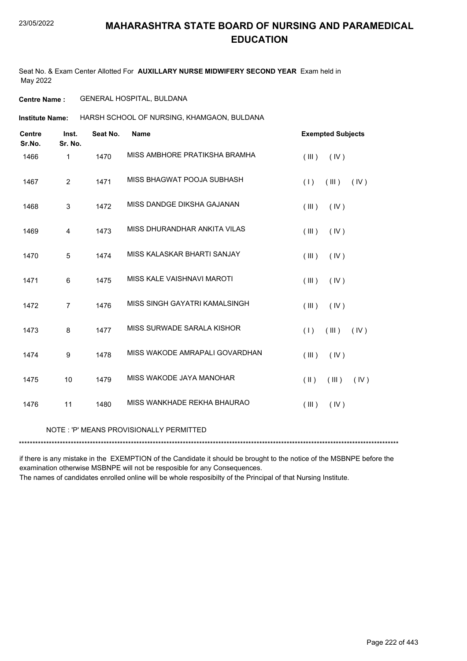Seat No. & Exam Center Allotted For **AUXILLARY NURSE MIDWIFERY SECOND YEAR** Exam held in May 2022

**Centre Name :** GENERAL HOSPITAL, BULDANA

HARSH SCHOOL OF NURSING, KHAMGAON, BULDANA **Institute Name:**

| <b>Centre</b><br>Sr.No. | Inst.<br>Sr. No. | Seat No. | <b>Name</b>                             | <b>Exempted Subjects</b>       |
|-------------------------|------------------|----------|-----------------------------------------|--------------------------------|
| 1466                    | 1                | 1470     | MISS AMBHORE PRATIKSHA BRAMHA           | (III)<br>(IV)                  |
| 1467                    | $\overline{2}$   | 1471     | MISS BHAGWAT POOJA SUBHASH              | (III)<br>(IV)<br>(1)           |
| 1468                    | $\mathbf{3}$     | 1472     | MISS DANDGE DIKSHA GAJANAN              | (IV)<br>(III)                  |
| 1469                    | $\overline{4}$   | 1473     | MISS DHURANDHAR ANKITA VILAS            | (III)<br>(IV)                  |
| 1470                    | 5                | 1474     | MISS KALASKAR BHARTI SANJAY             | (III)<br>(IV)                  |
| 1471                    | 6                | 1475     | MISS KALE VAISHNAVI MAROTI              | (IV)<br>(III)                  |
| 1472                    | $\overline{7}$   | 1476     | MISS SINGH GAYATRI KAMALSINGH           | (III)<br>(IV)                  |
| 1473                    | 8                | 1477     | MISS SURWADE SARALA KISHOR              | (1)<br>(III)<br>(IV)           |
| 1474                    | 9                | 1478     | MISS WAKODE AMRAPALI GOVARDHAN          | (III)<br>(IV)                  |
| 1475                    | 10               | 1479     | MISS WAKODE JAYA MANOHAR                | $(\parallel)$<br>(III)<br>(IV) |
| 1476                    | 11               | 1480     | MISS WANKHADE REKHA BHAURAO             | (IV)<br>(III)                  |
|                         |                  |          | NOTE: 'P' MEANS PROVISIONALLY PERMITTED |                                |

\*\*\*\*\*\*\*\*\*\*\*\*\*\*\*\*\*\*\*\*\*\*\*\*\*\*\*\*\*\*\*\*\*\*\*\*\*\*\*\*\*\*\*\*\*\*\*\*\*\*\*\*\*\*\*\*\*\*\*\*\*\*\*\*\*\*\*\*\*\*\*\*\*\*\*\*\*\*\*\*\*\*\*\*\*\*\*\*\*\*\*\*\*\*\*\*\*\*\*\*\*\*\*\*\*\*\*\*\*\*\*\*\*\*\*\*\*\*\*\*\*\*\*\*\*\*\*\*\*\*\*\*\*\*\*\*\*\*\*

if there is any mistake in the EXEMPTION of the Candidate it should be brought to the notice of the MSBNPE before the examination otherwise MSBNPE will not be resposible for any Consequences.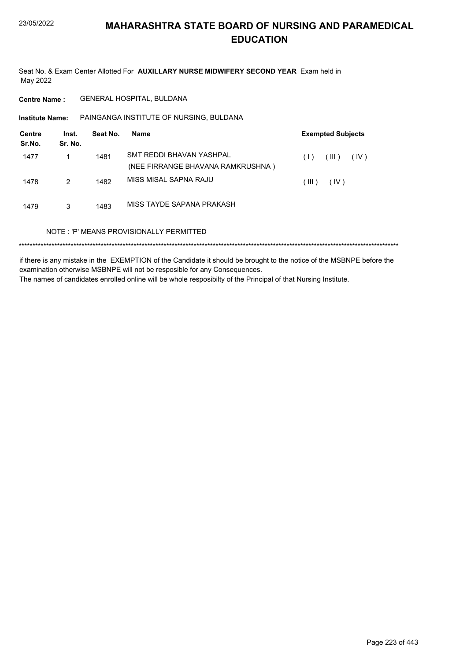Seat No. & Exam Center Allotted For AUXILLARY NURSE MIDWIFERY SECOND YEAR Exam held in May 2022

**Centre Name:** GENERAL HOSPITAL, BULDANA

PAINGANGA INSTITUTE OF NURSING, BULDANA **Institute Name:** 

| <b>Centre</b><br>Sr.No. | Inst.<br>Sr. No. | Seat No. | Name                                                          | <b>Exempted Subjects</b> |
|-------------------------|------------------|----------|---------------------------------------------------------------|--------------------------|
| 1477                    |                  | 1481     | SMT REDDI BHAVAN YASHPAL<br>(NEE FIRRANGE BHAVANA RAMKRUSHNA) | (III)<br>(IV)<br>(1)     |
| 1478                    | 2                | 1482     | MISS MISAL SAPNA RAJU                                         | (III)<br>(IV)            |
| 1479                    | 3                | 1483     | MISS TAYDE SAPANA PRAKASH                                     |                          |
|                         |                  |          | NOTE: 'P' MEANS PROVISIONALLY PERMITTED                       |                          |
|                         |                  |          |                                                               |                          |

if there is any mistake in the EXEMPTION of the Candidate it should be brought to the notice of the MSBNPE before the examination otherwise MSBNPE will not be resposible for any Consequences. The names of candidates enrolled online will be whole resposibilty of the Principal of that Nursing Institute.

Page 223 of 443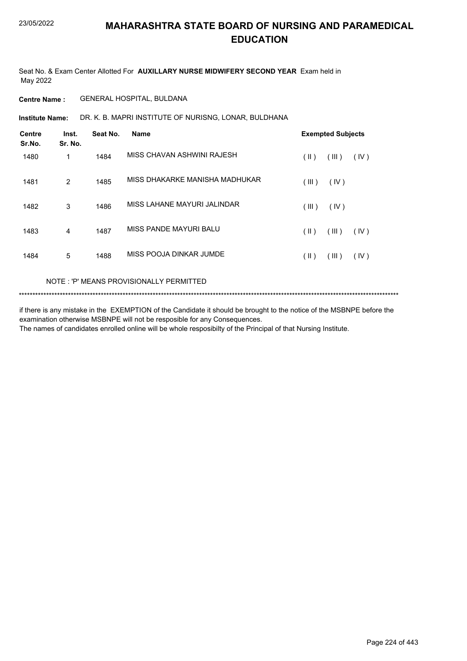Seat No. & Exam Center Allotted For **AUXILLARY NURSE MIDWIFERY SECOND YEAR** Exam held in May 2022

#### **Centre Name :** GENERAL HOSPITAL, BULDANA

DR. K. B. MAPRI INSTITUTE OF NURISNG, LONAR, BULDHANA **Institute Name:**

| <b>Centre</b><br>Sr.No. | Inst.<br>Sr. No. | Seat No. | Name                           |               | <b>Exempted Subjects</b> |      |
|-------------------------|------------------|----------|--------------------------------|---------------|--------------------------|------|
| 1480                    | 1                | 1484     | MISS CHAVAN ASHWINI RAJESH     | $(\parallel)$ | (III)                    | (IV) |
| 1481                    | $\overline{2}$   | 1485     | MISS DHAKARKE MANISHA MADHUKAR | (III)         | (IV)                     |      |
| 1482                    | 3                | 1486     | MISS LAHANE MAYURI JALINDAR    | (III)         | (IV)                     |      |
| 1483                    | 4                | 1487     | MISS PANDE MAYURI BALU         | (  )          | (III)                    | (IV) |
| 1484                    | 5                | 1488     | MISS POOJA DINKAR JUMDE        | (  )          | (III)                    | (IV) |

#### NOTE : 'P' MEANS PROVISIONALLY PERMITTED

\*\*\*\*\*\*\*\*\*\*\*\*\*\*\*\*\*\*\*\*\*\*\*\*\*\*\*\*\*\*\*\*\*\*\*\*\*\*\*\*\*\*\*\*\*\*\*\*\*\*\*\*\*\*\*\*\*\*\*\*\*\*\*\*\*\*\*\*\*\*\*\*\*\*\*\*\*\*\*\*\*\*\*\*\*\*\*\*\*\*\*\*\*\*\*\*\*\*\*\*\*\*\*\*\*\*\*\*\*\*\*\*\*\*\*\*\*\*\*\*\*\*\*\*\*\*\*\*\*\*\*\*\*\*\*\*\*\*\*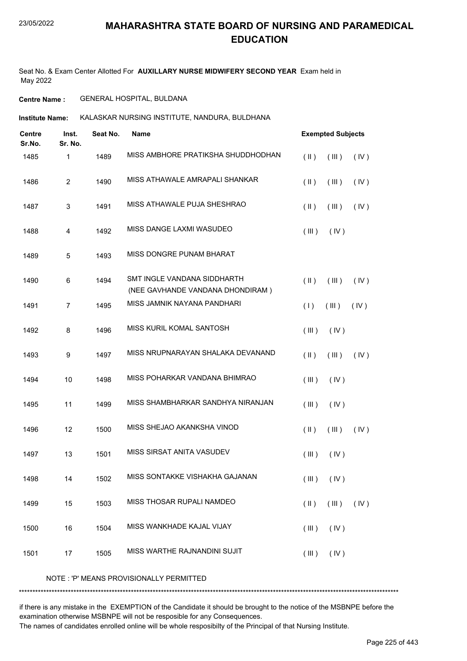Seat No. & Exam Center Allotted For **AUXILLARY NURSE MIDWIFERY SECOND YEAR** Exam held in May 2022

**Centre Name :** GENERAL HOSPITAL, BULDANA

**Institute Name:** KALASKAR NURSING INSTITUTE, NANDURA, BULDHANA

| <b>Centre</b><br>Sr.No. | Inst.<br>Sr. No.          | Seat No. | Name                                                            |               | <b>Exempted Subjects</b>       |      |
|-------------------------|---------------------------|----------|-----------------------------------------------------------------|---------------|--------------------------------|------|
| 1485                    | 1                         | 1489     | MISS AMBHORE PRATIKSHA SHUDDHODHAN                              | $(\parallel)$ | (III)                          | (IV) |
| 1486                    | $\sqrt{2}$                | 1490     | MISS ATHAWALE AMRAPALI SHANKAR                                  | $(\parallel)$ | (III)                          | (IV) |
| 1487                    | $\ensuremath{\mathsf{3}}$ | 1491     | MISS ATHAWALE PUJA SHESHRAO                                     | $(\parallel)$ | (III)                          | (IV) |
| 1488                    | $\overline{\mathbf{4}}$   | 1492     | MISS DANGE LAXMI WASUDEO                                        | (III)         | (IV)                           |      |
| 1489                    | 5                         | 1493     | MISS DONGRE PUNAM BHARAT                                        |               |                                |      |
| 1490                    | 6                         | 1494     | SMT INGLE VANDANA SIDDHARTH<br>(NEE GAVHANDE VANDANA DHONDIRAM) | $(\parallel)$ | (III)                          | (IV) |
| 1491                    | $\boldsymbol{7}$          | 1495     | MISS JAMNIK NAYANA PANDHARI                                     | (1)           | (III)                          | (IV) |
| 1492                    | 8                         | 1496     | MISS KURIL KOMAL SANTOSH                                        | (III)         | (IV)                           |      |
| 1493                    | 9                         | 1497     | MISS NRUPNARAYAN SHALAKA DEVANAND                               | (  )          | (III)                          | (IV) |
| 1494                    | 10                        | 1498     | MISS POHARKAR VANDANA BHIMRAO                                   | (III)         | (IV)                           |      |
| 1495                    | 11                        | 1499     | MISS SHAMBHARKAR SANDHYA NIRANJAN                               | $($ III $)$   | (IV)                           |      |
| 1496                    | 12                        | 1500     | MISS SHEJAO AKANKSHA VINOD                                      | $(\parallel)$ | (III)                          | (IV) |
| 1497                    | 13                        | 1501     | MISS SIRSAT ANITA VASUDEV                                       | (III)         | (IV)                           |      |
| 1498                    | 14                        | 1502     | MISS SONTAKKE VISHAKHA GAJANAN                                  |               | $(\mathbb{II})$ $(\mathbb{N})$ |      |
| 1499                    | 15                        | 1503     | MISS THOSAR RUPALI NAMDEO                                       | $(\parallel)$ | (III)                          | (IV) |
| 1500                    | 16                        | 1504     | MISS WANKHADE KAJAL VIJAY                                       | (III)         | (IV)                           |      |
| 1501                    | 17                        | 1505     | MISS WARTHE RAJNANDINI SUJIT                                    | (III)         | (IV)                           |      |

NOTE : 'P' MEANS PROVISIONALLY PERMITTED

\*\*\*\*\*\*\*\*\*\*\*\*\*\*\*\*\*\*\*\*\*\*\*\*\*\*\*\*\*\*\*\*\*\*\*\*\*\*\*\*\*\*\*\*\*\*\*\*\*\*\*\*\*\*\*\*\*\*\*\*\*\*\*\*\*\*\*\*\*\*\*\*\*\*\*\*\*\*\*\*\*\*\*\*\*\*\*\*\*\*\*\*\*\*\*\*\*\*\*\*\*\*\*\*\*\*\*\*\*\*\*\*\*\*\*\*\*\*\*\*\*\*\*\*\*\*\*\*\*\*\*\*\*\*\*\*\*\*\*

if there is any mistake in the EXEMPTION of the Candidate it should be brought to the notice of the MSBNPE before the examination otherwise MSBNPE will not be resposible for any Consequences.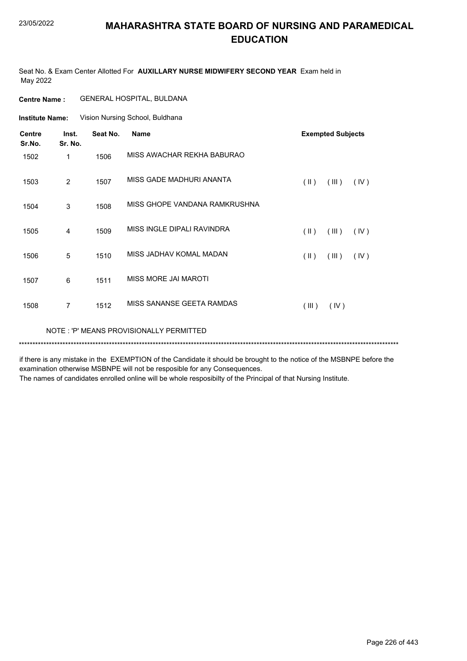Seat No. & Exam Center Allotted For **AUXILLARY NURSE MIDWIFERY SECOND YEAR** Exam held in May 2022

#### **Centre Name :** GENERAL HOSPITAL, BULDANA

Vision Nursing School, Buldhana **Institute Name:**

| <b>Centre</b><br>Sr.No. | Inst.<br>Sr. No. | Seat No. | <b>Name</b>                             |               | <b>Exempted Subjects</b> |      |
|-------------------------|------------------|----------|-----------------------------------------|---------------|--------------------------|------|
| 1502                    | 1                | 1506     | MISS AWACHAR REKHA BABURAO              |               |                          |      |
| 1503                    | 2                | 1507     | MISS GADE MADHURI ANANTA                | $(\parallel)$ | (III)                    | (IV) |
| 1504                    | 3                | 1508     | MISS GHOPE VANDANA RAMKRUSHNA           |               |                          |      |
| 1505                    | 4                | 1509     | MISS INGLE DIPALI RAVINDRA              | (  )          | (III)                    | (IV) |
| 1506                    | 5                | 1510     | MISS JADHAV KOMAL MADAN                 | $(\parallel)$ | (III)                    | (IV) |
| 1507                    | 6                | 1511     | MISS MORE JAI MAROTI                    |               |                          |      |
| 1508                    | $\overline{7}$   | 1512     | MISS SANANSE GEETA RAMDAS               | (III)         | (IV)                     |      |
|                         |                  |          | NOTE: 'P' MEANS PROVISIONALLY PERMITTED |               |                          |      |
|                         |                  |          |                                         |               |                          |      |

if there is any mistake in the EXEMPTION of the Candidate it should be brought to the notice of the MSBNPE before the examination otherwise MSBNPE will not be resposible for any Consequences.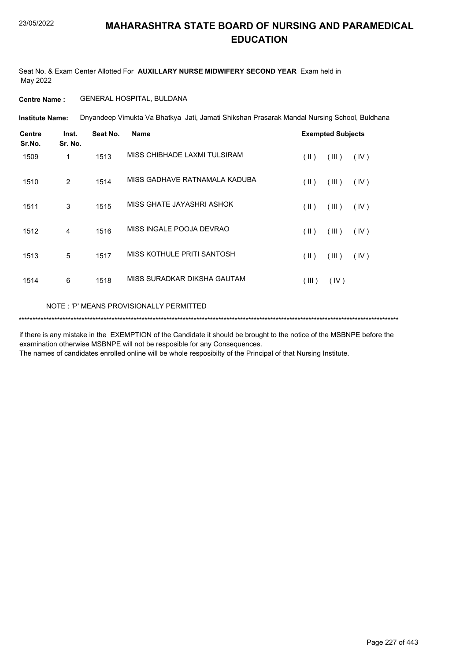Seat No. & Exam Center Allotted For **AUXILLARY NURSE MIDWIFERY SECOND YEAR** Exam held in May 2022

#### **Centre Name :** GENERAL HOSPITAL, BULDANA

Dnyandeep Vimukta Va Bhatkya Jati, Jamati Shikshan Prasarak Mandal Nursing School, Buldhana **Institute Name:**

| <b>Centre</b><br>Sr.No. | Inst.<br>Sr. No. | Seat No. | <b>Name</b>                   |               | <b>Exempted Subjects</b> |      |
|-------------------------|------------------|----------|-------------------------------|---------------|--------------------------|------|
| 1509                    | $\mathbf{1}$     | 1513     | MISS CHIBHADE LAXMI TULSIRAM  | (  )          | (III)                    | (IV) |
| 1510                    | 2                | 1514     | MISS GADHAVE RATNAMALA KADUBA | (  )          | (III)                    | (IV) |
| 1511                    | 3                | 1515     | MISS GHATE JAYASHRI ASHOK     | $(\parallel)$ | (III)                    | (IV) |
| 1512                    | 4                | 1516     | MISS INGALE POOJA DEVRAO      | $(\parallel)$ | (III)                    | (IV) |
| 1513                    | 5                | 1517     | MISS KOTHULE PRITI SANTOSH    | $(\parallel)$ | (III)                    | (IV) |
| 1514                    | 6                | 1518     | MISS SURADKAR DIKSHA GAUTAM   | (III)         | (IV)                     |      |

#### NOTE : 'P' MEANS PROVISIONALLY PERMITTED

\*\*\*\*\*\*\*\*\*\*\*\*\*\*\*\*\*\*\*\*\*\*\*\*\*\*\*\*\*\*\*\*\*\*\*\*\*\*\*\*\*\*\*\*\*\*\*\*\*\*\*\*\*\*\*\*\*\*\*\*\*\*\*\*\*\*\*\*\*\*\*\*\*\*\*\*\*\*\*\*\*\*\*\*\*\*\*\*\*\*\*\*\*\*\*\*\*\*\*\*\*\*\*\*\*\*\*\*\*\*\*\*\*\*\*\*\*\*\*\*\*\*\*\*\*\*\*\*\*\*\*\*\*\*\*\*\*\*\*

if there is any mistake in the EXEMPTION of the Candidate it should be brought to the notice of the MSBNPE before the examination otherwise MSBNPE will not be resposible for any Consequences.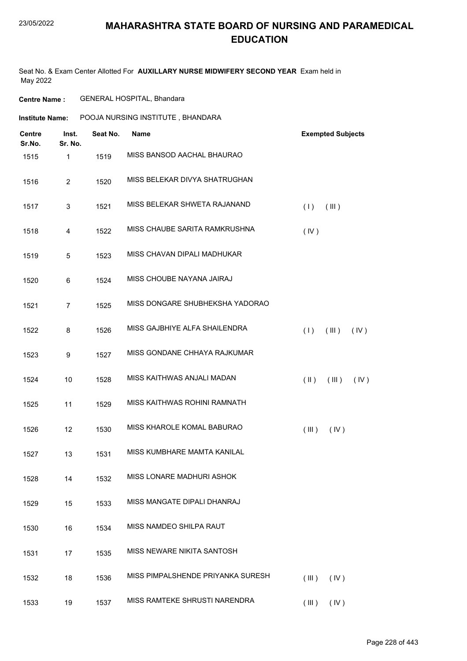#### 23/05/2022

## **MAHARASHTRA STATE BOARD OF NURSING AND PARAMEDICAL EDUCATION**

Seat No. & Exam Center Allotted For **AUXILLARY NURSE MIDWIFERY SECOND YEAR** Exam held in May 2022

| <b>Institute Name:</b>  |                  | POOJA NURSING INSTITUTE, BHANDARA |                                   |                                |  |  |  |
|-------------------------|------------------|-----------------------------------|-----------------------------------|--------------------------------|--|--|--|
| <b>Centre</b><br>Sr.No. | Inst.<br>Sr. No. | Seat No.                          | <b>Name</b>                       | <b>Exempted Subjects</b>       |  |  |  |
| 1515                    | $\mathbf{1}$     | 1519                              | MISS BANSOD AACHAL BHAURAO        |                                |  |  |  |
| 1516                    | $\overline{2}$   | 1520                              | MISS BELEKAR DIVYA SHATRUGHAN     |                                |  |  |  |
| 1517                    | 3                | 1521                              | MISS BELEKAR SHWETA RAJANAND      | (1)<br>(III)                   |  |  |  |
| 1518                    | 4                | 1522                              | MISS CHAUBE SARITA RAMKRUSHNA     | (IV)                           |  |  |  |
| 1519                    | 5                | 1523                              | MISS CHAVAN DIPALI MADHUKAR       |                                |  |  |  |
| 1520                    | 6                | 1524                              | MISS CHOUBE NAYANA JAIRAJ         |                                |  |  |  |
| 1521                    | $\overline{7}$   | 1525                              | MISS DONGARE SHUBHEKSHA YADORAO   |                                |  |  |  |
| 1522                    | 8                | 1526                              | MISS GAJBHIYE ALFA SHAILENDRA     | (1)<br>(III)<br>(IV)           |  |  |  |
| 1523                    | 9                | 1527                              | MISS GONDANE CHHAYA RAJKUMAR      |                                |  |  |  |
| 1524                    | 10               | 1528                              | MISS KAITHWAS ANJALI MADAN        | $(\parallel)$<br>(III)<br>(IV) |  |  |  |
| 1525                    | 11               | 1529                              | MISS KAITHWAS ROHINI RAMNATH      |                                |  |  |  |
| 1526                    | 12               | 1530                              | MISS KHAROLE KOMAL BABURAO        | (III)<br>(IV)                  |  |  |  |
| 1527                    | 13               | 1531                              | MISS KUMBHARE MAMTA KANILAL       |                                |  |  |  |
| 1528                    | 14               | 1532                              | MISS LONARE MADHURI ASHOK         |                                |  |  |  |
| 1529                    | 15               | 1533                              | MISS MANGATE DIPALI DHANRAJ       |                                |  |  |  |
| 1530                    | 16               | 1534                              | MISS NAMDEO SHILPA RAUT           |                                |  |  |  |
| 1531                    | 17               | 1535                              | MISS NEWARE NIKITA SANTOSH        |                                |  |  |  |
| 1532                    | 18               | 1536                              | MISS PIMPALSHENDE PRIYANKA SURESH | (III)<br>(IV)                  |  |  |  |
| 1533                    | 19               | 1537                              | MISS RAMTEKE SHRUSTI NARENDRA     | $(III)$ $(IV)$                 |  |  |  |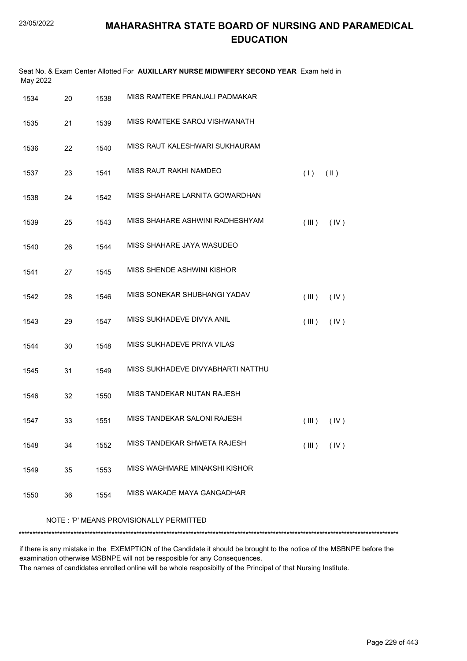| Seat No. & Exam Center Allotted For AUXILLARY NURSE MIDWIFERY SECOND YEAR Exam held in<br>May 2022 |    |      |                                   |       |                |  |
|----------------------------------------------------------------------------------------------------|----|------|-----------------------------------|-------|----------------|--|
| 1534                                                                                               | 20 | 1538 | MISS RAMTEKE PRANJALI PADMAKAR    |       |                |  |
| 1535                                                                                               | 21 | 1539 | MISS RAMTEKE SAROJ VISHWANATH     |       |                |  |
| 1536                                                                                               | 22 | 1540 | MISS RAUT KALESHWARI SUKHAURAM    |       |                |  |
| 1537                                                                                               | 23 | 1541 | MISS RAUT RAKHI NAMDEO            | (1)   | $(\parallel)$  |  |
| 1538                                                                                               | 24 | 1542 | MISS SHAHARE LARNITA GOWARDHAN    |       |                |  |
| 1539                                                                                               | 25 | 1543 | MISS SHAHARE ASHWINI RADHESHYAM   | (III) | (IV)           |  |
| 1540                                                                                               | 26 | 1544 | MISS SHAHARE JAYA WASUDEO         |       |                |  |
| 1541                                                                                               | 27 | 1545 | MISS SHENDE ASHWINI KISHOR        |       |                |  |
| 1542                                                                                               | 28 | 1546 | MISS SONEKAR SHUBHANGI YADAV      | (III) | (IV)           |  |
| 1543                                                                                               | 29 | 1547 | MISS SUKHADEVE DIVYA ANIL         | (III) | (IV)           |  |
| 1544                                                                                               | 30 | 1548 | MISS SUKHADEVE PRIYA VILAS        |       |                |  |
| 1545                                                                                               | 31 | 1549 | MISS SUKHADEVE DIVYABHARTI NATTHU |       |                |  |
| 1546                                                                                               | 32 | 1550 | MISS TANDEKAR NUTAN RAJESH        |       |                |  |
| 1547                                                                                               | 33 | 1551 | MISS TANDEKAR SALONI RAJESH       |       | $(III)$ $(IV)$ |  |
| 1548                                                                                               | 34 | 1552 | MISS TANDEKAR SHWETA RAJESH       | (III) | (IV)           |  |
| 1549                                                                                               | 35 | 1553 | MISS WAGHMARE MINAKSHI KISHOR     |       |                |  |
| 1550                                                                                               | 36 | 1554 | MISS WAKADE MAYA GANGADHAR        |       |                |  |
|                                                                                                    |    |      |                                   |       |                |  |

#### NOTE : 'P' MEANS PROVISIONALLY PERMITTED

\*\*\*\*\*\*\*\*\*\*\*\*\*\*\*\*\*\*\*\*\*\*\*\*\*\*\*\*\*\*\*\*\*\*\*\*\*\*\*\*\*\*\*\*\*\*\*\*\*\*\*\*\*\*\*\*\*\*\*\*\*\*\*\*\*\*\*\*\*\*\*\*\*\*\*\*\*\*\*\*\*\*\*\*\*\*\*\*\*\*\*\*\*\*\*\*\*\*\*\*\*\*\*\*\*\*\*\*\*\*\*\*\*\*\*\*\*\*\*\*\*\*\*\*\*\*\*\*\*\*\*\*\*\*\*\*\*\*\*

if there is any mistake in the EXEMPTION of the Candidate it should be brought to the notice of the MSBNPE before the examination otherwise MSBNPE will not be resposible for any Consequences.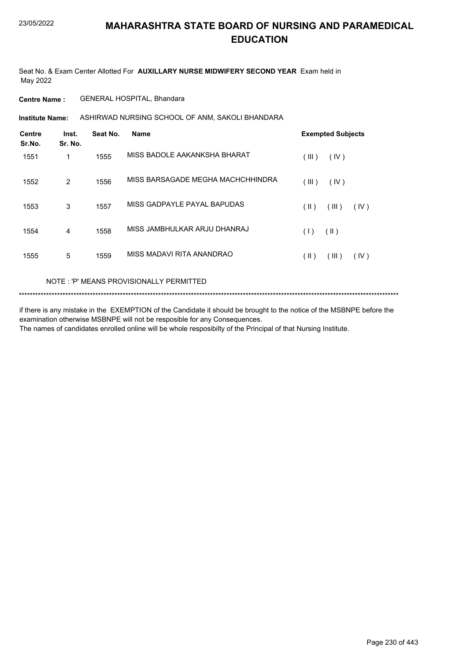Seat No. & Exam Center Allotted For **AUXILLARY NURSE MIDWIFERY SECOND YEAR** Exam held in May 2022

**Centre Name :** GENERAL HOSPITAL, Bhandara

ASHIRWAD NURSING SCHOOL OF ANM, SAKOLI BHANDARA **Institute Name:**

| <b>Centre</b><br>Sr.No. | Inst.<br>Sr. No. | Seat No. | <b>Name</b>                       | <b>Exempted Subjects</b> |
|-------------------------|------------------|----------|-----------------------------------|--------------------------|
| 1551                    | 1                | 1555     | MISS BADOLE AAKANKSHA BHARAT      | (III)<br>(IV)            |
| 1552                    | 2                | 1556     | MISS BARSAGADE MEGHA MACHCHHINDRA | (III)<br>(IV)            |
| 1553                    | 3                | 1557     | MISS GADPAYLE PAYAL BAPUDAS       | (III)<br>(  )<br>(IV)    |
| 1554                    | $\overline{4}$   | 1558     | MISS JAMBHULKAR ARJU DHANRAJ      | $(\parallel)$<br>(1)     |
| 1555                    | 5                | 1559     | MISS MADAVI RITA ANANDRAO         | (III)<br>( II )<br>(IV)  |

NOTE : 'P' MEANS PROVISIONALLY PERMITTED

\*\*\*\*\*\*\*\*\*\*\*\*\*\*\*\*\*\*\*\*\*\*\*\*\*\*\*\*\*\*\*\*\*\*\*\*\*\*\*\*\*\*\*\*\*\*\*\*\*\*\*\*\*\*\*\*\*\*\*\*\*\*\*\*\*\*\*\*\*\*\*\*\*\*\*\*\*\*\*\*\*\*\*\*\*\*\*\*\*\*\*\*\*\*\*\*\*\*\*\*\*\*\*\*\*\*\*\*\*\*\*\*\*\*\*\*\*\*\*\*\*\*\*\*\*\*\*\*\*\*\*\*\*\*\*\*\*\*\*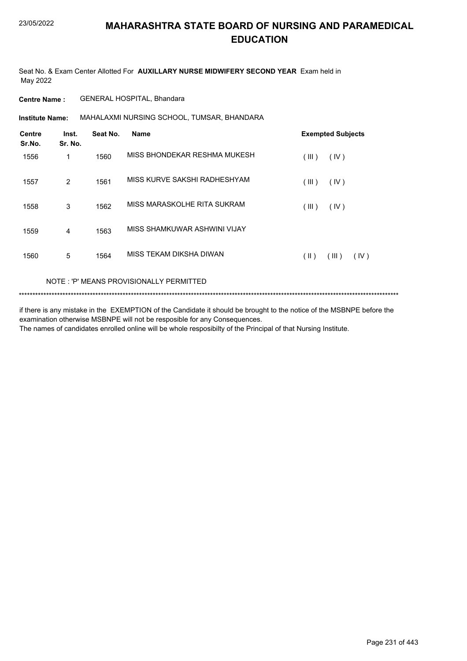Seat No. & Exam Center Allotted For **AUXILLARY NURSE MIDWIFERY SECOND YEAR** Exam held in May 2022

**Centre Name :** GENERAL HOSPITAL, Bhandara

**Institute Name:** MAHALAXMI NURSING SCHOOL, TUMSAR, BHANDARA

| <b>Centre</b><br>Sr.No. | Inst.<br>Sr. No. | Seat No. | <b>Name</b>                  | <b>Exempted Subjects</b> |
|-------------------------|------------------|----------|------------------------------|--------------------------|
| 1556                    | 1                | 1560     | MISS BHONDEKAR RESHMA MUKESH | (III)<br>(IV)            |
| 1557                    | 2                | 1561     | MISS KURVE SAKSHI RADHESHYAM | (III)<br>(IV)            |
| 1558                    | 3                | 1562     | MISS MARASKOLHE RITA SUKRAM  | (III)<br>(IV)            |
| 1559                    | 4                | 1563     | MISS SHAMKUWAR ASHWINI VIJAY |                          |
| 1560                    | 5                | 1564     | MISS TEKAM DIKSHA DIWAN      | (  )<br>(III)<br>(IV)    |

#### NOTE : 'P' MEANS PROVISIONALLY PERMITTED

\*\*\*\*\*\*\*\*\*\*\*\*\*\*\*\*\*\*\*\*\*\*\*\*\*\*\*\*\*\*\*\*\*\*\*\*\*\*\*\*\*\*\*\*\*\*\*\*\*\*\*\*\*\*\*\*\*\*\*\*\*\*\*\*\*\*\*\*\*\*\*\*\*\*\*\*\*\*\*\*\*\*\*\*\*\*\*\*\*\*\*\*\*\*\*\*\*\*\*\*\*\*\*\*\*\*\*\*\*\*\*\*\*\*\*\*\*\*\*\*\*\*\*\*\*\*\*\*\*\*\*\*\*\*\*\*\*\*\*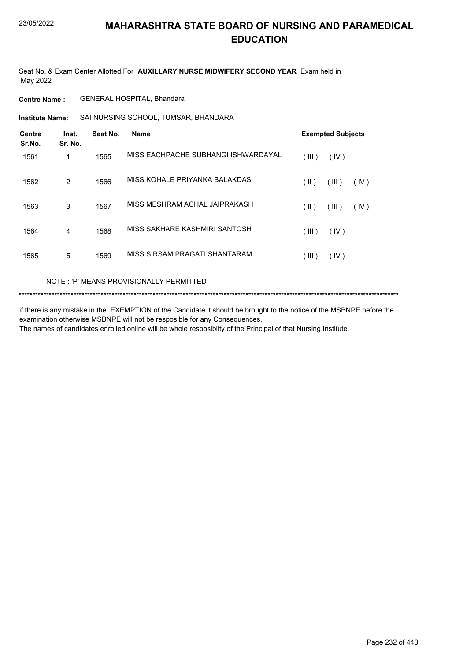Seat No. & Exam Center Allotted For **AUXILLARY NURSE MIDWIFERY SECOND YEAR** Exam held in May 2022

**Centre Name :** GENERAL HOSPITAL, Bhandara

SAI NURSING SCHOOL, TUMSAR, BHANDARA **Institute Name:**

| <b>Centre</b><br>Sr.No. | Inst.<br>Sr. No. | Seat No. | Name                                |         | <b>Exempted Subjects</b> |      |  |
|-------------------------|------------------|----------|-------------------------------------|---------|--------------------------|------|--|
| 1561                    | 1                | 1565     | MISS EACHPACHE SUBHANGI ISHWARDAYAL | (III)   | (IV)                     |      |  |
| 1562                    | 2                | 1566     | MISS KOHALE PRIYANKA BALAKDAS       | (  )    | (III)                    | (IV) |  |
| 1563                    | 3                | 1567     | MISS MESHRAM ACHAL JAIPRAKASH       | (  )    | (III)                    | (IV) |  |
| 1564                    | 4                | 1568     | MISS SAKHARE KASHMIRI SANTOSH       | (III)   | (IV)                     |      |  |
| 1565                    | 5                | 1569     | MISS SIRSAM PRAGATI SHANTARAM       | $III$ ) | (IV)                     |      |  |

NOTE : 'P' MEANS PROVISIONALLY PERMITTED

\*\*\*\*\*\*\*\*\*\*\*\*\*\*\*\*\*\*\*\*\*\*\*\*\*\*\*\*\*\*\*\*\*\*\*\*\*\*\*\*\*\*\*\*\*\*\*\*\*\*\*\*\*\*\*\*\*\*\*\*\*\*\*\*\*\*\*\*\*\*\*\*\*\*\*\*\*\*\*\*\*\*\*\*\*\*\*\*\*\*\*\*\*\*\*\*\*\*\*\*\*\*\*\*\*\*\*\*\*\*\*\*\*\*\*\*\*\*\*\*\*\*\*\*\*\*\*\*\*\*\*\*\*\*\*\*\*\*\*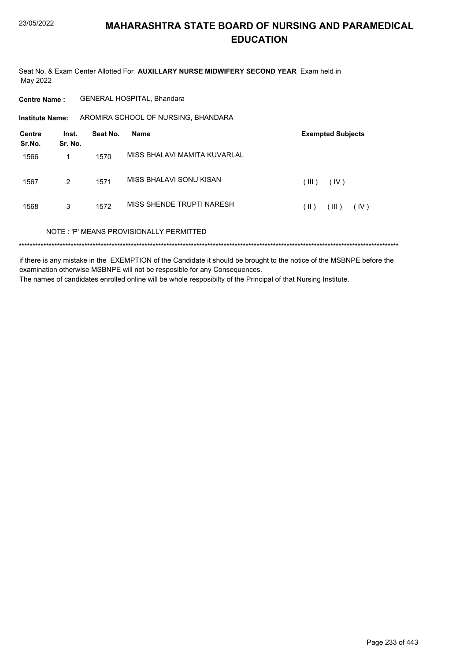Seat No. & Exam Center Allotted For AUXILLARY NURSE MIDWIFERY SECOND YEAR Exam held in May 2022

GENERAL HOSPITAL, Bhandara **Centre Name:** AROMIRA SCHOOL OF NURSING, BHANDARA **Institute Name: Centre** Inst. **Exempted Subjects** Seat No. **Name** Sr.No. Sr. No. MISS BHALAVI MAMITA KUVARLAL 1566  $\mathbf{1}$ 1570 MISS BHALAVI SONU KISAN 1567  $\overline{2}$ 1571  $(III)$  $(IV)$ MISS SHENDE TRUPTI NARESH 1568  $\overline{3}$ 1572  $(\mathbb{I})$   $(\mathbb{II})$   $(\mathbb{IV})$ NOTE: 'P' MEANS PROVISIONALLY PERMITTED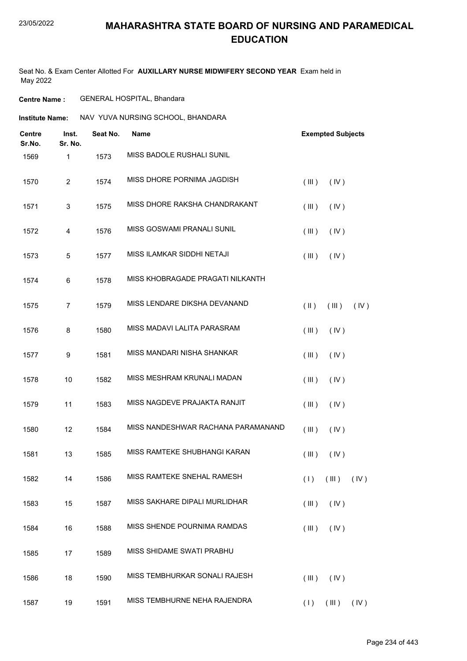#### 23/05/2022

#### **MAHARASHTRA STATE BOARD OF NURSING AND PARAMEDICAL EDUCATION**

Seat No. & Exam Center Allotted For **AUXILLARY NURSE MIDWIFERY SECOND YEAR** Exam held in May 2022

#### **Centre Name :** GENERAL HOSPITAL, Bhandara

| NAV YUVA NURSING SCHOOL, BHANDARA<br><b>Institute Name:</b> |
|-------------------------------------------------------------|
|-------------------------------------------------------------|

| <b>Centre</b><br>Sr.No. | Inst.<br>Sr. No. | Seat No. | <b>Name</b>                        |            | <b>Exempted Subjects</b> |      |
|-------------------------|------------------|----------|------------------------------------|------------|--------------------------|------|
| 1569                    | 1                | 1573     | MISS BADOLE RUSHALI SUNIL          |            |                          |      |
| 1570                    | $\overline{c}$   | 1574     | MISS DHORE PORNIMA JAGDISH         | (III)      | (IV)                     |      |
| 1571                    | 3                | 1575     | MISS DHORE RAKSHA CHANDRAKANT      | (III)      | (IV)                     |      |
| 1572                    | 4                | 1576     | MISS GOSWAMI PRANALI SUNIL         | (III)      | (IV)                     |      |
| 1573                    | 5                | 1577     | MISS ILAMKAR SIDDHI NETAJI         | (III)      | (IV)                     |      |
| 1574                    | 6                | 1578     | MISS KHOBRAGADE PRAGATI NILKANTH   |            |                          |      |
| 1575                    | $\overline{7}$   | 1579     | MISS LENDARE DIKSHA DEVANAND       | $($ II $)$ | (III)                    | (IV) |
| 1576                    | 8                | 1580     | MISS MADAVI LALITA PARASRAM        | (III)      | (IV)                     |      |
| 1577                    | 9                | 1581     | MISS MANDARI NISHA SHANKAR         | (III)      | (IV)                     |      |
| 1578                    | 10               | 1582     | MISS MESHRAM KRUNALI MADAN         | (III)      | (IV)                     |      |
| 1579                    | 11               | 1583     | MISS NAGDEVE PRAJAKTA RANJIT       | (III)      | (IV)                     |      |
| 1580                    | 12               | 1584     | MISS NANDESHWAR RACHANA PARAMANAND | (III)      | (IV)                     |      |
| 1581                    | 13               | 1585     | MISS RAMTEKE SHUBHANGI KARAN       | (III)      | (IV)                     |      |
| 1582                    | 14               | 1586     | MISS RAMTEKE SNEHAL RAMESH         |            | $(1)$ $(11)$ $(10)$      |      |
| 1583                    | 15               | 1587     | MISS SAKHARE DIPALI MURLIDHAR      | (III)      | (IV)                     |      |
| 1584                    | 16               | 1588     | MISS SHENDE POURNIMA RAMDAS        | (III)      | (IV)                     |      |
| 1585                    | 17               | 1589     | MISS SHIDAME SWATI PRABHU          |            |                          |      |
| 1586                    | 18               | 1590     | MISS TEMBHURKAR SONALI RAJESH      | (III)      | (IV)                     |      |
| 1587                    | 19               | 1591     | MISS TEMBHURNE NEHA RAJENDRA       |            | $(1)$ $(11)$ $(10)$      |      |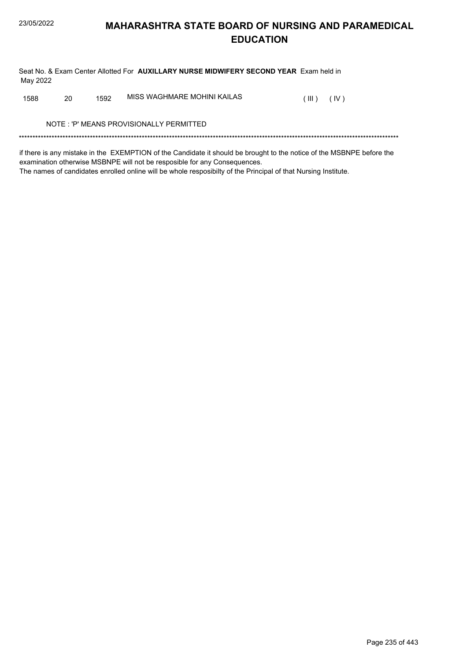Seat No. & Exam Center Allotted For AUXILLARY NURSE MIDWIFERY SECOND YEAR Exam held in May 2022

MISS WAGHMARE MOHINI KAILAS 1588 20 1592  $(III)$   $(IV)$ 

NOTE: 'P' MEANS PROVISIONALLY PERMITTED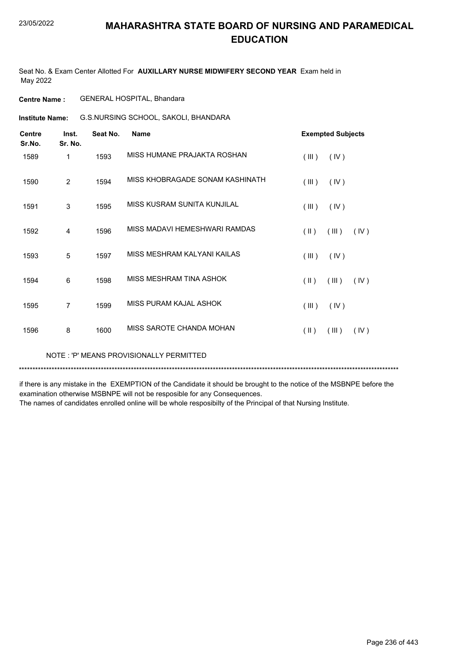Seat No. & Exam Center Allotted For **AUXILLARY NURSE MIDWIFERY SECOND YEAR** Exam held in May 2022

**Centre Name :** GENERAL HOSPITAL, Bhandara

G.S.NURSING SCHOOL, SAKOLI, BHANDARA **Institute Name:**

| <b>Centre</b><br>Sr.No. | Inst.<br>Sr. No. | Seat No. | <b>Name</b>                     | <b>Exempted Subjects</b>                 |
|-------------------------|------------------|----------|---------------------------------|------------------------------------------|
| 1589                    | 1                | 1593     | MISS HUMANE PRAJAKTA ROSHAN     | (III)<br>(IV)                            |
| 1590                    | $\overline{2}$   | 1594     | MISS KHOBRAGADE SONAM KASHINATH | (III)<br>(IV)                            |
| 1591                    | 3                | 1595     | MISS KUSRAM SUNITA KUNJILAL     | (III)<br>(IV)                            |
| 1592                    | $\overline{4}$   | 1596     | MISS MADAVI HEMESHWARI RAMDAS   | (III)<br>$(\parallel \parallel)$<br>(IV) |
| 1593                    | 5                | 1597     | MISS MESHRAM KALYANI KAILAS     | (III)<br>(IV)                            |
| 1594                    | 6                | 1598     | MISS MESHRAM TINA ASHOK         | (III)<br>$(\parallel \parallel)$<br>(IV) |
| 1595                    | 7                | 1599     | MISS PURAM KAJAL ASHOK          | (III)<br>(IV)                            |
| 1596                    | 8                | 1600     | MISS SAROTE CHANDA MOHAN        | (III)<br>$(\parallel)$<br>(IV)           |

NOTE : 'P' MEANS PROVISIONALLY PERMITTED

\*\*\*\*\*\*\*\*\*\*\*\*\*\*\*\*\*\*\*\*\*\*\*\*\*\*\*\*\*\*\*\*\*\*\*\*\*\*\*\*\*\*\*\*\*\*\*\*\*\*\*\*\*\*\*\*\*\*\*\*\*\*\*\*\*\*\*\*\*\*\*\*\*\*\*\*\*\*\*\*\*\*\*\*\*\*\*\*\*\*\*\*\*\*\*\*\*\*\*\*\*\*\*\*\*\*\*\*\*\*\*\*\*\*\*\*\*\*\*\*\*\*\*\*\*\*\*\*\*\*\*\*\*\*\*\*\*\*\*

if there is any mistake in the EXEMPTION of the Candidate it should be brought to the notice of the MSBNPE before the examination otherwise MSBNPE will not be resposible for any Consequences.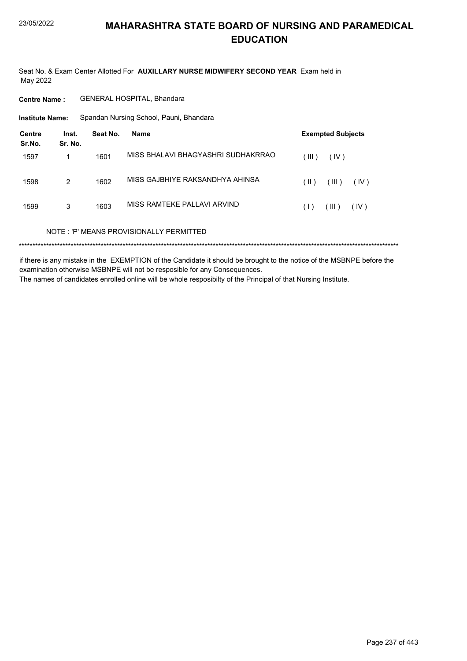Seat No. & Exam Center Allotted For AUXILLARY NURSE MIDWIFERY SECOND YEAR Exam held in May 2022

**Centre Name:** GENERAL HOSPITAL, Bhandara

**Institute Name:** Spandan Nursing School, Pauni, Bhandara

| <b>Centre</b><br>Sr.No. | Inst.<br>Sr. No. | Seat No. | <b>Name</b>                             | <b>Exempted Subjects</b> |
|-------------------------|------------------|----------|-----------------------------------------|--------------------------|
| 1597                    |                  | 1601     | MISS BHALAVI BHAGYASHRI SUDHAKRRAO      | (III)<br>(IV)            |
| 1598                    | 2                | 1602     | MISS GAJBHIYE RAKSANDHYA AHINSA         | (  )<br>(III)<br>(IV)    |
| 1599                    | 3                | 1603     | MISS RAMTEKE PALLAVI ARVIND             | (III)<br>(IV)<br>(1)     |
|                         |                  |          | NOTE: 'P' MEANS PROVISIONALLY PERMITTED |                          |
|                         |                  |          |                                         |                          |

if there is any mistake in the EXEMPTION of the Candidate it should be brought to the notice of the MSBNPE before the examination otherwise MSBNPE will not be resposible for any Consequences. The names of candidates enrolled online will be whole resposibilty of the Principal of that Nursing Institute.

Page 237 of 443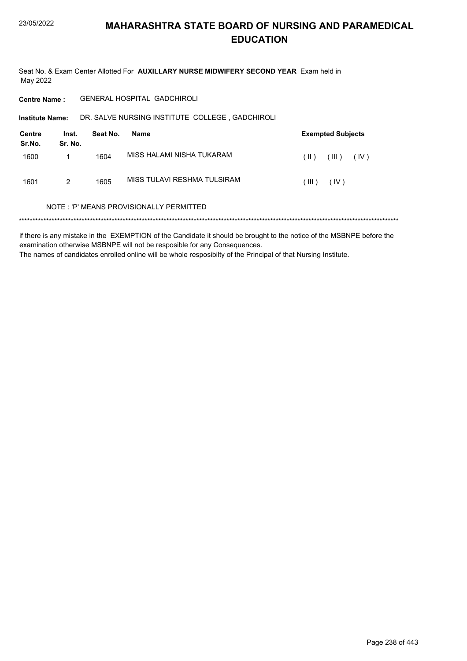Seat No. & Exam Center Allotted For AUXILLARY NURSE MIDWIFERY SECOND YEAR Exam held in May 2022

GENERAL HOSPITAL GADCHIROLI **Centre Name:** 

DR. SALVE NURSING INSTITUTE COLLEGE, GADCHIROLI **Institute Name:** 

| Centre<br>Sr.No. | Inst.<br>Sr. No. | Seat No. | Name                        |       | <b>Exempted Subjects</b> |
|------------------|------------------|----------|-----------------------------|-------|--------------------------|
| 1600             |                  | 1604     | MISS HALAMI NISHA TUKARAM   | (  )  | (III)<br>(IV)            |
| 1601             | 2                | 1605     | MISS TULAVI RESHMA TULSIRAM | (III) | (IV)                     |

#### NOTE: 'P' MEANS PROVISIONALLY PERMITTED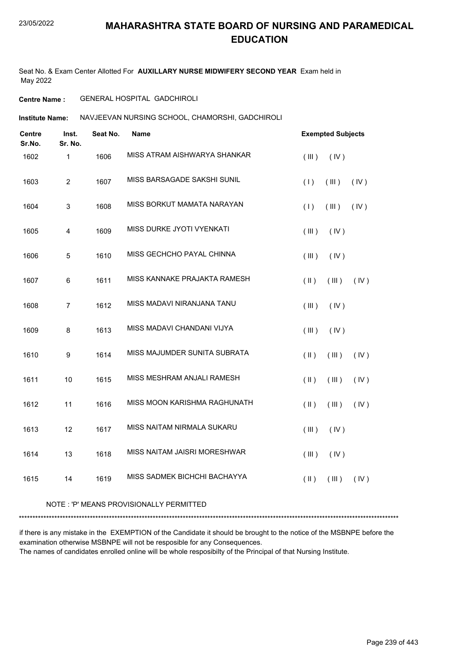Seat No. & Exam Center Allotted For **AUXILLARY NURSE MIDWIFERY SECOND YEAR** Exam held in May 2022

#### **Centre Name :** GENERAL HOSPITAL GADCHIROLI

**Institute Name: NAVJEEVAN NURSING SCHOOL, CHAMORSHI, GADCHIROLI** 

| Centre<br>Sr.No. | Inst.<br>Sr. No. | Seat No. | <b>Name</b>                  |               | <b>Exempted Subjects</b> |      |
|------------------|------------------|----------|------------------------------|---------------|--------------------------|------|
| 1602             | 1                | 1606     | MISS ATRAM AISHWARYA SHANKAR | (III)         | (IV)                     |      |
| 1603             | $\overline{2}$   | 1607     | MISS BARSAGADE SAKSHI SUNIL  | (1)           | (III)                    | (IV) |
| 1604             | $\mathsf 3$      | 1608     | MISS BORKUT MAMATA NARAYAN   | (1)           | (III)                    | (IV) |
| 1605             | 4                | 1609     | MISS DURKE JYOTI VYENKATI    | (III)         | (IV)                     |      |
| 1606             | 5                | 1610     | MISS GECHCHO PAYAL CHINNA    | (III)         | (IV)                     |      |
| 1607             | 6                | 1611     | MISS KANNAKE PRAJAKTA RAMESH | $($ II $)$    | (III)                    | (IV) |
| 1608             | $\overline{7}$   | 1612     | MISS MADAVI NIRANJANA TANU   | (III)         | (IV)                     |      |
| 1609             | 8                | 1613     | MISS MADAVI CHANDANI VIJYA   | (III)         | (IV)                     |      |
| 1610             | $\boldsymbol{9}$ | 1614     | MISS MAJUMDER SUNITA SUBRATA | $($ II $)$    | (III)                    | (IV) |
| 1611             | 10               | 1615     | MISS MESHRAM ANJALI RAMESH   | $(\parallel)$ | (III)                    | (IV) |
| 1612             | 11               | 1616     | MISS MOON KARISHMA RAGHUNATH | $($ II $)$    | (III)                    | (IV) |
| 1613             | 12               | 1617     | MISS NAITAM NIRMALA SUKARU   | $($ III $)$   | (IV)                     |      |
| 1614             | 13               | 1618     | MISS NAITAM JAISRI MORESHWAR | $($ III $)$   | (IV)                     |      |
| 1615             | 14               | 1619     | MISS SADMEK BICHCHI BACHAYYA | $($ II $)$    | (III)                    | (IV) |

#### NOTE : 'P' MEANS PROVISIONALLY PERMITTED

\*\*\*\*\*\*\*\*\*\*\*\*\*\*\*\*\*\*\*\*\*\*\*\*\*\*\*\*\*\*\*\*\*\*\*\*\*\*\*\*\*\*\*\*\*\*\*\*\*\*\*\*\*\*\*\*\*\*\*\*\*\*\*\*\*\*\*\*\*\*\*\*\*\*\*\*\*\*\*\*\*\*\*\*\*\*\*\*\*\*\*\*\*\*\*\*\*\*\*\*\*\*\*\*\*\*\*\*\*\*\*\*\*\*\*\*\*\*\*\*\*\*\*\*\*\*\*\*\*\*\*\*\*\*\*\*\*\*\*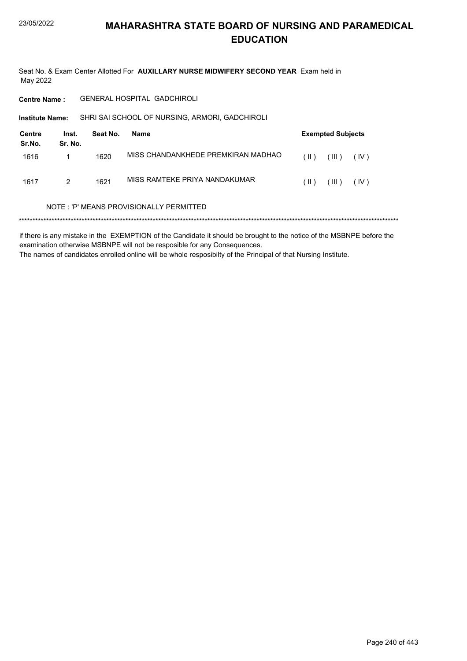Seat No. & Exam Center Allotted For AUXILLARY NURSE MIDWIFERY SECOND YEAR Exam held in May 2022

GENERAL HOSPITAL GADCHIROLI **Centre Name:** 

SHRI SAI SCHOOL OF NURSING, ARMORI, GADCHIROLI Institute Name:

| Centre<br>Sr.No. | Inst.<br>Sr. No. | Seat No. | Name                               |        | <b>Exempted Subjects</b> |      |
|------------------|------------------|----------|------------------------------------|--------|--------------------------|------|
| 1616             |                  | 1620     | MISS CHANDANKHEDE PREMKIRAN MADHAO | $(\ )$ | $($ III $)$              | (IV) |
| 1617             | $\mathcal{P}$    | 1621     | MISS RAMTEKE PRIYA NANDAKUMAR      | (  )   | $($ III $)$              | (IV) |

#### NOTE: 'P' MEANS PROVISIONALLY PERMITTED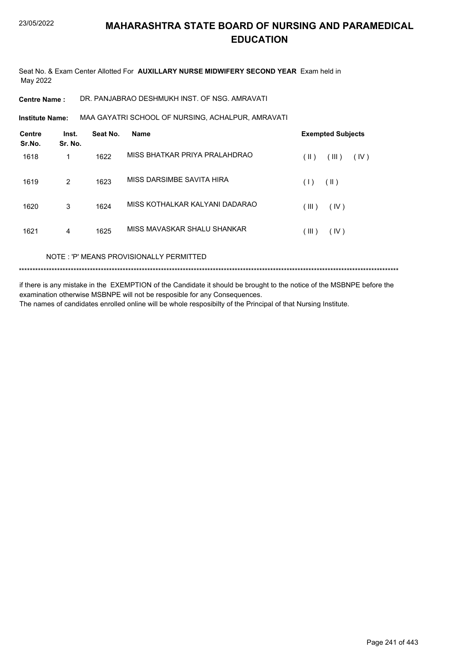Seat No. & Exam Center Allotted For **AUXILLARY NURSE MIDWIFERY SECOND YEAR** Exam held in May 2022

**Centre Name :** DR. PANJABRAO DESHMUKH INST. OF NSG. AMRAVATI

**Institute Name: MAA GAYATRI SCHOOL OF NURSING, ACHALPUR, AMRAVATI** 

| <b>Centre</b><br>Sr.No. | Inst.<br>Sr. No. | Seat No. | <b>Name</b>                    | <b>Exempted Subjects</b> |
|-------------------------|------------------|----------|--------------------------------|--------------------------|
| 1618                    | 1                | 1622     | MISS BHATKAR PRIYA PRALAHDRAO  | (III)<br>(  )<br>(IV)    |
| 1619                    | 2                | 1623     | MISS DARSIMBE SAVITA HIRA      | $(\parallel)$<br>(1)     |
| 1620                    | 3                | 1624     | MISS KOTHALKAR KALYANI DADARAO | (III)<br>(IV)            |
| 1621                    | 4                | 1625     | MISS MAVASKAR SHALU SHANKAR    | (III)<br>(IV)            |
|                         |                  |          |                                |                          |

NOTE : 'P' MEANS PROVISIONALLY PERMITTED

\*\*\*\*\*\*\*\*\*\*\*\*\*\*\*\*\*\*\*\*\*\*\*\*\*\*\*\*\*\*\*\*\*\*\*\*\*\*\*\*\*\*\*\*\*\*\*\*\*\*\*\*\*\*\*\*\*\*\*\*\*\*\*\*\*\*\*\*\*\*\*\*\*\*\*\*\*\*\*\*\*\*\*\*\*\*\*\*\*\*\*\*\*\*\*\*\*\*\*\*\*\*\*\*\*\*\*\*\*\*\*\*\*\*\*\*\*\*\*\*\*\*\*\*\*\*\*\*\*\*\*\*\*\*\*\*\*\*\*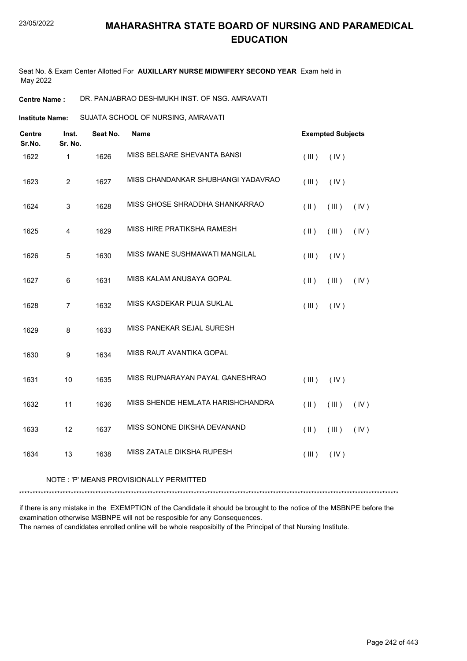Seat No. & Exam Center Allotted For **AUXILLARY NURSE MIDWIFERY SECOND YEAR** Exam held in May 2022

**Centre Name :** DR. PANJABRAO DESHMUKH INST. OF NSG. AMRAVATI

SUJATA SCHOOL OF NURSING, AMRAVATI **Institute Name:**

| <b>Centre</b><br>Sr.No. | Inst.<br>Sr. No. | Seat No. | <b>Name</b>                        | <b>Exempted Subjects</b> |       |      |
|-------------------------|------------------|----------|------------------------------------|--------------------------|-------|------|
| 1622                    | $\mathbf{1}$     | 1626     | MISS BELSARE SHEVANTA BANSI        | (III)                    | (IV)  |      |
| 1623                    | $\overline{2}$   | 1627     | MISS CHANDANKAR SHUBHANGI YADAVRAO | (III)                    | (IV)  |      |
| 1624                    | 3                | 1628     | MISS GHOSE SHRADDHA SHANKARRAO     | $(\parallel)$            | (III) | (IV) |
| 1625                    | 4                | 1629     | MISS HIRE PRATIKSHA RAMESH         | $(\parallel)$            | (III) | (IV) |
| 1626                    | 5                | 1630     | MISS IWANE SUSHMAWATI MANGILAL     | (III)                    | (IV)  |      |
| 1627                    | $\,6$            | 1631     | MISS KALAM ANUSAYA GOPAL           | $($ II $)$               | (III) | (IV) |
| 1628                    | $\overline{7}$   | 1632     | MISS KASDEKAR PUJA SUKLAL          | (III)                    | (IV)  |      |
| 1629                    | 8                | 1633     | MISS PANEKAR SEJAL SURESH          |                          |       |      |
| 1630                    | $\boldsymbol{9}$ | 1634     | MISS RAUT AVANTIKA GOPAL           |                          |       |      |
| 1631                    | 10               | 1635     | MISS RUPNARAYAN PAYAL GANESHRAO    | (III)                    | (IV)  |      |
| 1632                    | 11               | 1636     | MISS SHENDE HEMLATA HARISHCHANDRA  | $(\parallel)$            | (III) | (IV) |
| 1633                    | 12               | 1637     | MISS SONONE DIKSHA DEVANAND        | $($ II $)$               | (III) | (IV) |
| 1634                    | 13               | 1638     | MISS ZATALE DIKSHA RUPESH          | (III)                    | (IV)  |      |
|                         |                  |          |                                    |                          |       |      |

#### NOTE : 'P' MEANS PROVISIONALLY PERMITTED

\*\*\*\*\*\*\*\*\*\*\*\*\*\*\*\*\*\*\*\*\*\*\*\*\*\*\*\*\*\*\*\*\*\*\*\*\*\*\*\*\*\*\*\*\*\*\*\*\*\*\*\*\*\*\*\*\*\*\*\*\*\*\*\*\*\*\*\*\*\*\*\*\*\*\*\*\*\*\*\*\*\*\*\*\*\*\*\*\*\*\*\*\*\*\*\*\*\*\*\*\*\*\*\*\*\*\*\*\*\*\*\*\*\*\*\*\*\*\*\*\*\*\*\*\*\*\*\*\*\*\*\*\*\*\*\*\*\*\*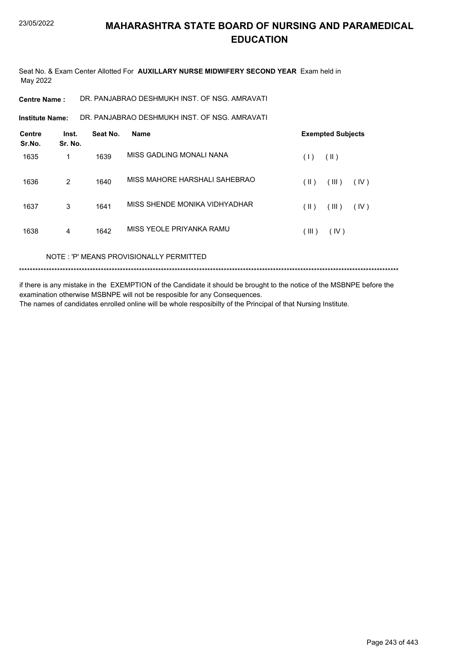Seat No. & Exam Center Allotted For **AUXILLARY NURSE MIDWIFERY SECOND YEAR** Exam held in May 2022

**Centre Name :** DR. PANJABRAO DESHMUKH INST. OF NSG. AMRAVATI

DR. PANJABRAO DESHMUKH INST. OF NSG. AMRAVATI **Institute Name:**

| <b>Centre</b><br>Sr.No. | Inst.<br>Sr. No. | Seat No. | <b>Name</b>                   | <b>Exempted Subjects</b>       |
|-------------------------|------------------|----------|-------------------------------|--------------------------------|
| 1635                    | 1                | 1639     | MISS GADLING MONALI NANA      | (  )<br>(1)                    |
| 1636                    | 2                | 1640     | MISS MAHORE HARSHALI SAHEBRAO | (III)<br>(IV)<br>$(\parallel)$ |
| 1637                    | 3                | 1641     | MISS SHENDE MONIKA VIDHYADHAR | (III)<br>$(\parallel)$<br>(IV) |
| 1638                    | 4                | 1642     | MISS YEOLE PRIYANKA RAMU      | (IV)<br>$($ III $)$            |

NOTE : 'P' MEANS PROVISIONALLY PERMITTED

\*\*\*\*\*\*\*\*\*\*\*\*\*\*\*\*\*\*\*\*\*\*\*\*\*\*\*\*\*\*\*\*\*\*\*\*\*\*\*\*\*\*\*\*\*\*\*\*\*\*\*\*\*\*\*\*\*\*\*\*\*\*\*\*\*\*\*\*\*\*\*\*\*\*\*\*\*\*\*\*\*\*\*\*\*\*\*\*\*\*\*\*\*\*\*\*\*\*\*\*\*\*\*\*\*\*\*\*\*\*\*\*\*\*\*\*\*\*\*\*\*\*\*\*\*\*\*\*\*\*\*\*\*\*\*\*\*\*\*

if there is any mistake in the EXEMPTION of the Candidate it should be brought to the notice of the MSBNPE before the examination otherwise MSBNPE will not be resposible for any Consequences. The names of candidates enrolled online will be whole resposibilty of the Principal of that Nursing Institute.

Page 243 of 443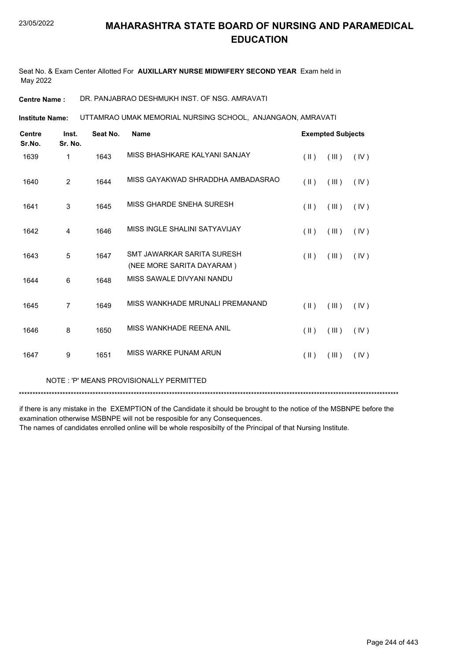Seat No. & Exam Center Allotted For **AUXILLARY NURSE MIDWIFERY SECOND YEAR** Exam held in May 2022

**Centre Name :** DR. PANJABRAO DESHMUKH INST. OF NSG. AMRAVATI

UTTAMRAO UMAK MEMORIAL NURSING SCHOOL, ANJANGAON, AMRAVATI **Institute Name:**

| <b>Centre</b><br>Sr.No. | Inst.<br>Sr. No. | Seat No. | <b>Name</b>                                             | <b>Exempted Subjects</b> |       |      |
|-------------------------|------------------|----------|---------------------------------------------------------|--------------------------|-------|------|
| 1639                    | 1                | 1643     | MISS BHASHKARE KALYANI SANJAY                           | $(\parallel)$            | (III) | (IV) |
| 1640                    | $\overline{2}$   | 1644     | MISS GAYAKWAD SHRADDHA AMBADASRAO                       | $(\parallel)$            | (III) | (IV) |
| 1641                    | 3                | 1645     | MISS GHARDE SNEHA SURESH                                | $(\parallel \parallel)$  | (III) | (IV) |
| 1642                    | $\overline{4}$   | 1646     | MISS INGLE SHALINI SATYAVIJAY                           | $(\parallel)$            | (III) | (IV) |
| 1643                    | 5                | 1647     | SMT JAWARKAR SARITA SURESH<br>(NEE MORE SARITA DAYARAM) | $(\parallel \parallel)$  | (III) | (IV) |
| 1644                    | 6                | 1648     | MISS SAWALE DIVYANI NANDU                               |                          |       |      |
| 1645                    | 7                | 1649     | MISS WANKHADE MRUNALI PREMANAND                         | $(\parallel)$            | (III) | (IV) |
| 1646                    | 8                | 1650     | MISS WANKHADE REENA ANIL                                | $(\parallel)$            | (III) | (IV) |
| 1647                    | 9                | 1651     | MISS WARKE PUNAM ARUN                                   | $(\parallel)$            | (III) | (IV) |
|                         |                  |          |                                                         |                          |       |      |

NOTE : 'P' MEANS PROVISIONALLY PERMITTED

\*\*\*\*\*\*\*\*\*\*\*\*\*\*\*\*\*\*\*\*\*\*\*\*\*\*\*\*\*\*\*\*\*\*\*\*\*\*\*\*\*\*\*\*\*\*\*\*\*\*\*\*\*\*\*\*\*\*\*\*\*\*\*\*\*\*\*\*\*\*\*\*\*\*\*\*\*\*\*\*\*\*\*\*\*\*\*\*\*\*\*\*\*\*\*\*\*\*\*\*\*\*\*\*\*\*\*\*\*\*\*\*\*\*\*\*\*\*\*\*\*\*\*\*\*\*\*\*\*\*\*\*\*\*\*\*\*\*\*

if there is any mistake in the EXEMPTION of the Candidate it should be brought to the notice of the MSBNPE before the examination otherwise MSBNPE will not be resposible for any Consequences.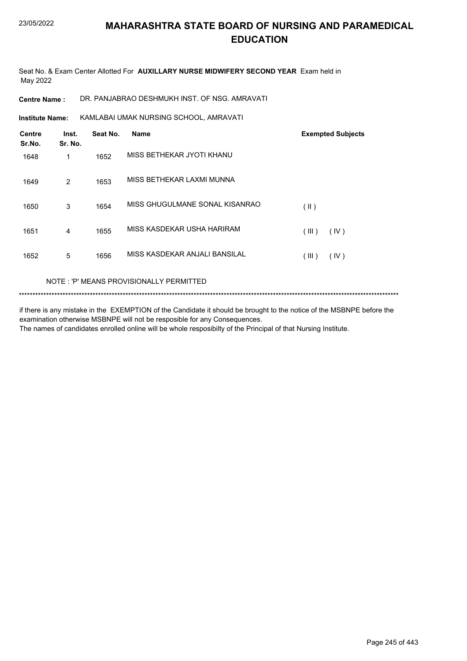Seat No. & Exam Center Allotted For **AUXILLARY NURSE MIDWIFERY SECOND YEAR** Exam held in May 2022

**Centre Name :** DR. PANJABRAO DESHMUKH INST. OF NSG. AMRAVATI

KAMLABAI UMAK NURSING SCHOOL, AMRAVATI **Institute Name:**

| <b>Centre</b><br>Sr.No. | Inst.<br>Sr. No. | Seat No. | <b>Name</b>                    | <b>Exempted Subjects</b> |
|-------------------------|------------------|----------|--------------------------------|--------------------------|
| 1648                    | 1                | 1652     | MISS BETHEKAR JYOTI KHANU      |                          |
| 1649                    | $\overline{2}$   | 1653     | MISS BETHEKAR LAXMI MUNNA      |                          |
| 1650                    | 3                | 1654     | MISS GHUGULMANE SONAL KISANRAO | $($ II $)$               |
| 1651                    | 4                | 1655     | MISS KASDEKAR USHA HARIRAM     | (III)<br>(IV)            |
| 1652                    | 5                | 1656     | MISS KASDEKAR ANJALI BANSILAL  | (III)<br>(IV)            |

#### NOTE : 'P' MEANS PROVISIONALLY PERMITTED

\*\*\*\*\*\*\*\*\*\*\*\*\*\*\*\*\*\*\*\*\*\*\*\*\*\*\*\*\*\*\*\*\*\*\*\*\*\*\*\*\*\*\*\*\*\*\*\*\*\*\*\*\*\*\*\*\*\*\*\*\*\*\*\*\*\*\*\*\*\*\*\*\*\*\*\*\*\*\*\*\*\*\*\*\*\*\*\*\*\*\*\*\*\*\*\*\*\*\*\*\*\*\*\*\*\*\*\*\*\*\*\*\*\*\*\*\*\*\*\*\*\*\*\*\*\*\*\*\*\*\*\*\*\*\*\*\*\*\*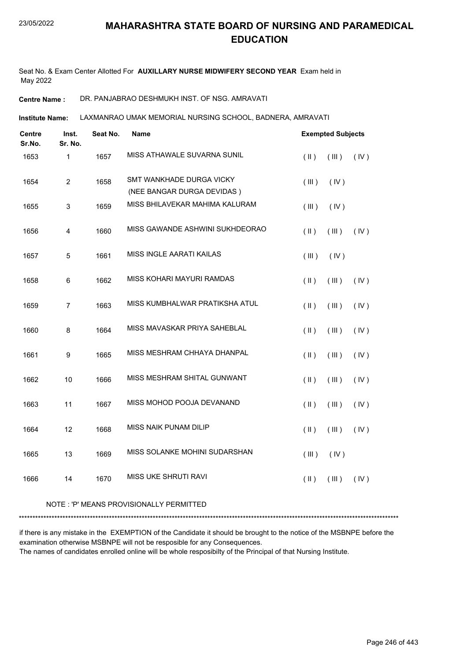Seat No. & Exam Center Allotted For **AUXILLARY NURSE MIDWIFERY SECOND YEAR** Exam held in May 2022

**Centre Name :** DR. PANJABRAO DESHMUKH INST. OF NSG. AMRAVATI

LAXMANRAO UMAK MEMORIAL NURSING SCHOOL, BADNERA, AMRAVATI **Institute Name:**

| Centre<br>Sr.No. | Inst.<br>Sr. No. | Seat No. | Name                                                   | <b>Exempted Subjects</b> |             |      |
|------------------|------------------|----------|--------------------------------------------------------|--------------------------|-------------|------|
| 1653             | 1                | 1657     | MISS ATHAWALE SUVARNA SUNIL                            | $(\parallel)$            | $($ III $)$ | (IV) |
| 1654             | $\overline{c}$   | 1658     | SMT WANKHADE DURGA VICKY<br>(NEE BANGAR DURGA DEVIDAS) | (III)                    | (IV)        |      |
| 1655             | $\mathsf 3$      | 1659     | MISS BHILAVEKAR MAHIMA KALURAM                         | (III)                    | (IV)        |      |
| 1656             | 4                | 1660     | MISS GAWANDE ASHWINI SUKHDEORAO                        | $($ II $)$               | $($ III $)$ | (IV) |
| 1657             | 5                | 1661     | MISS INGLE AARATI KAILAS                               | (III)                    | (IV)        |      |
| 1658             | 6                | 1662     | MISS KOHARI MAYURI RAMDAS                              | $(\parallel)$            | (III)       | (IV) |
| 1659             | $\overline{7}$   | 1663     | MISS KUMBHALWAR PRATIKSHA ATUL                         | $($ II $)$               | (III)       | (IV) |
| 1660             | 8                | 1664     | MISS MAVASKAR PRIYA SAHEBLAL                           | $(\parallel)$            | (III)       | (IV) |
| 1661             | $\boldsymbol{9}$ | 1665     | MISS MESHRAM CHHAYA DHANPAL                            | $(\parallel)$            | (III)       | (IV) |
| 1662             | 10               | 1666     | MISS MESHRAM SHITAL GUNWANT                            | $(\parallel)$            | (III)       | (IV) |
| 1663             | 11               | 1667     | MISS MOHOD POOJA DEVANAND                              | $($ II $)$               | (III)       | (IV) |
| 1664             | 12               | 1668     | MISS NAIK PUNAM DILIP                                  | $($ $\parallel$ $)$      | (III)       | (IV) |
| 1665             | 13               | 1669     | MISS SOLANKE MOHINI SUDARSHAN                          | (III)                    | (IV)        |      |
| 1666             | 14               | 1670     | MISS UKE SHRUTI RAVI                                   | $($ II $)$               | (III)       | (IV) |

#### NOTE : 'P' MEANS PROVISIONALLY PERMITTED

\*\*\*\*\*\*\*\*\*\*\*\*\*\*\*\*\*\*\*\*\*\*\*\*\*\*\*\*\*\*\*\*\*\*\*\*\*\*\*\*\*\*\*\*\*\*\*\*\*\*\*\*\*\*\*\*\*\*\*\*\*\*\*\*\*\*\*\*\*\*\*\*\*\*\*\*\*\*\*\*\*\*\*\*\*\*\*\*\*\*\*\*\*\*\*\*\*\*\*\*\*\*\*\*\*\*\*\*\*\*\*\*\*\*\*\*\*\*\*\*\*\*\*\*\*\*\*\*\*\*\*\*\*\*\*\*\*\*\*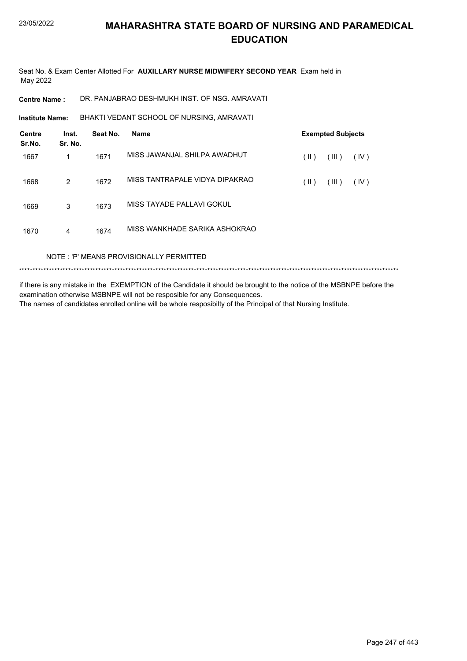Seat No. & Exam Center Allotted For **AUXILLARY NURSE MIDWIFERY SECOND YEAR** Exam held in May 2022

**Centre Name :** DR. PANJABRAO DESHMUKH INST. OF NSG. AMRAVATI

BHAKTI VEDANT SCHOOL OF NURSING, AMRAVATI **Institute Name:**

| <b>Centre</b><br>Sr.No. | Inst.<br>Sr. No. | Seat No. | <b>Name</b>                    |               | <b>Exempted Subjects</b> |      |
|-------------------------|------------------|----------|--------------------------------|---------------|--------------------------|------|
| 1667                    | 1                | 1671     | MISS JAWANJAL SHILPA AWADHUT   | $($ II $)$    | (III)                    | (IV) |
| 1668                    | 2                | 1672     | MISS TANTRAPALE VIDYA DIPAKRAO | $(\parallel)$ | (III)                    | (IV) |
| 1669                    | 3                | 1673     | MISS TAYADE PALLAVI GOKUL      |               |                          |      |
| 1670                    | 4                | 1674     | MISS WANKHADE SARIKA ASHOKRAO  |               |                          |      |
|                         |                  |          | -- -                           |               |                          |      |

NOTE : 'P' MEANS PROVISIONALLY PERMITTED

\*\*\*\*\*\*\*\*\*\*\*\*\*\*\*\*\*\*\*\*\*\*\*\*\*\*\*\*\*\*\*\*\*\*\*\*\*\*\*\*\*\*\*\*\*\*\*\*\*\*\*\*\*\*\*\*\*\*\*\*\*\*\*\*\*\*\*\*\*\*\*\*\*\*\*\*\*\*\*\*\*\*\*\*\*\*\*\*\*\*\*\*\*\*\*\*\*\*\*\*\*\*\*\*\*\*\*\*\*\*\*\*\*\*\*\*\*\*\*\*\*\*\*\*\*\*\*\*\*\*\*\*\*\*\*\*\*\*\*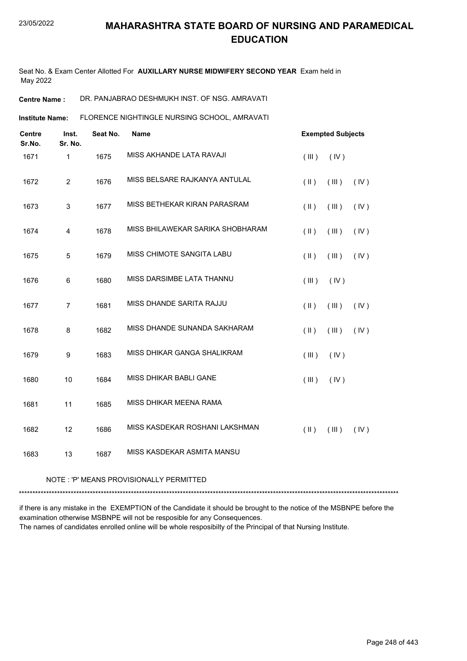Seat No. & Exam Center Allotted For **AUXILLARY NURSE MIDWIFERY SECOND YEAR** Exam held in May 2022

**Centre Name :** DR. PANJABRAO DESHMUKH INST. OF NSG. AMRAVATI

FLORENCE NIGHTINGLE NURSING SCHOOL, AMRAVATI **Institute Name:**

| <b>Centre</b><br>Sr.No. | Inst.<br>Sr. No. | Seat No. | Name                             | <b>Exempted Subjects</b> |       |      |
|-------------------------|------------------|----------|----------------------------------|--------------------------|-------|------|
| 1671                    | $\mathbf{1}$     | 1675     | MISS AKHANDE LATA RAVAJI         | (III)                    | (IV)  |      |
| 1672                    | $\overline{2}$   | 1676     | MISS BELSARE RAJKANYA ANTULAL    | $($ II $)$               | (III) | (IV) |
| 1673                    | $\mathsf 3$      | 1677     | MISS BETHEKAR KIRAN PARASRAM     | $(\parallel)$            | (III) | (IV) |
| 1674                    | 4                | 1678     | MISS BHILAWEKAR SARIKA SHOBHARAM | $(\parallel)$            | (III) | (IV) |
| 1675                    | 5                | 1679     | MISS CHIMOTE SANGITA LABU        | $($ II $)$               | (III) | (IV) |
| 1676                    | 6                | 1680     | MISS DARSIMBE LATA THANNU        | (III)                    | (IV)  |      |
| 1677                    | $\overline{7}$   | 1681     | MISS DHANDE SARITA RAJJU         | $(\parallel)$            | (III) | (IV) |
| 1678                    | 8                | 1682     | MISS DHANDE SUNANDA SAKHARAM     | $(\parallel)$            | (III) | (IV) |
| 1679                    | $\boldsymbol{9}$ | 1683     | MISS DHIKAR GANGA SHALIKRAM      | (III)                    | (IV)  |      |
| 1680                    | 10               | 1684     | MISS DHIKAR BABLI GANE           | (III)                    | (IV)  |      |
| 1681                    | 11               | 1685     | MISS DHIKAR MEENA RAMA           |                          |       |      |
| 1682                    | 12               | 1686     | MISS KASDEKAR ROSHANI LAKSHMAN   | $(\parallel)$            | (III) | (IV) |
| 1683                    | 13               | 1687     | MISS KASDEKAR ASMITA MANSU       |                          |       |      |
|                         |                  |          |                                  |                          |       |      |

#### NOTE : 'P' MEANS PROVISIONALLY PERMITTED

\*\*\*\*\*\*\*\*\*\*\*\*\*\*\*\*\*\*\*\*\*\*\*\*\*\*\*\*\*\*\*\*\*\*\*\*\*\*\*\*\*\*\*\*\*\*\*\*\*\*\*\*\*\*\*\*\*\*\*\*\*\*\*\*\*\*\*\*\*\*\*\*\*\*\*\*\*\*\*\*\*\*\*\*\*\*\*\*\*\*\*\*\*\*\*\*\*\*\*\*\*\*\*\*\*\*\*\*\*\*\*\*\*\*\*\*\*\*\*\*\*\*\*\*\*\*\*\*\*\*\*\*\*\*\*\*\*\*\*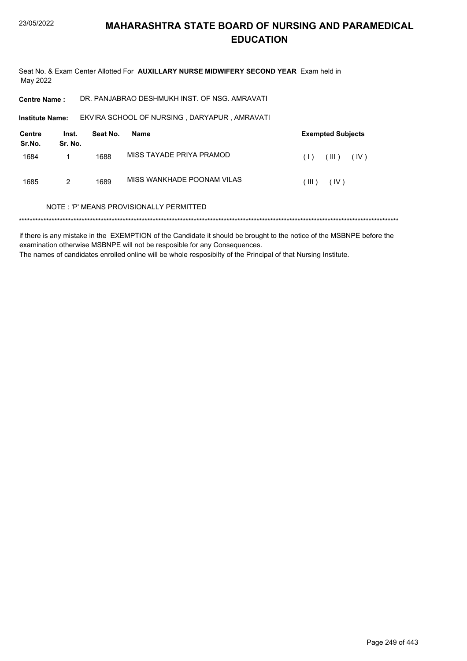Seat No. & Exam Center Allotted For AUXILLARY NURSE MIDWIFERY SECOND YEAR Exam held in May 2022

DR. PANJABRAO DESHMUKH INST. OF NSG. AMRAVATI **Centre Name:** 

EKVIRA SCHOOL OF NURSING, DARYAPUR, AMRAVATI Institute Name:

| Centre<br>Sr.No. | Inst.<br>Sr. No. | Seat No. | Name                       | <b>Exempted Subjects</b> |  |
|------------------|------------------|----------|----------------------------|--------------------------|--|
| 1684             |                  | 1688     | MISS TAYADE PRIYA PRAMOD   | (III)<br>(IV)<br>(1)     |  |
| 1685             | 2                | 1689     | MISS WANKHADE POONAM VILAS | $III$ )<br>(IV)          |  |

#### NOTE: 'P' MEANS PROVISIONALLY PERMITTED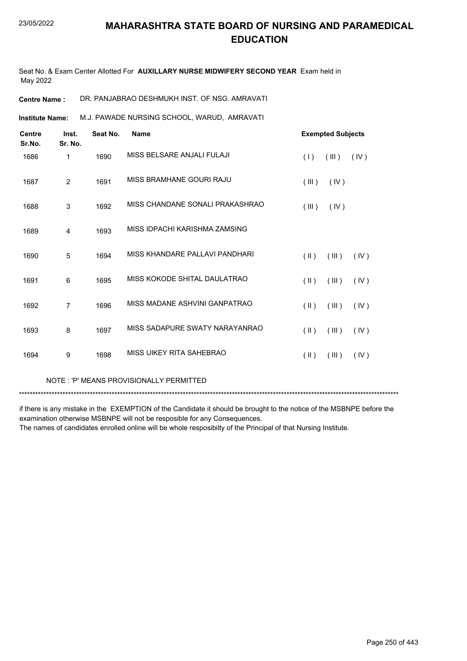Seat No. & Exam Center Allotted For **AUXILLARY NURSE MIDWIFERY SECOND YEAR** Exam held in May 2022

**Centre Name :** DR. PANJABRAO DESHMUKH INST. OF NSG. AMRAVATI

M.J. PAWADE NURSING SCHOOL, WARUD, AMRAVATI **Institute Name:**

| <b>Centre</b><br>Sr.No. | Inst.<br>Sr. No. | Seat No. | <b>Name</b>                     | <b>Exempted Subjects</b> |       |      |
|-------------------------|------------------|----------|---------------------------------|--------------------------|-------|------|
| 1686                    | 1                | 1690     | MISS BELSARE ANJALI FULAJI      | (1)                      | (III) | (IV) |
| 1687                    | $\overline{2}$   | 1691     | MISS BRAMHANE GOURI RAJU        | (III)                    | (IV)  |      |
| 1688                    | 3                | 1692     | MISS CHANDANE SONALI PRAKASHRAO | (III)                    | (IV)  |      |
| 1689                    | 4                | 1693     | MISS IDPACHI KARISHMA ZAMSING   |                          |       |      |
| 1690                    | 5                | 1694     | MISS KHANDARE PALLAVI PANDHARI  | $(\parallel)$            | (III) | (IV) |
| 1691                    | 6                | 1695     | MISS KOKODE SHITAL DAULATRAO    | $(\parallel)$            | (III) | (IV) |
| 1692                    | 7                | 1696     | MISS MADANE ASHVINI GANPATRAO   | $(\parallel \parallel)$  | (III) | (IV) |
| 1693                    | 8                | 1697     | MISS SADAPURE SWATY NARAYANRAO  | $(\parallel \parallel)$  | (III) | (IV) |
| 1694                    | 9                | 1698     | MISS UIKEY RITA SAHEBRAO        | $(\parallel)$            | (III) | (IV) |
|                         |                  |          |                                 |                          |       |      |

NOTE : 'P' MEANS PROVISIONALLY PERMITTED

\*\*\*\*\*\*\*\*\*\*\*\*\*\*\*\*\*\*\*\*\*\*\*\*\*\*\*\*\*\*\*\*\*\*\*\*\*\*\*\*\*\*\*\*\*\*\*\*\*\*\*\*\*\*\*\*\*\*\*\*\*\*\*\*\*\*\*\*\*\*\*\*\*\*\*\*\*\*\*\*\*\*\*\*\*\*\*\*\*\*\*\*\*\*\*\*\*\*\*\*\*\*\*\*\*\*\*\*\*\*\*\*\*\*\*\*\*\*\*\*\*\*\*\*\*\*\*\*\*\*\*\*\*\*\*\*\*\*\*

if there is any mistake in the EXEMPTION of the Candidate it should be brought to the notice of the MSBNPE before the examination otherwise MSBNPE will not be resposible for any Consequences.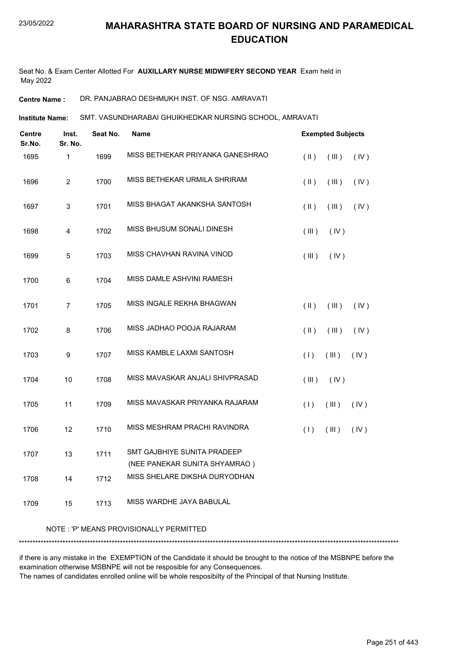Seat No. & Exam Center Allotted For **AUXILLARY NURSE MIDWIFERY SECOND YEAR** Exam held in May 2022

**Centre Name :** DR. PANJABRAO DESHMUKH INST. OF NSG. AMRAVATI

SMT. VASUNDHARABAI GHUIKHEDKAR NURSING SCHOOL, AMRAVATI **Institute Name:**

| Centre<br>Sr.No. | Inst.<br>Sr. No. | Seat No. | Name                                                                | <b>Exempted Subjects</b> |             |      |
|------------------|------------------|----------|---------------------------------------------------------------------|--------------------------|-------------|------|
| 1695             | 1                | 1699     | MISS BETHEKAR PRIYANKA GANESHRAO                                    | $($ II $)$               | (III)       | (IV) |
| 1696             | $\overline{c}$   | 1700     | MISS BETHEKAR URMILA SHRIRAM                                        | $($ II $)$               | (III)       | (IV) |
| 1697             | $\mathsf 3$      | 1701     | MISS BHAGAT AKANKSHA SANTOSH                                        | $($ II $)$               | $($ III $)$ | (IV) |
| 1698             | 4                | 1702     | MISS BHUSUM SONALI DINESH                                           | (III)                    | (IV)        |      |
| 1699             | $\mathbf 5$      | 1703     | MISS CHAVHAN RAVINA VINOD                                           | (III)                    | (IV)        |      |
| 1700             | $\,6$            | 1704     | MISS DAMLE ASHVINI RAMESH                                           |                          |             |      |
| 1701             | $\overline{7}$   | 1705     | MISS INGALE REKHA BHAGWAN                                           | (  )                     | (III)       | (IV) |
| 1702             | 8                | 1706     | MISS JADHAO POOJA RAJARAM                                           | $($ II $)$               | (III)       | (IV) |
| 1703             | $\boldsymbol{9}$ | 1707     | MISS KAMBLE LAXMI SANTOSH                                           | (1)                      | (III)       | (IV) |
| 1704             | 10               | 1708     | MISS MAVASKAR ANJALI SHIVPRASAD                                     | (III)                    | (IV)        |      |
| 1705             | 11               | 1709     | MISS MAVASKAR PRIYANKA RAJARAM                                      | (1)                      | (III)       | (IV) |
| 1706             | 12               | 1710     | MISS MESHRAM PRACHI RAVINDRA                                        | (1)                      | (III)       | (IV) |
| 1707             | 13               | 1711     | <b>SMT GAJBHIYE SUNITA PRADEEP</b><br>(NEE PANEKAR SUNITA SHYAMRAO) |                          |             |      |
| 1708             | 14               | 1712     | MISS SHELARE DIKSHA DURYODHAN                                       |                          |             |      |
| 1709             | 15               | 1713     | MISS WARDHE JAYA BABULAL                                            |                          |             |      |

#### NOTE : 'P' MEANS PROVISIONALLY PERMITTED

\*\*\*\*\*\*\*\*\*\*\*\*\*\*\*\*\*\*\*\*\*\*\*\*\*\*\*\*\*\*\*\*\*\*\*\*\*\*\*\*\*\*\*\*\*\*\*\*\*\*\*\*\*\*\*\*\*\*\*\*\*\*\*\*\*\*\*\*\*\*\*\*\*\*\*\*\*\*\*\*\*\*\*\*\*\*\*\*\*\*\*\*\*\*\*\*\*\*\*\*\*\*\*\*\*\*\*\*\*\*\*\*\*\*\*\*\*\*\*\*\*\*\*\*\*\*\*\*\*\*\*\*\*\*\*\*\*\*\*

if there is any mistake in the EXEMPTION of the Candidate it should be brought to the notice of the MSBNPE before the examination otherwise MSBNPE will not be resposible for any Consequences.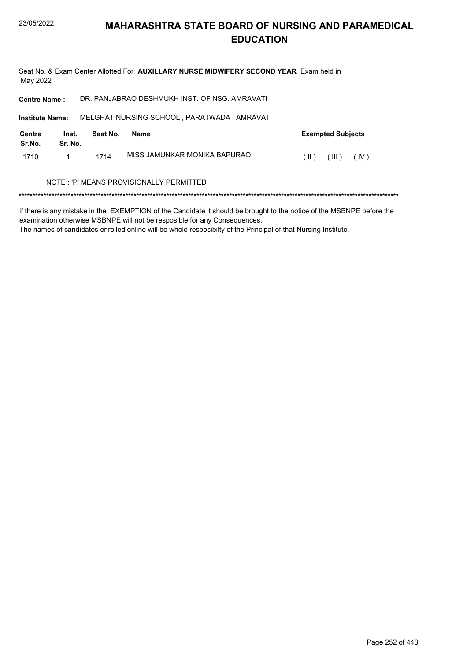Seat No. & Exam Center Allotted For AUXILLARY NURSE MIDWIFERY SECOND YEAR Exam held in May 2022 DR. PANJABRAO DESHMUKH INST. OF NSG. AMRAVATI **Centre Name: Institute Name:** MELGHAT NURSING SCHOOL, PARATWADA, AMRAVATI **Centre** Inst. Seat No. **Exempted Subjects Name** Sr.No. Sr. No. MISS JAMUNKAR MONIKA BAPURAO  $(11)$   $(11)$   $(10)$ 1710  $\mathbf{1}$ 1714 NOTE: 'P' MEANS PROVISIONALLY PERMITTED 

if there is any mistake in the EXEMPTION of the Candidate it should be brought to the notice of the MSBNPE before the examination otherwise MSBNPE will not be resposible for any Consequences.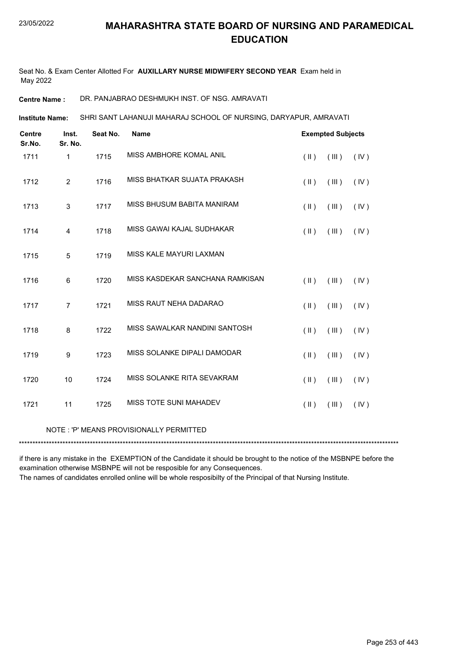Seat No. & Exam Center Allotted For **AUXILLARY NURSE MIDWIFERY SECOND YEAR** Exam held in May 2022

**Centre Name :** DR. PANJABRAO DESHMUKH INST. OF NSG. AMRAVATI

SHRI SANT LAHANUJI MAHARAJ SCHOOL OF NURSING, DARYAPUR, AMRAVATI **Institute Name:**

| <b>Centre</b><br>Sr.No. | Inst.<br>Sr. No.        | Seat No. | <b>Name</b>                             |                         | <b>Exempted Subjects</b> |      |
|-------------------------|-------------------------|----------|-----------------------------------------|-------------------------|--------------------------|------|
| 1711                    | $\mathbf{1}$            | 1715     | MISS AMBHORE KOMAL ANIL                 | $(\parallel)$           | $(\mathbb{H})$           | (IV) |
| 1712                    | $\overline{2}$          | 1716     | MISS BHATKAR SUJATA PRAKASH             | $(\parallel)$           | (III)                    | (IV) |
| 1713                    | 3                       | 1717     | MISS BHUSUM BABITA MANIRAM              | $(\parallel)$           | (III)                    | (IV) |
| 1714                    | $\overline{\mathbf{4}}$ | 1718     | MISS GAWAI KAJAL SUDHAKAR               | $(\parallel)$           | (III)                    | (IV) |
| 1715                    | 5                       | 1719     | MISS KALE MAYURI LAXMAN                 |                         |                          |      |
| 1716                    | 6                       | 1720     | MISS KASDEKAR SANCHANA RAMKISAN         | $(\parallel)$           | (III)                    | (IV) |
| 1717                    | $\overline{7}$          | 1721     | MISS RAUT NEHA DADARAO                  | $(\parallel)$           | (III)                    | (IV) |
| 1718                    | 8                       | 1722     | MISS SAWALKAR NANDINI SANTOSH           | (  )                    | (III)                    | (IV) |
| 1719                    | 9                       | 1723     | MISS SOLANKE DIPALI DAMODAR             | $(\parallel \parallel)$ | (III)                    | (IV) |
| 1720                    | 10                      | 1724     | MISS SOLANKE RITA SEVAKRAM              | $(\parallel)$           | (III)                    | (IV) |
| 1721                    | 11                      | 1725     | MISS TOTE SUNI MAHADEV                  | $(\parallel)$           | (III)                    | (IV) |
|                         |                         |          | NOTE: 'P' MEANS PROVISIONALLY PERMITTED |                         |                          |      |

\*\*\*\*\*\*\*\*\*\*\*\*\*\*\*\*\*\*\*\*\*\*\*\*\*\*\*\*\*\*\*\*\*\*\*\*\*\*\*\*\*\*\*\*\*\*\*\*\*\*\*\*\*\*\*\*\*\*\*\*\*\*\*\*\*\*\*\*\*\*\*\*\*\*\*\*\*\*\*\*\*\*\*\*\*\*\*\*\*\*\*\*\*\*\*\*\*\*\*\*\*\*\*\*\*\*\*\*\*\*\*\*\*\*\*\*\*\*\*\*\*\*\*\*\*\*\*\*\*\*\*\*\*\*\*\*\*\*\*

if there is any mistake in the EXEMPTION of the Candidate it should be brought to the notice of the MSBNPE before the examination otherwise MSBNPE will not be resposible for any Consequences.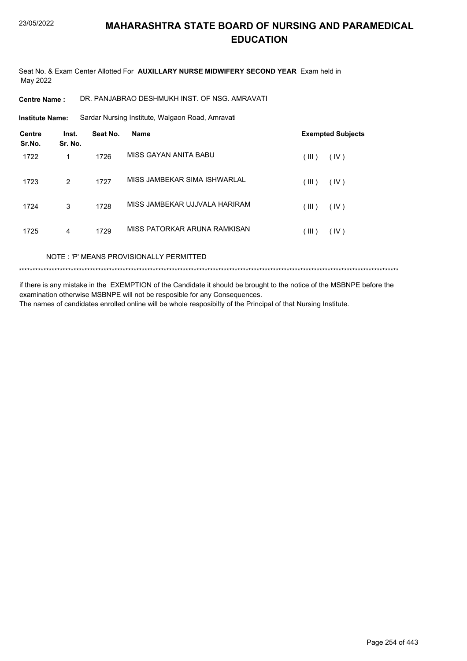Seat No. & Exam Center Allotted For **AUXILLARY NURSE MIDWIFERY SECOND YEAR** Exam held in May 2022

**Centre Name :** DR. PANJABRAO DESHMUKH INST. OF NSG. AMRAVATI

Sardar Nursing Institute, Walgaon Road, Amravati **Institute Name:**

| <b>Centre</b><br>Sr.No. | Inst.<br>Sr. No. | Seat No. | <b>Name</b>                   | <b>Exempted Subjects</b> |  |
|-------------------------|------------------|----------|-------------------------------|--------------------------|--|
| 1722                    | 1                | 1726     | MISS GAYAN ANITA BABU         | (III)<br>(IV)            |  |
| 1723                    | 2                | 1727     | MISS JAMBEKAR SIMA ISHWARLAL  | (III)<br>(IV)            |  |
| 1724                    | 3                | 1728     | MISS JAMBEKAR UJJVALA HARIRAM | (III)<br>(IV)            |  |
| 1725                    | 4                | 1729     | MISS PATORKAR ARUNA RAMKISAN  | (III)<br>(IV)            |  |

NOTE : 'P' MEANS PROVISIONALLY PERMITTED

\*\*\*\*\*\*\*\*\*\*\*\*\*\*\*\*\*\*\*\*\*\*\*\*\*\*\*\*\*\*\*\*\*\*\*\*\*\*\*\*\*\*\*\*\*\*\*\*\*\*\*\*\*\*\*\*\*\*\*\*\*\*\*\*\*\*\*\*\*\*\*\*\*\*\*\*\*\*\*\*\*\*\*\*\*\*\*\*\*\*\*\*\*\*\*\*\*\*\*\*\*\*\*\*\*\*\*\*\*\*\*\*\*\*\*\*\*\*\*\*\*\*\*\*\*\*\*\*\*\*\*\*\*\*\*\*\*\*\*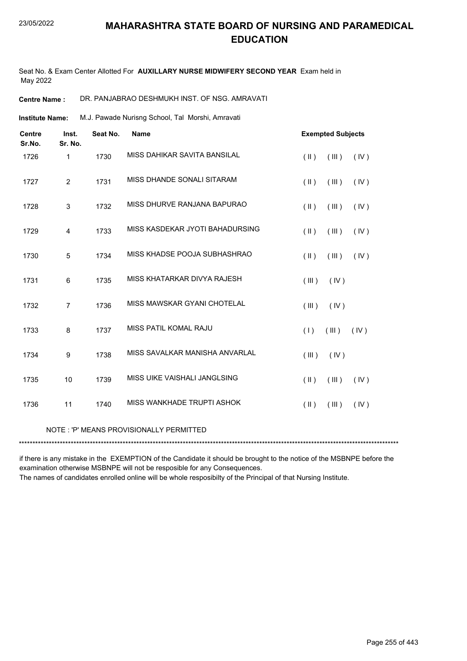Seat No. & Exam Center Allotted For **AUXILLARY NURSE MIDWIFERY SECOND YEAR** Exam held in May 2022

**Centre Name :** DR. PANJABRAO DESHMUKH INST. OF NSG. AMRAVATI

M.J. Pawade Nurisng School, Tal Morshi, Amravati **Institute Name:**

| <b>Centre</b><br>Sr.No. | Inst.<br>Sr. No. | Seat No. | <b>Name</b>                             | <b>Exempted Subjects</b>       |
|-------------------------|------------------|----------|-----------------------------------------|--------------------------------|
| 1726                    | 1                | 1730     | MISS DAHIKAR SAVITA BANSILAL            | $($ II $)$<br>(III)<br>(IV)    |
| 1727                    | $\overline{2}$   | 1731     | MISS DHANDE SONALI SITARAM              | (III)<br>$($ II $)$<br>(IV)    |
| 1728                    | 3                | 1732     | MISS DHURVE RANJANA BAPURAO             | (III)<br>$(\parallel)$<br>(IV) |
| 1729                    | 4                | 1733     | MISS KASDEKAR JYOTI BAHADURSING         | $(\parallel)$<br>(III)<br>(IV) |
| 1730                    | 5                | 1734     | MISS KHADSE POOJA SUBHASHRAO            | $($ II $)$<br>(III)<br>(IV)    |
| 1731                    | 6                | 1735     | MISS KHATARKAR DIVYA RAJESH             | (III)<br>(IV)                  |
| 1732                    | $\overline{7}$   | 1736     | MISS MAWSKAR GYANI CHOTELAL             | (III)<br>(IV)                  |
| 1733                    | 8                | 1737     | MISS PATIL KOMAL RAJU                   | (III)<br>(IV)<br>(1)           |
| 1734                    | 9                | 1738     | MISS SAVALKAR MANISHA ANVARLAL          | (IV)<br>(III)                  |
| 1735                    | 10               | 1739     | MISS UIKE VAISHALI JANGLSING            | $(\parallel)$<br>(III)<br>(IV) |
| 1736                    | 11               | 1740     | MISS WANKHADE TRUPTI ASHOK              | $($ II $)$<br>(III)<br>(IV)    |
|                         |                  |          | NOTE: 'P' MEANS PROVISIONALLY PERMITTED |                                |

\*\*\*\*\*\*\*\*\*\*\*\*\*\*\*\*\*\*\*\*\*\*\*\*\*\*\*\*\*\*\*\*\*\*\*\*\*\*\*\*\*\*\*\*\*\*\*\*\*\*\*\*\*\*\*\*\*\*\*\*\*\*\*\*\*\*\*\*\*\*\*\*\*\*\*\*\*\*\*\*\*\*\*\*\*\*\*\*\*\*\*\*\*\*\*\*\*\*\*\*\*\*\*\*\*\*\*\*\*\*\*\*\*\*\*\*\*\*\*\*\*\*\*\*\*\*\*\*\*\*\*\*\*\*\*\*\*\*\* if there is any mistake in the EXEMPTION of the Candidate it should be brought to the notice of the MSBNPE before the

examination otherwise MSBNPE will not be resposible for any Consequences. The names of candidates enrolled online will be whole resposibilty of the Principal of that Nursing Institute.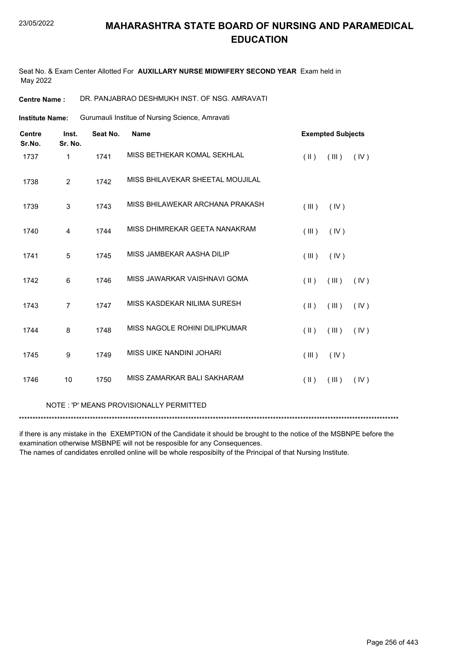Seat No. & Exam Center Allotted For **AUXILLARY NURSE MIDWIFERY SECOND YEAR** Exam held in May 2022

**Centre Name :** DR. PANJABRAO DESHMUKH INST. OF NSG. AMRAVATI

Gurumauli Institue of Nursing Science, Amravati **Institute Name:**

| <b>Centre</b><br>Sr.No. | Inst.<br>Sr. No. | Seat No. | <b>Name</b>                      |                         | <b>Exempted Subjects</b> |      |
|-------------------------|------------------|----------|----------------------------------|-------------------------|--------------------------|------|
| 1737                    | 1                | 1741     | MISS BETHEKAR KOMAL SEKHLAL      | $(\parallel)$           | (III)                    | (IV) |
| 1738                    | $\overline{2}$   | 1742     | MISS BHILAVEKAR SHEETAL MOUJILAL |                         |                          |      |
| 1739                    | 3                | 1743     | MISS BHILAWEKAR ARCHANA PRAKASH  | (III)                   | (IV)                     |      |
| 1740                    | 4                | 1744     | MISS DHIMREKAR GEETA NANAKRAM    | (III)                   | (IV)                     |      |
| 1741                    | 5                | 1745     | MISS JAMBEKAR AASHA DILIP        | (III)                   | (IV)                     |      |
| 1742                    | 6                | 1746     | MISS JAWARKAR VAISHNAVI GOMA     | $(\parallel \parallel)$ | (III)                    | (IV) |
| 1743                    | $\overline{7}$   | 1747     | MISS KASDEKAR NILIMA SURESH      | $($ II $)$              | (III)                    | (IV) |
| 1744                    | 8                | 1748     | MISS NAGOLE ROHINI DILIPKUMAR    | $($ II $)$              | (III)                    | (IV) |
| 1745                    | 9                | 1749     | MISS UIKE NANDINI JOHARI         | (III)                   | (IV)                     |      |
| 1746                    | 10               | 1750     | MISS ZAMARKAR BALI SAKHARAM      | $($ II $)$              | (III)                    | (IV) |

#### NOTE : 'P' MEANS PROVISIONALLY PERMITTED

\*\*\*\*\*\*\*\*\*\*\*\*\*\*\*\*\*\*\*\*\*\*\*\*\*\*\*\*\*\*\*\*\*\*\*\*\*\*\*\*\*\*\*\*\*\*\*\*\*\*\*\*\*\*\*\*\*\*\*\*\*\*\*\*\*\*\*\*\*\*\*\*\*\*\*\*\*\*\*\*\*\*\*\*\*\*\*\*\*\*\*\*\*\*\*\*\*\*\*\*\*\*\*\*\*\*\*\*\*\*\*\*\*\*\*\*\*\*\*\*\*\*\*\*\*\*\*\*\*\*\*\*\*\*\*\*\*\*\*

if there is any mistake in the EXEMPTION of the Candidate it should be brought to the notice of the MSBNPE before the examination otherwise MSBNPE will not be resposible for any Consequences.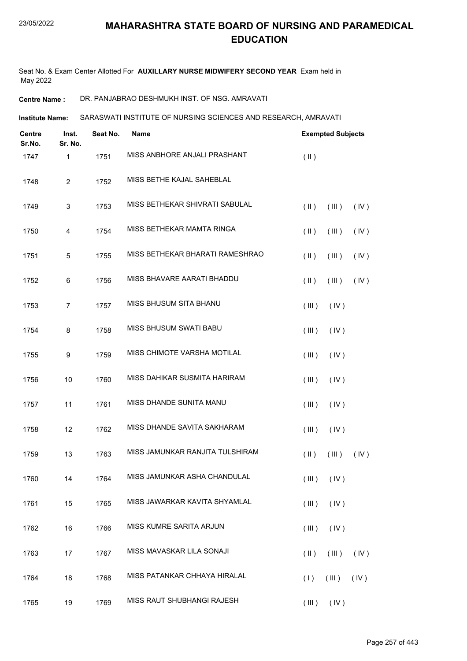Seat No. & Exam Center Allotted For **AUXILLARY NURSE MIDWIFERY SECOND YEAR** Exam held in May 2022

**Centre Name :** DR. PANJABRAO DESHMUKH INST. OF NSG. AMRAVATI

**Institute Name: SARASWATI INSTITUTE OF NURSING SCIENCES AND RESEARCH, AMRAVATI** 

| <b>Centre</b><br>Sr.No. | Inst.<br>Sr. No. | Seat No. | <b>Name</b>                     | <b>Exempted Subjects</b>         |      |
|-------------------------|------------------|----------|---------------------------------|----------------------------------|------|
| 1747                    | 1                | 1751     | MISS ANBHORE ANJALI PRASHANT    | $(\parallel)$                    |      |
| 1748                    | $\overline{2}$   | 1752     | MISS BETHE KAJAL SAHEBLAL       |                                  |      |
| 1749                    | $\sqrt{3}$       | 1753     | MISS BETHEKAR SHIVRATI SABULAL  | $(\parallel)$<br>(III)           | (IV) |
| 1750                    | $\overline{4}$   | 1754     | MISS BETHEKAR MAMTA RINGA       | $(\parallel)$<br>(III)           | (IV) |
| 1751                    | $\,$ 5 $\,$      | 1755     | MISS BETHEKAR BHARATI RAMESHRAO | $(\parallel)$<br>(III)           | (IV) |
| 1752                    | 6                | 1756     | MISS BHAVARE AARATI BHADDU      | $(\parallel)$<br>(III)           | (IV) |
| 1753                    | $\overline{7}$   | 1757     | MISS BHUSUM SITA BHANU          | (III)<br>(IV)                    |      |
| 1754                    | 8                | 1758     | <b>MISS BHUSUM SWATI BABU</b>   | (III)<br>(IV)                    |      |
| 1755                    | 9                | 1759     | MISS CHIMOTE VARSHA MOTILAL     | (III)<br>(IV)                    |      |
| 1756                    | 10               | 1760     | MISS DAHIKAR SUSMITA HARIRAM    | (III)<br>(IV)                    |      |
| 1757                    | 11               | 1761     | MISS DHANDE SUNITA MANU         | (III)<br>(IV)                    |      |
| 1758                    | 12               | 1762     | MISS DHANDE SAVITA SAKHARAM     | (III)<br>(IV)                    |      |
| 1759                    | 13               | 1763     | MISS JAMUNKAR RANJITA TULSHIRAM | $(\parallel)$<br>(III)           | (IV) |
| 1760                    | 14               | 1764     | MISS JAMUNKAR ASHA CHANDULAL    | $(\mathbb{II})$ $(\mathbb{N})$   |      |
| 1761                    | 15               | 1765     | MISS JAWARKAR KAVITA SHYAMLAL   | (III)<br>(IV)                    |      |
| 1762                    | 16               | 1766     | MISS KUMRE SARITA ARJUN         | (III)<br>(IV)                    |      |
| 1763                    | 17               | 1767     | MISS MAVASKAR LILA SONAJI       | $(\parallel \parallel)$<br>(III) | (IV) |
| 1764                    | 18               | 1768     | MISS PATANKAR CHHAYA HIRALAL    | (1)<br>(III)                     | (IV) |
| 1765                    | 19               | 1769     | MISS RAUT SHUBHANGI RAJESH      | $(III)$ $(IV)$                   |      |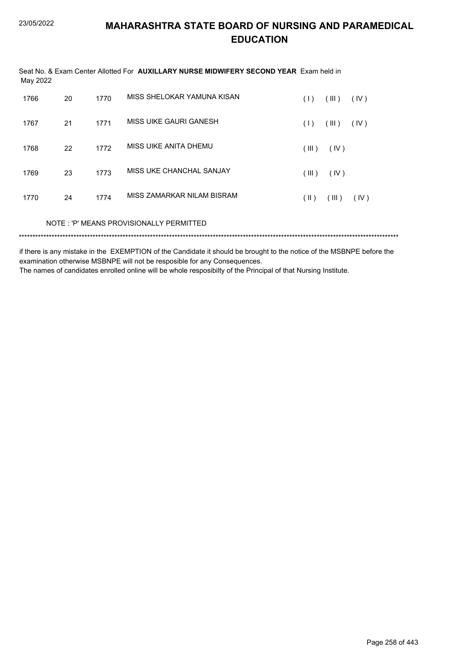| May 2022 |    |      | Seat No. & Exam Center Allotted For <b>AUXILLARY NURSE MIDWIFERY SECOND YEAR</b> Exam held in |               |       |      |  |
|----------|----|------|-----------------------------------------------------------------------------------------------|---------------|-------|------|--|
| 1766     | 20 | 1770 | MISS SHELOKAR YAMUNA KISAN                                                                    | (1)           | (III) | (IV) |  |
| 1767     | 21 | 1771 | MISS UIKE GAURI GANESH                                                                        | (1)           | (III) | (IV) |  |
| 1768     | 22 | 1772 | MISS UIKE ANITA DHEMU                                                                         | (III)         | (IV)  |      |  |
| 1769     | 23 | 1773 | MISS UKE CHANCHAL SANJAY                                                                      | (III)         | (IV)  |      |  |
| 1770     | 24 | 1774 | MISS ZAMARKAR NILAM BISRAM                                                                    | $(\parallel)$ | (III) | (IV) |  |
|          |    |      | NOTE: 'P' MEANS PROVISIONALLY PERMITTED                                                       |               |       |      |  |
|          |    |      |                                                                                               |               |       |      |  |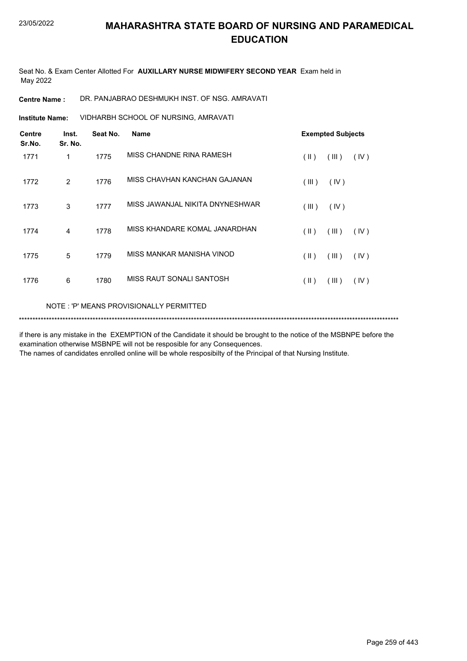Seat No. & Exam Center Allotted For **AUXILLARY NURSE MIDWIFERY SECOND YEAR** Exam held in May 2022

**Centre Name :** DR. PANJABRAO DESHMUKH INST. OF NSG. AMRAVATI

VIDHARBH SCHOOL OF NURSING, AMRAVATI **Institute Name:**

| <b>Centre</b><br>Sr.No. | Inst.<br>Sr. No. | Seat No. | Name                                     |               | <b>Exempted Subjects</b> |      |  |
|-------------------------|------------------|----------|------------------------------------------|---------------|--------------------------|------|--|
| 1771                    | 1                | 1775     | MISS CHANDNE RINA RAMESH                 | $(\parallel)$ | (III)                    | (IV) |  |
| 1772                    | $\overline{2}$   | 1776     | MISS CHAVHAN KANCHAN GAJANAN             | (III)         | (IV)                     |      |  |
| 1773                    | 3                | 1777     | MISS JAWANJAL NIKITA DNYNESHWAR          | (III)         | (IV)                     |      |  |
| 1774                    | 4                | 1778     | MISS KHANDARE KOMAL JANARDHAN            | $($ II $)$    | (III)                    | (IV) |  |
| 1775                    | 5                | 1779     | MISS MANKAR MANISHA VINOD                | $(\parallel)$ | (III)                    | (IV) |  |
| 1776                    | 6                | 1780     | MISS RAUT SONALI SANTOSH                 | $(\parallel)$ | (III)                    | (IV) |  |
|                         |                  |          | NOTE : 'P' MEANS PROVISIONALLY PERMITTED |               |                          |      |  |

\*\*\*\*\*\*\*\*\*\*\*\*\*\*\*\*\*\*\*\*\*\*\*\*\*\*\*\*\*\*\*\*\*\*\*\*\*\*\*\*\*\*\*\*\*\*\*\*\*\*\*\*\*\*\*\*\*\*\*\*\*\*\*\*\*\*\*\*\*\*\*\*\*\*\*\*\*\*\*\*\*\*\*\*\*\*\*\*\*\*\*\*\*\*\*\*\*\*\*\*\*\*\*\*\*\*\*\*\*\*\*\*\*\*\*\*\*\*\*\*\*\*\*\*\*\*\*\*\*\*\*\*\*\*\*\*\*\*\*

if there is any mistake in the EXEMPTION of the Candidate it should be brought to the notice of the MSBNPE before the examination otherwise MSBNPE will not be resposible for any Consequences.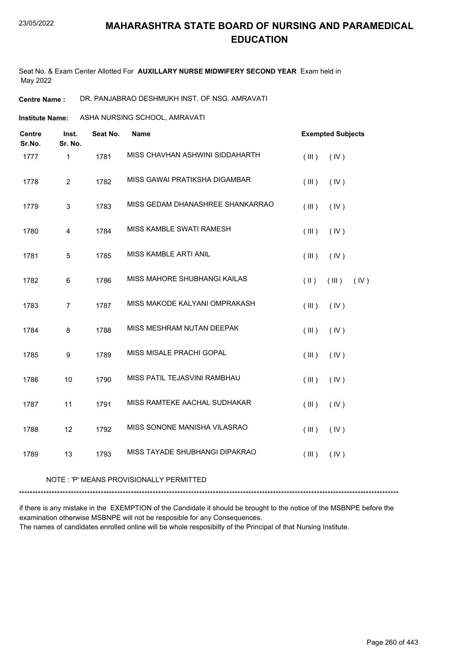Seat No. & Exam Center Allotted For **AUXILLARY NURSE MIDWIFERY SECOND YEAR** Exam held in May 2022

**Centre Name :** DR. PANJABRAO DESHMUKH INST. OF NSG. AMRAVATI

**Institute Name:** ASHA NURSING SCHOOL, AMRAVATI

| <b>Centre</b><br>Sr.No. | Inst.<br>Sr. No. | Seat No. | <b>Name</b>                      | <b>Exempted Subjects</b>       |
|-------------------------|------------------|----------|----------------------------------|--------------------------------|
| 1777                    | 1                | 1781     | MISS CHAVHAN ASHWINI SIDDAHARTH  | (III)<br>(IV)                  |
| 1778                    | $\overline{2}$   | 1782     | MISS GAWAI PRATIKSHA DIGAMBAR    | (III)<br>(IV)                  |
| 1779                    | 3                | 1783     | MISS GEDAM DHANASHREE SHANKARRAO | (III)<br>(IV)                  |
| 1780                    | 4                | 1784     | MISS KAMBLE SWATI RAMESH         | (III)<br>(IV)                  |
| 1781                    | 5                | 1785     | MISS KAMBLE ARTI ANIL            | (III)<br>(IV)                  |
| 1782                    | 6                | 1786     | MISS MAHORE SHUBHANGI KAILAS     | $(\parallel)$<br>(III)<br>(IV) |
| 1783                    | $\overline{7}$   | 1787     | MISS MAKODE KALYANI OMPRAKASH    | (III)<br>(IV)                  |
| 1784                    | 8                | 1788     | MISS MESHRAM NUTAN DEEPAK        | (III)<br>(IV)                  |
| 1785                    | 9                | 1789     | MISS MISALE PRACHI GOPAL         | (IV)<br>(III)                  |
| 1786                    | 10               | 1790     | MISS PATIL TEJASVINI RAMBHAU     | (III)<br>(IV)                  |
| 1787                    | 11               | 1791     | MISS RAMTEKE AACHAL SUDHAKAR     | (III)<br>(IV)                  |
| 1788                    | 12               | 1792     | MISS SONONE MANISHA VILASRAO     | (III)<br>(IV)                  |
| 1789                    | 13               | 1793     | MISS TAYADE SHUBHANGI DIPAKRAO   | (IV)<br>(III)                  |

NOTE : 'P' MEANS PROVISIONALLY PERMITTED

\*\*\*\*\*\*\*\*\*\*\*\*\*\*\*\*\*\*\*\*\*\*\*\*\*\*\*\*\*\*\*\*\*\*\*\*\*\*\*\*\*\*\*\*\*\*\*\*\*\*\*\*\*\*\*\*\*\*\*\*\*\*\*\*\*\*\*\*\*\*\*\*\*\*\*\*\*\*\*\*\*\*\*\*\*\*\*\*\*\*\*\*\*\*\*\*\*\*\*\*\*\*\*\*\*\*\*\*\*\*\*\*\*\*\*\*\*\*\*\*\*\*\*\*\*\*\*\*\*\*\*\*\*\*\*\*\*\*\*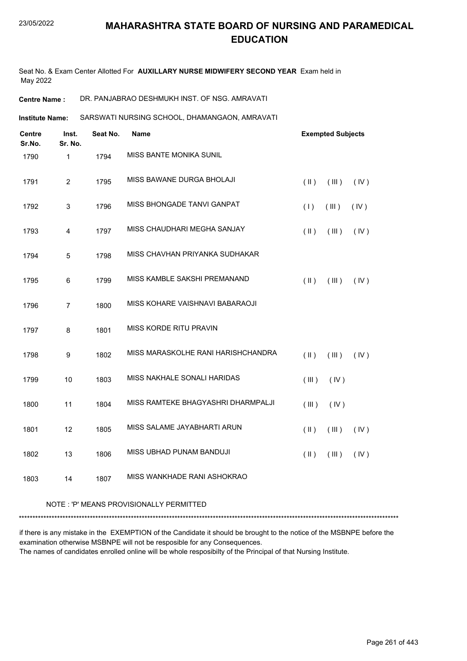Seat No. & Exam Center Allotted For **AUXILLARY NURSE MIDWIFERY SECOND YEAR** Exam held in May 2022

**Centre Name :** DR. PANJABRAO DESHMUKH INST. OF NSG. AMRAVATI

SARSWATI NURSING SCHOOL, DHAMANGAON, AMRAVATI **Institute Name:**

| <b>Centre</b><br>Sr.No. | Inst.<br>Sr. No. | Seat No. | <b>Name</b>                        | <b>Exempted Subjects</b>       |
|-------------------------|------------------|----------|------------------------------------|--------------------------------|
| 1790                    | $\mathbf{1}$     | 1794     | MISS BANTE MONIKA SUNIL            |                                |
| 1791                    | $\overline{2}$   | 1795     | MISS BAWANE DURGA BHOLAJI          | (  )<br>(III)<br>(IV)          |
| 1792                    | $\mathsf 3$      | 1796     | MISS BHONGADE TANVI GANPAT         | (1)<br>(III)<br>(IV)           |
| 1793                    | $\overline{4}$   | 1797     | MISS CHAUDHARI MEGHA SANJAY        | (IV)<br>$($ II $)$<br>(III)    |
| 1794                    | 5                | 1798     | MISS CHAVHAN PRIYANKA SUDHAKAR     |                                |
| 1795                    | 6                | 1799     | MISS KAMBLE SAKSHI PREMANAND       | $(\parallel)$<br>(III)<br>(IV) |
| 1796                    | $\overline{7}$   | 1800     | MISS KOHARE VAISHNAVI BABARAOJI    |                                |
| 1797                    | 8                | 1801     | MISS KORDE RITU PRAVIN             |                                |
| 1798                    | $\boldsymbol{9}$ | 1802     | MISS MARASKOLHE RANI HARISHCHANDRA | $($ II $)$<br>(III)<br>(IV)    |
| 1799                    | 10               | 1803     | MISS NAKHALE SONALI HARIDAS        | (III)<br>(IV)                  |
| 1800                    | 11               | 1804     | MISS RAMTEKE BHAGYASHRI DHARMPALJI | (III)<br>(IV)                  |
| 1801                    | 12               | 1805     | MISS SALAME JAYABHARTI ARUN        | $($ II $)$<br>(III)<br>(IV)    |
| 1802                    | 13               | 1806     | MISS UBHAD PUNAM BANDUJI           | $($ II $)$<br>(III)<br>(IV)    |
| 1803                    | 14               | 1807     | MISS WANKHADE RANI ASHOKRAO        |                                |
|                         |                  |          |                                    |                                |

#### NOTE : 'P' MEANS PROVISIONALLY PERMITTED

\*\*\*\*\*\*\*\*\*\*\*\*\*\*\*\*\*\*\*\*\*\*\*\*\*\*\*\*\*\*\*\*\*\*\*\*\*\*\*\*\*\*\*\*\*\*\*\*\*\*\*\*\*\*\*\*\*\*\*\*\*\*\*\*\*\*\*\*\*\*\*\*\*\*\*\*\*\*\*\*\*\*\*\*\*\*\*\*\*\*\*\*\*\*\*\*\*\*\*\*\*\*\*\*\*\*\*\*\*\*\*\*\*\*\*\*\*\*\*\*\*\*\*\*\*\*\*\*\*\*\*\*\*\*\*\*\*\*\*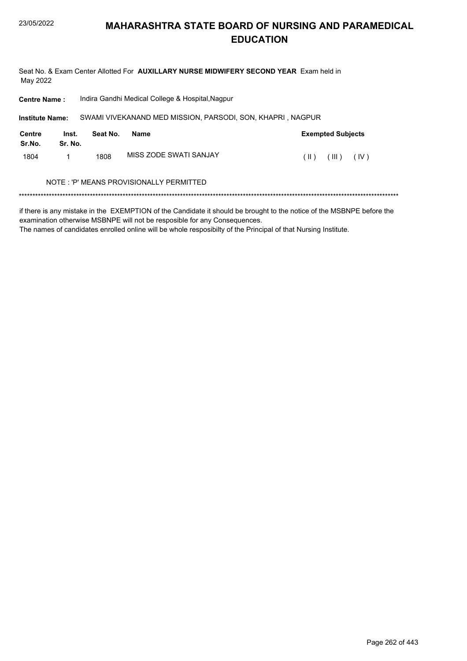#### **MAHARASHTRA STATE BOARD OF NURSING AND PARAMEDICAL EDUCATION**

Seat No. & Exam Center Allotted For AUXILLARY NURSE MIDWIFERY SECOND YEAR Exam held in May 2022

| <b>Centre Name:</b>    |                  |          | Indira Gandhi Medical College & Hospital, Nagpur |                                                            |      |                          |      |  |
|------------------------|------------------|----------|--------------------------------------------------|------------------------------------------------------------|------|--------------------------|------|--|
| <b>Institute Name:</b> |                  |          |                                                  | SWAMI VIVEKANAND MED MISSION, PARSODI, SON, KHAPRI, NAGPUR |      |                          |      |  |
| Centre<br>Sr.No.       | Inst.<br>Sr. No. | Seat No. | Name                                             |                                                            |      | <b>Exempted Subjects</b> |      |  |
| 1804                   |                  | 1808     | MISS ZODE SWATI SANJAY                           |                                                            | (  ) | (III)                    | (IV) |  |
|                        |                  |          | NOTE : 'P' MEANS PROVISIONALLY PERMITTED         |                                                            |      |                          |      |  |
|                        |                  |          |                                                  |                                                            |      |                          |      |  |

if there is any mistake in the EXEMPTION of the Candidate it should be brought to the notice of the MSBNPE before the examination otherwise MSBNPE will not be resposible for any Consequences.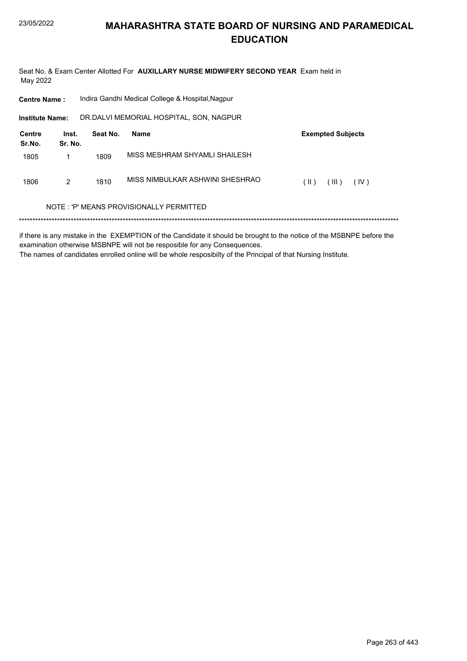Seat No. & Exam Center Allotted For AUXILLARY NURSE MIDWIFERY SECOND YEAR Exam held in May 2022

| <b>Centre Name:</b>     |                  |          | Indira Gandhi Medical College & Hospital, Nagpur |                          |
|-------------------------|------------------|----------|--------------------------------------------------|--------------------------|
| <b>Institute Name:</b>  |                  |          | DR.DALVI MEMORIAL HOSPITAL, SON, NAGPUR          |                          |
| <b>Centre</b><br>Sr.No. | Inst.<br>Sr. No. | Seat No. | <b>Name</b>                                      | <b>Exempted Subjects</b> |
| 1805                    | 1                | 1809     | MISS MESHRAM SHYAMI I SHAII FSH                  |                          |
| 1806                    | 2                | 1810     | MISS NIMBULKAR ASHWINI SHESHRAO                  | (  )<br>(IV)<br>(III)    |
|                         |                  |          | NOTE : 'P' MEANS PROVISIONALLY PERMITTED         |                          |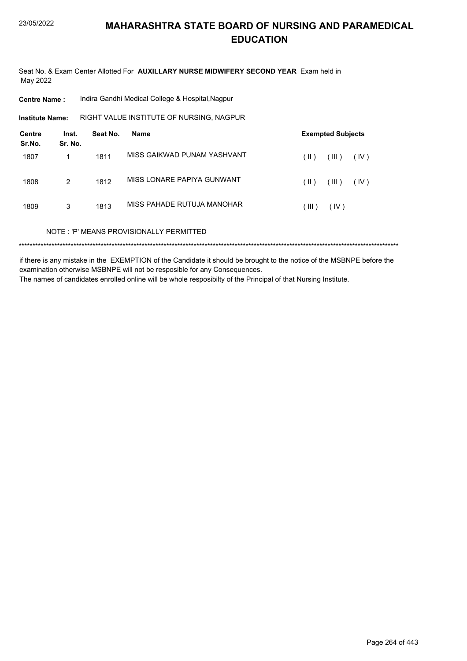Seat No. & Exam Center Allotted For AUXILLARY NURSE MIDWIFERY SECOND YEAR Exam held in May 2022

| <b>Centre Name :</b> | Indira Gandhi Medical College & Hospital, Nagpur |  |
|----------------------|--------------------------------------------------|--|
|                      |                                                  |  |

Institute Name: RIGHT VALUE INSTITUTE OF NURSING, NAGPUR

| <b>Centre</b><br>Sr.No. | Inst.<br>Sr. No. | Seat No. | <b>Name</b>                             |               | <b>Exempted Subjects</b> |      |
|-------------------------|------------------|----------|-----------------------------------------|---------------|--------------------------|------|
| 1807                    |                  | 1811     | MISS GAIKWAD PUNAM YASHVANT             | $(\parallel)$ | (III)                    | (IV) |
| 1808                    | 2                | 1812     | MISS LONARE PAPIYA GUNWANT              | $(\parallel)$ | (III)                    | (IV) |
| 1809                    | 3                | 1813     | MISS PAHADE RUTUJA MANOHAR              | (III)         | (IV)                     |      |
|                         |                  |          | NOTE: 'P' MEANS PROVISIONALLY PERMITTED |               |                          |      |
|                         |                  |          |                                         |               |                          |      |

if there is any mistake in the EXEMPTION of the Candidate it should be brought to the notice of the MSBNPE before the examination otherwise MSBNPE will not be resposible for any Consequences.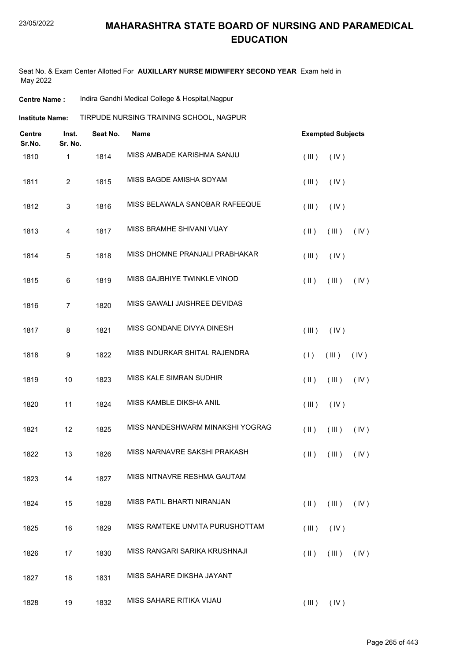Seat No. & Exam Center Allotted For **AUXILLARY NURSE MIDWIFERY SECOND YEAR** Exam held in May 2022

| <b>Centre Name :</b> | Indira Gandhi Medical College & Hospital, Nagpur |
|----------------------|--------------------------------------------------|
|----------------------|--------------------------------------------------|

| Institute Name: | TIRPUDE NURSING TRAINING SCHOOL, NAGPUR |  |
|-----------------|-----------------------------------------|--|
|                 |                                         |  |

| <b>Centre</b><br>Sr.No. | Inst.<br>Sr. No. | Seat No. | Name                             | <b>Exempted Subjects</b>               |            |
|-------------------------|------------------|----------|----------------------------------|----------------------------------------|------------|
| 1810                    | 1                | 1814     | MISS AMBADE KARISHMA SANJU       | (III)<br>(IV)                          |            |
| 1811                    | $\overline{2}$   | 1815     | MISS BAGDE AMISHA SOYAM          | (III)<br>(IV)                          |            |
| 1812                    | $\mathbf{3}$     | 1816     | MISS BELAWALA SANOBAR RAFEEQUE   | (III)<br>(IV)                          |            |
| 1813                    | $\overline{4}$   | 1817     | MISS BRAMHE SHIVANI VIJAY        | $(\parallel)$<br>(III)                 | (IV)       |
| 1814                    | 5                | 1818     | MISS DHOMNE PRANJALI PRABHAKAR   | (III)<br>(IV)                          |            |
| 1815                    | 6                | 1819     | MISS GAJBHIYE TWINKLE VINOD      | $(\parallel)$<br>(III)                 | (IV)       |
| 1816                    | $\overline{7}$   | 1820     | MISS GAWALI JAISHREE DEVIDAS     |                                        |            |
| 1817                    | 8                | 1821     | MISS GONDANE DIVYA DINESH        | (III)<br>(IV)                          |            |
| 1818                    | 9                | 1822     | MISS INDURKAR SHITAL RAJENDRA    | (1)<br>(III)                           | (IV)       |
| 1819                    | 10               | 1823     | MISS KALE SIMRAN SUDHIR          | $($ II $)$<br>(III)                    | (IV)       |
| 1820                    | 11               | 1824     | MISS KAMBLE DIKSHA ANIL          | (III)<br>(IV)                          |            |
| 1821                    | 12               | 1825     | MISS NANDESHWARM MINAKSHI YOGRAG | $(\parallel)$<br>(III)                 | (IV)       |
| 1822                    | 13               | 1826     | MISS NARNAVRE SAKSHI PRAKASH     | $(\parallel)$<br>(III)                 | (IV)       |
| 1823                    | 14               | 1827     | MISS NITNAVRE RESHMA GAUTAM      |                                        |            |
| 1824                    | 15               | 1828     | MISS PATIL BHARTI NIRANJAN       | $(\parallel \parallel)$<br>$($ III $)$ | $($ IV $)$ |
| 1825                    | 16               | 1829     | MISS RAMTEKE UNVITA PURUSHOTTAM  | (IV)<br>(III)                          |            |
| 1826                    | 17               | 1830     | MISS RANGARI SARIKA KRUSHNAJI    | (III)<br>$(\parallel)$                 | (IV)       |
| 1827                    | 18               | 1831     | MISS SAHARE DIKSHA JAYANT        |                                        |            |
| 1828                    | 19               | 1832     | MISS SAHARE RITIKA VIJAU         | $(III)$ $(IV)$                         |            |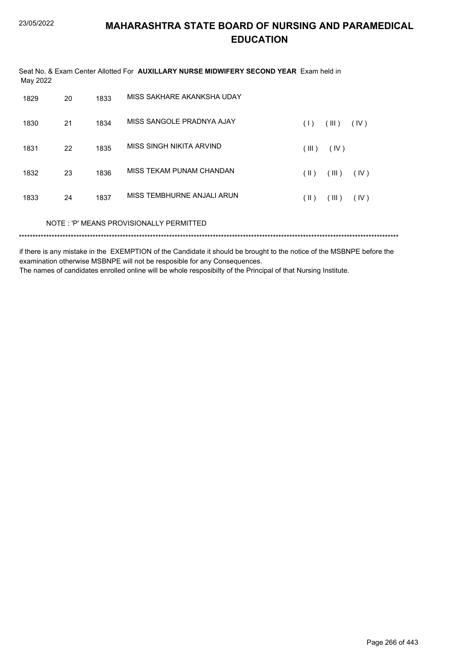| May 2022 |    |      | Seat No. & Exam Center Allotted For AUXILLARY NURSE MIDWIFERY SECOND YEAR Exam held in |               |       |      |  |
|----------|----|------|----------------------------------------------------------------------------------------|---------------|-------|------|--|
| 1829     | 20 | 1833 | MISS SAKHARE AKANKSHA UDAY                                                             |               |       |      |  |
| 1830     | 21 | 1834 | MISS SANGOLE PRADNYA AJAY                                                              | (1)           | (III) | (IV) |  |
| 1831     | 22 | 1835 | MISS SINGH NIKITA ARVIND                                                               | (III)         | (IV)  |      |  |
| 1832     | 23 | 1836 | MISS TEKAM PUNAM CHANDAN                                                               | $(\parallel)$ | (III) | (IV) |  |
| 1833     | 24 | 1837 | MISS TEMBHURNE ANJALI ARUN                                                             | $(\parallel)$ | (III) | (IV) |  |
|          |    |      | NOTE: 'P' MEANS PROVISIONALLY PERMITTED                                                |               |       |      |  |
|          |    |      |                                                                                        |               |       |      |  |

if there is any mistake in the EXEMPTION of the Candidate it should be brought to the notice of the MSBNPE before the examination otherwise MSBNPE will not be resposible for any Consequences.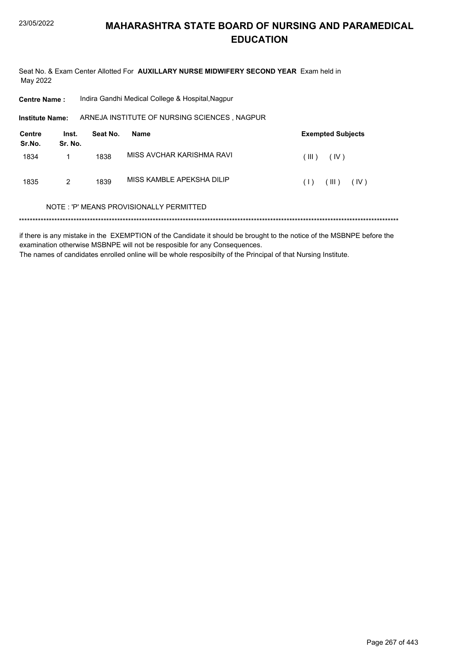Seat No. & Exam Center Allotted For AUXILLARY NURSE MIDWIFERY SECOND YEAR Exam held in May 2022

| <b>Centre Name:</b> | Indira Gandhi Medical College & Hospital, Nagpur |
|---------------------|--------------------------------------------------|
|---------------------|--------------------------------------------------|

Institute Name: ARNEJA INSTITUTE OF NURSING SCIENCES, NAGPUR

| <b>Centre</b><br>Sr.No. | Inst.<br>Sr. No. | Seat No. | Name                      | <b>Exempted Subjects</b> |
|-------------------------|------------------|----------|---------------------------|--------------------------|
| 1834                    |                  | 1838     | MISS AVCHAR KARISHMA RAVI | (III)<br>(IV)            |
| 1835                    | 2                | 1839     | MISS KAMBLE APEKSHA DILIP | (III)<br>(IV)<br>(1)     |

#### NOTE: 'P' MEANS PROVISIONALLY PERMITTED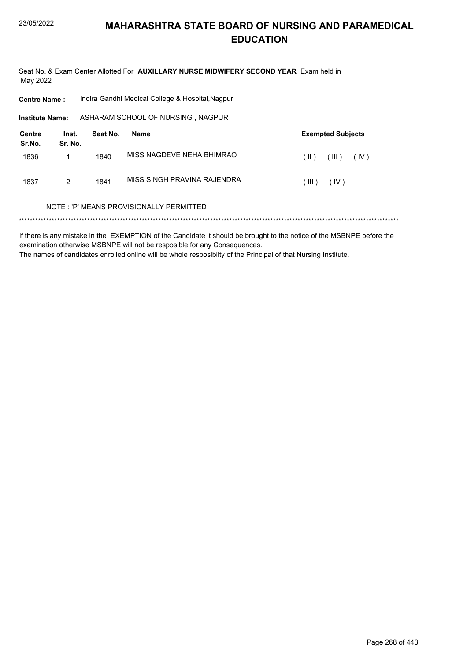Seat No. & Exam Center Allotted For AUXILLARY NURSE MIDWIFERY SECOND YEAR Exam held in May 2022

| <b>Centre Name:</b>     |                  |          | Indira Gandhi Medical College & Hospital, Nagpur |                                |
|-------------------------|------------------|----------|--------------------------------------------------|--------------------------------|
| <b>Institute Name:</b>  |                  |          | ASHARAM SCHOOL OF NURSING, NAGPUR                |                                |
| <b>Centre</b><br>Sr.No. | Inst.<br>Sr. No. | Seat No. | Name                                             | <b>Exempted Subjects</b>       |
| 1836                    |                  | 1840     | MISS NAGDEVE NEHA BHIMRAO                        | (III)<br>(IV)<br>$(\parallel)$ |
| 1837                    | 2                | 1841     | MISS SINGH PRAVINA RAJENDRA                      | (III)<br>(IV)                  |
|                         |                  |          | NOTE: 'P' MEANS PROVISIONALLY PERMITTED          |                                |
|                         |                  |          |                                                  |                                |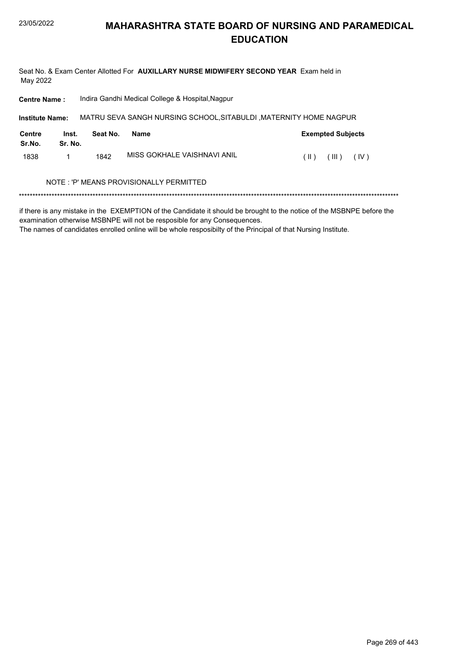Seat No. & Exam Center Allotted For AUXILLARY NURSE MIDWIFERY SECOND YEAR Exam held in May 2022

| <b>Centre Name:</b>     |                  | Indira Gandhi Medical College & Hospital, Nagpur |                                          |                                                                   |  |  |  |
|-------------------------|------------------|--------------------------------------------------|------------------------------------------|-------------------------------------------------------------------|--|--|--|
| <b>Institute Name:</b>  |                  |                                                  |                                          | MATRU SEVA SANGH NURSING SCHOOL, SITABULDI, MATERNITY HOME NAGPUR |  |  |  |
| <b>Centre</b><br>Sr.No. | Inst.<br>Sr. No. | Seat No.                                         | Name                                     | <b>Exempted Subjects</b>                                          |  |  |  |
| 1838                    |                  | 1842                                             | MISS GOKHAI F VAISHNAVI ANII             | $(\parallel)$<br>(III)<br>(IV)                                    |  |  |  |
|                         |                  |                                                  | NOTE : 'P' MEANS PROVISIONALLY PERMITTED |                                                                   |  |  |  |
|                         |                  |                                                  |                                          |                                                                   |  |  |  |

if there is any mistake in the EXEMPTION of the Candidate it should be brought to the notice of the MSBNPE before the examination otherwise MSBNPE will not be resposible for any Consequences.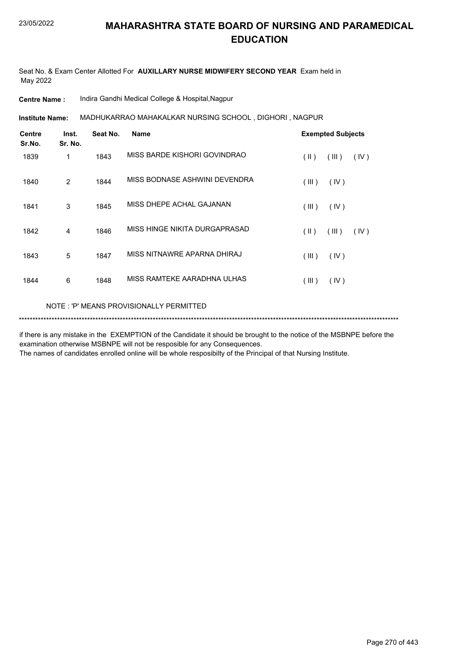Seat No. & Exam Center Allotted For **AUXILLARY NURSE MIDWIFERY SECOND YEAR** Exam held in May 2022

**Centre Name :** Indira Gandhi Medical College & Hospital,Nagpur

MADHUKARRAO MAHAKALKAR NURSING SCHOOL , DIGHORI , NAGPUR **Institute Name:**

| <b>Centre</b><br>Sr.No. | Inst.<br>Sr. No. | Seat No. | <b>Name</b>                   | <b>Exempted Subjects</b> |
|-------------------------|------------------|----------|-------------------------------|--------------------------|
| 1839                    | 1                | 1843     | MISS BARDE KISHORI GOVINDRAO  | (II)<br>(III)<br>(IV)    |
| 1840                    | 2                | 1844     | MISS BODNASE ASHWINI DEVENDRA | (III)<br>(IV)            |
| 1841                    | 3                | 1845     | MISS DHEPE ACHAL GAJANAN      | (III)<br>(IV)            |
| 1842                    | 4                | 1846     | MISS HINGE NIKITA DURGAPRASAD | (III)<br>(  )<br>(IV)    |
| 1843                    | 5                | 1847     | MISS NITNAWRE APARNA DHIRAJ   | (III)<br>(IV)            |
| 1844                    | 6                | 1848     | MISS RAMTEKE AARADHNA ULHAS   | (III)<br>(IV)            |
|                         |                  |          |                               |                          |

NOTE : 'P' MEANS PROVISIONALLY PERMITTED

\*\*\*\*\*\*\*\*\*\*\*\*\*\*\*\*\*\*\*\*\*\*\*\*\*\*\*\*\*\*\*\*\*\*\*\*\*\*\*\*\*\*\*\*\*\*\*\*\*\*\*\*\*\*\*\*\*\*\*\*\*\*\*\*\*\*\*\*\*\*\*\*\*\*\*\*\*\*\*\*\*\*\*\*\*\*\*\*\*\*\*\*\*\*\*\*\*\*\*\*\*\*\*\*\*\*\*\*\*\*\*\*\*\*\*\*\*\*\*\*\*\*\*\*\*\*\*\*\*\*\*\*\*\*\*\*\*\*\*

if there is any mistake in the EXEMPTION of the Candidate it should be brought to the notice of the MSBNPE before the examination otherwise MSBNPE will not be resposible for any Consequences.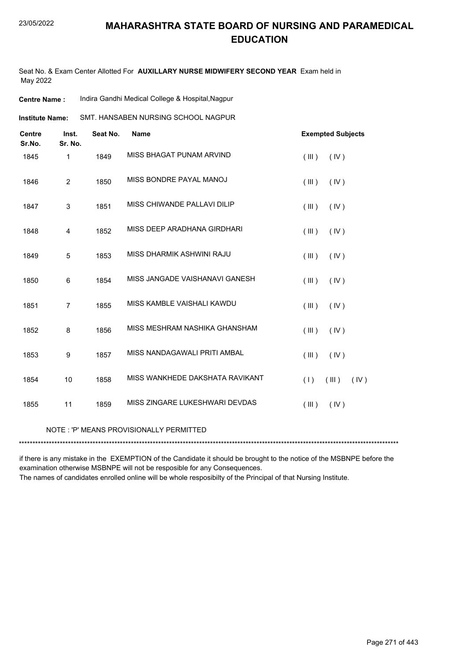Seat No. & Exam Center Allotted For **AUXILLARY NURSE MIDWIFERY SECOND YEAR** Exam held in May 2022

| <b>Centre Name :</b> |  | Indira Gandhi Medical College & Hospital, Nagpur |
|----------------------|--|--------------------------------------------------|
|----------------------|--|--------------------------------------------------|

| <b>Centre</b><br>Sr.No. | Inst.<br>Sr. No. | Seat No. | <b>Name</b>                     | <b>Exempted Subjects</b> |
|-------------------------|------------------|----------|---------------------------------|--------------------------|
| 1845                    | $\mathbf{1}$     | 1849     | MISS BHAGAT PUNAM ARVIND        | (III)<br>(IV)            |
| 1846                    | $\overline{2}$   | 1850     | MISS BONDRE PAYAL MANOJ         | (III)<br>(IV)            |
| 1847                    | 3                | 1851     | MISS CHIWANDE PALLAVI DILIP     | (III)<br>(IV)            |
| 1848                    | 4                | 1852     | MISS DEEP ARADHANA GIRDHARI     | (III)<br>(IV)            |
| 1849                    | 5                | 1853     | MISS DHARMIK ASHWINI RAJU       | (III)<br>(IV)            |
| 1850                    | 6                | 1854     | MISS JANGADE VAISHANAVI GANESH  | (III)<br>(IV)            |
| 1851                    | $\overline{7}$   | 1855     | MISS KAMBLE VAISHALI KAWDU      | (III)<br>(IV)            |
| 1852                    | 8                | 1856     | MISS MESHRAM NASHIKA GHANSHAM   | (III)<br>(IV)            |
| 1853                    | 9                | 1857     | MISS NANDAGAWALI PRITI AMBAL    | (III)<br>(IV)            |
| 1854                    | 10               | 1858     | MISS WANKHEDE DAKSHATA RAVIKANT | (1)<br>(III)<br>(IV)     |
| 1855                    | 11               | 1859     | MISS ZINGARE LUKESHWARI DEVDAS  | (IV)<br>(III)            |
|                         |                  |          |                                 |                          |

#### NOTE : 'P' MEANS PROVISIONALLY PERMITTED

\*\*\*\*\*\*\*\*\*\*\*\*\*\*\*\*\*\*\*\*\*\*\*\*\*\*\*\*\*\*\*\*\*\*\*\*\*\*\*\*\*\*\*\*\*\*\*\*\*\*\*\*\*\*\*\*\*\*\*\*\*\*\*\*\*\*\*\*\*\*\*\*\*\*\*\*\*\*\*\*\*\*\*\*\*\*\*\*\*\*\*\*\*\*\*\*\*\*\*\*\*\*\*\*\*\*\*\*\*\*\*\*\*\*\*\*\*\*\*\*\*\*\*\*\*\*\*\*\*\*\*\*\*\*\*\*\*\*\*

if there is any mistake in the EXEMPTION of the Candidate it should be brought to the notice of the MSBNPE before the examination otherwise MSBNPE will not be resposible for any Consequences.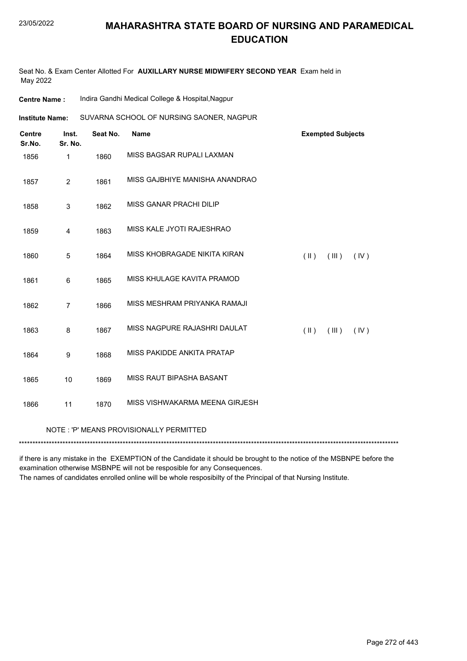Seat No. & Exam Center Allotted For **AUXILLARY NURSE MIDWIFERY SECOND YEAR** Exam held in May 2022

| <b>Centre Name:</b>                         | Indira Gandhi Medical College & Hospital, Nagpur |                                          |                                |  |  |
|---------------------------------------------|--------------------------------------------------|------------------------------------------|--------------------------------|--|--|
| <b>Institute Name:</b>                      |                                                  | SUVARNA SCHOOL OF NURSING SAONER, NAGPUR |                                |  |  |
| <b>Centre</b><br>Inst.<br>Sr.No.<br>Sr. No. | Seat No.                                         | <b>Name</b>                              | <b>Exempted Subjects</b>       |  |  |
| 1856<br>1                                   | 1860                                             | MISS BAGSAR RUPALI LAXMAN                |                                |  |  |
| $\overline{2}$<br>1857                      | 1861                                             | MISS GAJBHIYE MANISHA ANANDRAO           |                                |  |  |
| 1858<br>$\mathbf{3}$                        | 1862                                             | MISS GANAR PRACHI DILIP                  |                                |  |  |
| 1859<br>4                                   | 1863                                             | MISS KALE JYOTI RAJESHRAO                |                                |  |  |
| 1860<br>5                                   | 1864                                             | MISS KHOBRAGADE NIKITA KIRAN             | (11)<br>(III)<br>(IV)          |  |  |
| 1861<br>6                                   | 1865                                             | MISS KHULAGE KAVITA PRAMOD               |                                |  |  |
| $\overline{7}$<br>1862                      | 1866                                             | MISS MESHRAM PRIYANKA RAMAJI             |                                |  |  |
| 8<br>1863                                   | 1867                                             | MISS NAGPURE RAJASHRI DAULAT             | $(\parallel)$<br>(III)<br>(IV) |  |  |
| 1864<br>9                                   | 1868                                             | MISS PAKIDDE ANKITA PRATAP               |                                |  |  |
| 10<br>1865                                  | 1869                                             | <b>MISS RAUT BIPASHA BASANT</b>          |                                |  |  |
| 1866<br>11                                  | 1870                                             | MISS VISHWAKARMA MEENA GIRJESH           |                                |  |  |
|                                             |                                                  | NOTE: 'P' MEANS PROVISIONALLY PERMITTED  |                                |  |  |

if there is any mistake in the EXEMPTION of the Candidate it should be brought to the notice of the MSBNPE before the examination otherwise MSBNPE will not be resposible for any Consequences.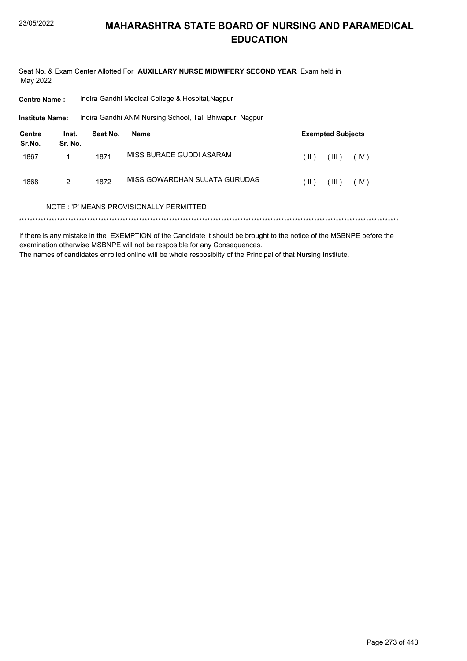Seat No. & Exam Center Allotted For AUXILLARY NURSE MIDWIFERY SECOND YEAR Exam held in May 2022

| <b>Centre Name:</b>     |                  | Indira Gandhi Medical College & Hospital, Nagpur |                                                        |                                |  |  |  |
|-------------------------|------------------|--------------------------------------------------|--------------------------------------------------------|--------------------------------|--|--|--|
| <b>Institute Name:</b>  |                  |                                                  | Indira Gandhi ANM Nursing School, Tal Bhiwapur, Nagpur |                                |  |  |  |
| <b>Centre</b><br>Sr.No. | Inst.<br>Sr. No. | Seat No.                                         | <b>Name</b>                                            | <b>Exempted Subjects</b>       |  |  |  |
| 1867                    |                  | 1871                                             | MISS BURADE GUDDI ASARAM                               | $(\parallel)$<br>(III)<br>(IV) |  |  |  |
| 1868                    | 2                | 1872                                             | MISS GOWARDHAN SUJATA GURUDAS                          | (  )<br>(III)<br>(IV)          |  |  |  |
|                         |                  |                                                  | NOTE: 'P' MEANS PROVISIONALLY PERMITTED                |                                |  |  |  |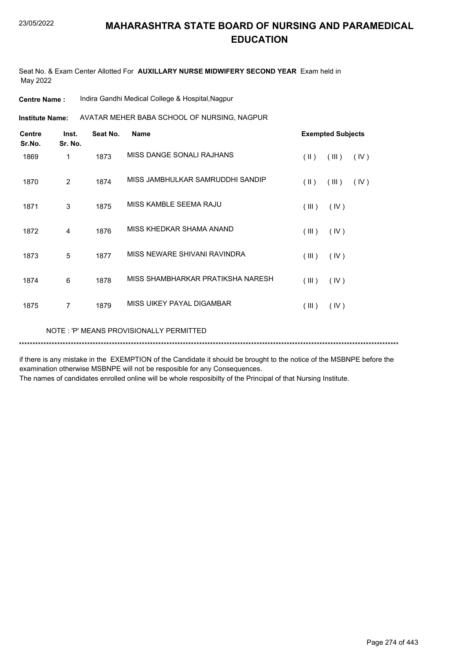Seat No. & Exam Center Allotted For **AUXILLARY NURSE MIDWIFERY SECOND YEAR** Exam held in May 2022

**Institute Name: AVATAR MEHER BABA SCHOOL OF NURSING, NAGPUR** 

| <b>Centre</b><br>Sr.No. | Inst.<br>Sr. No. | Seat No. | <b>Name</b>                       | <b>Exempted Subjects</b> |       |      |
|-------------------------|------------------|----------|-----------------------------------|--------------------------|-------|------|
| 1869                    | 1                | 1873     | MISS DANGE SONALI RAJHANS         | $(\parallel)$            | (III) | (IV) |
| 1870                    | 2                | 1874     | MISS JAMBHULKAR SAMRUDDHI SANDIP  | $(\parallel)$            | (III) | (IV) |
| 1871                    | 3                | 1875     | MISS KAMBLE SEEMA RAJU            | (III)                    | (IV)  |      |
| 1872                    | 4                | 1876     | MISS KHEDKAR SHAMA ANAND          | (III)                    | (IV)  |      |
| 1873                    | 5                | 1877     | MISS NEWARE SHIVANI RAVINDRA      | (III)                    | (IV)  |      |
| 1874                    | 6                | 1878     | MISS SHAMBHARKAR PRATIKSHA NARESH | (III)                    | (IV)  |      |
| 1875                    | $\overline{7}$   | 1879     | MISS UIKEY PAYAL DIGAMBAR         | (III)                    | (IV)  |      |
|                         |                  |          |                                   |                          |       |      |

NOTE : 'P' MEANS PROVISIONALLY PERMITTED

\*\*\*\*\*\*\*\*\*\*\*\*\*\*\*\*\*\*\*\*\*\*\*\*\*\*\*\*\*\*\*\*\*\*\*\*\*\*\*\*\*\*\*\*\*\*\*\*\*\*\*\*\*\*\*\*\*\*\*\*\*\*\*\*\*\*\*\*\*\*\*\*\*\*\*\*\*\*\*\*\*\*\*\*\*\*\*\*\*\*\*\*\*\*\*\*\*\*\*\*\*\*\*\*\*\*\*\*\*\*\*\*\*\*\*\*\*\*\*\*\*\*\*\*\*\*\*\*\*\*\*\*\*\*\*\*\*\*\*

if there is any mistake in the EXEMPTION of the Candidate it should be brought to the notice of the MSBNPE before the examination otherwise MSBNPE will not be resposible for any Consequences.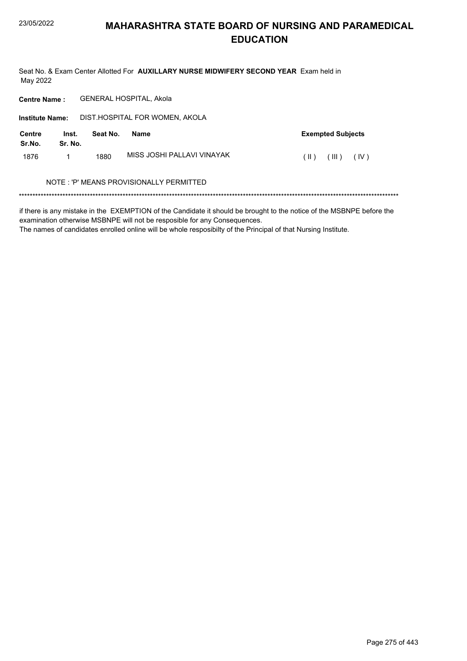Seat No. & Exam Center Allotted For AUXILLARY NURSE MIDWIFERY SECOND YEAR Exam held in May 2022

Centre Name: GENERAL HOSPITAL, Akola

| <b>Institute Name:</b>  |                  |          | DIST.HOSPITAL FOR WOMEN, AKOLA          |                                |
|-------------------------|------------------|----------|-----------------------------------------|--------------------------------|
| <b>Centre</b><br>Sr.No. | Inst.<br>Sr. No. | Seat No. | Name                                    | <b>Exempted Subjects</b>       |
| 1876                    |                  | 1880     | MISS JOSHI PALLAVI VINAYAK              | (III)<br>(IV)<br>$(\parallel)$ |
|                         |                  |          | NOTE: 'P' MEANS PROVISIONALLY PERMITTED |                                |

if there is any mistake in the EXEMPTION of the Candidate it should be brought to the notice of the MSBNPE before the examination otherwise MSBNPE will not be resposible for any Consequences.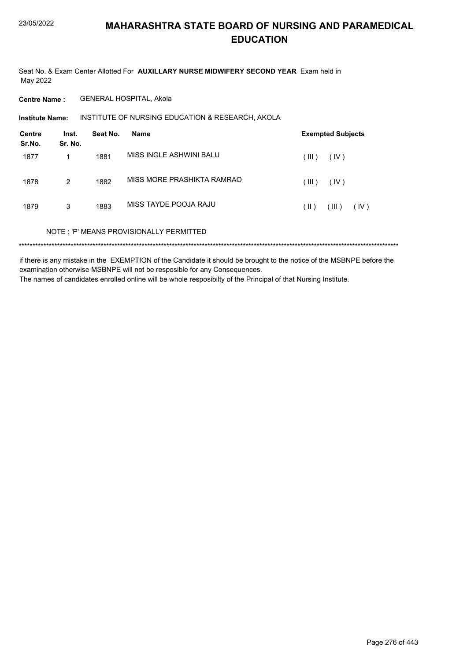Seat No. & Exam Center Allotted For AUXILLARY NURSE MIDWIFERY SECOND YEAR Exam held in May 2022

**Centre Name: GENERAL HOSPITAL, Akola** 

INSTITUTE OF NURSING EDUCATION & RESEARCH, AKOLA **Institute Name:** 

| <b>Centre</b><br>Sr.No. | Inst.<br>Sr. No. | Seat No. | <b>Name</b>                             | <b>Exempted Subjects</b> |
|-------------------------|------------------|----------|-----------------------------------------|--------------------------|
| 1877                    |                  | 1881     | MISS INGLE ASHWINI BALU                 | (III)<br>(IV)            |
| 1878                    | 2                | 1882     | MISS MORE PRASHIKTA RAMRAO              | (III)<br>(IV)            |
| 1879                    | 3                | 1883     | MISS TAYDE POOJA RAJU                   | (III)<br>(  )<br>(IV)    |
|                         |                  |          | NOTE: 'P' MEANS PROVISIONALLY PERMITTED |                          |
|                         |                  |          |                                         |                          |

if there is any mistake in the EXEMPTION of the Candidate it should be brought to the notice of the MSBNPE before the examination otherwise MSBNPE will not be resposible for any Consequences. The names of candidates enrolled online will be whole resposibilty of the Principal of that Nursing Institute.

Page 276 of 443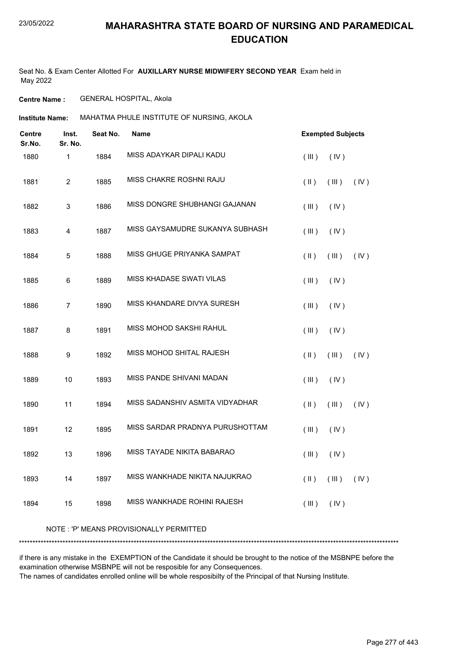Seat No. & Exam Center Allotted For **AUXILLARY NURSE MIDWIFERY SECOND YEAR** Exam held in May 2022

**Centre Name :** GENERAL HOSPITAL, Akola

**Institute Name: MAHATMA PHULE INSTITUTE OF NURSING, AKOLA** 

| <b>Centre</b><br>Sr.No. | Inst.<br>Sr. No. | Seat No. | <b>Name</b>                     | <b>Exempted Subjects</b>             |  |  |
|-------------------------|------------------|----------|---------------------------------|--------------------------------------|--|--|
| 1880                    | 1                | 1884     | MISS ADAYKAR DIPALI KADU        | (III)<br>(IV)                        |  |  |
| 1881                    | $\overline{c}$   | 1885     | MISS CHAKRE ROSHNI RAJU         | $(\parallel)$<br>(III)<br>(IV)       |  |  |
| 1882                    | 3                | 1886     | MISS DONGRE SHUBHANGI GAJANAN   | (III)<br>(IV)                        |  |  |
| 1883                    | 4                | 1887     | MISS GAYSAMUDRE SUKANYA SUBHASH | (III)<br>(IV)                        |  |  |
| 1884                    | 5                | 1888     | MISS GHUGE PRIYANKA SAMPAT      | $($ III $)$<br>(IV)<br>$(\parallel)$ |  |  |
| 1885                    | 6                | 1889     | MISS KHADASE SWATI VILAS        | (III)<br>(IV)                        |  |  |
| 1886                    | $\overline{7}$   | 1890     | MISS KHANDARE DIVYA SURESH      | (III)<br>(IV)                        |  |  |
| 1887                    | 8                | 1891     | MISS MOHOD SAKSHI RAHUL         | (III)<br>(IV)                        |  |  |
| 1888                    | 9                | 1892     | MISS MOHOD SHITAL RAJESH        | $(\parallel)$<br>(III)<br>(IV)       |  |  |
| 1889                    | 10               | 1893     | MISS PANDE SHIVANI MADAN        | (III)<br>(IV)                        |  |  |
| 1890                    | 11               | 1894     | MISS SADANSHIV ASMITA VIDYADHAR | $($ II $)$<br>(III)<br>(IV)          |  |  |
| 1891                    | 12               | 1895     | MISS SARDAR PRADNYA PURUSHOTTAM | (III)<br>(IV)                        |  |  |
| 1892                    | 13               | 1896     | MISS TAYADE NIKITA BABARAO      | (III)<br>(IV)                        |  |  |
| 1893                    | 14               | 1897     | MISS WANKHADE NIKITA NAJUKRAO   | $(\parallel)$<br>(III)<br>(IV)       |  |  |
| 1894                    | 15               | 1898     | MISS WANKHADE ROHINI RAJESH     | (III)<br>(IV)                        |  |  |

#### NOTE : 'P' MEANS PROVISIONALLY PERMITTED

\*\*\*\*\*\*\*\*\*\*\*\*\*\*\*\*\*\*\*\*\*\*\*\*\*\*\*\*\*\*\*\*\*\*\*\*\*\*\*\*\*\*\*\*\*\*\*\*\*\*\*\*\*\*\*\*\*\*\*\*\*\*\*\*\*\*\*\*\*\*\*\*\*\*\*\*\*\*\*\*\*\*\*\*\*\*\*\*\*\*\*\*\*\*\*\*\*\*\*\*\*\*\*\*\*\*\*\*\*\*\*\*\*\*\*\*\*\*\*\*\*\*\*\*\*\*\*\*\*\*\*\*\*\*\*\*\*\*\*

if there is any mistake in the EXEMPTION of the Candidate it should be brought to the notice of the MSBNPE before the examination otherwise MSBNPE will not be resposible for any Consequences.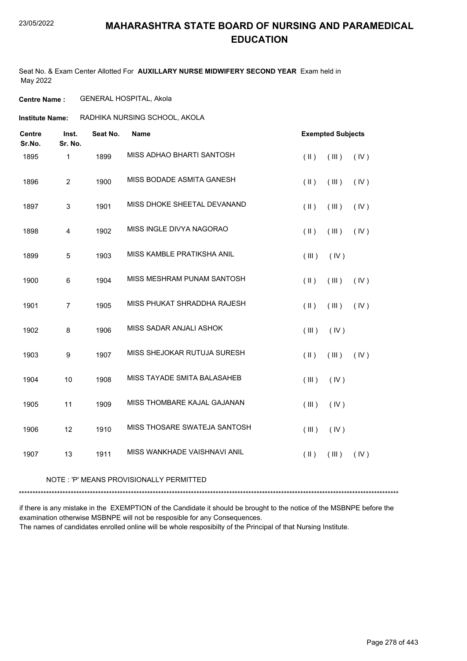Seat No. & Exam Center Allotted For **AUXILLARY NURSE MIDWIFERY SECOND YEAR** Exam held in May 2022

**Centre Name :** GENERAL HOSPITAL, Akola

**Institute Name: RADHIKA NURSING SCHOOL, AKOLA** 

| <b>Centre</b><br>Sr.No. | Inst.<br>Sr. No. | Seat No. | <b>Name</b>                  |               | <b>Exempted Subjects</b> |      |
|-------------------------|------------------|----------|------------------------------|---------------|--------------------------|------|
| 1895                    | 1                | 1899     | MISS ADHAO BHARTI SANTOSH    | $(\parallel)$ | (III)                    | (IV) |
| 1896                    | $\overline{c}$   | 1900     | MISS BODADE ASMITA GANESH    | $(\parallel)$ | (III)                    | (IV) |
| 1897                    | $\sqrt{3}$       | 1901     | MISS DHOKE SHEETAL DEVANAND  | $(\parallel)$ | (III)                    | (IV) |
| 1898                    | 4                | 1902     | MISS INGLE DIVYA NAGORAO     | $(\parallel)$ | (III)                    | (IV) |
| 1899                    | 5                | 1903     | MISS KAMBLE PRATIKSHA ANIL   | (III)         | (IV)                     |      |
| 1900                    | $\,6$            | 1904     | MISS MESHRAM PUNAM SANTOSH   | $(\parallel)$ | (III)                    | (IV) |
| 1901                    | $\overline{7}$   | 1905     | MISS PHUKAT SHRADDHA RAJESH  | $(\parallel)$ | (III)                    | (IV) |
| 1902                    | 8                | 1906     | MISS SADAR ANJALI ASHOK      | (III)         | (IV)                     |      |
| 1903                    | $\boldsymbol{9}$ | 1907     | MISS SHEJOKAR RUTUJA SURESH  | $(\parallel)$ | (III)                    | (IV) |
| 1904                    | 10               | 1908     | MISS TAYADE SMITA BALASAHEB  | (III)         | (IV)                     |      |
| 1905                    | 11               | 1909     | MISS THOMBARE KAJAL GAJANAN  | (III)         | (IV)                     |      |
| 1906                    | 12               | 1910     | MISS THOSARE SWATEJA SANTOSH | (III)         | (IV)                     |      |
| 1907                    | 13               | 1911     | MISS WANKHADE VAISHNAVI ANIL | $(\parallel)$ | (III)                    | (IV) |

NOTE : 'P' MEANS PROVISIONALLY PERMITTED

\*\*\*\*\*\*\*\*\*\*\*\*\*\*\*\*\*\*\*\*\*\*\*\*\*\*\*\*\*\*\*\*\*\*\*\*\*\*\*\*\*\*\*\*\*\*\*\*\*\*\*\*\*\*\*\*\*\*\*\*\*\*\*\*\*\*\*\*\*\*\*\*\*\*\*\*\*\*\*\*\*\*\*\*\*\*\*\*\*\*\*\*\*\*\*\*\*\*\*\*\*\*\*\*\*\*\*\*\*\*\*\*\*\*\*\*\*\*\*\*\*\*\*\*\*\*\*\*\*\*\*\*\*\*\*\*\*\*\*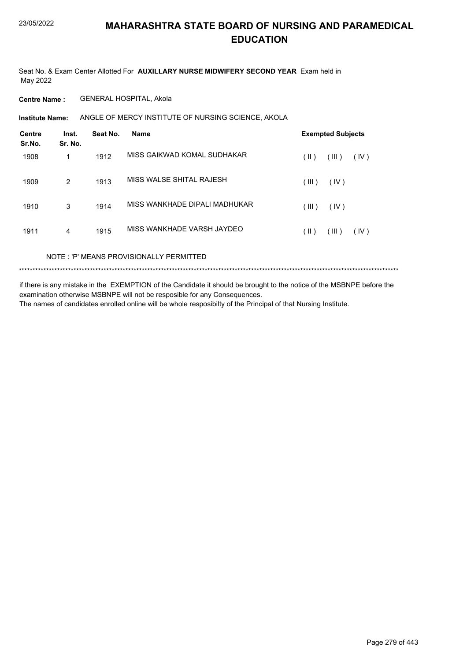Seat No. & Exam Center Allotted For **AUXILLARY NURSE MIDWIFERY SECOND YEAR** Exam held in May 2022

**Centre Name :** GENERAL HOSPITAL, Akola

**Institute Name:** ANGLE OF MERCY INSTITUTE OF NURSING SCIENCE, AKOLA

| <b>Centre</b><br>Sr.No. | Inst.<br>Sr. No. | Seat No. | <b>Name</b>                   |       | <b>Exempted Subjects</b> |      |
|-------------------------|------------------|----------|-------------------------------|-------|--------------------------|------|
| 1908                    | 1                | 1912     | MISS GAIKWAD KOMAL SUDHAKAR   | (  )  | (III)                    | (IV) |
| 1909                    | 2                | 1913     | MISS WALSE SHITAL RAJESH      | (III) | (IV)                     |      |
| 1910                    | 3                | 1914     | MISS WANKHADE DIPALI MADHUKAR | (III) | (IV)                     |      |
| 1911                    | 4                | 1915     | MISS WANKHADE VARSH JAYDEO    | (  )  | (III)                    | (IV) |
|                         |                  |          |                               |       |                          |      |

NOTE : 'P' MEANS PROVISIONALLY PERMITTED

\*\*\*\*\*\*\*\*\*\*\*\*\*\*\*\*\*\*\*\*\*\*\*\*\*\*\*\*\*\*\*\*\*\*\*\*\*\*\*\*\*\*\*\*\*\*\*\*\*\*\*\*\*\*\*\*\*\*\*\*\*\*\*\*\*\*\*\*\*\*\*\*\*\*\*\*\*\*\*\*\*\*\*\*\*\*\*\*\*\*\*\*\*\*\*\*\*\*\*\*\*\*\*\*\*\*\*\*\*\*\*\*\*\*\*\*\*\*\*\*\*\*\*\*\*\*\*\*\*\*\*\*\*\*\*\*\*\*\*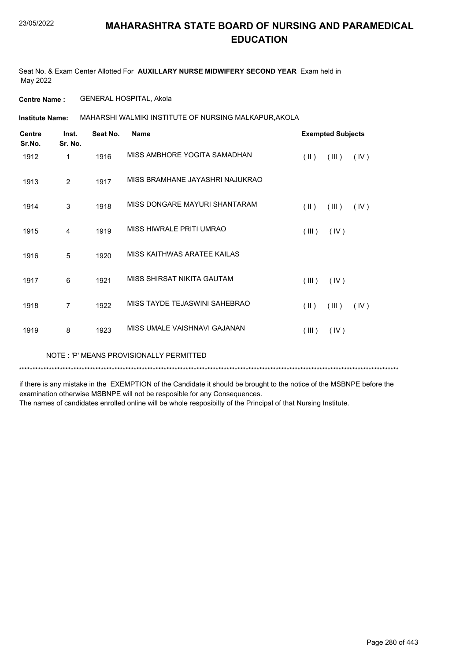Seat No. & Exam Center Allotted For **AUXILLARY NURSE MIDWIFERY SECOND YEAR** Exam held in May 2022

**Centre Name :** GENERAL HOSPITAL, Akola

MAHARSHI WALMIKI INSTITUTE OF NURSING MALKAPUR,AKOLA **Institute Name:**

| <b>Centre</b><br>Sr.No. | Inst.<br>Sr. No. | Seat No. | <b>Name</b>                     |               | <b>Exempted Subjects</b> |      |
|-------------------------|------------------|----------|---------------------------------|---------------|--------------------------|------|
| 1912                    | 1                | 1916     | MISS AMBHORE YOGITA SAMADHAN    | $(\parallel)$ | (III)                    | (IV) |
| 1913                    | 2                | 1917     | MISS BRAMHANE JAYASHRI NAJUKRAO |               |                          |      |
| 1914                    | 3                | 1918     | MISS DONGARE MAYURI SHANTARAM   | $(\parallel)$ | (III)                    | (IV) |
| 1915                    | 4                | 1919     | MISS HIWRALE PRITI UMRAO        | (III)         | (IV)                     |      |
| 1916                    | 5                | 1920     | MISS KAITHWAS ARATEE KAILAS     |               |                          |      |
| 1917                    | 6                | 1921     | MISS SHIRSAT NIKITA GAUTAM      | (III)         | (IV)                     |      |
| 1918                    | 7                | 1922     | MISS TAYDE TEJASWINI SAHEBRAO   | $(\parallel)$ | (III)                    | (IV) |
| 1919                    | 8                | 1923     | MISS UMALE VAISHNAVI GAJANAN    | (III)         | (IV)                     |      |

NOTE : 'P' MEANS PROVISIONALLY PERMITTED

\*\*\*\*\*\*\*\*\*\*\*\*\*\*\*\*\*\*\*\*\*\*\*\*\*\*\*\*\*\*\*\*\*\*\*\*\*\*\*\*\*\*\*\*\*\*\*\*\*\*\*\*\*\*\*\*\*\*\*\*\*\*\*\*\*\*\*\*\*\*\*\*\*\*\*\*\*\*\*\*\*\*\*\*\*\*\*\*\*\*\*\*\*\*\*\*\*\*\*\*\*\*\*\*\*\*\*\*\*\*\*\*\*\*\*\*\*\*\*\*\*\*\*\*\*\*\*\*\*\*\*\*\*\*\*\*\*\*\*

if there is any mistake in the EXEMPTION of the Candidate it should be brought to the notice of the MSBNPE before the examination otherwise MSBNPE will not be resposible for any Consequences.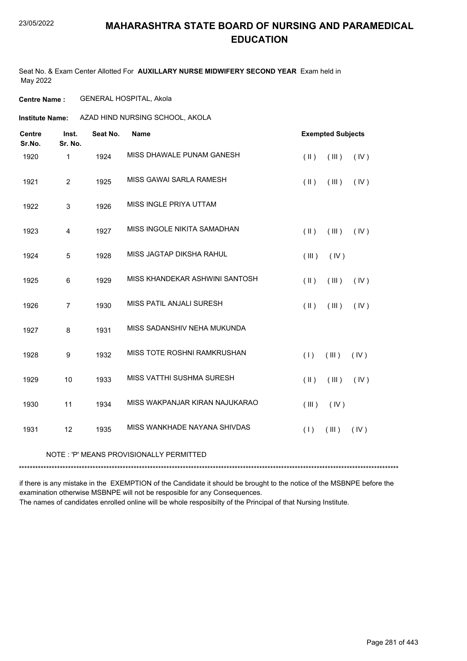Seat No. & Exam Center Allotted For **AUXILLARY NURSE MIDWIFERY SECOND YEAR** Exam held in May 2022

**Centre Name :** GENERAL HOSPITAL, Akola

**Institute Name: AZAD HIND NURSING SCHOOL, AKOLA** 

| <b>Centre</b><br>Sr.No. | Inst.<br>Sr. No. | Seat No. | <b>Name</b>                      |               | <b>Exempted Subjects</b> |      |
|-------------------------|------------------|----------|----------------------------------|---------------|--------------------------|------|
| 1920                    | $\mathbf{1}$     | 1924     | MISS DHAWALE PUNAM GANESH        | $($ II $)$    | (III)                    | (IV) |
| 1921                    | $\overline{2}$   | 1925     | MISS GAWAI SARLA RAMESH          | $(\parallel)$ | (III)                    | (IV) |
| 1922                    | $\mathsf 3$      | 1926     | MISS INGLE PRIYA UTTAM           |               |                          |      |
| 1923                    | 4                | 1927     | MISS INGOLE NIKITA SAMADHAN      | $($ II $)$    | (III)                    | (IV) |
| 1924                    | 5                | 1928     | MISS JAGTAP DIKSHA RAHUL         | (III)         | (IV)                     |      |
| 1925                    | 6                | 1929     | MISS KHANDEKAR ASHWINI SANTOSH   | $($ II $)$    | (III)                    | (IV) |
| 1926                    | $\overline{7}$   | 1930     | MISS PATIL ANJALI SURESH         | $($ II $)$    | (III)                    | (IV) |
| 1927                    | 8                | 1931     | MISS SADANSHIV NEHA MUKUNDA      |               |                          |      |
| 1928                    | 9                | 1932     | MISS TOTE ROSHNI RAMKRUSHAN      | (1)           | $($ III $)$              | (IV) |
| 1929                    | 10               | 1933     | <b>MISS VATTHI SUSHMA SURESH</b> | $(\parallel)$ | (III)                    | (IV) |
| 1930                    | 11               | 1934     | MISS WAKPANJAR KIRAN NAJUKARAO   | (III)         | (IV)                     |      |
| 1931                    | 12               | 1935     | MISS WANKHADE NAYANA SHIVDAS     | (1)           | (III)                    | (IV) |

#### NOTE : 'P' MEANS PROVISIONALLY PERMITTED

\*\*\*\*\*\*\*\*\*\*\*\*\*\*\*\*\*\*\*\*\*\*\*\*\*\*\*\*\*\*\*\*\*\*\*\*\*\*\*\*\*\*\*\*\*\*\*\*\*\*\*\*\*\*\*\*\*\*\*\*\*\*\*\*\*\*\*\*\*\*\*\*\*\*\*\*\*\*\*\*\*\*\*\*\*\*\*\*\*\*\*\*\*\*\*\*\*\*\*\*\*\*\*\*\*\*\*\*\*\*\*\*\*\*\*\*\*\*\*\*\*\*\*\*\*\*\*\*\*\*\*\*\*\*\*\*\*\*\*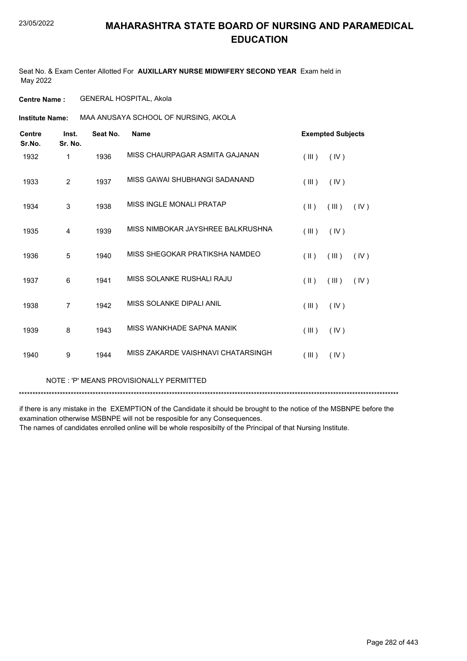Seat No. & Exam Center Allotted For **AUXILLARY NURSE MIDWIFERY SECOND YEAR** Exam held in May 2022

**Centre Name :** GENERAL HOSPITAL, Akola

**Institute Name: MAA ANUSAYA SCHOOL OF NURSING, AKOLA** 

| <b>Centre</b><br>Sr.No. | Inst.<br>Sr. No. | Seat No. | <b>Name</b>                        | <b>Exempted Subjects</b> |       |      |
|-------------------------|------------------|----------|------------------------------------|--------------------------|-------|------|
| 1932                    | 1                | 1936     | MISS CHAURPAGAR ASMITA GAJANAN     | (III)                    | (IV)  |      |
| 1933                    | $\overline{2}$   | 1937     | MISS GAWAI SHUBHANGI SADANAND      | (III)                    | (IV)  |      |
| 1934                    | $\mathsf 3$      | 1938     | MISS INGLE MONALI PRATAP           | $($ II $)$               | (III) | (IV) |
| 1935                    | 4                | 1939     | MISS NIMBOKAR JAYSHREE BALKRUSHNA  | (III)                    | (IV)  |      |
| 1936                    | 5                | 1940     | MISS SHEGOKAR PRATIKSHA NAMDEO     | $(\parallel)$            | (III) | (IV) |
| 1937                    | 6                | 1941     | MISS SOLANKE RUSHALI RAJU          | $(\parallel)$            | (III) | (IV) |
| 1938                    | $\overline{7}$   | 1942     | MISS SOLANKE DIPALI ANIL           | (III)                    | (IV)  |      |
| 1939                    | 8                | 1943     | MISS WANKHADE SAPNA MANIK          | (III)                    | (IV)  |      |
| 1940                    | 9                | 1944     | MISS ZAKARDE VAISHNAVI CHATARSINGH | (III)                    | (IV)  |      |
|                         |                  |          |                                    |                          |       |      |

NOTE : 'P' MEANS PROVISIONALLY PERMITTED

\*\*\*\*\*\*\*\*\*\*\*\*\*\*\*\*\*\*\*\*\*\*\*\*\*\*\*\*\*\*\*\*\*\*\*\*\*\*\*\*\*\*\*\*\*\*\*\*\*\*\*\*\*\*\*\*\*\*\*\*\*\*\*\*\*\*\*\*\*\*\*\*\*\*\*\*\*\*\*\*\*\*\*\*\*\*\*\*\*\*\*\*\*\*\*\*\*\*\*\*\*\*\*\*\*\*\*\*\*\*\*\*\*\*\*\*\*\*\*\*\*\*\*\*\*\*\*\*\*\*\*\*\*\*\*\*\*\*\*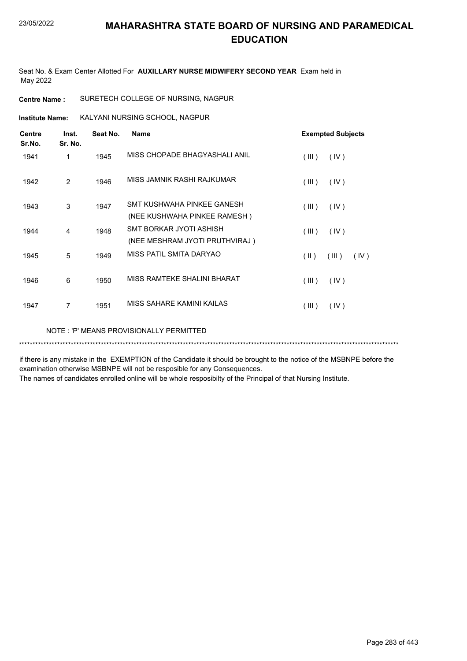Seat No. & Exam Center Allotted For **AUXILLARY NURSE MIDWIFERY SECOND YEAR** Exam held in May 2022

**Centre Name :** SURETECH COLLEGE OF NURSING, NAGPUR

**Institute Name: KALYANI NURSING SCHOOL, NAGPUR** 

| <b>Centre</b><br>Sr.No. | Inst.<br>Sr. No. | Seat No. | <b>Name</b>                                                | <b>Exempted Subjects</b> |  |  |
|-------------------------|------------------|----------|------------------------------------------------------------|--------------------------|--|--|
| 1941                    | 1                | 1945     | MISS CHOPADE BHAGYASHALI ANIL                              | (III)<br>(IV)            |  |  |
| 1942                    | 2                | 1946     | MISS JAMNIK RASHI RAJKUMAR                                 | (III)<br>(IV)            |  |  |
| 1943                    | 3                | 1947     | SMT KUSHWAHA PINKEE GANESH<br>(NEE KUSHWAHA PINKEE RAMESH) | (III)<br>(IV)            |  |  |
| 1944                    | 4                | 1948     | SMT BORKAR JYOTI ASHISH<br>(NEE MESHRAM JYOTI PRUTHVIRAJ)  | (III)<br>(IV)            |  |  |
| 1945                    | 5                | 1949     | MISS PATIL SMITA DARYAO                                    | (III)<br>(  )<br>(IV)    |  |  |
| 1946                    | 6                | 1950     | MISS RAMTEKE SHALINI BHARAT                                | (III)<br>(IV)            |  |  |
| 1947                    | 7                | 1951     | MISS SAHARE KAMINI KAILAS                                  | (IV)<br>(III)            |  |  |

NOTE : 'P' MEANS PROVISIONALLY PERMITTED

\*\*\*\*\*\*\*\*\*\*\*\*\*\*\*\*\*\*\*\*\*\*\*\*\*\*\*\*\*\*\*\*\*\*\*\*\*\*\*\*\*\*\*\*\*\*\*\*\*\*\*\*\*\*\*\*\*\*\*\*\*\*\*\*\*\*\*\*\*\*\*\*\*\*\*\*\*\*\*\*\*\*\*\*\*\*\*\*\*\*\*\*\*\*\*\*\*\*\*\*\*\*\*\*\*\*\*\*\*\*\*\*\*\*\*\*\*\*\*\*\*\*\*\*\*\*\*\*\*\*\*\*\*\*\*\*\*\*\*

if there is any mistake in the EXEMPTION of the Candidate it should be brought to the notice of the MSBNPE before the examination otherwise MSBNPE will not be resposible for any Consequences.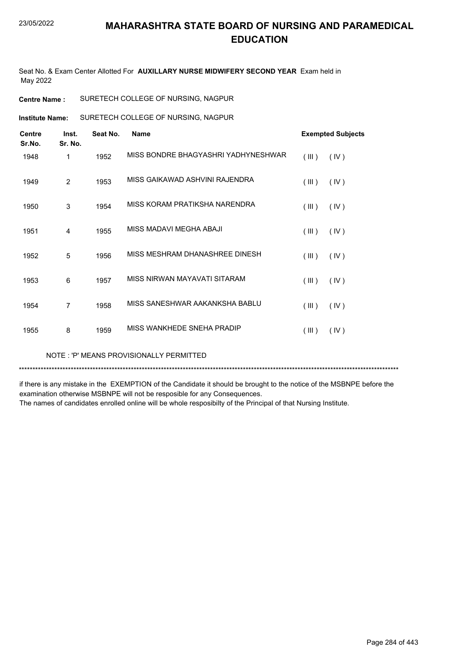Seat No. & Exam Center Allotted For **AUXILLARY NURSE MIDWIFERY SECOND YEAR** Exam held in May 2022

**Centre Name :** SURETECH COLLEGE OF NURSING, NAGPUR

SURETECH COLLEGE OF NURSING, NAGPUR **Institute Name:**

| Inst.<br><b>Centre</b><br>Sr.No.<br>Sr. No. |   | Seat No. | <b>Name</b>                         | <b>Exempted Subjects</b> |  |
|---------------------------------------------|---|----------|-------------------------------------|--------------------------|--|
| 1948                                        | 1 | 1952     | MISS BONDRE BHAGYASHRI YADHYNESHWAR | (III)<br>(IV)            |  |
| 1949                                        | 2 | 1953     | MISS GAIKAWAD ASHVINI RAJENDRA      | (III)<br>(IV)            |  |
| 1950                                        | 3 | 1954     | MISS KORAM PRATIKSHA NARENDRA       | (III)<br>(IV)            |  |
| 1951                                        | 4 | 1955     | MISS MADAVI MEGHA ABAJI             | (III)<br>(IV)            |  |
| 1952                                        | 5 | 1956     | MISS MESHRAM DHANASHREE DINESH      | (III)<br>(IV)            |  |
| 1953                                        | 6 | 1957     | MISS NIRWAN MAYAVATI SITARAM        | (III)<br>(IV)            |  |
| 1954                                        | 7 | 1958     | MISS SANESHWAR AAKANKSHA BABLU      | (III)<br>(IV)            |  |
| 1955                                        | 8 | 1959     | MISS WANKHEDE SNEHA PRADIP          | (III)<br>(IV)            |  |

NOTE : 'P' MEANS PROVISIONALLY PERMITTED

\*\*\*\*\*\*\*\*\*\*\*\*\*\*\*\*\*\*\*\*\*\*\*\*\*\*\*\*\*\*\*\*\*\*\*\*\*\*\*\*\*\*\*\*\*\*\*\*\*\*\*\*\*\*\*\*\*\*\*\*\*\*\*\*\*\*\*\*\*\*\*\*\*\*\*\*\*\*\*\*\*\*\*\*\*\*\*\*\*\*\*\*\*\*\*\*\*\*\*\*\*\*\*\*\*\*\*\*\*\*\*\*\*\*\*\*\*\*\*\*\*\*\*\*\*\*\*\*\*\*\*\*\*\*\*\*\*\*\*

if there is any mistake in the EXEMPTION of the Candidate it should be brought to the notice of the MSBNPE before the examination otherwise MSBNPE will not be resposible for any Consequences.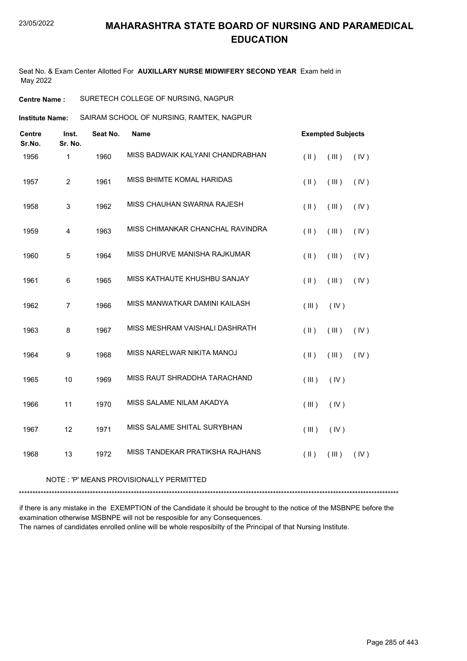Seat No. & Exam Center Allotted For **AUXILLARY NURSE MIDWIFERY SECOND YEAR** Exam held in May 2022

**Centre Name :** SURETECH COLLEGE OF NURSING, NAGPUR

SAIRAM SCHOOL OF NURSING, RAMTEK, NAGPUR **Institute Name:**

| <b>Centre</b><br>Sr.No. | Inst.<br>Sr. No. | Seat No. | <b>Name</b>                      | <b>Exempted Subjects</b>             |  |  |
|-------------------------|------------------|----------|----------------------------------|--------------------------------------|--|--|
| 1956                    | 1                | 1960     | MISS BADWAIK KALYANI CHANDRABHAN | $($ $\parallel$ $)$<br>(IV)<br>(III) |  |  |
| 1957                    | $\overline{c}$   | 1961     | MISS BHIMTE KOMAL HARIDAS        | (IV)<br>$($ II $)$<br>(III)          |  |  |
| 1958                    | $\mathbf{3}$     | 1962     | MISS CHAUHAN SWARNA RAJESH       | $(\parallel)$<br>(III)<br>(IV)       |  |  |
| 1959                    | 4                | 1963     | MISS CHIMANKAR CHANCHAL RAVINDRA | $($ II $)$<br>(III)<br>(IV)          |  |  |
| 1960                    | $\mathbf 5$      | 1964     | MISS DHURVE MANISHA RAJKUMAR     | $($ II $)$<br>(III)<br>(IV)          |  |  |
| 1961                    | $\,6$            | 1965     | MISS KATHAUTE KHUSHBU SANJAY     | $($ II $)$<br>(IV)<br>(III)          |  |  |
| 1962                    | $\overline{7}$   | 1966     | MISS MANWATKAR DAMINI KAILASH    | (III)<br>(IV)                        |  |  |
| 1963                    | 8                | 1967     | MISS MESHRAM VAISHALI DASHRATH   | $($ II $)$<br>(III)<br>(IV)          |  |  |
| 1964                    | $\boldsymbol{9}$ | 1968     | MISS NARELWAR NIKITA MANOJ       | (IV)<br>$($ II $)$<br>(III)          |  |  |
| 1965                    | 10               | 1969     | MISS RAUT SHRADDHA TARACHAND     | (III)<br>(IV)                        |  |  |
| 1966                    | 11               | 1970     | MISS SALAME NILAM AKADYA         | (III)<br>(IV)                        |  |  |
| 1967                    | 12               | 1971     | MISS SALAME SHITAL SURYBHAN      | (III)<br>(IV)                        |  |  |
| 1968                    | 13               | 1972     | MISS TANDEKAR PRATIKSHA RAJHANS  | $($ II $)$<br>(IV)<br>(III)          |  |  |

NOTE : 'P' MEANS PROVISIONALLY PERMITTED

\*\*\*\*\*\*\*\*\*\*\*\*\*\*\*\*\*\*\*\*\*\*\*\*\*\*\*\*\*\*\*\*\*\*\*\*\*\*\*\*\*\*\*\*\*\*\*\*\*\*\*\*\*\*\*\*\*\*\*\*\*\*\*\*\*\*\*\*\*\*\*\*\*\*\*\*\*\*\*\*\*\*\*\*\*\*\*\*\*\*\*\*\*\*\*\*\*\*\*\*\*\*\*\*\*\*\*\*\*\*\*\*\*\*\*\*\*\*\*\*\*\*\*\*\*\*\*\*\*\*\*\*\*\*\*\*\*\*\*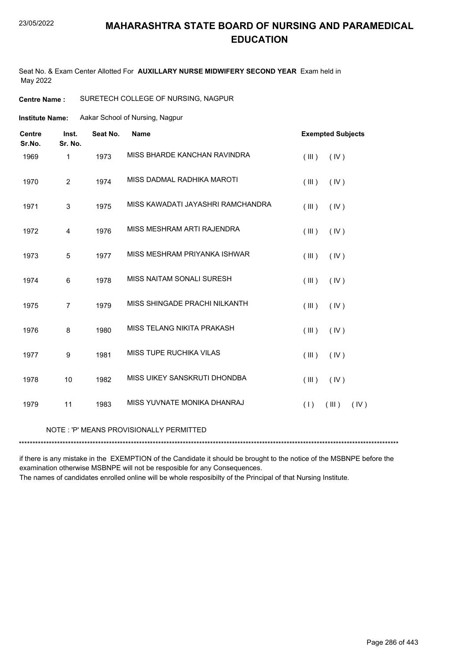Seat No. & Exam Center Allotted For **AUXILLARY NURSE MIDWIFERY SECOND YEAR** Exam held in May 2022

**Centre Name :** SURETECH COLLEGE OF NURSING, NAGPUR

**Institute Name:** Aakar School of Nursing, Nagpur

| <b>Centre</b><br>Sr.No. | Inst.<br>Sr. No. | Seat No. | <b>Name</b>                             | <b>Exempted Subjects</b> |
|-------------------------|------------------|----------|-----------------------------------------|--------------------------|
| 1969                    | $\mathbf{1}$     | 1973     | MISS BHARDE KANCHAN RAVINDRA            | (III)<br>(IV)            |
| 1970                    | $\overline{2}$   | 1974     | MISS DADMAL RADHIKA MAROTI              | (III)<br>(IV)            |
| 1971                    | 3                | 1975     | MISS KAWADATI JAYASHRI RAMCHANDRA       | (III)<br>(IV)            |
| 1972                    | $\overline{4}$   | 1976     | MISS MESHRAM ARTI RAJENDRA              | (III)<br>(IV)            |
| 1973                    | 5                | 1977     | MISS MESHRAM PRIYANKA ISHWAR            | (III)<br>(IV)            |
| 1974                    | 6                | 1978     | MISS NAITAM SONALI SURESH               | (III)<br>(IV)            |
| 1975                    | $\overline{7}$   | 1979     | MISS SHINGADE PRACHI NILKANTH           | (III)<br>(IV)            |
| 1976                    | 8                | 1980     | MISS TELANG NIKITA PRAKASH              | (III)<br>(IV)            |
| 1977                    | 9                | 1981     | MISS TUPE RUCHIKA VILAS                 | (III)<br>(IV)            |
| 1978                    | 10               | 1982     | MISS UIKEY SANSKRUTI DHONDBA            | (III)<br>(IV)            |
| 1979                    | 11               | 1983     | MISS YUVNATE MONIKA DHANRAJ             | (III)<br>(IV)<br>(1)     |
|                         |                  |          | NOTE: 'P' MEANS PROVISIONALLY PERMITTED |                          |

\*\*\*\*\*\*\*\*\*\*\*\*\*\*\*\*\*\*\*\*\*\*\*\*\*\*\*\*\*\*\*\*\*\*\*\*\*\*\*\*\*\*\*\*\*\*\*\*\*\*\*\*\*\*\*\*\*\*\*\*\*\*\*\*\*\*\*\*\*\*\*\*\*\*\*\*\*\*\*\*\*\*\*\*\*\*\*\*\*\*\*\*\*\*\*\*\*\*\*\*\*\*\*\*\*\*\*\*\*\*\*\*\*\*\*\*\*\*\*\*\*\*\*\*\*\*\*\*\*\*\*\*\*\*\*\*\*\*\*

if there is any mistake in the EXEMPTION of the Candidate it should be brought to the notice of the MSBNPE before the examination otherwise MSBNPE will not be resposible for any Consequences.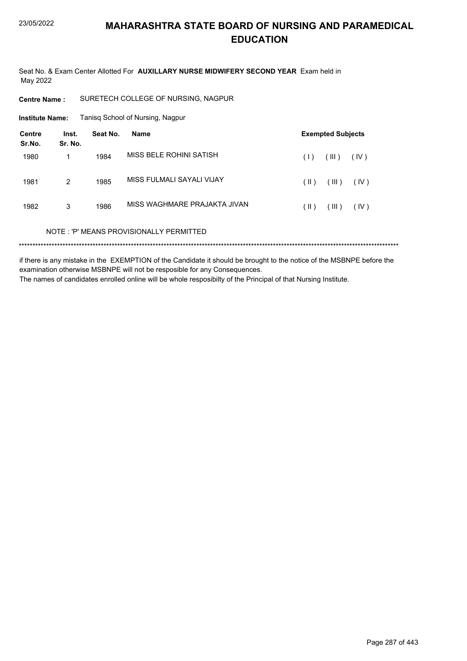Seat No. & Exam Center Allotted For AUXILLARY NURSE MIDWIFERY SECOND YEAR Exam held in May 2022

**Centre Name:** SURETECH COLLEGE OF NURSING, NAGPUR

**Institute Name:** Tanisq School of Nursing, Nagpur

| <b>Centre</b><br>Sr.No. | Inst.<br>Sr. No. | Seat No. | <b>Name</b>                             | <b>Exempted Subjects</b>       |  |
|-------------------------|------------------|----------|-----------------------------------------|--------------------------------|--|
| 1980                    |                  | 1984     | MISS BELF ROHINI SATISH                 | (III)<br>(IV)<br>(1)           |  |
| 1981                    | 2                | 1985     | MISS FULMALI SAYALI VIJAY               | (III)<br>$(\parallel)$<br>(IV) |  |
| 1982                    | 3                | 1986     | MISS WAGHMARF PRAJAKTA JIVAN            | (III)<br>(  )<br>(IV)          |  |
|                         |                  |          | NOTE: 'P' MEANS PROVISIONALLY PERMITTED |                                |  |
|                         |                  |          |                                         |                                |  |

if there is any mistake in the EXEMPTION of the Candidate it should be brought to the notice of the MSBNPE before the examination otherwise MSBNPE will not be resposible for any Consequences. The names of candidates enrolled online will be whole resposibilty of the Principal of that Nursing Institute.

Page 287 of 443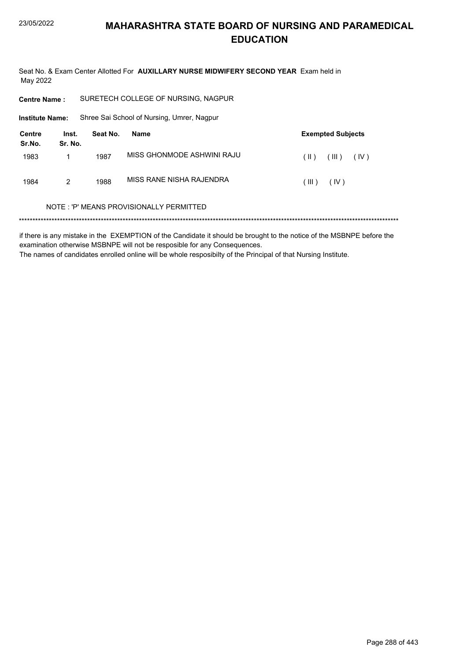Seat No. & Exam Center Allotted For AUXILLARY NURSE MIDWIFERY SECOND YEAR Exam held in May 2022

**Centre Name:** SURETECH COLLEGE OF NURSING, NAGPUR

**Institute Name:** Shree Sai School of Nursing, Umrer, Nagpur

| Centre<br>Sr.No. | Inst.<br>Sr. No. | Seat No. | <b>Exempted Subjects</b><br>Name |         |             |      |
|------------------|------------------|----------|----------------------------------|---------|-------------|------|
| 1983             |                  | 1987     | MISS GHONMODE ASHWINI RAJU       | $(\ )$  | $($ III $)$ | (IV) |
| 1984             | 2                | 1988     | MISS RANE NISHA RAJENDRA         | ( III ) | (IV)        |      |

#### NOTE: 'P' MEANS PROVISIONALLY PERMITTED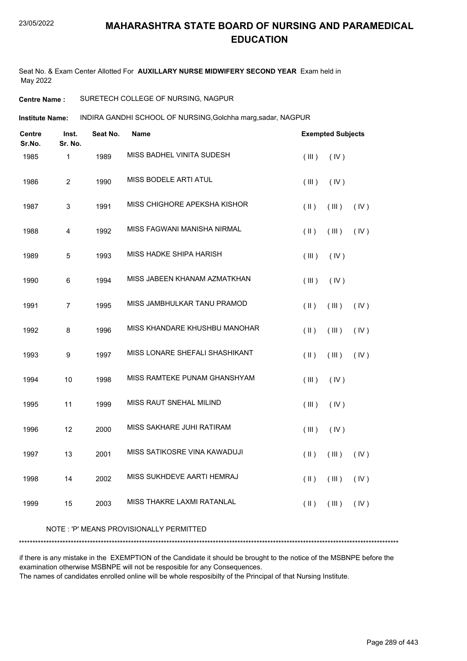Seat No. & Exam Center Allotted For **AUXILLARY NURSE MIDWIFERY SECOND YEAR** Exam held in May 2022

#### **Centre Name :** SURETECH COLLEGE OF NURSING, NAGPUR

INDIRA GANDHI SCHOOL OF NURSING,Golchha marg,sadar, NAGPUR **Institute Name:**

| <b>Centre</b><br>Sr.No. | Inst.<br>Sr. No. | Seat No. | <b>Name</b>                             |               | <b>Exempted Subjects</b> |      |
|-------------------------|------------------|----------|-----------------------------------------|---------------|--------------------------|------|
| 1985                    | $\mathbf{1}$     | 1989     | MISS BADHEL VINITA SUDESH               | (III)         | (IV)                     |      |
| 1986                    | $\overline{c}$   | 1990     | MISS BODELE ARTI ATUL                   | (III)         | (IV)                     |      |
| 1987                    | 3                | 1991     | MISS CHIGHORE APEKSHA KISHOR            | $($ II $)$    | (III)                    | (IV) |
| 1988                    | 4                | 1992     | MISS FAGWANI MANISHA NIRMAL             | $(\parallel)$ | (III)                    | (IV) |
| 1989                    | 5                | 1993     | MISS HADKE SHIPA HARISH                 | (III)         | (IV)                     |      |
| 1990                    | 6                | 1994     | MISS JABEEN KHANAM AZMATKHAN            | (III)         | (IV)                     |      |
| 1991                    | $\overline{7}$   | 1995     | MISS JAMBHULKAR TANU PRAMOD             | $($ II $)$    | (III)                    | (IV) |
| 1992                    | 8                | 1996     | MISS KHANDARE KHUSHBU MANOHAR           | (  )          | (III)                    | (IV) |
| 1993                    | 9                | 1997     | MISS LONARE SHEFALI SHASHIKANT          | $($ II $)$    | (III)                    | (IV) |
| 1994                    | 10               | 1998     | MISS RAMTEKE PUNAM GHANSHYAM            | (III)         | (IV)                     |      |
| 1995                    | 11               | 1999     | MISS RAUT SNEHAL MILIND                 | $($ III $)$   | (IV)                     |      |
| 1996                    | 12               | 2000     | MISS SAKHARE JUHI RATIRAM               | (III)         | (IV)                     |      |
| 1997                    | 13               | 2001     | MISS SATIKOSRE VINA KAWADUJI            | $(\parallel)$ | (III)                    | (IV) |
| 1998                    | 14               | 2002     | MISS SUKHDEVE AARTI HEMRAJ              | $($ II $)$    | (III)                    | (IV) |
| 1999                    | 15               | 2003     | MISS THAKRE LAXMI RATANLAL              | $($ II $)$    | (III)                    | (IV) |
|                         |                  |          | NOTE: 'P' MEANS PROVISIONALLY PERMITTED |               |                          |      |

#### \*\*\*\*\*\*\*\*\*\*\*\*\*\*\*\*\*\*\*\*\*\*\*\*\*\*\*\*\*\*\*\*\*\*\*\*\*\*\*\*\*\*\*\*\*\*\*\*\*\*\*\*\*\*\*\*\*\*\*\*\*\*\*\*\*\*\*\*\*\*\*\*\*\*\*\*\*\*\*\*\*\*\*\*\*\*\*\*\*\*\*\*\*\*\*\*\*\*\*\*\*\*\*\*\*\*\*\*\*\*\*\*\*\*\*\*\*\*\*\*\*\*\*\*\*\*\*\*\*\*\*\*\*\*\*\*\*\*\*

if there is any mistake in the EXEMPTION of the Candidate it should be brought to the notice of the MSBNPE before the examination otherwise MSBNPE will not be resposible for any Consequences.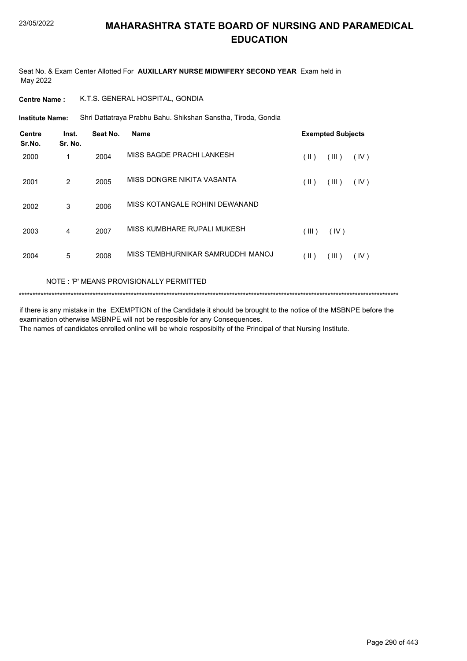Seat No. & Exam Center Allotted For **AUXILLARY NURSE MIDWIFERY SECOND YEAR** Exam held in May 2022

#### **Centre Name :** K.T.S. GENERAL HOSPITAL, GONDIA

Shri Dattatraya Prabhu Bahu. Shikshan Sanstha, Tiroda, Gondia **Institute Name:**

| <b>Centre</b><br>Sr.No. | Inst.<br>Sr. No. | Seat No. | Name                              |       | <b>Exempted Subjects</b> |      |
|-------------------------|------------------|----------|-----------------------------------|-------|--------------------------|------|
| 2000                    | 1                | 2004     | MISS BAGDE PRACHI LANKESH         | (  )  | (III)                    | (IV) |
| 2001                    | 2                | 2005     | MISS DONGRE NIKITA VASANTA        | (  )  | (III)                    | (IV) |
| 2002                    | 3                | 2006     | MISS KOTANGALE ROHINI DEWANAND    |       |                          |      |
| 2003                    | 4                | 2007     | MISS KUMBHARE RUPALI MUKESH       | (III) | (IV)                     |      |
| 2004                    | 5                | 2008     | MISS TEMBHURNIKAR SAMRUDDHI MANOJ | (  )  | (III)                    | (IV) |

#### NOTE : 'P' MEANS PROVISIONALLY PERMITTED

\*\*\*\*\*\*\*\*\*\*\*\*\*\*\*\*\*\*\*\*\*\*\*\*\*\*\*\*\*\*\*\*\*\*\*\*\*\*\*\*\*\*\*\*\*\*\*\*\*\*\*\*\*\*\*\*\*\*\*\*\*\*\*\*\*\*\*\*\*\*\*\*\*\*\*\*\*\*\*\*\*\*\*\*\*\*\*\*\*\*\*\*\*\*\*\*\*\*\*\*\*\*\*\*\*\*\*\*\*\*\*\*\*\*\*\*\*\*\*\*\*\*\*\*\*\*\*\*\*\*\*\*\*\*\*\*\*\*\*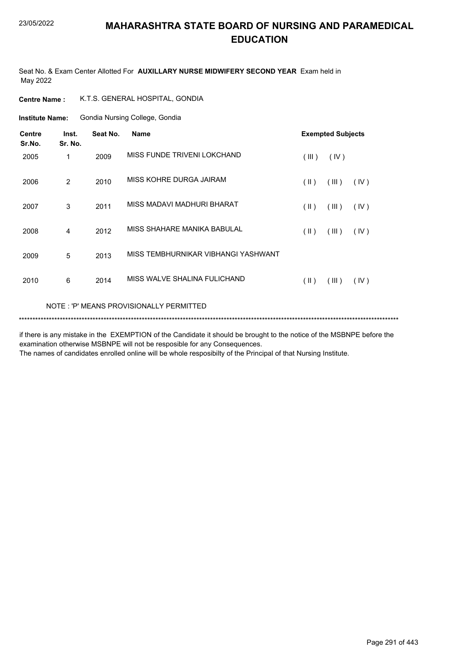Seat No. & Exam Center Allotted For **AUXILLARY NURSE MIDWIFERY SECOND YEAR** Exam held in May 2022

**Centre Name :** K.T.S. GENERAL HOSPITAL, GONDIA

Gondia Nursing College, Gondia **Institute Name:**

| <b>Centre</b><br>Sr.No.                  | Inst.<br>Sr. No. | Seat No. | <b>Name</b>                         |               | <b>Exempted Subjects</b> |      |  |
|------------------------------------------|------------------|----------|-------------------------------------|---------------|--------------------------|------|--|
| 2005                                     | 1                | 2009     | MISS FUNDE TRIVENI LOKCHAND         | (III)         | (IV)                     |      |  |
| 2006                                     | 2                | 2010     | MISS KOHRE DURGA JAIRAM             | $(\parallel)$ | (III)                    | (IV) |  |
| 2007                                     | 3                | 2011     | MISS MADAVI MADHURI BHARAT          | $(\parallel)$ | (III)                    | (IV) |  |
| 2008                                     | 4                | 2012     | MISS SHAHARE MANIKA BABULAL         | (  )          | (III)                    | (IV) |  |
| 2009                                     | 5                | 2013     | MISS TEMBHURNIKAR VIBHANGI YASHWANT |               |                          |      |  |
| 2010                                     | 6                | 2014     | MISS WALVE SHALINA FULICHAND        | $(\parallel)$ | (III)                    | (IV) |  |
| NOTE : 'P' MEANS PROVISIONALLY PERMITTED |                  |          |                                     |               |                          |      |  |

\*\*\*\*\*\*\*\*\*\*\*\*\*\*\*\*\*\*\*\*\*\*\*\*\*\*\*\*\*\*\*\*\*\*\*\*\*\*\*\*\*\*\*\*\*\*\*\*\*\*\*\*\*\*\*\*\*\*\*\*\*\*\*\*\*\*\*\*\*\*\*\*\*\*\*\*\*\*\*\*\*\*\*\*\*\*\*\*\*\*\*\*\*\*\*\*\*\*\*\*\*\*\*\*\*\*\*\*\*\*\*\*\*\*\*\*\*\*\*\*\*\*\*\*\*\*\*\*\*\*\*\*\*\*\*\*\*\*\*

if there is any mistake in the EXEMPTION of the Candidate it should be brought to the notice of the MSBNPE before the examination otherwise MSBNPE will not be resposible for any Consequences.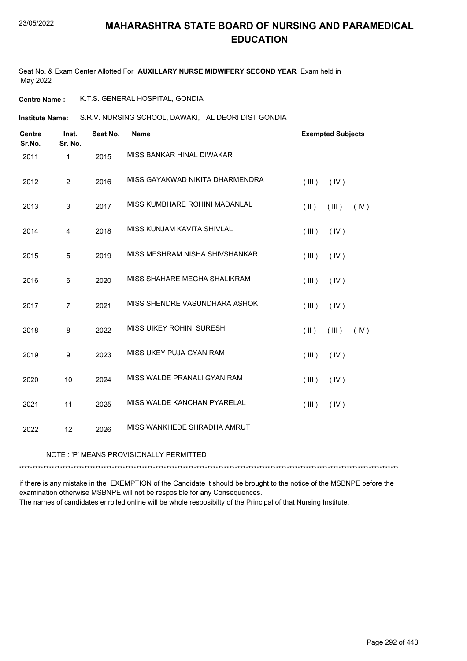Seat No. & Exam Center Allotted For **AUXILLARY NURSE MIDWIFERY SECOND YEAR** Exam held in May 2022

**Centre Name :** K.T.S. GENERAL HOSPITAL, GONDIA

**Institute Name:** S.R.V. NURSING SCHOOL, DAWAKI, TAL DEORI DIST GONDIA

| <b>Centre</b><br>Sr.No. | Inst.<br>Sr. No. | Seat No. | <b>Name</b>                     |               | <b>Exempted Subjects</b> |      |
|-------------------------|------------------|----------|---------------------------------|---------------|--------------------------|------|
| 2011                    | 1                | 2015     | MISS BANKAR HINAL DIWAKAR       |               |                          |      |
| 2012                    | $\overline{2}$   | 2016     | MISS GAYAKWAD NIKITA DHARMENDRA | (III)         | (IV)                     |      |
| 2013                    | 3                | 2017     | MISS KUMBHARE ROHINI MADANLAL   | $(\parallel)$ | (III)                    | (IV) |
| 2014                    | 4                | 2018     | MISS KUNJAM KAVITA SHIVLAL      | (III)         | (IV)                     |      |
| 2015                    | $\sqrt{5}$       | 2019     | MISS MESHRAM NISHA SHIVSHANKAR  | (III)         | (IV)                     |      |
| 2016                    | 6                | 2020     | MISS SHAHARE MEGHA SHALIKRAM    | (III)         | (IV)                     |      |
| 2017                    | $\overline{7}$   | 2021     | MISS SHENDRE VASUNDHARA ASHOK   | (III)         | (IV)                     |      |
| 2018                    | 8                | 2022     | MISS UIKEY ROHINI SURESH        | $(\parallel)$ | (III)                    | (IV) |
| 2019                    | 9                | 2023     | MISS UKEY PUJA GYANIRAM         | (III)         | (IV)                     |      |
| 2020                    | 10               | 2024     | MISS WALDE PRANALI GYANIRAM     | (III)         | (IV)                     |      |
| 2021                    | 11               | 2025     | MISS WALDE KANCHAN PYARELAL     | (III)         | (IV)                     |      |
| 2022                    | 12               | 2026     | MISS WANKHEDE SHRADHA AMRUT     |               |                          |      |

#### NOTE : 'P' MEANS PROVISIONALLY PERMITTED

\*\*\*\*\*\*\*\*\*\*\*\*\*\*\*\*\*\*\*\*\*\*\*\*\*\*\*\*\*\*\*\*\*\*\*\*\*\*\*\*\*\*\*\*\*\*\*\*\*\*\*\*\*\*\*\*\*\*\*\*\*\*\*\*\*\*\*\*\*\*\*\*\*\*\*\*\*\*\*\*\*\*\*\*\*\*\*\*\*\*\*\*\*\*\*\*\*\*\*\*\*\*\*\*\*\*\*\*\*\*\*\*\*\*\*\*\*\*\*\*\*\*\*\*\*\*\*\*\*\*\*\*\*\*\*\*\*\*\*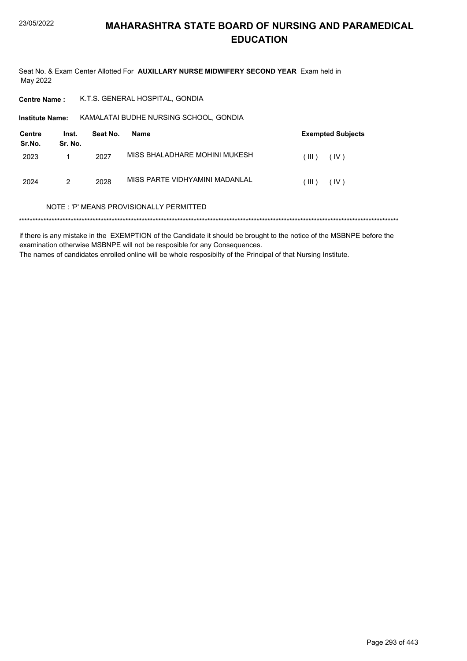Seat No. & Exam Center Allotted For **AUXILLARY NURSE MIDWIFERY SECOND YEAR** Exam held in May 2022

**Centre Name :** K.T.S. GENERAL HOSPITAL, GONDIA

**Institute Name: KAMALATAI BUDHE NURSING SCHOOL, GONDIA** 

| Centre<br>Sr.No. | Inst.<br>Sr. No. | Seat No. | Name                           |             | <b>Exempted Subjects</b> |
|------------------|------------------|----------|--------------------------------|-------------|--------------------------|
| 2023             |                  | 2027     | MISS BHALADHARE MOHINI MUKESH  | (III)       | (IV)                     |
| 2024             | 2                | 2028     | MISS PARTE VIDHYAMINI MADANLAL | $($ III $)$ | (IV)                     |

#### NOTE : 'P' MEANS PROVISIONALLY PERMITTED

\*\*\*\*\*\*\*\*\*\*\*\*\*\*\*\*\*\*\*\*\*\*\*\*\*\*\*\*\*\*\*\*\*\*\*\*\*\*\*\*\*\*\*\*\*\*\*\*\*\*\*\*\*\*\*\*\*\*\*\*\*\*\*\*\*\*\*\*\*\*\*\*\*\*\*\*\*\*\*\*\*\*\*\*\*\*\*\*\*\*\*\*\*\*\*\*\*\*\*\*\*\*\*\*\*\*\*\*\*\*\*\*\*\*\*\*\*\*\*\*\*\*\*\*\*\*\*\*\*\*\*\*\*\*\*\*\*\*\*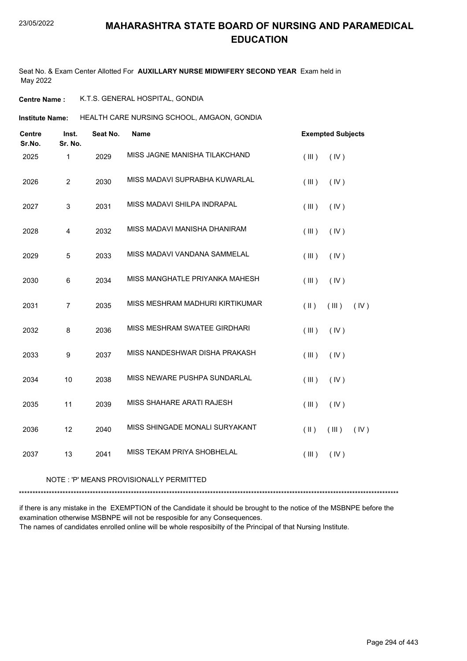Seat No. & Exam Center Allotted For **AUXILLARY NURSE MIDWIFERY SECOND YEAR** Exam held in May 2022

**Centre Name :** K.T.S. GENERAL HOSPITAL, GONDIA

HEALTH CARE NURSING SCHOOL, AMGAON, GONDIA **Institute Name:**

| <b>Centre</b><br>Sr.No. | Inst.<br>Sr. No. | Seat No. | Name                            | <b>Exempted Subjects</b>    |
|-------------------------|------------------|----------|---------------------------------|-----------------------------|
| 2025                    | 1                | 2029     | MISS JAGNE MANISHA TILAKCHAND   | (III)<br>(IV)               |
| 2026                    | $\overline{c}$   | 2030     | MISS MADAVI SUPRABHA KUWARLAL   | (III)<br>(IV)               |
| 2027                    | 3                | 2031     | MISS MADAVI SHILPA INDRAPAL     | (III)<br>(IV)               |
| 2028                    | 4                | 2032     | MISS MADAVI MANISHA DHANIRAM    | (III)<br>(IV)               |
| 2029                    | 5                | 2033     | MISS MADAVI VANDANA SAMMELAL    | (III)<br>(IV)               |
| 2030                    | $\,6$            | 2034     | MISS MANGHATLE PRIYANKA MAHESH  | (III)<br>(IV)               |
| 2031                    | $\overline{7}$   | 2035     | MISS MESHRAM MADHURI KIRTIKUMAR | $($ II $)$<br>(III)<br>(IV) |
| 2032                    | 8                | 2036     | MISS MESHRAM SWATEE GIRDHARI    | (III)<br>(IV)               |
| 2033                    | $\boldsymbol{9}$ | 2037     | MISS NANDESHWAR DISHA PRAKASH   | (III)<br>(IV)               |
| 2034                    | 10               | 2038     | MISS NEWARE PUSHPA SUNDARLAL    | (III)<br>(IV)               |
| 2035                    | 11               | 2039     | MISS SHAHARE ARATI RAJESH       | (III)<br>(IV)               |
| 2036                    | 12               | 2040     | MISS SHINGADE MONALI SURYAKANT  | $($ II $)$<br>(III)<br>(IV) |
| 2037                    | 13               | 2041     | MISS TEKAM PRIYA SHOBHELAL      | (III)<br>(IV)               |

NOTE : 'P' MEANS PROVISIONALLY PERMITTED

\*\*\*\*\*\*\*\*\*\*\*\*\*\*\*\*\*\*\*\*\*\*\*\*\*\*\*\*\*\*\*\*\*\*\*\*\*\*\*\*\*\*\*\*\*\*\*\*\*\*\*\*\*\*\*\*\*\*\*\*\*\*\*\*\*\*\*\*\*\*\*\*\*\*\*\*\*\*\*\*\*\*\*\*\*\*\*\*\*\*\*\*\*\*\*\*\*\*\*\*\*\*\*\*\*\*\*\*\*\*\*\*\*\*\*\*\*\*\*\*\*\*\*\*\*\*\*\*\*\*\*\*\*\*\*\*\*\*\*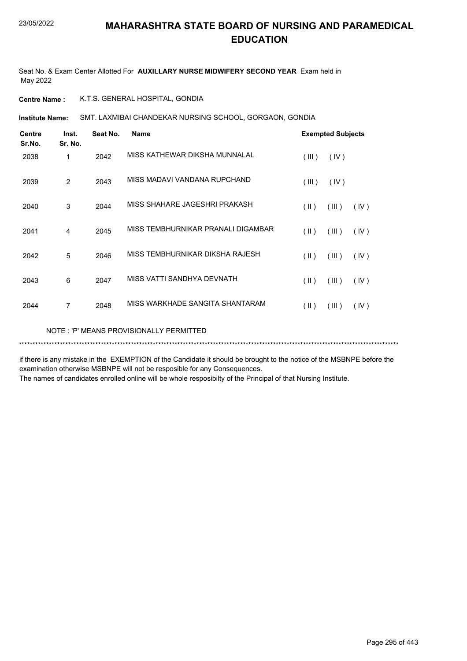Seat No. & Exam Center Allotted For **AUXILLARY NURSE MIDWIFERY SECOND YEAR** Exam held in May 2022

**Centre Name :** K.T.S. GENERAL HOSPITAL, GONDIA

SMT. LAXMIBAI CHANDEKAR NURSING SCHOOL, GORGAON, GONDIA **Institute Name:**

| <b>Centre</b><br>Sr.No. | Inst.<br>Sr. No.                        | Seat No. | <b>Name</b>                        |               | <b>Exempted Subjects</b> |      |  |  |  |
|-------------------------|-----------------------------------------|----------|------------------------------------|---------------|--------------------------|------|--|--|--|
| 2038                    | 1                                       | 2042     | MISS KATHEWAR DIKSHA MUNNALAL      | (III)         | (IV)                     |      |  |  |  |
| 2039                    | $\overline{2}$                          | 2043     | MISS MADAVI VANDANA RUPCHAND       | (III)         | (IV)                     |      |  |  |  |
| 2040                    | 3                                       | 2044     | MISS SHAHARE JAGESHRI PRAKASH      | $(\parallel)$ | (III)                    | (IV) |  |  |  |
| 2041                    | 4                                       | 2045     | MISS TEMBHURNIKAR PRANALI DIGAMBAR | $(\parallel)$ | (III)                    | (IV) |  |  |  |
| 2042                    | 5                                       | 2046     | MISS TEMBHURNIKAR DIKSHA RAJESH    | (  )          | (III)                    | (IV) |  |  |  |
| 2043                    | 6                                       | 2047     | MISS VATTI SANDHYA DEVNATH         | $(\parallel)$ | (III)                    | (IV) |  |  |  |
| 2044                    | 7                                       | 2048     | MISS WARKHADE SANGITA SHANTARAM    | (II)          | (III)                    | (IV) |  |  |  |
|                         | NOTE: 'P' MEANS PROVISIONALLY PERMITTED |          |                                    |               |                          |      |  |  |  |

if there is any mistake in the EXEMPTION of the Candidate it should be brought to the notice of the MSBNPE before the examination otherwise MSBNPE will not be resposible for any Consequences.

\*\*\*\*\*\*\*\*\*\*\*\*\*\*\*\*\*\*\*\*\*\*\*\*\*\*\*\*\*\*\*\*\*\*\*\*\*\*\*\*\*\*\*\*\*\*\*\*\*\*\*\*\*\*\*\*\*\*\*\*\*\*\*\*\*\*\*\*\*\*\*\*\*\*\*\*\*\*\*\*\*\*\*\*\*\*\*\*\*\*\*\*\*\*\*\*\*\*\*\*\*\*\*\*\*\*\*\*\*\*\*\*\*\*\*\*\*\*\*\*\*\*\*\*\*\*\*\*\*\*\*\*\*\*\*\*\*\*\*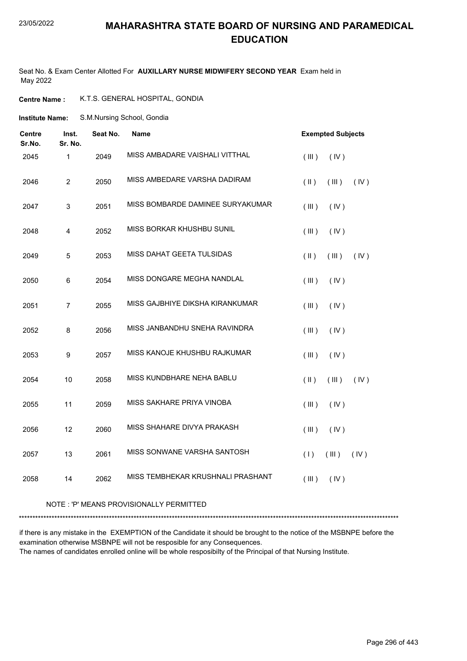#### 23/05/2022

#### **MAHARASHTRA STATE BOARD OF NURSING AND PARAMEDICAL EDUCATION**

Seat No. & Exam Center Allotted For **AUXILLARY NURSE MIDWIFERY SECOND YEAR** Exam held in May 2022

**Centre Name :** K.T.S. GENERAL HOSPITAL, GONDIA

S.M.Nursing School, Gondia **Institute Name:**

| <b>Centre</b><br>Sr.No. | Inst.<br>Sr. No. | Seat No. | <b>Name</b>                       |                     | <b>Exempted Subjects</b> |      |
|-------------------------|------------------|----------|-----------------------------------|---------------------|--------------------------|------|
| 2045                    | $\mathbf 1$      | 2049     | MISS AMBADARE VAISHALI VITTHAL    | (III)               | (IV)                     |      |
| 2046                    | $\overline{2}$   | 2050     | MISS AMBEDARE VARSHA DADIRAM      | $($ $\parallel$ $)$ | (III)                    | (IV) |
| 2047                    | 3                | 2051     | MISS BOMBARDE DAMINEE SURYAKUMAR  | (III)               | (IV)                     |      |
| 2048                    | $\overline{4}$   | 2052     | MISS BORKAR KHUSHBU SUNIL         | (III)               | (IV)                     |      |
| 2049                    | $\sqrt{5}$       | 2053     | MISS DAHAT GEETA TULSIDAS         | $($ II $)$          | (III)                    | (IV) |
| 2050                    | 6                | 2054     | MISS DONGARE MEGHA NANDLAL        | (III)               | (IV)                     |      |
| 2051                    | $\overline{7}$   | 2055     | MISS GAJBHIYE DIKSHA KIRANKUMAR   | (III)               | (IV)                     |      |
| 2052                    | 8                | 2056     | MISS JANBANDHU SNEHA RAVINDRA     | (III)               | (IV)                     |      |
| 2053                    | 9                | 2057     | MISS KANOJE KHUSHBU RAJKUMAR      | (III)               | (IV)                     |      |
| 2054                    | 10               | 2058     | MISS KUNDBHARE NEHA BABLU         | $($ $\parallel$ $)$ | (III)                    | (IV) |
| 2055                    | 11               | 2059     | MISS SAKHARE PRIYA VINOBA         | (III)               | (IV)                     |      |
| 2056                    | 12               | 2060     | MISS SHAHARE DIVYA PRAKASH        | (III)               | (IV)                     |      |
| 2057                    | 13               | 2061     | MISS SONWANE VARSHA SANTOSH       | (1)                 | (III)                    | (IV) |
| 2058                    | 14               | 2062     | MISS TEMBHEKAR KRUSHNALI PRASHANT | (III)               | (IV)                     |      |
|                         |                  |          |                                   |                     |                          |      |

#### NOTE : 'P' MEANS PROVISIONALLY PERMITTED

\*\*\*\*\*\*\*\*\*\*\*\*\*\*\*\*\*\*\*\*\*\*\*\*\*\*\*\*\*\*\*\*\*\*\*\*\*\*\*\*\*\*\*\*\*\*\*\*\*\*\*\*\*\*\*\*\*\*\*\*\*\*\*\*\*\*\*\*\*\*\*\*\*\*\*\*\*\*\*\*\*\*\*\*\*\*\*\*\*\*\*\*\*\*\*\*\*\*\*\*\*\*\*\*\*\*\*\*\*\*\*\*\*\*\*\*\*\*\*\*\*\*\*\*\*\*\*\*\*\*\*\*\*\*\*\*\*\*\*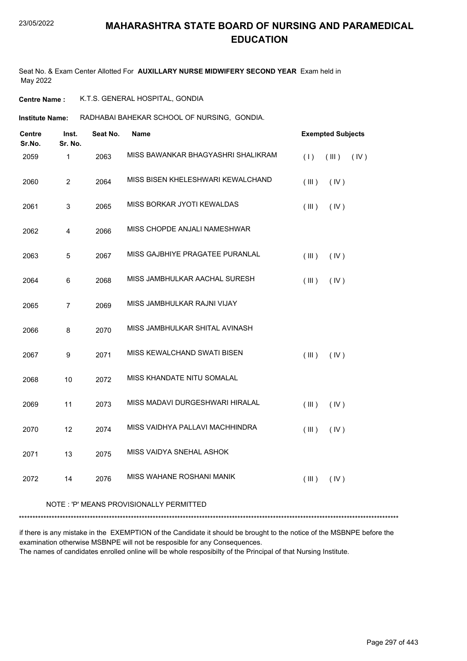Seat No. & Exam Center Allotted For **AUXILLARY NURSE MIDWIFERY SECOND YEAR** Exam held in May 2022

**Centre Name :** K.T.S. GENERAL HOSPITAL, GONDIA

**Institute Name: RADHABAI BAHEKAR SCHOOL OF NURSING, GONDIA.** 

| <b>Centre</b><br>Sr.No. | Inst.<br>Sr. No. | Seat No. | Name                                    | <b>Exempted Subjects</b> |
|-------------------------|------------------|----------|-----------------------------------------|--------------------------|
| 2059                    | $\mathbf{1}$     | 2063     | MISS BAWANKAR BHAGYASHRI SHALIKRAM      | (1)<br>(III)<br>(IV)     |
| 2060                    | $\overline{c}$   | 2064     | MISS BISEN KHELESHWARI KEWALCHAND       | (III)<br>(IV)            |
| 2061                    | 3                | 2065     | MISS BORKAR JYOTI KEWALDAS              | (IV)<br>(III)            |
| 2062                    | 4                | 2066     | MISS CHOPDE ANJALI NAMESHWAR            |                          |
| 2063                    | 5                | 2067     | MISS GAJBHIYE PRAGATEE PURANLAL         | (III)<br>(IV)            |
| 2064                    | 6                | 2068     | MISS JAMBHULKAR AACHAL SURESH           | (III)<br>(IV)            |
| 2065                    | $\overline{7}$   | 2069     | MISS JAMBHULKAR RAJNI VIJAY             |                          |
| 2066                    | 8                | 2070     | MISS JAMBHULKAR SHITAL AVINASH          |                          |
| 2067                    | 9                | 2071     | MISS KEWALCHAND SWATI BISEN             | (III)<br>(IV)            |
| 2068                    | 10               | 2072     | MISS KHANDATE NITU SOMALAL              |                          |
| 2069                    | 11               | 2073     | MISS MADAVI DURGESHWARI HIRALAL         | (III)<br>(IV)            |
| 2070                    | 12               | 2074     | MISS VAIDHYA PALLAVI MACHHINDRA         | (III)<br>(IV)            |
| 2071                    | 13               | 2075     | MISS VAIDYA SNEHAL ASHOK                |                          |
| 2072                    | 14               | 2076     | MISS WAHANE ROSHANI MANIK               | (III)<br>(IV)            |
|                         |                  |          | NOTE: 'P' MEANS PROVISIONALLY PERMITTED |                          |

\*\*\*\*\*\*\*\*\*\*\*\*\*\*\*\*\*\*\*\*\*\*\*\*\*\*\*\*\*\*\*\*\*\*\*\*\*\*\*\*\*\*\*\*\*\*\*\*\*\*\*\*\*\*\*\*\*\*\*\*\*\*\*\*\*\*\*\*\*\*\*\*\*\*\*\*\*\*\*\*\*\*\*\*\*\*\*\*\*\*\*\*\*\*\*\*\*\*\*\*\*\*\*\*\*\*\*\*\*\*\*\*\*\*\*\*\*\*\*\*\*\*\*\*\*\*\*\*\*\*\*\*\*\*\*\*\*\*\*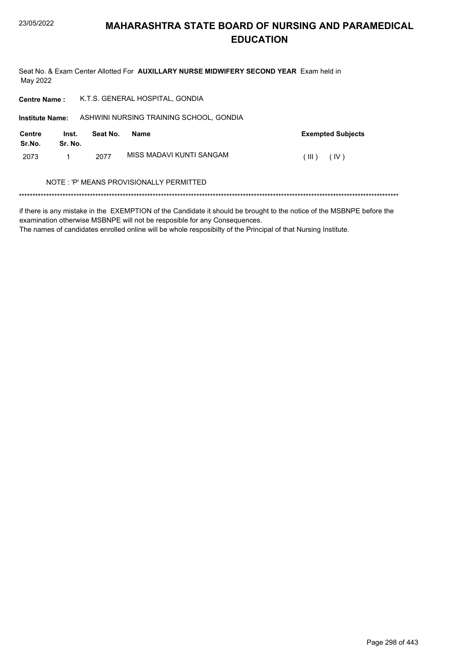Seat No. & Exam Center Allotted For AUXILLARY NURSE MIDWIFERY SECOND YEAR Exam held in May 2022

| <b>Centre Name:</b>    |                  |          | K.T.S. GENERAL HOSPITAL, GONDIA         |                          |
|------------------------|------------------|----------|-----------------------------------------|--------------------------|
| <b>Institute Name:</b> |                  |          | ASHWINI NURSING TRAINING SCHOOL, GONDIA |                          |
| Centre<br>Sr.No.       | Inst.<br>Sr. No. | Seat No. | <b>Name</b>                             | <b>Exempted Subjects</b> |
| 2073                   |                  | 2077     | MISS MADAVI KUNTI SANGAM                | (IV)<br>(III)            |
|                        |                  |          | NOTE: 'P' MEANS PROVISIONALLY PERMITTED |                          |
|                        |                  |          |                                         |                          |

if there is any mistake in the EXEMPTION of the Candidate it should be brought to the notice of the MSBNPE before the examination otherwise MSBNPE will not be resposible for any Consequences.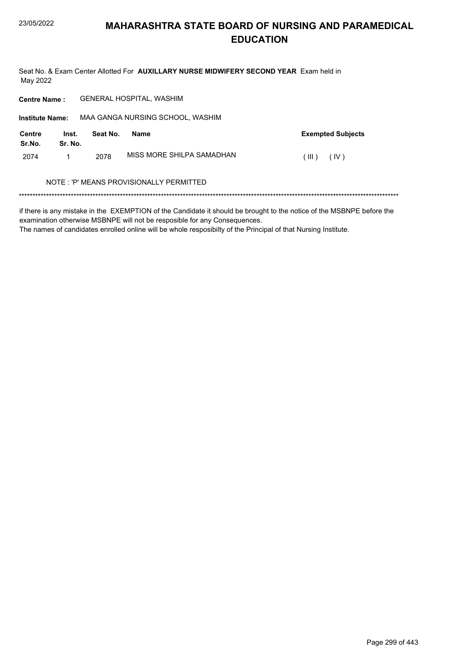Seat No. & Exam Center Allotted For AUXILLARY NURSE MIDWIFERY SECOND YEAR Exam held in May 2022

**GENERAL HOSPITAL, WASHIM Centre Name:** MAA GANGA NURSING SCHOOL, WASHIM **Institute Name: Centre** Inst. **Exempted Subjects** Seat No. Name Sr.No. Sr. No. MISS MORE SHILPA SAMADHAN 2074  $\mathbf{1}$ 2078  $(III)$   $(IV)$ NOTE: 'P' MEANS PROVISIONALLY PERMITTED 

if there is any mistake in the EXEMPTION of the Candidate it should be brought to the notice of the MSBNPE before the examination otherwise MSBNPE will not be resposible for any Consequences.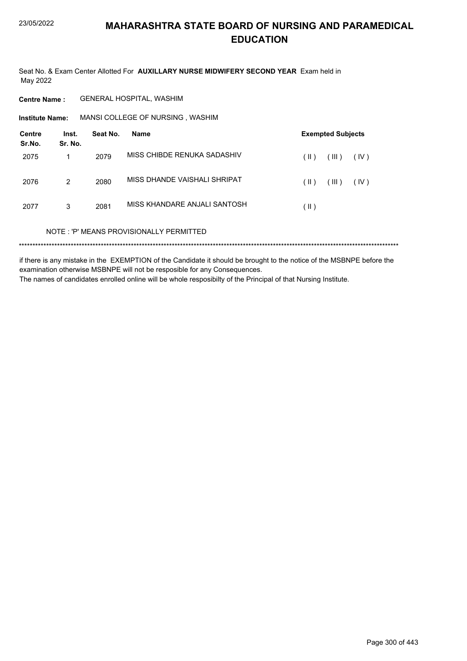Seat No. & Exam Center Allotted For AUXILLARY NURSE MIDWIFERY SECOND YEAR Exam held in May 2022

**Centre Name: GENERAL HOSPITAL, WASHIM** 

MANSI COLLEGE OF NURSING, WASHIM **Institute Name:** 

| Centre<br>Sr.No. | Inst.<br>Sr. No. | Seat No. | Name                                    | <b>Exempted Subjects</b>       |
|------------------|------------------|----------|-----------------------------------------|--------------------------------|
| 2075             |                  | 2079     | MISS CHIBDE RENUKA SADASHIV             | (III)<br>(  )<br>(IV)          |
| 2076             | 2                | 2080     | MISS DHANDE VAISHALI SHRIPAT            | (III)<br>$(\parallel)$<br>(IV) |
| 2077             | 3                | 2081     | MISS KHANDARE ANJALI SANTOSH            | $($ II $)$                     |
|                  |                  |          | NOTE: 'P' MEANS PROVISIONALLY PERMITTED |                                |
|                  |                  |          |                                         |                                |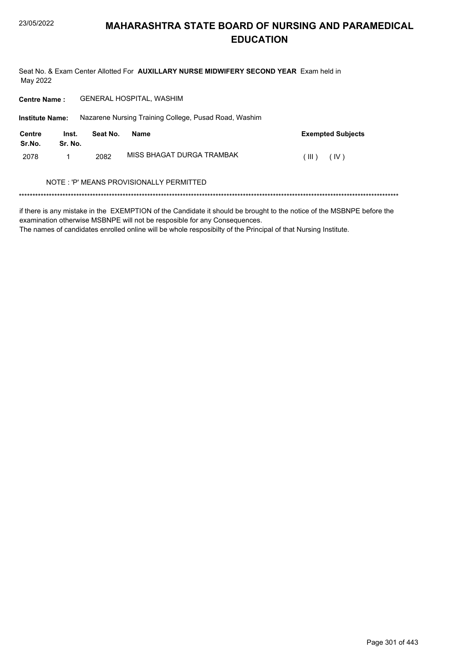Seat No. & Exam Center Allotted For AUXILLARY NURSE MIDWIFERY SECOND YEAR Exam held in May 2022

**GENERAL HOSPITAL, WASHIM Centre Name:** 

**Institute Name:** Nazarene Nursing Training College, Pusad Road, Washim

| Centre<br>Sr.No. | Inst.<br>Sr. No. | Seat No. | Name                      | <b>Exempted Subjects</b> |
|------------------|------------------|----------|---------------------------|--------------------------|
| 2078             |                  | 2082     | MISS BHAGAT DURGA TRAMBAK | $(III)$ $(IV)$           |

#### NOTE : 'P' MEANS PROVISIONALLY PERMITTED

if there is any mistake in the EXEMPTION of the Candidate it should be brought to the notice of the MSBNPE before the examination otherwise MSBNPE will not be resposible for any Consequences.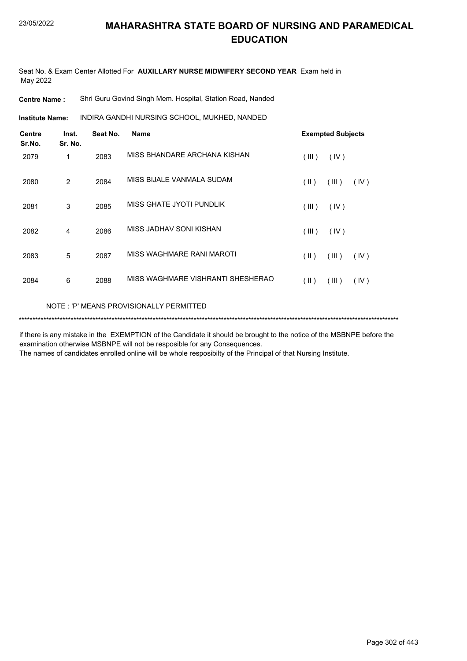Seat No. & Exam Center Allotted For **AUXILLARY NURSE MIDWIFERY SECOND YEAR** Exam held in May 2022

**Centre Name :** Shri Guru Govind Singh Mem. Hospital, Station Road, Nanded

INDIRA GANDHI NURSING SCHOOL, MUKHED, NANDED **Institute Name:**

| <b>Centre</b><br>Sr.No. | Inst.<br>Sr. No. | Seat No. | Name                              |            | <b>Exempted Subjects</b> |      |
|-------------------------|------------------|----------|-----------------------------------|------------|--------------------------|------|
| 2079                    | 1                | 2083     | MISS BHANDARE ARCHANA KISHAN      | (III)      | (IV)                     |      |
| 2080                    | 2                | 2084     | MISS BIJALE VANMALA SUDAM         | $($ II $)$ | (III)                    | (IV) |
| 2081                    | 3                | 2085     | MISS GHATE JYOTI PUNDLIK          | (III)      | (IV)                     |      |
| 2082                    | 4                | 2086     | MISS JADHAV SONI KISHAN           | (III)      | (IV)                     |      |
| 2083                    | 5                | 2087     | MISS WAGHMARE RANI MAROTI         | $($ II $)$ | (III)                    | (IV) |
| 2084                    | 6                | 2088     | MISS WAGHMARE VISHRANTI SHESHERAO | $($ II $)$ | (III)                    | (IV) |
|                         |                  |          |                                   |            |                          |      |

NOTE : 'P' MEANS PROVISIONALLY PERMITTED

\*\*\*\*\*\*\*\*\*\*\*\*\*\*\*\*\*\*\*\*\*\*\*\*\*\*\*\*\*\*\*\*\*\*\*\*\*\*\*\*\*\*\*\*\*\*\*\*\*\*\*\*\*\*\*\*\*\*\*\*\*\*\*\*\*\*\*\*\*\*\*\*\*\*\*\*\*\*\*\*\*\*\*\*\*\*\*\*\*\*\*\*\*\*\*\*\*\*\*\*\*\*\*\*\*\*\*\*\*\*\*\*\*\*\*\*\*\*\*\*\*\*\*\*\*\*\*\*\*\*\*\*\*\*\*\*\*\*\*

if there is any mistake in the EXEMPTION of the Candidate it should be brought to the notice of the MSBNPE before the examination otherwise MSBNPE will not be resposible for any Consequences.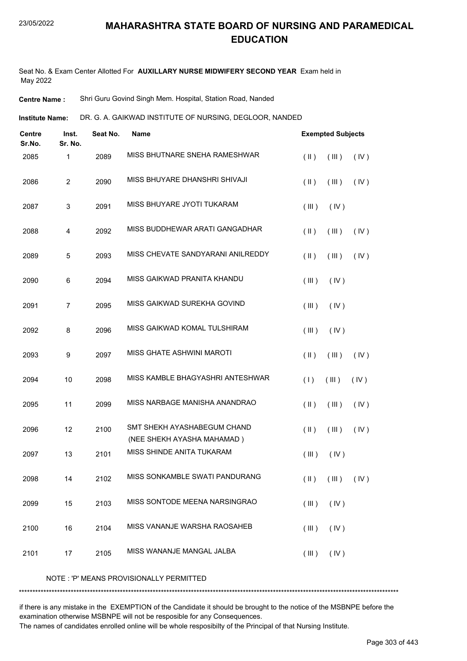Seat No. & Exam Center Allotted For **AUXILLARY NURSE MIDWIFERY SECOND YEAR** Exam held in May 2022

**Centre Name :** Shri Guru Govind Singh Mem. Hospital, Station Road, Nanded

DR. G. A. GAIKWAD INSTITUTE OF NURSING, DEGLOOR, NANDED **Institute Name:**

| <b>Centre</b><br>Sr.No. | Inst.<br>Sr. No. | Seat No. | <b>Name</b>                                               |               | <b>Exempted Subjects</b> |      |
|-------------------------|------------------|----------|-----------------------------------------------------------|---------------|--------------------------|------|
| 2085                    | 1                | 2089     | MISS BHUTNARE SNEHA RAMESHWAR                             | $($ II $)$    | (III)                    | (IV) |
| 2086                    | $\overline{c}$   | 2090     | MISS BHUYARE DHANSHRI SHIVAJI                             | $(\parallel)$ | (III)                    | (IV) |
| 2087                    | 3                | 2091     | MISS BHUYARE JYOTI TUKARAM                                | (III)         | (IV)                     |      |
| 2088                    | 4                | 2092     | MISS BUDDHEWAR ARATI GANGADHAR                            | $($ II $)$    | (III)                    | (IV) |
| 2089                    | 5                | 2093     | MISS CHEVATE SANDYARANI ANILREDDY                         | $(\parallel)$ | (III)                    | (IV) |
| 2090                    | 6                | 2094     | MISS GAIKWAD PRANITA KHANDU                               | (III)         | (IV)                     |      |
| 2091                    | 7                | 2095     | MISS GAIKWAD SUREKHA GOVIND                               | (III)         | (IV)                     |      |
| 2092                    | 8                | 2096     | MISS GAIKWAD KOMAL TULSHIRAM                              | (III)         | (IV)                     |      |
| 2093                    | 9                | 2097     | <b>MISS GHATE ASHWINI MAROTI</b>                          | $($ II $)$    | (III)                    | (IV) |
| 2094                    | 10               | 2098     | MISS KAMBLE BHAGYASHRI ANTESHWAR                          | (1)           | (III)                    | (IV) |
| 2095                    | 11               | 2099     | MISS NARBAGE MANISHA ANANDRAO                             | $($ II $)$    | (III)                    | (IV) |
| 2096                    | 12               | 2100     | SMT SHEKH AYASHABEGUM CHAND<br>(NEE SHEKH AYASHA MAHAMAD) | $($ II $)$    | (III)                    | (IV) |
| 2097                    | 13               | 2101     | MISS SHINDE ANITA TUKARAM                                 | (III)         | (IV)                     |      |
| 2098                    | 14               | 2102     | MISS SONKAMBLE SWATI PANDURANG                            | $(\parallel)$ | (III)                    | (IV) |
| 2099                    | 15               | 2103     | MISS SONTODE MEENA NARSINGRAO                             | (III)         | (IV)                     |      |
| 2100                    | 16               | 2104     | MISS VANANJE WARSHA RAOSAHEB                              | (III)         | (IV)                     |      |
| 2101                    | 17               | 2105     | MISS WANANJE MANGAL JALBA                                 | (III)         | (IV)                     |      |

NOTE : 'P' MEANS PROVISIONALLY PERMITTED

\*\*\*\*\*\*\*\*\*\*\*\*\*\*\*\*\*\*\*\*\*\*\*\*\*\*\*\*\*\*\*\*\*\*\*\*\*\*\*\*\*\*\*\*\*\*\*\*\*\*\*\*\*\*\*\*\*\*\*\*\*\*\*\*\*\*\*\*\*\*\*\*\*\*\*\*\*\*\*\*\*\*\*\*\*\*\*\*\*\*\*\*\*\*\*\*\*\*\*\*\*\*\*\*\*\*\*\*\*\*\*\*\*\*\*\*\*\*\*\*\*\*\*\*\*\*\*\*\*\*\*\*\*\*\*\*\*\*\*

if there is any mistake in the EXEMPTION of the Candidate it should be brought to the notice of the MSBNPE before the examination otherwise MSBNPE will not be resposible for any Consequences.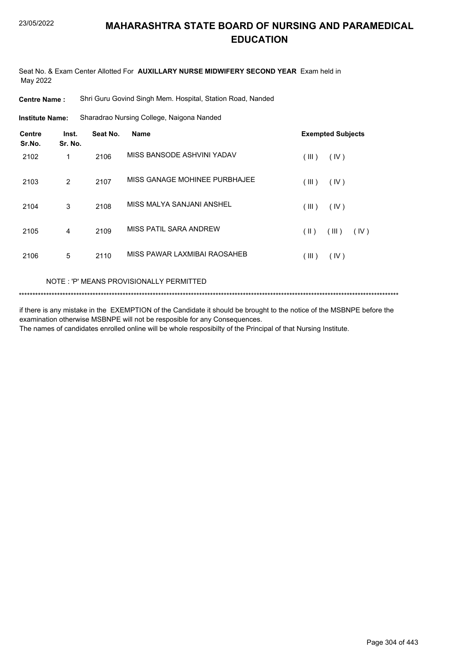Seat No. & Exam Center Allotted For **AUXILLARY NURSE MIDWIFERY SECOND YEAR** Exam held in May 2022

**Centre Name :** Shri Guru Govind Singh Mem. Hospital, Station Road, Nanded

Sharadrao Nursing College, Naigona Nanded **Institute Name:**

| <b>Centre</b><br>Sr.No. | Inst.<br>Sr. No. | Seat No. | <b>Name</b>                   | <b>Exempted Subjects</b> |
|-------------------------|------------------|----------|-------------------------------|--------------------------|
| 2102                    | 1                | 2106     | MISS BANSODE ASHVINI YADAV    | (III)<br>(IV)            |
| 2103                    | 2                | 2107     | MISS GANAGE MOHINEE PURBHAJEE | (III)<br>(IV)            |
| 2104                    | 3                | 2108     | MISS MALYA SANJANI ANSHEL     | (III)<br>(IV)            |
| 2105                    | $\overline{4}$   | 2109     | MISS PATIL SARA ANDREW        | (  )<br>(III)<br>(IV)    |
| 2106                    | 5                | 2110     | MISS PAWAR LAXMIBAI RAOSAHEB  | $($ III $)$<br>(IV)      |

#### NOTE : 'P' MEANS PROVISIONALLY PERMITTED

```
*******************************************************************************************************************************************
```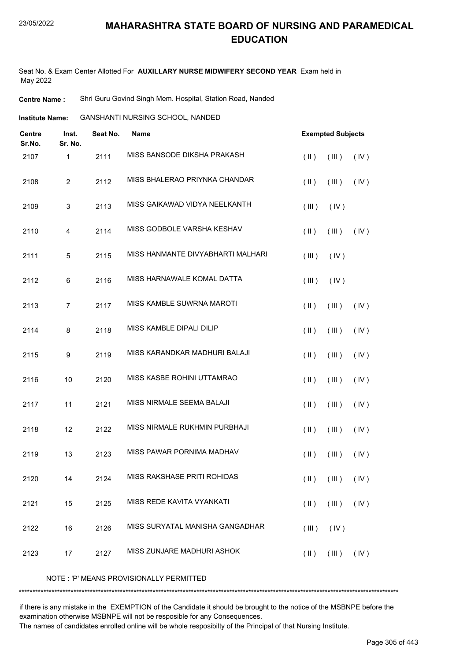Seat No. & Exam Center Allotted For **AUXILLARY NURSE MIDWIFERY SECOND YEAR** Exam held in May 2022

**Centre Name :** Shri Guru Govind Singh Mem. Hospital, Station Road, Nanded

GANSHANTI NURSING SCHOOL, NANDED **Institute Name:**

| <b>Centre</b><br>Sr.No. | Inst.<br>Sr. No. | Seat No. | <b>Name</b>                       |               | <b>Exempted Subjects</b> |      |
|-------------------------|------------------|----------|-----------------------------------|---------------|--------------------------|------|
| 2107                    | 1                | 2111     | MISS BANSODE DIKSHA PRAKASH       | $($ II $)$    | (III)                    | (IV) |
| 2108                    | $\overline{c}$   | 2112     | MISS BHALERAO PRIYNKA CHANDAR     | $(\parallel)$ | (III)                    | (IV) |
| 2109                    | 3                | 2113     | MISS GAIKAWAD VIDYA NEELKANTH     | (III)         | (IV)                     |      |
| 2110                    | 4                | 2114     | MISS GODBOLE VARSHA KESHAV        | $(\parallel)$ | (III)                    | (IV) |
| 2111                    | $\mathbf 5$      | 2115     | MISS HANMANTE DIVYABHARTI MALHARI | (III)         | (IV)                     |      |
| 2112                    | $\,6\,$          | 2116     | MISS HARNAWALE KOMAL DATTA        | (III)         | (IV)                     |      |
| 2113                    | $\overline{7}$   | 2117     | MISS KAMBLE SUWRNA MAROTI         | $(\parallel)$ | (III)                    | (IV) |
| 2114                    | 8                | 2118     | MISS KAMBLE DIPALI DILIP          | $(\parallel)$ | (III)                    | (IV) |
| 2115                    | 9                | 2119     | MISS KARANDKAR MADHURI BALAJI     | $($ II $)$    | (III)                    | (IV) |
| 2116                    | 10               | 2120     | MISS KASBE ROHINI UTTAMRAO        | $(\parallel)$ | (III)                    | (IV) |
| 2117                    | 11               | 2121     | MISS NIRMALE SEEMA BALAJI         | $(\parallel)$ | (III)                    | (IV) |
| 2118                    | 12               | 2122     | MISS NIRMALE RUKHMIN PURBHAJI     | $($ II $)$    | (III)                    | (IV) |
| 2119                    | 13               | 2123     | MISS PAWAR PORNIMA MADHAV         | $(\parallel)$ | (III)                    | (IV) |
| 2120                    | 14               | 2124     | MISS RAKSHASE PRITI ROHIDAS       | $(\parallel)$ | $($ III $)$              | (IV) |
| 2121                    | 15               | 2125     | MISS REDE KAVITA VYANKATI         | $(\parallel)$ | (III)                    | (IV) |
| 2122                    | 16               | 2126     | MISS SURYATAL MANISHA GANGADHAR   | (III)         | (IV)                     |      |
| 2123                    | 17               | 2127     | MISS ZUNJARE MADHURI ASHOK        | $(\parallel)$ | (III)                    | (IV) |

NOTE : 'P' MEANS PROVISIONALLY PERMITTED

\*\*\*\*\*\*\*\*\*\*\*\*\*\*\*\*\*\*\*\*\*\*\*\*\*\*\*\*\*\*\*\*\*\*\*\*\*\*\*\*\*\*\*\*\*\*\*\*\*\*\*\*\*\*\*\*\*\*\*\*\*\*\*\*\*\*\*\*\*\*\*\*\*\*\*\*\*\*\*\*\*\*\*\*\*\*\*\*\*\*\*\*\*\*\*\*\*\*\*\*\*\*\*\*\*\*\*\*\*\*\*\*\*\*\*\*\*\*\*\*\*\*\*\*\*\*\*\*\*\*\*\*\*\*\*\*\*\*\*

if there is any mistake in the EXEMPTION of the Candidate it should be brought to the notice of the MSBNPE before the examination otherwise MSBNPE will not be resposible for any Consequences.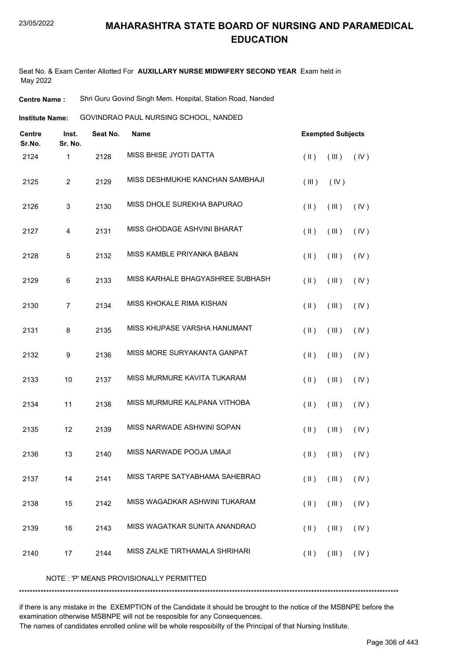Seat No. & Exam Center Allotted For **AUXILLARY NURSE MIDWIFERY SECOND YEAR** Exam held in May 2022

**Centre Name :** Shri Guru Govind Singh Mem. Hospital, Station Road, Nanded

GOVINDRAO PAUL NURSING SCHOOL, NANDED **Institute Name:**

| <b>Centre</b><br>Sr.No. | Inst.<br>Sr. No.          | Seat No. | <b>Name</b>                      |               | <b>Exempted Subjects</b> |      |
|-------------------------|---------------------------|----------|----------------------------------|---------------|--------------------------|------|
| 2124                    | $\mathbf 1$               | 2128     | MISS BHISE JYOTI DATTA           | $($ II $)$    | (III)                    | (IV) |
| 2125                    | $\overline{c}$            | 2129     | MISS DESHMUKHE KANCHAN SAMBHAJI  | (III)         | (IV)                     |      |
| 2126                    | $\ensuremath{\mathsf{3}}$ | 2130     | MISS DHOLE SUREKHA BAPURAO       | $($ II $)$    | (III)                    | (IV) |
| 2127                    | 4                         | 2131     | MISS GHODAGE ASHVINI BHARAT      | $(\parallel)$ | (III)                    | (IV) |
| 2128                    | 5                         | 2132     | MISS KAMBLE PRIYANKA BABAN       | $(\parallel)$ | (III)                    | (IV) |
| 2129                    | 6                         | 2133     | MISS KARHALE BHAGYASHREE SUBHASH | $($ II $)$    | (III)                    | (IV) |
| 2130                    | $\overline{7}$            | 2134     | MISS KHOKALE RIMA KISHAN         | $(\parallel)$ | (III)                    | (IV) |
| 2131                    | 8                         | 2135     | MISS KHUPASE VARSHA HANUMANT     | $($ II $)$    | (III)                    | (IV) |
| 2132                    | $\boldsymbol{9}$          | 2136     | MISS MORE SURYAKANTA GANPAT      | $($ II $)$    | (III)                    | (IV) |
| 2133                    | 10                        | 2137     | MISS MURMURE KAVITA TUKARAM      | $($ II $)$    | (III)                    | (IV) |
| 2134                    | 11                        | 2138     | MISS MURMURE KALPANA VITHOBA     | $($ II $)$    | (III)                    | (IV) |
| 2135                    | 12                        | 2139     | MISS NARWADE ASHWINI SOPAN       | $($ II $)$    | (III)                    | (IV) |
| 2136                    | 13                        | 2140     | MISS NARWADE POOJA UMAJI         | $($ II $)$    | (III)                    | (IV) |
| 2137                    | 14                        | 2141     | MISS TARPE SATYABHAMA SAHEBRAO   | $($ II $)$    | $($ III $)$              | (IV) |
| 2138                    | 15                        | 2142     | MISS WAGADKAR ASHWINI TUKARAM    | $($ II $)$    | (III)                    | (IV) |
| 2139                    | 16                        | 2143     | MISS WAGATKAR SUNITA ANANDRAO    | $(\parallel)$ | (III)                    | (IV) |
| 2140                    | 17                        | 2144     | MISS ZALKE TIRTHAMALA SHRIHARI   | $($ II $)$    | (III)                    | (IV) |
|                         |                           |          |                                  |               |                          |      |

NOTE : 'P' MEANS PROVISIONALLY PERMITTED

\*\*\*\*\*\*\*\*\*\*\*\*\*\*\*\*\*\*\*\*\*\*\*\*\*\*\*\*\*\*\*\*\*\*\*\*\*\*\*\*\*\*\*\*\*\*\*\*\*\*\*\*\*\*\*\*\*\*\*\*\*\*\*\*\*\*\*\*\*\*\*\*\*\*\*\*\*\*\*\*\*\*\*\*\*\*\*\*\*\*\*\*\*\*\*\*\*\*\*\*\*\*\*\*\*\*\*\*\*\*\*\*\*\*\*\*\*\*\*\*\*\*\*\*\*\*\*\*\*\*\*\*\*\*\*\*\*\*\*

if there is any mistake in the EXEMPTION of the Candidate it should be brought to the notice of the MSBNPE before the examination otherwise MSBNPE will not be resposible for any Consequences.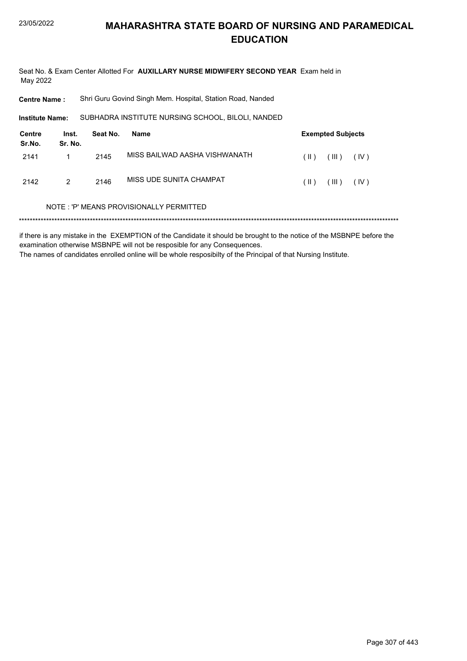Seat No. & Exam Center Allotted For **AUXILLARY NURSE MIDWIFERY SECOND YEAR** Exam held in May 2022

**Centre Name :** Shri Guru Govind Singh Mem. Hospital, Station Road, Nanded

SUBHADRA INSTITUTE NURSING SCHOOL, BILOLI, NANDED **Institute Name:**

| Centre<br>Sr.No. | Inst.<br>Sr. No. | Seat No. | Name                          |               | <b>Exempted Subjects</b> |      |
|------------------|------------------|----------|-------------------------------|---------------|--------------------------|------|
| 2141             |                  | 2145     | MISS BAILWAD AASHA VISHWANATH | $(\parallel)$ | $(III)$ $(IV)$           |      |
| 2142             | $\mathcal{P}$    | 2146     | MISS UDE SUNITA CHAMPAT       | (  )          | (III)                    | (IV) |

#### NOTE : 'P' MEANS PROVISIONALLY PERMITTED

\*\*\*\*\*\*\*\*\*\*\*\*\*\*\*\*\*\*\*\*\*\*\*\*\*\*\*\*\*\*\*\*\*\*\*\*\*\*\*\*\*\*\*\*\*\*\*\*\*\*\*\*\*\*\*\*\*\*\*\*\*\*\*\*\*\*\*\*\*\*\*\*\*\*\*\*\*\*\*\*\*\*\*\*\*\*\*\*\*\*\*\*\*\*\*\*\*\*\*\*\*\*\*\*\*\*\*\*\*\*\*\*\*\*\*\*\*\*\*\*\*\*\*\*\*\*\*\*\*\*\*\*\*\*\*\*\*\*\*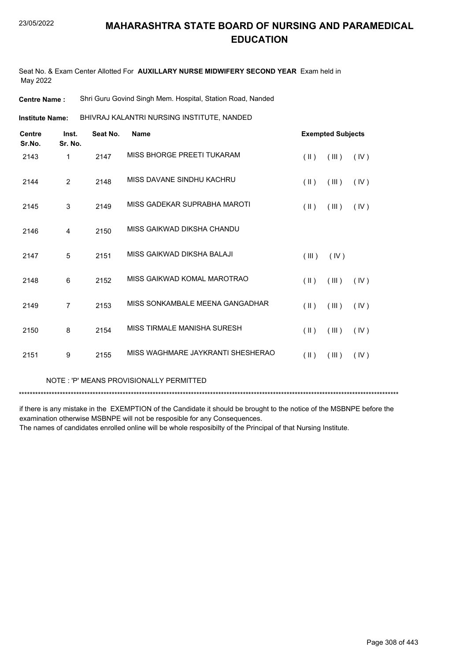Seat No. & Exam Center Allotted For **AUXILLARY NURSE MIDWIFERY SECOND YEAR** Exam held in May 2022

**Centre Name :** Shri Guru Govind Singh Mem. Hospital, Station Road, Nanded

BHIVRAJ KALANTRI NURSING INSTITUTE, NANDED **Institute Name:**

| <b>Centre</b><br>Sr.No. | Inst.<br>Sr. No. | Seat No. | <b>Name</b>                       |                         | <b>Exempted Subjects</b> |      |
|-------------------------|------------------|----------|-----------------------------------|-------------------------|--------------------------|------|
| 2143                    | 1                | 2147     | MISS BHORGE PREETI TUKARAM        | $(\parallel \parallel)$ | (III)                    | (IV) |
| 2144                    | $\overline{2}$   | 2148     | MISS DAVANE SINDHU KACHRU         | $(\parallel \parallel)$ | (III)                    | (IV) |
| 2145                    | 3                | 2149     | MISS GADEKAR SUPRABHA MAROTI      | $(\parallel)$           | (III)                    | (IV) |
| 2146                    | 4                | 2150     | MISS GAIKWAD DIKSHA CHANDU        |                         |                          |      |
| 2147                    | 5                | 2151     | MISS GAIKWAD DIKSHA BALAJI        | (III)                   | (IV)                     |      |
| 2148                    | 6                | 2152     | MISS GAIKWAD KOMAL MAROTRAO       | $(\parallel)$           | (III)                    | (IV) |
| 2149                    | 7                | 2153     | MISS SONKAMBALE MEENA GANGADHAR   | $(\parallel)$           | (III)                    | (IV) |
| 2150                    | 8                | 2154     | MISS TIRMALE MANISHA SURESH       | $(\parallel \parallel)$ | (III)                    | (IV) |
| 2151                    | 9                | 2155     | MISS WAGHMARE JAYKRANTI SHESHERAO | $(\parallel)$           | (III)                    | (IV) |
|                         |                  |          |                                   |                         |                          |      |

NOTE : 'P' MEANS PROVISIONALLY PERMITTED

\*\*\*\*\*\*\*\*\*\*\*\*\*\*\*\*\*\*\*\*\*\*\*\*\*\*\*\*\*\*\*\*\*\*\*\*\*\*\*\*\*\*\*\*\*\*\*\*\*\*\*\*\*\*\*\*\*\*\*\*\*\*\*\*\*\*\*\*\*\*\*\*\*\*\*\*\*\*\*\*\*\*\*\*\*\*\*\*\*\*\*\*\*\*\*\*\*\*\*\*\*\*\*\*\*\*\*\*\*\*\*\*\*\*\*\*\*\*\*\*\*\*\*\*\*\*\*\*\*\*\*\*\*\*\*\*\*\*\*

if there is any mistake in the EXEMPTION of the Candidate it should be brought to the notice of the MSBNPE before the examination otherwise MSBNPE will not be resposible for any Consequences.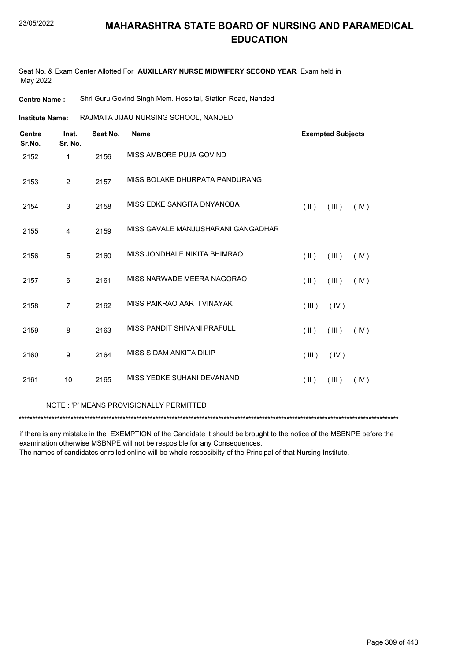Seat No. & Exam Center Allotted For **AUXILLARY NURSE MIDWIFERY SECOND YEAR** Exam held in May 2022

**Centre Name :** Shri Guru Govind Singh Mem. Hospital, Station Road, Nanded

RAJMATA JIJAU NURSING SCHOOL, NANDED **Institute Name:**

| <b>Centre</b><br>Sr.No. | Inst.<br>Sr. No. | Seat No. | <b>Name</b>                        |                         | <b>Exempted Subjects</b> |      |
|-------------------------|------------------|----------|------------------------------------|-------------------------|--------------------------|------|
| 2152                    | $\mathbf{1}$     | 2156     | MISS AMBORE PUJA GOVIND            |                         |                          |      |
| 2153                    | $\overline{2}$   | 2157     | MISS BOLAKE DHURPATA PANDURANG     |                         |                          |      |
| 2154                    | 3                | 2158     | MISS EDKE SANGITA DNYANOBA         | $($ II $)$              | (III)                    | (IV) |
| 2155                    | 4                | 2159     | MISS GAVALE MANJUSHARANI GANGADHAR |                         |                          |      |
| 2156                    | 5                | 2160     | MISS JONDHALE NIKITA BHIMRAO       | (  )                    | (III)                    | (IV) |
| 2157                    | 6                | 2161     | MISS NARWADE MEERA NAGORAO         | $(\parallel)$           | (III)                    | (IV) |
| 2158                    | $\overline{7}$   | 2162     | MISS PAIKRAO AARTI VINAYAK         | (III)                   | (IV)                     |      |
| 2159                    | 8                | 2163     | MISS PANDIT SHIVANI PRAFULL        | $($ II $)$              | (III)                    | (IV) |
| 2160                    | 9                | 2164     | MISS SIDAM ANKITA DILIP            | (III)                   | (IV)                     |      |
| 2161                    | 10               | 2165     | MISS YEDKE SUHANI DEVANAND         | $(\parallel \parallel)$ | (III)                    | (IV) |

#### NOTE : 'P' MEANS PROVISIONALLY PERMITTED

\*\*\*\*\*\*\*\*\*\*\*\*\*\*\*\*\*\*\*\*\*\*\*\*\*\*\*\*\*\*\*\*\*\*\*\*\*\*\*\*\*\*\*\*\*\*\*\*\*\*\*\*\*\*\*\*\*\*\*\*\*\*\*\*\*\*\*\*\*\*\*\*\*\*\*\*\*\*\*\*\*\*\*\*\*\*\*\*\*\*\*\*\*\*\*\*\*\*\*\*\*\*\*\*\*\*\*\*\*\*\*\*\*\*\*\*\*\*\*\*\*\*\*\*\*\*\*\*\*\*\*\*\*\*\*\*\*\*\*

if there is any mistake in the EXEMPTION of the Candidate it should be brought to the notice of the MSBNPE before the examination otherwise MSBNPE will not be resposible for any Consequences.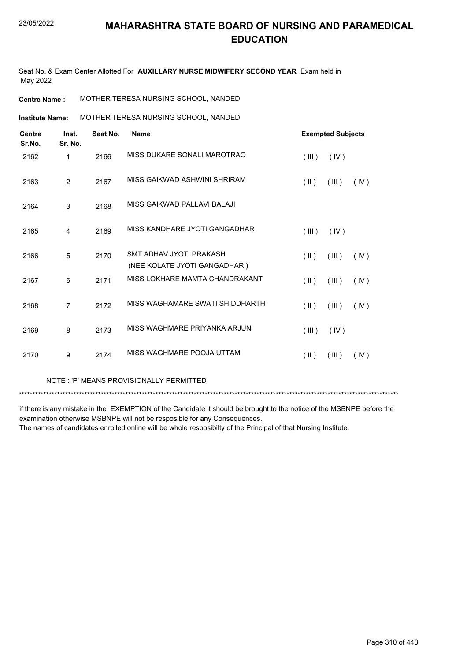Seat No. & Exam Center Allotted For **AUXILLARY NURSE MIDWIFERY SECOND YEAR** Exam held in May 2022

| MOTHER TERESA NURSING SCHOOL, NANDED<br><b>Centre Name :</b> |
|--------------------------------------------------------------|
|--------------------------------------------------------------|

**Institute Name: MOTHER TERESA NURSING SCHOOL, NANDED** 

| <b>Centre</b><br>Sr.No. | Inst.<br>Sr. No. | Seat No. | <b>Name</b>                                                    |                         | <b>Exempted Subjects</b> |      |
|-------------------------|------------------|----------|----------------------------------------------------------------|-------------------------|--------------------------|------|
| 2162                    | 1                | 2166     | MISS DUKARE SONALI MAROTRAO                                    | (III)                   | (IV)                     |      |
| 2163                    | $\overline{2}$   | 2167     | MISS GAIKWAD ASHWINI SHRIRAM                                   | $(\parallel)$           | (III)                    | (IV) |
| 2164                    | 3                | 2168     | MISS GAIKWAD PALLAVI BALAJI                                    |                         |                          |      |
| 2165                    | 4                | 2169     | MISS KANDHARE JYOTI GANGADHAR                                  | (III)                   | (IV)                     |      |
| 2166                    | 5                | 2170     | SMT ADHAV JYOTI PRAKASH                                        | $(\parallel)$           | (III)                    | (IV) |
|                         |                  |          | (NEE KOLATE JYOTI GANGADHAR)<br>MISS LOKHARE MAMTA CHANDRAKANT |                         |                          |      |
| 2167                    | 6                | 2171     |                                                                | $(\parallel)$           | (III)                    | (IV) |
| 2168                    | $\overline{7}$   | 2172     | MISS WAGHAMARE SWATI SHIDDHARTH                                | $(\parallel)$           | (III)                    | (IV) |
| 2169                    | 8                | 2173     | MISS WAGHMARE PRIYANKA ARJUN                                   | (III)                   | (IV)                     |      |
| 2170                    | 9                | 2174     | MISS WAGHMARE POOJA UTTAM                                      | $(\parallel \parallel)$ | (III)                    | (IV) |

NOTE : 'P' MEANS PROVISIONALLY PERMITTED

\*\*\*\*\*\*\*\*\*\*\*\*\*\*\*\*\*\*\*\*\*\*\*\*\*\*\*\*\*\*\*\*\*\*\*\*\*\*\*\*\*\*\*\*\*\*\*\*\*\*\*\*\*\*\*\*\*\*\*\*\*\*\*\*\*\*\*\*\*\*\*\*\*\*\*\*\*\*\*\*\*\*\*\*\*\*\*\*\*\*\*\*\*\*\*\*\*\*\*\*\*\*\*\*\*\*\*\*\*\*\*\*\*\*\*\*\*\*\*\*\*\*\*\*\*\*\*\*\*\*\*\*\*\*\*\*\*\*\*

if there is any mistake in the EXEMPTION of the Candidate it should be brought to the notice of the MSBNPE before the examination otherwise MSBNPE will not be resposible for any Consequences.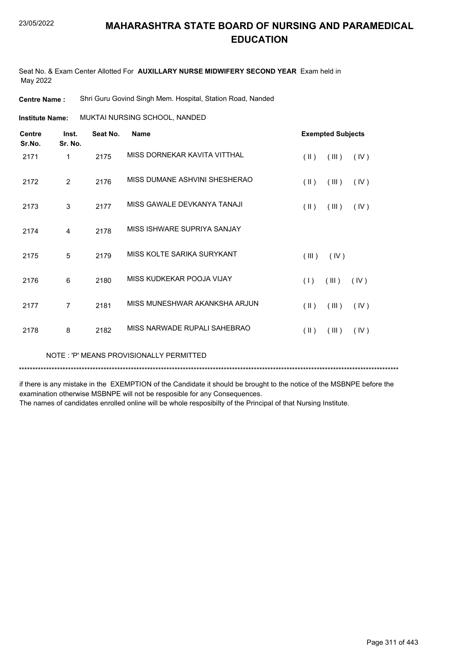Seat No. & Exam Center Allotted For **AUXILLARY NURSE MIDWIFERY SECOND YEAR** Exam held in May 2022

**Centre Name :** Shri Guru Govind Singh Mem. Hospital, Station Road, Nanded

MUKTAI NURSING SCHOOL, NANDED **Institute Name:**

| <b>Centre</b><br>Sr.No. | Inst.<br>Sr. No. | Seat No. | <b>Name</b>                   |                         | <b>Exempted Subjects</b> |      |
|-------------------------|------------------|----------|-------------------------------|-------------------------|--------------------------|------|
| 2171                    | 1                | 2175     | MISS DORNEKAR KAVITA VITTHAL  | $(\parallel)$           | (III)                    | (IV) |
| 2172                    | $\overline{2}$   | 2176     | MISS DUMANE ASHVINI SHESHERAO | $($ II $)$              | (III)                    | (IV) |
| 2173                    | 3                | 2177     | MISS GAWALE DEVKANYA TANAJI   | $(\parallel \parallel)$ | (III)                    | (IV) |
| 2174                    | $\overline{4}$   | 2178     | MISS ISHWARE SUPRIYA SANJAY   |                         |                          |      |
| 2175                    | 5                | 2179     | MISS KOLTE SARIKA SURYKANT    | (III)                   | (IV)                     |      |
| 2176                    | 6                | 2180     | MISS KUDKEKAR POOJA VIJAY     | (1)                     | (III)                    | (IV) |
| 2177                    | $\overline{7}$   | 2181     | MISS MUNESHWAR AKANKSHA ARJUN | $($ II $)$              | (III)                    | (IV) |
| 2178                    | 8                | 2182     | MISS NARWADE RUPALI SAHEBRAO  | $(\parallel)$           | (III)                    | (IV) |

NOTE : 'P' MEANS PROVISIONALLY PERMITTED

\*\*\*\*\*\*\*\*\*\*\*\*\*\*\*\*\*\*\*\*\*\*\*\*\*\*\*\*\*\*\*\*\*\*\*\*\*\*\*\*\*\*\*\*\*\*\*\*\*\*\*\*\*\*\*\*\*\*\*\*\*\*\*\*\*\*\*\*\*\*\*\*\*\*\*\*\*\*\*\*\*\*\*\*\*\*\*\*\*\*\*\*\*\*\*\*\*\*\*\*\*\*\*\*\*\*\*\*\*\*\*\*\*\*\*\*\*\*\*\*\*\*\*\*\*\*\*\*\*\*\*\*\*\*\*\*\*\*\*

if there is any mistake in the EXEMPTION of the Candidate it should be brought to the notice of the MSBNPE before the examination otherwise MSBNPE will not be resposible for any Consequences.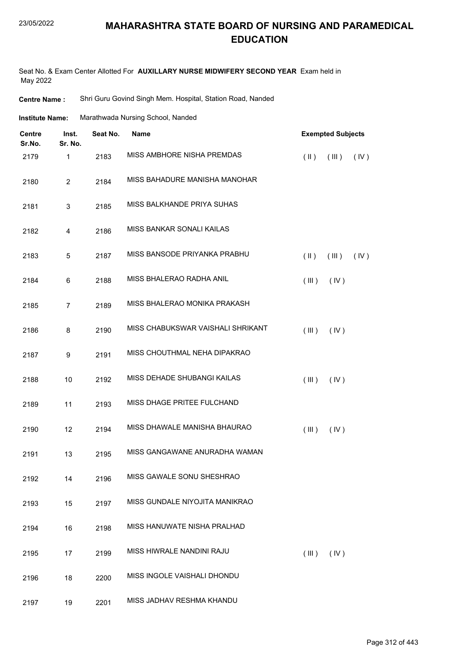#### 23/05/2022

#### **MAHARASHTRA STATE BOARD OF NURSING AND PARAMEDICAL EDUCATION**

Seat No. & Exam Center Allotted For **AUXILLARY NURSE MIDWIFERY SECOND YEAR** Exam held in May 2022

**Centre Name :** Shri Guru Govind Singh Mem. Hospital, Station Road, Nanded

| Marathwada Nursing School, Nanded<br>Institute Name: |
|------------------------------------------------------|
|------------------------------------------------------|

| <b>Centre</b><br>Sr.No. | Inst.<br>Sr. No. | Seat No. | <b>Name</b>                       |                         | <b>Exempted Subjects</b> |      |  |  |
|-------------------------|------------------|----------|-----------------------------------|-------------------------|--------------------------|------|--|--|
| 2179                    | 1                | 2183     | MISS AMBHORE NISHA PREMDAS        | $(\parallel \parallel)$ | (III)                    | (IV) |  |  |
| 2180                    | $\overline{2}$   | 2184     | MISS BAHADURE MANISHA MANOHAR     |                         |                          |      |  |  |
| 2181                    | 3                | 2185     | MISS BALKHANDE PRIYA SUHAS        |                         |                          |      |  |  |
| 2182                    | 4                | 2186     | MISS BANKAR SONALI KAILAS         |                         |                          |      |  |  |
| 2183                    | 5                | 2187     | MISS BANSODE PRIYANKA PRABHU      | $(\parallel)$           | (III)                    | (IV) |  |  |
| 2184                    | 6                | 2188     | MISS BHALERAO RADHA ANIL          | (III)                   | (IV)                     |      |  |  |
| 2185                    | $\overline{7}$   | 2189     | MISS BHALERAO MONIKA PRAKASH      |                         |                          |      |  |  |
| 2186                    | 8                | 2190     | MISS CHABUKSWAR VAISHALI SHRIKANT | (III)                   | (IV)                     |      |  |  |
| 2187                    | 9                | 2191     | MISS CHOUTHMAL NEHA DIPAKRAO      |                         |                          |      |  |  |
| 2188                    | 10               | 2192     | MISS DEHADE SHUBANGI KAILAS       | (III)                   | (IV)                     |      |  |  |
| 2189                    | 11               | 2193     | MISS DHAGE PRITEE FULCHAND        |                         |                          |      |  |  |
| 2190                    | 12               | 2194     | MISS DHAWALE MANISHA BHAURAO      | (III)                   | (IV)                     |      |  |  |
| 2191                    | 13               | 2195     | MISS GANGAWANE ANURADHA WAMAN     |                         |                          |      |  |  |
| 2192                    | 14               | 2196     | MISS GAWALE SONU SHESHRAO         |                         |                          |      |  |  |
| 2193                    | 15               | 2197     | MISS GUNDALE NIYOJITA MANIKRAO    |                         |                          |      |  |  |
| 2194                    | 16               | 2198     | MISS HANUWATE NISHA PRALHAD       |                         |                          |      |  |  |
| 2195                    | 17               | 2199     | MISS HIWRALE NANDINI RAJU         | (III)                   | (IV)                     |      |  |  |
| 2196                    | 18               | 2200     | MISS INGOLE VAISHALI DHONDU       |                         |                          |      |  |  |
| 2197                    | 19               | 2201     | MISS JADHAV RESHMA KHANDU         |                         |                          |      |  |  |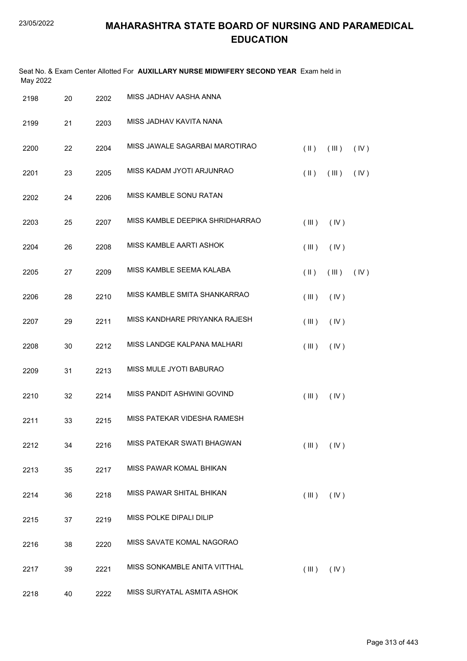| May 2022 |    |      | Seat No. & Exam Center Allotted For AUXILLARY NURSE MIDWIFERY SECOND YEAR Exam held in |                         |       |      |
|----------|----|------|----------------------------------------------------------------------------------------|-------------------------|-------|------|
| 2198     | 20 | 2202 | MISS JADHAV AASHA ANNA                                                                 |                         |       |      |
| 2199     | 21 | 2203 | MISS JADHAV KAVITA NANA                                                                |                         |       |      |
| 2200     | 22 | 2204 | MISS JAWALE SAGARBAI MAROTIRAO                                                         | $(\parallel \parallel)$ | (III) | (IV) |
| 2201     | 23 | 2205 | MISS KADAM JYOTI ARJUNRAO                                                              | $(\parallel \parallel)$ | (III) | (IV) |
| 2202     | 24 | 2206 | MISS KAMBLE SONU RATAN                                                                 |                         |       |      |
| 2203     | 25 | 2207 | MISS KAMBLE DEEPIKA SHRIDHARRAO                                                        | (III)                   | (IV)  |      |
| 2204     | 26 | 2208 | MISS KAMBLE AARTI ASHOK                                                                | (III)                   | (IV)  |      |
| 2205     | 27 | 2209 | MISS KAMBLE SEEMA KALABA                                                               | $(\parallel)$           | (III) | (IV) |
| 2206     | 28 | 2210 | MISS KAMBLE SMITA SHANKARRAO                                                           | (III)                   | (IV)  |      |
| 2207     | 29 | 2211 | MISS KANDHARE PRIYANKA RAJESH                                                          | (III)                   | (IV)  |      |
| 2208     | 30 | 2212 | MISS LANDGE KALPANA MALHARI                                                            | (III)                   | (IV)  |      |
| 2209     | 31 | 2213 | MISS MULE JYOTI BABURAO                                                                |                         |       |      |
| 2210     | 32 | 2214 | MISS PANDIT ASHWINI GOVIND                                                             | (III)                   | (IV)  |      |
| 2211     | 33 | 2215 | MISS PATEKAR VIDESHA RAMESH                                                            |                         |       |      |
| 2212     | 34 | 2216 | MISS PATEKAR SWATI BHAGWAN                                                             | $($ III $)$             | (IV)  |      |
| 2213     | 35 | 2217 | MISS PAWAR KOMAL BHIKAN                                                                |                         |       |      |
| 2214     | 36 | 2218 | MISS PAWAR SHITAL BHIKAN                                                               | (III)                   | (IV)  |      |
| 2215     | 37 | 2219 | MISS POLKE DIPALI DILIP                                                                |                         |       |      |
| 2216     | 38 | 2220 | MISS SAVATE KOMAL NAGORAO                                                              |                         |       |      |
| 2217     | 39 | 2221 | MISS SONKAMBLE ANITA VITTHAL                                                           | (III)                   | (IV)  |      |
| 2218     | 40 | 2222 | MISS SURYATAL ASMITA ASHOK                                                             |                         |       |      |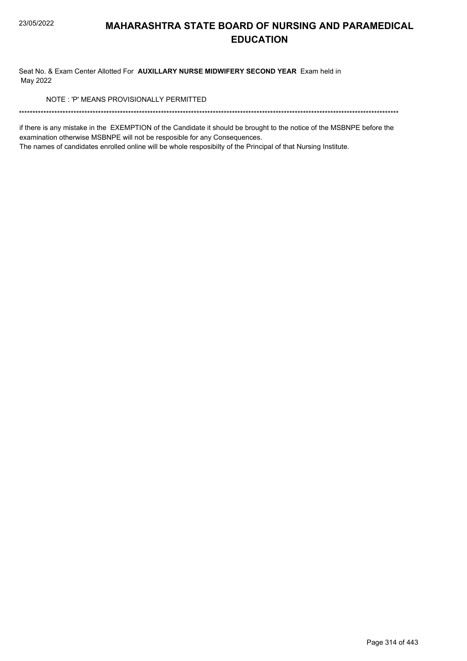Seat No. & Exam Center Allotted For AUXILLARY NURSE MIDWIFERY SECOND YEAR Exam held in May 2022

NOTE: 'P' MEANS PROVISIONALLY PERMITTED

if there is any mistake in the EXEMPTION of the Candidate it should be brought to the notice of the MSBNPE before the examination otherwise MSBNPE will not be resposible for any Consequences.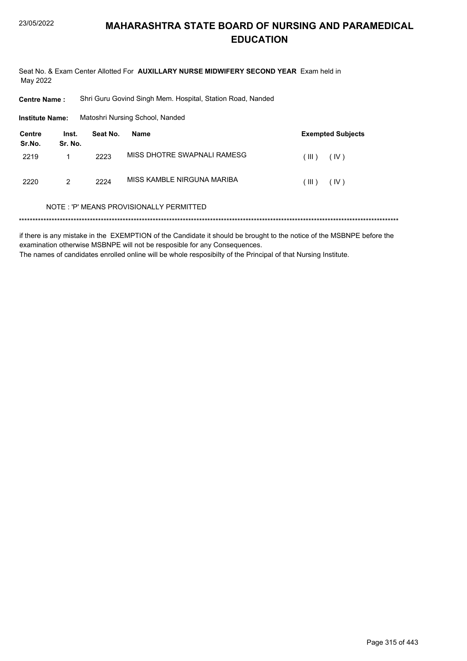Seat No. & Exam Center Allotted For AUXILLARY NURSE MIDWIFERY SECOND YEAR Exam held in May 2022

**Centre Name:** Shri Guru Govind Singh Mem. Hospital, Station Road, Nanded

**Institute Name:** Matoshri Nursing School, Nanded

| Centre<br>Sr.No. | Inst.<br>Sr. No. | Seat No. | Name                        |         | <b>Exempted Subjects</b> |
|------------------|------------------|----------|-----------------------------|---------|--------------------------|
| 2219             |                  | 2223     | MISS DHOTRE SWAPNALI RAMESG | ( III ) | (IV)                     |
| 2220             | 2                | 2224     | MISS KAMBLE NIRGUNA MARIBA  | ( III ) | (IV)                     |

#### NOTE: 'P' MEANS PROVISIONALLY PERMITTED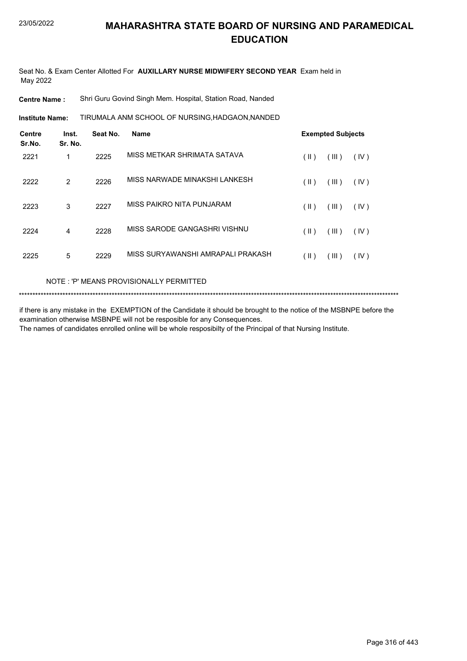Seat No. & Exam Center Allotted For **AUXILLARY NURSE MIDWIFERY SECOND YEAR** Exam held in May 2022

**Centre Name :** Shri Guru Govind Singh Mem. Hospital, Station Road, Nanded

TIRUMALA ANM SCHOOL OF NURSING,HADGAON,NANDED **Institute Name:**

| <b>Centre</b><br>Sr.No. | Inst.<br>Sr. No. | Seat No. | <b>Name</b>                       |               | <b>Exempted Subjects</b> |      |
|-------------------------|------------------|----------|-----------------------------------|---------------|--------------------------|------|
| 2221                    | 1                | 2225     | MISS METKAR SHRIMATA SATAVA       | (  )          | (III)                    | (IV) |
| 2222                    | $\overline{2}$   | 2226     | MISS NARWADE MINAKSHI LANKESH     | (  )          | (III)                    | (IV) |
| 2223                    | 3                | 2227     | MISS PAIKRO NITA PUNJARAM         | $(\parallel)$ | (III)                    | (IV) |
| 2224                    | 4                | 2228     | MISS SARODE GANGASHRI VISHNU      | (  )          | (III)                    | (IV) |
| 2225                    | 5                | 2229     | MISS SURYAWANSHI AMRAPALI PRAKASH | $(\parallel)$ | (III)                    | (IV) |

NOTE : 'P' MEANS PROVISIONALLY PERMITTED

```
*******************************************************************************************************************************************
```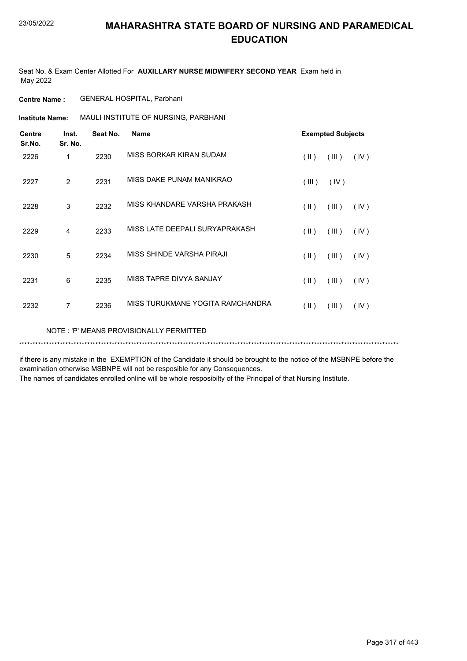Seat No. & Exam Center Allotted For **AUXILLARY NURSE MIDWIFERY SECOND YEAR** Exam held in May 2022

**Centre Name :** GENERAL HOSPITAL, Parbhani

**Institute Name: MAULI INSTITUTE OF NURSING, PARBHANI** 

| <b>Centre</b><br>Sr.No. | Inst.<br>Sr. No. | Seat No. | <b>Name</b>                             |               | <b>Exempted Subjects</b> |      |
|-------------------------|------------------|----------|-----------------------------------------|---------------|--------------------------|------|
| 2226                    | 1                | 2230     | MISS BORKAR KIRAN SUDAM                 | $(\parallel)$ | (III)                    | (IV) |
| 2227                    | $\overline{2}$   | 2231     | MISS DAKE PUNAM MANIKRAO                | (III)         | (IV)                     |      |
| 2228                    | 3                | 2232     | MISS KHANDARE VARSHA PRAKASH            | (  )          | (III)                    | (IV) |
| 2229                    | 4                | 2233     | MISS LATE DEEPALI SURYAPRAKASH          | (  )          | (III)                    | (IV) |
| 2230                    | 5                | 2234     | MISS SHINDE VARSHA PIRAJI               | (  )          | (III)                    | (IV) |
| 2231                    | 6                | 2235     | MISS TAPRE DIVYA SANJAY                 | $(\parallel)$ | (III)                    | (IV) |
| 2232                    | $\overline{7}$   | 2236     | MISS TURUKMANE YOGITA RAMCHANDRA        | (II)          | (III)                    | (IV) |
|                         |                  |          | NOTE: 'P' MEANS PROVISIONALLY PERMITTED |               |                          |      |

\*\*\*\*\*\*\*\*\*\*\*\*\*\*\*\*\*\*\*\*\*\*\*\*\*\*\*\*\*\*\*\*\*\*\*\*\*\*\*\*\*\*\*\*\*\*\*\*\*\*\*\*\*\*\*\*\*\*\*\*\*\*\*\*\*\*\*\*\*\*\*\*\*\*\*\*\*\*\*\*\*\*\*\*\*\*\*\*\*\*\*\*\*\*\*\*\*\*\*\*\*\*\*\*\*\*\*\*\*\*\*\*\*\*\*\*\*\*\*\*\*\*\*\*\*\*\*\*\*\*\*\*\*\*\*\*\*\*\* if there is any mistake in the EXEMPTION of the Candidate it should be brought to the notice of the MSBNPE before the

examination otherwise MSBNPE will not be resposible for any Consequences.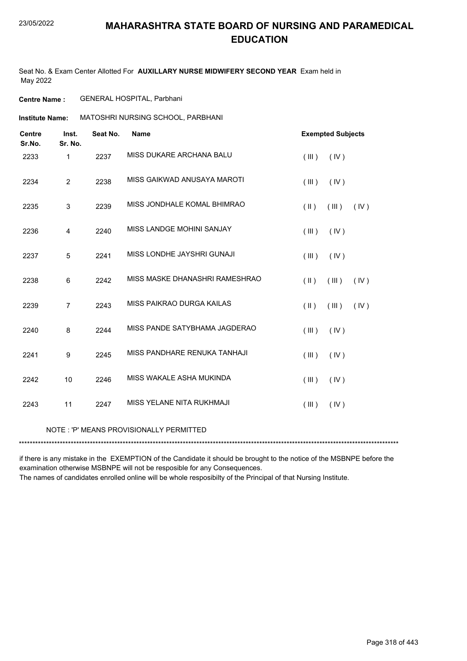Seat No. & Exam Center Allotted For **AUXILLARY NURSE MIDWIFERY SECOND YEAR** Exam held in May 2022

**Centre Name :** GENERAL HOSPITAL, Parbhani

**Institute Name: MATOSHRI NURSING SCHOOL, PARBHANI** 

| <b>Centre</b><br>Sr.No. | Inst.<br>Sr. No.        | Seat No. | <b>Name</b>                             |                         | <b>Exempted Subjects</b> |      |
|-------------------------|-------------------------|----------|-----------------------------------------|-------------------------|--------------------------|------|
| 2233                    | $\mathbf{1}$            | 2237     | MISS DUKARE ARCHANA BALU                | (III)                   | (IV)                     |      |
| 2234                    | $\overline{2}$          | 2238     | MISS GAIKWAD ANUSAYA MAROTI             | (III)                   | (IV)                     |      |
| 2235                    | 3                       | 2239     | MISS JONDHALE KOMAL BHIMRAO             | $(\parallel \parallel)$ | (III)                    | (IV) |
| 2236                    | $\overline{\mathbf{4}}$ | 2240     | MISS LANDGE MOHINI SANJAY               | (III)                   | (IV)                     |      |
| 2237                    | 5                       | 2241     | MISS LONDHE JAYSHRI GUNAJI              | (III)                   | (IV)                     |      |
| 2238                    | 6                       | 2242     | MISS MASKE DHANASHRI RAMESHRAO          | $(\parallel \parallel)$ | (III)                    | (IV) |
| 2239                    | $\overline{7}$          | 2243     | MISS PAIKRAO DURGA KAILAS               | $(\parallel \parallel)$ | (III)                    | (IV) |
| 2240                    | 8                       | 2244     | MISS PANDE SATYBHAMA JAGDERAO           | (III)                   | (IV)                     |      |
| 2241                    | 9                       | 2245     | MISS PANDHARE RENUKA TANHAJI            | (III)                   | (IV)                     |      |
| 2242                    | 10                      | 2246     | MISS WAKALE ASHA MUKINDA                | (III)                   | (IV)                     |      |
| 2243                    | 11                      | 2247     | MISS YELANE NITA RUKHMAJI               | (III)                   | (IV)                     |      |
|                         |                         |          | NOTE: 'P' MEANS PROVISIONALLY PERMITTED |                         |                          |      |

\*\*\*\*\*\*\*\*\*\*\*\*\*\*\*\*\*\*\*\*\*\*\*\*\*\*\*\*\*\*\*\*\*\*\*\*\*\*\*\*\*\*\*\*\*\*\*\*\*\*\*\*\*\*\*\*\*\*\*\*\*\*\*\*\*\*\*\*\*\*\*\*\*\*\*\*\*\*\*\*\*\*\*\*\*\*\*\*\*\*\*\*\*\*\*\*\*\*\*\*\*\*\*\*\*\*\*\*\*\*\*\*\*\*\*\*\*\*\*\*\*\*\*\*\*\*\*\*\*\*\*\*\*\*\*\*\*\*\*

if there is any mistake in the EXEMPTION of the Candidate it should be brought to the notice of the MSBNPE before the examination otherwise MSBNPE will not be resposible for any Consequences.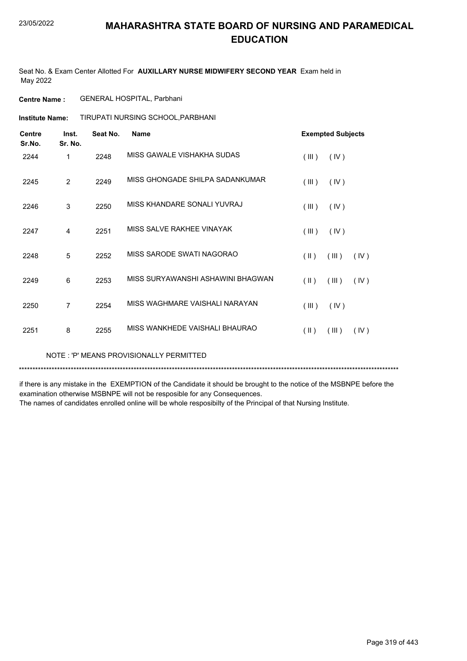Seat No. & Exam Center Allotted For **AUXILLARY NURSE MIDWIFERY SECOND YEAR** Exam held in May 2022

**Centre Name :** GENERAL HOSPITAL, Parbhani

TIRUPATI NURSING SCHOOL,PARBHANI **Institute Name:**

| <b>Centre</b><br>Sr.No. | Inst.<br>Sr. No. | Seat No. | <b>Name</b>                       | <b>Exempted Subjects</b>                 |
|-------------------------|------------------|----------|-----------------------------------|------------------------------------------|
| 2244                    | 1                | 2248     | MISS GAWALE VISHAKHA SUDAS        | (III)<br>(IV)                            |
| 2245                    | 2                | 2249     | MISS GHONGADE SHILPA SADANKUMAR   | (III)<br>(IV)                            |
| 2246                    | 3                | 2250     | MISS KHANDARE SONALI YUVRAJ       | (III)<br>(IV)                            |
| 2247                    | 4                | 2251     | MISS SALVE RAKHEE VINAYAK         | (III)<br>(IV)                            |
| 2248                    | 5                | 2252     | MISS SARODE SWATI NAGORAO         | $(\parallel \parallel)$<br>(III)<br>(IV) |
| 2249                    | 6                | 2253     | MISS SURYAWANSHI ASHAWINI BHAGWAN | $($ II $)$<br>(III)<br>(IV)              |
| 2250                    | $\overline{7}$   | 2254     | MISS WAGHMARE VAISHALI NARAYAN    | (III)<br>(IV)                            |
| 2251                    | 8                | 2255     | MISS WANKHEDE VAISHALI BHAURAO    | $($ II $)$<br>(III)<br>(IV)              |

NOTE : 'P' MEANS PROVISIONALLY PERMITTED

\*\*\*\*\*\*\*\*\*\*\*\*\*\*\*\*\*\*\*\*\*\*\*\*\*\*\*\*\*\*\*\*\*\*\*\*\*\*\*\*\*\*\*\*\*\*\*\*\*\*\*\*\*\*\*\*\*\*\*\*\*\*\*\*\*\*\*\*\*\*\*\*\*\*\*\*\*\*\*\*\*\*\*\*\*\*\*\*\*\*\*\*\*\*\*\*\*\*\*\*\*\*\*\*\*\*\*\*\*\*\*\*\*\*\*\*\*\*\*\*\*\*\*\*\*\*\*\*\*\*\*\*\*\*\*\*\*\*\*

if there is any mistake in the EXEMPTION of the Candidate it should be brought to the notice of the MSBNPE before the examination otherwise MSBNPE will not be resposible for any Consequences.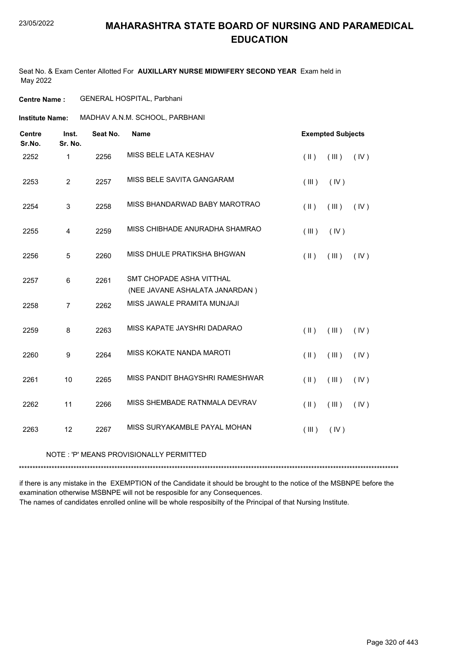Seat No. & Exam Center Allotted For **AUXILLARY NURSE MIDWIFERY SECOND YEAR** Exam held in May 2022

#### **Centre Name :** GENERAL HOSPITAL, Parbhani

**Institute Name:** MADHAV A.N.M. SCHOOL, PARBHANI

| <b>Centre</b><br>Sr.No. | Inst.<br>Sr. No. | Seat No. | <b>Name</b>                                                |               | <b>Exempted Subjects</b> |      |
|-------------------------|------------------|----------|------------------------------------------------------------|---------------|--------------------------|------|
| 2252                    | $\mathbf{1}$     | 2256     | MISS BELE LATA KESHAV                                      | $($ II $)$    | (III)                    | (IV) |
| 2253                    | $\overline{c}$   | 2257     | MISS BELE SAVITA GANGARAM                                  | (III)         | (IV)                     |      |
| 2254                    | 3                | 2258     | MISS BHANDARWAD BABY MAROTRAO                              | $(\parallel)$ | (III)                    | (IV) |
| 2255                    | 4                | 2259     | MISS CHIBHADE ANURADHA SHAMRAO                             | (III)         | (IV)                     |      |
| 2256                    | 5                | 2260     | MISS DHULE PRATIKSHA BHGWAN                                | $(\parallel)$ | (III)                    | (IV) |
| 2257                    | 6                | 2261     | SMT CHOPADE ASHA VITTHAL<br>(NEE JAVANE ASHALATA JANARDAN) |               |                          |      |
| 2258                    | $\overline{7}$   | 2262     | MISS JAWALE PRAMITA MUNJAJI                                |               |                          |      |
| 2259                    | 8                | 2263     | MISS KAPATE JAYSHRI DADARAO                                | $($ II $)$    | (III)                    | (IV) |
| 2260                    | $\boldsymbol{9}$ | 2264     | MISS KOKATE NANDA MAROTI                                   | $($ II $)$    | (III)                    | (IV) |
| 2261                    | 10               | 2265     | MISS PANDIT BHAGYSHRI RAMESHWAR                            | $($ II $)$    | (III)                    | (IV) |
| 2262                    | 11               | 2266     | MISS SHEMBADE RATNMALA DEVRAV                              | $($ II $)$    | (III)                    | (IV) |
| 2263                    | 12               | 2267     | MISS SURYAKAMBLE PAYAL MOHAN                               | (III)         | (IV)                     |      |

#### NOTE : 'P' MEANS PROVISIONALLY PERMITTED

\*\*\*\*\*\*\*\*\*\*\*\*\*\*\*\*\*\*\*\*\*\*\*\*\*\*\*\*\*\*\*\*\*\*\*\*\*\*\*\*\*\*\*\*\*\*\*\*\*\*\*\*\*\*\*\*\*\*\*\*\*\*\*\*\*\*\*\*\*\*\*\*\*\*\*\*\*\*\*\*\*\*\*\*\*\*\*\*\*\*\*\*\*\*\*\*\*\*\*\*\*\*\*\*\*\*\*\*\*\*\*\*\*\*\*\*\*\*\*\*\*\*\*\*\*\*\*\*\*\*\*\*\*\*\*\*\*\*\*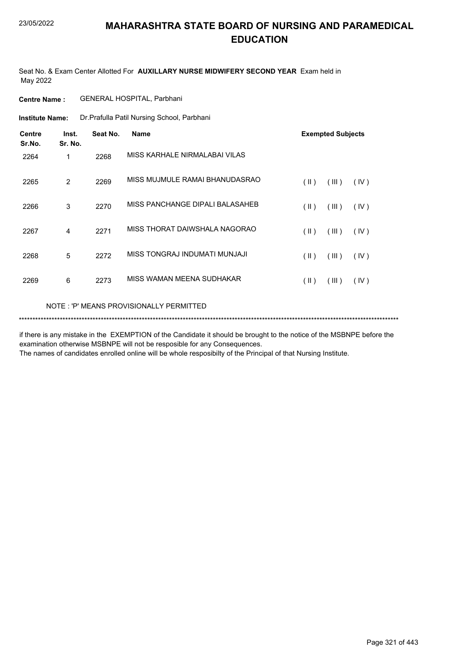Seat No. & Exam Center Allotted For **AUXILLARY NURSE MIDWIFERY SECOND YEAR** Exam held in May 2022

| <b>Centre Name :</b> | <b>GENERAL HOSPITAL, Parbhani</b> |
|----------------------|-----------------------------------|
|                      |                                   |

Dr.Prafulla Patil Nursing School, Parbhani **Institute Name:**

| <b>Centre</b><br>Sr.No. | Inst.<br>Sr. No. | Seat No. | <b>Name</b>                     |                         | <b>Exempted Subjects</b> |      |
|-------------------------|------------------|----------|---------------------------------|-------------------------|--------------------------|------|
| 2264                    | 1                | 2268     | MISS KARHALE NIRMALABAI VILAS   |                         |                          |      |
| 2265                    | 2                | 2269     | MISS MUJMULE RAMAI BHANUDASRAO  | $(\parallel)$           | (III)                    | (IV) |
| 2266                    | 3                | 2270     | MISS PANCHANGE DIPALI BALASAHEB | $(\parallel \parallel)$ | (III)                    | (IV) |
| 2267                    | 4                | 2271     | MISS THORAT DAIWSHALA NAGORAO   | $(\parallel)$           | (III)                    | (IV) |
| 2268                    | 5                | 2272     | MISS TONGRAJ INDUMATI MUNJAJI   | $($ II $)$              | (III)                    | (IV) |
| 2269                    | 6                | 2273     | MISS WAMAN MEENA SUDHAKAR       | $(\parallel)$           | (III)                    | (IV) |
|                         |                  |          |                                 |                         |                          |      |

NOTE : 'P' MEANS PROVISIONALLY PERMITTED

\*\*\*\*\*\*\*\*\*\*\*\*\*\*\*\*\*\*\*\*\*\*\*\*\*\*\*\*\*\*\*\*\*\*\*\*\*\*\*\*\*\*\*\*\*\*\*\*\*\*\*\*\*\*\*\*\*\*\*\*\*\*\*\*\*\*\*\*\*\*\*\*\*\*\*\*\*\*\*\*\*\*\*\*\*\*\*\*\*\*\*\*\*\*\*\*\*\*\*\*\*\*\*\*\*\*\*\*\*\*\*\*\*\*\*\*\*\*\*\*\*\*\*\*\*\*\*\*\*\*\*\*\*\*\*\*\*\*\*

if there is any mistake in the EXEMPTION of the Candidate it should be brought to the notice of the MSBNPE before the examination otherwise MSBNPE will not be resposible for any Consequences.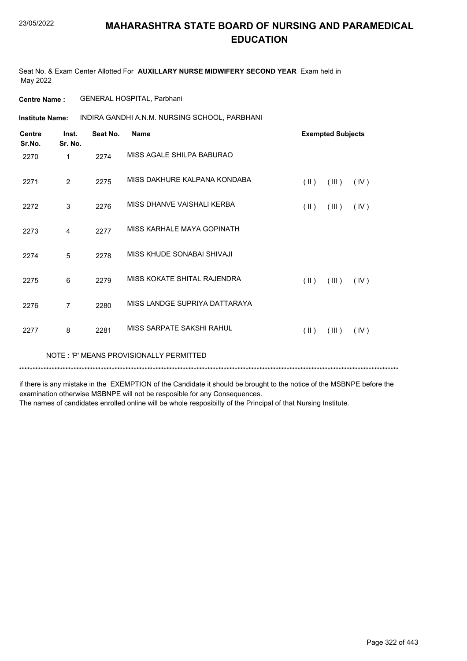Seat No. & Exam Center Allotted For **AUXILLARY NURSE MIDWIFERY SECOND YEAR** Exam held in May 2022

**Centre Name :** GENERAL HOSPITAL, Parbhani

INDIRA GANDHI A.N.M. NURSING SCHOOL, PARBHANI **Institute Name:**

| <b>Centre</b><br>Sr.No. | Inst.<br>Sr. No. | Seat No. | <b>Name</b>                   |               | <b>Exempted Subjects</b> |      |  |
|-------------------------|------------------|----------|-------------------------------|---------------|--------------------------|------|--|
| 2270                    | 1                | 2274     | MISS AGALE SHILPA BABURAO     |               |                          |      |  |
| 2271                    | 2                | 2275     | MISS DAKHURE KALPANA KONDABA  | $(\parallel)$ | (III)                    | (IV) |  |
| 2272                    | 3                | 2276     | MISS DHANVE VAISHALI KERBA    | $(\parallel)$ | (III)                    | (IV) |  |
| 2273                    | 4                | 2277     | MISS KARHALE MAYA GOPINATH    |               |                          |      |  |
| 2274                    | 5                | 2278     | MISS KHUDE SONABAI SHIVAJI    |               |                          |      |  |
| 2275                    | 6                | 2279     | MISS KOKATE SHITAL RAJENDRA   | $(\parallel)$ | (III)                    | (IV) |  |
| 2276                    | 7                | 2280     | MISS LANDGE SUPRIYA DATTARAYA |               |                          |      |  |
| 2277                    | 8                | 2281     | MISS SARPATE SAKSHI RAHUL     | $(\parallel)$ | (III)                    | (IV) |  |
|                         |                  |          |                               |               |                          |      |  |

NOTE : 'P' MEANS PROVISIONALLY PERMITTED

\*\*\*\*\*\*\*\*\*\*\*\*\*\*\*\*\*\*\*\*\*\*\*\*\*\*\*\*\*\*\*\*\*\*\*\*\*\*\*\*\*\*\*\*\*\*\*\*\*\*\*\*\*\*\*\*\*\*\*\*\*\*\*\*\*\*\*\*\*\*\*\*\*\*\*\*\*\*\*\*\*\*\*\*\*\*\*\*\*\*\*\*\*\*\*\*\*\*\*\*\*\*\*\*\*\*\*\*\*\*\*\*\*\*\*\*\*\*\*\*\*\*\*\*\*\*\*\*\*\*\*\*\*\*\*\*\*\*\*

if there is any mistake in the EXEMPTION of the Candidate it should be brought to the notice of the MSBNPE before the examination otherwise MSBNPE will not be resposible for any Consequences.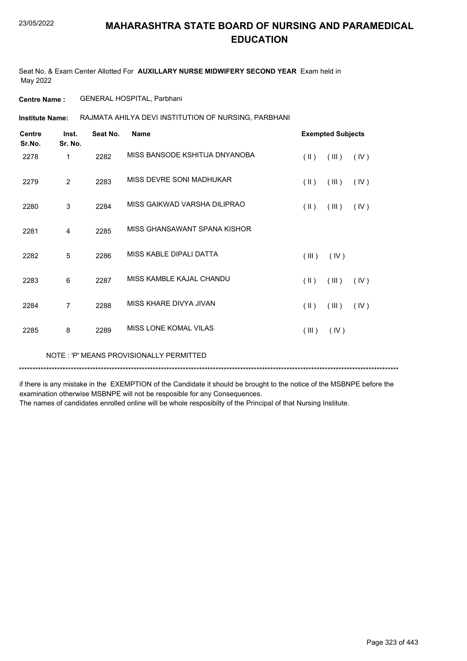Seat No. & Exam Center Allotted For **AUXILLARY NURSE MIDWIFERY SECOND YEAR** Exam held in May 2022

**Centre Name :** GENERAL HOSPITAL, Parbhani

RAJMATA AHILYA DEVI INSTITUTION OF NURSING, PARBHANI **Institute Name:**

| <b>Centre</b><br>Sr.No. | Inst.<br>Sr. No. | Seat No. | <b>Name</b>                    |                         | <b>Exempted Subjects</b> |      |
|-------------------------|------------------|----------|--------------------------------|-------------------------|--------------------------|------|
| 2278                    | 1                | 2282     | MISS BANSODE KSHITIJA DNYANOBA | $(\parallel \parallel)$ | (III)                    | (IV) |
| 2279                    | $\overline{2}$   | 2283     | MISS DEVRE SONI MADHUKAR       | $(\parallel)$           | (III)                    | (IV) |
| 2280                    | 3                | 2284     | MISS GAIKWAD VARSHA DILIPRAO   | $(\parallel)$           | (III)                    | (IV) |
| 2281                    | 4                | 2285     | MISS GHANSAWANT SPANA KISHOR   |                         |                          |      |
| 2282                    | 5                | 2286     | MISS KABLE DIPALI DATTA        | (III)                   | (IV)                     |      |
| 2283                    | 6                | 2287     | MISS KAMBLE KAJAL CHANDU       | $(\parallel)$           | (III)                    | (IV) |
| 2284                    | 7                | 2288     | MISS KHARE DIVYA JIVAN         | $(\parallel \parallel)$ | (III)                    | (IV) |
| 2285                    | 8                | 2289     | MISS LONE KOMAL VILAS          | (III)                   | (IV)                     |      |

NOTE : 'P' MEANS PROVISIONALLY PERMITTED

\*\*\*\*\*\*\*\*\*\*\*\*\*\*\*\*\*\*\*\*\*\*\*\*\*\*\*\*\*\*\*\*\*\*\*\*\*\*\*\*\*\*\*\*\*\*\*\*\*\*\*\*\*\*\*\*\*\*\*\*\*\*\*\*\*\*\*\*\*\*\*\*\*\*\*\*\*\*\*\*\*\*\*\*\*\*\*\*\*\*\*\*\*\*\*\*\*\*\*\*\*\*\*\*\*\*\*\*\*\*\*\*\*\*\*\*\*\*\*\*\*\*\*\*\*\*\*\*\*\*\*\*\*\*\*\*\*\*\*

if there is any mistake in the EXEMPTION of the Candidate it should be brought to the notice of the MSBNPE before the examination otherwise MSBNPE will not be resposible for any Consequences.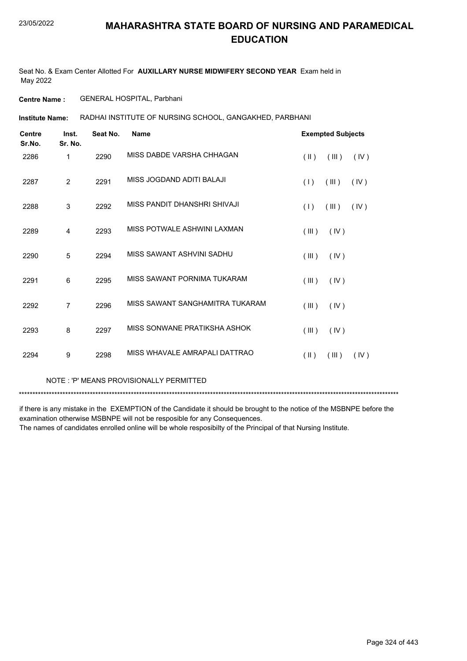Seat No. & Exam Center Allotted For **AUXILLARY NURSE MIDWIFERY SECOND YEAR** Exam held in May 2022

**Centre Name :** GENERAL HOSPITAL, Parbhani

RADHAI INSTITUTE OF NURSING SCHOOL, GANGAKHED, PARBHANI **Institute Name:**

| <b>Centre</b><br>Sr.No. | Inst.<br>Sr. No. | Seat No. | <b>Name</b>                     | <b>Exempted Subjects</b> |       |      |
|-------------------------|------------------|----------|---------------------------------|--------------------------|-------|------|
| 2286                    | 1                | 2290     | MISS DABDE VARSHA CHHAGAN       | $(\parallel)$            | (III) | (IV) |
| 2287                    | $\overline{2}$   | 2291     | MISS JOGDAND ADITI BALAJI       | (1)                      | (III) | (IV) |
| 2288                    | 3                | 2292     | MISS PANDIT DHANSHRI SHIVAJI    | (1)                      | (III) | (IV) |
| 2289                    | $\overline{4}$   | 2293     | MISS POTWALE ASHWINI LAXMAN     | (III)                    | (IV)  |      |
| 2290                    | 5                | 2294     | MISS SAWANT ASHVINI SADHU       | (III)                    | (IV)  |      |
| 2291                    | 6                | 2295     | MISS SAWANT PORNIMA TUKARAM     | (III)                    | (IV)  |      |
| 2292                    | $\overline{7}$   | 2296     | MISS SAWANT SANGHAMITRA TUKARAM | (III)                    | (IV)  |      |
| 2293                    | 8                | 2297     | MISS SONWANE PRATIKSHA ASHOK    | (III)                    | (IV)  |      |
| 2294                    | 9                | 2298     | MISS WHAVALE AMRAPALI DATTRAO   | $($ II $)$               | (III) | (IV) |

NOTE : 'P' MEANS PROVISIONALLY PERMITTED

\*\*\*\*\*\*\*\*\*\*\*\*\*\*\*\*\*\*\*\*\*\*\*\*\*\*\*\*\*\*\*\*\*\*\*\*\*\*\*\*\*\*\*\*\*\*\*\*\*\*\*\*\*\*\*\*\*\*\*\*\*\*\*\*\*\*\*\*\*\*\*\*\*\*\*\*\*\*\*\*\*\*\*\*\*\*\*\*\*\*\*\*\*\*\*\*\*\*\*\*\*\*\*\*\*\*\*\*\*\*\*\*\*\*\*\*\*\*\*\*\*\*\*\*\*\*\*\*\*\*\*\*\*\*\*\*\*\*\*

if there is any mistake in the EXEMPTION of the Candidate it should be brought to the notice of the MSBNPE before the examination otherwise MSBNPE will not be resposible for any Consequences.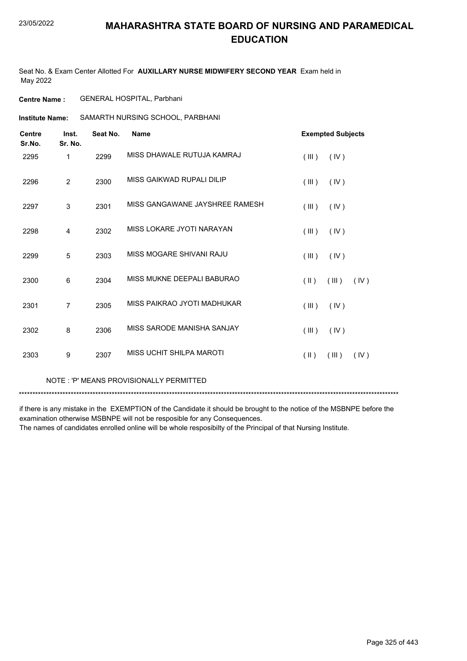Seat No. & Exam Center Allotted For **AUXILLARY NURSE MIDWIFERY SECOND YEAR** Exam held in May 2022

**Centre Name :** GENERAL HOSPITAL, Parbhani

**Institute Name:** SAMARTH NURSING SCHOOL, PARBHANI

| <b>Centre</b><br>Sr.No. | Inst.<br>Sr. No. | Seat No. | <b>Name</b>                    |                         | <b>Exempted Subjects</b> |      |
|-------------------------|------------------|----------|--------------------------------|-------------------------|--------------------------|------|
| 2295                    | 1                | 2299     | MISS DHAWALE RUTUJA KAMRAJ     | (III)                   | (IV)                     |      |
| 2296                    | 2                | 2300     | MISS GAIKWAD RUPALI DILIP      | (III)                   | (IV)                     |      |
| 2297                    | $\mathsf 3$      | 2301     | MISS GANGAWANE JAYSHREE RAMESH | (III)                   | (IV)                     |      |
| 2298                    | 4                | 2302     | MISS LOKARE JYOTI NARAYAN      | (III)                   | (IV)                     |      |
| 2299                    | 5                | 2303     | MISS MOGARE SHIVANI RAJU       | (III)                   | (IV)                     |      |
| 2300                    | 6                | 2304     | MISS MUKNE DEEPALI BABURAO     | $(\parallel \parallel)$ | (III)                    | (IV) |
| 2301                    | 7                | 2305     | MISS PAIKRAO JYOTI MADHUKAR    | (III)                   | (IV)                     |      |
| 2302                    | 8                | 2306     | MISS SARODE MANISHA SANJAY     | (III)                   | (IV)                     |      |
| 2303                    | 9                | 2307     | MISS UCHIT SHILPA MAROTI       | $(\parallel)$           | (III)                    | (IV) |

NOTE : 'P' MEANS PROVISIONALLY PERMITTED

\*\*\*\*\*\*\*\*\*\*\*\*\*\*\*\*\*\*\*\*\*\*\*\*\*\*\*\*\*\*\*\*\*\*\*\*\*\*\*\*\*\*\*\*\*\*\*\*\*\*\*\*\*\*\*\*\*\*\*\*\*\*\*\*\*\*\*\*\*\*\*\*\*\*\*\*\*\*\*\*\*\*\*\*\*\*\*\*\*\*\*\*\*\*\*\*\*\*\*\*\*\*\*\*\*\*\*\*\*\*\*\*\*\*\*\*\*\*\*\*\*\*\*\*\*\*\*\*\*\*\*\*\*\*\*\*\*\*\*

if there is any mistake in the EXEMPTION of the Candidate it should be brought to the notice of the MSBNPE before the examination otherwise MSBNPE will not be resposible for any Consequences.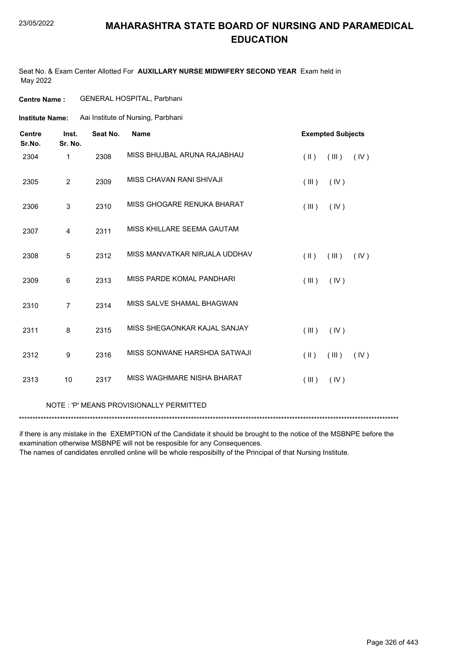Seat No. & Exam Center Allotted For **AUXILLARY NURSE MIDWIFERY SECOND YEAR** Exam held in May 2022

#### **Centre Name :** GENERAL HOSPITAL, Parbhani

**Institute Name:** Aai Institute of Nursing, Parbhani

| <b>Centre</b><br>Sr.No. | Inst.<br>Sr. No. | Seat No. | <b>Name</b>                   |               | <b>Exempted Subjects</b> |      |
|-------------------------|------------------|----------|-------------------------------|---------------|--------------------------|------|
| 2304                    | 1                | 2308     | MISS BHUJBAL ARUNA RAJABHAU   | $(\parallel)$ | (III)                    | (IV) |
| 2305                    | $\overline{2}$   | 2309     | MISS CHAVAN RANI SHIVAJI      | (III)         | (IV)                     |      |
| 2306                    | 3                | 2310     | MISS GHOGARE RENUKA BHARAT    | (III)         | (IV)                     |      |
| 2307                    | $\overline{4}$   | 2311     | MISS KHILLARE SEEMA GAUTAM    |               |                          |      |
| 2308                    | 5                | 2312     | MISS MANVATKAR NIRJALA UDDHAV | $(\parallel)$ | (III)                    | (IV) |
| 2309                    | 6                | 2313     | MISS PARDE KOMAL PANDHARI     | (III)         | (IV)                     |      |
| 2310                    | $\overline{7}$   | 2314     | MISS SALVE SHAMAL BHAGWAN     |               |                          |      |
| 2311                    | 8                | 2315     | MISS SHEGAONKAR KAJAL SANJAY  | (III)         | (IV)                     |      |
| 2312                    | 9                | 2316     | MISS SONWANE HARSHDA SATWAJI  | $(\parallel)$ | (III)                    | (IV) |
| 2313                    | 10               | 2317     | MISS WAGHMARE NISHA BHARAT    | (III)         | (IV)                     |      |

#### NOTE : 'P' MEANS PROVISIONALLY PERMITTED

\*\*\*\*\*\*\*\*\*\*\*\*\*\*\*\*\*\*\*\*\*\*\*\*\*\*\*\*\*\*\*\*\*\*\*\*\*\*\*\*\*\*\*\*\*\*\*\*\*\*\*\*\*\*\*\*\*\*\*\*\*\*\*\*\*\*\*\*\*\*\*\*\*\*\*\*\*\*\*\*\*\*\*\*\*\*\*\*\*\*\*\*\*\*\*\*\*\*\*\*\*\*\*\*\*\*\*\*\*\*\*\*\*\*\*\*\*\*\*\*\*\*\*\*\*\*\*\*\*\*\*\*\*\*\*\*\*\*\*

if there is any mistake in the EXEMPTION of the Candidate it should be brought to the notice of the MSBNPE before the examination otherwise MSBNPE will not be resposible for any Consequences.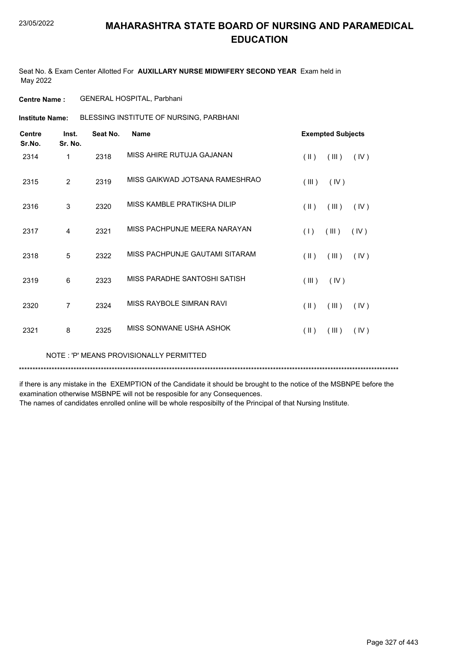Seat No. & Exam Center Allotted For **AUXILLARY NURSE MIDWIFERY SECOND YEAR** Exam held in May 2022

**Centre Name :** GENERAL HOSPITAL, Parbhani

BLESSING INSTITUTE OF NURSING, PARBHANI **Institute Name:**

| <b>Centre</b><br>Sr.No. | Inst.<br>Sr. No. | Seat No. | <b>Name</b>                    | <b>Exempted Subjects</b>                 |
|-------------------------|------------------|----------|--------------------------------|------------------------------------------|
| 2314                    | 1                | 2318     | MISS AHIRE RUTUJA GAJANAN      | $(\parallel \parallel)$<br>(III)<br>(IV) |
| 2315                    | $\overline{2}$   | 2319     | MISS GAIKWAD JOTSANA RAMESHRAO | (III)<br>(IV)                            |
| 2316                    | 3                | 2320     | MISS KAMBLE PRATIKSHA DILIP    | $(\parallel \parallel)$<br>(III)<br>(IV) |
| 2317                    | $\overline{4}$   | 2321     | MISS PACHPUNJE MEERA NARAYAN   | (III)<br>(1)<br>(IV)                     |
| 2318                    | 5                | 2322     | MISS PACHPUNJE GAUTAMI SITARAM | $(\parallel)$<br>(III)<br>(IV)           |
| 2319                    | 6                | 2323     | MISS PARADHE SANTOSHI SATISH   | (III)<br>(IV)                            |
| 2320                    | 7                | 2324     | MISS RAYBOLE SIMRAN RAVI       | (  )<br>(III)<br>(IV)                    |
| 2321                    | 8                | 2325     | MISS SONWANE USHA ASHOK        | (  )<br>(III)<br>(IV)                    |

NOTE : 'P' MEANS PROVISIONALLY PERMITTED

\*\*\*\*\*\*\*\*\*\*\*\*\*\*\*\*\*\*\*\*\*\*\*\*\*\*\*\*\*\*\*\*\*\*\*\*\*\*\*\*\*\*\*\*\*\*\*\*\*\*\*\*\*\*\*\*\*\*\*\*\*\*\*\*\*\*\*\*\*\*\*\*\*\*\*\*\*\*\*\*\*\*\*\*\*\*\*\*\*\*\*\*\*\*\*\*\*\*\*\*\*\*\*\*\*\*\*\*\*\*\*\*\*\*\*\*\*\*\*\*\*\*\*\*\*\*\*\*\*\*\*\*\*\*\*\*\*\*\*

if there is any mistake in the EXEMPTION of the Candidate it should be brought to the notice of the MSBNPE before the examination otherwise MSBNPE will not be resposible for any Consequences.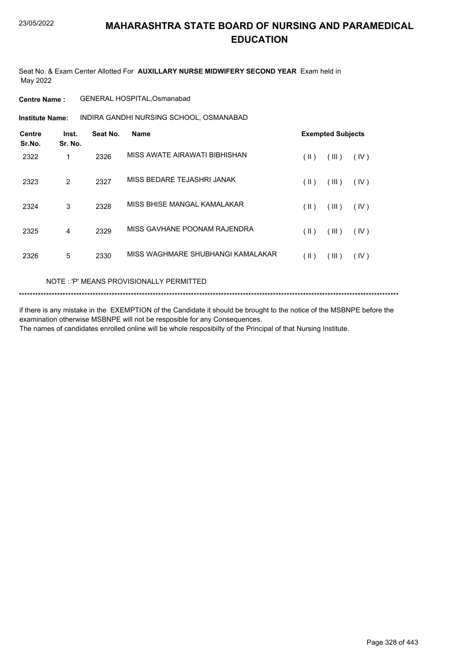Seat No. & Exam Center Allotted For **AUXILLARY NURSE MIDWIFERY SECOND YEAR** Exam held in May 2022

**Centre Name :** GENERAL HOSPITAL,Osmanabad

INDIRA GANDHI NURSING SCHOOL, OSMANABAD **Institute Name:**

| <b>Centre</b><br>Sr.No. | Inst.<br>Sr. No. | Seat No. | <b>Name</b>                       |               | <b>Exempted Subjects</b> |      |  |
|-------------------------|------------------|----------|-----------------------------------|---------------|--------------------------|------|--|
| 2322                    | 1                | 2326     | MISS AWATE AIRAWATI BIBHISHAN     | (  )          | (III)                    | (IV) |  |
| 2323                    | $\overline{2}$   | 2327     | MISS BEDARE TEJASHRI JANAK        | $(\parallel)$ | (III)                    | (IV) |  |
| 2324                    | 3                | 2328     | MISS BHISE MANGAL KAMALAKAR       | (  )          | (III)                    | (IV) |  |
| 2325                    | 4                | 2329     | MISS GAVHANE POONAM RAJENDRA      | (  )          | (III)                    | (IV) |  |
| 2326                    | 5                | 2330     | MISS WAGHMARE SHUBHANGI KAMALAKAR | (  )          | (III)                    | (IV) |  |

NOTE : 'P' MEANS PROVISIONALLY PERMITTED

\*\*\*\*\*\*\*\*\*\*\*\*\*\*\*\*\*\*\*\*\*\*\*\*\*\*\*\*\*\*\*\*\*\*\*\*\*\*\*\*\*\*\*\*\*\*\*\*\*\*\*\*\*\*\*\*\*\*\*\*\*\*\*\*\*\*\*\*\*\*\*\*\*\*\*\*\*\*\*\*\*\*\*\*\*\*\*\*\*\*\*\*\*\*\*\*\*\*\*\*\*\*\*\*\*\*\*\*\*\*\*\*\*\*\*\*\*\*\*\*\*\*\*\*\*\*\*\*\*\*\*\*\*\*\*\*\*\*\*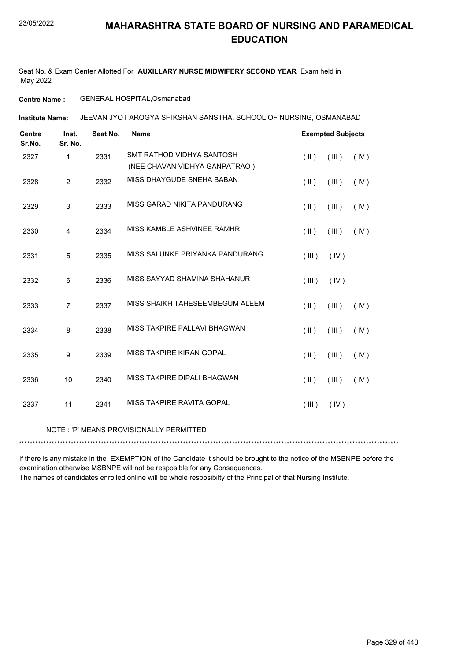Seat No. & Exam Center Allotted For **AUXILLARY NURSE MIDWIFERY SECOND YEAR** Exam held in May 2022

#### **Centre Name :** GENERAL HOSPITAL,Osmanabad

JEEVAN JYOT AROGYA SHIKSHAN SANSTHA, SCHOOL OF NURSING, OSMANABAD **Institute Name:**

| <b>Centre</b><br>Sr.No. | Inst.<br>Sr. No. | Seat No. | <b>Name</b>                     |               | <b>Exempted Subjects</b> |      |
|-------------------------|------------------|----------|---------------------------------|---------------|--------------------------|------|
| 2327                    | $\mathbf{1}$     | 2331     | SMT RATHOD VIDHYA SANTOSH       | $($ II $)$    | (III)                    | (IV) |
|                         |                  |          | (NEE CHAVAN VIDHYA GANPATRAO)   |               |                          |      |
| 2328                    | $\overline{2}$   | 2332     | MISS DHAYGUDE SNEHA BABAN       | $(\parallel)$ | (III)                    | (IV) |
| 2329                    | 3                | 2333     | MISS GARAD NIKITA PANDURANG     | $(\parallel)$ | (III)                    | (IV) |
| 2330                    | $\overline{4}$   | 2334     | MISS KAMBLE ASHVINEE RAMHRI     | $(\parallel)$ | (III)                    | (IV) |
| 2331                    | 5                | 2335     | MISS SALUNKE PRIYANKA PANDURANG | (III)         | (IV)                     |      |
| 2332                    | 6                | 2336     | MISS SAYYAD SHAMINA SHAHANUR    | (III)         | (IV)                     |      |
| 2333                    | $\overline{7}$   | 2337     | MISS SHAIKH TAHESEEMBEGUM ALEEM | $($ II $)$    | (III)                    | (IV) |
| 2334                    | 8                | 2338     | MISS TAKPIRE PALLAVI BHAGWAN    | $(\parallel)$ | (III)                    | (IV) |
| 2335                    | 9                | 2339     | MISS TAKPIRE KIRAN GOPAL        | $($ II $)$    | (III)                    | (IV) |
| 2336                    | 10               | 2340     | MISS TAKPIRE DIPALI BHAGWAN     | $($ II $)$    | (III)                    | (IV) |
| 2337                    | 11               | 2341     | MISS TAKPIRE RAVITA GOPAL       | (III)         | (IV)                     |      |
|                         |                  |          |                                 |               |                          |      |

#### NOTE : 'P' MEANS PROVISIONALLY PERMITTED

\*\*\*\*\*\*\*\*\*\*\*\*\*\*\*\*\*\*\*\*\*\*\*\*\*\*\*\*\*\*\*\*\*\*\*\*\*\*\*\*\*\*\*\*\*\*\*\*\*\*\*\*\*\*\*\*\*\*\*\*\*\*\*\*\*\*\*\*\*\*\*\*\*\*\*\*\*\*\*\*\*\*\*\*\*\*\*\*\*\*\*\*\*\*\*\*\*\*\*\*\*\*\*\*\*\*\*\*\*\*\*\*\*\*\*\*\*\*\*\*\*\*\*\*\*\*\*\*\*\*\*\*\*\*\*\*\*\*\*

if there is any mistake in the EXEMPTION of the Candidate it should be brought to the notice of the MSBNPE before the examination otherwise MSBNPE will not be resposible for any Consequences.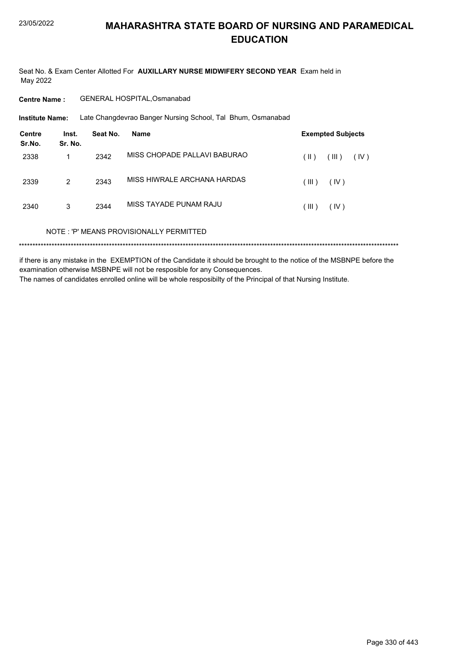Seat No. & Exam Center Allotted For **AUXILLARY NURSE MIDWIFERY SECOND YEAR** Exam held in May 2022

**Centre Name :** GENERAL HOSPITAL,Osmanabad

Late Changdevrao Banger Nursing School, Tal Bhum, Osmanabad **Institute Name:**

| <b>Centre</b><br>Sr.No. | Inst.<br>Sr. No. | Seat No. | <b>Name</b>                             | <b>Exempted Subjects</b> |
|-------------------------|------------------|----------|-----------------------------------------|--------------------------|
| 2338                    |                  | 2342     | MISS CHOPADE PALLAVI BABURAO            | (III)<br>(IV)<br>(  )    |
| 2339                    | 2                | 2343     | MISS HIWRALE ARCHANA HARDAS             | (IV)<br>(III)            |
| 2340                    | 3                | 2344     | MISS TAYADE PUNAM RAJU                  | (IV)<br>(III)            |
|                         |                  |          | NOTE: 'P' MEANS PROVISIONALLY PERMITTED |                          |

if there is any mistake in the EXEMPTION of the Candidate it should be brought to the notice of the MSBNPE before the examination otherwise MSBNPE will not be resposible for any Consequences. The names of candidates enrolled online will be whole resposibilty of the Principal of that Nursing Institute.

Page 330 of 443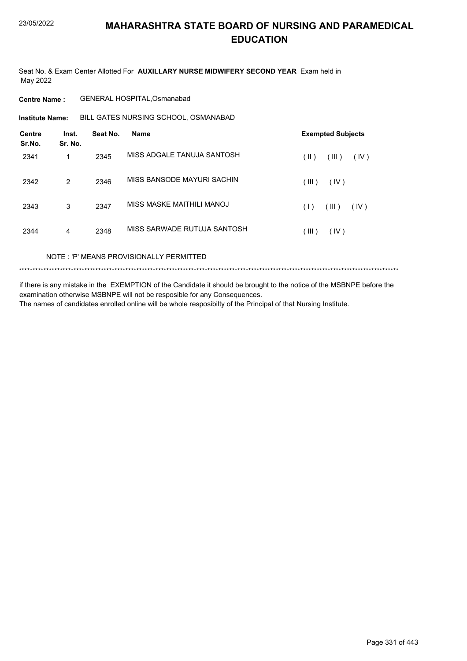Seat No. & Exam Center Allotted For **AUXILLARY NURSE MIDWIFERY SECOND YEAR** Exam held in May 2022

**Centre Name :** GENERAL HOSPITAL,Osmanabad

**Institute Name:** BILL GATES NURSING SCHOOL, OSMANABAD

| <b>Centre</b><br>Sr.No. | Inst.<br>Sr. No. | Seat No. | <b>Name</b>                 | <b>Exempted Subjects</b>       |
|-------------------------|------------------|----------|-----------------------------|--------------------------------|
| 2341                    | 1                | 2345     | MISS ADGALE TANUJA SANTOSH  | (III)<br>(IV)<br>$(\parallel)$ |
| 2342                    | 2                | 2346     | MISS BANSODE MAYURI SACHIN  | (III)<br>(IV)                  |
| 2343                    | 3                | 2347     | MISS MASKE MAITHILI MANOJ   | (III)<br>(IV)<br>(1)           |
| 2344                    | $\overline{4}$   | 2348     | MISS SARWADE RUTUJA SANTOSH | (III)<br>(IV)                  |

NOTE : 'P' MEANS PROVISIONALLY PERMITTED

\*\*\*\*\*\*\*\*\*\*\*\*\*\*\*\*\*\*\*\*\*\*\*\*\*\*\*\*\*\*\*\*\*\*\*\*\*\*\*\*\*\*\*\*\*\*\*\*\*\*\*\*\*\*\*\*\*\*\*\*\*\*\*\*\*\*\*\*\*\*\*\*\*\*\*\*\*\*\*\*\*\*\*\*\*\*\*\*\*\*\*\*\*\*\*\*\*\*\*\*\*\*\*\*\*\*\*\*\*\*\*\*\*\*\*\*\*\*\*\*\*\*\*\*\*\*\*\*\*\*\*\*\*\*\*\*\*\*\*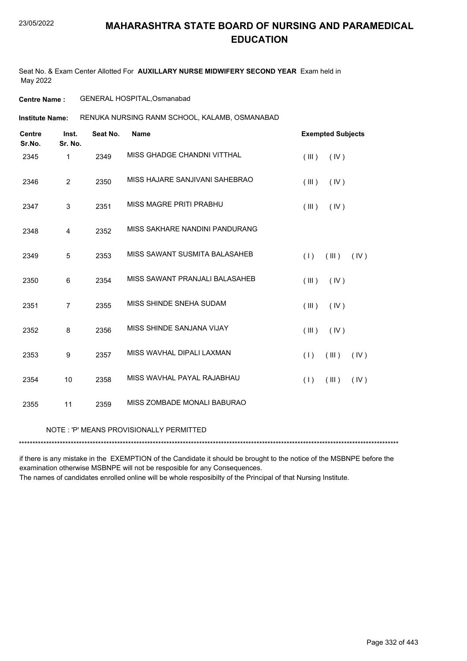Seat No. & Exam Center Allotted For **AUXILLARY NURSE MIDWIFERY SECOND YEAR** Exam held in May 2022

**Centre Name :** GENERAL HOSPITAL,Osmanabad

RENUKA NURSING RANM SCHOOL, KALAMB, OSMANABAD **Institute Name:**

| <b>Centre</b><br>Sr.No. | Inst.<br>Sr. No. | Seat No. | <b>Name</b>                                | <b>Exempted Subjects</b>   |
|-------------------------|------------------|----------|--------------------------------------------|----------------------------|
| 2345                    | 1                | 2349     | MISS GHADGE CHANDNI VITTHAL                | (III)<br>(IV)              |
| 2346                    | $\overline{2}$   | 2350     | MISS HAJARE SANJIVANI SAHEBRAO             | (III)<br>(IV)              |
| 2347                    | 3                | 2351     | MISS MAGRE PRITI PRABHU                    | (IV)<br>(III)              |
| 2348                    | 4                | 2352     | MISS SAKHARE NANDINI PANDURANG             |                            |
| 2349                    | 5                | 2353     | MISS SAWANT SUSMITA BALASAHEB              | (1)<br>$($ III $)$<br>(IV) |
| 2350                    | 6                | 2354     | MISS SAWANT PRANJALI BALASAHEB             | $($ III $)$<br>(IV)        |
| 2351                    | $\overline{7}$   | 2355     | MISS SHINDE SNEHA SUDAM                    | (III)<br>(IV)              |
| 2352                    | 8                | 2356     | MISS SHINDE SANJANA VIJAY                  | (III)<br>(IV)              |
| 2353                    | 9                | 2357     | MISS WAVHAL DIPALI LAXMAN                  | (III)<br>(1)<br>(IV)       |
| 2354                    | 10               | 2358     | MISS WAVHAL PAYAL RAJABHAU                 | (1)<br>(III)<br>(IV)       |
| 2355                    | 11               | 2359     | MISS ZOMBADE MONALI BABURAO                |                            |
|                         |                  |          | MOTE JIDI MEANIC DDOVICIONALLI V DEDMITTED |                            |

NOTE : 'P' MEANS PROVISIONALLY PERMITTED

\*\*\*\*\*\*\*\*\*\*\*\*\*\*\*\*\*\*\*\*\*\*\*\*\*\*\*\*\*\*\*\*\*\*\*\*\*\*\*\*\*\*\*\*\*\*\*\*\*\*\*\*\*\*\*\*\*\*\*\*\*\*\*\*\*\*\*\*\*\*\*\*\*\*\*\*\*\*\*\*\*\*\*\*\*\*\*\*\*\*\*\*\*\*\*\*\*\*\*\*\*\*\*\*\*\*\*\*\*\*\*\*\*\*\*\*\*\*\*\*\*\*\*\*\*\*\*\*\*\*\*\*\*\*\*\*\*\*\*

if there is any mistake in the EXEMPTION of the Candidate it should be brought to the notice of the MSBNPE before the examination otherwise MSBNPE will not be resposible for any Consequences.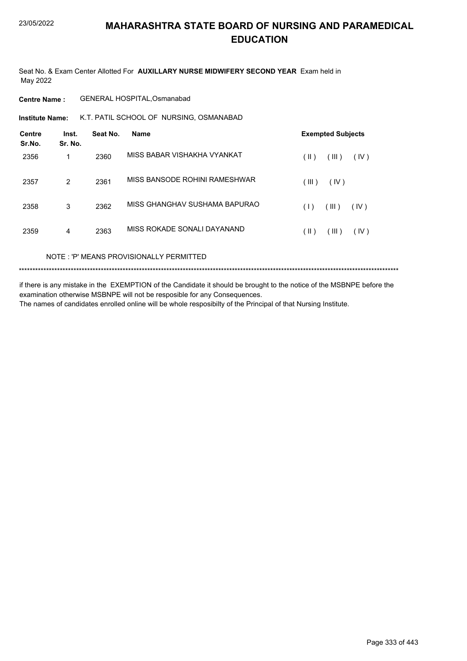Seat No. & Exam Center Allotted For **AUXILLARY NURSE MIDWIFERY SECOND YEAR** Exam held in May 2022

**Centre Name :** GENERAL HOSPITAL,Osmanabad

**Institute Name:** K.T. PATIL SCHOOL OF NURSING, OSMANABAD

| <b>Centre</b><br>Sr.No. | Inst.<br>Sr. No. | Seat No. | <b>Name</b>                   | <b>Exempted Subjects</b>    |
|-------------------------|------------------|----------|-------------------------------|-----------------------------|
| 2356                    | 1                | 2360     | MISS BABAR VISHAKHA VYANKAT   | (III)<br>(  )<br>(IV)       |
| 2357                    | $\overline{2}$   | 2361     | MISS BANSODE ROHINI RAMESHWAR | (III)<br>(IV)               |
| 2358                    | 3                | 2362     | MISS GHANGHAV SUSHAMA BAPURAO | (III)<br>(1)<br>(IV)        |
| 2359                    | 4                | 2363     | MISS ROKADE SONALI DAYANAND   | $($ II $)$<br>(III)<br>(IV) |

NOTE : 'P' MEANS PROVISIONALLY PERMITTED

\*\*\*\*\*\*\*\*\*\*\*\*\*\*\*\*\*\*\*\*\*\*\*\*\*\*\*\*\*\*\*\*\*\*\*\*\*\*\*\*\*\*\*\*\*\*\*\*\*\*\*\*\*\*\*\*\*\*\*\*\*\*\*\*\*\*\*\*\*\*\*\*\*\*\*\*\*\*\*\*\*\*\*\*\*\*\*\*\*\*\*\*\*\*\*\*\*\*\*\*\*\*\*\*\*\*\*\*\*\*\*\*\*\*\*\*\*\*\*\*\*\*\*\*\*\*\*\*\*\*\*\*\*\*\*\*\*\*\*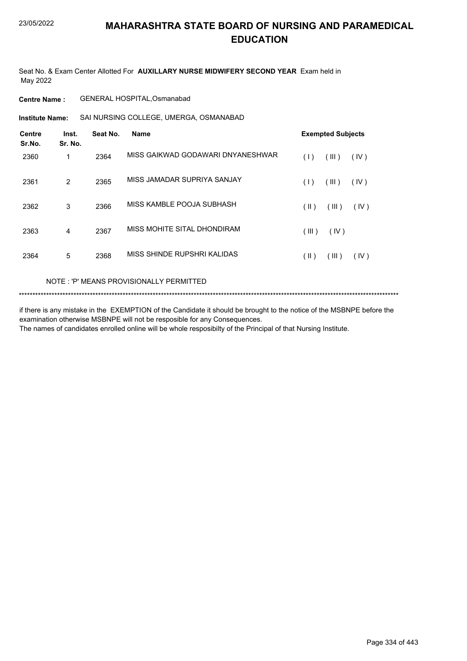Seat No. & Exam Center Allotted For **AUXILLARY NURSE MIDWIFERY SECOND YEAR** Exam held in May 2022

**Centre Name :** GENERAL HOSPITAL,Osmanabad

SAI NURSING COLLEGE, UMERGA, OSMANABAD **Institute Name:**

| <b>Centre</b><br>Sr.No. | Inst.<br>Sr. No. | Seat No. | <b>Name</b>                       |                 | <b>Exempted Subjects</b> |      |
|-------------------------|------------------|----------|-----------------------------------|-----------------|--------------------------|------|
| 2360                    | 1                | 2364     | MISS GAIKWAD GODAWARI DNYANESHWAR | (1)             | (III)                    | (IV) |
| 2361                    | $\overline{2}$   | 2365     | MISS JAMADAR SUPRIYA SANJAY       | (1)             | (III)                    | (IV) |
| 2362                    | 3                | 2366     | MISS KAMBLE POOJA SUBHASH         | (  )            | (III)                    | (IV) |
| 2363                    | 4                | 2367     | MISS MOHITE SITAL DHONDIRAM       | (III)           | (IV)                     |      |
| 2364                    | 5                | 2368     | MISS SHINDE RUPSHRI KALIDAS       | $( \parallel )$ | (III)                    | (IV) |

#### NOTE : 'P' MEANS PROVISIONALLY PERMITTED

```
*******************************************************************************************************************************************
```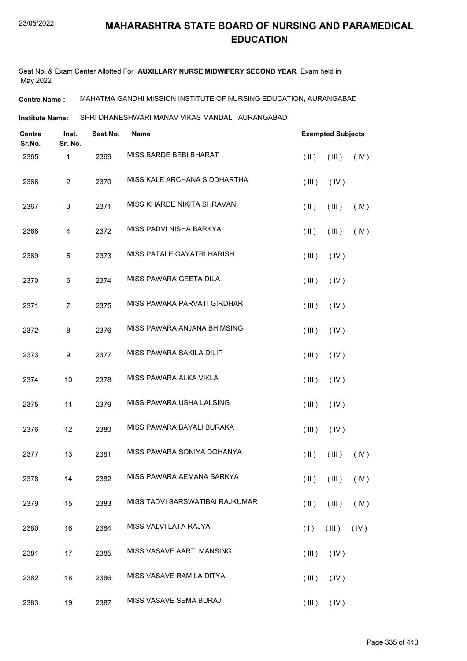Seat No. & Exam Center Allotted For **AUXILLARY NURSE MIDWIFERY SECOND YEAR** Exam held in May 2022

**Centre Name :** MAHATMA GANDHI MISSION INSTITUTE OF NURSING EDUCATION, AURANGABAD

**Institute Name:** SHRI DHANESHWARI MANAV VIKAS MANDAL, AURANGABAD

| <b>Centre</b><br>Sr.No. | Inst.<br>Sr. No. | Seat No. | <b>Name</b>                     |               | <b>Exempted Subjects</b>                  |      |
|-------------------------|------------------|----------|---------------------------------|---------------|-------------------------------------------|------|
| 2365                    | 1                | 2369     | MISS BARDE BEBI BHARAT          | $(\parallel)$ | (III)                                     | (IV) |
| 2366                    | $\overline{c}$   | 2370     | MISS KALE ARCHANA SIDDHARTHA    | (III)         | (IV)                                      |      |
| 2367                    | 3                | 2371     | MISS KHARDE NIKITA SHRAVAN      | $(\parallel)$ | (III)                                     | (IV) |
| 2368                    | 4                | 2372     | MISS PADVI NISHA BARKYA         | $(\parallel)$ | (III)                                     | (IV) |
| 2369                    | 5                | 2373     | MISS PATALE GAYATRI HARISH      | (III)         | (IV)                                      |      |
| 2370                    | 6                | 2374     | MISS PAWARA GEETA DILA          | (III)         | (IV)                                      |      |
| 2371                    | $\overline{7}$   | 2375     | MISS PAWARA PARVATI GIRDHAR     | (III)         | (IV)                                      |      |
| 2372                    | 8                | 2376     | MISS PAWARA ANJANA BHIMSING     | (III)         | (IV)                                      |      |
| 2373                    | 9                | 2377     | MISS PAWARA SAKILA DILIP        | (III)         | (IV)                                      |      |
| 2374                    | 10               | 2378     | MISS PAWARA ALKA VIKLA          | (III)         | (IV)                                      |      |
| 2375                    | 11               | 2379     | MISS PAWARA USHA LALSING        | (III)         | (IV)                                      |      |
| 2376                    | 12               | 2380     | MISS PAWARA BAYALI BURAKA       | (III)         | (IV)                                      |      |
| 2377                    | 13               | 2381     | MISS PAWARA SONIYA DOHANYA      | $(\parallel)$ | (III)                                     | (IV) |
| 2378                    | 14               | 2382     | MISS PAWARA AEMANA BARKYA       |               | $(\parallel)$ $(\parallel)$ $(\parallel)$ |      |
| 2379                    | 15               | 2383     | MISS TADVI SARSWATIBAI RAJKUMAR | $(\parallel)$ | (III)                                     | (IV) |
| 2380                    | 16               | 2384     | MISS VALVI LATA RAJYA           | (1)           | (III)                                     | (IV) |
| 2381                    | 17               | 2385     | MISS VASAVE AARTI MANSING       | (III)         | (IV)                                      |      |
| 2382                    | 18               | 2386     | MISS VASAVE RAMILA DITYA        | (III)         | (IV)                                      |      |
| 2383                    | 19               | 2387     | MISS VASAVE SEMA BURAJI         |               | $(III)$ $(IV)$                            |      |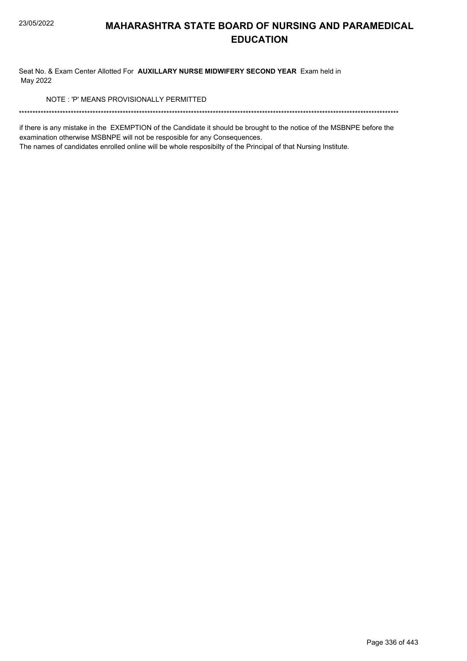Seat No. & Exam Center Allotted For **AUXILLARY NURSE MIDWIFERY SECOND YEAR** Exam held in May 2022

NOTE : 'P' MEANS PROVISIONALLY PERMITTED

\*\*\*\*\*\*\*\*\*\*\*\*\*\*\*\*\*\*\*\*\*\*\*\*\*\*\*\*\*\*\*\*\*\*\*\*\*\*\*\*\*\*\*\*\*\*\*\*\*\*\*\*\*\*\*\*\*\*\*\*\*\*\*\*\*\*\*\*\*\*\*\*\*\*\*\*\*\*\*\*\*\*\*\*\*\*\*\*\*\*\*\*\*\*\*\*\*\*\*\*\*\*\*\*\*\*\*\*\*\*\*\*\*\*\*\*\*\*\*\*\*\*\*\*\*\*\*\*\*\*\*\*\*\*\*\*\*\*\*

if there is any mistake in the EXEMPTION of the Candidate it should be brought to the notice of the MSBNPE before the examination otherwise MSBNPE will not be resposible for any Consequences.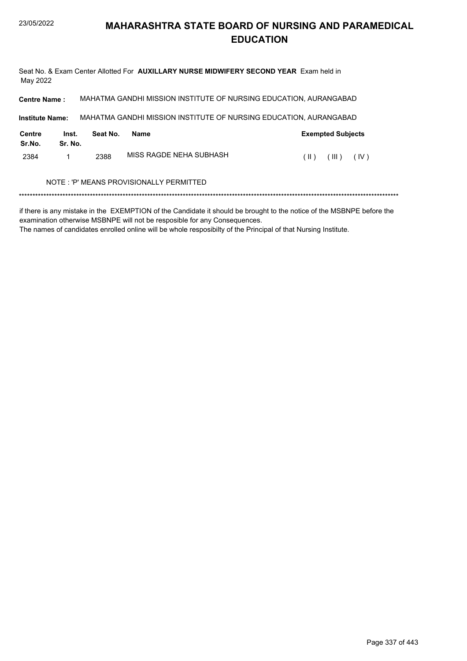Seat No. & Exam Center Allotted For **AUXILLARY NURSE MIDWIFERY SECOND YEAR** Exam held in May 2022

| <b>Centre Name:</b>                     |                  |          | MAHATMA GANDHI MISSION INSTITUTE OF NURSING EDUCATION, AURANGABAD |                                |  |
|-----------------------------------------|------------------|----------|-------------------------------------------------------------------|--------------------------------|--|
| <b>Institute Name:</b>                  |                  |          | MAHATMA GANDHI MISSION INSTITUTE OF NURSING EDUCATION, AURANGABAD |                                |  |
| Centre<br>Sr.No.                        | Inst.<br>Sr. No. | Seat No. | <b>Name</b>                                                       | <b>Exempted Subjects</b>       |  |
| 2384                                    | 1                | 2388     | MISS RAGDE NEHA SUBHASH                                           | (III)<br>(IV)<br>$(\parallel)$ |  |
| NOTE: 'P' MEANS PROVISIONALLY PERMITTED |                  |          |                                                                   |                                |  |

\*\*\*\*\*\*\*\*\*\*\*\*\*\*\*\*\*\*\*\*\*\*\*\*\*\*\*\*\*\*\*\*\*\*\*\*\*\*\*\*\*\*\*\*\*\*\*\*\*\*\*\*\*\*\*\*\*\*\*\*\*\*\*\*\*\*\*\*\*\*\*\*\*\*\*\*\*\*\*\*\*\*\*\*\*\*\*\*\*\*\*\*\*\*\*\*\*\*\*\*\*\*\*\*\*\*\*\*\*\*\*\*\*\*\*\*\*\*\*\*\*\*\*\*\*\*\*\*\*\*\*\*\*\*\*\*\*\*\*

if there is any mistake in the EXEMPTION of the Candidate it should be brought to the notice of the MSBNPE before the examination otherwise MSBNPE will not be resposible for any Consequences.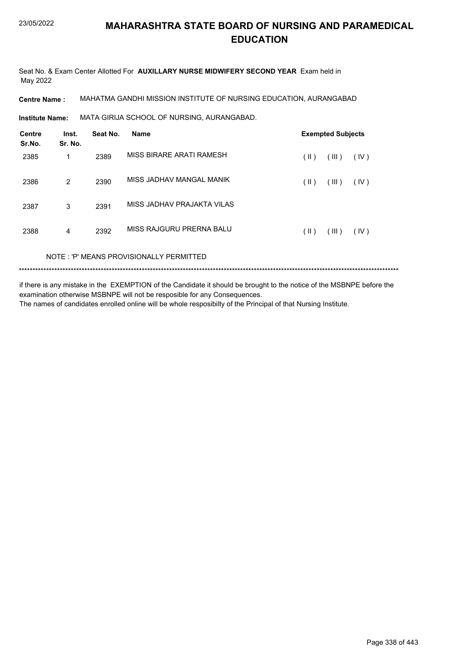Seat No. & Exam Center Allotted For **AUXILLARY NURSE MIDWIFERY SECOND YEAR** Exam held in May 2022

**Centre Name :** MAHATMA GANDHI MISSION INSTITUTE OF NURSING EDUCATION, AURANGABAD

**Institute Name: MATA GIRIJA SCHOOL OF NURSING, AURANGABAD.** 

| <b>Centre</b><br>Sr.No. | Inst.<br>Sr. No. | Seat No. | <b>Name</b>                             | <b>Exempted Subjects</b> |       |      |
|-------------------------|------------------|----------|-----------------------------------------|--------------------------|-------|------|
| 2385                    | 1                | 2389     | MISS BIRARE ARATI RAMESH                | (  )                     | (III) | (IV) |
| 2386                    | 2                | 2390     | MISS JADHAV MANGAL MANIK                | (  )                     | (III) | (IV) |
| 2387                    | 3                | 2391     | MISS JADHAV PRAJAKTA VILAS              |                          |       |      |
| 2388                    | 4                | 2392     | MISS RAJGURU PRERNA BALU                | (  )                     | (III) | (IV) |
|                         |                  |          | NOTE: 'P' MEANS PROVISIONALLY PERMITTED |                          |       |      |

\*\*\*\*\*\*\*\*\*\*\*\*\*\*\*\*\*\*\*\*\*\*\*\*\*\*\*\*\*\*\*\*\*\*\*\*\*\*\*\*\*\*\*\*\*\*\*\*\*\*\*\*\*\*\*\*\*\*\*\*\*\*\*\*\*\*\*\*\*\*\*\*\*\*\*\*\*\*\*\*\*\*\*\*\*\*\*\*\*\*\*\*\*\*\*\*\*\*\*\*\*\*\*\*\*\*\*\*\*\*\*\*\*\*\*\*\*\*\*\*\*\*\*\*\*\*\*\*\*\*\*\*\*\*\*\*\*\*\*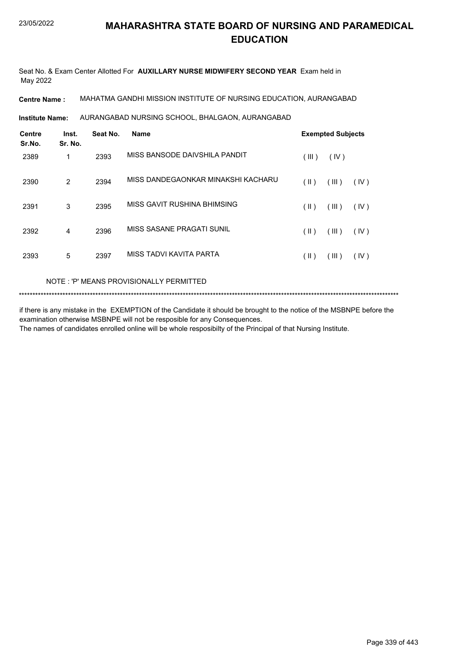Seat No. & Exam Center Allotted For **AUXILLARY NURSE MIDWIFERY SECOND YEAR** Exam held in May 2022

**Centre Name :** MAHATMA GANDHI MISSION INSTITUTE OF NURSING EDUCATION, AURANGABAD

AURANGABAD NURSING SCHOOL, BHALGAON, AURANGABAD **Institute Name:**

| Centre<br>Sr.No. | Inst.<br>Sr. No. | Seat No. | <b>Name</b>                        |       | <b>Exempted Subjects</b> |      |  |
|------------------|------------------|----------|------------------------------------|-------|--------------------------|------|--|
| 2389             | 1                | 2393     | MISS BANSODE DAIVSHILA PANDIT      | (III) | (IV)                     |      |  |
| 2390             | 2                | 2394     | MISS DANDEGAONKAR MINAKSHI KACHARU | (  )  | (III)                    | (IV) |  |
| 2391             | 3                | 2395     | MISS GAVIT RUSHINA BHIMSING        | (  )  | (III)                    | (IV) |  |
| 2392             | 4                | 2396     | MISS SASANE PRAGATI SUNIL          | (  )  | (III)                    | (IV) |  |
| 2393             | 5                | 2397     | MISS TADVI KAVITA PARTA            | (  )  | (III)                    | (IV) |  |

#### NOTE : 'P' MEANS PROVISIONALLY PERMITTED

\*\*\*\*\*\*\*\*\*\*\*\*\*\*\*\*\*\*\*\*\*\*\*\*\*\*\*\*\*\*\*\*\*\*\*\*\*\*\*\*\*\*\*\*\*\*\*\*\*\*\*\*\*\*\*\*\*\*\*\*\*\*\*\*\*\*\*\*\*\*\*\*\*\*\*\*\*\*\*\*\*\*\*\*\*\*\*\*\*\*\*\*\*\*\*\*\*\*\*\*\*\*\*\*\*\*\*\*\*\*\*\*\*\*\*\*\*\*\*\*\*\*\*\*\*\*\*\*\*\*\*\*\*\*\*\*\*\*\*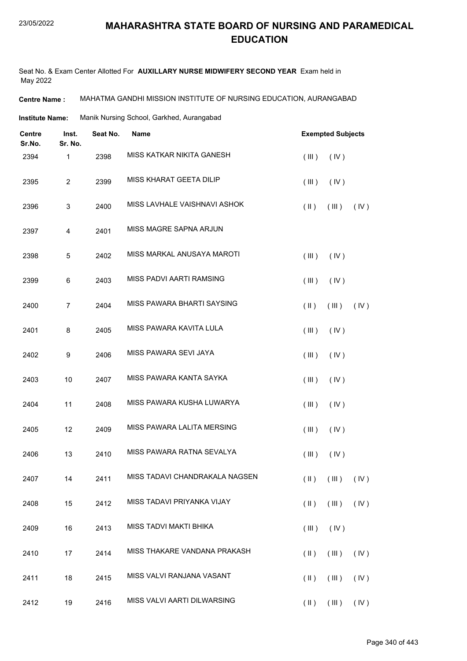Seat No. & Exam Center Allotted For **AUXILLARY NURSE MIDWIFERY SECOND YEAR** Exam held in May 2022

**Centre Name :** MAHATMA GANDHI MISSION INSTITUTE OF NURSING EDUCATION, AURANGABAD

**Institute Name:** Manik Nursing School, Garkhed, Aurangabad

| Centre<br>Sr.No. | Inst.<br>Sr. No. | Seat No. | <b>Name</b>                      |               | <b>Exempted Subjects</b>                      |      |  |
|------------------|------------------|----------|----------------------------------|---------------|-----------------------------------------------|------|--|
| 2394             | $\mathbf 1$      | 2398     | <b>MISS KATKAR NIKITA GANESH</b> | (III)         | (IV)                                          |      |  |
| 2395             | $\overline{c}$   | 2399     | MISS KHARAT GEETA DILIP          | (III)         | (IV)                                          |      |  |
| 2396             | 3                | 2400     | MISS LAVHALE VAISHNAVI ASHOK     | $(\parallel)$ | (III)                                         | (IV) |  |
| 2397             | 4                | 2401     | MISS MAGRE SAPNA ARJUN           |               |                                               |      |  |
| 2398             | 5                | 2402     | MISS MARKAL ANUSAYA MAROTI       | (III)         | (IV)                                          |      |  |
| 2399             | 6                | 2403     | MISS PADVI AARTI RAMSING         | (III)         | (IV)                                          |      |  |
| 2400             | $\overline{7}$   | 2404     | MISS PAWARA BHARTI SAYSING       | $(\parallel)$ | (III)                                         | (IV) |  |
| 2401             | 8                | 2405     | MISS PAWARA KAVITA LULA          | (III)         | (IV)                                          |      |  |
| 2402             | $\boldsymbol{9}$ | 2406     | MISS PAWARA SEVI JAYA            | (III)         | (IV)                                          |      |  |
| 2403             | 10               | 2407     | MISS PAWARA KANTA SAYKA          | (III)         | (IV)                                          |      |  |
| 2404             | 11               | 2408     | MISS PAWARA KUSHA LUWARYA        | (III)         | (IV)                                          |      |  |
| 2405             | 12               | 2409     | MISS PAWARA LALITA MERSING       | (III)         | (IV)                                          |      |  |
| 2406             | 13               | 2410     | MISS PAWARA RATNA SEVALYA        | (III)         | (IV)                                          |      |  |
| 2407             | 14               | 2411     | MISS TADAVI CHANDRAKALA NAGSEN   |               | $(\mathbb{I})$ $(\mathbb{II})$ $(\mathbb{V})$ |      |  |
| 2408             | 15               | 2412     | MISS TADAVI PRIYANKA VIJAY       | $(\parallel)$ | $($ III $)$                                   | (IV) |  |
| 2409             | 16               | 2413     | MISS TADVI MAKTI BHIKA           | (III)         | (IV)                                          |      |  |
| 2410             | 17               | 2414     | MISS THAKARE VANDANA PRAKASH     | $(\parallel)$ | (III)                                         | (IV) |  |
| 2411             | 18               | 2415     | MISS VALVI RANJANA VASANT        | $(\parallel)$ | (III)                                         | (IV) |  |
| 2412             | 19               | 2416     | MISS VALVI AARTI DILWARSING      | $(\parallel)$ | (III)                                         | (IV) |  |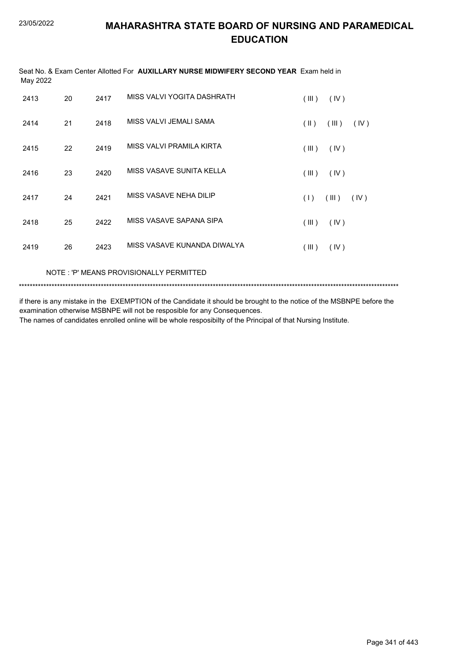| May 2022 |    |      | Seat No. & Exam Center Allotted For <b>AUXILLARY NURSE MIDWIFERY SECOND YEAR</b> Exam held in |            |       |      |
|----------|----|------|-----------------------------------------------------------------------------------------------|------------|-------|------|
| 2413     | 20 | 2417 | MISS VALVI YOGITA DASHRATH                                                                    | (III)      | (IV)  |      |
| 2414     | 21 | 2418 | MISS VALVI JEMALI SAMA                                                                        | $($ II $)$ | (III) | (IV) |
| 2415     | 22 | 2419 | MISS VALVI PRAMILA KIRTA                                                                      | (III)      | (IV)  |      |
| 2416     | 23 | 2420 | MISS VASAVE SUNITA KELLA                                                                      | (III)      | (IV)  |      |
| 2417     | 24 | 2421 | MISS VASAVE NEHA DILIP                                                                        | (1)        | (III) | (IV) |
| 2418     | 25 | 2422 | MISS VASAVE SAPANA SIPA                                                                       | (III)      | (IV)  |      |
| 2419     | 26 | 2423 | MISS VASAVE KUNANDA DIWALYA                                                                   | (III)      | (IV)  |      |
|          |    |      |                                                                                               |            |       |      |

NOTE : 'P' MEANS PROVISIONALLY PERMITTED

\*\*\*\*\*\*\*\*\*\*\*\*\*\*\*\*\*\*\*\*\*\*\*\*\*\*\*\*\*\*\*\*\*\*\*\*\*\*\*\*\*\*\*\*\*\*\*\*\*\*\*\*\*\*\*\*\*\*\*\*\*\*\*\*\*\*\*\*\*\*\*\*\*\*\*\*\*\*\*\*\*\*\*\*\*\*\*\*\*\*\*\*\*\*\*\*\*\*\*\*\*\*\*\*\*\*\*\*\*\*\*\*\*\*\*\*\*\*\*\*\*\*\*\*\*\*\*\*\*\*\*\*\*\*\*\*\*\*\*

if there is any mistake in the EXEMPTION of the Candidate it should be brought to the notice of the MSBNPE before the examination otherwise MSBNPE will not be resposible for any Consequences.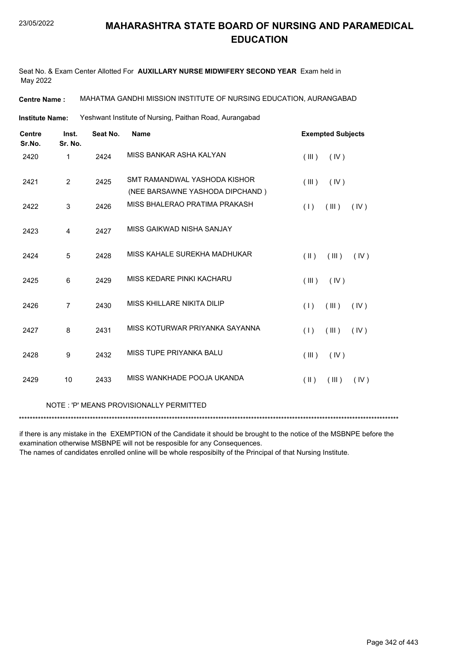Seat No. & Exam Center Allotted For **AUXILLARY NURSE MIDWIFERY SECOND YEAR** Exam held in May 2022

**Centre Name :** MAHATMA GANDHI MISSION INSTITUTE OF NURSING EDUCATION, AURANGABAD

Yeshwant Institute of Nursing, Paithan Road, Aurangabad **Institute Name:**

| <b>Centre</b><br>Sr.No. | Inst.<br>Sr. No. | Seat No. | <b>Name</b>                                                     | <b>Exempted Subjects</b> |       |      |
|-------------------------|------------------|----------|-----------------------------------------------------------------|--------------------------|-------|------|
| 2420                    | 1                | 2424     | MISS BANKAR ASHA KALYAN                                         | (III)                    | (IV)  |      |
| 2421                    | $\overline{2}$   | 2425     | SMT RAMANDWAL YASHODA KISHOR<br>(NEE BARSAWNE YASHODA DIPCHAND) | (III)                    | (IV)  |      |
| 2422                    | 3                | 2426     | MISS BHALERAO PRATIMA PRAKASH                                   | (1)                      | (III) | (IV) |
| 2423                    | 4                | 2427     | MISS GAIKWAD NISHA SANJAY                                       |                          |       |      |
| 2424                    | 5                | 2428     | MISS KAHALE SUREKHA MADHUKAR                                    | $(\parallel \parallel)$  | (III) | (IV) |
| 2425                    | 6                | 2429     | MISS KEDARE PINKI KACHARU                                       | (III)                    | (IV)  |      |
| 2426                    | $\overline{7}$   | 2430     | MISS KHILLARE NIKITA DILIP                                      | (1)                      | (III) | (IV) |
| 2427                    | 8                | 2431     | MISS KOTURWAR PRIYANKA SAYANNA                                  | (1)                      | (III) | (IV) |
| 2428                    | 9                | 2432     | MISS TUPE PRIYANKA BALU                                         | (III)                    | (IV)  |      |
| 2429                    | 10               | 2433     | MISS WANKHADE POOJA UKANDA                                      | $(\parallel)$            | (III) | (IV) |

#### NOTE : 'P' MEANS PROVISIONALLY PERMITTED

\*\*\*\*\*\*\*\*\*\*\*\*\*\*\*\*\*\*\*\*\*\*\*\*\*\*\*\*\*\*\*\*\*\*\*\*\*\*\*\*\*\*\*\*\*\*\*\*\*\*\*\*\*\*\*\*\*\*\*\*\*\*\*\*\*\*\*\*\*\*\*\*\*\*\*\*\*\*\*\*\*\*\*\*\*\*\*\*\*\*\*\*\*\*\*\*\*\*\*\*\*\*\*\*\*\*\*\*\*\*\*\*\*\*\*\*\*\*\*\*\*\*\*\*\*\*\*\*\*\*\*\*\*\*\*\*\*\*\*

if there is any mistake in the EXEMPTION of the Candidate it should be brought to the notice of the MSBNPE before the examination otherwise MSBNPE will not be resposible for any Consequences.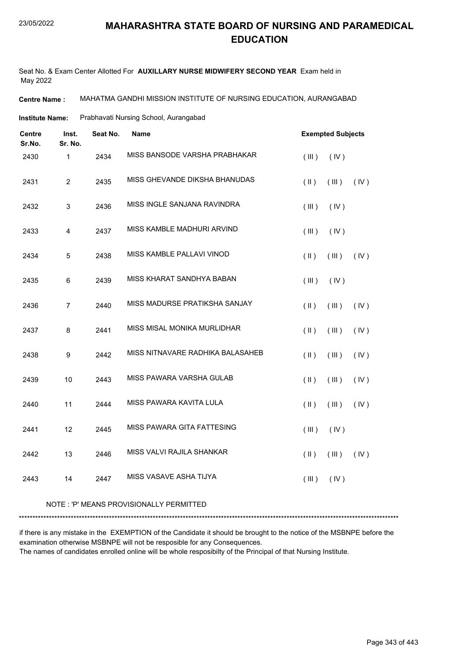Seat No. & Exam Center Allotted For **AUXILLARY NURSE MIDWIFERY SECOND YEAR** Exam held in May 2022

**Centre Name :** MAHATMA GANDHI MISSION INSTITUTE OF NURSING EDUCATION, AURANGABAD

Prabhavati Nursing School, Aurangabad **Institute Name:**

| <b>Centre</b><br>Sr.No. | Inst.<br>Sr. No. | Seat No. | <b>Name</b>                      | <b>Exempted Subjects</b> |             |      |
|-------------------------|------------------|----------|----------------------------------|--------------------------|-------------|------|
| 2430                    | $\mathbf{1}$     | 2434     | MISS BANSODE VARSHA PRABHAKAR    | (III)                    | (IV)        |      |
| 2431                    | $\overline{2}$   | 2435     | MISS GHEVANDE DIKSHA BHANUDAS    | $(\parallel)$            | $($ III $)$ | (IV) |
| 2432                    | $\mathsf 3$      | 2436     | MISS INGLE SANJANA RAVINDRA      | (III)                    | (IV)        |      |
| 2433                    | $\overline{4}$   | 2437     | MISS KAMBLE MADHURI ARVIND       | (III)                    | (IV)        |      |
| 2434                    | 5                | 2438     | MISS KAMBLE PALLAVI VINOD        | $($ II $)$               | (III)       | (IV) |
| 2435                    | 6                | 2439     | MISS KHARAT SANDHYA BABAN        | (III)                    | (IV)        |      |
| 2436                    | $\overline{7}$   | 2440     | MISS MADURSE PRATIKSHA SANJAY    | $($ II $)$               | (III)       | (IV) |
| 2437                    | 8                | 2441     | MISS MISAL MONIKA MURLIDHAR      | $(\parallel)$            | (III)       | (IV) |
| 2438                    | $\boldsymbol{9}$ | 2442     | MISS NITNAVARE RADHIKA BALASAHEB | $($ II $)$               | (III)       | (IV) |
| 2439                    | 10               | 2443     | MISS PAWARA VARSHA GULAB         | $($ II $)$               | (III)       | (IV) |
| 2440                    | 11               | 2444     | MISS PAWARA KAVITA LULA          | $($ $\parallel$ $)$      | (III)       | (IV) |
| 2441                    | 12               | 2445     | MISS PAWARA GITA FATTESING       | (III)                    | (IV)        |      |
| 2442                    | 13               | 2446     | MISS VALVI RAJILA SHANKAR        | $($ II $)$               | $($ III $)$ | (IV) |
| 2443                    | 14               | 2447     | MISS VASAVE ASHA TIJYA           | (III)                    | (IV)        |      |
|                         |                  |          |                                  |                          |             |      |

#### NOTE : 'P' MEANS PROVISIONALLY PERMITTED

\*\*\*\*\*\*\*\*\*\*\*\*\*\*\*\*\*\*\*\*\*\*\*\*\*\*\*\*\*\*\*\*\*\*\*\*\*\*\*\*\*\*\*\*\*\*\*\*\*\*\*\*\*\*\*\*\*\*\*\*\*\*\*\*\*\*\*\*\*\*\*\*\*\*\*\*\*\*\*\*\*\*\*\*\*\*\*\*\*\*\*\*\*\*\*\*\*\*\*\*\*\*\*\*\*\*\*\*\*\*\*\*\*\*\*\*\*\*\*\*\*\*\*\*\*\*\*\*\*\*\*\*\*\*\*\*\*\*\*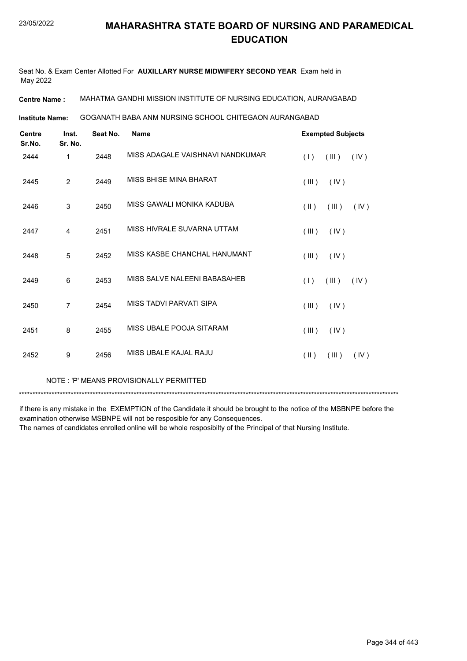Seat No. & Exam Center Allotted For **AUXILLARY NURSE MIDWIFERY SECOND YEAR** Exam held in May 2022

**Centre Name :** MAHATMA GANDHI MISSION INSTITUTE OF NURSING EDUCATION, AURANGABAD

GOGANATH BABA ANM NURSING SCHOOL CHITEGAON AURANGABAD **Institute Name:**

| <b>Centre</b><br>Sr.No. | Inst.<br>Sr. No. | Seat No. | <b>Name</b>                      | <b>Exempted Subjects</b> |       |      |
|-------------------------|------------------|----------|----------------------------------|--------------------------|-------|------|
| 2444                    | 1                | 2448     | MISS ADAGALE VAISHNAVI NANDKUMAR | (1)                      | (III) | (IV) |
| 2445                    | $\overline{2}$   | 2449     | MISS BHISE MINA BHARAT           | (III)                    | (IV)  |      |
| 2446                    | 3                | 2450     | MISS GAWALI MONIKA KADUBA        | $(\parallel \parallel)$  | (III) | (IV) |
| 2447                    | $\overline{4}$   | 2451     | MISS HIVRALE SUVARNA UTTAM       | (III)                    | (IV)  |      |
| 2448                    | 5                | 2452     | MISS KASBE CHANCHAL HANUMANT     | (III)                    | (IV)  |      |
| 2449                    | 6                | 2453     | MISS SALVE NALEENI BABASAHEB     | (1)                      | (III) | (IV) |
| 2450                    | $\overline{7}$   | 2454     | MISS TADVI PARVATI SIPA          | (III)                    | (IV)  |      |
| 2451                    | 8                | 2455     | MISS UBALE POOJA SITARAM         | (III)                    | (IV)  |      |
| 2452                    | 9                | 2456     | MISS UBALE KAJAL RAJU            | $(\parallel \parallel)$  | (III) | (IV) |
|                         |                  |          |                                  |                          |       |      |

NOTE : 'P' MEANS PROVISIONALLY PERMITTED

\*\*\*\*\*\*\*\*\*\*\*\*\*\*\*\*\*\*\*\*\*\*\*\*\*\*\*\*\*\*\*\*\*\*\*\*\*\*\*\*\*\*\*\*\*\*\*\*\*\*\*\*\*\*\*\*\*\*\*\*\*\*\*\*\*\*\*\*\*\*\*\*\*\*\*\*\*\*\*\*\*\*\*\*\*\*\*\*\*\*\*\*\*\*\*\*\*\*\*\*\*\*\*\*\*\*\*\*\*\*\*\*\*\*\*\*\*\*\*\*\*\*\*\*\*\*\*\*\*\*\*\*\*\*\*\*\*\*\*

if there is any mistake in the EXEMPTION of the Candidate it should be brought to the notice of the MSBNPE before the examination otherwise MSBNPE will not be resposible for any Consequences.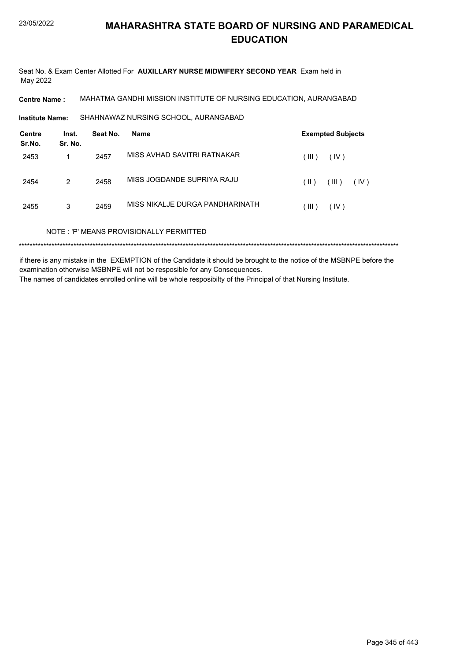Seat No. & Exam Center Allotted For **AUXILLARY NURSE MIDWIFERY SECOND YEAR** Exam held in May 2022

**Centre Name :** MAHATMA GANDHI MISSION INSTITUTE OF NURSING EDUCATION, AURANGABAD

SHAHNAWAZ NURSING SCHOOL, AURANGABAD **Institute Name:**

| Centre<br>Sr.No. | Inst.<br>Sr. No. | Seat No. | Name                                    | <b>Exempted Subjects</b> |               |  |
|------------------|------------------|----------|-----------------------------------------|--------------------------|---------------|--|
| 2453             |                  | 2457     | MISS AVHAD SAVITRI RATNAKAR             | (III)                    | (IV)          |  |
| 2454             | 2                | 2458     | MISS JOGDANDE SUPRIYA RAJU              | (  )                     | (III)<br>(IV) |  |
| 2455             | 3                | 2459     | MISS NIKALJE DURGA PANDHARINATH         | (III)                    | (IV)          |  |
|                  |                  |          | NOTE: 'P' MEANS PROVISIONALLY PERMITTED |                          |               |  |
|                  |                  |          |                                         |                          |               |  |

if there is any mistake in the EXEMPTION of the Candidate it should be brought to the notice of the MSBNPE before the examination otherwise MSBNPE will not be resposible for any Consequences. The names of candidates enrolled online will be whole resposibilty of the Principal of that Nursing Institute.

Page 345 of 443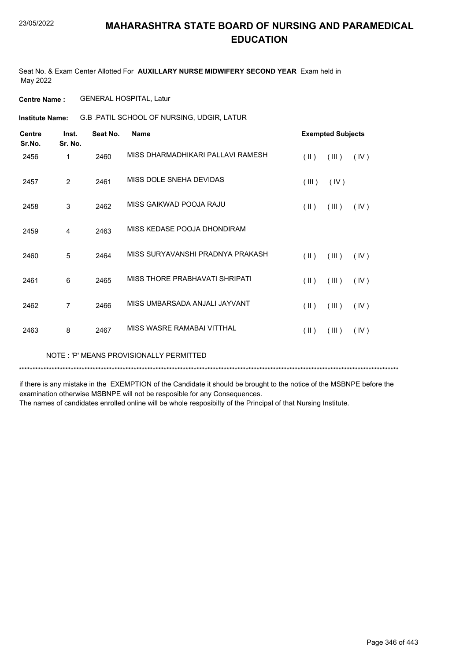Seat No. & Exam Center Allotted For **AUXILLARY NURSE MIDWIFERY SECOND YEAR** Exam held in May 2022

**Centre Name :** GENERAL HOSPITAL, Latur

G.B .PATIL SCHOOL OF NURSING, UDGIR, LATUR **Institute Name:**

| <b>Centre</b><br>Sr.No. | Inst.<br>Sr. No. | Seat No. | <b>Name</b>                       | <b>Exempted Subjects</b> |       |      |
|-------------------------|------------------|----------|-----------------------------------|--------------------------|-------|------|
| 2456                    | 1                | 2460     | MISS DHARMADHIKARI PALLAVI RAMESH | $(\parallel \parallel)$  | (III) | (IV) |
| 2457                    | $\overline{2}$   | 2461     | MISS DOLE SNEHA DEVIDAS           | (III)                    | (IV)  |      |
| 2458                    | 3                | 2462     | MISS GAIKWAD POOJA RAJU           | (  )                     | (III) | (IV) |
| 2459                    | 4                | 2463     | MISS KEDASE POOJA DHONDIRAM       |                          |       |      |
| 2460                    | 5                | 2464     | MISS SURYAVANSHI PRADNYA PRAKASH  | $($ II $)$               | (III) | (IV) |
| 2461                    | 6                | 2465     | MISS THORE PRABHAVATI SHRIPATI    | $(\parallel)$            | (III) | (IV) |
| 2462                    | 7                | 2466     | MISS UMBARSADA ANJALI JAYVANT     | $($ II $)$               | (III) | (IV) |
| 2463                    | 8                | 2467     | MISS WASRE RAMABAI VITTHAL        | $(\parallel)$            | (III) | (IV) |

NOTE : 'P' MEANS PROVISIONALLY PERMITTED

\*\*\*\*\*\*\*\*\*\*\*\*\*\*\*\*\*\*\*\*\*\*\*\*\*\*\*\*\*\*\*\*\*\*\*\*\*\*\*\*\*\*\*\*\*\*\*\*\*\*\*\*\*\*\*\*\*\*\*\*\*\*\*\*\*\*\*\*\*\*\*\*\*\*\*\*\*\*\*\*\*\*\*\*\*\*\*\*\*\*\*\*\*\*\*\*\*\*\*\*\*\*\*\*\*\*\*\*\*\*\*\*\*\*\*\*\*\*\*\*\*\*\*\*\*\*\*\*\*\*\*\*\*\*\*\*\*\*\*

if there is any mistake in the EXEMPTION of the Candidate it should be brought to the notice of the MSBNPE before the examination otherwise MSBNPE will not be resposible for any Consequences.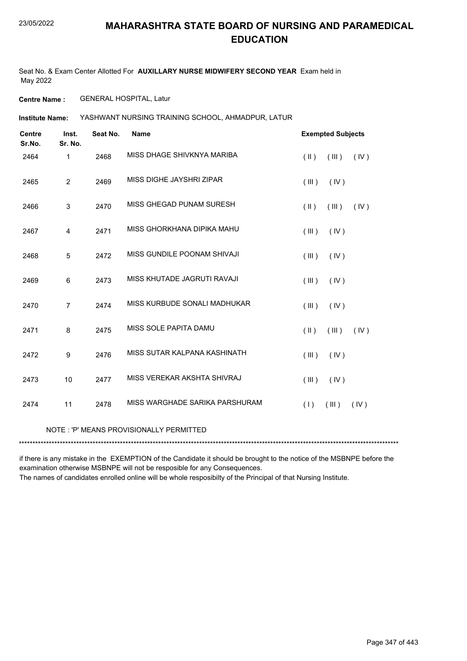Seat No. & Exam Center Allotted For **AUXILLARY NURSE MIDWIFERY SECOND YEAR** Exam held in May 2022

**Centre Name :** GENERAL HOSPITAL, Latur

YASHWANT NURSING TRAINING SCHOOL, AHMADPUR, LATUR **Institute Name:**

| <b>Centre</b><br>Sr.No. | Inst.<br>Sr. No.        | Seat No. | <b>Name</b>                             | <b>Exempted Subjects</b>                 |
|-------------------------|-------------------------|----------|-----------------------------------------|------------------------------------------|
| 2464                    | $\mathbf{1}$            | 2468     | MISS DHAGF SHIVKNYA MARIBA              | (III)<br>$(\parallel \parallel)$<br>(IV) |
| 2465                    | $\overline{2}$          | 2469     | MISS DIGHE JAYSHRI ZIPAR                | (III)<br>(IV)                            |
| 2466                    | 3                       | 2470     | MISS GHEGAD PUNAM SURESH                | $(\parallel \parallel)$<br>(III)<br>(IV) |
| 2467                    | $\overline{\mathbf{4}}$ | 2471     | MISS GHORKHANA DIPIKA MAHU              | (III)<br>(IV)                            |
| 2468                    | 5                       | 2472     | MISS GUNDILE POONAM SHIVAJI             | (III)<br>(IV)                            |
| 2469                    | 6                       | 2473     | MISS KHUTADE JAGRUTI RAVAJI             | (III)<br>(IV)                            |
| 2470                    | $\overline{7}$          | 2474     | MISS KURBUDE SONALI MADHUKAR            | (III)<br>(IV)                            |
| 2471                    | 8                       | 2475     | MISS SOLE PAPITA DAMU                   | $(\parallel \parallel)$<br>(III)<br>(IV) |
| 2472                    | 9                       | 2476     | MISS SUTAR KALPANA KASHINATH            | (III)<br>(IV)                            |
| 2473                    | 10                      | 2477     | MISS VEREKAR AKSHTA SHIVRAJ             | (III)<br>(IV)                            |
| 2474                    | 11                      | 2478     | MISS WARGHADE SARIKA PARSHURAM          | (1)<br>(III)<br>(IV)                     |
|                         |                         |          | NOTE: 'P' MEANS PROVISIONALLY PERMITTED |                                          |

\*\*\*\*\*\*\*\*\*\*\*\*\*\*\*\*\*\*\*\*\*\*\*\*\*\*\*\*\*\*\*\*\*\*\*\*\*\*\*\*\*\*\*\*\*\*\*\*\*\*\*\*\*\*\*\*\*\*\*\*\*\*\*\*\*\*\*\*\*\*\*\*\*\*\*\*\*\*\*\*\*\*\*\*\*\*\*\*\*\*\*\*\*\*\*\*\*\*\*\*\*\*\*\*\*\*\*\*\*\*\*\*\*\*\*\*\*\*\*\*\*\*\*\*\*\*\*\*\*\*\*\*\*\*\*\*\*\*\*

if there is any mistake in the EXEMPTION of the Candidate it should be brought to the notice of the MSBNPE before the examination otherwise MSBNPE will not be resposible for any Consequences.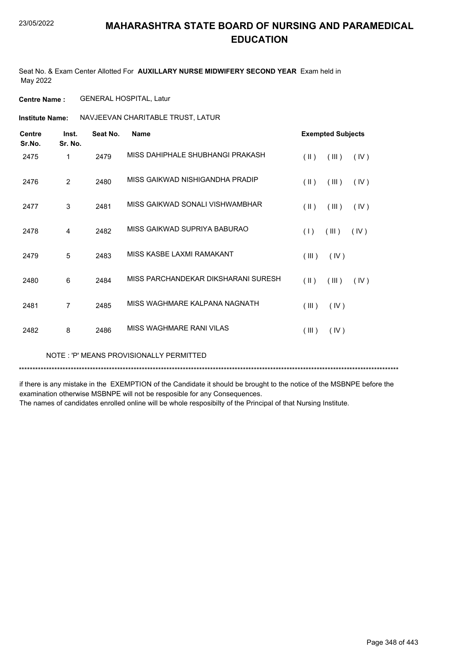Seat No. & Exam Center Allotted For **AUXILLARY NURSE MIDWIFERY SECOND YEAR** Exam held in May 2022

**Centre Name :** GENERAL HOSPITAL, Latur

**Institute Name: NAVJEEVAN CHARITABLE TRUST, LATUR** 

| <b>Centre</b><br>Sr.No. | Inst.<br>Sr. No. | Seat No. | <b>Name</b>                         | <b>Exempted Subjects</b> |      |
|-------------------------|------------------|----------|-------------------------------------|--------------------------|------|
| 2475                    | 1                | 2479     | MISS DAHIPHALE SHUBHANGI PRAKASH    | $($ II $)$<br>(III)      | (IV) |
| 2476                    | $\overline{2}$   | 2480     | MISS GAIKWAD NISHIGANDHA PRADIP     | $(\parallel)$<br>(III)   | (IV) |
| 2477                    | 3                | 2481     | MISS GAIKWAD SONALI VISHWAMBHAR     | $(\parallel)$<br>(III)   | (IV) |
| 2478                    | 4                | 2482     | MISS GAIKWAD SUPRIYA BABURAO        | (1)<br>(III)             | (IV) |
| 2479                    | 5                | 2483     | MISS KASBE LAXMI RAMAKANT           | (III)<br>(IV)            |      |
| 2480                    | 6                | 2484     | MISS PARCHANDEKAR DIKSHARANI SURESH | $($ II $)$<br>(III)      | (IV) |
| 2481                    | 7                | 2485     | MISS WAGHMARE KALPANA NAGNATH       | (III)<br>(IV)            |      |
| 2482                    | 8                | 2486     | MISS WAGHMARE RANI VILAS            | (III)<br>(IV)            |      |

NOTE : 'P' MEANS PROVISIONALLY PERMITTED

\*\*\*\*\*\*\*\*\*\*\*\*\*\*\*\*\*\*\*\*\*\*\*\*\*\*\*\*\*\*\*\*\*\*\*\*\*\*\*\*\*\*\*\*\*\*\*\*\*\*\*\*\*\*\*\*\*\*\*\*\*\*\*\*\*\*\*\*\*\*\*\*\*\*\*\*\*\*\*\*\*\*\*\*\*\*\*\*\*\*\*\*\*\*\*\*\*\*\*\*\*\*\*\*\*\*\*\*\*\*\*\*\*\*\*\*\*\*\*\*\*\*\*\*\*\*\*\*\*\*\*\*\*\*\*\*\*\*\*

if there is any mistake in the EXEMPTION of the Candidate it should be brought to the notice of the MSBNPE before the examination otherwise MSBNPE will not be resposible for any Consequences.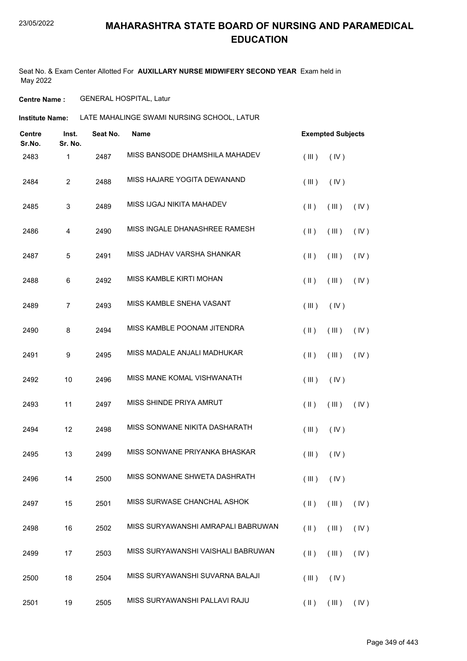Seat No. & Exam Center Allotted For **AUXILLARY NURSE MIDWIFERY SECOND YEAR** Exam held in May 2022

**Centre Name :** GENERAL HOSPITAL, Latur

**Institute Name: LATE MAHALINGE SWAMI NURSING SCHOOL, LATUR** 

| Centre<br>Sr.No. | Inst.<br>Sr. No. | Seat No. | Name                               |                         | <b>Exempted Subjects</b> |      |  |
|------------------|------------------|----------|------------------------------------|-------------------------|--------------------------|------|--|
| 2483             | $\mathbf 1$      | 2487     | MISS BANSODE DHAMSHILA MAHADEV     | (III)                   | (IV)                     |      |  |
| 2484             | $\overline{2}$   | 2488     | MISS HAJARE YOGITA DEWANAND        | (III)                   | (IV)                     |      |  |
| 2485             | 3                | 2489     | MISS IJGAJ NIKITA MAHADEV          | $(\parallel)$           | (III)                    | (IV) |  |
| 2486             | 4                | 2490     | MISS INGALE DHANASHREE RAMESH      | $(\parallel)$           | (III)                    | (IV) |  |
| 2487             | $\mathbf 5$      | 2491     | MISS JADHAV VARSHA SHANKAR         | $($ II $)$              | (III)                    | (IV) |  |
| 2488             | 6                | 2492     | MISS KAMBLE KIRTI MOHAN            | $(\parallel)$           | (III)                    | (IV) |  |
| 2489             | $\overline{7}$   | 2493     | MISS KAMBLE SNEHA VASANT           | (III)                   | (IV)                     |      |  |
| 2490             | 8                | 2494     | MISS KAMBLE POONAM JITENDRA        | $(\parallel)$           | (III)                    | (IV) |  |
| 2491             | $\boldsymbol{9}$ | 2495     | MISS MADALE ANJALI MADHUKAR        | $($ II $)$              | (III)                    | (IV) |  |
| 2492             | 10               | 2496     | MISS MANE KOMAL VISHWANATH         | (III)                   | (IV)                     |      |  |
| 2493             | 11               | 2497     | MISS SHINDE PRIYA AMRUT            | $(\parallel)$           | (III)                    | (IV) |  |
| 2494             | 12               | 2498     | MISS SONWANE NIKITA DASHARATH      | (III)                   | (IV)                     |      |  |
| 2495             | 13               | 2499     | MISS SONWANE PRIYANKA BHASKAR      | (III)                   | (IV)                     |      |  |
| 2496             | 14               | 2500     | MISS SONWANE SHWETA DASHRATH       | (III)                   | (IV)                     |      |  |
| 2497             | 15               | 2501     | MISS SURWASE CHANCHAL ASHOK        | $(\parallel \parallel)$ | (III)                    | (IV) |  |
| 2498             | 16               | 2502     | MISS SURYAWANSHI AMRAPALI BABRUWAN | $($ II $)$              | (III)                    | (IV) |  |
| 2499             | 17               | 2503     | MISS SURYAWANSHI VAISHALI BABRUWAN | $(\parallel)$           | (III)                    | (IV) |  |
| 2500             | 18               | 2504     | MISS SURYAWANSHI SUVARNA BALAJI    | (III)                   | (IV)                     |      |  |
| 2501             | 19               | 2505     | MISS SURYAWANSHI PALLAVI RAJU      | $(\parallel)$           | $($ III $)$              | (IV) |  |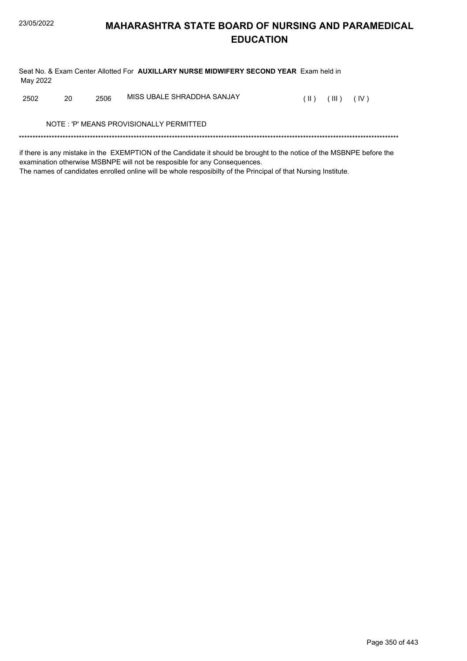Seat No. & Exam Center Allotted For **AUXILLARY NURSE MIDWIFERY SECOND YEAR** Exam held in May 2022

2502 20 2506 MISS UBALE SHRADDHA SANJAY (II) (III) (IV)

NOTE : 'P' MEANS PROVISIONALLY PERMITTED

\*\*\*\*\*\*\*\*\*\*\*\*\*\*\*\*\*\*\*\*\*\*\*\*\*\*\*\*\*\*\*\*\*\*\*\*\*\*\*\*\*\*\*\*\*\*\*\*\*\*\*\*\*\*\*\*\*\*\*\*\*\*\*\*\*\*\*\*\*\*\*\*\*\*\*\*\*\*\*\*\*\*\*\*\*\*\*\*\*\*\*\*\*\*\*\*\*\*\*\*\*\*\*\*\*\*\*\*\*\*\*\*\*\*\*\*\*\*\*\*\*\*\*\*\*\*\*\*\*\*\*\*\*\*\*\*\*\*\*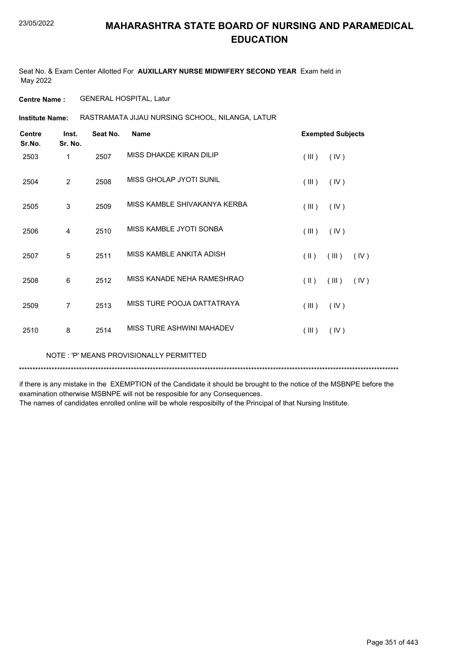Seat No. & Exam Center Allotted For **AUXILLARY NURSE MIDWIFERY SECOND YEAR** Exam held in May 2022

**Centre Name :** GENERAL HOSPITAL, Latur

RASTRAMATA JIJAU NURSING SCHOOL, NILANGA, LATUR **Institute Name:**

| <b>Centre</b><br>Sr.No. | Inst.<br>Sr. No. | Seat No. | <b>Name</b>                  |                         | <b>Exempted Subjects</b> |      |
|-------------------------|------------------|----------|------------------------------|-------------------------|--------------------------|------|
| 2503                    | 1                | 2507     | MISS DHAKDE KIRAN DILIP      | (III)                   | (IV)                     |      |
| 2504                    | $\overline{2}$   | 2508     | MISS GHOLAP JYOTI SUNIL      | (III)                   | (IV)                     |      |
| 2505                    | 3                | 2509     | MISS KAMBLE SHIVAKANYA KERBA | (III)                   | (IV)                     |      |
| 2506                    | 4                | 2510     | MISS KAMBLE JYOTI SONBA      | (III)                   | (IV)                     |      |
| 2507                    | 5                | 2511     | MISS KAMBLE ANKITA ADISH     | $(\parallel \parallel)$ | (III)                    | (IV) |
| 2508                    | 6                | 2512     | MISS KANADE NEHA RAMESHRAO   | $(\parallel \parallel)$ | (III)                    | (IV) |
| 2509                    | $\overline{7}$   | 2513     | MISS TURE POOJA DATTATRAYA   | (III)                   | (IV)                     |      |
| 2510                    | 8                | 2514     | MISS TURE ASHWINI MAHADEV    | (III)                   | (IV)                     |      |

NOTE : 'P' MEANS PROVISIONALLY PERMITTED

\*\*\*\*\*\*\*\*\*\*\*\*\*\*\*\*\*\*\*\*\*\*\*\*\*\*\*\*\*\*\*\*\*\*\*\*\*\*\*\*\*\*\*\*\*\*\*\*\*\*\*\*\*\*\*\*\*\*\*\*\*\*\*\*\*\*\*\*\*\*\*\*\*\*\*\*\*\*\*\*\*\*\*\*\*\*\*\*\*\*\*\*\*\*\*\*\*\*\*\*\*\*\*\*\*\*\*\*\*\*\*\*\*\*\*\*\*\*\*\*\*\*\*\*\*\*\*\*\*\*\*\*\*\*\*\*\*\*\*

if there is any mistake in the EXEMPTION of the Candidate it should be brought to the notice of the MSBNPE before the examination otherwise MSBNPE will not be resposible for any Consequences.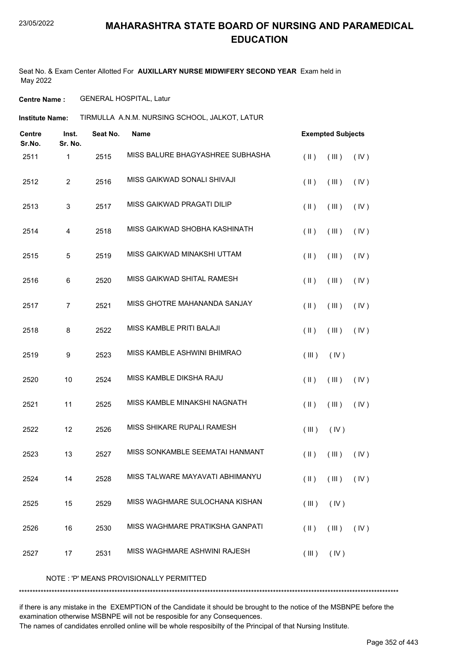Seat No. & Exam Center Allotted For **AUXILLARY NURSE MIDWIFERY SECOND YEAR** Exam held in May 2022

**Centre Name :** GENERAL HOSPITAL, Latur

TIRMULLA A.N.M. NURSING SCHOOL, JALKOT, LATUR **Institute Name:**

| <b>Centre</b><br>Sr.No. | Inst.<br>Sr. No.          | Seat No. | <b>Name</b>                      |               | <b>Exempted Subjects</b> |      |
|-------------------------|---------------------------|----------|----------------------------------|---------------|--------------------------|------|
| 2511                    | 1                         | 2515     | MISS BALURE BHAGYASHREE SUBHASHA | $($ II $)$    | (III)                    | (IV) |
| 2512                    | $\overline{c}$            | 2516     | MISS GAIKWAD SONALI SHIVAJI      | $(\parallel)$ | (III)                    | (IV) |
| 2513                    | $\ensuremath{\mathsf{3}}$ | 2517     | MISS GAIKWAD PRAGATI DILIP       | $(\parallel)$ | (III)                    | (IV) |
| 2514                    | 4                         | 2518     | MISS GAIKWAD SHOBHA KASHINATH    | $(\parallel)$ | (III)                    | (IV) |
| 2515                    | $\mathbf 5$               | 2519     | MISS GAIKWAD MINAKSHI UTTAM      | $(\parallel)$ | (III)                    | (IV) |
| 2516                    | 6                         | 2520     | MISS GAIKWAD SHITAL RAMESH       | $(\parallel)$ | (III)                    | (IV) |
| 2517                    | $\overline{7}$            | 2521     | MISS GHOTRE MAHANANDA SANJAY     | $(\parallel)$ | (III)                    | (IV) |
| 2518                    | 8                         | 2522     | MISS KAMBLE PRITI BALAJI         | $(\parallel)$ | (III)                    | (IV) |
| 2519                    | $\boldsymbol{9}$          | 2523     | MISS KAMBLE ASHWINI BHIMRAO      | (III)         | (IV)                     |      |
| 2520                    | 10                        | 2524     | MISS KAMBLE DIKSHA RAJU          | $(\parallel)$ | (III)                    | (IV) |
| 2521                    | 11                        | 2525     | MISS KAMBLE MINAKSHI NAGNATH     | $(\parallel)$ | (III)                    | (IV) |
| 2522                    | 12                        | 2526     | MISS SHIKARE RUPALI RAMESH       | (III)         | (IV)                     |      |
| 2523                    | 13                        | 2527     | MISS SONKAMBLE SEEMATAI HANMANT  | $(\parallel)$ | (III)                    | (IV) |
| 2524                    | 14                        | 2528     | MISS TALWARE MAYAVATI ABHIMANYU  | $(\parallel)$ | (III)                    | (IV) |
| 2525                    | 15                        | 2529     | MISS WAGHMARE SULOCHANA KISHAN   | (III)         | (IV)                     |      |
| 2526                    | 16                        | 2530     | MISS WAGHMARE PRATIKSHA GANPATI  | $($ II $)$    | (III)                    | (IV) |
| 2527                    | 17                        | 2531     | MISS WAGHMARE ASHWINI RAJESH     | (III)         | (IV)                     |      |

NOTE : 'P' MEANS PROVISIONALLY PERMITTED

\*\*\*\*\*\*\*\*\*\*\*\*\*\*\*\*\*\*\*\*\*\*\*\*\*\*\*\*\*\*\*\*\*\*\*\*\*\*\*\*\*\*\*\*\*\*\*\*\*\*\*\*\*\*\*\*\*\*\*\*\*\*\*\*\*\*\*\*\*\*\*\*\*\*\*\*\*\*\*\*\*\*\*\*\*\*\*\*\*\*\*\*\*\*\*\*\*\*\*\*\*\*\*\*\*\*\*\*\*\*\*\*\*\*\*\*\*\*\*\*\*\*\*\*\*\*\*\*\*\*\*\*\*\*\*\*\*\*\*

if there is any mistake in the EXEMPTION of the Candidate it should be brought to the notice of the MSBNPE before the examination otherwise MSBNPE will not be resposible for any Consequences.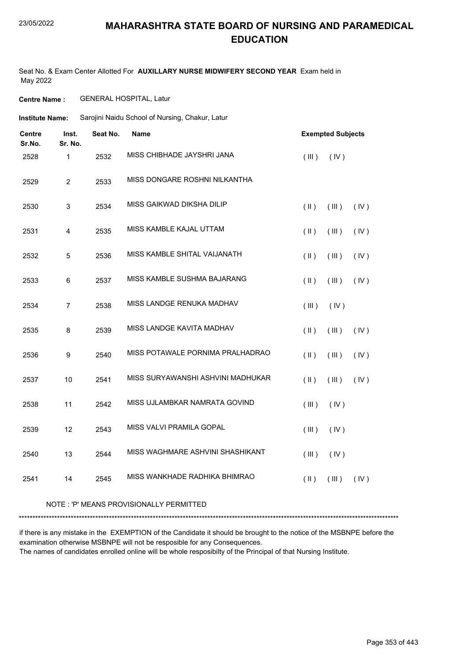Seat No. & Exam Center Allotted For **AUXILLARY NURSE MIDWIFERY SECOND YEAR** Exam held in May 2022

**Centre Name :** GENERAL HOSPITAL, Latur

| Institute Name: | Sarojini Naidu School of Nursing, Chakur, Latur |  |
|-----------------|-------------------------------------------------|--|
|                 |                                                 |  |

| <b>Centre</b><br>Sr.No. | Inst.<br>Sr. No. | Seat No. | <b>Name</b>                       |               | <b>Exempted Subjects</b> |      |
|-------------------------|------------------|----------|-----------------------------------|---------------|--------------------------|------|
| 2528                    | $\mathbf{1}$     | 2532     | MISS CHIBHADE JAYSHRI JANA        | (III)         | (IV)                     |      |
| 2529                    | 2                | 2533     | MISS DONGARE ROSHNI NILKANTHA     |               |                          |      |
| 2530                    | $\mathsf 3$      | 2534     | MISS GAIKWAD DIKSHA DILIP         | $(\parallel)$ | (III)                    | (IV) |
| 2531                    | 4                | 2535     | MISS KAMBLE KAJAL UTTAM           | (  )          | (III)                    | (IV) |
| 2532                    | 5                | 2536     | MISS KAMBLE SHITAL VAIJANATH      | (II)          | (III)                    | (IV) |
| 2533                    | 6                | 2537     | MISS KAMBLE SUSHMA BAJARANG       | (II)          | (III)                    | (IV) |
| 2534                    | $\overline{7}$   | 2538     | MISS LANDGE RENUKA MADHAV         | (III)         | (IV)                     |      |
| 2535                    | 8                | 2539     | MISS LANDGE KAVITA MADHAV         | (II)          | (III)                    | (IV) |
| 2536                    | 9                | 2540     | MISS POTAWALE PORNIMA PRALHADRAO  | (II)          | (III)                    | (IV) |
| 2537                    | 10               | 2541     | MISS SURYAWANSHI ASHVINI MADHUKAR | $(\parallel)$ | (III)                    | (IV) |
| 2538                    | 11               | 2542     | MISS UJLAMBKAR NAMRATA GOVIND     | (III)         | (IV)                     |      |
| 2539                    | 12               | 2543     | MISS VALVI PRAMILA GOPAL          | (III)         | (IV)                     |      |
| 2540                    | 13               | 2544     | MISS WAGHMARE ASHVINI SHASHIKANT  | (III)         | (IV)                     |      |
| 2541                    | 14               | 2545     | MISS WANKHADE RADHIKA BHIMRAO     | $($ II $)$    | (III)                    | (IV) |
|                         |                  |          |                                   |               |                          |      |

#### NOTE : 'P' MEANS PROVISIONALLY PERMITTED

\*\*\*\*\*\*\*\*\*\*\*\*\*\*\*\*\*\*\*\*\*\*\*\*\*\*\*\*\*\*\*\*\*\*\*\*\*\*\*\*\*\*\*\*\*\*\*\*\*\*\*\*\*\*\*\*\*\*\*\*\*\*\*\*\*\*\*\*\*\*\*\*\*\*\*\*\*\*\*\*\*\*\*\*\*\*\*\*\*\*\*\*\*\*\*\*\*\*\*\*\*\*\*\*\*\*\*\*\*\*\*\*\*\*\*\*\*\*\*\*\*\*\*\*\*\*\*\*\*\*\*\*\*\*\*\*\*\*\*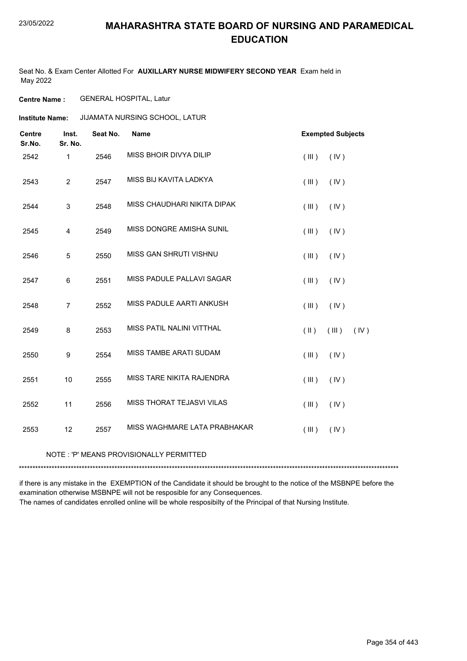Seat No. & Exam Center Allotted For **AUXILLARY NURSE MIDWIFERY SECOND YEAR** Exam held in May 2022

**Centre Name :** GENERAL HOSPITAL, Latur

**Institute Name: JIJAMATA NURSING SCHOOL, LATUR** 

| <b>Centre</b><br>Sr.No. | Inst.<br>Sr. No. | Seat No. | <b>Name</b>                   |            | <b>Exempted Subjects</b> |
|-------------------------|------------------|----------|-------------------------------|------------|--------------------------|
| 2542                    | $\mathbf{1}$     | 2546     | MISS BHOIR DIVYA DILIP        | (III)      | (IV)                     |
| 2543                    | $\overline{2}$   | 2547     | MISS BIJ KAVITA LADKYA        | (III)      | (IV)                     |
| 2544                    | 3                | 2548     | MISS CHAUDHARI NIKITA DIPAK   | (III)      | (IV)                     |
| 2545                    | 4                | 2549     | MISS DONGRE AMISHA SUNIL      | (III)      | (IV)                     |
| 2546                    | 5                | 2550     | MISS GAN SHRUTI VISHNU        | (III)      | (IV)                     |
| 2547                    | 6                | 2551     | MISS PADULE PALLAVI SAGAR     | (III)      | (IV)                     |
| 2548                    | $\overline{7}$   | 2552     | MISS PADULE AARTI ANKUSH      | (III)      | (IV)                     |
| 2549                    | 8                | 2553     | MISS PATIL NALINI VITTHAL     | $($ II $)$ | (III)<br>(IV)            |
| 2550                    | 9                | 2554     | <b>MISS TAMBE ARATI SUDAM</b> | (III)      | (IV)                     |
| 2551                    | 10               | 2555     | MISS TARE NIKITA RAJENDRA     | (III)      | (IV)                     |
| 2552                    | 11               | 2556     | MISS THORAT TEJASVI VILAS     | (III)      | (IV)                     |
| 2553                    | 12               | 2557     | MISS WAGHMARE LATA PRABHAKAR  | (III)      | (IV)                     |

#### NOTE : 'P' MEANS PROVISIONALLY PERMITTED

\*\*\*\*\*\*\*\*\*\*\*\*\*\*\*\*\*\*\*\*\*\*\*\*\*\*\*\*\*\*\*\*\*\*\*\*\*\*\*\*\*\*\*\*\*\*\*\*\*\*\*\*\*\*\*\*\*\*\*\*\*\*\*\*\*\*\*\*\*\*\*\*\*\*\*\*\*\*\*\*\*\*\*\*\*\*\*\*\*\*\*\*\*\*\*\*\*\*\*\*\*\*\*\*\*\*\*\*\*\*\*\*\*\*\*\*\*\*\*\*\*\*\*\*\*\*\*\*\*\*\*\*\*\*\*\*\*\*\*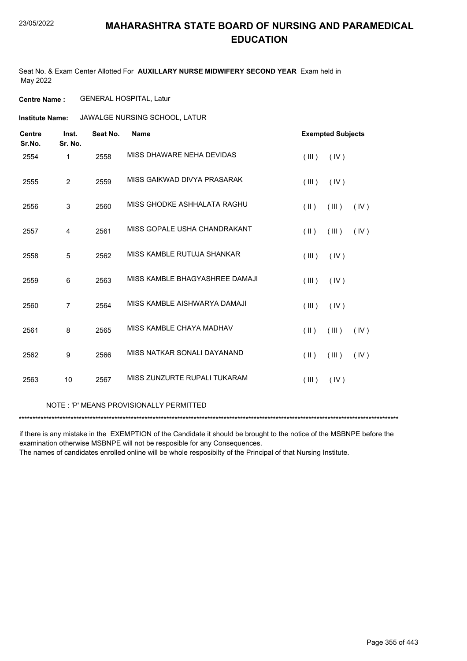Seat No. & Exam Center Allotted For **AUXILLARY NURSE MIDWIFERY SECOND YEAR** Exam held in May 2022

**Centre Name :** GENERAL HOSPITAL, Latur

**Institute Name: JAWALGE NURSING SCHOOL, LATUR** 

| <b>Centre</b><br>Sr.No. | Inst.<br>Sr. No. | Seat No. | <b>Name</b>                    | <b>Exempted Subjects</b>       |
|-------------------------|------------------|----------|--------------------------------|--------------------------------|
| 2554                    | 1                | 2558     | MISS DHAWARE NEHA DEVIDAS      | (III)<br>(IV)                  |
| 2555                    | $\overline{2}$   | 2559     | MISS GAIKWAD DIVYA PRASARAK    | (III)<br>(IV)                  |
| 2556                    | $\mathsf 3$      | 2560     | MISS GHODKE ASHHALATA RAGHU    | (II)<br>(III)<br>(IV)          |
| 2557                    | 4                | 2561     | MISS GOPALE USHA CHANDRAKANT   | (III)<br>(IV)<br>(  )          |
| 2558                    | 5                | 2562     | MISS KAMBLE RUTUJA SHANKAR     | (III)<br>(IV)                  |
| 2559                    | 6                | 2563     | MISS KAMBLE BHAGYASHREE DAMAJI | (III)<br>(IV)                  |
| 2560                    | $\overline{7}$   | 2564     | MISS KAMBLE AISHWARYA DAMAJI   | (III)<br>(IV)                  |
| 2561                    | 8                | 2565     | MISS KAMBLE CHAYA MADHAV       | (  )<br>(III)<br>(IV)          |
| 2562                    | 9                | 2566     | MISS NATKAR SONALI DAYANAND    | $(\parallel)$<br>(III)<br>(IV) |
| 2563                    | 10               | 2567     | MISS ZUNZURTE RUPALI TUKARAM   | (III)<br>(IV)                  |

#### NOTE : 'P' MEANS PROVISIONALLY PERMITTED

\*\*\*\*\*\*\*\*\*\*\*\*\*\*\*\*\*\*\*\*\*\*\*\*\*\*\*\*\*\*\*\*\*\*\*\*\*\*\*\*\*\*\*\*\*\*\*\*\*\*\*\*\*\*\*\*\*\*\*\*\*\*\*\*\*\*\*\*\*\*\*\*\*\*\*\*\*\*\*\*\*\*\*\*\*\*\*\*\*\*\*\*\*\*\*\*\*\*\*\*\*\*\*\*\*\*\*\*\*\*\*\*\*\*\*\*\*\*\*\*\*\*\*\*\*\*\*\*\*\*\*\*\*\*\*\*\*\*\*

if there is any mistake in the EXEMPTION of the Candidate it should be brought to the notice of the MSBNPE before the examination otherwise MSBNPE will not be resposible for any Consequences.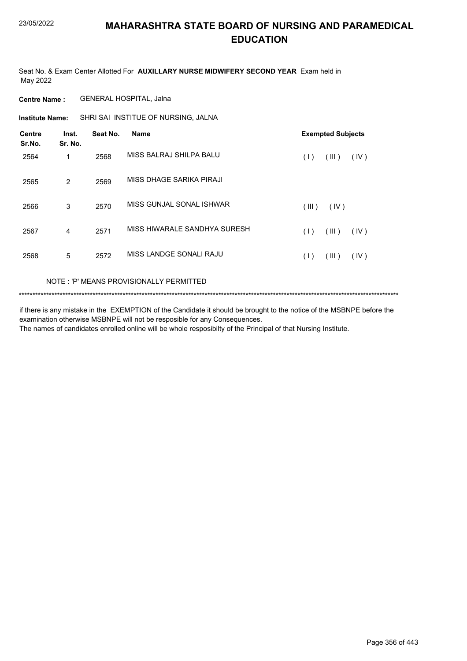Seat No. & Exam Center Allotted For **AUXILLARY NURSE MIDWIFERY SECOND YEAR** Exam held in May 2022

**Centre Name :** GENERAL HOSPITAL, Jalna

**Institute Name:** SHRI SAI INSTITUE OF NURSING, JALNA

| <b>Centre</b><br>Sr.No. | Inst.<br>Sr. No. | Seat No. | <b>Name</b>                  | <b>Exempted Subjects</b> |
|-------------------------|------------------|----------|------------------------------|--------------------------|
| 2564                    | 1                | 2568     | MISS BALRAJ SHILPA BALU      | (III)<br>(1)<br>(IV)     |
| 2565                    | 2                | 2569     | MISS DHAGE SARIKA PIRAJI     |                          |
| 2566                    | 3                | 2570     | MISS GUNJAL SONAL ISHWAR     | (III)<br>(IV)            |
| 2567                    | 4                | 2571     | MISS HIWARALE SANDHYA SURESH | (III)<br>(1)<br>(IV)     |
| 2568                    | 5                | 2572     | MISS LANDGE SONALI RAJU      | (III)<br>(1)<br>(IV)     |

NOTE : 'P' MEANS PROVISIONALLY PERMITTED

\*\*\*\*\*\*\*\*\*\*\*\*\*\*\*\*\*\*\*\*\*\*\*\*\*\*\*\*\*\*\*\*\*\*\*\*\*\*\*\*\*\*\*\*\*\*\*\*\*\*\*\*\*\*\*\*\*\*\*\*\*\*\*\*\*\*\*\*\*\*\*\*\*\*\*\*\*\*\*\*\*\*\*\*\*\*\*\*\*\*\*\*\*\*\*\*\*\*\*\*\*\*\*\*\*\*\*\*\*\*\*\*\*\*\*\*\*\*\*\*\*\*\*\*\*\*\*\*\*\*\*\*\*\*\*\*\*\*\*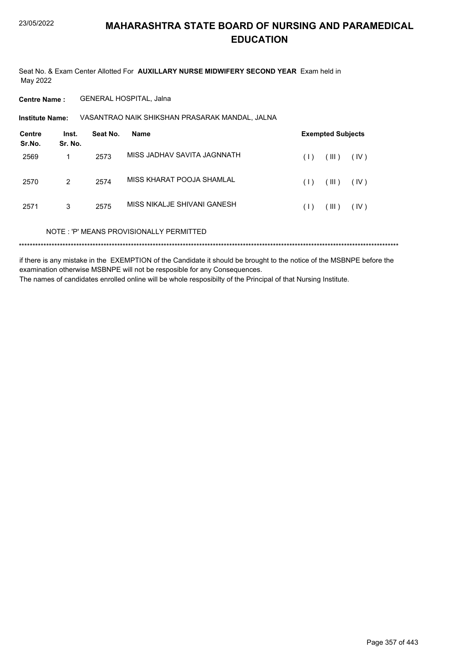Seat No. & Exam Center Allotted For **AUXILLARY NURSE MIDWIFERY SECOND YEAR** Exam held in May 2022

**Centre Name :** GENERAL HOSPITAL, Jalna

VASANTRAO NAIK SHIKSHAN PRASARAK MANDAL, JALNA **Institute Name:**

| <b>Centre</b><br>Sr.No. | Inst.<br>Sr. No. | Seat No. | Name                                    |     | <b>Exempted Subjects</b> |      |  |
|-------------------------|------------------|----------|-----------------------------------------|-----|--------------------------|------|--|
| 2569                    |                  | 2573     | MISS JADHAV SAVITA JAGNNATH             | (1) | (III)                    | (IV) |  |
| 2570                    | 2                | 2574     | MISS KHARAT POOJA SHAMLAL               | (1) | (III)                    | (IV) |  |
| 2571                    | 3                | 2575     | MISS NIKALJE SHIVANI GANESH             | (1) | (III)                    | (IV) |  |
|                         |                  |          | NOTE: 'P' MEANS PROVISIONALLY PERMITTED |     |                          |      |  |
|                         |                  |          |                                         |     |                          |      |  |

if there is any mistake in the EXEMPTION of the Candidate it should be brought to the notice of the MSBNPE before the examination otherwise MSBNPE will not be resposible for any Consequences. The names of candidates enrolled online will be whole resposibilty of the Principal of that Nursing Institute.

Page 357 of 443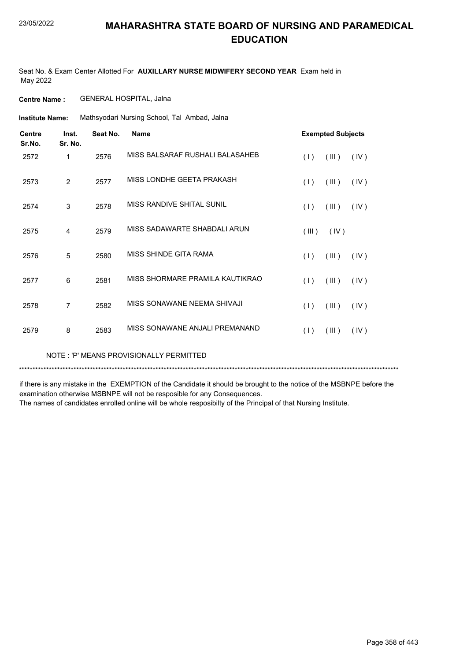Seat No. & Exam Center Allotted For **AUXILLARY NURSE MIDWIFERY SECOND YEAR** Exam held in May 2022

**Centre Name :** GENERAL HOSPITAL, Jalna

Mathsyodari Nursing School, Tal Ambad, Jalna **Institute Name:**

| <b>Centre</b><br>Sr.No. | Inst.<br>Sr. No. | Seat No. | <b>Name</b>                     |       | <b>Exempted Subjects</b> |      |
|-------------------------|------------------|----------|---------------------------------|-------|--------------------------|------|
| 2572                    | 1                | 2576     | MISS BALSARAF RUSHALI BALASAHEB | (1)   | (III)                    | (IV) |
| 2573                    | 2                | 2577     | MISS LONDHE GEETA PRAKASH       | (1)   | (III)                    | (IV) |
| 2574                    | 3                | 2578     | MISS RANDIVE SHITAL SUNIL       | (1)   | (III)                    | (IV) |
| 2575                    | 4                | 2579     | MISS SADAWARTE SHABDALI ARUN    | (III) | (IV)                     |      |
| 2576                    | 5                | 2580     | MISS SHINDE GITA RAMA           | (1)   | (III)                    | (IV) |
| 2577                    | 6                | 2581     | MISS SHORMARE PRAMILA KAUTIKRAO | (1)   | (III)                    | (IV) |
| 2578                    | 7                | 2582     | MISS SONAWANE NEEMA SHIVAJI     | (1)   | (III)                    | (IV) |
| 2579                    | 8                | 2583     | MISS SONAWANE ANJALI PREMANAND  | (1)   | (III)                    | (IV) |

NOTE : 'P' MEANS PROVISIONALLY PERMITTED

\*\*\*\*\*\*\*\*\*\*\*\*\*\*\*\*\*\*\*\*\*\*\*\*\*\*\*\*\*\*\*\*\*\*\*\*\*\*\*\*\*\*\*\*\*\*\*\*\*\*\*\*\*\*\*\*\*\*\*\*\*\*\*\*\*\*\*\*\*\*\*\*\*\*\*\*\*\*\*\*\*\*\*\*\*\*\*\*\*\*\*\*\*\*\*\*\*\*\*\*\*\*\*\*\*\*\*\*\*\*\*\*\*\*\*\*\*\*\*\*\*\*\*\*\*\*\*\*\*\*\*\*\*\*\*\*\*\*\*

if there is any mistake in the EXEMPTION of the Candidate it should be brought to the notice of the MSBNPE before the examination otherwise MSBNPE will not be resposible for any Consequences.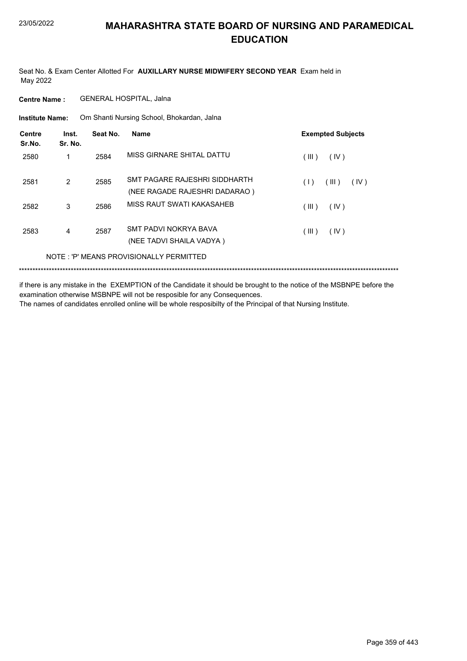Seat No. & Exam Center Allotted For **AUXILLARY NURSE MIDWIFERY SECOND YEAR** Exam held in May 2022

**Centre Name :** GENERAL HOSPITAL, Jalna

Om Shanti Nursing School, Bhokardan, Jalna **Institute Name:**

| Centre<br>Sr.No. | Inst.<br>Sr. No. | Seat No. | Name                                                           | <b>Exempted Subjects</b> |
|------------------|------------------|----------|----------------------------------------------------------------|--------------------------|
| 2580             |                  | 2584     | MISS GIRNARE SHITAL DATTU                                      | (III)<br>(IV)            |
| 2581             | $\mathcal{P}$    | 2585     | SMT PAGARE RAJESHRI SIDDHARTH<br>(NEE RAGADE RAJESHRI DADARAO) | (1)<br>(III)<br>(IV)     |
| 2582             | 3                | 2586     | MISS RAUT SWATI KAKASAHFR                                      | (III)<br>(IV)            |
| 2583             | 4                | 2587     | SMT PADVI NOKRYA BAVA<br>(NEE TADVI SHAILA VADYA)              | (III)<br>(IV)            |
|                  |                  |          | NOTE: 'P' MEANS PROVISIONALLY PERMITTED                        |                          |
|                  |                  |          |                                                                |                          |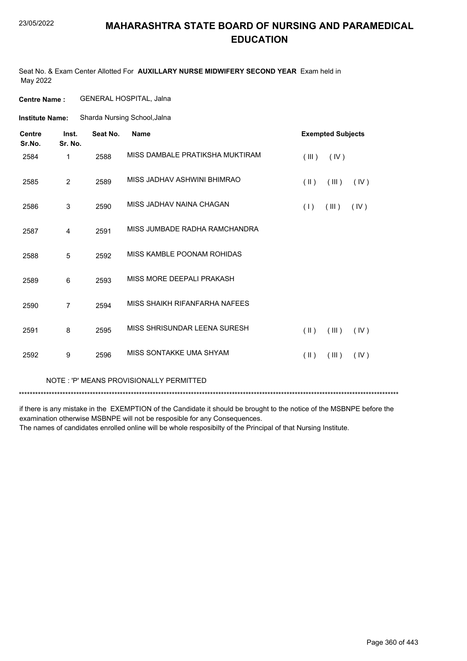Seat No. & Exam Center Allotted For **AUXILLARY NURSE MIDWIFERY SECOND YEAR** Exam held in May 2022

**Centre Name :** GENERAL HOSPITAL, Jalna

Sharda Nursing School,Jalna **Institute Name:**

| <b>Centre</b><br>Sr.No. | Inst.<br>Sr. No. | Seat No. | <b>Name</b>                             | <b>Exempted Subjects</b>       |
|-------------------------|------------------|----------|-----------------------------------------|--------------------------------|
| 2584                    | 1                | 2588     | MISS DAMBALE PRATIKSHA MUKTIRAM         | (IV)<br>(III)                  |
| 2585                    | $\overline{2}$   | 2589     | MISS JADHAV ASHWINI BHIMRAO             | $(\parallel)$<br>(III)<br>(IV) |
| 2586                    | 3                | 2590     | MISS JADHAV NAINA CHAGAN                | (III)<br>(IV)<br>(1)           |
| 2587                    | 4                | 2591     | MISS JUMBADE RADHA RAMCHANDRA           |                                |
| 2588                    | 5                | 2592     | MISS KAMBLE POONAM ROHIDAS              |                                |
| 2589                    | 6                | 2593     | MISS MORE DEEPALI PRAKASH               |                                |
| 2590                    | $\overline{7}$   | 2594     | MISS SHAIKH RIFANFARHA NAFEES           |                                |
| 2591                    | 8                | 2595     | MISS SHRISUNDAR LEENA SURESH            | $(\parallel)$<br>(III)<br>(IV) |
| 2592                    | 9                | 2596     | MISS SONTAKKE UMA SHYAM                 | (III)<br>$(\parallel)$<br>(IV) |
|                         |                  |          | NOTE: 'P' MEANS PROVISIONALLY PERMITTED |                                |

\*\*\*\*\*\*\*\*\*\*\*\*\*\*\*\*\*\*\*\*\*\*\*\*\*\*\*\*\*\*\*\*\*\*\*\*\*\*\*\*\*\*\*\*\*\*\*\*\*\*\*\*\*\*\*\*\*\*\*\*\*\*\*\*\*\*\*\*\*\*\*\*\*\*\*\*\*\*\*\*\*\*\*\*\*\*\*\*\*\*\*\*\*\*\*\*\*\*\*\*\*\*\*\*\*\*\*\*\*\*\*\*\*\*\*\*\*\*\*\*\*\*\*\*\*\*\*\*\*\*\*\*\*\*\*\*\*\*\*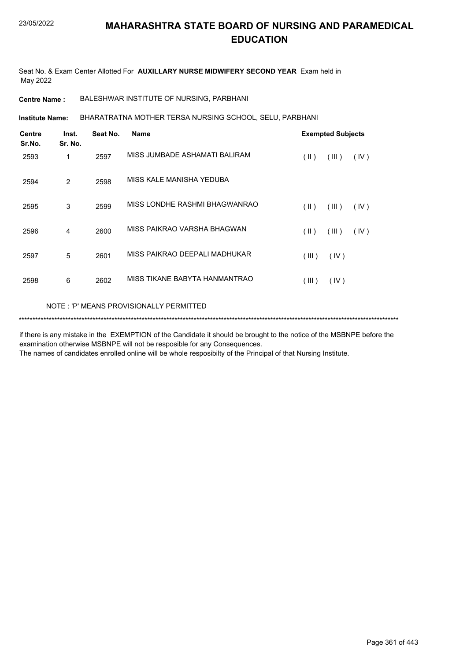Seat No. & Exam Center Allotted For **AUXILLARY NURSE MIDWIFERY SECOND YEAR** Exam held in May 2022

**Centre Name :** BALESHWAR INSTITUTE OF NURSING, PARBHANI

BHARATRATNA MOTHER TERSA NURSING SCHOOL, SELU, PARBHANI **Institute Name:**

| <b>Centre</b><br>Sr.No. | Inst.<br>Sr. No. | Seat No. | <b>Name</b>                   |               | <b>Exempted Subjects</b> |      |
|-------------------------|------------------|----------|-------------------------------|---------------|--------------------------|------|
| 2593                    | 1                | 2597     | MISS JUMBADE ASHAMATI BALIRAM | (  )          | (III)                    | (IV) |
| 2594                    | 2                | 2598     | MISS KALE MANISHA YEDUBA      |               |                          |      |
| 2595                    | 3                | 2599     | MISS LONDHE RASHMI BHAGWANRAO | $(\parallel)$ | (III)                    | (IV) |
| 2596                    | 4                | 2600     | MISS PAIKRAO VARSHA BHAGWAN   | $($ II $)$    | (III)                    | (IV) |
| 2597                    | 5                | 2601     | MISS PAIKRAO DEEPALI MADHUKAR | (III)         | (IV)                     |      |
| 2598                    | 6                | 2602     | MISS TIKANE BABYTA HANMANTRAO | (III)         | (IV)                     |      |
|                         |                  |          |                               |               |                          |      |

NOTE : 'P' MEANS PROVISIONALLY PERMITTED

\*\*\*\*\*\*\*\*\*\*\*\*\*\*\*\*\*\*\*\*\*\*\*\*\*\*\*\*\*\*\*\*\*\*\*\*\*\*\*\*\*\*\*\*\*\*\*\*\*\*\*\*\*\*\*\*\*\*\*\*\*\*\*\*\*\*\*\*\*\*\*\*\*\*\*\*\*\*\*\*\*\*\*\*\*\*\*\*\*\*\*\*\*\*\*\*\*\*\*\*\*\*\*\*\*\*\*\*\*\*\*\*\*\*\*\*\*\*\*\*\*\*\*\*\*\*\*\*\*\*\*\*\*\*\*\*\*\*\*

if there is any mistake in the EXEMPTION of the Candidate it should be brought to the notice of the MSBNPE before the examination otherwise MSBNPE will not be resposible for any Consequences.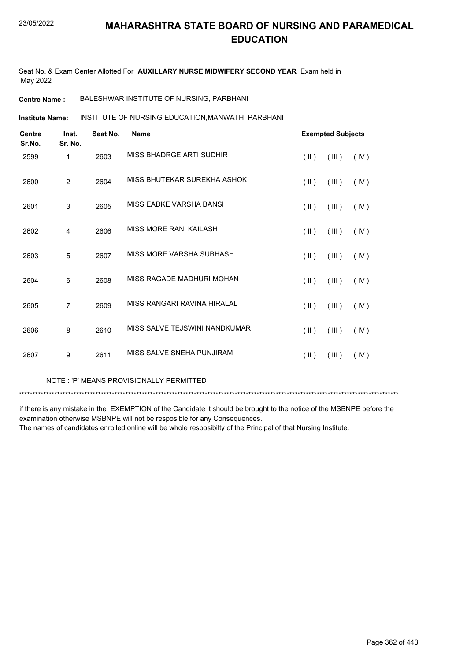Seat No. & Exam Center Allotted For **AUXILLARY NURSE MIDWIFERY SECOND YEAR** Exam held in May 2022

**Centre Name :** BALESHWAR INSTITUTE OF NURSING, PARBHANI

INSTITUTE OF NURSING EDUCATION,MANWATH, PARBHANI **Institute Name:**

| <b>Centre</b><br>Sr.No. | Inst.<br>Sr. No. | Seat No. | Name                          |                         | <b>Exempted Subjects</b> |      |
|-------------------------|------------------|----------|-------------------------------|-------------------------|--------------------------|------|
| 2599                    | 1                | 2603     | MISS BHADRGE ARTI SUDHIR      | $($ II $)$              | (III)                    | (IV) |
| 2600                    | $\overline{2}$   | 2604     | MISS BHUTEKAR SUREKHA ASHOK   | $($ II $)$              | (III)                    | (IV) |
| 2601                    | $\mathsf 3$      | 2605     | MISS EADKE VARSHA BANSI       | $(\parallel)$           | (III)                    | (IV) |
| 2602                    | 4                | 2606     | MISS MORE RANI KAILASH        | $(\parallel)$           | (III)                    | (IV) |
| 2603                    | 5                | 2607     | MISS MORE VARSHA SUBHASH      | $($ II $)$              | (III)                    | (IV) |
| 2604                    | 6                | 2608     | MISS RAGADE MADHURI MOHAN     | $(\parallel)$           | (III)                    | (IV) |
| 2605                    | $\overline{7}$   | 2609     | MISS RANGARI RAVINA HIRALAL   | $(\parallel)$           | (III)                    | (IV) |
| 2606                    | 8                | 2610     | MISS SALVE TEJSWINI NANDKUMAR | $(\parallel \parallel)$ | (III)                    | (IV) |
| 2607                    | 9                | 2611     | MISS SALVE SNEHA PUNJIRAM     | $(\parallel)$           | (III)                    | (IV) |
|                         |                  |          |                               |                         |                          |      |

NOTE : 'P' MEANS PROVISIONALLY PERMITTED

\*\*\*\*\*\*\*\*\*\*\*\*\*\*\*\*\*\*\*\*\*\*\*\*\*\*\*\*\*\*\*\*\*\*\*\*\*\*\*\*\*\*\*\*\*\*\*\*\*\*\*\*\*\*\*\*\*\*\*\*\*\*\*\*\*\*\*\*\*\*\*\*\*\*\*\*\*\*\*\*\*\*\*\*\*\*\*\*\*\*\*\*\*\*\*\*\*\*\*\*\*\*\*\*\*\*\*\*\*\*\*\*\*\*\*\*\*\*\*\*\*\*\*\*\*\*\*\*\*\*\*\*\*\*\*\*\*\*\*

if there is any mistake in the EXEMPTION of the Candidate it should be brought to the notice of the MSBNPE before the examination otherwise MSBNPE will not be resposible for any Consequences.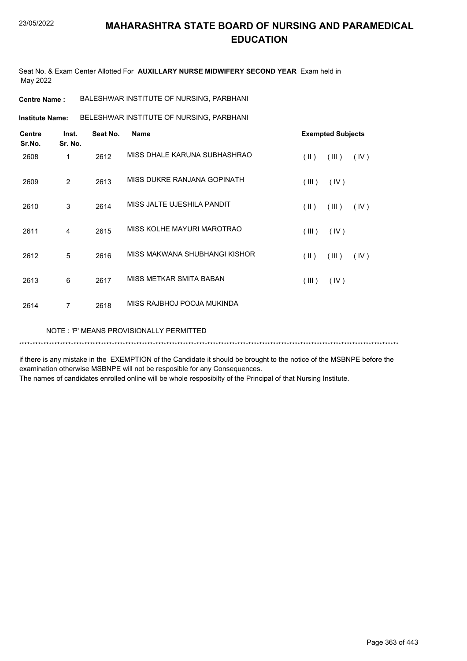Seat No. & Exam Center Allotted For **AUXILLARY NURSE MIDWIFERY SECOND YEAR** Exam held in May 2022

**Centre Name :** BALESHWAR INSTITUTE OF NURSING, PARBHANI

BELESHWAR INSTITUTE OF NURSING, PARBHANI **Institute Name:**

| <b>Centre</b><br>Sr.No. | Inst.<br>Sr. No. | Seat No. | <b>Name</b>                             | <b>Exempted Subjects</b>                 |
|-------------------------|------------------|----------|-----------------------------------------|------------------------------------------|
| 2608                    | 1                | 2612     | MISS DHALE KARUNA SUBHASHRAO            | $(\parallel)$<br>(III)<br>(IV)           |
| 2609                    | 2                | 2613     | MISS DUKRE RANJANA GOPINATH             | (III)<br>(IV)                            |
| 2610                    | 3                | 2614     | MISS JALTE UJESHILA PANDIT              | $(\parallel \parallel)$<br>(III)<br>(IV) |
| 2611                    | $\overline{4}$   | 2615     | MISS KOLHE MAYURI MAROTRAO              | (III)<br>(IV)                            |
| 2612                    | 5                | 2616     | MISS MAKWANA SHUBHANGI KISHOR           | $(\parallel)$<br>(III)<br>(IV)           |
| 2613                    | 6                | 2617     | MISS METKAR SMITA BABAN                 | (III)<br>(IV)                            |
| 2614                    | $\overline{7}$   | 2618     | MISS RAJBHOJ POOJA MUKINDA              |                                          |
|                         |                  |          | NOTE: 'P' MEANS PROVISIONALLY PERMITTED |                                          |

if there is any mistake in the EXEMPTION of the Candidate it should be brought to the notice of the MSBNPE before the examination otherwise MSBNPE will not be resposible for any Consequences.

\*\*\*\*\*\*\*\*\*\*\*\*\*\*\*\*\*\*\*\*\*\*\*\*\*\*\*\*\*\*\*\*\*\*\*\*\*\*\*\*\*\*\*\*\*\*\*\*\*\*\*\*\*\*\*\*\*\*\*\*\*\*\*\*\*\*\*\*\*\*\*\*\*\*\*\*\*\*\*\*\*\*\*\*\*\*\*\*\*\*\*\*\*\*\*\*\*\*\*\*\*\*\*\*\*\*\*\*\*\*\*\*\*\*\*\*\*\*\*\*\*\*\*\*\*\*\*\*\*\*\*\*\*\*\*\*\*\*\*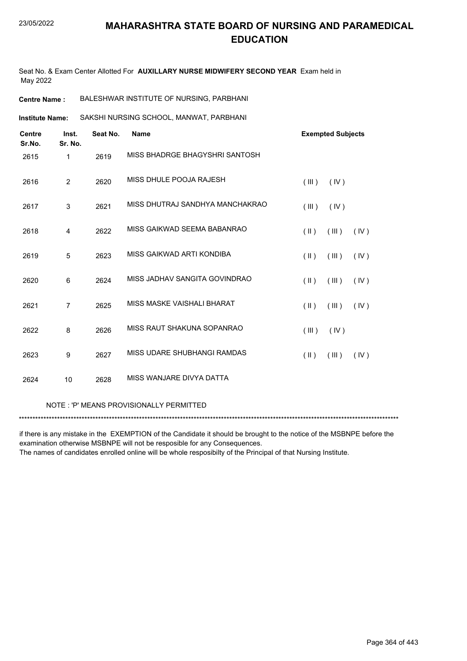Seat No. & Exam Center Allotted For **AUXILLARY NURSE MIDWIFERY SECOND YEAR** Exam held in May 2022

**Institute Name:** SAKSHI NURSING SCHOOL, MANWAT, PARBHANI

| <b>Centre</b><br>Sr.No. | Inst.<br>Sr. No. | Seat No. | <b>Name</b>                     |                         | <b>Exempted Subjects</b> |      |
|-------------------------|------------------|----------|---------------------------------|-------------------------|--------------------------|------|
| 2615                    | $\mathbf{1}$     | 2619     | MISS BHADRGE BHAGYSHRI SANTOSH  |                         |                          |      |
| 2616                    | $\overline{2}$   | 2620     | MISS DHULE POOJA RAJESH         | (III)                   | (IV)                     |      |
| 2617                    | 3                | 2621     | MISS DHUTRAJ SANDHYA MANCHAKRAO | (III)                   | (IV)                     |      |
| 2618                    | 4                | 2622     | MISS GAIKWAD SEEMA BABANRAO     | $(\parallel \parallel)$ | (III)                    | (IV) |
| 2619                    | 5                | 2623     | MISS GAIKWAD ARTI KONDIBA       | $(\parallel)$           | (III)                    | (IV) |
| 2620                    | 6                | 2624     | MISS JADHAV SANGITA GOVINDRAO   | $(\parallel \parallel)$ | (III)                    | (IV) |
| 2621                    | $\overline{7}$   | 2625     | MISS MASKE VAISHALI BHARAT      | $($ II $)$              | (III)                    | (IV) |
| 2622                    | 8                | 2626     | MISS RAUT SHAKUNA SOPANRAO      | (III)                   | (IV)                     |      |
| 2623                    | 9                | 2627     | MISS UDARE SHUBHANGI RAMDAS     | $(\parallel \parallel)$ | (III)                    | (IV) |
| 2624                    | 10               | 2628     | MISS WANJARE DIVYA DATTA        |                         |                          |      |

NOTE : 'P' MEANS PROVISIONALLY PERMITTED

\*\*\*\*\*\*\*\*\*\*\*\*\*\*\*\*\*\*\*\*\*\*\*\*\*\*\*\*\*\*\*\*\*\*\*\*\*\*\*\*\*\*\*\*\*\*\*\*\*\*\*\*\*\*\*\*\*\*\*\*\*\*\*\*\*\*\*\*\*\*\*\*\*\*\*\*\*\*\*\*\*\*\*\*\*\*\*\*\*\*\*\*\*\*\*\*\*\*\*\*\*\*\*\*\*\*\*\*\*\*\*\*\*\*\*\*\*\*\*\*\*\*\*\*\*\*\*\*\*\*\*\*\*\*\*\*\*\*\*

if there is any mistake in the EXEMPTION of the Candidate it should be brought to the notice of the MSBNPE before the examination otherwise MSBNPE will not be resposible for any Consequences.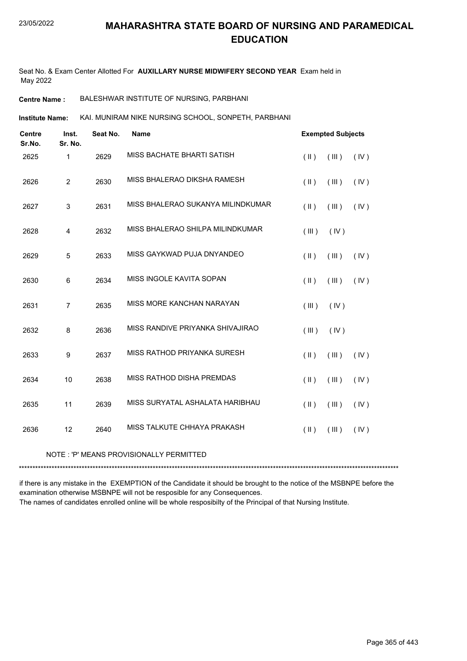Seat No. & Exam Center Allotted For **AUXILLARY NURSE MIDWIFERY SECOND YEAR** Exam held in May 2022

**Centre Name :** BALESHWAR INSTITUTE OF NURSING, PARBHANI

KAI. MUNIRAM NIKE NURSING SCHOOL, SONPETH, PARBHANI **Institute Name:**

| <b>Centre</b><br>Sr.No. | Inst.<br>Sr. No. | Seat No. | <b>Name</b>                       |                     | <b>Exempted Subjects</b> |      |
|-------------------------|------------------|----------|-----------------------------------|---------------------|--------------------------|------|
| 2625                    | $\mathbf{1}$     | 2629     | MISS BACHATE BHARTI SATISH        | $($ II $)$          | (III)                    | (IV) |
| 2626                    | $\overline{2}$   | 2630     | MISS BHALERAO DIKSHA RAMESH       | $($ II $)$          | (III)                    | (IV) |
| 2627                    | $\sqrt{3}$       | 2631     | MISS BHALERAO SUKANYA MILINDKUMAR | $($ II $)$          | (III)                    | (IV) |
| 2628                    | 4                | 2632     | MISS BHALERAO SHILPA MILINDKUMAR  | (III)               | (IV)                     |      |
| 2629                    | 5                | 2633     | MISS GAYKWAD PUJA DNYANDEO        | $($ II $)$          | (III)                    | (IV) |
| 2630                    | 6                | 2634     | MISS INGOLE KAVITA SOPAN          | $($ II $)$          | (III)                    | (IV) |
| 2631                    | $\overline{7}$   | 2635     | MISS MORE KANCHAN NARAYAN         | (III)               | (IV)                     |      |
| 2632                    | 8                | 2636     | MISS RANDIVE PRIYANKA SHIVAJIRAO  | (III)               | (IV)                     |      |
| 2633                    | 9                | 2637     | MISS RATHOD PRIYANKA SURESH       | $($ $\parallel$ $)$ | (III)                    | (IV) |
| 2634                    | 10               | 2638     | MISS RATHOD DISHA PREMDAS         | $($ $\parallel$ $)$ | $($ III $)$              | (IV) |
| 2635                    | 11               | 2639     | MISS SURYATAL ASHALATA HARIBHAU   | $($ II $)$          | (III)                    | (IV) |
| 2636                    | 12               | 2640     | MISS TALKUTE CHHAYA PRAKASH       | $($ II $)$          | (III)                    | (IV) |

#### NOTE : 'P' MEANS PROVISIONALLY PERMITTED

\*\*\*\*\*\*\*\*\*\*\*\*\*\*\*\*\*\*\*\*\*\*\*\*\*\*\*\*\*\*\*\*\*\*\*\*\*\*\*\*\*\*\*\*\*\*\*\*\*\*\*\*\*\*\*\*\*\*\*\*\*\*\*\*\*\*\*\*\*\*\*\*\*\*\*\*\*\*\*\*\*\*\*\*\*\*\*\*\*\*\*\*\*\*\*\*\*\*\*\*\*\*\*\*\*\*\*\*\*\*\*\*\*\*\*\*\*\*\*\*\*\*\*\*\*\*\*\*\*\*\*\*\*\*\*\*\*\*\*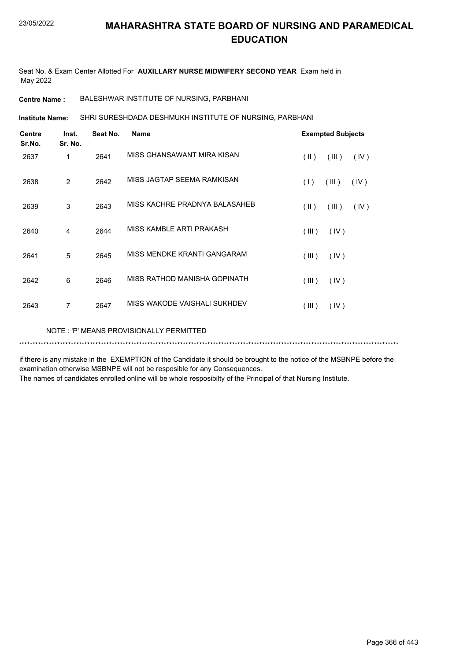Seat No. & Exam Center Allotted For **AUXILLARY NURSE MIDWIFERY SECOND YEAR** Exam held in May 2022

**Centre Name :** BALESHWAR INSTITUTE OF NURSING, PARBHANI

NOTE : 'P' MEANS PROVISIONALLY PERMITTED

SHRI SURESHDADA DESHMUKH INSTITUTE OF NURSING, PARBHANI **Institute Name:**

| <b>Centre</b><br>Sr.No. | Inst.<br>Sr. No. | Seat No. | <b>Name</b>                   |                         | <b>Exempted Subjects</b> |      |
|-------------------------|------------------|----------|-------------------------------|-------------------------|--------------------------|------|
| 2637                    | 1                | 2641     | MISS GHANSAWANT MIRA KISAN    | $(\parallel \parallel)$ | (III)                    | (IV) |
| 2638                    | $\overline{2}$   | 2642     | MISS JAGTAP SEEMA RAMKISAN    | (1)                     | (III)                    | (IV) |
| 2639                    | 3                | 2643     | MISS KACHRE PRADNYA BALASAHEB | $(\parallel \parallel)$ | (III)                    | (IV) |
| 2640                    | 4                | 2644     | MISS KAMBLE ARTI PRAKASH      | (III)                   | (IV)                     |      |
| 2641                    | 5                | 2645     | MISS MENDKE KRANTI GANGARAM   | (III)                   | (IV)                     |      |
| 2642                    | 6                | 2646     | MISS RATHOD MANISHA GOPINATH  | (III)                   | (IV)                     |      |
| 2643                    | 7                | 2647     | MISS WAKODE VAISHALI SUKHDEV  | (III)                   | (IV)                     |      |
|                         |                  |          |                               |                         |                          |      |

if there is any mistake in the EXEMPTION of the Candidate it should be brought to the notice of the MSBNPE before the examination otherwise MSBNPE will not be resposible for any Consequences.

\*\*\*\*\*\*\*\*\*\*\*\*\*\*\*\*\*\*\*\*\*\*\*\*\*\*\*\*\*\*\*\*\*\*\*\*\*\*\*\*\*\*\*\*\*\*\*\*\*\*\*\*\*\*\*\*\*\*\*\*\*\*\*\*\*\*\*\*\*\*\*\*\*\*\*\*\*\*\*\*\*\*\*\*\*\*\*\*\*\*\*\*\*\*\*\*\*\*\*\*\*\*\*\*\*\*\*\*\*\*\*\*\*\*\*\*\*\*\*\*\*\*\*\*\*\*\*\*\*\*\*\*\*\*\*\*\*\*\*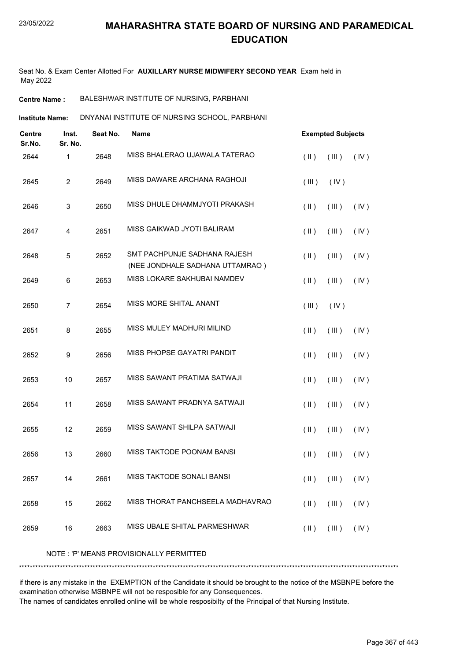Seat No. & Exam Center Allotted For **AUXILLARY NURSE MIDWIFERY SECOND YEAR** Exam held in May 2022

**Centre Name :** BALESHWAR INSTITUTE OF NURSING, PARBHANI

DNYANAI INSTITUTE OF NURSING SCHOOL, PARBHANI **Institute Name:**

| <b>Centre</b><br>Sr.No. | Inst.<br>Sr. No. | Seat No. | <b>Name</b>                                                     |                         | <b>Exempted Subjects</b> |      |
|-------------------------|------------------|----------|-----------------------------------------------------------------|-------------------------|--------------------------|------|
| 2644                    | 1                | 2648     | MISS BHALERAO UJAWALA TATERAO                                   | $($ II $)$              | (III)                    | (IV) |
| 2645                    | $\overline{c}$   | 2649     | MISS DAWARE ARCHANA RAGHOJI                                     | (III)                   | (IV)                     |      |
| 2646                    | 3                | 2650     | MISS DHULE DHAMMJYOTI PRAKASH                                   | $(\parallel)$           | (III)                    | (IV) |
| 2647                    | 4                | 2651     | MISS GAIKWAD JYOTI BALIRAM                                      | $(\parallel)$           | (III)                    | (IV) |
| 2648                    | $\mathbf 5$      | 2652     | SMT PACHPUNJE SADHANA RAJESH<br>(NEE JONDHALE SADHANA UTTAMRAO) | $(\parallel)$           | (III)                    | (IV) |
| 2649                    | 6                | 2653     | MISS LOKARE SAKHUBAI NAMDEV                                     | $($ II $)$              | (III)                    | (IV) |
| 2650                    | $\boldsymbol{7}$ | 2654     | MISS MORE SHITAL ANANT                                          | $($ III $)$             | (IV)                     |      |
| 2651                    | 8                | 2655     | MISS MULEY MADHURI MILIND                                       | $(\parallel)$           | (III)                    | (IV) |
| 2652                    | 9                | 2656     | MISS PHOPSE GAYATRI PANDIT                                      | $($ II $)$              | (III)                    | (IV) |
| 2653                    | 10               | 2657     | MISS SAWANT PRATIMA SATWAJI                                     | $(\parallel)$           | (III)                    | (IV) |
| 2654                    | 11               | 2658     | MISS SAWANT PRADNYA SATWAJI                                     | $(\parallel)$           | (III)                    | (IV) |
| 2655                    | 12               | 2659     | MISS SAWANT SHILPA SATWAJI                                      | $($ II $)$              | (III)                    | (IV) |
| 2656                    | 13               | 2660     | MISS TAKTODE POONAM BANSI                                       | $(\parallel)$           | (III)                    | (IV) |
| 2657                    | 14               | 2661     | MISS TAKTODE SONALI BANSI                                       | $(\parallel)$           | (III)                    | (IV) |
| 2658                    | 15               | 2662     | MISS THORAT PANCHSEELA MADHAVRAO                                | $($ II $)$              | (III)                    | (IV) |
| 2659                    | 16               | 2663     | MISS UBALE SHITAL PARMESHWAR                                    | $(\parallel \parallel)$ | (III)                    | (IV) |
|                         |                  |          |                                                                 |                         |                          |      |

NOTE : 'P' MEANS PROVISIONALLY PERMITTED

if there is any mistake in the EXEMPTION of the Candidate it should be brought to the notice of the MSBNPE before the examination otherwise MSBNPE will not be resposible for any Consequences.

\*\*\*\*\*\*\*\*\*\*\*\*\*\*\*\*\*\*\*\*\*\*\*\*\*\*\*\*\*\*\*\*\*\*\*\*\*\*\*\*\*\*\*\*\*\*\*\*\*\*\*\*\*\*\*\*\*\*\*\*\*\*\*\*\*\*\*\*\*\*\*\*\*\*\*\*\*\*\*\*\*\*\*\*\*\*\*\*\*\*\*\*\*\*\*\*\*\*\*\*\*\*\*\*\*\*\*\*\*\*\*\*\*\*\*\*\*\*\*\*\*\*\*\*\*\*\*\*\*\*\*\*\*\*\*\*\*\*\*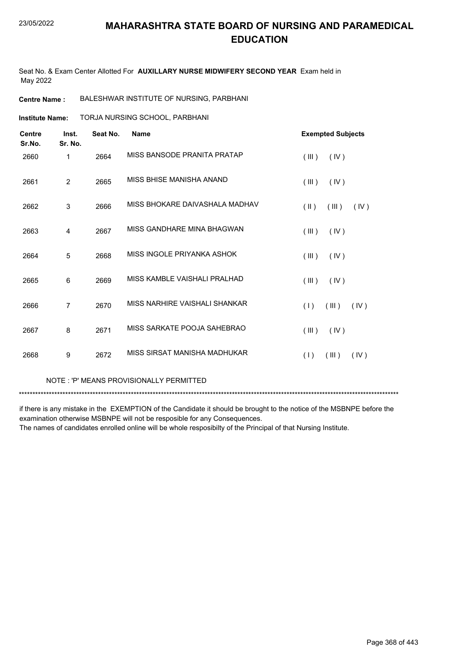Seat No. & Exam Center Allotted For **AUXILLARY NURSE MIDWIFERY SECOND YEAR** Exam held in May 2022

**Centre Name :** BALESHWAR INSTITUTE OF NURSING, PARBHANI

TORJA NURSING SCHOOL, PARBHANI **Institute Name:**

| <b>Centre</b><br>Sr.No. | Inst.<br>Sr. No. | Seat No. | <b>Name</b>                    | <b>Exempted Subjects</b>       |  |
|-------------------------|------------------|----------|--------------------------------|--------------------------------|--|
| 2660                    | 1                | 2664     | MISS BANSODE PRANITA PRATAP    | (III)<br>(IV)                  |  |
| 2661                    | $\overline{2}$   | 2665     | MISS BHISE MANISHA ANAND       | (III)<br>(IV)                  |  |
| 2662                    | 3                | 2666     | MISS BHOKARE DAIVASHALA MADHAV | $(\parallel)$<br>(III)<br>(IV) |  |
| 2663                    | 4                | 2667     | MISS GANDHARE MINA BHAGWAN     | (III)<br>(IV)                  |  |
| 2664                    | 5                | 2668     | MISS INGOLE PRIYANKA ASHOK     | (III)<br>(IV)                  |  |
| 2665                    | 6                | 2669     | MISS KAMBLE VAISHALI PRALHAD   | (III)<br>(IV)                  |  |
| 2666                    | $\overline{7}$   | 2670     | MISS NARHIRE VAISHALI SHANKAR  | (III)<br>(IV)<br>(1)           |  |
| 2667                    | 8                | 2671     | MISS SARKATE POOJA SAHEBRAO    | (III)<br>(IV)                  |  |
| 2668                    | 9                | 2672     | MISS SIRSAT MANISHA MADHUKAR   | (1)<br>(III)<br>(IV)           |  |

NOTE : 'P' MEANS PROVISIONALLY PERMITTED

\*\*\*\*\*\*\*\*\*\*\*\*\*\*\*\*\*\*\*\*\*\*\*\*\*\*\*\*\*\*\*\*\*\*\*\*\*\*\*\*\*\*\*\*\*\*\*\*\*\*\*\*\*\*\*\*\*\*\*\*\*\*\*\*\*\*\*\*\*\*\*\*\*\*\*\*\*\*\*\*\*\*\*\*\*\*\*\*\*\*\*\*\*\*\*\*\*\*\*\*\*\*\*\*\*\*\*\*\*\*\*\*\*\*\*\*\*\*\*\*\*\*\*\*\*\*\*\*\*\*\*\*\*\*\*\*\*\*\*

if there is any mistake in the EXEMPTION of the Candidate it should be brought to the notice of the MSBNPE before the examination otherwise MSBNPE will not be resposible for any Consequences.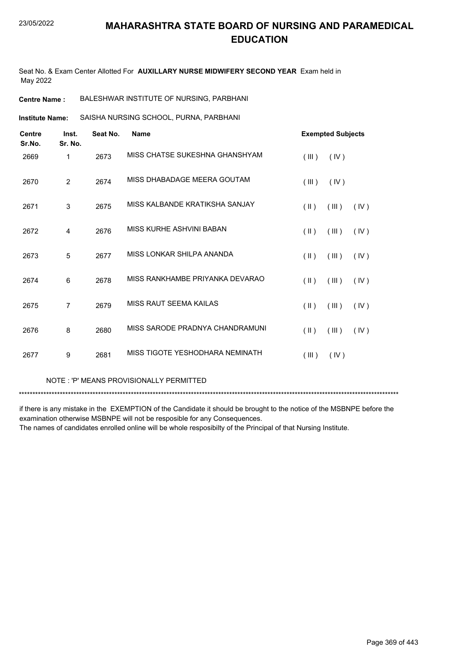Seat No. & Exam Center Allotted For **AUXILLARY NURSE MIDWIFERY SECOND YEAR** Exam held in May 2022

**Centre Name :** BALESHWAR INSTITUTE OF NURSING, PARBHANI

SAISHA NURSING SCHOOL, PURNA, PARBHANI **Institute Name:**

| <b>Centre</b><br>Sr.No. | Inst.<br>Sr. No. | Seat No. | <b>Name</b>                     |               | <b>Exempted Subjects</b> |      |
|-------------------------|------------------|----------|---------------------------------|---------------|--------------------------|------|
| 2669                    | 1                | 2673     | MISS CHATSE SUKESHNA GHANSHYAM  | (III)         | (IV)                     |      |
| 2670                    | $\overline{2}$   | 2674     | MISS DHABADAGE MEERA GOUTAM     | (III)         | (IV)                     |      |
| 2671                    | 3                | 2675     | MISS KALBANDE KRATIKSHA SANJAY  | $($ II $)$    | (III)                    | (IV) |
| 2672                    | $\overline{4}$   | 2676     | MISS KURHE ASHVINI BABAN        | $(\parallel)$ | (III)                    | (IV) |
| 2673                    | 5                | 2677     | MISS LONKAR SHILPA ANANDA       | $(\parallel)$ | (III)                    | (IV) |
| 2674                    | 6                | 2678     | MISS RANKHAMBE PRIYANKA DEVARAO | $(\parallel)$ | (III)                    | (IV) |
| 2675                    | $\overline{7}$   | 2679     | MISS RAUT SEEMA KAILAS          | $($ II $)$    | (III)                    | (IV) |
| 2676                    | 8                | 2680     | MISS SARODE PRADNYA CHANDRAMUNI | $($ II $)$    | (III)                    | (IV) |
| 2677                    | 9                | 2681     | MISS TIGOTE YESHODHARA NEMINATH | (III)         | (IV)                     |      |

NOTE : 'P' MEANS PROVISIONALLY PERMITTED

\*\*\*\*\*\*\*\*\*\*\*\*\*\*\*\*\*\*\*\*\*\*\*\*\*\*\*\*\*\*\*\*\*\*\*\*\*\*\*\*\*\*\*\*\*\*\*\*\*\*\*\*\*\*\*\*\*\*\*\*\*\*\*\*\*\*\*\*\*\*\*\*\*\*\*\*\*\*\*\*\*\*\*\*\*\*\*\*\*\*\*\*\*\*\*\*\*\*\*\*\*\*\*\*\*\*\*\*\*\*\*\*\*\*\*\*\*\*\*\*\*\*\*\*\*\*\*\*\*\*\*\*\*\*\*\*\*\*\*

if there is any mistake in the EXEMPTION of the Candidate it should be brought to the notice of the MSBNPE before the examination otherwise MSBNPE will not be resposible for any Consequences.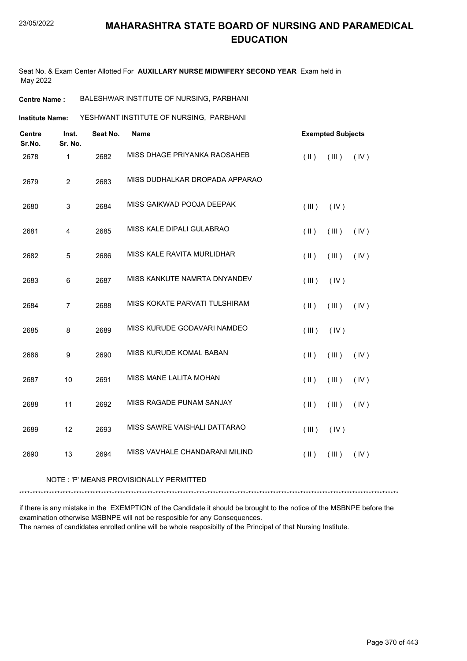Seat No. & Exam Center Allotted For **AUXILLARY NURSE MIDWIFERY SECOND YEAR** Exam held in May 2022

**Centre Name :** BALESHWAR INSTITUTE OF NURSING, PARBHANI

YESHWANT INSTITUTE OF NURSING, PARBHANI **Institute Name:**

| <b>Centre</b><br>Sr.No. | Inst.<br>Sr. No. | Seat No. | <b>Name</b>                    |                     | <b>Exempted Subjects</b> |      |
|-------------------------|------------------|----------|--------------------------------|---------------------|--------------------------|------|
| 2678                    | $\mathbf{1}$     | 2682     | MISS DHAGE PRIYANKA RAOSAHEB   | $($ II $)$          | (III)                    | (IV) |
| 2679                    | $\overline{c}$   | 2683     | MISS DUDHALKAR DROPADA APPARAO |                     |                          |      |
| 2680                    | 3                | 2684     | MISS GAIKWAD POOJA DEEPAK      | (III)               | (IV)                     |      |
| 2681                    | 4                | 2685     | MISS KALE DIPALI GULABRAO      | $(\parallel)$       | (III)                    | (IV) |
| 2682                    | $\mathbf 5$      | 2686     | MISS KALE RAVITA MURLIDHAR     | $(\parallel)$       | (III)                    | (IV) |
| 2683                    | $\,6$            | 2687     | MISS KANKUTE NAMRTA DNYANDEV   | (III)               | (IV)                     |      |
| 2684                    | $\overline{7}$   | 2688     | MISS KOKATE PARVATI TULSHIRAM  | $($ II $)$          | (III)                    | (IV) |
| 2685                    | 8                | 2689     | MISS KURUDE GODAVARI NAMDEO    | (III)               | (IV)                     |      |
| 2686                    | $\boldsymbol{9}$ | 2690     | MISS KURUDE KOMAL BABAN        | $(\parallel)$       | (III)                    | (IV) |
| 2687                    | 10               | 2691     | MISS MANE LALITA MOHAN         | $($ II $)$          | (III)                    | (IV) |
| 2688                    | 11               | 2692     | MISS RAGADE PUNAM SANJAY       | $($ $\parallel$ $)$ | (III)                    | (IV) |
| 2689                    | 12               | 2693     | MISS SAWRE VAISHALI DATTARAO   | (III)               | (IV)                     |      |
| 2690                    | 13               | 2694     | MISS VAVHALE CHANDARANI MILIND | $(\parallel)$       | (III)                    | (IV) |

NOTE : 'P' MEANS PROVISIONALLY PERMITTED

\*\*\*\*\*\*\*\*\*\*\*\*\*\*\*\*\*\*\*\*\*\*\*\*\*\*\*\*\*\*\*\*\*\*\*\*\*\*\*\*\*\*\*\*\*\*\*\*\*\*\*\*\*\*\*\*\*\*\*\*\*\*\*\*\*\*\*\*\*\*\*\*\*\*\*\*\*\*\*\*\*\*\*\*\*\*\*\*\*\*\*\*\*\*\*\*\*\*\*\*\*\*\*\*\*\*\*\*\*\*\*\*\*\*\*\*\*\*\*\*\*\*\*\*\*\*\*\*\*\*\*\*\*\*\*\*\*\*\*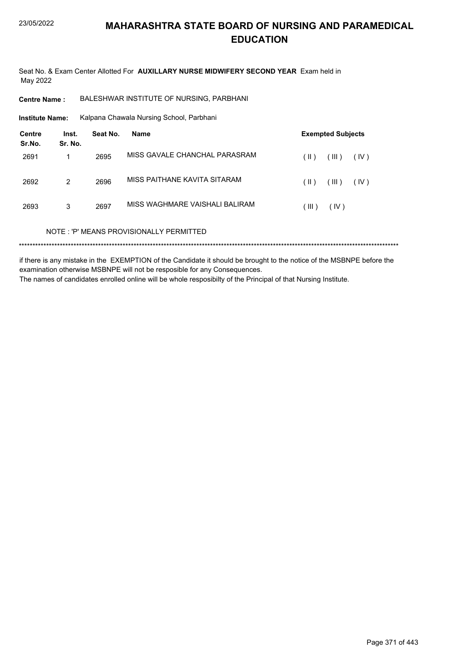Seat No. & Exam Center Allotted For **AUXILLARY NURSE MIDWIFERY SECOND YEAR** Exam held in May 2022

**Centre Name :** BALESHWAR INSTITUTE OF NURSING, PARBHANI

Kalpana Chawala Nursing School, Parbhani **Institute Name:**

| <b>Centre</b><br>Sr.No. | Inst.<br>Sr. No. | Seat No. | <b>Name</b>                             |       | <b>Exempted Subjects</b> |      |
|-------------------------|------------------|----------|-----------------------------------------|-------|--------------------------|------|
| 2691                    |                  | 2695     | MISS GAVALE CHANCHAL PARASRAM           | (  )  | (III)                    | (IV) |
| 2692                    | 2                | 2696     | MISS PAITHANE KAVITA SITARAM            | (  )  | (III)                    | (IV) |
| 2693                    | 3                | 2697     | MISS WAGHMARE VAISHALI BALIRAM          | (III) | (IV)                     |      |
|                         |                  |          | NOTE: 'P' MEANS PROVISIONALLY PERMITTED |       |                          |      |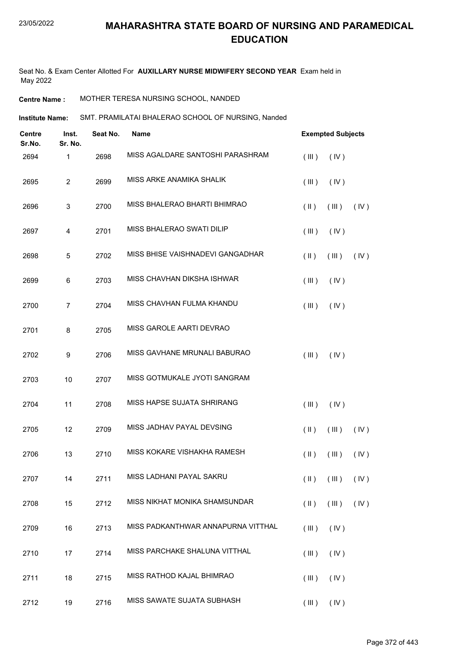Seat No. & Exam Center Allotted For **AUXILLARY NURSE MIDWIFERY SECOND YEAR** Exam held in May 2022

**Centre Name :** MOTHER TERESA NURSING SCHOOL, NANDED

Institute Name: SMT. PRAMILATAI BHALERAO SCHOOL OF NURSING, Nanded

| Inst.<br><b>Centre</b><br>Sr.No.<br>Sr. No. |                | Seat No. | <b>Name</b>                        |               | <b>Exempted Subjects</b>                      |      |  |
|---------------------------------------------|----------------|----------|------------------------------------|---------------|-----------------------------------------------|------|--|
| 2694                                        | 1              | 2698     | MISS AGALDARE SANTOSHI PARASHRAM   | (III)         | (IV)                                          |      |  |
| 2695                                        | $\overline{2}$ | 2699     | MISS ARKE ANAMIKA SHALIK           | (III)         | (IV)                                          |      |  |
| 2696                                        | 3              | 2700     | MISS BHALERAO BHARTI BHIMRAO       | $(\parallel)$ | (III)                                         | (IV) |  |
| 2697                                        | 4              | 2701     | MISS BHALERAO SWATI DILIP          | (III)         | (IV)                                          |      |  |
| 2698                                        | 5              | 2702     | MISS BHISE VAISHNADEVI GANGADHAR   | $(\parallel)$ | (III)                                         | (IV) |  |
| 2699                                        | 6              | 2703     | MISS CHAVHAN DIKSHA ISHWAR         | (III)         | (IV)                                          |      |  |
| 2700                                        | $\overline{7}$ | 2704     | MISS CHAVHAN FULMA KHANDU          | (III)         | (IV)                                          |      |  |
| 2701                                        | 8              | 2705     | MISS GAROLE AARTI DEVRAO           |               |                                               |      |  |
| 2702                                        | 9              | 2706     | MISS GAVHANE MRUNALI BABURAO       | (III)         | (IV)                                          |      |  |
| 2703                                        | 10             | 2707     | MISS GOTMUKALE JYOTI SANGRAM       |               |                                               |      |  |
| 2704                                        | 11             | 2708     | MISS HAPSE SUJATA SHRIRANG         | (III)         | (IV)                                          |      |  |
| 2705                                        | 12             | 2709     | MISS JADHAV PAYAL DEVSING          | $(\parallel)$ | (III)                                         | (IV) |  |
| 2706                                        | 13             | 2710     | MISS KOKARE VISHAKHA RAMESH        | $(\parallel)$ | (III)                                         | (IV) |  |
| 2707                                        | 14             | 2711     | MISS LADHANI PAYAL SAKRU           |               | $(\mathbb{I})$ $(\mathbb{II})$ $(\mathbb{V})$ |      |  |
| 2708                                        | 15             | 2712     | MISS NIKHAT MONIKA SHAMSUNDAR      | $(\parallel)$ | (III)                                         | (IV) |  |
| 2709                                        | 16             | 2713     | MISS PADKANTHWAR ANNAPURNA VITTHAL | (III)         | (IV)                                          |      |  |
| 2710                                        | 17             | 2714     | MISS PARCHAKE SHALUNA VITTHAL      | (III)         | (IV)                                          |      |  |
| 2711                                        | 18             | 2715     | MISS RATHOD KAJAL BHIMRAO          | (III)         | (IV)                                          |      |  |
| 2712                                        | 19             | 2716     | MISS SAWATE SUJATA SUBHASH         |               | $(III)$ $(IV)$                                |      |  |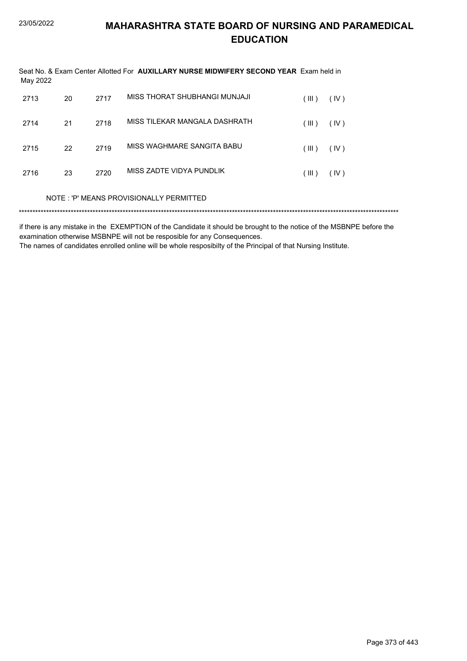| May 2022 |    |      | Seat No. & Exam Center Allotted For <b>AUXILLARY NURSE MIDWIFERY SECOND YEAR</b> Exam held in |       |      |
|----------|----|------|-----------------------------------------------------------------------------------------------|-------|------|
| 2713     | 20 | 2717 | MISS THORAT SHUBHANGI MUNJAJI                                                                 | (III) | (IV) |
| 2714     | 21 | 2718 | MISS TILEKAR MANGALA DASHRATH                                                                 | (III) | (IV) |
| 2715     | 22 | 2719 | MISS WAGHMARE SANGITA BABU                                                                    | (III) | (IV) |
| 2716     | 23 | 2720 | MISS ZADTE VIDYA PUNDLIK                                                                      | (III) | (IV) |
|          |    |      | NOTE: 'P' MEANS PROVISIONALLY PERMITTED                                                       |       |      |
|          |    |      |                                                                                               |       |      |

if there is any mistake in the EXEMPTION of the Candidate it should be brought to the notice of the MSBNPE before the examination otherwise MSBNPE will not be resposible for any Consequences.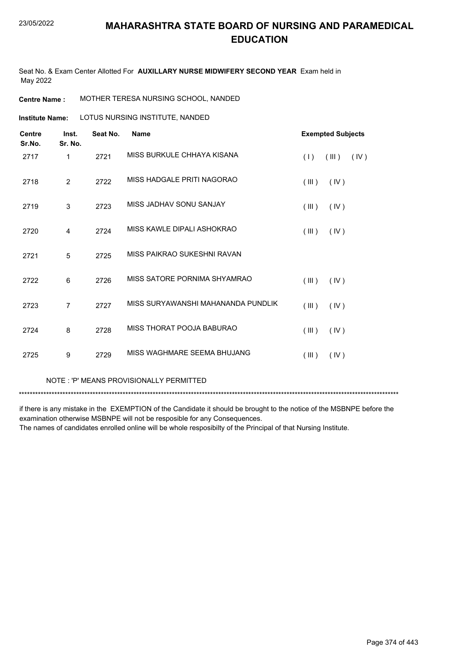Seat No. & Exam Center Allotted For **AUXILLARY NURSE MIDWIFERY SECOND YEAR** Exam held in May 2022

**Centre Name :** MOTHER TERESA NURSING SCHOOL, NANDED

**Institute Name: LOTUS NURSING INSTITUTE, NANDED** 

| <b>Centre</b>  | Inst.          | Seat No. | <b>Name</b>                        | <b>Exempted Subjects</b> |       |      |
|----------------|----------------|----------|------------------------------------|--------------------------|-------|------|
| Sr.No.<br>2717 | Sr. No.<br>1   | 2721     | MISS BURKULE CHHAYA KISANA         | (1)                      | (III) | (IV) |
| 2718           | 2              | 2722     | MISS HADGALE PRITI NAGORAO         | (III)                    | (IV)  |      |
| 2719           | 3              | 2723     | MISS JADHAV SONU SANJAY            | (III)                    | (IV)  |      |
| 2720           | 4              | 2724     | MISS KAWLE DIPALI ASHOKRAO         | (III)                    | (IV)  |      |
| 2721           | 5              | 2725     | MISS PAIKRAO SUKESHNI RAVAN        |                          |       |      |
| 2722           | 6              | 2726     | MISS SATORE PORNIMA SHYAMRAO       | (III)                    | (IV)  |      |
| 2723           | $\overline{7}$ | 2727     | MISS SURYAWANSHI MAHANANDA PUNDLIK | (III)                    | (IV)  |      |
| 2724           | 8              | 2728     | MISS THORAT POOJA BABURAO          | (III)                    | (IV)  |      |
| 2725           | 9              | 2729     | MISS WAGHMARE SEEMA BHUJANG        | (III)                    | (IV)  |      |
|                |                |          |                                    |                          |       |      |

NOTE : 'P' MEANS PROVISIONALLY PERMITTED

\*\*\*\*\*\*\*\*\*\*\*\*\*\*\*\*\*\*\*\*\*\*\*\*\*\*\*\*\*\*\*\*\*\*\*\*\*\*\*\*\*\*\*\*\*\*\*\*\*\*\*\*\*\*\*\*\*\*\*\*\*\*\*\*\*\*\*\*\*\*\*\*\*\*\*\*\*\*\*\*\*\*\*\*\*\*\*\*\*\*\*\*\*\*\*\*\*\*\*\*\*\*\*\*\*\*\*\*\*\*\*\*\*\*\*\*\*\*\*\*\*\*\*\*\*\*\*\*\*\*\*\*\*\*\*\*\*\*\*

if there is any mistake in the EXEMPTION of the Candidate it should be brought to the notice of the MSBNPE before the examination otherwise MSBNPE will not be resposible for any Consequences.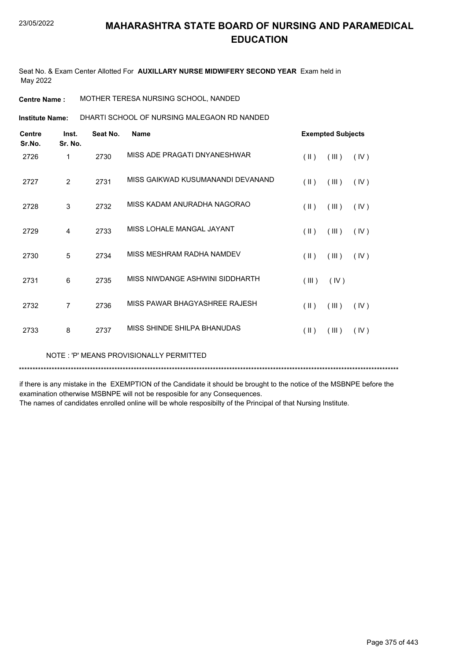Seat No. & Exam Center Allotted For **AUXILLARY NURSE MIDWIFERY SECOND YEAR** Exam held in May 2022

**Centre Name :** MOTHER TERESA NURSING SCHOOL, NANDED

DHARTI SCHOOL OF NURSING MALEGAON RD NANDED **Institute Name:**

| <b>Centre</b><br>Sr.No. | Inst.<br>Sr. No. | Seat No. | <b>Name</b>                       | <b>Exempted Subjects</b> |       |      |
|-------------------------|------------------|----------|-----------------------------------|--------------------------|-------|------|
| 2726                    | 1                | 2730     | MISS ADE PRAGATI DNYANESHWAR      | $(\parallel)$            | (III) | (IV) |
| 2727                    | $\overline{2}$   | 2731     | MISS GAIKWAD KUSUMANANDI DEVANAND | $(\parallel \parallel)$  | (III) | (IV) |
| 2728                    | 3                | 2732     | MISS KADAM ANURADHA NAGORAO       | $(\parallel \parallel)$  | (III) | (IV) |
| 2729                    | 4                | 2733     | MISS LOHALE MANGAL JAYANT         | $(\parallel)$            | (III) | (IV) |
| 2730                    | 5                | 2734     | MISS MESHRAM RADHA NAMDEV         | $(\parallel)$            | (III) | (IV) |
| 2731                    | 6                | 2735     | MISS NIWDANGE ASHWINI SIDDHARTH   | (III)                    | (IV)  |      |
| 2732                    | 7                | 2736     | MISS PAWAR BHAGYASHREE RAJESH     | $(\parallel \parallel)$  | (III) | (IV) |
| 2733                    | 8                | 2737     | MISS SHINDE SHILPA BHANUDAS       | $(\parallel)$            | (III) | (IV) |

NOTE : 'P' MEANS PROVISIONALLY PERMITTED

\*\*\*\*\*\*\*\*\*\*\*\*\*\*\*\*\*\*\*\*\*\*\*\*\*\*\*\*\*\*\*\*\*\*\*\*\*\*\*\*\*\*\*\*\*\*\*\*\*\*\*\*\*\*\*\*\*\*\*\*\*\*\*\*\*\*\*\*\*\*\*\*\*\*\*\*\*\*\*\*\*\*\*\*\*\*\*\*\*\*\*\*\*\*\*\*\*\*\*\*\*\*\*\*\*\*\*\*\*\*\*\*\*\*\*\*\*\*\*\*\*\*\*\*\*\*\*\*\*\*\*\*\*\*\*\*\*\*\*

if there is any mistake in the EXEMPTION of the Candidate it should be brought to the notice of the MSBNPE before the examination otherwise MSBNPE will not be resposible for any Consequences.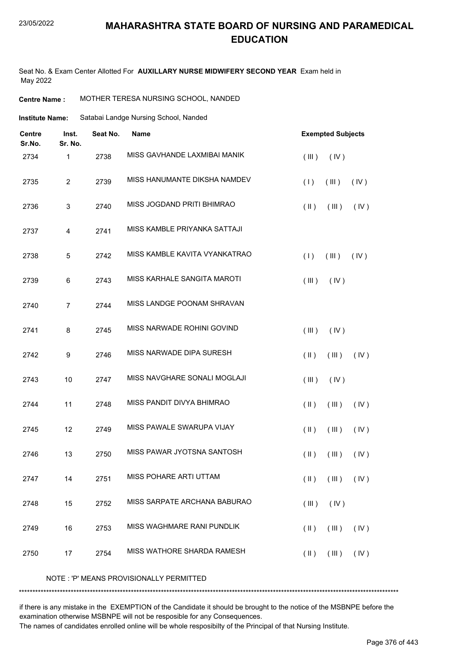#### 23/05/2022

#### **MAHARASHTRA STATE BOARD OF NURSING AND PARAMEDICAL EDUCATION**

Seat No. & Exam Center Allotted For **AUXILLARY NURSE MIDWIFERY SECOND YEAR** Exam held in May 2022

**Centre Name :** MOTHER TERESA NURSING SCHOOL, NANDED

| Institute Name: | Satabai Landge Nursing School, Nanded |
|-----------------|---------------------------------------|
|                 |                                       |

| Centre<br>Sr.No. | Inst.<br>Sr. No. | Seat No. | <b>Name</b>                   | <b>Exempted Subjects</b>                  |  |  |
|------------------|------------------|----------|-------------------------------|-------------------------------------------|--|--|
| 2734             | $\mathbf{1}$     | 2738     | MISS GAVHANDE LAXMIBAI MANIK  | (IV)<br>(III)                             |  |  |
| 2735             | $\overline{2}$   | 2739     | MISS HANUMANTE DIKSHA NAMDEV  | (1)<br>(III)<br>(IV)                      |  |  |
| 2736             | 3                | 2740     | MISS JOGDAND PRITI BHIMRAO    | $(\parallel)$<br>(III)<br>(IV)            |  |  |
| 2737             | 4                | 2741     | MISS KAMBLE PRIYANKA SATTAJI  |                                           |  |  |
| 2738             | 5                | 2742     | MISS KAMBLE KAVITA VYANKATRAO | (1)<br>(III)<br>(IV)                      |  |  |
| 2739             | 6                | 2743     | MISS KARHALE SANGITA MAROTI   | (III)<br>(IV)                             |  |  |
| 2740             | $\overline{7}$   | 2744     | MISS LANDGE POONAM SHRAVAN    |                                           |  |  |
| 2741             | 8                | 2745     | MISS NARWADE ROHINI GOVIND    | (III)<br>(IV)                             |  |  |
| 2742             | $\boldsymbol{9}$ | 2746     | MISS NARWADE DIPA SURESH      | (IV)<br>$(\parallel)$<br>(III)            |  |  |
| 2743             | 10               | 2747     | MISS NAVGHARE SONALI MOGLAJI  | (III)<br>(IV)                             |  |  |
| 2744             | 11               | 2748     | MISS PANDIT DIVYA BHIMRAO     | $(\parallel)$<br>(III)<br>(IV)            |  |  |
| 2745             | 12               | 2749     | MISS PAWALE SWARUPA VIJAY     | $(\parallel)$<br>(III)<br>(IV)            |  |  |
| 2746             | 13               | 2750     | MISS PAWAR JYOTSNA SANTOSH    | $(\parallel)$<br>(III)<br>(IV)            |  |  |
| 2747             | 14               | 2751     | MISS POHARE ARTI UTTAM        | $(\parallel)$ $(\parallel)$ $(\parallel)$ |  |  |
| 2748             | 15               | 2752     | MISS SARPATE ARCHANA BABURAO  | (IV)<br>(III)                             |  |  |
| 2749             | 16               | 2753     | MISS WAGHMARE RANI PUNDLIK    | (III)<br>$(\parallel)$<br>(IV)            |  |  |
| 2750             | 17               | 2754     | MISS WATHORE SHARDA RAMESH    | (III)<br>(IV)<br>$(\parallel)$            |  |  |
|                  |                  |          |                               |                                           |  |  |

NOTE : 'P' MEANS PROVISIONALLY PERMITTED

\*\*\*\*\*\*\*\*\*\*\*\*\*\*\*\*\*\*\*\*\*\*\*\*\*\*\*\*\*\*\*\*\*\*\*\*\*\*\*\*\*\*\*\*\*\*\*\*\*\*\*\*\*\*\*\*\*\*\*\*\*\*\*\*\*\*\*\*\*\*\*\*\*\*\*\*\*\*\*\*\*\*\*\*\*\*\*\*\*\*\*\*\*\*\*\*\*\*\*\*\*\*\*\*\*\*\*\*\*\*\*\*\*\*\*\*\*\*\*\*\*\*\*\*\*\*\*\*\*\*\*\*\*\*\*\*\*\*\*

if there is any mistake in the EXEMPTION of the Candidate it should be brought to the notice of the MSBNPE before the examination otherwise MSBNPE will not be resposible for any Consequences.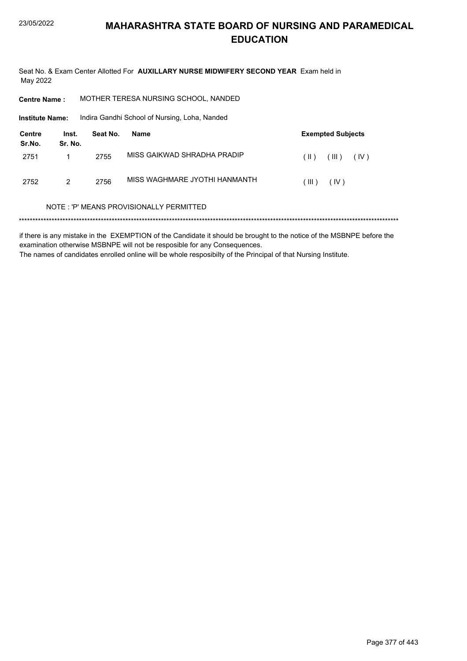Seat No. & Exam Center Allotted For **AUXILLARY NURSE MIDWIFERY SECOND YEAR** Exam held in May 2022

| <b>Centre Name :</b> | MOTHER TERESA NURSING SCHOOL, NANDED |  |
|----------------------|--------------------------------------|--|
|                      |                                      |  |

**Institute Name:** Indira Gandhi School of Nursing, Loha, Nanded

| Centre<br>Sr.No. | Inst.<br>Sr. No. | Seat No. | Name                          |         | <b>Exempted Subjects</b> |      |
|------------------|------------------|----------|-------------------------------|---------|--------------------------|------|
| 2751             |                  | 2755     | MISS GAIKWAD SHRADHA PRADIP   | $(\ )$  | (III)                    | (IV) |
| 2752             | 2                | 2756     | MISS WAGHMARE JYOTHI HANMANTH | ( III ) | (IV)                     |      |

#### NOTE : 'P' MEANS PROVISIONALLY PERMITTED

\*\*\*\*\*\*\*\*\*\*\*\*\*\*\*\*\*\*\*\*\*\*\*\*\*\*\*\*\*\*\*\*\*\*\*\*\*\*\*\*\*\*\*\*\*\*\*\*\*\*\*\*\*\*\*\*\*\*\*\*\*\*\*\*\*\*\*\*\*\*\*\*\*\*\*\*\*\*\*\*\*\*\*\*\*\*\*\*\*\*\*\*\*\*\*\*\*\*\*\*\*\*\*\*\*\*\*\*\*\*\*\*\*\*\*\*\*\*\*\*\*\*\*\*\*\*\*\*\*\*\*\*\*\*\*\*\*\*\*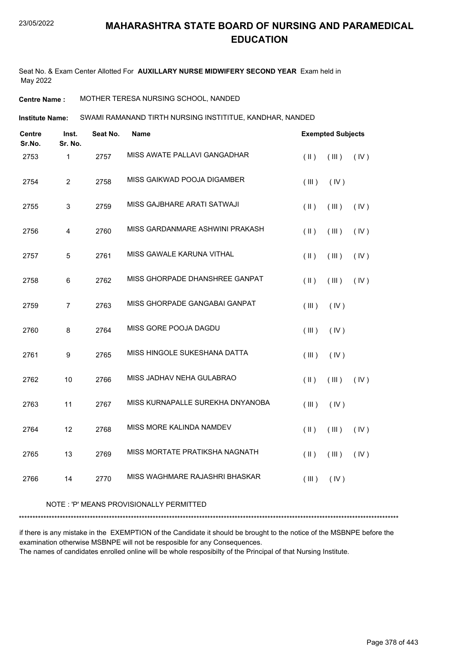Seat No. & Exam Center Allotted For **AUXILLARY NURSE MIDWIFERY SECOND YEAR** Exam held in May 2022

**Centre Name :** MOTHER TERESA NURSING SCHOOL, NANDED

SWAMI RAMANAND TIRTH NURSING INSTITITUE, KANDHAR, NANDED **Institute Name:**

| <b>Centre</b><br>Sr.No. | Inst.<br>Sr. No. | Seat No. | <b>Name</b>                      | <b>Exempted Subjects</b> |       |      |
|-------------------------|------------------|----------|----------------------------------|--------------------------|-------|------|
| 2753                    | 1                | 2757     | MISS AWATE PALLAVI GANGADHAR     | $($ II $)$               | (III) | (IV) |
| 2754                    | $\overline{2}$   | 2758     | MISS GAIKWAD POOJA DIGAMBER      | (III)                    | (IV)  |      |
| 2755                    | $\mathbf{3}$     | 2759     | MISS GAJBHARE ARATI SATWAJI      | $(\parallel)$            | (III) | (IV) |
| 2756                    | $\overline{4}$   | 2760     | MISS GARDANMARE ASHWINI PRAKASH  | $(\parallel)$            | (III) | (IV) |
| 2757                    | 5                | 2761     | MISS GAWALE KARUNA VITHAL        | $(\parallel)$            | (III) | (IV) |
| 2758                    | 6                | 2762     | MISS GHORPADE DHANSHREE GANPAT   | (  )                     | (III) | (IV) |
| 2759                    | $\overline{7}$   | 2763     | MISS GHORPADE GANGABAI GANPAT    | (III)                    | (IV)  |      |
| 2760                    | 8                | 2764     | MISS GORE POOJA DAGDU            | (III)                    | (IV)  |      |
| 2761                    | 9                | 2765     | MISS HINGOLE SUKESHANA DATTA     | (III)                    | (IV)  |      |
| 2762                    | 10               | 2766     | MISS JADHAV NEHA GULABRAO        | $(\parallel)$            | (III) | (IV) |
| 2763                    | 11               | 2767     | MISS KURNAPALLE SUREKHA DNYANOBA | (III)                    | (IV)  |      |
| 2764                    | 12               | 2768     | MISS MORE KALINDA NAMDEV         | (  )                     | (III) | (IV) |
| 2765                    | 13               | 2769     | MISS MORTATE PRATIKSHA NAGNATH   | $(\parallel)$            | (III) | (IV) |
| 2766                    | 14               | 2770     | MISS WAGHMARE RAJASHRI BHASKAR   | (III)                    | (IV)  |      |

#### NOTE : 'P' MEANS PROVISIONALLY PERMITTED

\*\*\*\*\*\*\*\*\*\*\*\*\*\*\*\*\*\*\*\*\*\*\*\*\*\*\*\*\*\*\*\*\*\*\*\*\*\*\*\*\*\*\*\*\*\*\*\*\*\*\*\*\*\*\*\*\*\*\*\*\*\*\*\*\*\*\*\*\*\*\*\*\*\*\*\*\*\*\*\*\*\*\*\*\*\*\*\*\*\*\*\*\*\*\*\*\*\*\*\*\*\*\*\*\*\*\*\*\*\*\*\*\*\*\*\*\*\*\*\*\*\*\*\*\*\*\*\*\*\*\*\*\*\*\*\*\*\*\*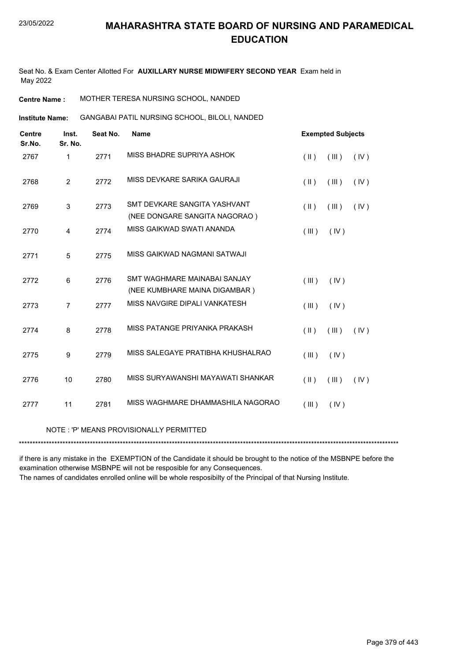Seat No. & Exam Center Allotted For **AUXILLARY NURSE MIDWIFERY SECOND YEAR** Exam held in May 2022

**Centre Name :** MOTHER TERESA NURSING SCHOOL, NANDED

GANGABAI PATIL NURSING SCHOOL, BILOLI, NANDED **Institute Name:**

| <b>Centre</b><br>Sr.No. | Inst.<br>Sr. No. | Seat No. | <b>Name</b>                       | <b>Exempted Subjects</b>       |
|-------------------------|------------------|----------|-----------------------------------|--------------------------------|
| 2767                    | 1                | 2771     | MISS BHADRE SUPRIYA ASHOK         | $(\parallel)$<br>(III)<br>(IV) |
| 2768                    | $\overline{2}$   | 2772     | MISS DEVKARE SARIKA GAURAJI       | $(\parallel)$<br>(III)<br>(IV) |
| 2769                    | 3                | 2773     | SMT DEVKARE SANGITA YASHVANT      | (III)<br>$($ II $)$<br>(IV)    |
|                         |                  |          | (NEE DONGARE SANGITA NAGORAO)     |                                |
| 2770                    | 4                | 2774     | MISS GAIKWAD SWATI ANANDA         | (III)<br>(IV)                  |
| 2771                    | 5                | 2775     | MISS GAIKWAD NAGMANI SATWAJI      |                                |
| 2772                    | 6                | 2776     | SMT WAGHMARE MAINABAI SANJAY      | (III)<br>(IV)                  |
|                         |                  |          | (NEE KUMBHARE MAINA DIGAMBAR)     |                                |
| 2773                    | $\overline{7}$   | 2777     | MISS NAVGIRE DIPALI VANKATESH     | (III)<br>(IV)                  |
| 2774                    | 8                | 2778     | MISS PATANGE PRIYANKA PRAKASH     | $(\parallel)$<br>(III)<br>(IV) |
| 2775                    | 9                | 2779     | MISS SALEGAYE PRATIBHA KHUSHALRAO | (IV)<br>(III)                  |
| 2776                    | 10               | 2780     | MISS SURYAWANSHI MAYAWATI SHANKAR | (III)<br>$($ II $)$<br>(IV)    |
| 2777                    | 11               | 2781     | MISS WAGHMARE DHAMMASHILA NAGORAO | (III)<br>(IV)                  |
|                         |                  |          |                                   |                                |

#### NOTE : 'P' MEANS PROVISIONALLY PERMITTED

\*\*\*\*\*\*\*\*\*\*\*\*\*\*\*\*\*\*\*\*\*\*\*\*\*\*\*\*\*\*\*\*\*\*\*\*\*\*\*\*\*\*\*\*\*\*\*\*\*\*\*\*\*\*\*\*\*\*\*\*\*\*\*\*\*\*\*\*\*\*\*\*\*\*\*\*\*\*\*\*\*\*\*\*\*\*\*\*\*\*\*\*\*\*\*\*\*\*\*\*\*\*\*\*\*\*\*\*\*\*\*\*\*\*\*\*\*\*\*\*\*\*\*\*\*\*\*\*\*\*\*\*\*\*\*\*\*\*\*

if there is any mistake in the EXEMPTION of the Candidate it should be brought to the notice of the MSBNPE before the examination otherwise MSBNPE will not be resposible for any Consequences.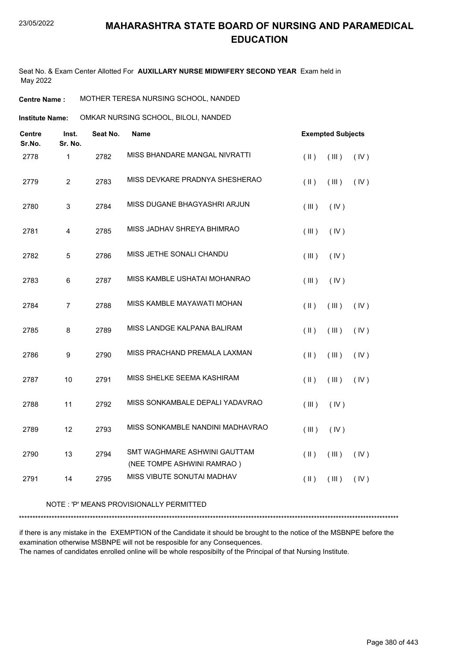Seat No. & Exam Center Allotted For **AUXILLARY NURSE MIDWIFERY SECOND YEAR** Exam held in May 2022

**Centre Name :** MOTHER TERESA NURSING SCHOOL, NANDED

**Institute Name: COMKAR NURSING SCHOOL, BILOLI, NANDED** 

| <b>Centre</b><br>Sr.No. | Inst.<br>Sr. No.        | Seat No. | <b>Name</b>                                                | <b>Exempted Subjects</b> |             |      |
|-------------------------|-------------------------|----------|------------------------------------------------------------|--------------------------|-------------|------|
| 2778                    | $\mathbf{1}$            | 2782     | MISS BHANDARE MANGAL NIVRATTI                              | $($ II $)$               | (III)       | (IV) |
| 2779                    | $\overline{2}$          | 2783     | MISS DEVKARE PRADNYA SHESHERAO                             | $(\parallel)$            | $($ III $)$ | (IV) |
| 2780                    | 3                       | 2784     | MISS DUGANE BHAGYASHRI ARJUN                               | (III)                    | (IV)        |      |
| 2781                    | $\overline{\mathbf{4}}$ | 2785     | MISS JADHAV SHREYA BHIMRAO                                 | (III)                    | (IV)        |      |
| 2782                    | 5                       | 2786     | MISS JETHE SONALI CHANDU                                   | (III)                    | (IV)        |      |
| 2783                    | $\,6$                   | 2787     | MISS KAMBLE USHATAI MOHANRAO                               | (III)                    | (IV)        |      |
| 2784                    | $\overline{7}$          | 2788     | MISS KAMBLE MAYAWATI MOHAN                                 | $($ II $)$               | (III)       | (IV) |
| 2785                    | 8                       | 2789     | MISS LANDGE KALPANA BALIRAM                                | $($ II $)$               | $($ III $)$ | (IV) |
| 2786                    | $\boldsymbol{9}$        | 2790     | MISS PRACHAND PREMALA LAXMAN                               | $($ II $)$               | (III)       | (IV) |
| 2787                    | 10                      | 2791     | MISS SHELKE SEEMA KASHIRAM                                 | $($ II $)$               | (III)       | (IV) |
| 2788                    | 11                      | 2792     | MISS SONKAMBALE DEPALI YADAVRAO                            | (III)                    | (IV)        |      |
| 2789                    | 12                      | 2793     | MISS SONKAMBLE NANDINI MADHAVRAO                           | (III)                    | (IV)        |      |
| 2790                    | 13                      | 2794     | SMT WAGHMARE ASHWINI GAUTTAM<br>(NEE TOMPE ASHWINI RAMRAO) | $($ II $)$               | (III)       | (IV) |
| 2791                    | 14                      | 2795     | MISS VIBUTE SONUTAI MADHAV                                 | $($ II $)$               | (III)       | (IV) |

#### NOTE : 'P' MEANS PROVISIONALLY PERMITTED

\*\*\*\*\*\*\*\*\*\*\*\*\*\*\*\*\*\*\*\*\*\*\*\*\*\*\*\*\*\*\*\*\*\*\*\*\*\*\*\*\*\*\*\*\*\*\*\*\*\*\*\*\*\*\*\*\*\*\*\*\*\*\*\*\*\*\*\*\*\*\*\*\*\*\*\*\*\*\*\*\*\*\*\*\*\*\*\*\*\*\*\*\*\*\*\*\*\*\*\*\*\*\*\*\*\*\*\*\*\*\*\*\*\*\*\*\*\*\*\*\*\*\*\*\*\*\*\*\*\*\*\*\*\*\*\*\*\*\*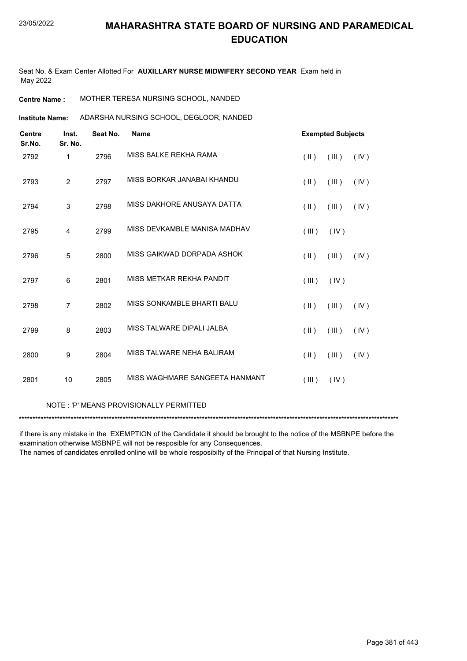Seat No. & Exam Center Allotted For **AUXILLARY NURSE MIDWIFERY SECOND YEAR** Exam held in May 2022

**Centre Name :** MOTHER TERESA NURSING SCHOOL, NANDED

ADARSHA NURSING SCHOOL, DEGLOOR, NANDED **Institute Name:**

| <b>Centre</b><br>Sr.No. | Inst.<br>Sr. No. | Seat No. | <b>Name</b>                    |                         | <b>Exempted Subjects</b> |      |
|-------------------------|------------------|----------|--------------------------------|-------------------------|--------------------------|------|
| 2792                    | 1                | 2796     | MISS BALKE REKHA RAMA          | $(\parallel \parallel)$ | (III)                    | (IV) |
| 2793                    | $\overline{2}$   | 2797     | MISS BORKAR JANABAI KHANDU     | $($ II $)$              | (III)                    | (IV) |
| 2794                    | 3                | 2798     | MISS DAKHORE ANUSAYA DATTA     | $(\parallel)$           | (III)                    | (IV) |
| 2795                    | $\overline{4}$   | 2799     | MISS DEVKAMBLE MANISA MADHAV   | (III)                   | (IV)                     |      |
| 2796                    | 5                | 2800     | MISS GAIKWAD DORPADA ASHOK     | $(\parallel)$           | (III)                    | (IV) |
| 2797                    | 6                | 2801     | MISS METKAR REKHA PANDIT       | (III)                   | (IV)                     |      |
| 2798                    | $\overline{7}$   | 2802     | MISS SONKAMBLE BHARTI BALU     | $(\parallel)$           | (III)                    | (IV) |
| 2799                    | 8                | 2803     | MISS TALWARE DIPALI JALBA      | $(\parallel)$           | (III)                    | (IV) |
| 2800                    | 9                | 2804     | MISS TALWARE NEHA BALIRAM      | $(\parallel)$           | (III)                    | (IV) |
| 2801                    | 10               | 2805     | MISS WAGHMARE SANGEETA HANMANT | (III)                   | (IV)                     |      |

#### NOTE : 'P' MEANS PROVISIONALLY PERMITTED

\*\*\*\*\*\*\*\*\*\*\*\*\*\*\*\*\*\*\*\*\*\*\*\*\*\*\*\*\*\*\*\*\*\*\*\*\*\*\*\*\*\*\*\*\*\*\*\*\*\*\*\*\*\*\*\*\*\*\*\*\*\*\*\*\*\*\*\*\*\*\*\*\*\*\*\*\*\*\*\*\*\*\*\*\*\*\*\*\*\*\*\*\*\*\*\*\*\*\*\*\*\*\*\*\*\*\*\*\*\*\*\*\*\*\*\*\*\*\*\*\*\*\*\*\*\*\*\*\*\*\*\*\*\*\*\*\*\*\*

if there is any mistake in the EXEMPTION of the Candidate it should be brought to the notice of the MSBNPE before the examination otherwise MSBNPE will not be resposible for any Consequences.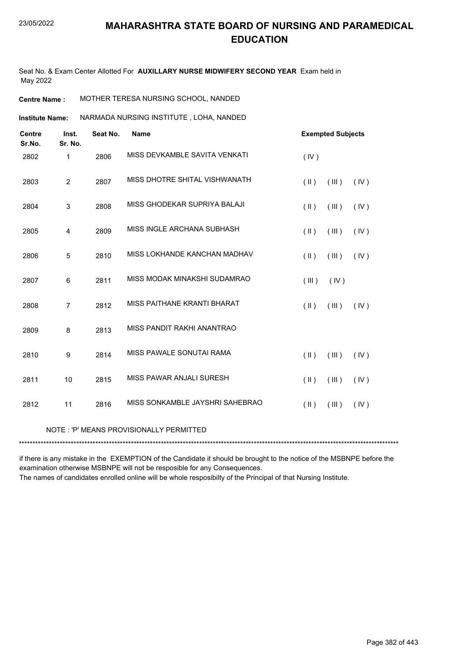Seat No. & Exam Center Allotted For **AUXILLARY NURSE MIDWIFERY SECOND YEAR** Exam held in May 2022

**Centre Name :** MOTHER TERESA NURSING SCHOOL, NANDED

NARMADA NURSING INSTITUTE , LOHA, NANDED **Institute Name:**

| <b>Centre</b><br>Sr.No.                 | Inst.<br>Sr. No. | Seat No. | <b>Name</b>                     | <b>Exempted Subjects</b>       |  |  |
|-----------------------------------------|------------------|----------|---------------------------------|--------------------------------|--|--|
| 2802                                    | 1                | 2806     | MISS DEVKAMBLE SAVITA VENKATI   | (IV)                           |  |  |
| 2803                                    | $\overline{2}$   | 2807     | MISS DHOTRE SHITAL VISHWANATH   | (III)<br>$(\parallel)$<br>(IV) |  |  |
| 2804                                    | 3                | 2808     | MISS GHODEKAR SUPRIYA BALAJI    | $(\parallel)$<br>(III)<br>(IV) |  |  |
| 2805                                    | 4                | 2809     | MISS INGLE ARCHANA SUBHASH      | (11)<br>(III)<br>(IV)          |  |  |
| 2806                                    | 5                | 2810     | MISS LOKHANDE KANCHAN MADHAV    | $(\parallel)$<br>(III)<br>(IV) |  |  |
| 2807                                    | 6                | 2811     | MISS MODAK MINAKSHI SUDAMRAO    | (III)<br>(IV)                  |  |  |
| 2808                                    | $\overline{7}$   | 2812     | MISS PAITHANE KRANTI BHARAT     | $(\parallel)$<br>(III)<br>(IV) |  |  |
| 2809                                    | 8                | 2813     | MISS PANDIT RAKHI ANANTRAO      |                                |  |  |
| 2810                                    | 9                | 2814     | MISS PAWALE SONUTAI RAMA        | (11)<br>(III)<br>(IV)          |  |  |
| 2811                                    | 10               | 2815     | MISS PAWAR ANJALI SURESH        | $(\parallel)$<br>(III)<br>(IV) |  |  |
| 2812                                    | 11               | 2816     | MISS SONKAMBLE JAYSHRI SAHEBRAO | $(\parallel)$<br>(III)<br>(IV) |  |  |
| NOTE: 'P' MEANS PROVISIONALLY PERMITTED |                  |          |                                 |                                |  |  |

if there is any mistake in the EXEMPTION of the Candidate it should be brought to the notice of the MSBNPE before the examination otherwise MSBNPE will not be resposible for any Consequences.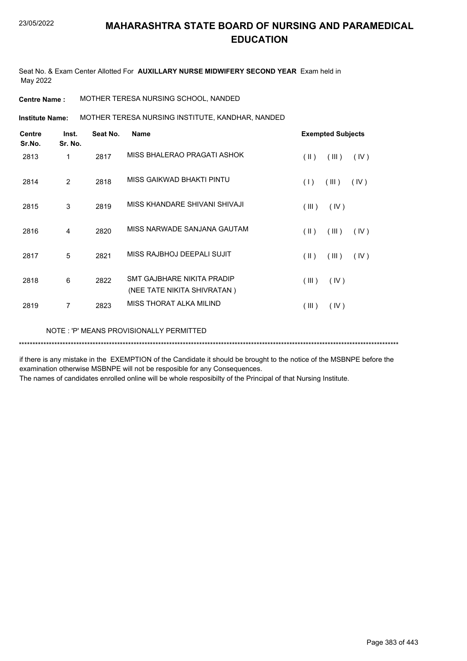Seat No. & Exam Center Allotted For **AUXILLARY NURSE MIDWIFERY SECOND YEAR** Exam held in May 2022

**Centre Name :** MOTHER TERESA NURSING SCHOOL, NANDED

MOTHER TERESA NURSING INSTITUTE, KANDHAR, NANDED **Institute Name:**

| <b>Centre</b><br>Sr.No. | Inst.<br>Sr. No. | Seat No. | <b>Name</b>                                               |               | <b>Exempted Subjects</b> |      |
|-------------------------|------------------|----------|-----------------------------------------------------------|---------------|--------------------------|------|
| 2813                    | 1                | 2817     | MISS BHALERAO PRAGATI ASHOK                               | $(\parallel)$ | (III)                    | (IV) |
| 2814                    | 2                | 2818     | MISS GAIKWAD BHAKTI PINTU                                 | (1)           | (III)                    | (IV) |
| 2815                    | 3                | 2819     | MISS KHANDARE SHIVANI SHIVAJI                             | (III)         | (IV)                     |      |
| 2816                    | 4                | 2820     | MISS NARWADE SANJANA GAUTAM                               | $(\parallel)$ | (III)                    | (IV) |
| 2817                    | 5                | 2821     | MISS RAJBHOJ DEEPALI SUJIT                                | $(\parallel)$ | (III)                    | (IV) |
| 2818                    | 6                | 2822     | SMT GAJBHARE NIKITA PRADIP<br>(NEE TATE NIKITA SHIVRATAN) | (III)         | (IV)                     |      |
| 2819                    | $\overline{7}$   | 2823     | MISS THORAT ALKA MILIND                                   | (III)         | (IV)                     |      |

NOTE : 'P' MEANS PROVISIONALLY PERMITTED

\*\*\*\*\*\*\*\*\*\*\*\*\*\*\*\*\*\*\*\*\*\*\*\*\*\*\*\*\*\*\*\*\*\*\*\*\*\*\*\*\*\*\*\*\*\*\*\*\*\*\*\*\*\*\*\*\*\*\*\*\*\*\*\*\*\*\*\*\*\*\*\*\*\*\*\*\*\*\*\*\*\*\*\*\*\*\*\*\*\*\*\*\*\*\*\*\*\*\*\*\*\*\*\*\*\*\*\*\*\*\*\*\*\*\*\*\*\*\*\*\*\*\*\*\*\*\*\*\*\*\*\*\*\*\*\*\*\*\*

if there is any mistake in the EXEMPTION of the Candidate it should be brought to the notice of the MSBNPE before the examination otherwise MSBNPE will not be resposible for any Consequences.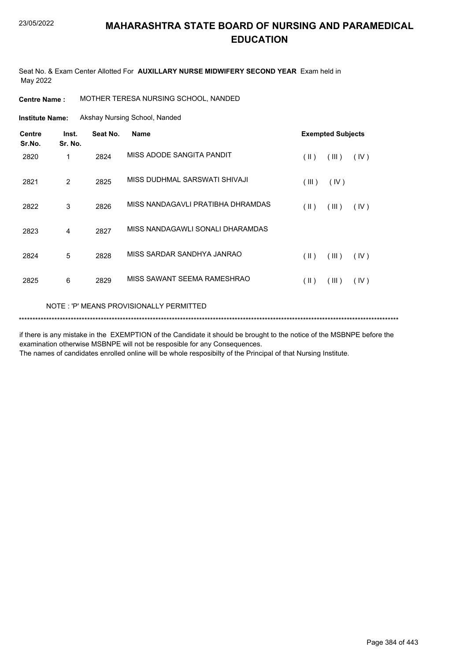Seat No. & Exam Center Allotted For **AUXILLARY NURSE MIDWIFERY SECOND YEAR** Exam held in May 2022

**Centre Name :** MOTHER TERESA NURSING SCHOOL, NANDED

Akshay Nursing School, Nanded **Institute Name:**

| <b>Centre</b><br>Sr.No.                  | Inst.<br>Sr. No. | Seat No. | <b>Name</b>                       |               | <b>Exempted Subjects</b> |      |  |
|------------------------------------------|------------------|----------|-----------------------------------|---------------|--------------------------|------|--|
| 2820                                     | 1                | 2824     | MISS ADODE SANGITA PANDIT         | $(\parallel)$ | (III)                    | (IV) |  |
| 2821                                     | 2                | 2825     | MISS DUDHMAL SARSWATI SHIVAJI     | (III)         | (IV)                     |      |  |
| 2822                                     | 3                | 2826     | MISS NANDAGAVLI PRATIBHA DHRAMDAS | $(\parallel)$ | (III)                    | (IV) |  |
| 2823                                     | 4                | 2827     | MISS NANDAGAWLI SONALI DHARAMDAS  |               |                          |      |  |
| 2824                                     | 5                | 2828     | MISS SARDAR SANDHYA JANRAO        | $(\parallel)$ | (III)                    | (IV) |  |
| 2825                                     | 6                | 2829     | MISS SAWANT SEEMA RAMESHRAO       | $(\parallel)$ | (III)                    | (IV) |  |
| NOTE : 'P' MEANS PROVISIONALLY PERMITTED |                  |          |                                   |               |                          |      |  |

\*\*\*\*\*\*\*\*\*\*\*\*\*\*\*\*\*\*\*\*\*\*\*\*\*\*\*\*\*\*\*\*\*\*\*\*\*\*\*\*\*\*\*\*\*\*\*\*\*\*\*\*\*\*\*\*\*\*\*\*\*\*\*\*\*\*\*\*\*\*\*\*\*\*\*\*\*\*\*\*\*\*\*\*\*\*\*\*\*\*\*\*\*\*\*\*\*\*\*\*\*\*\*\*\*\*\*\*\*\*\*\*\*\*\*\*\*\*\*\*\*\*\*\*\*\*\*\*\*\*\*\*\*\*\*\*\*\*\*

if there is any mistake in the EXEMPTION of the Candidate it should be brought to the notice of the MSBNPE before the examination otherwise MSBNPE will not be resposible for any Consequences.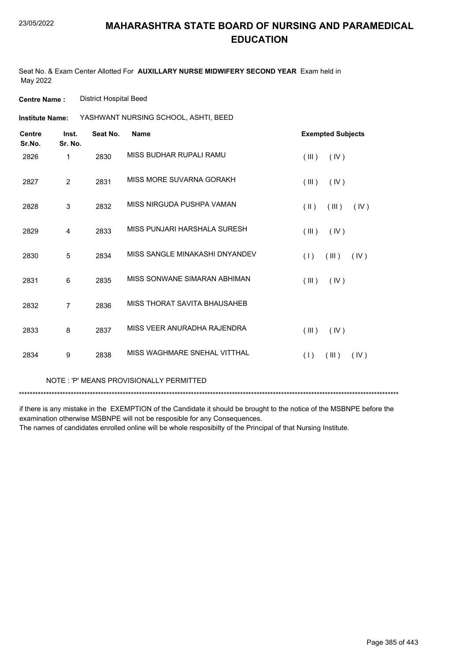Seat No. & Exam Center Allotted For **AUXILLARY NURSE MIDWIFERY SECOND YEAR** Exam held in May 2022

**Centre Name :** District Hospital Beed

| Institute Name: | YASHWANT NURSING SCHOOL, ASHTI, BEED |  |
|-----------------|--------------------------------------|--|
|                 |                                      |  |

| <b>Centre</b><br>Sr.No. | Inst.<br>Sr. No. | Seat No. | <b>Name</b>                    | <b>Exempted Subjects</b>                 |
|-------------------------|------------------|----------|--------------------------------|------------------------------------------|
| 2826                    | 1                | 2830     | MISS BUDHAR RUPALI RAMU        | (III)<br>(IV)                            |
| 2827                    | 2                | 2831     | MISS MORE SUVARNA GORAKH       | (III)<br>(IV)                            |
| 2828                    | $\mathsf 3$      | 2832     | MISS NIRGUDA PUSHPA VAMAN      | $(\parallel \parallel)$<br>(III)<br>(IV) |
| 2829                    | 4                | 2833     | MISS PUNJARI HARSHALA SURESH   | (III)<br>(IV)                            |
| 2830                    | 5                | 2834     | MISS SANGLE MINAKASHI DNYANDEV | (1)<br>(III)<br>(IV)                     |
| 2831                    | 6                | 2835     | MISS SONWANE SIMARAN ABHIMAN   | (III)<br>(IV)                            |
| 2832                    | $\overline{7}$   | 2836     | MISS THORAT SAVITA BHAUSAHEB   |                                          |
| 2833                    | 8                | 2837     | MISS VEER ANURADHA RAJENDRA    | (III)<br>(IV)                            |
| 2834                    | 9                | 2838     | MISS WAGHMARE SNEHAL VITTHAL   | (1)<br>(III)<br>(IV)                     |
|                         |                  |          |                                |                                          |

NOTE : 'P' MEANS PROVISIONALLY PERMITTED

\*\*\*\*\*\*\*\*\*\*\*\*\*\*\*\*\*\*\*\*\*\*\*\*\*\*\*\*\*\*\*\*\*\*\*\*\*\*\*\*\*\*\*\*\*\*\*\*\*\*\*\*\*\*\*\*\*\*\*\*\*\*\*\*\*\*\*\*\*\*\*\*\*\*\*\*\*\*\*\*\*\*\*\*\*\*\*\*\*\*\*\*\*\*\*\*\*\*\*\*\*\*\*\*\*\*\*\*\*\*\*\*\*\*\*\*\*\*\*\*\*\*\*\*\*\*\*\*\*\*\*\*\*\*\*\*\*\*\*

if there is any mistake in the EXEMPTION of the Candidate it should be brought to the notice of the MSBNPE before the examination otherwise MSBNPE will not be resposible for any Consequences.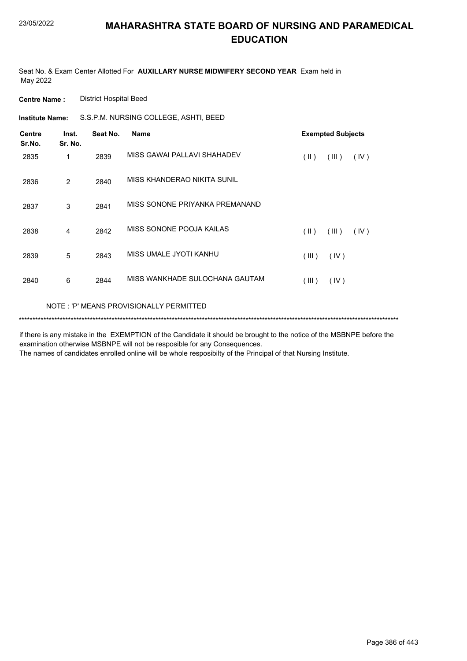Seat No. & Exam Center Allotted For **AUXILLARY NURSE MIDWIFERY SECOND YEAR** Exam held in May 2022

**Centre Name :** District Hospital Beed

**Institute Name:** S.S.P.M. NURSING COLLEGE, ASHTI, BEED

| <b>Centre</b><br>Sr.No. | Inst.<br>Sr. No. | Seat No. | <b>Name</b>                              |               | <b>Exempted Subjects</b> |      |  |
|-------------------------|------------------|----------|------------------------------------------|---------------|--------------------------|------|--|
| 2835                    | 1                | 2839     | MISS GAWAI PALLAVI SHAHADEV              | $(\parallel)$ | (III)                    | (IV) |  |
| 2836                    | 2                | 2840     | MISS KHANDERAO NIKITA SUNIL              |               |                          |      |  |
| 2837                    | 3                | 2841     | MISS SONONE PRIYANKA PREMANAND           |               |                          |      |  |
| 2838                    | 4                | 2842     | MISS SONONE POOJA KAILAS                 | $(\parallel)$ | (III)                    | (IV) |  |
| 2839                    | 5                | 2843     | MISS UMALE JYOTI KANHU                   | (III)         | (IV)                     |      |  |
| 2840                    | 6                | 2844     | MISS WANKHADE SULOCHANA GAUTAM           | (III)         | (IV)                     |      |  |
|                         |                  |          | NOTE : 'P' MEANS PROVISIONALLY PERMITTED |               |                          |      |  |

\*\*\*\*\*\*\*\*\*\*\*\*\*\*\*\*\*\*\*\*\*\*\*\*\*\*\*\*\*\*\*\*\*\*\*\*\*\*\*\*\*\*\*\*\*\*\*\*\*\*\*\*\*\*\*\*\*\*\*\*\*\*\*\*\*\*\*\*\*\*\*\*\*\*\*\*\*\*\*\*\*\*\*\*\*\*\*\*\*\*\*\*\*\*\*\*\*\*\*\*\*\*\*\*\*\*\*\*\*\*\*\*\*\*\*\*\*\*\*\*\*\*\*\*\*\*\*\*\*\*\*\*\*\*\*\*\*\*\*

if there is any mistake in the EXEMPTION of the Candidate it should be brought to the notice of the MSBNPE before the examination otherwise MSBNPE will not be resposible for any Consequences.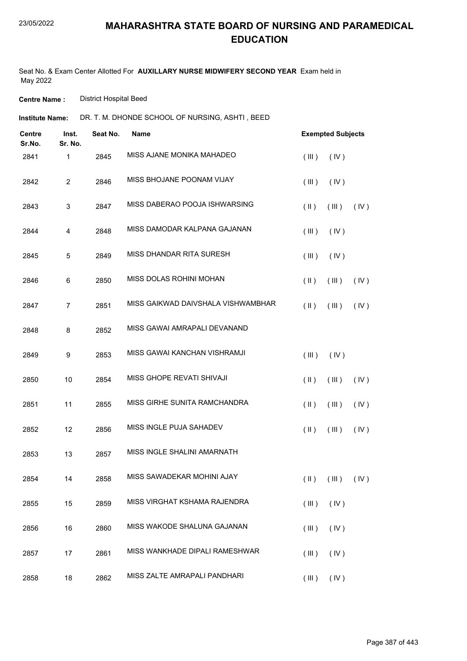Seat No. & Exam Center Allotted For **AUXILLARY NURSE MIDWIFERY SECOND YEAR** Exam held in May 2022

**Centre Name :** District Hospital Beed

**Institute Name:** DR. T. M. DHONDE SCHOOL OF NURSING, ASHTI , BEED

| <b>Centre</b><br>Sr.No. | Inst.<br>Sr. No. | Seat No. | <b>Name</b>                        |               | <b>Exempted Subjects</b>                  |      |
|-------------------------|------------------|----------|------------------------------------|---------------|-------------------------------------------|------|
| 2841                    | 1                | 2845     | MISS AJANE MONIKA MAHADEO          | (III)         | (IV)                                      |      |
| 2842                    | $\overline{2}$   | 2846     | MISS BHOJANE POONAM VIJAY          | (III)         | (IV)                                      |      |
| 2843                    | 3                | 2847     | MISS DABERAO POOJA ISHWARSING      | $(\parallel)$ | (III)                                     | (IV) |
| 2844                    | 4                | 2848     | MISS DAMODAR KALPANA GAJANAN       | (III)         | (IV)                                      |      |
| 2845                    | 5                | 2849     | MISS DHANDAR RITA SURESH           | (III)         | (IV)                                      |      |
| 2846                    | 6                | 2850     | MISS DOLAS ROHINI MOHAN            | $(\parallel)$ | (III)                                     | (IV) |
| 2847                    | $\overline{7}$   | 2851     | MISS GAIKWAD DAIVSHALA VISHWAMBHAR | $($ II $)$    | (III)                                     | (IV) |
| 2848                    | 8                | 2852     | MISS GAWAI AMRAPALI DEVANAND       |               |                                           |      |
| 2849                    | 9                | 2853     | MISS GAWAI KANCHAN VISHRAMJI       | (III)         | (IV)                                      |      |
| 2850                    | 10               | 2854     | MISS GHOPE REVATI SHIVAJI          | $(\parallel)$ | (III)                                     | (IV) |
| 2851                    | 11               | 2855     | MISS GIRHE SUNITA RAMCHANDRA       | $(\parallel)$ | (III)                                     | (IV) |
| 2852                    | 12               | 2856     | MISS INGLE PUJA SAHADEV            | $(\parallel)$ | (III)                                     | (IV) |
| 2853                    | 13               | 2857     | MISS INGLE SHALINI AMARNATH        |               |                                           |      |
| 2854                    | 14               | 2858     | MISS SAWADEKAR MOHINI AJAY         |               | $(\parallel)$ $(\parallel)$ $(\parallel)$ |      |
| 2855                    | 15               | 2859     | MISS VIRGHAT KSHAMA RAJENDRA       | (III)         | (IV)                                      |      |
| 2856                    | 16               | 2860     | MISS WAKODE SHALUNA GAJANAN        | (III)         | (IV)                                      |      |
| 2857                    | 17               | 2861     | MISS WANKHADE DIPALI RAMESHWAR     | (III)         | (IV)                                      |      |
| 2858                    | 18               | 2862     | MISS ZALTE AMRAPALI PANDHARI       | (III)         | (IV)                                      |      |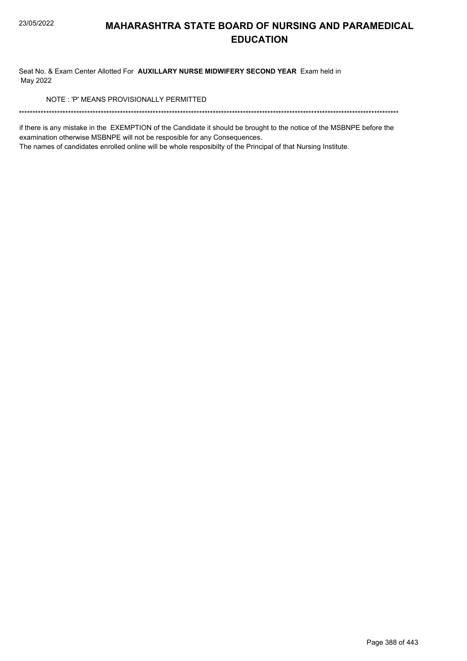Seat No. & Exam Center Allotted For **AUXILLARY NURSE MIDWIFERY SECOND YEAR** Exam held in May 2022

NOTE : 'P' MEANS PROVISIONALLY PERMITTED

\*\*\*\*\*\*\*\*\*\*\*\*\*\*\*\*\*\*\*\*\*\*\*\*\*\*\*\*\*\*\*\*\*\*\*\*\*\*\*\*\*\*\*\*\*\*\*\*\*\*\*\*\*\*\*\*\*\*\*\*\*\*\*\*\*\*\*\*\*\*\*\*\*\*\*\*\*\*\*\*\*\*\*\*\*\*\*\*\*\*\*\*\*\*\*\*\*\*\*\*\*\*\*\*\*\*\*\*\*\*\*\*\*\*\*\*\*\*\*\*\*\*\*\*\*\*\*\*\*\*\*\*\*\*\*\*\*\*\*

if there is any mistake in the EXEMPTION of the Candidate it should be brought to the notice of the MSBNPE before the examination otherwise MSBNPE will not be resposible for any Consequences.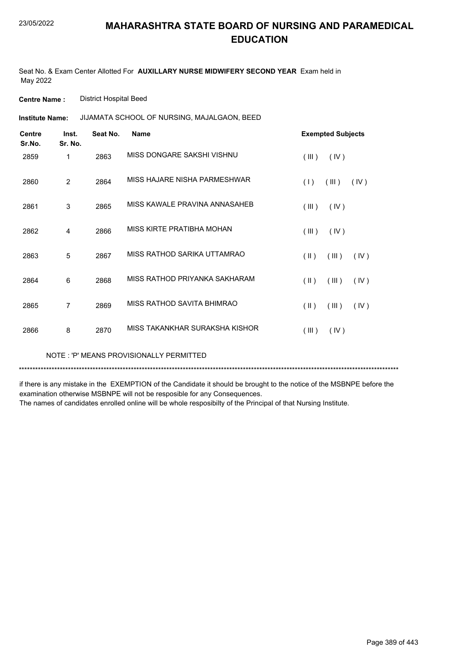Seat No. & Exam Center Allotted For **AUXILLARY NURSE MIDWIFERY SECOND YEAR** Exam held in May 2022

**Centre Name :** District Hospital Beed

JIJAMATA SCHOOL OF NURSING, MAJALGAON, BEED **Institute Name:**

| <b>Centre</b><br>Sr.No. | Inst.<br>Sr. No. | Seat No. | <b>Name</b>                    | <b>Exempted Subjects</b>                 |
|-------------------------|------------------|----------|--------------------------------|------------------------------------------|
| 2859                    | 1                | 2863     | MISS DONGARE SAKSHI VISHNU     | (III)<br>(IV)                            |
| 2860                    | $\overline{2}$   | 2864     | MISS HAJARE NISHA PARMESHWAR   | (1)<br>(III)<br>(IV)                     |
| 2861                    | 3                | 2865     | MISS KAWALE PRAVINA ANNASAHEB  | (III)<br>(IV)                            |
| 2862                    | 4                | 2866     | MISS KIRTE PRATIBHA MOHAN      | (III)<br>(IV)                            |
| 2863                    | 5                | 2867     | MISS RATHOD SARIKA UTTAMRAO    | (III)<br>$(\parallel \parallel)$<br>(IV) |
| 2864                    | 6                | 2868     | MISS RATHOD PRIYANKA SAKHARAM  | $($ II $)$<br>(III)<br>(IV)              |
| 2865                    | 7                | 2869     | MISS RATHOD SAVITA BHIMRAO     | $(\parallel \parallel)$<br>(III)<br>(IV) |
| 2866                    | 8                | 2870     | MISS TAKANKHAR SURAKSHA KISHOR | (III)<br>(IV)                            |

NOTE : 'P' MEANS PROVISIONALLY PERMITTED

\*\*\*\*\*\*\*\*\*\*\*\*\*\*\*\*\*\*\*\*\*\*\*\*\*\*\*\*\*\*\*\*\*\*\*\*\*\*\*\*\*\*\*\*\*\*\*\*\*\*\*\*\*\*\*\*\*\*\*\*\*\*\*\*\*\*\*\*\*\*\*\*\*\*\*\*\*\*\*\*\*\*\*\*\*\*\*\*\*\*\*\*\*\*\*\*\*\*\*\*\*\*\*\*\*\*\*\*\*\*\*\*\*\*\*\*\*\*\*\*\*\*\*\*\*\*\*\*\*\*\*\*\*\*\*\*\*\*\*

if there is any mistake in the EXEMPTION of the Candidate it should be brought to the notice of the MSBNPE before the examination otherwise MSBNPE will not be resposible for any Consequences.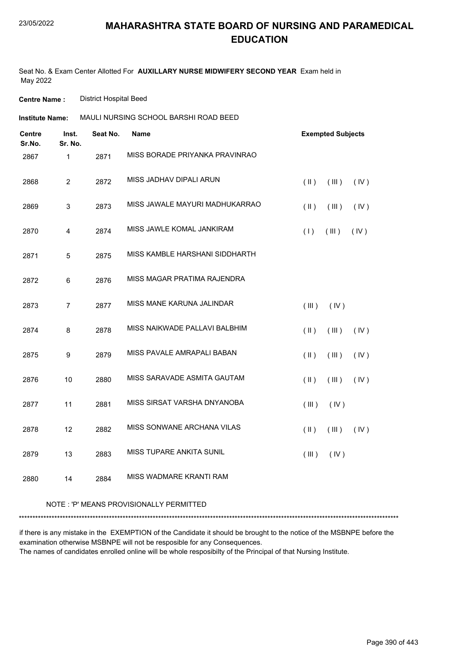Seat No. & Exam Center Allotted For **AUXILLARY NURSE MIDWIFERY SECOND YEAR** Exam held in May 2022

**Centre Name :** District Hospital Beed

| <b>Institute Name:</b>  |                  |          | MAULI NURSING SCHOOL BARSHI ROAD BEED |               |                          |      |
|-------------------------|------------------|----------|---------------------------------------|---------------|--------------------------|------|
| <b>Centre</b><br>Sr.No. | Inst.<br>Sr. No. | Seat No. | <b>Name</b>                           |               | <b>Exempted Subjects</b> |      |
| 2867                    | $\mathbf{1}$     | 2871     | MISS BORADE PRIYANKA PRAVINRAO        |               |                          |      |
| 2868                    | $\overline{2}$   | 2872     | MISS JADHAV DIPALI ARUN               | $($ II $)$    | (III)                    | (IV) |
| 2869                    | 3                | 2873     | MISS JAWALE MAYURI MADHUKARRAO        | $($ II $)$    | (III)                    | (IV) |
| 2870                    | 4                | 2874     | MISS JAWLE KOMAL JANKIRAM             | (1)           | (III)                    | (IV) |
| 2871                    | $\overline{5}$   | 2875     | MISS KAMBLE HARSHANI SIDDHARTH        |               |                          |      |
| 2872                    | 6                | 2876     | MISS MAGAR PRATIMA RAJENDRA           |               |                          |      |
| 2873                    | $\overline{7}$   | 2877     | MISS MANE KARUNA JALINDAR             | (III)         | (IV)                     |      |
| 2874                    | 8                | 2878     | MISS NAIKWADE PALLAVI BALBHIM         | $(\parallel)$ | (III)                    | (IV) |
| 2875                    | $\boldsymbol{9}$ | 2879     | MISS PAVALE AMRAPALI BABAN            | $($ II $)$    | (III)                    | (IV) |
| 2876                    | 10               | 2880     | MISS SARAVADE ASMITA GAUTAM           | $(\parallel)$ | (III)                    | (IV) |
| 2877                    | 11               | 2881     | MISS SIRSAT VARSHA DNYANOBA           | (III)         | (IV)                     |      |
| 2878                    | 12               | 2882     | MISS SONWANE ARCHANA VILAS            | $(\parallel)$ | (III)                    | (IV) |
| 2879                    | 13               | 2883     | <b>MISS TUPARE ANKITA SUNIL</b>       | (III)         | (IV)                     |      |
| 2880                    | 14               | 2884     | MISS WADMARE KRANTI RAM               |               |                          |      |

#### NOTE : 'P' MEANS PROVISIONALLY PERMITTED

\*\*\*\*\*\*\*\*\*\*\*\*\*\*\*\*\*\*\*\*\*\*\*\*\*\*\*\*\*\*\*\*\*\*\*\*\*\*\*\*\*\*\*\*\*\*\*\*\*\*\*\*\*\*\*\*\*\*\*\*\*\*\*\*\*\*\*\*\*\*\*\*\*\*\*\*\*\*\*\*\*\*\*\*\*\*\*\*\*\*\*\*\*\*\*\*\*\*\*\*\*\*\*\*\*\*\*\*\*\*\*\*\*\*\*\*\*\*\*\*\*\*\*\*\*\*\*\*\*\*\*\*\*\*\*\*\*\*\*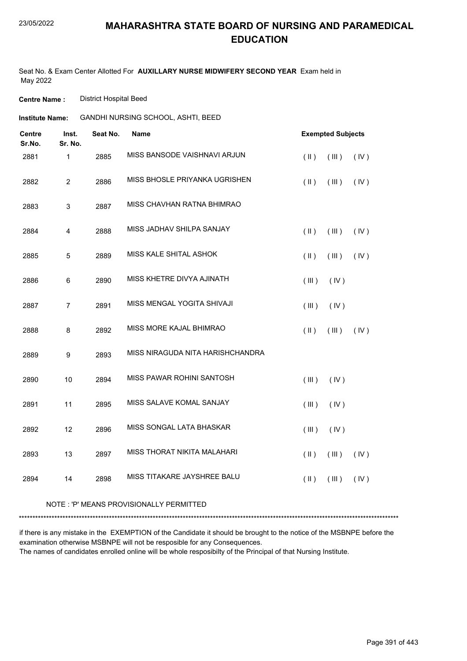Seat No. & Exam Center Allotted For **AUXILLARY NURSE MIDWIFERY SECOND YEAR** Exam held in May 2022

**Centre Name :** District Hospital Beed

| Institute Name: | GANDHI NURSING SCHOOL, ASHTI, BEED |
|-----------------|------------------------------------|
|                 |                                    |

| <b>Centre</b><br>Sr.No. | Inst.<br>Sr. No.        | Seat No. | Name                             |                         | <b>Exempted Subjects</b> |      |
|-------------------------|-------------------------|----------|----------------------------------|-------------------------|--------------------------|------|
| 2881                    | 1                       | 2885     | MISS BANSODE VAISHNAVI ARJUN     | $(\parallel)$           | (III)                    | (IV) |
| 2882                    | $\overline{2}$          | 2886     | MISS BHOSLE PRIYANKA UGRISHEN    | $(\parallel \parallel)$ | (III)                    | (IV) |
| 2883                    | 3                       | 2887     | MISS CHAVHAN RATNA BHIMRAO       |                         |                          |      |
| 2884                    | $\overline{\mathbf{4}}$ | 2888     | MISS JADHAV SHILPA SANJAY        | $(\parallel)$           | (III)                    | (IV) |
| 2885                    | 5                       | 2889     | MISS KALE SHITAL ASHOK           | $(\parallel)$           | (III)                    | (IV) |
| 2886                    | 6                       | 2890     | MISS KHETRE DIVYA AJINATH        | (III)                   | (IV)                     |      |
| 2887                    | $\overline{7}$          | 2891     | MISS MENGAL YOGITA SHIVAJI       | (III)                   | (IV)                     |      |
| 2888                    | 8                       | 2892     | MISS MORE KAJAL BHIMRAO          | $(\parallel)$           | (III)                    | (IV) |
| 2889                    | 9                       | 2893     | MISS NIRAGUDA NITA HARISHCHANDRA |                         |                          |      |
| 2890                    | 10                      | 2894     | MISS PAWAR ROHINI SANTOSH        | (III)                   | (IV)                     |      |
| 2891                    | 11                      | 2895     | MISS SALAVE KOMAL SANJAY         | (III)                   | (IV)                     |      |
| 2892                    | 12                      | 2896     | MISS SONGAL LATA BHASKAR         | (III)                   | (IV)                     |      |
| 2893                    | 13                      | 2897     | MISS THORAT NIKITA MALAHARI      | $(\parallel)$           | (III)                    | (IV) |
| 2894                    | 14                      | 2898     | MISS TITAKARE JAYSHREE BALU      | $($ II $)$              | (III)                    | (IV) |

#### NOTE : 'P' MEANS PROVISIONALLY PERMITTED

\*\*\*\*\*\*\*\*\*\*\*\*\*\*\*\*\*\*\*\*\*\*\*\*\*\*\*\*\*\*\*\*\*\*\*\*\*\*\*\*\*\*\*\*\*\*\*\*\*\*\*\*\*\*\*\*\*\*\*\*\*\*\*\*\*\*\*\*\*\*\*\*\*\*\*\*\*\*\*\*\*\*\*\*\*\*\*\*\*\*\*\*\*\*\*\*\*\*\*\*\*\*\*\*\*\*\*\*\*\*\*\*\*\*\*\*\*\*\*\*\*\*\*\*\*\*\*\*\*\*\*\*\*\*\*\*\*\*\*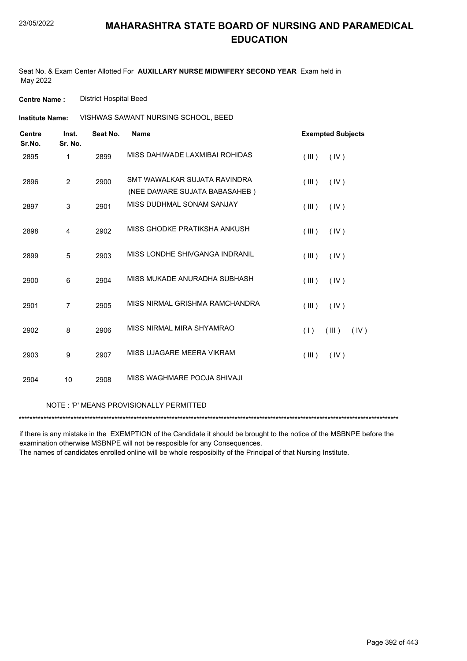Seat No. & Exam Center Allotted For **AUXILLARY NURSE MIDWIFERY SECOND YEAR** Exam held in May 2022

**Centre Name :** District Hospital Beed

VISHWAS SAWANT NURSING SCHOOL, BEED **Institute Name:**

| <b>Centre</b><br>Sr.No. | Inst.<br>Sr. No. | Seat No. | <b>Name</b>                                                   | <b>Exempted Subjects</b> |
|-------------------------|------------------|----------|---------------------------------------------------------------|--------------------------|
| 2895                    | 1                | 2899     | MISS DAHIWADE LAXMIBAI ROHIDAS                                | (III)<br>(IV)            |
| 2896                    | $\overline{2}$   | 2900     | SMT WAWALKAR SUJATA RAVINDRA<br>(NEE DAWARE SUJATA BABASAHEB) | (III)<br>(IV)            |
| 2897                    | 3                | 2901     | MISS DUDHMAL SONAM SANJAY                                     | (III)<br>(IV)            |
| 2898                    | 4                | 2902     | MISS GHODKE PRATIKSHA ANKUSH                                  | (III)<br>(IV)            |
| 2899                    | 5                | 2903     | MISS LONDHE SHIVGANGA INDRANIL                                | (III)<br>(IV)            |
| 2900                    | 6                | 2904     | MISS MUKADE ANURADHA SUBHASH                                  | (IV)<br>(III)            |
| 2901                    | $\overline{7}$   | 2905     | MISS NIRMAL GRISHMA RAMCHANDRA                                | (III)<br>(IV)            |
| 2902                    | 8                | 2906     | MISS NIRMAL MIRA SHYAMRAO                                     | (1)<br>(III)<br>(IV)     |
| 2903                    | 9                | 2907     | MISS UJAGARE MEERA VIKRAM                                     | (III)<br>(IV)            |
| 2904                    | 10               | 2908     | MISS WAGHMARE POOJA SHIVAJI                                   |                          |

NOTE : 'P' MEANS PROVISIONALLY PERMITTED

\*\*\*\*\*\*\*\*\*\*\*\*\*\*\*\*\*\*\*\*\*\*\*\*\*\*\*\*\*\*\*\*\*\*\*\*\*\*\*\*\*\*\*\*\*\*\*\*\*\*\*\*\*\*\*\*\*\*\*\*\*\*\*\*\*\*\*\*\*\*\*\*\*\*\*\*\*\*\*\*\*\*\*\*\*\*\*\*\*\*\*\*\*\*\*\*\*\*\*\*\*\*\*\*\*\*\*\*\*\*\*\*\*\*\*\*\*\*\*\*\*\*\*\*\*\*\*\*\*\*\*\*\*\*\*\*\*\*\*

if there is any mistake in the EXEMPTION of the Candidate it should be brought to the notice of the MSBNPE before the examination otherwise MSBNPE will not be resposible for any Consequences.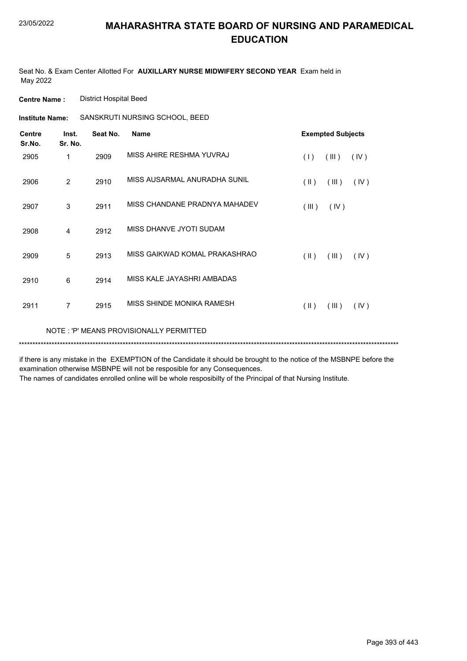Seat No. & Exam Center Allotted For **AUXILLARY NURSE MIDWIFERY SECOND YEAR** Exam held in May 2022

**Centre Name :** District Hospital Beed

**Institute Name:** SANSKRUTI NURSING SCHOOL, BEED

| <b>Centre</b><br>Sr.No. | Inst.<br>Sr. No.                        | Seat No. | <b>Name</b>                   | <b>Exempted Subjects</b>                 |  |  |
|-------------------------|-----------------------------------------|----------|-------------------------------|------------------------------------------|--|--|
| 2905                    | 1                                       | 2909     | MISS AHIRF RESHMA YUVRAJ      | (1)<br>(III)<br>(IV)                     |  |  |
| 2906                    | $\overline{2}$                          | 2910     | MISS AUSARMAL ANURADHA SUNIL  | $(\parallel \parallel)$<br>(III)<br>(IV) |  |  |
| 2907                    | 3                                       | 2911     | MISS CHANDANE PRADNYA MAHADEV | (III)<br>(IV)                            |  |  |
| 2908                    | 4                                       | 2912     | MISS DHANVE JYOTI SUDAM       |                                          |  |  |
| 2909                    | 5                                       | 2913     | MISS GAIKWAD KOMAL PRAKASHRAO | $(\parallel)$<br>(III)<br>(IV)           |  |  |
| 2910                    | 6                                       | 2914     | MISS KALE JAYASHRI AMBADAS    |                                          |  |  |
| 2911                    | $\overline{7}$                          | 2915     | MISS SHINDE MONIKA RAMESH     | (  )<br>(III)<br>(IV)                    |  |  |
|                         | NOTE: 'P' MEANS PROVISIONALLY PERMITTED |          |                               |                                          |  |  |
|                         |                                         |          |                               |                                          |  |  |

if there is any mistake in the EXEMPTION of the Candidate it should be brought to the notice of the MSBNPE before the examination otherwise MSBNPE will not be resposible for any Consequences.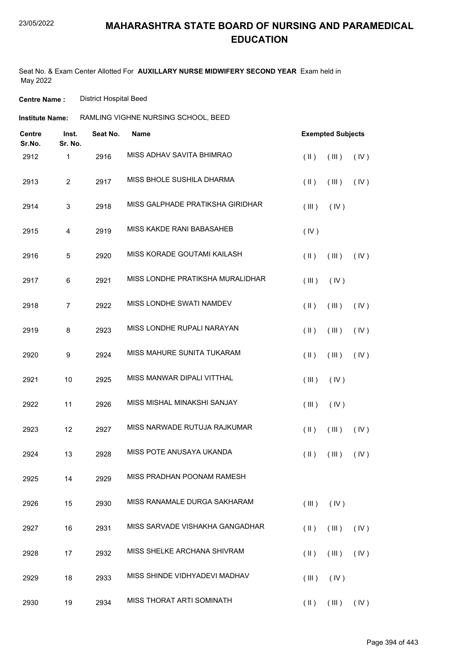Seat No. & Exam Center Allotted For **AUXILLARY NURSE MIDWIFERY SECOND YEAR** Exam held in May 2022

**Centre Name :** District Hospital Beed

| Institute Name: | RAMLING VIGHNE NURSING SCHOOL, BEED |  |
|-----------------|-------------------------------------|--|
|                 |                                     |  |

| <b>Centre</b><br>Sr.No. | Inst.<br>Sr. No.        | Seat No. | Name                             | <b>Exempted Subjects</b> |                                                  |      |  |
|-------------------------|-------------------------|----------|----------------------------------|--------------------------|--------------------------------------------------|------|--|
| 2912                    | $\mathbf{1}$            | 2916     | MISS ADHAV SAVITA BHIMRAO        | $(\parallel)$            | (III)                                            | (IV) |  |
| 2913                    | $\overline{2}$          | 2917     | MISS BHOLE SUSHILA DHARMA        | $(\parallel)$            | (III)                                            | (IV) |  |
| 2914                    | $\mathsf 3$             | 2918     | MISS GALPHADE PRATIKSHA GIRIDHAR | (III)                    | (IV)                                             |      |  |
| 2915                    | $\overline{\mathbf{4}}$ | 2919     | MISS KAKDE RANI BABASAHEB        | (IV)                     |                                                  |      |  |
| 2916                    | 5                       | 2920     | MISS KORADE GOUTAMI KAILASH      | $(\parallel)$            | (III)                                            | (IV) |  |
| 2917                    | $\,6$                   | 2921     | MISS LONDHE PRATIKSHA MURALIDHAR | (III)                    | (IV)                                             |      |  |
| 2918                    | $\overline{7}$          | 2922     | MISS LONDHE SWATI NAMDEV         | $(\parallel)$            | (III)                                            | (IV) |  |
| 2919                    | 8                       | 2923     | MISS LONDHE RUPALI NARAYAN       | $(\parallel)$            | (III)                                            | (IV) |  |
| 2920                    | 9                       | 2924     | MISS MAHURE SUNITA TUKARAM       | $(\parallel)$            | (III)                                            | (IV) |  |
| 2921                    | 10                      | 2925     | MISS MANWAR DIPALI VITTHAL       | $($ III $)$              | (IV)                                             |      |  |
| 2922                    | 11                      | 2926     | MISS MISHAL MINAKSHI SANJAY      | (III)                    | (IV)                                             |      |  |
| 2923                    | 12                      | 2927     | MISS NARWADE RUTUJA RAJKUMAR     | $(\parallel)$            | (III)                                            | (IV) |  |
| 2924                    | 13                      | 2928     | MISS POTE ANUSAYA UKANDA         | $(\parallel)$            | (III)                                            | (IV) |  |
| 2925                    | 14                      | 2929     | MISS PRADHAN POONAM RAMESH       |                          |                                                  |      |  |
| 2926                    | 15                      | 2930     | MISS RANAMALE DURGA SAKHARAM     | (III)                    | (IV)                                             |      |  |
| 2927                    | 16                      | 2931     | MISS SARVADE VISHAKHA GANGADHAR  | $(\parallel)$            | (III)                                            | (IV) |  |
| 2928                    | 17                      | 2932     | MISS SHELKE ARCHANA SHIVRAM      | $(\parallel)$            | (III)                                            | (IV) |  |
| 2929                    | 18                      | 2933     | MISS SHINDE VIDHYADEVI MADHAV    | (III)                    | (IV)                                             |      |  |
| 2930                    | 19                      | 2934     | MISS THORAT ARTI SOMINATH        |                          | $(\mathbb{II})$ $(\mathbb{III})$ $(\mathbb{IV})$ |      |  |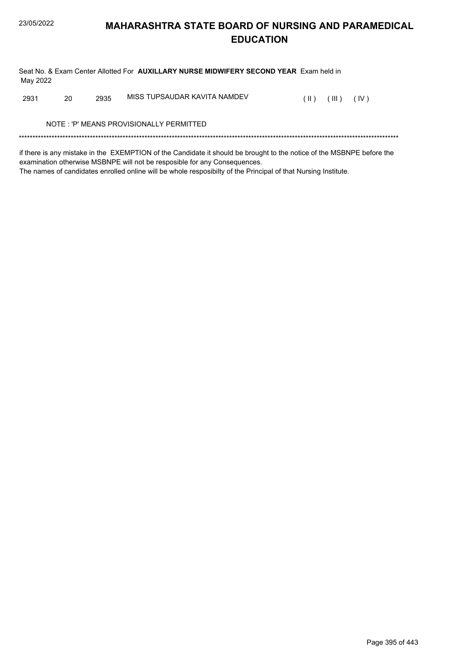Seat No. & Exam Center Allotted For **AUXILLARY NURSE MIDWIFERY SECOND YEAR** Exam held in May 2022

2931 20 2935 MISS TUPSAUDAR KAVITA NAMDEV (II) (III) (IV)

NOTE : 'P' MEANS PROVISIONALLY PERMITTED

\*\*\*\*\*\*\*\*\*\*\*\*\*\*\*\*\*\*\*\*\*\*\*\*\*\*\*\*\*\*\*\*\*\*\*\*\*\*\*\*\*\*\*\*\*\*\*\*\*\*\*\*\*\*\*\*\*\*\*\*\*\*\*\*\*\*\*\*\*\*\*\*\*\*\*\*\*\*\*\*\*\*\*\*\*\*\*\*\*\*\*\*\*\*\*\*\*\*\*\*\*\*\*\*\*\*\*\*\*\*\*\*\*\*\*\*\*\*\*\*\*\*\*\*\*\*\*\*\*\*\*\*\*\*\*\*\*\*\*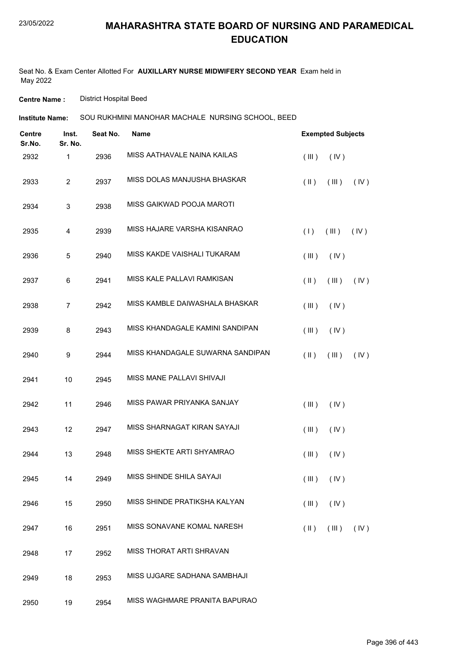Seat No. & Exam Center Allotted For **AUXILLARY NURSE MIDWIFERY SECOND YEAR** Exam held in May 2022

**Centre Name :** District Hospital Beed

SOU RUKHMINI MANOHAR MACHALE NURSING SCHOOL, BEED **Institute Name:**

| <b>Centre</b><br>Sr.No. | Inst.<br>Sr. No. | Seat No. | Name                             | <b>Exempted Subjects</b> |                                |      |  |
|-------------------------|------------------|----------|----------------------------------|--------------------------|--------------------------------|------|--|
| 2932                    | 1                | 2936     | MISS AATHAVALE NAINA KAILAS      | (III)                    | (IV)                           |      |  |
| 2933                    | $\overline{c}$   | 2937     | MISS DOLAS MANJUSHA BHASKAR      | $(\parallel)$            | (III)                          | (IV) |  |
| 2934                    | 3                | 2938     | MISS GAIKWAD POOJA MAROTI        |                          |                                |      |  |
| 2935                    | 4                | 2939     | MISS HAJARE VARSHA KISANRAO      | (1)                      | (III)                          | (IV) |  |
| 2936                    | 5                | 2940     | MISS KAKDE VAISHALI TUKARAM      | (III)                    | (IV)                           |      |  |
| 2937                    | 6                | 2941     | MISS KALE PALLAVI RAMKISAN       | $(\parallel)$            | (III)                          | (IV) |  |
| 2938                    | $\overline{7}$   | 2942     | MISS KAMBLE DAIWASHALA BHASKAR   | (III)                    | (IV)                           |      |  |
| 2939                    | 8                | 2943     | MISS KHANDAGALE KAMINI SANDIPAN  | (III)                    | (IV)                           |      |  |
| 2940                    | 9                | 2944     | MISS KHANDAGALE SUWARNA SANDIPAN | $(\parallel)$            | (III)                          | (IV) |  |
| 2941                    | 10               | 2945     | MISS MANE PALLAVI SHIVAJI        |                          |                                |      |  |
| 2942                    | 11               | 2946     | MISS PAWAR PRIYANKA SANJAY       | (III)                    | (IV)                           |      |  |
| 2943                    | 12               | 2947     | MISS SHARNAGAT KIRAN SAYAJI      | (III)                    | (IV)                           |      |  |
| 2944                    | 13               | 2948     | MISS SHEKTE ARTI SHYAMRAO        | (III)                    | (IV)                           |      |  |
| 2945                    | 14               | 2949     | MISS SHINDE SHILA SAYAJI         |                          | $(\mathbb{II})$ $(\mathbb{N})$ |      |  |
| 2946                    | 15               | 2950     | MISS SHINDE PRATIKSHA KALYAN     | (III)                    | (IV)                           |      |  |
| 2947                    | 16               | 2951     | MISS SONAVANE KOMAL NARESH       | $(\parallel \parallel)$  | (III)                          | (IV) |  |
| 2948                    | 17               | 2952     | MISS THORAT ARTI SHRAVAN         |                          |                                |      |  |
| 2949                    | 18               | 2953     | MISS UJGARE SADHANA SAMBHAJI     |                          |                                |      |  |
| 2950                    | 19               | 2954     | MISS WAGHMARE PRANITA BAPURAO    |                          |                                |      |  |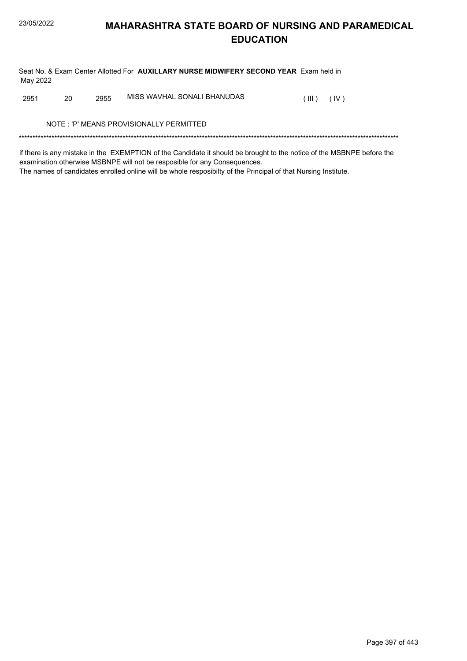Seat No. & Exam Center Allotted For AUXILLARY NURSE MIDWIFERY SECOND YEAR Exam held in May 2022

MISS WAVHAL SONALI BHANUDAS 2951 20 2955  $(III)$   $(IV)$ 

NOTE: 'P' MEANS PROVISIONALLY PERMITTED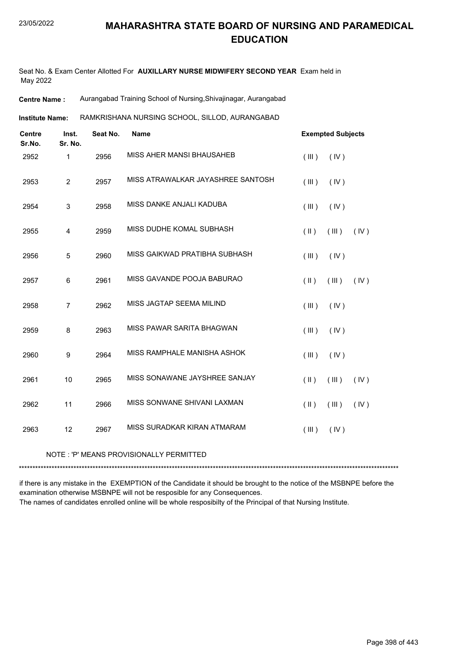Seat No. & Exam Center Allotted For **AUXILLARY NURSE MIDWIFERY SECOND YEAR** Exam held in May 2022

**Centre Name :** Aurangabad Training School of Nursing,Shivajinagar, Aurangabad

RAMKRISHANA NURSING SCHOOL, SILLOD, AURANGABAD **Institute Name:**

| <b>Centre</b><br>Sr.No. | Inst.<br>Sr. No. | Seat No. | <b>Name</b>                       |               | <b>Exempted Subjects</b> |      |
|-------------------------|------------------|----------|-----------------------------------|---------------|--------------------------|------|
| 2952                    | 1                | 2956     | MISS AHER MANSI BHAUSAHEB         | (III)         | (IV)                     |      |
| 2953                    | $\overline{2}$   | 2957     | MISS ATRAWALKAR JAYASHREE SANTOSH | (III)         | (IV)                     |      |
| 2954                    | 3                | 2958     | MISS DANKE ANJALI KADUBA          | (III)         | (IV)                     |      |
| 2955                    | 4                | 2959     | MISS DUDHE KOMAL SUBHASH          | (  )          | (III)                    | (IV) |
| 2956                    | $\sqrt{5}$       | 2960     | MISS GAIKWAD PRATIBHA SUBHASH     | (III)         | (IV)                     |      |
| 2957                    | 6                | 2961     | MISS GAVANDE POOJA BABURAO        | (  )          | $($ III $)$              | (IV) |
| 2958                    | 7                | 2962     | MISS JAGTAP SEEMA MILIND          | (III)         | (IV)                     |      |
| 2959                    | 8                | 2963     | MISS PAWAR SARITA BHAGWAN         | (III)         | (IV)                     |      |
| 2960                    | 9                | 2964     | MISS RAMPHALE MANISHA ASHOK       | (III)         | (IV)                     |      |
| 2961                    | 10               | 2965     | MISS SONAWANE JAYSHREE SANJAY     | $(\parallel)$ | (III)                    | (IV) |
| 2962                    | 11               | 2966     | MISS SONWANE SHIVANI LAXMAN       | $(\parallel)$ | (III)                    | (IV) |
| 2963                    | 12               | 2967     | MISS SURADKAR KIRAN ATMARAM       | (III)         | (IV)                     |      |

#### NOTE : 'P' MEANS PROVISIONALLY PERMITTED

\*\*\*\*\*\*\*\*\*\*\*\*\*\*\*\*\*\*\*\*\*\*\*\*\*\*\*\*\*\*\*\*\*\*\*\*\*\*\*\*\*\*\*\*\*\*\*\*\*\*\*\*\*\*\*\*\*\*\*\*\*\*\*\*\*\*\*\*\*\*\*\*\*\*\*\*\*\*\*\*\*\*\*\*\*\*\*\*\*\*\*\*\*\*\*\*\*\*\*\*\*\*\*\*\*\*\*\*\*\*\*\*\*\*\*\*\*\*\*\*\*\*\*\*\*\*\*\*\*\*\*\*\*\*\*\*\*\*\*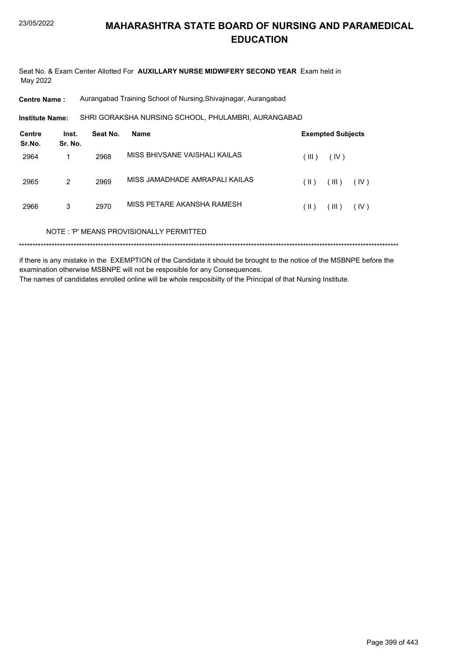Seat No. & Exam Center Allotted For **AUXILLARY NURSE MIDWIFERY SECOND YEAR** Exam held in May 2022

**Centre Name :** Aurangabad Training School of Nursing,Shivajinagar, Aurangabad

SHRI GORAKSHA NURSING SCHOOL, PHULAMBRI, AURANGABAD **Institute Name:**

| <b>Centre</b><br>Sr.No. | Inst.<br>Sr. No. | Seat No. | Name                                    |               | <b>Exempted Subjects</b> |      |  |
|-------------------------|------------------|----------|-----------------------------------------|---------------|--------------------------|------|--|
| 2964                    |                  | 2968     | MISS BHIVSANE VAISHALI KAILAS           | (III)         | (IV)                     |      |  |
| 2965                    | 2                | 2969     | MISS JAMADHADE AMRAPALI KAILAS          | (  )          | (III)                    | (IV) |  |
| 2966                    | 3                | 2970     | MISS PETARE AKANSHA RAMESH              | $(\parallel)$ | (III)                    | (IV) |  |
|                         |                  |          | NOTE: 'P' MEANS PROVISIONALLY PERMITTED |               |                          |      |  |
|                         |                  |          |                                         |               |                          |      |  |

if there is any mistake in the EXEMPTION of the Candidate it should be brought to the notice of the MSBNPE before the examination otherwise MSBNPE will not be resposible for any Consequences. The names of candidates enrolled online will be whole resposibilty of the Principal of that Nursing Institute.

Page 399 of 443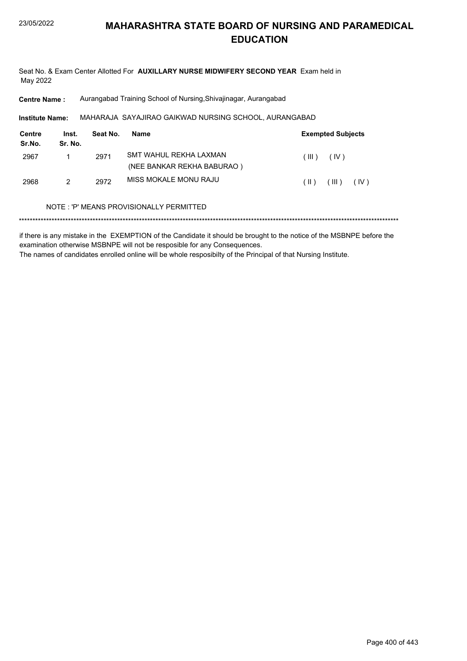Seat No. & Exam Center Allotted For **AUXILLARY NURSE MIDWIFERY SECOND YEAR** Exam held in May 2022

**Centre Name :** Aurangabad Training School of Nursing,Shivajinagar, Aurangabad

MAHARAJA SAYAJIRAO GAIKWAD NURSING SCHOOL, AURANGABAD **Institute Name:**

| Centre<br>Sr.No. | Inst.<br>Sr. No. | Seat No. | <b>Name</b>                | <b>Exempted Subjects</b>  |
|------------------|------------------|----------|----------------------------|---------------------------|
| 2967             |                  | 2971     | SMT WAHUL REKHA LAXMAN     | (III).<br>(IV)            |
|                  |                  |          | (NEE BANKAR REKHA BABURAO) |                           |
| 2968             | 2                | 2972     | MISS MOKALE MONU RAJU      | ( III )<br>(IV)<br>( II ) |

#### NOTE : 'P' MEANS PROVISIONALLY PERMITTED

\*\*\*\*\*\*\*\*\*\*\*\*\*\*\*\*\*\*\*\*\*\*\*\*\*\*\*\*\*\*\*\*\*\*\*\*\*\*\*\*\*\*\*\*\*\*\*\*\*\*\*\*\*\*\*\*\*\*\*\*\*\*\*\*\*\*\*\*\*\*\*\*\*\*\*\*\*\*\*\*\*\*\*\*\*\*\*\*\*\*\*\*\*\*\*\*\*\*\*\*\*\*\*\*\*\*\*\*\*\*\*\*\*\*\*\*\*\*\*\*\*\*\*\*\*\*\*\*\*\*\*\*\*\*\*\*\*\*\*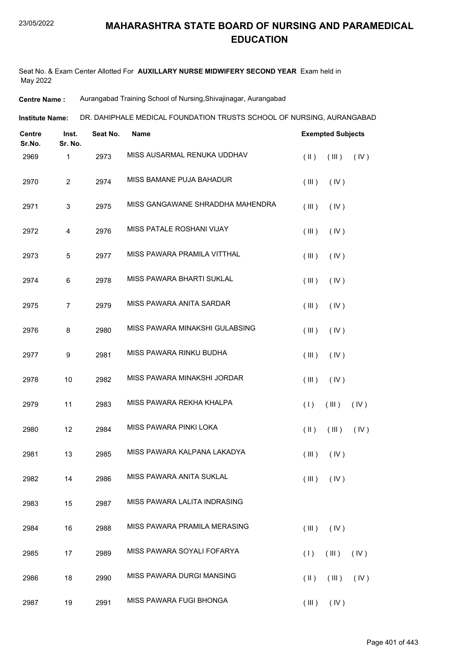Seat No. & Exam Center Allotted For **AUXILLARY NURSE MIDWIFERY SECOND YEAR** Exam held in May 2022

**Centre Name :** Aurangabad Training School of Nursing,Shivajinagar, Aurangabad

DR. DAHIPHALE MEDICAL FOUNDATION TRUSTS SCHOOL OF NURSING, AURANGABAD **Institute Name:**

| Centre<br>Sr.No. | Inst.<br>Sr. No. | Seat No. | Name                             | <b>Exempted Subjects</b>                 |
|------------------|------------------|----------|----------------------------------|------------------------------------------|
| 2969             | $\mathbf{1}$     | 2973     | MISS AUSARMAL RENUKA UDDHAV      | $($ II $)$<br>(III)<br>(IV)              |
| 2970             | $\overline{c}$   | 2974     | MISS BAMANE PUJA BAHADUR         | (III)<br>(IV)                            |
| 2971             | 3                | 2975     | MISS GANGAWANE SHRADDHA MAHENDRA | (III)<br>(IV)                            |
| 2972             | 4                | 2976     | MISS PATALE ROSHANI VIJAY        | (III)<br>(IV)                            |
| 2973             | 5                | 2977     | MISS PAWARA PRAMILA VITTHAL      | (III)<br>(IV)                            |
| 2974             | 6                | 2978     | MISS PAWARA BHARTI SUKLAL        | (III)<br>(IV)                            |
| 2975             | $\overline{7}$   | 2979     | MISS PAWARA ANITA SARDAR         | (III)<br>(IV)                            |
| 2976             | 8                | 2980     | MISS PAWARA MINAKSHI GULABSING   | (III)<br>(IV)                            |
| 2977             | 9                | 2981     | MISS PAWARA RINKU BUDHA          | (III)<br>(IV)                            |
| 2978             | 10               | 2982     | MISS PAWARA MINAKSHI JORDAR      | (III)<br>(IV)                            |
| 2979             | 11               | 2983     | MISS PAWARA REKHA KHALPA         | (1)<br>(III)<br>(IV)                     |
| 2980             | 12               | 2984     | MISS PAWARA PINKI LOKA           | $(\parallel)$<br>(III)<br>(IV)           |
| 2981             | 13               | 2985     | MISS PAWARA KALPANA LAKADYA      | (III)<br>(IV)                            |
| 2982             | 14               | 2986     | MISS PAWARA ANITA SUKLAL         | $(\mathbb{II})$ $(\mathbb{N})$           |
| 2983             | 15               | 2987     | MISS PAWARA LALITA INDRASING     |                                          |
| 2984             | 16               | 2988     | MISS PAWARA PRAMILA MERASING     | (IV)<br>(III)                            |
| 2985             | 17               | 2989     | MISS PAWARA SOYALI FOFARYA       | (1)<br>(III)<br>(IV)                     |
| 2986             | 18               | 2990     | MISS PAWARA DURGI MANSING        | $(\parallel \parallel)$<br>(III)<br>(IV) |
| 2987             | 19               | 2991     | MISS PAWARA FUGI BHONGA          | $(III)$ $(IV)$                           |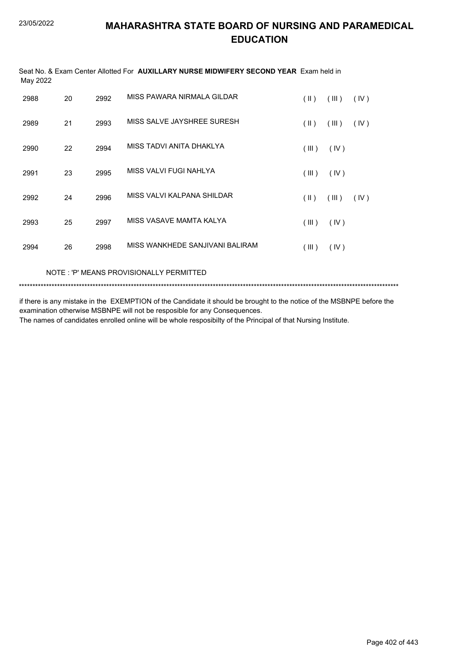| May 2022 |    |      | Seat No. & Exam Center Allotted For AUXILLARY NURSE MIDWIFERY SECOND YEAR Exam held in |                         |       |      |
|----------|----|------|----------------------------------------------------------------------------------------|-------------------------|-------|------|
| 2988     | 20 | 2992 | MISS PAWARA NIRMALA GILDAR                                                             | $(\parallel)$           | (III) | (IV) |
| 2989     | 21 | 2993 | MISS SALVE JAYSHREE SURESH                                                             | $(\parallel \parallel)$ | (III) | (IV) |
| 2990     | 22 | 2994 | MISS TADVI ANITA DHAKLYA                                                               | (III)                   | (IV)  |      |
| 2991     | 23 | 2995 | MISS VALVI FUGI NAHLYA                                                                 | (III)                   | (IV)  |      |
| 2992     | 24 | 2996 | MISS VALVI KALPANA SHILDAR                                                             | $($ II $)$              | (III) | (IV) |
| 2993     | 25 | 2997 | MISS VASAVE MAMTA KALYA                                                                | (III)                   | (IV)  |      |
| 2994     | 26 | 2998 | MISS WANKHEDE SANJIVANI BALIRAM                                                        | (III)                   | (IV)  |      |
|          |    |      |                                                                                        |                         |       |      |

NOTE : 'P' MEANS PROVISIONALLY PERMITTED

\*\*\*\*\*\*\*\*\*\*\*\*\*\*\*\*\*\*\*\*\*\*\*\*\*\*\*\*\*\*\*\*\*\*\*\*\*\*\*\*\*\*\*\*\*\*\*\*\*\*\*\*\*\*\*\*\*\*\*\*\*\*\*\*\*\*\*\*\*\*\*\*\*\*\*\*\*\*\*\*\*\*\*\*\*\*\*\*\*\*\*\*\*\*\*\*\*\*\*\*\*\*\*\*\*\*\*\*\*\*\*\*\*\*\*\*\*\*\*\*\*\*\*\*\*\*\*\*\*\*\*\*\*\*\*\*\*\*\*

if there is any mistake in the EXEMPTION of the Candidate it should be brought to the notice of the MSBNPE before the examination otherwise MSBNPE will not be resposible for any Consequences.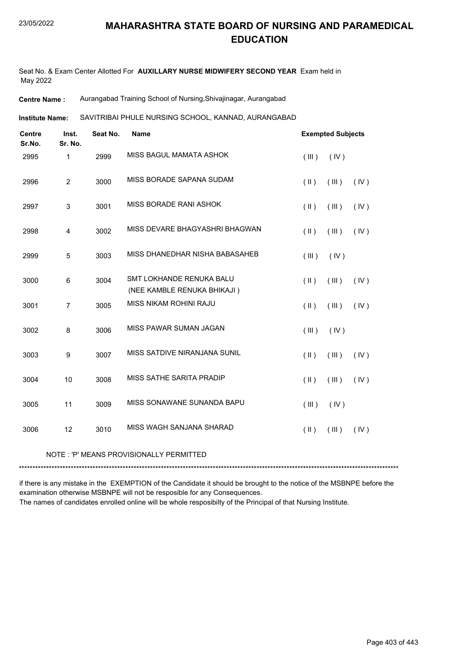Seat No. & Exam Center Allotted For **AUXILLARY NURSE MIDWIFERY SECOND YEAR** Exam held in May 2022

**Centre Name :** Aurangabad Training School of Nursing,Shivajinagar, Aurangabad

SAVITRIBAI PHULE NURSING SCHOOL, KANNAD, AURANGABAD **Institute Name:**

| <b>Centre</b><br>Sr.No. | Inst.<br>Sr. No. | Seat No. | <b>Name</b>                                             | <b>Exempted Subjects</b> |       |      |
|-------------------------|------------------|----------|---------------------------------------------------------|--------------------------|-------|------|
| 2995                    | 1                | 2999     | MISS BAGUL MAMATA ASHOK                                 | (III)                    | (IV)  |      |
| 2996                    | $\overline{2}$   | 3000     | MISS BORADE SAPANA SUDAM                                | $(\parallel)$            | (III) | (IV) |
| 2997                    | $\sqrt{3}$       | 3001     | MISS BORADE RANI ASHOK                                  | $(\parallel)$            | (III) | (IV) |
| 2998                    | $\overline{4}$   | 3002     | MISS DEVARE BHAGYASHRI BHAGWAN                          | $(\parallel)$            | (III) | (IV) |
| 2999                    | 5                | 3003     | MISS DHANEDHAR NISHA BABASAHEB                          | (III)                    | (IV)  |      |
| 3000                    | 6                | 3004     | SMT LOKHANDE RENUKA BALU<br>(NEE KAMBLE RENUKA BHIKAJI) | $(\parallel)$            | (III) | (IV) |
| 3001                    | $\overline{7}$   | 3005     | MISS NIKAM ROHINI RAJU                                  | $(\parallel)$            | (III) | (IV) |
| 3002                    | 8                | 3006     | MISS PAWAR SUMAN JAGAN                                  | (III)                    | (IV)  |      |
| 3003                    | $\boldsymbol{9}$ | 3007     | MISS SATDIVE NIRANJANA SUNIL                            | $($ II $)$               | (III) | (IV) |
| 3004                    | 10               | 3008     | MISS SATHE SARITA PRADIP                                | $(\parallel)$            | (III) | (IV) |
| 3005                    | 11               | 3009     | MISS SONAWANE SUNANDA BAPU                              | (III)                    | (IV)  |      |
| 3006                    | 12               | 3010     | MISS WAGH SANJANA SHARAD                                | $(\parallel)$            | (III) | (IV) |

#### NOTE : 'P' MEANS PROVISIONALLY PERMITTED

\*\*\*\*\*\*\*\*\*\*\*\*\*\*\*\*\*\*\*\*\*\*\*\*\*\*\*\*\*\*\*\*\*\*\*\*\*\*\*\*\*\*\*\*\*\*\*\*\*\*\*\*\*\*\*\*\*\*\*\*\*\*\*\*\*\*\*\*\*\*\*\*\*\*\*\*\*\*\*\*\*\*\*\*\*\*\*\*\*\*\*\*\*\*\*\*\*\*\*\*\*\*\*\*\*\*\*\*\*\*\*\*\*\*\*\*\*\*\*\*\*\*\*\*\*\*\*\*\*\*\*\*\*\*\*\*\*\*\*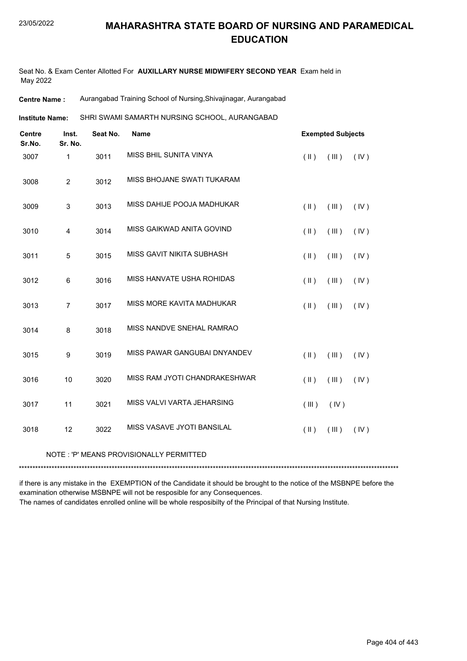Seat No. & Exam Center Allotted For **AUXILLARY NURSE MIDWIFERY SECOND YEAR** Exam held in May 2022

**Centre Name :** Aurangabad Training School of Nursing,Shivajinagar, Aurangabad

SHRI SWAMI SAMARTH NURSING SCHOOL, AURANGABAD **Institute Name:**

| <b>Centre</b><br>Sr.No. | Inst.<br>Sr. No. | Seat No. | Name                          |               | <b>Exempted Subjects</b> |      |
|-------------------------|------------------|----------|-------------------------------|---------------|--------------------------|------|
| 3007                    | 1                | 3011     | MISS BHIL SUNITA VINYA        | $($ II $)$    | (III)                    | (IV) |
| 3008                    | $\overline{c}$   | 3012     | MISS BHOJANE SWATI TUKARAM    |               |                          |      |
| 3009                    | $\mathsf 3$      | 3013     | MISS DAHIJE POOJA MADHUKAR    | $(\parallel)$ | (III)                    | (IV) |
| 3010                    | 4                | 3014     | MISS GAIKWAD ANITA GOVIND     | (  )          | (III)                    | (IV) |
| 3011                    | 5                | 3015     | MISS GAVIT NIKITA SUBHASH     | (  )          | (III)                    | (IV) |
| 3012                    | $\,6$            | 3016     | MISS HANVATE USHA ROHIDAS     | $(\parallel)$ | (III)                    | (IV) |
| 3013                    | $\overline{7}$   | 3017     | MISS MORE KAVITA MADHUKAR     | $($ II $)$    | (III)                    | (IV) |
| 3014                    | 8                | 3018     | MISS NANDVE SNEHAL RAMRAO     |               |                          |      |
| 3015                    | $\boldsymbol{9}$ | 3019     | MISS PAWAR GANGUBAI DNYANDEV  | $($ II $)$    | (III)                    | (IV) |
| 3016                    | 10               | 3020     | MISS RAM JYOTI CHANDRAKESHWAR | $($ II $)$    | $($ III $)$              | (IV) |
| 3017                    | 11               | 3021     | MISS VALVI VARTA JEHARSING    | (III)         | (IV)                     |      |
| 3018                    | 12               | 3022     | MISS VASAVE JYOTI BANSILAL    | $(\parallel)$ | (III)                    | (IV) |

#### NOTE : 'P' MEANS PROVISIONALLY PERMITTED

\*\*\*\*\*\*\*\*\*\*\*\*\*\*\*\*\*\*\*\*\*\*\*\*\*\*\*\*\*\*\*\*\*\*\*\*\*\*\*\*\*\*\*\*\*\*\*\*\*\*\*\*\*\*\*\*\*\*\*\*\*\*\*\*\*\*\*\*\*\*\*\*\*\*\*\*\*\*\*\*\*\*\*\*\*\*\*\*\*\*\*\*\*\*\*\*\*\*\*\*\*\*\*\*\*\*\*\*\*\*\*\*\*\*\*\*\*\*\*\*\*\*\*\*\*\*\*\*\*\*\*\*\*\*\*\*\*\*\*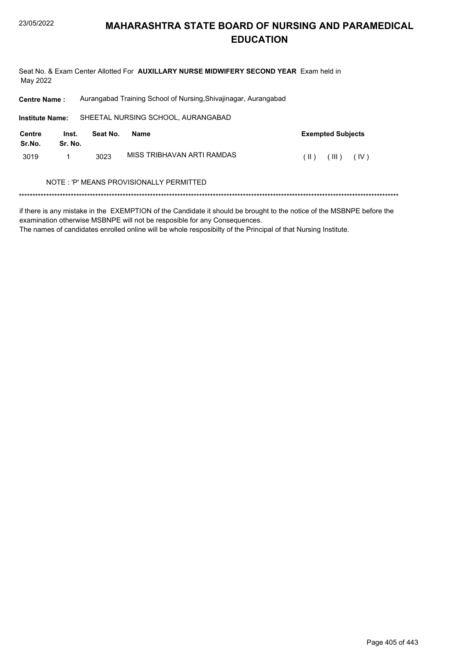Seat No. & Exam Center Allotted For AUXILLARY NURSE MIDWIFERY SECOND YEAR Exam held in May 2022

Aurangabad Training School of Nursing, Shivajinagar, Aurangabad **Centre Name:** 

SHEETAL NURSING SCHOOL, AURANGABAD **Institute Name: Centre** Inst. Seat No. **Exempted Subjects Name** Sr.No. Sr. No. MISS TRIBHAVAN ARTI RAMDAS  $(11)$   $(11)$   $(10)$ 3019  $\mathbf{1}$ 3023 NOTE: 'P' MEANS PROVISIONALLY PERMITTED

if there is any mistake in the EXEMPTION of the Candidate it should be brought to the notice of the MSBNPE before the examination otherwise MSBNPE will not be resposible for any Consequences.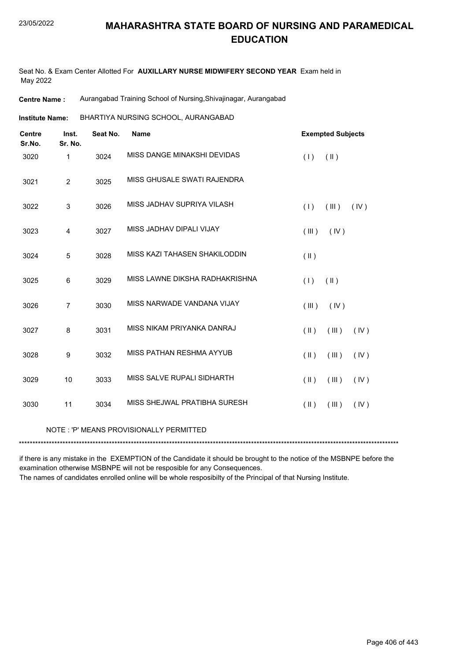Seat No. & Exam Center Allotted For **AUXILLARY NURSE MIDWIFERY SECOND YEAR** Exam held in May 2022

**Centre Name :** Aurangabad Training School of Nursing,Shivajinagar, Aurangabad

BHARTIYA NURSING SCHOOL, AURANGABAD **Institute Name:**

| <b>Centre</b><br>Sr.No. | Inst.<br>Sr. No. | Seat No. | <b>Name</b>                             | <b>Exempted Subjects</b>                 |
|-------------------------|------------------|----------|-----------------------------------------|------------------------------------------|
| 3020                    | 1                | 3024     | MISS DANGE MINAKSHI DEVIDAS             | (1)<br>$(\parallel)$                     |
| 3021                    | $\overline{2}$   | 3025     | MISS GHUSALE SWATI RAJENDRA             |                                          |
| 3022                    | 3                | 3026     | MISS JADHAV SUPRIYA VILASH              | (1)<br>(III)<br>(IV)                     |
| 3023                    | 4                | 3027     | MISS JADHAV DIPALI VIJAY                | (IV)<br>(III)                            |
| 3024                    | 5                | 3028     | MISS KAZI TAHASEN SHAKILODDIN           | $($ II $)$                               |
| 3025                    | 6                | 3029     | MISS LAWNE DIKSHA RADHAKRISHNA          | $(\parallel)$<br>(1)                     |
| 3026                    | $\overline{7}$   | 3030     | MISS NARWADE VANDANA VIJAY              | (IV)<br>(III)                            |
| 3027                    | 8                | 3031     | MISS NIKAM PRIYANKA DANRAJ              | (III)<br>(IV)<br>$(\parallel)$           |
| 3028                    | 9                | 3032     | MISS PATHAN RESHMA AYYUB                | $(\parallel \parallel)$<br>(III)<br>(IV) |
| 3029                    | 10               | 3033     | MISS SALVE RUPALI SIDHARTH              | $(\parallel \parallel)$<br>(III)<br>(IV) |
| 3030                    | 11               | 3034     | MISS SHEJWAL PRATIBHA SURESH            | $(\parallel)$<br>(III)<br>(IV)           |
|                         |                  |          | NOTE: 'P' MEANS PROVISIONALLY PERMITTED |                                          |

\*\*\*\*\*\*\*\*\*\*\*\*\*\*\*\*\*\*\*\*\*\*\*\*\*\*\*\*\*\*\*\*\*\*\*\*\*\*\*\*\*\*\*\*\*\*\*\*\*\*\*\*\*\*\*\*\*\*\*\*\*\*\*\*\*\*\*\*\*\*\*\*\*\*\*\*\*\*\*\*\*\*\*\*\*\*\*\*\*\*\*\*\*\*\*\*\*\*\*\*\*\*\*\*\*\*\*\*\*\*\*\*\*\*\*\*\*\*\*\*\*\*\*\*\*\*\*\*\*\*\*\*\*\*\*\*\*\*\*

if there is any mistake in the EXEMPTION of the Candidate it should be brought to the notice of the MSBNPE before the examination otherwise MSBNPE will not be resposible for any Consequences.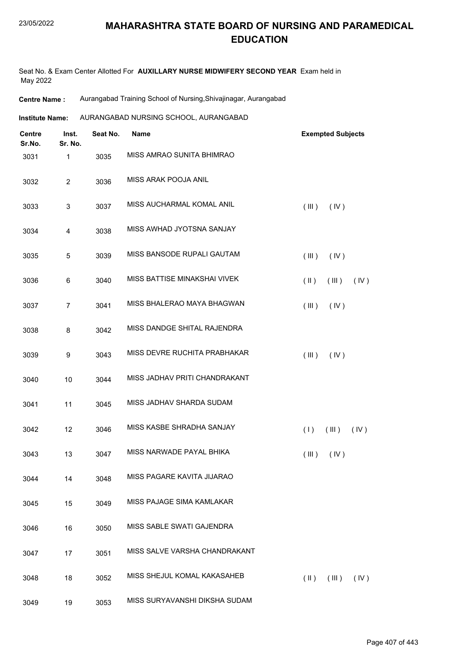#### 23/05/2022

#### **MAHARASHTRA STATE BOARD OF NURSING AND PARAMEDICAL EDUCATION**

Seat No. & Exam Center Allotted For **AUXILLARY NURSE MIDWIFERY SECOND YEAR** Exam held in May 2022

**Centre Name :** Aurangabad Training School of Nursing,Shivajinagar, Aurangabad

**Institute Name:** AURANGABAD NURSING SCHOOL, AURANGABAD

| <b>Centre</b><br>Sr.No. | Inst.<br>Sr. No. | Seat No. | <b>Name</b>                   | <b>Exempted Subjects</b>       |
|-------------------------|------------------|----------|-------------------------------|--------------------------------|
| 3031                    | 1                | 3035     | MISS AMRAO SUNITA BHIMRAO     |                                |
| 3032                    | $\overline{2}$   | 3036     | MISS ARAK POOJA ANIL          |                                |
| 3033                    | 3                | 3037     | MISS AUCHARMAL KOMAL ANIL     | (III)<br>(IV)                  |
| 3034                    | 4                | 3038     | MISS AWHAD JYOTSNA SANJAY     |                                |
| 3035                    | $\mathbf 5$      | 3039     | MISS BANSODE RUPALI GAUTAM    | (III)<br>(IV)                  |
| 3036                    | 6                | 3040     | MISS BATTISE MINAKSHAI VIVEK  | $(\parallel)$<br>(III)<br>(IV) |
| 3037                    | 7                | 3041     | MISS BHALERAO MAYA BHAGWAN    | (III)<br>(IV)                  |
| 3038                    | 8                | 3042     | MISS DANDGE SHITAL RAJENDRA   |                                |
| 3039                    | 9                | 3043     | MISS DEVRE RUCHITA PRABHAKAR  | (III)<br>(IV)                  |
| 3040                    | 10               | 3044     | MISS JADHAV PRITI CHANDRAKANT |                                |
| 3041                    | 11               | 3045     | MISS JADHAV SHARDA SUDAM      |                                |
| 3042                    | 12               | 3046     | MISS KASBE SHRADHA SANJAY     | (1)<br>(III)<br>(IV)           |
| 3043                    | 13               | 3047     | MISS NARWADE PAYAL BHIKA      | (III)<br>(IV)                  |
| 3044                    | 14               | 3048     | MISS PAGARE KAVITA JIJARAO    |                                |
| 3045                    | 15               | 3049     | MISS PAJAGE SIMA KAMLAKAR     |                                |
| 3046                    | 16               | 3050     | MISS SABLE SWATI GAJENDRA     |                                |
| 3047                    | 17               | 3051     | MISS SALVE VARSHA CHANDRAKANT |                                |
| 3048                    | 18               | 3052     | MISS SHEJUL KOMAL KAKASAHEB   | (III)<br>$(\parallel)$<br>(IV) |
| 3049                    | 19               | 3053     | MISS SURYAVANSHI DIKSHA SUDAM |                                |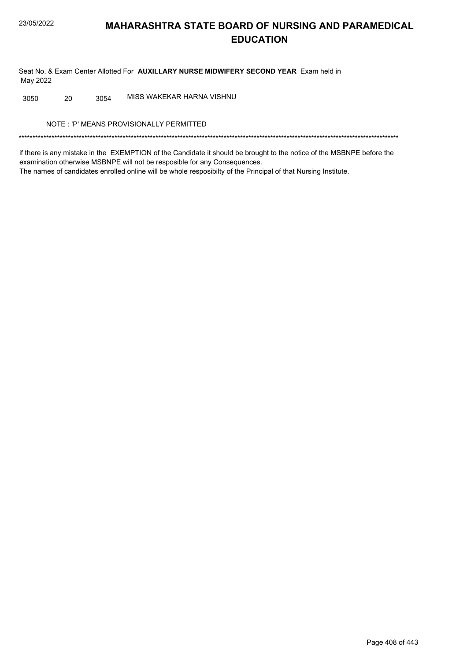Seat No. & Exam Center Allotted For AUXILLARY NURSE MIDWIFERY SECOND YEAR Exam held in May 2022

MISS WAKEKAR HARNA VISHNU 3050 20 3054

NOTE: 'P' MEANS PROVISIONALLY PERMITTED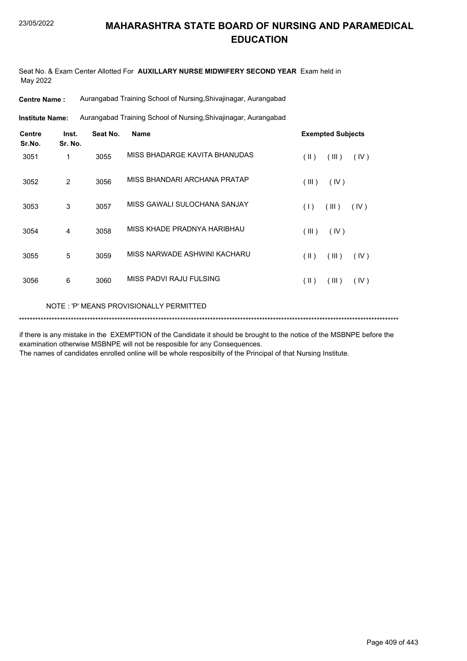Seat No. & Exam Center Allotted For **AUXILLARY NURSE MIDWIFERY SECOND YEAR** Exam held in May 2022

**Centre Name :** Aurangabad Training School of Nursing,Shivajinagar, Aurangabad

Aurangabad Training School of Nursing,Shivajinagar, Aurangabad **Institute Name:**

| <b>Centre</b><br>Sr.No. | Inst.<br>Sr. No. | Seat No. | <b>Name</b>                   | <b>Exempted Subjects</b> |
|-------------------------|------------------|----------|-------------------------------|--------------------------|
| 3051                    | 1                | 3055     | MISS BHADARGE KAVITA BHANUDAS | (  )<br>(III)<br>(IV)    |
| 3052                    | 2                | 3056     | MISS BHANDARI ARCHANA PRATAP  | (III)<br>(IV)            |
| 3053                    | 3                | 3057     | MISS GAWALI SULOCHANA SANJAY  | (1)<br>(III)<br>(IV)     |
| 3054                    | 4                | 3058     | MISS KHADE PRADNYA HARIBHAU   | (III)<br>(IV)            |
| 3055                    | 5                | 3059     | MISS NARWADE ASHWINI KACHARU  | (11)<br>(III)<br>(IV)    |
| 3056                    | 6                | 3060     | MISS PADVI RAJU FULSING       | (  )<br>(III)<br>(IV)    |
|                         |                  |          |                               |                          |

NOTE : 'P' MEANS PROVISIONALLY PERMITTED

\*\*\*\*\*\*\*\*\*\*\*\*\*\*\*\*\*\*\*\*\*\*\*\*\*\*\*\*\*\*\*\*\*\*\*\*\*\*\*\*\*\*\*\*\*\*\*\*\*\*\*\*\*\*\*\*\*\*\*\*\*\*\*\*\*\*\*\*\*\*\*\*\*\*\*\*\*\*\*\*\*\*\*\*\*\*\*\*\*\*\*\*\*\*\*\*\*\*\*\*\*\*\*\*\*\*\*\*\*\*\*\*\*\*\*\*\*\*\*\*\*\*\*\*\*\*\*\*\*\*\*\*\*\*\*\*\*\*\*

if there is any mistake in the EXEMPTION of the Candidate it should be brought to the notice of the MSBNPE before the examination otherwise MSBNPE will not be resposible for any Consequences.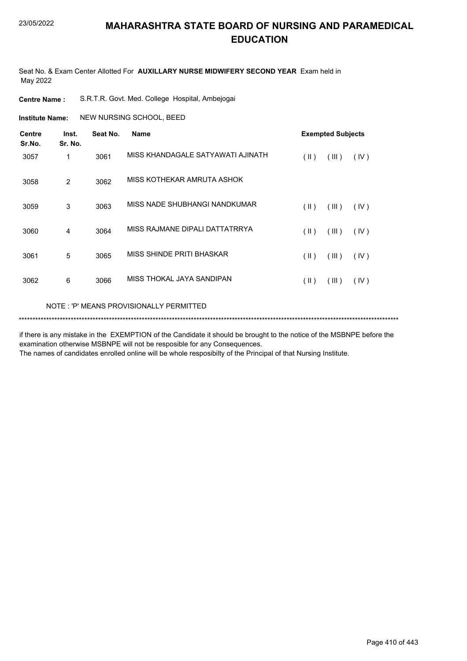Seat No. & Exam Center Allotted For **AUXILLARY NURSE MIDWIFERY SECOND YEAR** Exam held in May 2022

**Centre Name :** S.R.T.R. Govt. Med. College Hospital, Ambejogai

**Institute Name: NEW NURSING SCHOOL, BEED** 

| <b>Centre</b><br>Sr.No. | Inst.<br>Sr. No. | Seat No. | <b>Name</b>                              |               | <b>Exempted Subjects</b> |      |  |
|-------------------------|------------------|----------|------------------------------------------|---------------|--------------------------|------|--|
| 3057                    | 1                | 3061     | MISS KHANDAGALE SATYAWATI AJINATH        | (  )          | (III)                    | (IV) |  |
| 3058                    | 2                | 3062     | MISS KOTHEKAR AMRUTA ASHOK               |               |                          |      |  |
| 3059                    | 3                | 3063     | MISS NADE SHUBHANGI NANDKUMAR            | $(\parallel)$ | (III)                    | (IV) |  |
| 3060                    | 4                | 3064     | MISS RAJMANE DIPALI DATTATRRYA           | $($ II $)$    | (III)                    | (IV) |  |
| 3061                    | 5                | 3065     | MISS SHINDE PRITI BHASKAR                | $($ II $)$    | (III)                    | (IV) |  |
| 3062                    | 6                | 3066     | MISS THOKAL JAYA SANDIPAN                | $(\parallel)$ | (III)                    | (IV) |  |
|                         |                  |          | NOTE : 'P' MEANS PROVISIONALLY PERMITTED |               |                          |      |  |

\*\*\*\*\*\*\*\*\*\*\*\*\*\*\*\*\*\*\*\*\*\*\*\*\*\*\*\*\*\*\*\*\*\*\*\*\*\*\*\*\*\*\*\*\*\*\*\*\*\*\*\*\*\*\*\*\*\*\*\*\*\*\*\*\*\*\*\*\*\*\*\*\*\*\*\*\*\*\*\*\*\*\*\*\*\*\*\*\*\*\*\*\*\*\*\*\*\*\*\*\*\*\*\*\*\*\*\*\*\*\*\*\*\*\*\*\*\*\*\*\*\*\*\*\*\*\*\*\*\*\*\*\*\*\*\*\*\*\*

if there is any mistake in the EXEMPTION of the Candidate it should be brought to the notice of the MSBNPE before the examination otherwise MSBNPE will not be resposible for any Consequences.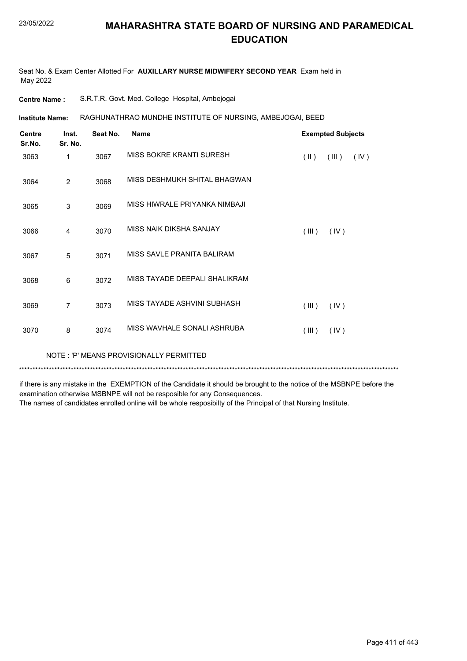Seat No. & Exam Center Allotted For **AUXILLARY NURSE MIDWIFERY SECOND YEAR** Exam held in May 2022

| <b>Centre Name :</b> | S.R.T.R. Govt. Med. College Hospital, Ambejogai |  |  |  |
|----------------------|-------------------------------------------------|--|--|--|
|----------------------|-------------------------------------------------|--|--|--|

RAGHUNATHRAO MUNDHE INSTITUTE OF NURSING, AMBEJOGAI, BEED **Institute Name:**

| <b>Centre</b><br>Sr.No. | Inst.          | Seat No. | <b>Name</b>                    |                         | <b>Exempted Subjects</b> |      |
|-------------------------|----------------|----------|--------------------------------|-------------------------|--------------------------|------|
| 3063                    | Sr. No.<br>1   | 3067     | MISS BOKRE KRANTI SURESH       | $(\parallel \parallel)$ | (III)                    | (IV) |
| 3064                    | 2              | 3068     | MISS DESHMUKH SHITAL BHAGWAN   |                         |                          |      |
| 3065                    | 3              | 3069     | MISS HIWRAI F PRIYANKA NIMBAJI |                         |                          |      |
| 3066                    | 4              | 3070     | <b>MISS NAIK DIKSHA SANJAY</b> | (III)                   | (IV)                     |      |
| 3067                    | 5              | 3071     | MISS SAVLE PRANITA BALIRAM     |                         |                          |      |
| 3068                    | 6              | 3072     | MISS TAYADE DEEPALI SHALIKRAM  |                         |                          |      |
| 3069                    | $\overline{7}$ | 3073     | MISS TAYADE ASHVINI SUBHASH    | (III)                   | (IV)                     |      |
| 3070                    | 8              | 3074     | MISS WAVHALE SONALI ASHRUBA    | (III)                   | (IV)                     |      |

NOTE : 'P' MEANS PROVISIONALLY PERMITTED

\*\*\*\*\*\*\*\*\*\*\*\*\*\*\*\*\*\*\*\*\*\*\*\*\*\*\*\*\*\*\*\*\*\*\*\*\*\*\*\*\*\*\*\*\*\*\*\*\*\*\*\*\*\*\*\*\*\*\*\*\*\*\*\*\*\*\*\*\*\*\*\*\*\*\*\*\*\*\*\*\*\*\*\*\*\*\*\*\*\*\*\*\*\*\*\*\*\*\*\*\*\*\*\*\*\*\*\*\*\*\*\*\*\*\*\*\*\*\*\*\*\*\*\*\*\*\*\*\*\*\*\*\*\*\*\*\*\*\*

if there is any mistake in the EXEMPTION of the Candidate it should be brought to the notice of the MSBNPE before the examination otherwise MSBNPE will not be resposible for any Consequences.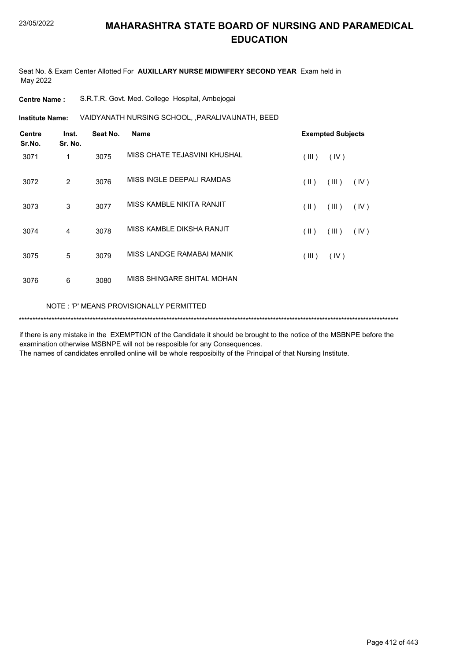Seat No. & Exam Center Allotted For **AUXILLARY NURSE MIDWIFERY SECOND YEAR** Exam held in May 2022

| S.R.T.R. Govt. Med. College Hospital, Ambejogai | <b>Centre Name :</b> |  |  |  |  |
|-------------------------------------------------|----------------------|--|--|--|--|
|-------------------------------------------------|----------------------|--|--|--|--|

VAIDYANATH NURSING SCHOOL, ,PARALIVAIJNATH, BEED **Institute Name:**

| <b>Centre</b><br>Sr.No. | Inst.<br>Sr. No. | Seat No. | <b>Name</b>                  | <b>Exempted Subjects</b>       |
|-------------------------|------------------|----------|------------------------------|--------------------------------|
| 3071                    | 1                | 3075     | MISS CHATE TEJASVINI KHUSHAL | (III)<br>(IV)                  |
| 3072                    | 2                | 3076     | MISS INGLE DEEPALI RAMDAS    | $(\parallel)$<br>(III)<br>(IV) |
| 3073                    | 3                | 3077     | MISS KAMBLE NIKITA RANJIT    | $(\parallel)$<br>(III)<br>(IV) |
| 3074                    | 4                | 3078     | MISS KAMBLE DIKSHA RANJIT    | (11)<br>(III)<br>(IV)          |
| 3075                    | 5                | 3079     | MISS LANDGE RAMABAI MANIK    | (III)<br>(IV)                  |
| 3076                    | 6                | 3080     | MISS SHINGARE SHITAL MOHAN   |                                |
|                         |                  |          |                              |                                |

NOTE : 'P' MEANS PROVISIONALLY PERMITTED

\*\*\*\*\*\*\*\*\*\*\*\*\*\*\*\*\*\*\*\*\*\*\*\*\*\*\*\*\*\*\*\*\*\*\*\*\*\*\*\*\*\*\*\*\*\*\*\*\*\*\*\*\*\*\*\*\*\*\*\*\*\*\*\*\*\*\*\*\*\*\*\*\*\*\*\*\*\*\*\*\*\*\*\*\*\*\*\*\*\*\*\*\*\*\*\*\*\*\*\*\*\*\*\*\*\*\*\*\*\*\*\*\*\*\*\*\*\*\*\*\*\*\*\*\*\*\*\*\*\*\*\*\*\*\*\*\*\*\*

if there is any mistake in the EXEMPTION of the Candidate it should be brought to the notice of the MSBNPE before the examination otherwise MSBNPE will not be resposible for any Consequences.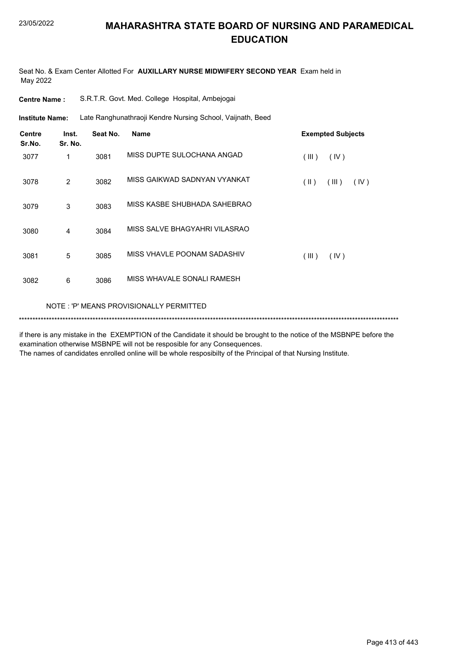Seat No. & Exam Center Allotted For **AUXILLARY NURSE MIDWIFERY SECOND YEAR** Exam held in May 2022

| <b>Centre Name:</b>     |                                                                                      |          | S.R.T.R. Govt. Med. College Hospital, Ambejogai |            |                          |  |  |  |  |
|-------------------------|--------------------------------------------------------------------------------------|----------|-------------------------------------------------|------------|--------------------------|--|--|--|--|
|                         | Late Ranghunathraoji Kendre Nursing School, Vaijnath, Beed<br><b>Institute Name:</b> |          |                                                 |            |                          |  |  |  |  |
| <b>Centre</b><br>Sr.No. | Inst.<br>Sr. No.                                                                     | Seat No. | <b>Name</b>                                     |            | <b>Exempted Subjects</b> |  |  |  |  |
| 3077                    | 1                                                                                    | 3081     | MISS DUPTE SULOCHANA ANGAD                      | (III)      | (IV)                     |  |  |  |  |
| 3078                    | 2                                                                                    | 3082     | MISS GAIKWAD SADNYAN VYANKAT                    | $($ II $)$ | (III)<br>(IV)            |  |  |  |  |
| 3079                    | 3                                                                                    | 3083     | MISS KASBE SHUBHADA SAHEBRAO                    |            |                          |  |  |  |  |
| 3080                    | 4                                                                                    | 3084     | MISS SALVE BHAGYAHRI VILASRAO                   |            |                          |  |  |  |  |
| 3081                    | 5                                                                                    | 3085     | MISS VHAVLE POONAM SADASHIV                     | (III)      | (IV)                     |  |  |  |  |
| 3082                    | 6                                                                                    | 3086     | MISS WHAVALE SONALI RAMESH                      |            |                          |  |  |  |  |
|                         | NOTE: 'P' MEANS PROVISIONALLY PERMITTED                                              |          |                                                 |            |                          |  |  |  |  |

\*\*\*\*\*\*\*\*\*\*\*\*\*\*\*\*\*\*\*\*\*\*\*\*\*\*\*\*\*\*\*\*\*\*\*\*\*\*\*\*\*\*\*\*\*\*\*\*\*\*\*\*\*\*\*\*\*\*\*\*\*\*\*\*\*\*\*\*\*\*\*\*\*\*\*\*\*\*\*\*\*\*\*\*\*\*\*\*\*\*\*\*\*\*\*\*\*\*\*\*\*\*\*\*\*\*\*\*\*\*\*\*\*\*\*\*\*\*\*\*\*\*\*\*\*\*\*\*\*\*\*\*\*\*\*\*\*\*\*

if there is any mistake in the EXEMPTION of the Candidate it should be brought to the notice of the MSBNPE before the examination otherwise MSBNPE will not be resposible for any Consequences.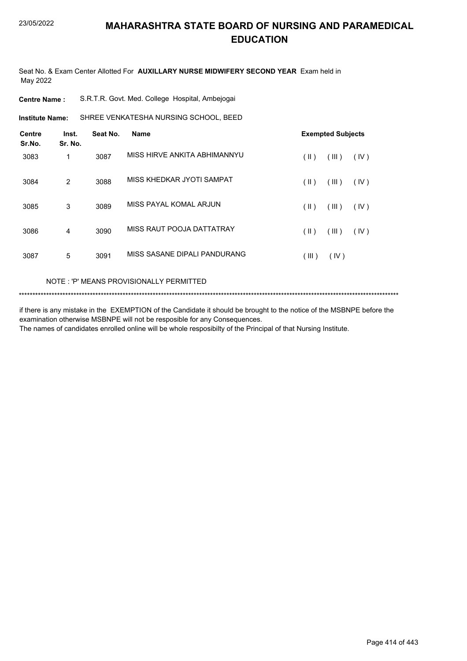Seat No. & Exam Center Allotted For **AUXILLARY NURSE MIDWIFERY SECOND YEAR** Exam held in May 2022

| <b>Centre Name :</b> |  |  | S.R.T.R. Govt. Med. College Hospital, Ambejogai |
|----------------------|--|--|-------------------------------------------------|
|----------------------|--|--|-------------------------------------------------|

**Institute Name:** SHREE VENKATESHA NURSING SCHOOL, BEED

| <b>Centre</b><br>Sr.No. | Inst.<br>Sr. No. | Seat No. | <b>Name</b>                  |       | <b>Exempted Subjects</b> |      |
|-------------------------|------------------|----------|------------------------------|-------|--------------------------|------|
| 3083                    | 1                | 3087     | MISS HIRVE ANKITA ABHIMANNYU | (  )  | (III)                    | (IV) |
| 3084                    | 2                | 3088     | MISS KHEDKAR JYOTI SAMPAT    | (  )  | (III)                    | (IV) |
| 3085                    | 3                | 3089     | MISS PAYAL KOMAL ARJUN       | (  )  | (III)                    | (IV) |
| 3086                    | 4                | 3090     | MISS RAUT POOJA DATTATRAY    | (  )  | (III)                    | (IV) |
| 3087                    | 5                | 3091     | MISS SASANE DIPALI PANDURANG | (III) | (IV)                     |      |

#### NOTE : 'P' MEANS PROVISIONALLY PERMITTED

```
*******************************************************************************************************************************************
```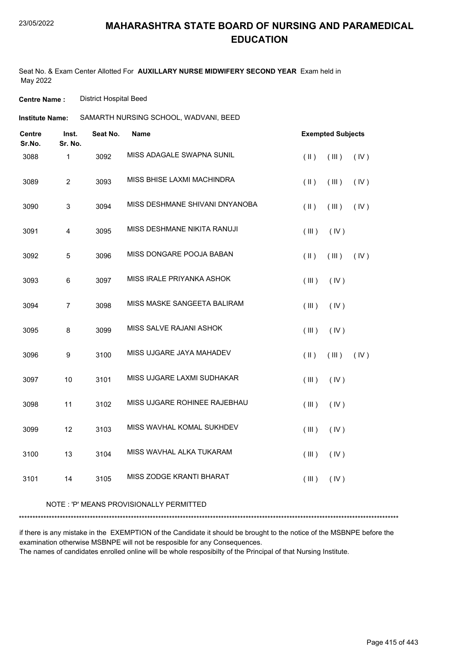Seat No. & Exam Center Allotted For **AUXILLARY NURSE MIDWIFERY SECOND YEAR** Exam held in May 2022

**Centre Name :** District Hospital Beed

| Institute Name: | SAMARTH NURSING SCHOOL, WADVANI, BEED |  |
|-----------------|---------------------------------------|--|
|                 |                                       |  |

| <b>Centre</b><br>Sr.No. | Inst.<br>Sr. No.        | Seat No. | <b>Name</b>                    |               | <b>Exempted Subjects</b> |      |
|-------------------------|-------------------------|----------|--------------------------------|---------------|--------------------------|------|
| 3088                    | $\mathbf{1}$            | 3092     | MISS ADAGALE SWAPNA SUNIL      | $($ II $)$    | (III)                    | (IV) |
| 3089                    | $\overline{2}$          | 3093     | MISS BHISE LAXMI MACHINDRA     | $(\parallel)$ | (III)                    | (IV) |
| 3090                    | $\mathsf 3$             | 3094     | MISS DESHMANE SHIVANI DNYANOBA | $($ II $)$    | (III)                    | (IV) |
| 3091                    | $\overline{\mathbf{4}}$ | 3095     | MISS DESHMANE NIKITA RANUJI    | (III)         | (IV)                     |      |
| 3092                    | $\sqrt{5}$              | 3096     | MISS DONGARE POOJA BABAN       | $($ II $)$    | (III)                    | (IV) |
| 3093                    | 6                       | 3097     | MISS IRALE PRIYANKA ASHOK      | (III)         | (IV)                     |      |
| 3094                    | $\overline{7}$          | 3098     | MISS MASKE SANGEETA BALIRAM    | (III)         | (IV)                     |      |
| 3095                    | 8                       | 3099     | MISS SALVE RAJANI ASHOK        | (III)         | (IV)                     |      |
| 3096                    | 9                       | 3100     | MISS UJGARE JAYA MAHADEV       | (II)          | (III)                    | (IV) |
| 3097                    | 10                      | 3101     | MISS UJGARE LAXMI SUDHAKAR     | (III)         | (IV)                     |      |
| 3098                    | 11                      | 3102     | MISS UJGARE ROHINEE RAJEBHAU   | (III)         | (IV)                     |      |
| 3099                    | 12                      | 3103     | MISS WAVHAL KOMAL SUKHDEV      | (III)         | (IV)                     |      |
| 3100                    | 13                      | 3104     | MISS WAVHAL ALKA TUKARAM       | (III)         | (IV)                     |      |
| 3101                    | 14                      | 3105     | MISS ZODGE KRANTI BHARAT       | (III)         | (IV)                     |      |

#### NOTE : 'P' MEANS PROVISIONALLY PERMITTED

\*\*\*\*\*\*\*\*\*\*\*\*\*\*\*\*\*\*\*\*\*\*\*\*\*\*\*\*\*\*\*\*\*\*\*\*\*\*\*\*\*\*\*\*\*\*\*\*\*\*\*\*\*\*\*\*\*\*\*\*\*\*\*\*\*\*\*\*\*\*\*\*\*\*\*\*\*\*\*\*\*\*\*\*\*\*\*\*\*\*\*\*\*\*\*\*\*\*\*\*\*\*\*\*\*\*\*\*\*\*\*\*\*\*\*\*\*\*\*\*\*\*\*\*\*\*\*\*\*\*\*\*\*\*\*\*\*\*\*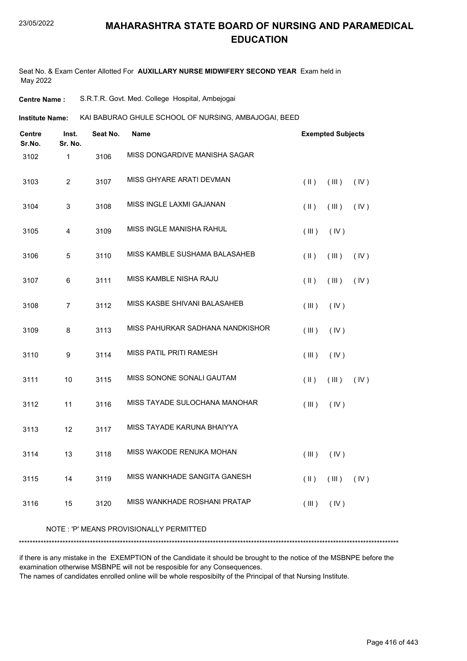Seat No. & Exam Center Allotted For **AUXILLARY NURSE MIDWIFERY SECOND YEAR** Exam held in May 2022

**Centre Name :** S.R.T.R. Govt. Med. College Hospital, Ambejogai

KAI BABURAO GHULE SCHOOL OF NURSING, AMBAJOGAI, BEED **Institute Name:**

| <b>Centre</b><br>Sr.No. | Inst.<br>Sr. No.                        | Seat No. | <b>Name</b>                      | <b>Exempted Subjects</b>                         |  |  |  |  |
|-------------------------|-----------------------------------------|----------|----------------------------------|--------------------------------------------------|--|--|--|--|
| 3102                    | 1                                       | 3106     | MISS DONGARDIVE MANISHA SAGAR    |                                                  |  |  |  |  |
| 3103                    | $\overline{c}$                          | 3107     | MISS GHYARE ARATI DEVMAN         | $(\parallel)$<br>(III)<br>(IV)                   |  |  |  |  |
| 3104                    | 3                                       | 3108     | MISS INGLE LAXMI GAJANAN         | $(\parallel)$<br>(III)<br>(IV)                   |  |  |  |  |
| 3105                    | 4                                       | 3109     | MISS INGLE MANISHA RAHUL         | (III)<br>(IV)                                    |  |  |  |  |
| 3106                    | 5                                       | 3110     | MISS KAMBLE SUSHAMA BALASAHEB    | $(\parallel)$<br>(III)<br>(IV)                   |  |  |  |  |
| 3107                    | 6                                       | 3111     | MISS KAMBLE NISHA RAJU           | $(\parallel)$<br>(III)<br>(IV)                   |  |  |  |  |
| 3108                    | $\overline{7}$                          | 3112     | MISS KASBE SHIVANI BALASAHEB     | (III)<br>(IV)                                    |  |  |  |  |
| 3109                    | 8                                       | 3113     | MISS PAHURKAR SADHANA NANDKISHOR | (III)<br>(IV)                                    |  |  |  |  |
| 3110                    | 9                                       | 3114     | MISS PATIL PRITI RAMESH          | (III)<br>(IV)                                    |  |  |  |  |
| 3111                    | 10                                      | 3115     | MISS SONONE SONALI GAUTAM        | $(\parallel)$<br>(III)<br>(IV)                   |  |  |  |  |
| 3112                    | 11                                      | 3116     | MISS TAYADE SULOCHANA MANOHAR    | (III)<br>(IV)                                    |  |  |  |  |
| 3113                    | 12                                      | 3117     | MISS TAYADE KARUNA BHAIYYA       |                                                  |  |  |  |  |
| 3114                    | 13                                      | 3118     | MISS WAKODE RENUKA MOHAN         | (III)<br>(IV)                                    |  |  |  |  |
| 3115                    | 14                                      | 3119     | MISS WANKHADE SANGITA GANESH     | $(\parallel)$<br>$(\mathbb{II})$ $(\mathbb{IV})$ |  |  |  |  |
| 3116                    | 15                                      | 3120     | MISS WANKHADE ROSHANI PRATAP     | (III)<br>(IV)                                    |  |  |  |  |
|                         | NOTE: 'P' MEANS PROVISIONALLY PERMITTED |          |                                  |                                                  |  |  |  |  |

if there is any mistake in the EXEMPTION of the Candidate it should be brought to the notice of the MSBNPE before the examination otherwise MSBNPE will not be resposible for any Consequences.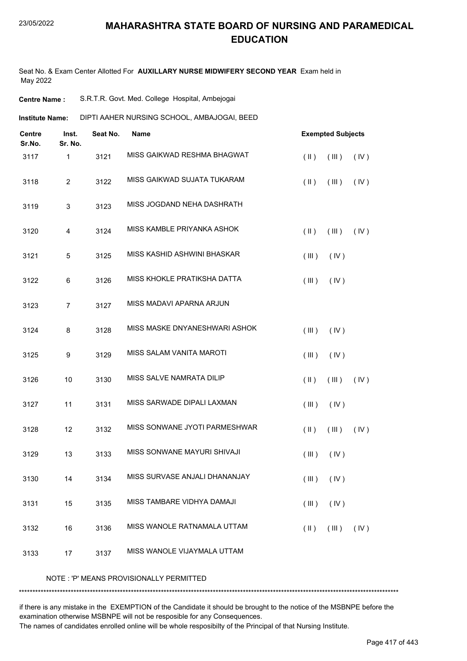Seat No. & Exam Center Allotted For **AUXILLARY NURSE MIDWIFERY SECOND YEAR** Exam held in May 2022

**Centre Name :** S.R.T.R. Govt. Med. College Hospital, Ambejogai

|                                             | <b>Institute Name:</b> |          | DIPTI AAHER NURSING SCHOOL, AMBAJOGAI, BEED |                         |                          |      |  |  |  |
|---------------------------------------------|------------------------|----------|---------------------------------------------|-------------------------|--------------------------|------|--|--|--|
| <b>Centre</b><br>Inst.<br>Sr.No.<br>Sr. No. |                        | Seat No. | <b>Name</b>                                 |                         | <b>Exempted Subjects</b> |      |  |  |  |
| 3117                                        | $\mathbf{1}$           | 3121     | MISS GAIKWAD RESHMA BHAGWAT                 | $(\parallel)$           | (III)                    | (IV) |  |  |  |
| 3118                                        | $\overline{c}$         | 3122     | MISS GAIKWAD SUJATA TUKARAM                 | $(\parallel)$           | (III)                    | (IV) |  |  |  |
| 3119                                        | 3                      | 3123     | MISS JOGDAND NEHA DASHRATH                  |                         |                          |      |  |  |  |
| 3120                                        | 4                      | 3124     | MISS KAMBLE PRIYANKA ASHOK                  | $(\parallel)$           | (III)                    | (IV) |  |  |  |
| 3121                                        | 5                      | 3125     | MISS KASHID ASHWINI BHASKAR                 | (III)                   | (IV)                     |      |  |  |  |
| 3122                                        | 6                      | 3126     | MISS KHOKLE PRATIKSHA DATTA                 | (III)                   | (IV)                     |      |  |  |  |
| 3123                                        | $\overline{7}$         | 3127     | MISS MADAVI APARNA ARJUN                    |                         |                          |      |  |  |  |
| 3124                                        | 8                      | 3128     | MISS MASKE DNYANESHWARI ASHOK               | (III)                   | (IV)                     |      |  |  |  |
| 3125                                        | 9                      | 3129     | MISS SALAM VANITA MAROTI                    | (III)                   | (IV)                     |      |  |  |  |
| 3126                                        | 10                     | 3130     | MISS SALVE NAMRATA DILIP                    | $(\parallel)$           | (III)                    | (IV) |  |  |  |
| 3127                                        | 11                     | 3131     | MISS SARWADE DIPALI LAXMAN                  | (III)                   | (IV)                     |      |  |  |  |
| 3128                                        | 12                     | 3132     | MISS SONWANE JYOTI PARMESHWAR               | $(\parallel \parallel)$ | (III)                    | (IV) |  |  |  |
| 3129                                        | 13                     | 3133     | MISS SONWANE MAYURI SHIVAJI                 | $($ III $)$             | (IV)                     |      |  |  |  |
| 3130                                        | 14                     | 3134     | MISS SURVASE ANJALI DHANANJAY               | (III)                   | (IV)                     |      |  |  |  |
| 3131                                        | 15                     | 3135     | MISS TAMBARE VIDHYA DAMAJI                  | (III)                   | (IV)                     |      |  |  |  |
| 3132                                        | 16                     | 3136     | MISS WANOLE RATNAMALA UTTAM                 | $(\parallel)$           | (III)                    | (IV) |  |  |  |
| 3133                                        | 17                     | 3137     | MISS WANOLE VIJAYMALA UTTAM                 |                         |                          |      |  |  |  |
|                                             |                        |          |                                             |                         |                          |      |  |  |  |

NOTE : 'P' MEANS PROVISIONALLY PERMITTED

\*\*\*\*\*\*\*\*\*\*\*\*\*\*\*\*\*\*\*\*\*\*\*\*\*\*\*\*\*\*\*\*\*\*\*\*\*\*\*\*\*\*\*\*\*\*\*\*\*\*\*\*\*\*\*\*\*\*\*\*\*\*\*\*\*\*\*\*\*\*\*\*\*\*\*\*\*\*\*\*\*\*\*\*\*\*\*\*\*\*\*\*\*\*\*\*\*\*\*\*\*\*\*\*\*\*\*\*\*\*\*\*\*\*\*\*\*\*\*\*\*\*\*\*\*\*\*\*\*\*\*\*\*\*\*\*\*\*\*

if there is any mistake in the EXEMPTION of the Candidate it should be brought to the notice of the MSBNPE before the examination otherwise MSBNPE will not be resposible for any Consequences.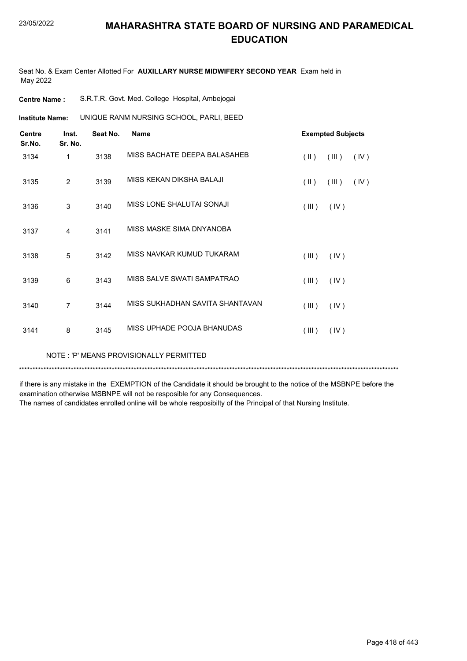Seat No. & Exam Center Allotted For **AUXILLARY NURSE MIDWIFERY SECOND YEAR** Exam held in May 2022

| <b>Centre Name :</b> |  |  |  |  |  | S.R.T.R. Govt. Med. College Hospital, Ambejogai |
|----------------------|--|--|--|--|--|-------------------------------------------------|
|----------------------|--|--|--|--|--|-------------------------------------------------|

**Institute Name:** UNIQUE RANM NURSING SCHOOL, PARLI, BEED

| <b>Centre</b><br>Sr.No. | Inst.<br>Sr. No. | Seat No. | <b>Name</b>                     |                         | <b>Exempted Subjects</b> |      |
|-------------------------|------------------|----------|---------------------------------|-------------------------|--------------------------|------|
| 3134                    | 1                | 3138     | MISS BACHATE DEEPA BALASAHEB    | $(\parallel \parallel)$ | (III)                    | (IV) |
| 3135                    | $\overline{2}$   | 3139     | MISS KEKAN DIKSHA BALAJI        | $(\parallel \parallel)$ | (III)                    | (IV) |
| 3136                    | 3                | 3140     | MISS LONE SHALUTAI SONAJI       | (III)                   | (IV)                     |      |
| 3137                    | 4                | 3141     | MISS MASKE SIMA DNYANOBA        |                         |                          |      |
| 3138                    | 5                | 3142     | MISS NAVKAR KUMUD TUKARAM       | (III)                   | (IV)                     |      |
| 3139                    | 6                | 3143     | MISS SALVE SWATI SAMPATRAO      | (III)                   | (IV)                     |      |
| 3140                    | 7                | 3144     | MISS SUKHADHAN SAVITA SHANTAVAN | (III)                   | (IV)                     |      |
| 3141                    | 8                | 3145     | MISS UPHADE POOJA BHANUDAS      | (III)                   | (IV)                     |      |

NOTE : 'P' MEANS PROVISIONALLY PERMITTED

\*\*\*\*\*\*\*\*\*\*\*\*\*\*\*\*\*\*\*\*\*\*\*\*\*\*\*\*\*\*\*\*\*\*\*\*\*\*\*\*\*\*\*\*\*\*\*\*\*\*\*\*\*\*\*\*\*\*\*\*\*\*\*\*\*\*\*\*\*\*\*\*\*\*\*\*\*\*\*\*\*\*\*\*\*\*\*\*\*\*\*\*\*\*\*\*\*\*\*\*\*\*\*\*\*\*\*\*\*\*\*\*\*\*\*\*\*\*\*\*\*\*\*\*\*\*\*\*\*\*\*\*\*\*\*\*\*\*\*

if there is any mistake in the EXEMPTION of the Candidate it should be brought to the notice of the MSBNPE before the examination otherwise MSBNPE will not be resposible for any Consequences.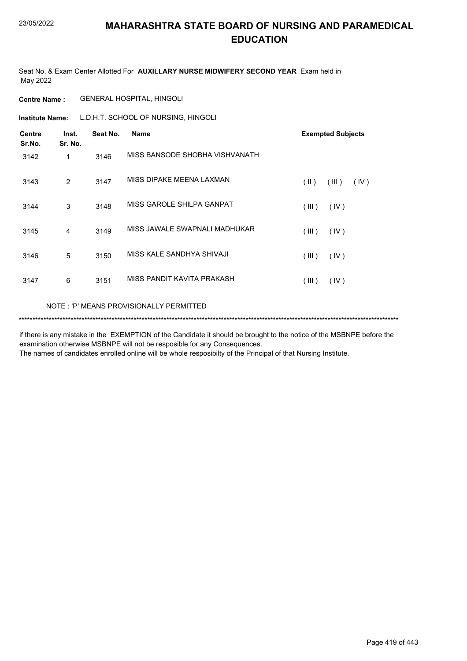Seat No. & Exam Center Allotted For **AUXILLARY NURSE MIDWIFERY SECOND YEAR** Exam held in May 2022

**Centre Name :** GENERAL HOSPITAL, HINGOLI

**Institute Name:** L.D.H.T. SCHOOL OF NURSING, HINGOLI

| <b>Centre</b><br>Sr.No. | Inst.<br>Sr. No. | Seat No. | <b>Name</b>                    | <b>Exempted Subjects</b>       |
|-------------------------|------------------|----------|--------------------------------|--------------------------------|
| 3142                    | 1                | 3146     | MISS BANSODE SHOBHA VISHVANATH |                                |
| 3143                    | 2                | 3147     | MISS DIPAKE MEENA LAXMAN       | $(\parallel)$<br>(III)<br>(IV) |
| 3144                    | 3                | 3148     | MISS GAROLE SHILPA GANPAT      | (III)<br>(IV)                  |
| 3145                    | 4                | 3149     | MISS JAWALE SWAPNALI MADHUKAR  | (III)<br>(IV)                  |
| 3146                    | 5                | 3150     | MISS KALE SANDHYA SHIVAJI      | (III)<br>(IV)                  |
| 3147                    | 6                | 3151     | MISS PANDIT KAVITA PRAKASH     | (III)<br>(IV)                  |
|                         |                  |          |                                |                                |

NOTE : 'P' MEANS PROVISIONALLY PERMITTED

\*\*\*\*\*\*\*\*\*\*\*\*\*\*\*\*\*\*\*\*\*\*\*\*\*\*\*\*\*\*\*\*\*\*\*\*\*\*\*\*\*\*\*\*\*\*\*\*\*\*\*\*\*\*\*\*\*\*\*\*\*\*\*\*\*\*\*\*\*\*\*\*\*\*\*\*\*\*\*\*\*\*\*\*\*\*\*\*\*\*\*\*\*\*\*\*\*\*\*\*\*\*\*\*\*\*\*\*\*\*\*\*\*\*\*\*\*\*\*\*\*\*\*\*\*\*\*\*\*\*\*\*\*\*\*\*\*\*\*

if there is any mistake in the EXEMPTION of the Candidate it should be brought to the notice of the MSBNPE before the examination otherwise MSBNPE will not be resposible for any Consequences.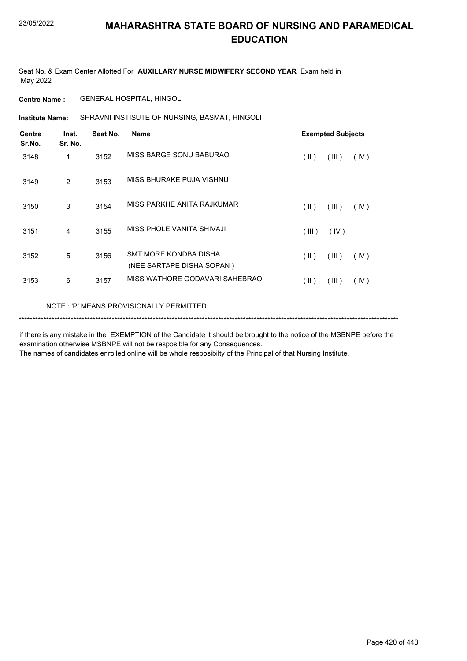Seat No. & Exam Center Allotted For **AUXILLARY NURSE MIDWIFERY SECOND YEAR** Exam held in May 2022

#### **Centre Name :** GENERAL HOSPITAL, HINGOLI

SHRAVNI INSTISUTE OF NURSING, BASMAT, HINGOLI **Institute Name:**

| <b>Centre</b><br>Sr.No. | Inst.<br>Sr. No. | Seat No. | <b>Name</b>                                        |               | <b>Exempted Subjects</b> |      |
|-------------------------|------------------|----------|----------------------------------------------------|---------------|--------------------------|------|
| 3148                    | 1                | 3152     | MISS BARGE SONU BABURAO                            | (11)          | (III)                    | (IV) |
| 3149                    | 2                | 3153     | MISS BHURAKE PUJA VISHNU                           |               |                          |      |
| 3150                    | 3                | 3154     | MISS PARKHE ANITA RAJKUMAR                         | (11)          | (III)                    | (IV) |
| 3151                    | 4                | 3155     | MISS PHOLE VANITA SHIVAJI                          | (III)         | (IV)                     |      |
| 3152                    | 5                | 3156     | SMT MORE KONDBA DISHA<br>(NEE SARTAPE DISHA SOPAN) | (  )          | (III)                    | (IV) |
| 3153                    | 6                | 3157     | MISS WATHORE GODAVARI SAHEBRAO                     | $(\parallel)$ | (III)                    | (IV) |
|                         |                  |          |                                                    |               |                          |      |

#### NOTE : 'P' MEANS PROVISIONALLY PERMITTED

#### \*\*\*\*\*\*\*\*\*\*\*\*\*\*\*\*\*\*\*\*\*\*\*\*\*\*\*\*\*\*\*\*\*\*\*\*\*\*\*\*\*\*\*\*\*\*\*\*\*\*\*\*\*\*\*\*\*\*\*\*\*\*\*\*\*\*\*\*\*\*\*\*\*\*\*\*\*\*\*\*\*\*\*\*\*\*\*\*\*\*\*\*\*\*\*\*\*\*\*\*\*\*\*\*\*\*\*\*\*\*\*\*\*\*\*\*\*\*\*\*\*\*\*\*\*\*\*\*\*\*\*\*\*\*\*\*\*\*\*

if there is any mistake in the EXEMPTION of the Candidate it should be brought to the notice of the MSBNPE before the examination otherwise MSBNPE will not be resposible for any Consequences.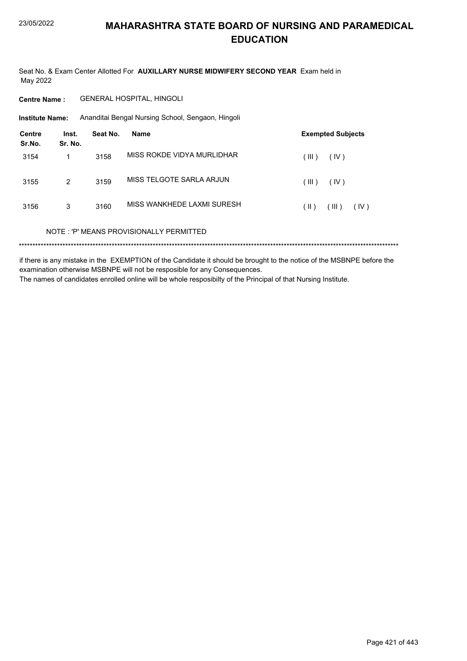Seat No. & Exam Center Allotted For AUXILLARY NURSE MIDWIFERY SECOND YEAR Exam held in May 2022

**Centre Name:** GENERAL HOSPITAL, HINGOLI

**Institute Name:** Ananditai Bengal Nursing School, Sengaon, Hingoli

| Centre<br>Sr.No. | Inst.<br>Sr. No. | Seat No. | Name                                    | <b>Exempted Subjects</b> |
|------------------|------------------|----------|-----------------------------------------|--------------------------|
| 3154             | 1                | 3158     | MISS ROKDE VIDYA MURLIDHAR              | (III)<br>(IV)            |
| 3155             | 2                | 3159     | MISS TELGOTE SARLA ARJUN                | (III)<br>(IV)            |
| 3156             | 3                | 3160     | MISS WANKHEDE LAXMI SURESH              | (III)<br>(  )<br>(IV)    |
|                  |                  |          | NOTE: 'P' MEANS PROVISIONALLY PERMITTED |                          |
|                  |                  |          |                                         |                          |

if there is any mistake in the EXEMPTION of the Candidate it should be brought to the notice of the MSBNPE before the examination otherwise MSBNPE will not be resposible for any Consequences. The names of candidates enrolled online will be whole resposibilty of the Principal of that Nursing Institute.

Page 421 of 443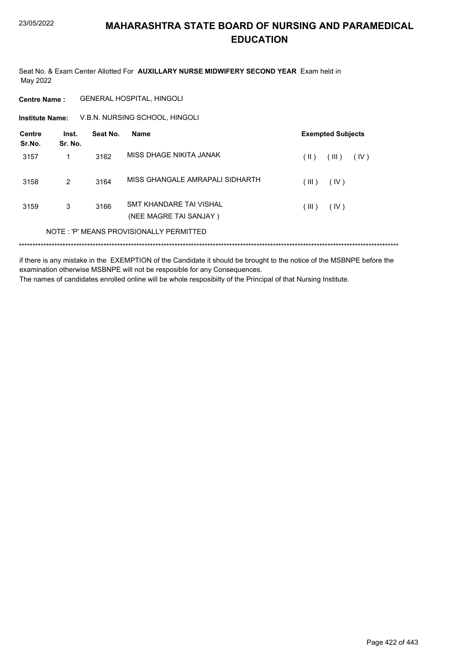Seat No. & Exam Center Allotted For **AUXILLARY NURSE MIDWIFERY SECOND YEAR** Exam held in May 2022

**Centre Name :** GENERAL HOSPITAL, HINGOLI

V.B.N. NURSING SCHOOL, HINGOLI **Institute Name:**

| <b>Centre</b><br>Sr.No. | Inst.<br>Sr. No. | Seat No. | <b>Name</b>                                       |       | <b>Exempted Subjects</b> |      |
|-------------------------|------------------|----------|---------------------------------------------------|-------|--------------------------|------|
| 3157                    | 1                | 3162     | MISS DHAGF NIKITA JANAK                           | (  )  | (III)                    | (IV) |
| 3158                    | 2                | 3164     | MISS GHANGALE AMRAPALI SIDHARTH                   | (III) | (IV)                     |      |
| 3159                    | 3                | 3166     | SMT KHANDARE TAI VISHAL<br>(NEE MAGRE TAI SANJAY) | (III) | (IV)                     |      |
|                         |                  |          | NOTE: 'P' MEANS PROVISIONALLY PERMITTED           |       |                          |      |
|                         |                  |          |                                                   |       |                          |      |

if there is any mistake in the EXEMPTION of the Candidate it should be brought to the notice of the MSBNPE before the examination otherwise MSBNPE will not be resposible for any Consequences. The names of candidates enrolled online will be whole resposibilty of the Principal of that Nursing Institute.

Page 422 of 443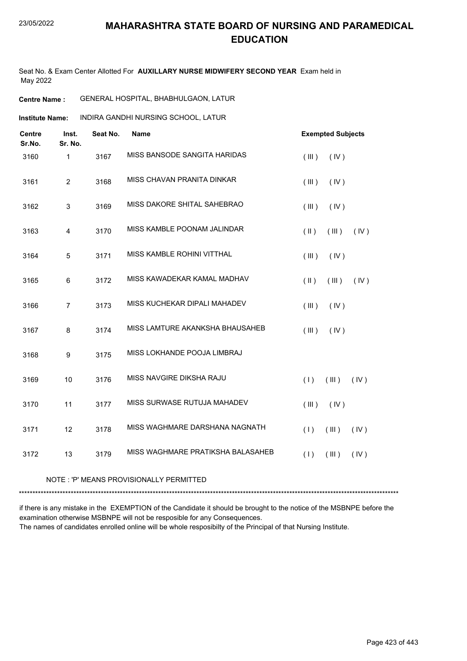Seat No. & Exam Center Allotted For **AUXILLARY NURSE MIDWIFERY SECOND YEAR** Exam held in May 2022

**Centre Name :** GENERAL HOSPITAL, BHABHULGAON, LATUR

INDIRA GANDHI NURSING SCHOOL, LATUR **Institute Name:**

| <b>Centre</b><br>Sr.No. | Inst.<br>Sr. No. | Seat No. | <b>Name</b>                       | <b>Exempted Subjects</b>       |
|-------------------------|------------------|----------|-----------------------------------|--------------------------------|
| 3160                    | $\mathbf{1}$     | 3167     | MISS BANSODE SANGITA HARIDAS      | (III)<br>(IV)                  |
| 3161                    | $\overline{c}$   | 3168     | MISS CHAVAN PRANITA DINKAR        | (III)<br>(IV)                  |
| 3162                    | 3                | 3169     | MISS DAKORE SHITAL SAHEBRAO       | (III)<br>(IV)                  |
| 3163                    | 4                | 3170     | MISS KAMBLE POONAM JALINDAR       | (IV)<br>$(\parallel)$<br>(III) |
| 3164                    | 5                | 3171     | MISS KAMBLE ROHINI VITTHAL        | (III)<br>(IV)                  |
| 3165                    | 6                | 3172     | MISS KAWADEKAR KAMAL MADHAV       | (IV)<br>$(\parallel)$<br>(III) |
| 3166                    | $\overline{7}$   | 3173     | MISS KUCHEKAR DIPALI MAHADEV      | (III)<br>(IV)                  |
| 3167                    | 8                | 3174     | MISS LAMTURE AKANKSHA BHAUSAHEB   | (III)<br>(IV)                  |
| 3168                    | 9                | 3175     | MISS LOKHANDE POOJA LIMBRAJ       |                                |
| 3169                    | 10               | 3176     | MISS NAVGIRE DIKSHA RAJU          | (1)<br>(III)<br>(IV)           |
| 3170                    | 11               | 3177     | MISS SURWASE RUTUJA MAHADEV       | (III)<br>(IV)                  |
| 3171                    | 12               | 3178     | MISS WAGHMARE DARSHANA NAGNATH    | (1)<br>(III)<br>(IV)           |
| 3172                    | 13               | 3179     | MISS WAGHMARE PRATIKSHA BALASAHEB | (1)<br>(III)<br>(IV)           |

NOTE : 'P' MEANS PROVISIONALLY PERMITTED

\*\*\*\*\*\*\*\*\*\*\*\*\*\*\*\*\*\*\*\*\*\*\*\*\*\*\*\*\*\*\*\*\*\*\*\*\*\*\*\*\*\*\*\*\*\*\*\*\*\*\*\*\*\*\*\*\*\*\*\*\*\*\*\*\*\*\*\*\*\*\*\*\*\*\*\*\*\*\*\*\*\*\*\*\*\*\*\*\*\*\*\*\*\*\*\*\*\*\*\*\*\*\*\*\*\*\*\*\*\*\*\*\*\*\*\*\*\*\*\*\*\*\*\*\*\*\*\*\*\*\*\*\*\*\*\*\*\*\*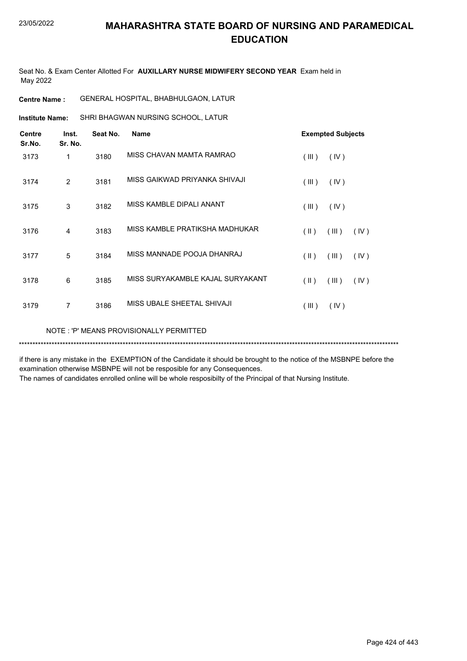Seat No. & Exam Center Allotted For **AUXILLARY NURSE MIDWIFERY SECOND YEAR** Exam held in May 2022

**Centre Name :** GENERAL HOSPITAL, BHABHULGAON, LATUR

SHRI BHAGWAN NURSING SCHOOL, LATUR **Institute Name:**

| <b>Centre</b><br>Sr.No. | Inst.<br>Sr. No. | Seat No. | <b>Name</b>                      |               | <b>Exempted Subjects</b> |      |
|-------------------------|------------------|----------|----------------------------------|---------------|--------------------------|------|
| 3173                    | 1                | 3180     | MISS CHAVAN MAMTA RAMRAO         | (III)         | (IV)                     |      |
| 3174                    | 2                | 3181     | MISS GAIKWAD PRIYANKA SHIVAJI    | (III)         | (IV)                     |      |
| 3175                    | 3                | 3182     | MISS KAMBLE DIPALI ANANT         | (III)         | (IV)                     |      |
| 3176                    | 4                | 3183     | MISS KAMBLE PRATIKSHA MADHUKAR   | $($ II $)$    | (III)                    | (IV) |
| 3177                    | 5                | 3184     | MISS MANNADE POOJA DHANRAJ       | $(\parallel)$ | (III)                    | (IV) |
| 3178                    | 6                | 3185     | MISS SURYAKAMBLE KAJAL SURYAKANT | (  )          | (III)                    | (IV) |
| 3179                    | 7                | 3186     | MISS UBALE SHEETAL SHIVAJI       | (III)         | (IV)                     |      |

NOTE : 'P' MEANS PROVISIONALLY PERMITTED

\*\*\*\*\*\*\*\*\*\*\*\*\*\*\*\*\*\*\*\*\*\*\*\*\*\*\*\*\*\*\*\*\*\*\*\*\*\*\*\*\*\*\*\*\*\*\*\*\*\*\*\*\*\*\*\*\*\*\*\*\*\*\*\*\*\*\*\*\*\*\*\*\*\*\*\*\*\*\*\*\*\*\*\*\*\*\*\*\*\*\*\*\*\*\*\*\*\*\*\*\*\*\*\*\*\*\*\*\*\*\*\*\*\*\*\*\*\*\*\*\*\*\*\*\*\*\*\*\*\*\*\*\*\*\*\*\*\*\*

if there is any mistake in the EXEMPTION of the Candidate it should be brought to the notice of the MSBNPE before the examination otherwise MSBNPE will not be resposible for any Consequences.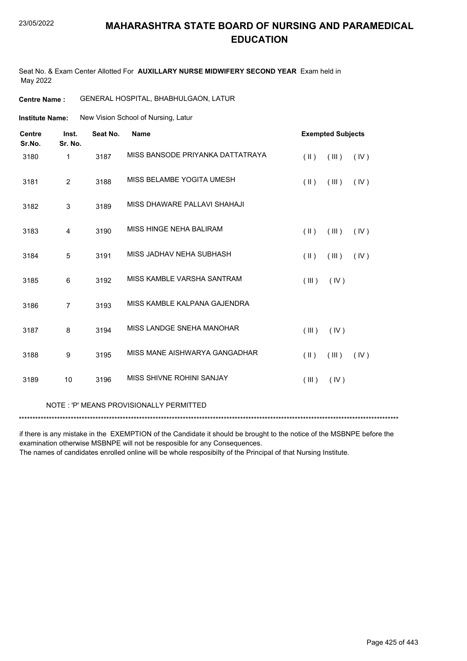#### 23/05/2022

#### **MAHARASHTRA STATE BOARD OF NURSING AND PARAMEDICAL EDUCATION**

Seat No. & Exam Center Allotted For **AUXILLARY NURSE MIDWIFERY SECOND YEAR** Exam held in May 2022

**Centre Name :** GENERAL HOSPITAL, BHABHULGAON, LATUR

New Vision School of Nursing, Latur **Institute Name:**

| <b>Centre</b><br>Sr.No. | Inst.<br>Sr. No. | Seat No. | <b>Name</b>                      | <b>Exempted Subjects</b> |       |      |
|-------------------------|------------------|----------|----------------------------------|--------------------------|-------|------|
| 3180                    | 1                | 3187     | MISS BANSODE PRIYANKA DATTATRAYA | $(\parallel)$            | (III) | (IV) |
| 3181                    | $\overline{2}$   | 3188     | MISS BELAMBE YOGITA UMESH        | $(\parallel \parallel)$  | (III) | (IV) |
| 3182                    | 3                | 3189     | MISS DHAWARE PALLAVI SHAHAJI     |                          |       |      |
| 3183                    | $\overline{4}$   | 3190     | MISS HINGE NEHA BALIRAM          | $($ II $)$               | (III) | (IV) |
| 3184                    | 5                | 3191     | MISS JADHAV NEHA SUBHASH         | $(\parallel \parallel)$  | (III) | (IV) |
| 3185                    | 6                | 3192     | MISS KAMBLE VARSHA SANTRAM       | (III)                    | (IV)  |      |
| 3186                    | $\overline{7}$   | 3193     | MISS KAMBLE KALPANA GAJENDRA     |                          |       |      |
| 3187                    | 8                | 3194     | MISS LANDGE SNEHA MANOHAR        | (III)                    | (IV)  |      |
| 3188                    | $\boldsymbol{9}$ | 3195     | MISS MANE AISHWARYA GANGADHAR    | $(\parallel)$            | (III) | (IV) |
| 3189                    | 10               | 3196     | MISS SHIVNE ROHINI SANJAY        | (III)                    | (IV)  |      |

#### NOTE : 'P' MEANS PROVISIONALLY PERMITTED

\*\*\*\*\*\*\*\*\*\*\*\*\*\*\*\*\*\*\*\*\*\*\*\*\*\*\*\*\*\*\*\*\*\*\*\*\*\*\*\*\*\*\*\*\*\*\*\*\*\*\*\*\*\*\*\*\*\*\*\*\*\*\*\*\*\*\*\*\*\*\*\*\*\*\*\*\*\*\*\*\*\*\*\*\*\*\*\*\*\*\*\*\*\*\*\*\*\*\*\*\*\*\*\*\*\*\*\*\*\*\*\*\*\*\*\*\*\*\*\*\*\*\*\*\*\*\*\*\*\*\*\*\*\*\*\*\*\*\*

if there is any mistake in the EXEMPTION of the Candidate it should be brought to the notice of the MSBNPE before the examination otherwise MSBNPE will not be resposible for any Consequences.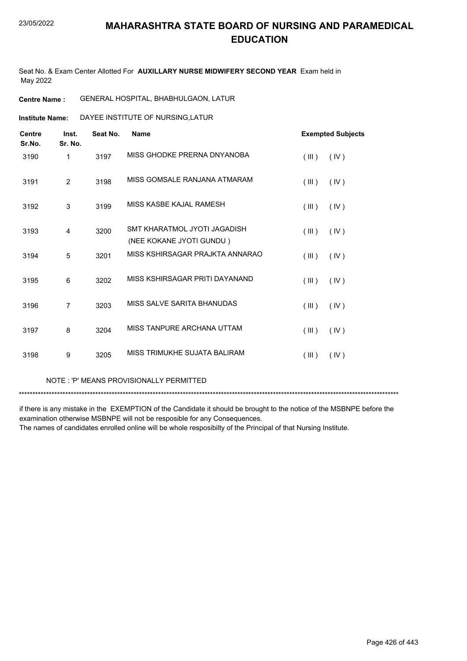Seat No. & Exam Center Allotted For **AUXILLARY NURSE MIDWIFERY SECOND YEAR** Exam held in May 2022

**Centre Name :** GENERAL HOSPITAL, BHABHULGAON, LATUR

**Institute Name:** DAYEE INSTITUTE OF NURSING,LATUR

| <b>Centre</b><br>Sr.No. | Inst.<br>Sr. No. | Seat No. | <b>Name</b>                                              | <b>Exempted Subjects</b> |
|-------------------------|------------------|----------|----------------------------------------------------------|--------------------------|
| 3190                    | 1                | 3197     | MISS GHODKE PRERNA DNYANOBA                              | (III)<br>(IV)            |
| 3191                    | 2                | 3198     | MISS GOMSALE RANJANA ATMARAM                             | (III)<br>(IV)            |
| 3192                    | 3                | 3199     | MISS KASBE KAJAL RAMESH                                  | (III)<br>(IV)            |
| 3193                    | 4                | 3200     | SMT KHARATMOL JYOTI JAGADISH<br>(NEE KOKANE JYOTI GUNDU) | (III)<br>(IV)            |
| 3194                    | 5                | 3201     | MISS KSHIRSAGAR PRAJKTA ANNARAO                          | (III)<br>(IV)            |
| 3195                    | 6                | 3202     | MISS KSHIRSAGAR PRITI DAYANAND                           | (III)<br>(IV)            |
| 3196                    | $\overline{7}$   | 3203     | MISS SALVE SARITA BHANUDAS                               | (III)<br>(IV)            |
| 3197                    | 8                | 3204     | MISS TANPURE ARCHANA UTTAM                               | (III)<br>(IV)            |
| 3198                    | 9                | 3205     | MISS TRIMUKHE SUJJATA BAI IRAM                           | (III)<br>(IV)            |

NOTE : 'P' MEANS PROVISIONALLY PERMITTED

\*\*\*\*\*\*\*\*\*\*\*\*\*\*\*\*\*\*\*\*\*\*\*\*\*\*\*\*\*\*\*\*\*\*\*\*\*\*\*\*\*\*\*\*\*\*\*\*\*\*\*\*\*\*\*\*\*\*\*\*\*\*\*\*\*\*\*\*\*\*\*\*\*\*\*\*\*\*\*\*\*\*\*\*\*\*\*\*\*\*\*\*\*\*\*\*\*\*\*\*\*\*\*\*\*\*\*\*\*\*\*\*\*\*\*\*\*\*\*\*\*\*\*\*\*\*\*\*\*\*\*\*\*\*\*\*\*\*\*

if there is any mistake in the EXEMPTION of the Candidate it should be brought to the notice of the MSBNPE before the examination otherwise MSBNPE will not be resposible for any Consequences.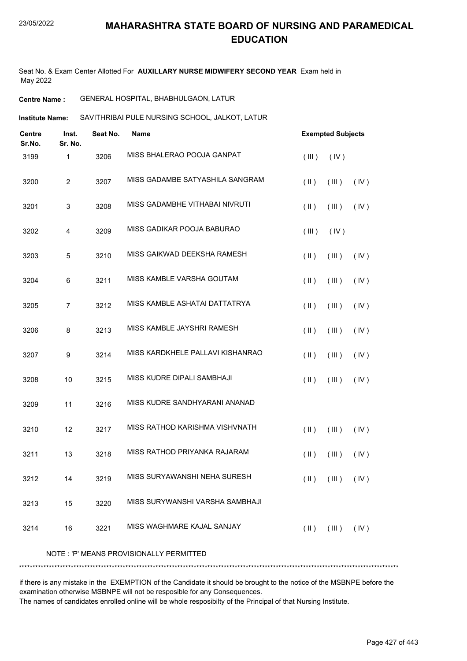Seat No. & Exam Center Allotted For **AUXILLARY NURSE MIDWIFERY SECOND YEAR** Exam held in May 2022

**Centre Name :** GENERAL HOSPITAL, BHABHULGAON, LATUR

**Institute Name:** SAVITHRIBAI PULE NURSING SCHOOL, JALKOT, LATUR

| <b>Centre</b><br>Sr.No. | Inst.<br>Sr. No. | Seat No. | <b>Name</b>                             | <b>Exempted Subjects</b>                        |
|-------------------------|------------------|----------|-----------------------------------------|-------------------------------------------------|
| 3199                    | 1                | 3206     | MISS BHALERAO POOJA GANPAT              | (IV)<br>(III)                                   |
| 3200                    | $\overline{2}$   | 3207     | MISS GADAMBE SATYASHILA SANGRAM         | $(\parallel)$<br>(III)<br>(IV)                  |
| 3201                    | 3                | 3208     | MISS GADAMBHE VITHABAI NIVRUTI          | $(\parallel)$<br>(III)<br>(IV)                  |
| 3202                    | 4                | 3209     | MISS GADIKAR POOJA BABURAO              | (III)<br>(IV)                                   |
| 3203                    | 5                | 3210     | MISS GAIKWAD DEEKSHA RAMESH             | $(\parallel)$<br>(III)<br>(IV)                  |
| 3204                    | 6                | 3211     | MISS KAMBLE VARSHA GOUTAM               | $(\parallel)$<br>(III)<br>(IV)                  |
| 3205                    | $\overline{7}$   | 3212     | MISS KAMBLE ASHATAI DATTATRYA           | $(\parallel)$<br>(III)<br>(IV)                  |
| 3206                    | 8                | 3213     | MISS KAMBLE JAYSHRI RAMESH              | $(\parallel)$<br>(III)<br>(IV)                  |
| 3207                    | 9                | 3214     | MISS KARDKHELE PALLAVI KISHANRAO        | $($ II $)$<br>(III)<br>(IV)                     |
| 3208                    | 10               | 3215     | MISS KUDRE DIPALI SAMBHAJI              | $(\parallel)$<br>(III)<br>(IV)                  |
| 3209                    | 11               | 3216     | MISS KUDRE SANDHYARANI ANANAD           |                                                 |
| 3210                    | 12               | 3217     | MISS RATHOD KARISHMA VISHVNATH          | $($ II $)$<br>(III)<br>(IV)                     |
| 3211                    | 13               | 3218     | MISS RATHOD PRIYANKA RAJARAM            | $(\parallel)$<br>(III)<br>(IV)                  |
| 3212                    | 14               | 3219     | MISS SURYAWANSHI NEHA SURESH            | $(\parallel)$<br>(III)<br>(IV)                  |
| 3213                    | 15               | 3220     | MISS SURYWANSHI VARSHA SAMBHAJI         |                                                 |
| 3214                    | 16               | 3221     | MISS WAGHMARE KAJAL SANJAY              | $(\parallel)$<br>$(\mathbb{II})$ $(\mathbb{V})$ |
|                         |                  |          | NOTE: 'P' MEANS PROVISIONALLY PERMITTED |                                                 |
|                         |                  |          |                                         |                                                 |

if there is any mistake in the EXEMPTION of the Candidate it should be brought to the notice of the MSBNPE before the examination otherwise MSBNPE will not be resposible for any Consequences.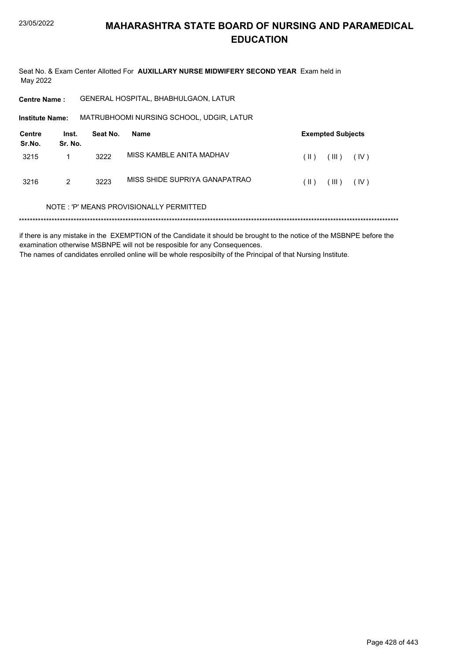Seat No. & Exam Center Allotted For AUXILLARY NURSE MIDWIFERY SECOND YEAR Exam held in May 2022

| <b>Centre Name:</b>     |                  |          | GENERAL HOSPITAL, BHABHULGAON, LATUR     |      |                          |      |  |
|-------------------------|------------------|----------|------------------------------------------|------|--------------------------|------|--|
| <b>Institute Name:</b>  |                  |          | MATRUBHOOMI NURSING SCHOOL, UDGIR, LATUR |      |                          |      |  |
| <b>Centre</b><br>Sr.No. | Inst.<br>Sr. No. | Seat No. | Name                                     |      | <b>Exempted Subjects</b> |      |  |
| 3215                    | 1                | 3222     | MISS KAMBI F ANITA MADHAV                | (  ) | (III)                    | (IV) |  |
| 3216                    | 2                | 3223     | MISS SHIDE SUPRIYA GANAPATRAO            | (  ) | (III)                    | (IV) |  |
|                         |                  |          | NOTE: 'P' MEANS PROVISIONALLY PERMITTED  |      |                          |      |  |
|                         |                  |          |                                          |      |                          |      |  |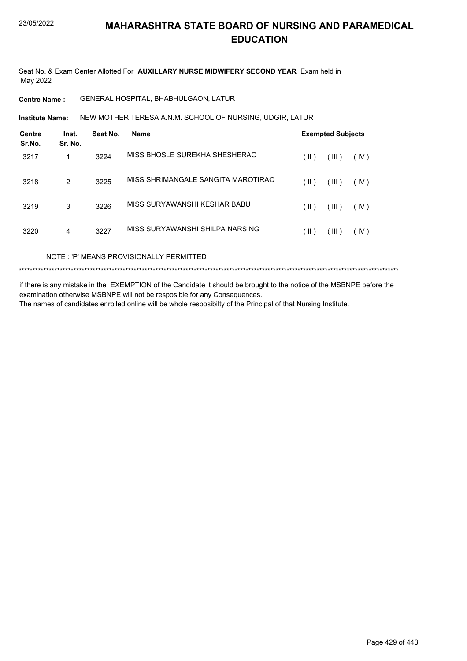Seat No. & Exam Center Allotted For **AUXILLARY NURSE MIDWIFERY SECOND YEAR** Exam held in May 2022

**Centre Name :** GENERAL HOSPITAL, BHABHULGAON, LATUR

NEW MOTHER TERESA A.N.M. SCHOOL OF NURSING, UDGIR, LATUR **Institute Name:**

| <b>Centre</b><br>Sr.No. | Inst.<br>Sr. No. | Seat No. | Name                               |               | <b>Exempted Subjects</b> |      |
|-------------------------|------------------|----------|------------------------------------|---------------|--------------------------|------|
| 3217                    | 1                | 3224     | MISS BHOSLE SUREKHA SHESHERAO      | $(\parallel)$ | (III)                    | (IV) |
| 3218                    | $\overline{2}$   | 3225     | MISS SHRIMANGALE SANGITA MAROTIRAO | $(\parallel)$ | (III)                    | (IV) |
| 3219                    | 3                | 3226     | MISS SURYAWANSHI KESHAR BABU       | $(\parallel)$ | (III)                    | (IV) |
| 3220                    | 4                | 3227     | MISS SURYAWANSHI SHILPA NARSING    | (  )          | (III)                    | (IV) |

NOTE : 'P' MEANS PROVISIONALLY PERMITTED

\*\*\*\*\*\*\*\*\*\*\*\*\*\*\*\*\*\*\*\*\*\*\*\*\*\*\*\*\*\*\*\*\*\*\*\*\*\*\*\*\*\*\*\*\*\*\*\*\*\*\*\*\*\*\*\*\*\*\*\*\*\*\*\*\*\*\*\*\*\*\*\*\*\*\*\*\*\*\*\*\*\*\*\*\*\*\*\*\*\*\*\*\*\*\*\*\*\*\*\*\*\*\*\*\*\*\*\*\*\*\*\*\*\*\*\*\*\*\*\*\*\*\*\*\*\*\*\*\*\*\*\*\*\*\*\*\*\*\*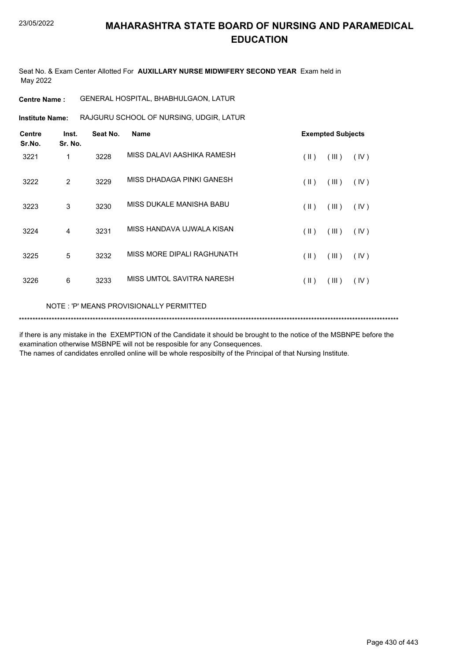Seat No. & Exam Center Allotted For **AUXILLARY NURSE MIDWIFERY SECOND YEAR** Exam held in May 2022

**Centre Name :** GENERAL HOSPITAL, BHABHULGAON, LATUR

**Institute Name:** RAJGURU SCHOOL OF NURSING, UDGIR, LATUR

| <b>Centre</b><br>Sr.No. | Inst.<br>Sr. No. | Seat No. | <b>Name</b>                |                         | <b>Exempted Subjects</b> |      |  |
|-------------------------|------------------|----------|----------------------------|-------------------------|--------------------------|------|--|
| 3221                    | 1                | 3228     | MISS DALAVI AASHIKA RAMESH | $(\parallel)$           | (III)                    | (IV) |  |
| 3222                    | 2                | 3229     | MISS DHADAGA PINKI GANESH  | $($ II $)$              | (III)                    | (IV) |  |
| 3223                    | 3                | 3230     | MISS DUKALE MANISHA BABU   | $(\parallel \parallel)$ | (III)                    | (IV) |  |
| 3224                    | 4                | 3231     | MISS HANDAVA UJWALA KISAN  | $(\parallel)$           | (III)                    | (IV) |  |
| 3225                    | 5                | 3232     | MISS MORE DIPALI RAGHUNATH | $($ II $)$              | (III)                    | (IV) |  |
| 3226                    | 6                | 3233     | MISS UMTOL SAVITRA NARESH  | $($ II $)$              | (III)                    | (IV) |  |
|                         |                  |          |                            |                         |                          |      |  |

NOTE : 'P' MEANS PROVISIONALLY PERMITTED

\*\*\*\*\*\*\*\*\*\*\*\*\*\*\*\*\*\*\*\*\*\*\*\*\*\*\*\*\*\*\*\*\*\*\*\*\*\*\*\*\*\*\*\*\*\*\*\*\*\*\*\*\*\*\*\*\*\*\*\*\*\*\*\*\*\*\*\*\*\*\*\*\*\*\*\*\*\*\*\*\*\*\*\*\*\*\*\*\*\*\*\*\*\*\*\*\*\*\*\*\*\*\*\*\*\*\*\*\*\*\*\*\*\*\*\*\*\*\*\*\*\*\*\*\*\*\*\*\*\*\*\*\*\*\*\*\*\*\*

if there is any mistake in the EXEMPTION of the Candidate it should be brought to the notice of the MSBNPE before the examination otherwise MSBNPE will not be resposible for any Consequences.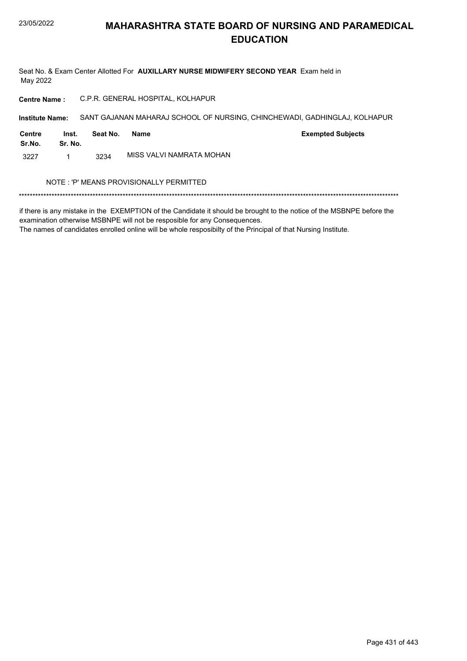Seat No. & Exam Center Allotted For AUXILLARY NURSE MIDWIFERY SECOND YEAR Exam held in May 2022

C.P.R. GENERAL HOSPITAL, KOLHAPUR **Centre Name:** 

Institute Name: SANT GAJANAN MAHARAJ SCHOOL OF NURSING, CHINCHEWADI, GADHINGLAJ, KOLHAPUR

| Centre<br>Sr.No. | Inst.<br>Sr. No. | Seat No. | Name                     | <b>Exempted Subjects</b> |
|------------------|------------------|----------|--------------------------|--------------------------|
| 3227             |                  | 3234     | MISS VALVI NAMRATA MOHAN |                          |

#### NOTE : 'P' MEANS PROVISIONALLY PERMITTED

if there is any mistake in the EXEMPTION of the Candidate it should be brought to the notice of the MSBNPE before the examination otherwise MSBNPE will not be resposible for any Consequences.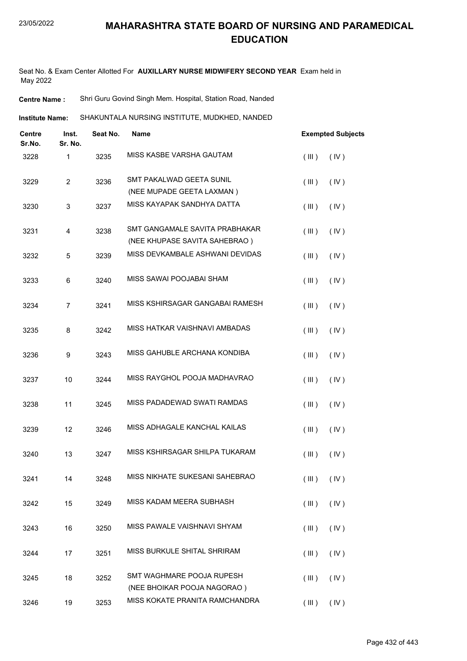Seat No. & Exam Center Allotted For **AUXILLARY NURSE MIDWIFERY SECOND YEAR** Exam held in May 2022

**Centre Name :** Shri Guru Govind Singh Mem. Hospital, Station Road, Nanded

**Institute Name:** SHAKUNTALA NURSING INSTITUTE, MUDKHED, NANDED

| <b>Centre</b><br>Sr.No. | Inst.<br>Sr. No. | Seat No. | <b>Name</b>                                                     | <b>Exempted Subjects</b>  |
|-------------------------|------------------|----------|-----------------------------------------------------------------|---------------------------|
| 3228                    | 1                | 3235     | MISS KASBE VARSHA GAUTAM                                        | (III)<br>(IV)             |
| 3229                    | $\overline{2}$   | 3236     | SMT PAKALWAD GEETA SUNIL<br>(NEE MUPADE GEETA LAXMAN)           | (IV)<br>(III)             |
| 3230                    | 3                | 3237     | MISS KAYAPAK SANDHYA DATTA                                      | (III)<br>(IV)             |
| 3231                    | 4                | 3238     | SMT GANGAMALE SAVITA PRABHAKAR<br>(NEE KHUPASE SAVITA SAHEBRAO) | (IV)<br>(III)             |
| 3232                    | 5                | 3239     | MISS DEVKAMBALE ASHWANI DEVIDAS                                 | (III)<br>(IV)             |
| 3233                    | 6                | 3240     | MISS SAWAI POOJABAI SHAM                                        | (III)<br>(IV)             |
| 3234                    | $\overline{7}$   | 3241     | MISS KSHIRSAGAR GANGABAI RAMESH                                 | (IV)<br>(III)             |
| 3235                    | 8                | 3242     | MISS HATKAR VAISHNAVI AMBADAS                                   | (III)<br>(IV)             |
| 3236                    | 9                | 3243     | MISS GAHUBLE ARCHANA KONDIBA                                    | (III)<br>(IV)             |
| 3237                    | 10               | 3244     | MISS RAYGHOL POOJA MADHAVRAO                                    | (III)<br>(IV)             |
| 3238                    | 11               | 3245     | MISS PADADEWAD SWATI RAMDAS                                     | (III)<br>(IV)             |
| 3239                    | 12               | 3246     | MISS ADHAGALE KANCHAL KAILAS                                    | (III)<br>(IV)             |
| 3240                    | 13               | 3247     | MISS KSHIRSAGAR SHILPA TUKARAM                                  | (III)<br>(IV)             |
| 3241                    | 14               | 3248     | MISS NIKHATE SUKESANI SAHEBRAO                                  | $($ III $)$<br>$($ IV $)$ |
| 3242                    | 15               | 3249     | MISS KADAM MEERA SUBHASH                                        | (III)<br>(IV)             |
| 3243                    | 16               | 3250     | MISS PAWALE VAISHNAVI SHYAM                                     | (III)<br>(IV)             |
| 3244                    | 17               | 3251     | MISS BURKULE SHITAL SHRIRAM                                     | (III)<br>(IV)             |
| 3245                    | 18               | 3252     | SMT WAGHMARE POOJA RUPESH<br>(NEE BHOIKAR POOJA NAGORAO)        | (III)<br>(IV)             |
| 3246                    | 19               | 3253     | MISS KOKATE PRANITA RAMCHANDRA                                  | (III)<br>(IV)             |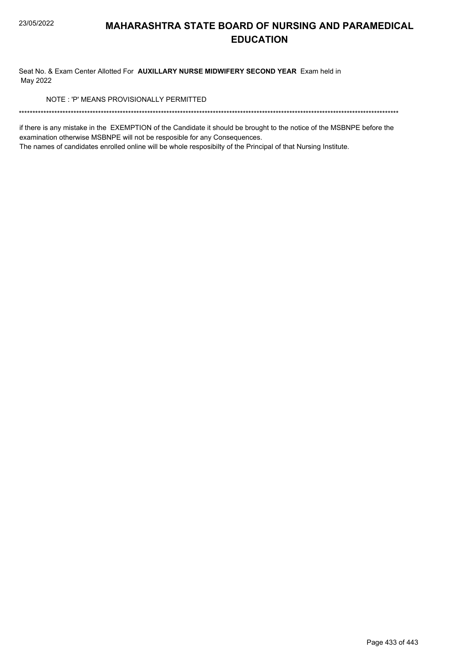Seat No. & Exam Center Allotted For AUXILLARY NURSE MIDWIFERY SECOND YEAR Exam held in May 2022

NOTE: 'P' MEANS PROVISIONALLY PERMITTED

if there is any mistake in the EXEMPTION of the Candidate it should be brought to the notice of the MSBNPE before the examination otherwise MSBNPE will not be resposible for any Consequences.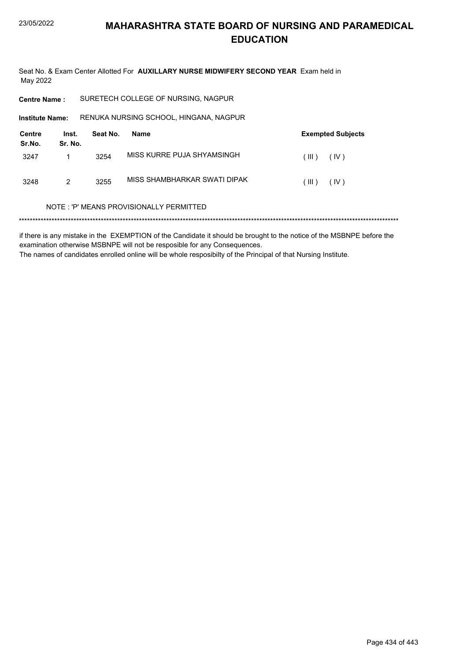Seat No. & Exam Center Allotted For AUXILLARY NURSE MIDWIFERY SECOND YEAR Exam held in May 2022

**Centre Name:** SURETECH COLLEGE OF NURSING, NAGPUR

RENUKA NURSING SCHOOL, HINGANA, NAGPUR **Institute Name:** 

| Centre<br>Sr.No. | Inst.<br>Sr. No. | Seat No. | Name                         | <b>Exempted Subjects</b> |      |
|------------------|------------------|----------|------------------------------|--------------------------|------|
| 3247             |                  | 3254     | MISS KURRE PUJA SHYAMSINGH   | ΉĐ)                      | (IV) |
| 3248             | 2                | 3255     | MISS SHAMBHARKAR SWATI DIPAK | ( III )                  | (IV) |

#### NOTE: 'P' MEANS PROVISIONALLY PERMITTED

if there is any mistake in the EXEMPTION of the Candidate it should be brought to the notice of the MSBNPE before the examination otherwise MSBNPE will not be resposible for any Consequences. The names of candidates enrolled online will be whole resposibilty of the Principal of that Nursing Institute.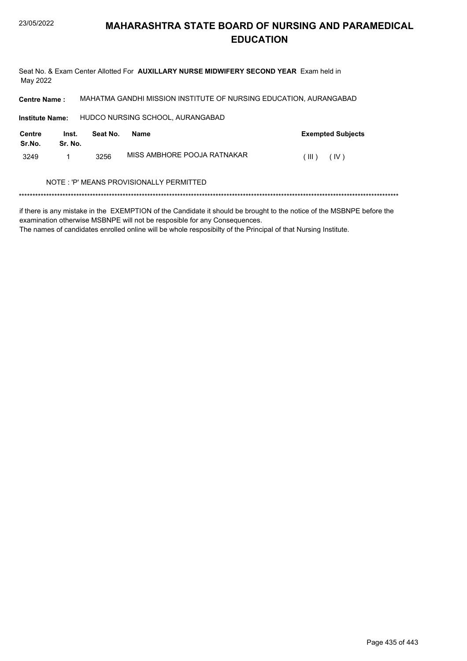Seat No. & Exam Center Allotted For AUXILLARY NURSE MIDWIFERY SECOND YEAR Exam held in May 2022

MAHATMA GANDHI MISSION INSTITUTE OF NURSING EDUCATION, AURANGABAD **Centre Name:** 

HUDCO NURSING SCHOOL, AURANGABAD Institute Name:

| Centre<br>Sr.No. | Inst.<br>Sr. No. | Seat No. | Name                        | <b>Exempted Subjects</b> |
|------------------|------------------|----------|-----------------------------|--------------------------|
| 3249             |                  | 3256     | MISS AMBHORE POOJA RATNAKAR | $(\  \  )$<br>(IV)       |

#### NOTE : 'P' MEANS PROVISIONALLY PERMITTED

if there is any mistake in the EXEMPTION of the Candidate it should be brought to the notice of the MSBNPE before the examination otherwise MSBNPE will not be resposible for any Consequences.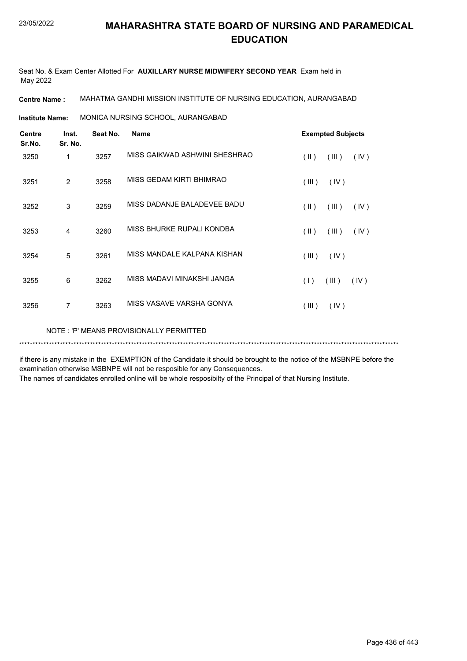Seat No. & Exam Center Allotted For **AUXILLARY NURSE MIDWIFERY SECOND YEAR** Exam held in May 2022

**Centre Name :** MAHATMA GANDHI MISSION INSTITUTE OF NURSING EDUCATION, AURANGABAD

MONICA NURSING SCHOOL, AURANGABAD **Institute Name:**

| <b>Centre</b><br>Sr.No. | Inst.<br>Sr. No. | Seat No. | <b>Name</b>                   | <b>Exempted Subjects</b>                 |
|-------------------------|------------------|----------|-------------------------------|------------------------------------------|
| 3250                    | 1                | 3257     | MISS GAIKWAD ASHWINI SHESHRAO | (  )<br>(III)<br>(IV)                    |
| 3251                    | $\overline{c}$   | 3258     | MISS GEDAM KIRTI BHIMRAO      | (III)<br>(IV)                            |
| 3252                    | 3                | 3259     | MISS DADANJE BALADEVEE BADU   | $(\parallel \parallel)$<br>(III)<br>(IV) |
| 3253                    | $\overline{4}$   | 3260     | MISS BHURKE RUPALI KONDBA     | (  )<br>(III)<br>(IV)                    |
| 3254                    | 5                | 3261     | MISS MANDALE KALPANA KISHAN   | (III)<br>(IV)                            |
| 3255                    | 6                | 3262     | MISS MADAVI MINAKSHI JANGA    | (III)<br>(1)<br>(IV)                     |
| 3256                    | 7                | 3263     | MISS VASAVE VARSHA GONYA      | (III)<br>(IV)                            |
|                         |                  |          |                               |                                          |

NOTE : 'P' MEANS PROVISIONALLY PERMITTED

\*\*\*\*\*\*\*\*\*\*\*\*\*\*\*\*\*\*\*\*\*\*\*\*\*\*\*\*\*\*\*\*\*\*\*\*\*\*\*\*\*\*\*\*\*\*\*\*\*\*\*\*\*\*\*\*\*\*\*\*\*\*\*\*\*\*\*\*\*\*\*\*\*\*\*\*\*\*\*\*\*\*\*\*\*\*\*\*\*\*\*\*\*\*\*\*\*\*\*\*\*\*\*\*\*\*\*\*\*\*\*\*\*\*\*\*\*\*\*\*\*\*\*\*\*\*\*\*\*\*\*\*\*\*\*\*\*\*\*

if there is any mistake in the EXEMPTION of the Candidate it should be brought to the notice of the MSBNPE before the examination otherwise MSBNPE will not be resposible for any Consequences.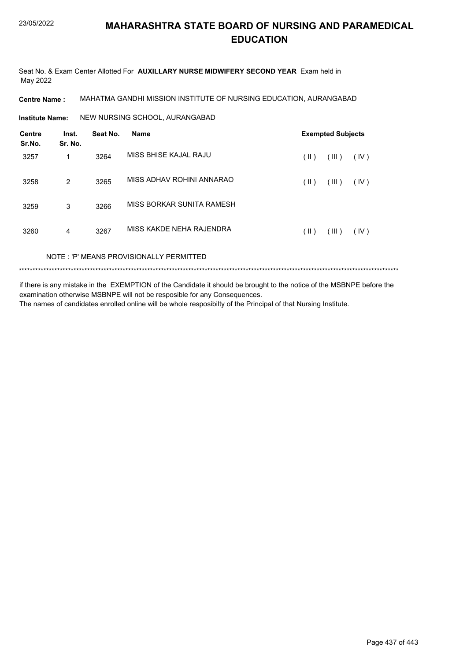Seat No. & Exam Center Allotted For **AUXILLARY NURSE MIDWIFERY SECOND YEAR** Exam held in May 2022

**Centre Name :** MAHATMA GANDHI MISSION INSTITUTE OF NURSING EDUCATION, AURANGABAD

**Institute Name: NEW NURSING SCHOOL, AURANGABAD** 

| <b>Centre</b><br>Sr.No. | Inst.<br>Sr. No. | Seat No. | <b>Name</b>                             | <b>Exempted Subjects</b> |       |      |  |
|-------------------------|------------------|----------|-----------------------------------------|--------------------------|-------|------|--|
| 3257                    | 1                | 3264     | MISS BHISE KAJAL RAJU                   | (  )                     | (III) | (IV) |  |
| 3258                    | 2                | 3265     | MISS ADHAV ROHINI ANNARAO               | (  )                     | (III) | (IV) |  |
| 3259                    | 3                | 3266     | MISS BORKAR SUNITA RAMESH               |                          |       |      |  |
| 3260                    | 4                | 3267     | MISS KAKDE NEHA RAJENDRA                | (  )                     | (III) | (IV) |  |
|                         |                  |          | NOTE: 'P' MEANS PROVISIONALLY PERMITTED |                          |       |      |  |

\*\*\*\*\*\*\*\*\*\*\*\*\*\*\*\*\*\*\*\*\*\*\*\*\*\*\*\*\*\*\*\*\*\*\*\*\*\*\*\*\*\*\*\*\*\*\*\*\*\*\*\*\*\*\*\*\*\*\*\*\*\*\*\*\*\*\*\*\*\*\*\*\*\*\*\*\*\*\*\*\*\*\*\*\*\*\*\*\*\*\*\*\*\*\*\*\*\*\*\*\*\*\*\*\*\*\*\*\*\*\*\*\*\*\*\*\*\*\*\*\*\*\*\*\*\*\*\*\*\*\*\*\*\*\*\*\*\*\*

if there is any mistake in the EXEMPTION of the Candidate it should be brought to the notice of the MSBNPE before the examination otherwise MSBNPE will not be resposible for any Consequences. The names of candidates enrolled online will be whole resposibilty of the Principal of that Nursing Institute.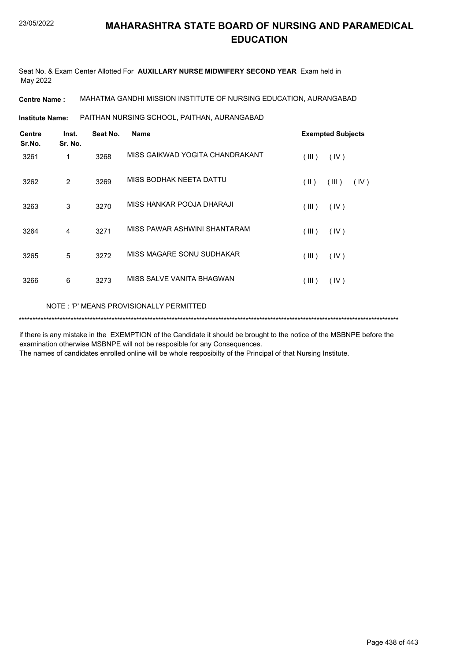Seat No. & Exam Center Allotted For **AUXILLARY NURSE MIDWIFERY SECOND YEAR** Exam held in May 2022

**Centre Name :** MAHATMA GANDHI MISSION INSTITUTE OF NURSING EDUCATION, AURANGABAD

PAITHAN NURSING SCHOOL, PAITHAN, AURANGABAD **Institute Name:**

| Inst. | Seat No. | <b>Name</b>                     | <b>Exempted Subjects</b> |  |  |
|-------|----------|---------------------------------|--------------------------|--|--|
| 1     | 3268     | MISS GAIKWAD YOGITA CHANDRAKANT | (III)<br>(IV)            |  |  |
| 2     | 3269     | MISS BODHAK NEETA DATTU         | (  )<br>(III)<br>(IV)    |  |  |
| 3     | 3270     | MISS HANKAR POOJA DHARAJI       | (III)<br>(IV)            |  |  |
| 4     | 3271     | MISS PAWAR ASHWINI SHANTARAM    | (III)<br>(IV)            |  |  |
| 5     | 3272     | MISS MAGARE SONU SUDHAKAR       | (III)<br>(IV)            |  |  |
| 6     | 3273     | MISS SALVE VANITA BHAGWAN       | (III)<br>(IV)            |  |  |
|       | Sr. No.  |                                 |                          |  |  |

NOTE : 'P' MEANS PROVISIONALLY PERMITTED

\*\*\*\*\*\*\*\*\*\*\*\*\*\*\*\*\*\*\*\*\*\*\*\*\*\*\*\*\*\*\*\*\*\*\*\*\*\*\*\*\*\*\*\*\*\*\*\*\*\*\*\*\*\*\*\*\*\*\*\*\*\*\*\*\*\*\*\*\*\*\*\*\*\*\*\*\*\*\*\*\*\*\*\*\*\*\*\*\*\*\*\*\*\*\*\*\*\*\*\*\*\*\*\*\*\*\*\*\*\*\*\*\*\*\*\*\*\*\*\*\*\*\*\*\*\*\*\*\*\*\*\*\*\*\*\*\*\*\*

if there is any mistake in the EXEMPTION of the Candidate it should be brought to the notice of the MSBNPE before the examination otherwise MSBNPE will not be resposible for any Consequences.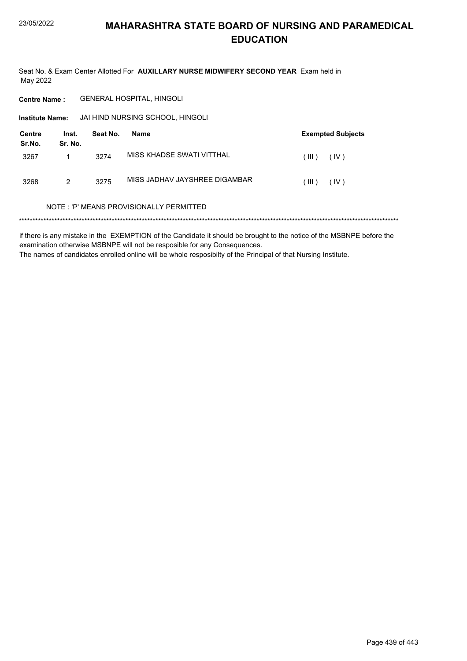Seat No. & Exam Center Allotted For AUXILLARY NURSE MIDWIFERY SECOND YEAR Exam held in May 2022

**GENERAL HOSPITAL, HINGOLI Centre Name:** 

Institute Name: JAI HIND NURSING SCHOOL, HINGOLI

| Centre<br>Sr.No. | Inst.<br>Sr. No. | Seat No. | Name                          | <b>Exempted Subjects</b> |      |  |
|------------------|------------------|----------|-------------------------------|--------------------------|------|--|
| 3267             |                  | 3274     | MISS KHADSE SWATI VITTHAL     | (III)                    | (IV) |  |
| 3268             | 2                | 3275     | MISS JADHAV JAYSHREE DIGAMBAR | (III)                    | (IV) |  |

#### NOTE: 'P' MEANS PROVISIONALLY PERMITTED

if there is any mistake in the EXEMPTION of the Candidate it should be brought to the notice of the MSBNPE before the examination otherwise MSBNPE will not be resposible for any Consequences. The names of candidates enrolled online will be whole resposibilty of the Principal of that Nursing Institute.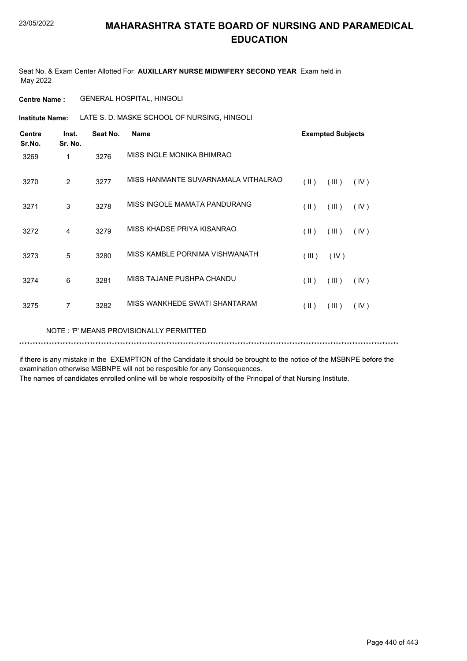Seat No. & Exam Center Allotted For **AUXILLARY NURSE MIDWIFERY SECOND YEAR** Exam held in May 2022

**Centre Name :** GENERAL HOSPITAL, HINGOLI

**Institute Name:** LATE S. D. MASKE SCHOOL OF NURSING, HINGOLI

| <b>Centre</b><br>Sr.No. | Inst.<br>Sr. No. | Seat No. | <b>Name</b>                             |               | <b>Exempted Subjects</b> |      |  |  |
|-------------------------|------------------|----------|-----------------------------------------|---------------|--------------------------|------|--|--|
| 3269                    | 1                | 3276     | MISS INGLE MONIKA BHIMRAO               |               |                          |      |  |  |
| 3270                    | 2                | 3277     | MISS HANMANTE SUVARNAMALA VITHALRAO     | $(\parallel)$ | (III)                    | (IV) |  |  |
| 3271                    | 3                | 3278     | MISS INGOLE MAMATA PANDURANG            | $(\parallel)$ | (III)                    | (IV) |  |  |
| 3272                    | 4                | 3279     | MISS KHADSE PRIYA KISANRAO              | $(\parallel)$ | (III)                    | (IV) |  |  |
| 3273                    | 5                | 3280     | MISS KAMBLE PORNIMA VISHWANATH          | (III)         | (IV)                     |      |  |  |
| 3274                    | 6                | 3281     | MISS TAJANE PUSHPA CHANDU               | $(\parallel)$ | (III)                    | (IV) |  |  |
| 3275                    | 7                | 3282     | MISS WANKHEDE SWATI SHANTARAM           | $(\parallel)$ | (III)                    | (IV) |  |  |
|                         |                  |          | NOTE: 'P' MEANS PROVISIONALLY PERMITTED |               |                          |      |  |  |

if there is any mistake in the EXEMPTION of the Candidate it should be brought to the notice of the MSBNPE before the examination otherwise MSBNPE will not be resposible for any Consequences.

\*\*\*\*\*\*\*\*\*\*\*\*\*\*\*\*\*\*\*\*\*\*\*\*\*\*\*\*\*\*\*\*\*\*\*\*\*\*\*\*\*\*\*\*\*\*\*\*\*\*\*\*\*\*\*\*\*\*\*\*\*\*\*\*\*\*\*\*\*\*\*\*\*\*\*\*\*\*\*\*\*\*\*\*\*\*\*\*\*\*\*\*\*\*\*\*\*\*\*\*\*\*\*\*\*\*\*\*\*\*\*\*\*\*\*\*\*\*\*\*\*\*\*\*\*\*\*\*\*\*\*\*\*\*\*\*\*\*\*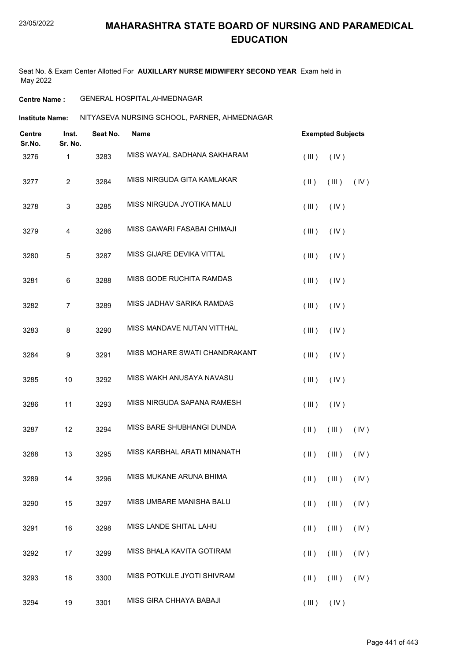Seat No. & Exam Center Allotted For **AUXILLARY NURSE MIDWIFERY SECOND YEAR** Exam held in May 2022

#### **Centre Name :** GENERAL HOSPITAL,AHMEDNAGAR

**Institute Name: MITYASEVA NURSING SCHOOL, PARNER, AHMEDNAGAR** 

| Inst.<br>Centre<br>Sr.No.<br>Sr. No. |                | Seat No. | <b>Name</b>                   |                | <b>Exempted Subjects</b>                  |      |  |  |
|--------------------------------------|----------------|----------|-------------------------------|----------------|-------------------------------------------|------|--|--|
| 3276                                 | 1              | 3283     | MISS WAYAL SADHANA SAKHARAM   | (III)          | (IV)                                      |      |  |  |
| 3277                                 | $\overline{c}$ | 3284     | MISS NIRGUDA GITA KAMLAKAR    | $(\parallel)$  | (III)                                     | (IV) |  |  |
| 3278                                 | 3              | 3285     | MISS NIRGUDA JYOTIKA MALU     | (III)          | (IV)                                      |      |  |  |
| 3279                                 | 4              | 3286     | MISS GAWARI FASABAI CHIMAJI   | (III)          | (IV)                                      |      |  |  |
| 3280                                 | 5              | 3287     | MISS GIJARE DEVIKA VITTAL     | (III)          | (IV)                                      |      |  |  |
| 3281                                 | 6              | 3288     | MISS GODE RUCHITA RAMDAS      | (III)          | (IV)                                      |      |  |  |
| 3282                                 | $\overline{7}$ | 3289     | MISS JADHAV SARIKA RAMDAS     | (III)          | (IV)                                      |      |  |  |
| 3283                                 | 8              | 3290     | MISS MANDAVE NUTAN VITTHAL    | (III)          | (IV)                                      |      |  |  |
| 3284                                 | 9              | 3291     | MISS MOHARE SWATI CHANDRAKANT | (III)          | (IV)                                      |      |  |  |
| 3285                                 | 10             | 3292     | MISS WAKH ANUSAYA NAVASU      | (III)          | (IV)                                      |      |  |  |
| 3286                                 | 11             | 3293     | MISS NIRGUDA SAPANA RAMESH    | (III)          | (IV)                                      |      |  |  |
| 3287                                 | 12             | 3294     | MISS BARE SHUBHANGI DUNDA     | $(\parallel)$  | (III)                                     | (IV) |  |  |
| 3288                                 | 13             | 3295     | MISS KARBHAL ARATI MINANATH   | $(\parallel)$  | (III)                                     | (IV) |  |  |
| 3289                                 | 14             | 3296     | MISS MUKANE ARUNA BHIMA       |                | $(\parallel)$ $(\parallel)$ $(\parallel)$ |      |  |  |
| 3290                                 | 15             | 3297     | MISS UMBARE MANISHA BALU      | $(\parallel)$  | (III)                                     | (IV) |  |  |
| 3291                                 | 16             | 3298     | MISS LANDE SHITAL LAHU        | $(\parallel)$  | (III)                                     | (IV) |  |  |
| 3292                                 | 17             | 3299     | MISS BHALA KAVITA GOTIRAM     | $(\parallel)$  | (III)                                     | (IV) |  |  |
| 3293                                 | 18             | 3300     | MISS POTKULE JYOTI SHIVRAM    | $(\parallel)$  | (III)                                     | (IV) |  |  |
| 3294                                 | 19             | 3301     | MISS GIRA CHHAYA BABAJI       | $(III)$ $(IV)$ |                                           |      |  |  |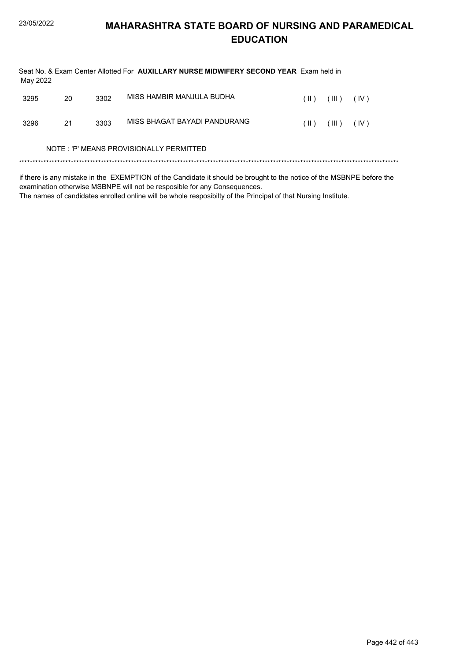| May 2022 |    |      | Seat No. & Exam Center Allotted For AUXILLARY NURSE MIDWIFERY SECOND YEAR Exam held in |      |       |      |  |
|----------|----|------|----------------------------------------------------------------------------------------|------|-------|------|--|
| 3295     | 20 | 3302 | MISS HAMBIR MANJULA BUDHA                                                              | (  ) | (III) | (IV) |  |
| 3296     | 21 | 3303 | MISS BHAGAT BAYADI PANDURANG                                                           | (  ) | (III) | (IV) |  |
|          |    |      | NOTE: 'P' MEANS PROVISIONALLY PERMITTED                                                |      |       |      |  |
|          |    |      |                                                                                        |      |       |      |  |

if there is any mistake in the EXEMPTION of the Candidate it should be brought to the notice of the MSBNPE before the examination otherwise MSBNPE will not be resposible for any Consequences.